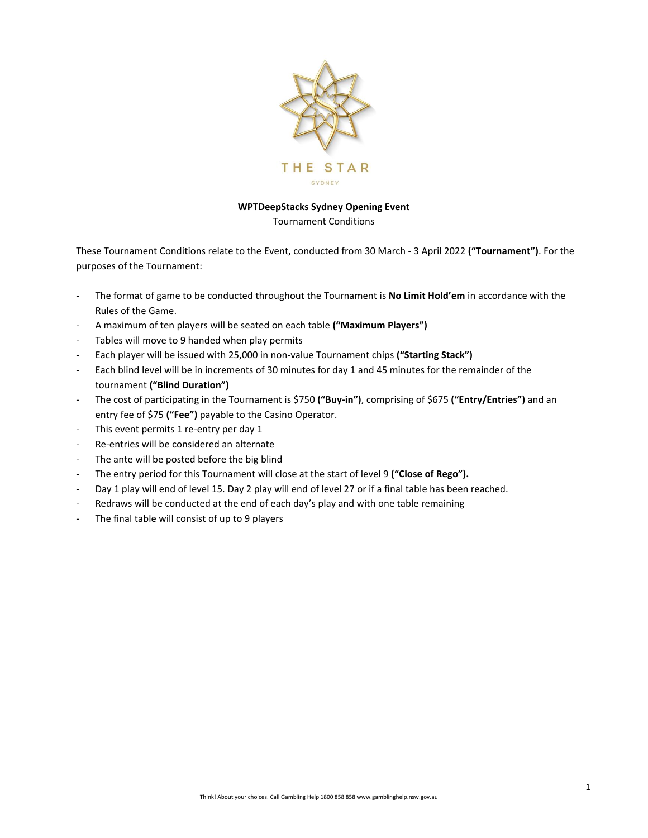

## **WPTDeepStacks Sydney Opening Event**

Tournament Conditions

These Tournament Conditions relate to the Event, conducted from 30 March - 3 April 2022 **("Tournament")**. For the purposes of the Tournament:

- The format of game to be conducted throughout the Tournament is **No Limit Hold'em** in accordance with the Rules of the Game.
- A maximum of ten players will be seated on each table **("Maximum Players")**
- Tables will move to 9 handed when play permits
- Each player will be issued with 25,000 in non-value Tournament chips **("Starting Stack")**
- Each blind level will be in increments of 30 minutes for day 1 and 45 minutes for the remainder of the tournament **("Blind Duration")**
- The cost of participating in the Tournament is \$750 **("Buy-in")**, comprising of \$675 **("Entry/Entries")** and an entry fee of \$75 **("Fee")** payable to the Casino Operator.
- This event permits 1 re-entry per day 1
- Re-entries will be considered an alternate
- The ante will be posted before the big blind
- The entry period for this Tournament will close at the start of level 9 ("Close of Rego").
- Day 1 play will end of level 15. Day 2 play will end of level 27 or if a final table has been reached.
- Redraws will be conducted at the end of each day's play and with one table remaining
- The final table will consist of up to 9 players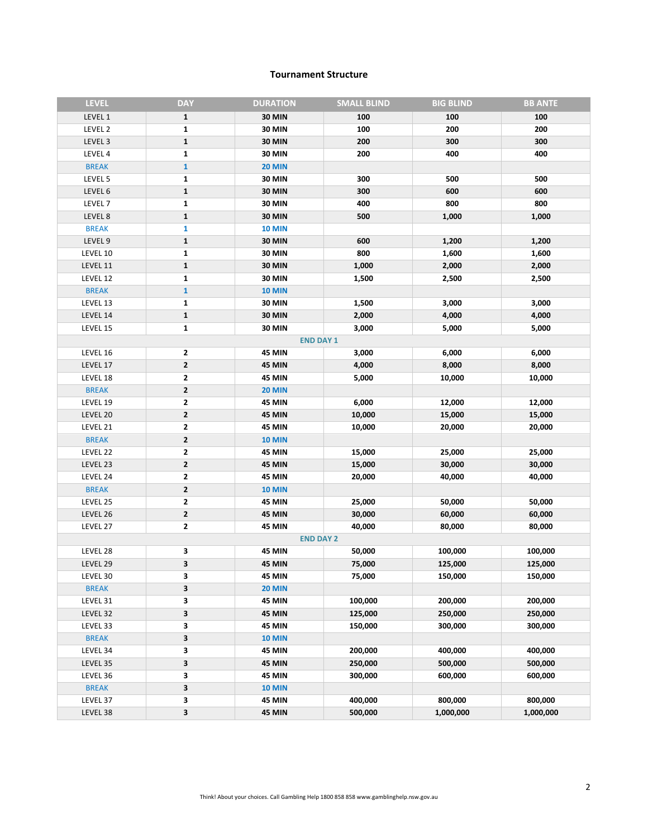#### **Tournament Structure**

| <b>LEVEL</b>       | <b>DAY</b>   | <b>DURATION</b>  | <b>SMALL BLIND</b> | <b>BIG BLIND</b> | <b>BB ANTE</b> |
|--------------------|--------------|------------------|--------------------|------------------|----------------|
| LEVEL 1            | $\mathbf{1}$ | <b>30 MIN</b>    | 100                | 100              | 100            |
| LEVEL 2            | $\mathbf{1}$ | <b>30 MIN</b>    | 100                | 200              | 200            |
| LEVEL 3            | $\mathbf 1$  | <b>30 MIN</b>    | 200                | 300              | 300            |
| LEVEL 4            | $\mathbf{1}$ | <b>30 MIN</b>    | 200                | 400              | 400            |
| <b>BREAK</b>       | $\mathbf{1}$ | <b>20 MIN</b>    |                    |                  |                |
| LEVEL 5            | 1            | <b>30 MIN</b>    | 300                | 500              | 500            |
| LEVEL 6            | $\mathbf 1$  | <b>30 MIN</b>    | 300                | 600              | 600            |
| LEVEL <sub>7</sub> | $\mathbf{1}$ | <b>30 MIN</b>    | 400                | 800              | 800            |
| LEVEL 8            | $\mathbf 1$  | <b>30 MIN</b>    | 500                | 1,000            | 1,000          |
| <b>BREAK</b>       | 1            | <b>10 MIN</b>    |                    |                  |                |
| LEVEL 9            | $\mathbf 1$  | <b>30 MIN</b>    | 600                | 1,200            | 1,200          |
| LEVEL 10           | $\mathbf{1}$ | <b>30 MIN</b>    | 800                | 1,600            | 1,600          |
| LEVEL 11           | $\mathbf 1$  | <b>30 MIN</b>    | 1,000              | 2,000            | 2,000          |
| LEVEL 12           | $\mathbf{1}$ | <b>30 MIN</b>    | 1,500              | 2,500            | 2,500          |
| <b>BREAK</b>       | $\mathbf 1$  | <b>10 MIN</b>    |                    |                  |                |
| LEVEL 13           | $\mathbf{1}$ | <b>30 MIN</b>    | 1,500              | 3,000            | 3,000          |
| LEVEL 14           | $\mathbf 1$  | <b>30 MIN</b>    | 2,000              | 4,000            | 4,000          |
| LEVEL 15           | $\mathbf{1}$ | <b>30 MIN</b>    | 3,000              | 5,000            | 5,000          |
|                    |              | <b>END DAY 1</b> |                    |                  |                |
| LEVEL 16           | $\mathbf{2}$ | <b>45 MIN</b>    | 3,000              | 6,000            | 6,000          |
| LEVEL 17           | 2            | <b>45 MIN</b>    | 4,000              | 8,000            | 8,000          |
| LEVEL 18           | 2            | <b>45 MIN</b>    | 5,000              | 10,000           | 10,000         |
| <b>BREAK</b>       | 2            | <b>20 MIN</b>    |                    |                  |                |
| LEVEL 19           | 2            | <b>45 MIN</b>    | 6,000              | 12,000           | 12,000         |
| LEVEL 20           | 2            | <b>45 MIN</b>    | 10,000             | 15,000           | 15,000         |
| LEVEL 21           | 2            | <b>45 MIN</b>    | 10,000             | 20,000           | 20,000         |
| <b>BREAK</b>       | $\mathbf 2$  | <b>10 MIN</b>    |                    |                  |                |
| LEVEL 22           | 2            | <b>45 MIN</b>    | 15,000             | 25,000           | 25,000         |
| LEVEL 23           | $\mathbf{2}$ | 45 MIN           | 15,000             | 30,000           | 30,000         |
| LEVEL 24           | 2            | <b>45 MIN</b>    | 20,000             | 40,000           | 40,000         |
| <b>BREAK</b>       | 2            | <b>10 MIN</b>    |                    |                  |                |
| LEVEL 25           | $\mathbf{2}$ | <b>45 MIN</b>    | 25,000             | 50,000           | 50,000         |
| LEVEL 26           | $\mathbf 2$  | <b>45 MIN</b>    | 30,000             | 60,000           | 60,000         |
| LEVEL 27           | $\mathbf{2}$ | <b>45 MIN</b>    | 40,000             | 80,000           | 80,000         |
|                    |              | <b>END DAY 2</b> |                    |                  |                |
| LEVEL 28           | 3            | <b>45 MIN</b>    | 50,000             | 100,000          | 100,000        |
| LEVEL 29           | 3            | <b>45 MIN</b>    | 75,000             | 125,000          | 125,000        |
| LEVEL 30           | 3            | <b>45 MIN</b>    | 75,000             | 150,000          | 150,000        |
| <b>BREAK</b>       | 3            | <b>20 MIN</b>    |                    |                  |                |
| LEVEL 31           | 3            | 45 MIN           | 100,000            | 200,000          | 200,000        |
| LEVEL 32           | 3            | <b>45 MIN</b>    | 125,000            | 250,000          | 250,000        |
| LEVEL 33           | 3            | 45 MIN           | 150,000            | 300,000          | 300,000        |
| <b>BREAK</b>       | 3            | <b>10 MIN</b>    |                    |                  |                |
| LEVEL 34           | з            | <b>45 MIN</b>    | 200,000            | 400,000          | 400,000        |
| LEVEL 35           | 3            | <b>45 MIN</b>    | 250,000            | 500,000          | 500,000        |
| LEVEL 36           | 3            | <b>45 MIN</b>    | 300,000            | 600,000          | 600,000        |
| <b>BREAK</b>       | 3            | <b>10 MIN</b>    |                    |                  |                |
| LEVEL 37           | 3            | <b>45 MIN</b>    | 400,000            | 800,000          | 800,000        |
| LEVEL 38           | 3            | <b>45 MIN</b>    | 500,000            | 1,000,000        | 1,000,000      |
|                    |              |                  |                    |                  |                |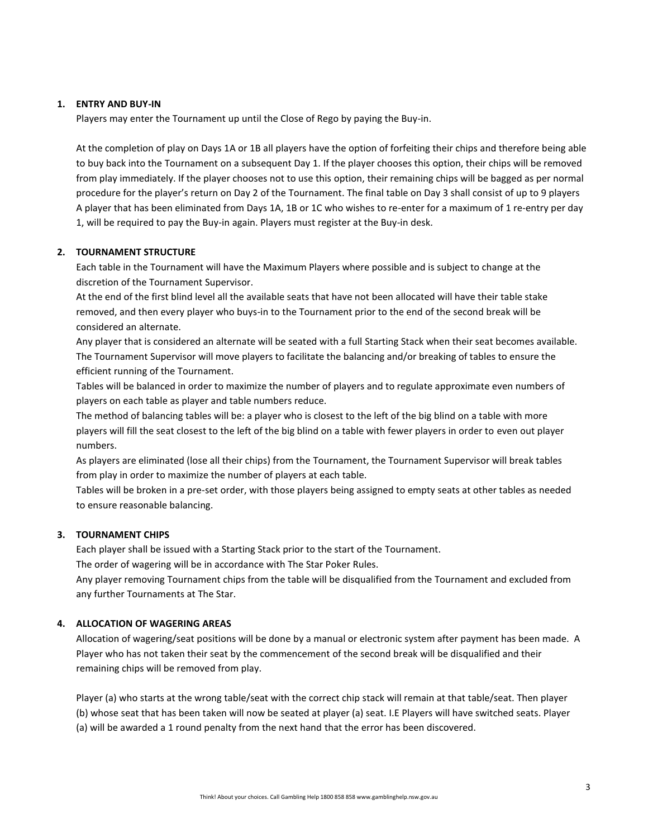### **1. ENTRY AND BUY-IN**

Players may enter the Tournament up until the Close of Rego by paying the Buy-in.

At the completion of play on Days 1A or 1B all players have the option of forfeiting their chips and therefore being able to buy back into the Tournament on a subsequent Day 1. If the player chooses this option, their chips will be removed from play immediately. If the player chooses not to use this option, their remaining chips will be bagged as per normal procedure for the player's return on Day 2 of the Tournament. The final table on Day 3 shall consist of up to 9 players A player that has been eliminated from Days 1A, 1B or 1C who wishes to re-enter for a maximum of 1 re-entry per day 1, will be required to pay the Buy-in again. Players must register at the Buy-in desk.

### **2. TOURNAMENT STRUCTURE**

Each table in the Tournament will have the Maximum Players where possible and is subject to change at the discretion of the Tournament Supervisor.

At the end of the first blind level all the available seats that have not been allocated will have their table stake removed, and then every player who buys-in to the Tournament prior to the end of the second break will be considered an alternate.

Any player that is considered an alternate will be seated with a full Starting Stack when their seat becomes available. The Tournament Supervisor will move players to facilitate the balancing and/or breaking of tables to ensure the efficient running of the Tournament.

Tables will be balanced in order to maximize the number of players and to regulate approximate even numbers of players on each table as player and table numbers reduce.

The method of balancing tables will be: a player who is closest to the left of the big blind on a table with more players will fill the seat closest to the left of the big blind on a table with fewer players in order to even out player numbers.

As players are eliminated (lose all their chips) from the Tournament, the Tournament Supervisor will break tables from play in order to maximize the number of players at each table.

Tables will be broken in a pre-set order, with those players being assigned to empty seats at other tables as needed to ensure reasonable balancing.

## **3. TOURNAMENT CHIPS**

Each player shall be issued with a Starting Stack prior to the start of the Tournament.

The order of wagering will be in accordance with The Star Poker Rules.

Any player removing Tournament chips from the table will be disqualified from the Tournament and excluded from any further Tournaments at The Star.

#### **4. ALLOCATION OF WAGERING AREAS**

Allocation of wagering/seat positions will be done by a manual or electronic system after payment has been made. A Player who has not taken their seat by the commencement of the second break will be disqualified and their remaining chips will be removed from play.

Player (a) who starts at the wrong table/seat with the correct chip stack will remain at that table/seat. Then player (b) whose seat that has been taken will now be seated at player (a) seat. I.E Players will have switched seats. Player (a) will be awarded a 1 round penalty from the next hand that the error has been discovered.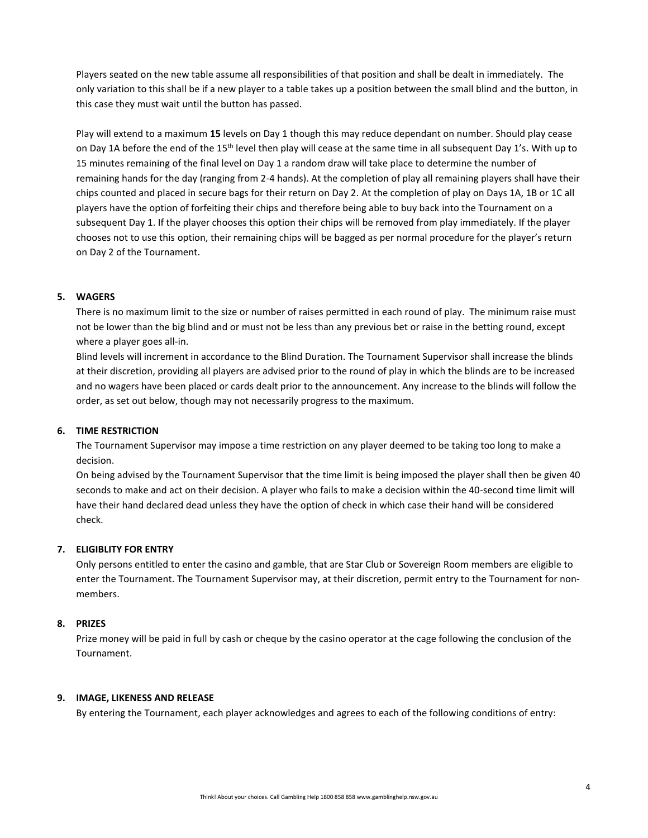Players seated on the new table assume all responsibilities of that position and shall be dealt in immediately. The only variation to this shall be if a new player to a table takes up a position between the small blind and the button, in this case they must wait until the button has passed.

Play will extend to a maximum **15** levels on Day 1 though this may reduce dependant on number. Should play cease on Day 1A before the end of the 15<sup>th</sup> level then play will cease at the same time in all subsequent Day 1's. With up to 15 minutes remaining of the final level on Day 1 a random draw will take place to determine the number of remaining hands for the day (ranging from 2-4 hands). At the completion of play all remaining players shall have their chips counted and placed in secure bags for their return on Day 2. At the completion of play on Days 1A, 1B or 1C all players have the option of forfeiting their chips and therefore being able to buy back into the Tournament on a subsequent Day 1. If the player chooses this option their chips will be removed from play immediately. If the player chooses not to use this option, their remaining chips will be bagged as per normal procedure for the player's return on Day 2 of the Tournament.

# **5. WAGERS**

There is no maximum limit to the size or number of raises permitted in each round of play. The minimum raise must not be lower than the big blind and or must not be less than any previous bet or raise in the betting round, except where a player goes all-in.

Blind levels will increment in accordance to the Blind Duration. The Tournament Supervisor shall increase the blinds at their discretion, providing all players are advised prior to the round of play in which the blinds are to be increased and no wagers have been placed or cards dealt prior to the announcement. Any increase to the blinds will follow the order, as set out below, though may not necessarily progress to the maximum.

## **6. TIME RESTRICTION**

The Tournament Supervisor may impose a time restriction on any player deemed to be taking too long to make a decision.

On being advised by the Tournament Supervisor that the time limit is being imposed the player shall then be given 40 seconds to make and act on their decision. A player who fails to make a decision within the 40-second time limit will have their hand declared dead unless they have the option of check in which case their hand will be considered check.

## **7. ELIGIBLITY FOR ENTRY**

Only persons entitled to enter the casino and gamble, that are Star Club or Sovereign Room members are eligible to enter the Tournament. The Tournament Supervisor may, at their discretion, permit entry to the Tournament for nonmembers.

## **8. PRIZES**

Prize money will be paid in full by cash or cheque by the casino operator at the cage following the conclusion of the Tournament.

## **9. IMAGE, LIKENESS AND RELEASE**

By entering the Tournament, each player acknowledges and agrees to each of the following conditions of entry: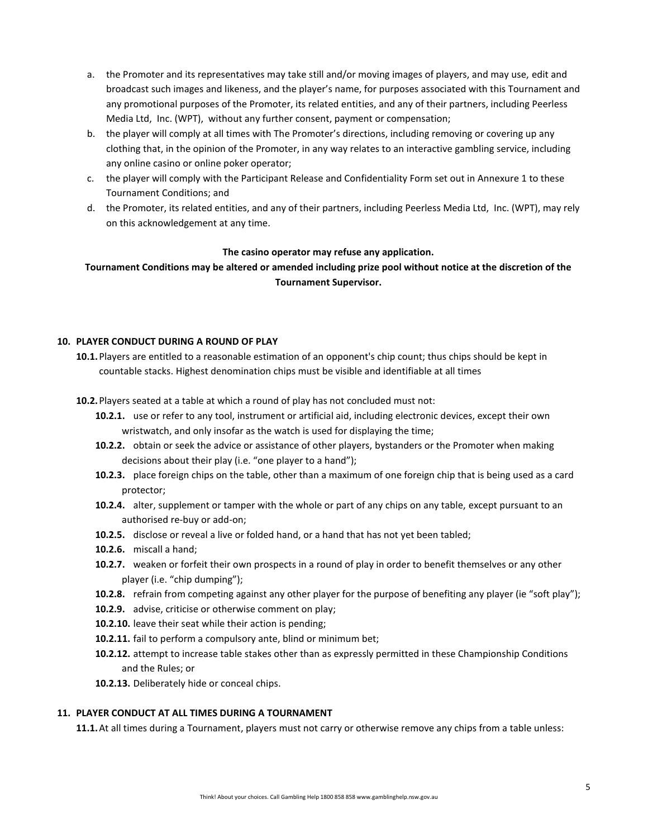- a. the Promoter and its representatives may take still and/or moving images of players, and may use, edit and broadcast such images and likeness, and the player's name, for purposes associated with this Tournament and any promotional purposes of the Promoter, its related entities, and any of their partners, including Peerless Media Ltd, Inc. (WPT), without any further consent, payment or compensation;
- b. the player will comply at all times with The Promoter's directions, including removing or covering up any clothing that, in the opinion of the Promoter, in any way relates to an interactive gambling service, including any online casino or online poker operator;
- c. the player will comply with the Participant Release and Confidentiality Form set out in Annexure 1 to these Tournament Conditions; and
- d. the Promoter, its related entities, and any of their partners, including Peerless Media Ltd, Inc. (WPT), may rely on this acknowledgement at any time.

### **The casino operator may refuse any application.**

**Tournament Conditions may be altered or amended including prize pool without notice at the discretion of the Tournament Supervisor.**

### **10. PLAYER CONDUCT DURING A ROUND OF PLAY**

**10.1.**Players are entitled to a reasonable estimation of an opponent's chip count; thus chips should be kept in countable stacks. Highest denomination chips must be visible and identifiable at all times

**10.2.**Players seated at a table at which a round of play has not concluded must not:

- **10.2.1.** use or refer to any tool, instrument or artificial aid, including electronic devices, except their own wristwatch, and only insofar as the watch is used for displaying the time;
- **10.2.2.** obtain or seek the advice or assistance of other players, bystanders or the Promoter when making decisions about their play (i.e. "one player to a hand");
- **10.2.3.** place foreign chips on the table, other than a maximum of one foreign chip that is being used as a card protector;
- **10.2.4.** alter, supplement or tamper with the whole or part of any chips on any table, except pursuant to an authorised re-buy or add-on;
- **10.2.5.** disclose or reveal a live or folded hand, or a hand that has not yet been tabled;
- **10.2.6.** miscall a hand;
- **10.2.7.** weaken or forfeit their own prospects in a round of play in order to benefit themselves or any other player (i.e. "chip dumping");
- **10.2.8.** refrain from competing against any other player for the purpose of benefiting any player (ie "soft play");
- **10.2.9.** advise, criticise or otherwise comment on play;
- **10.2.10.** leave their seat while their action is pending;
- **10.2.11.** fail to perform a compulsory ante, blind or minimum bet;
- **10.2.12.** attempt to increase table stakes other than as expressly permitted in these Championship Conditions and the Rules; or
- **10.2.13.** Deliberately hide or conceal chips.

### **11. PLAYER CONDUCT AT ALL TIMES DURING A TOURNAMENT**

**11.1.**At all times during a Tournament, players must not carry or otherwise remove any chips from a table unless: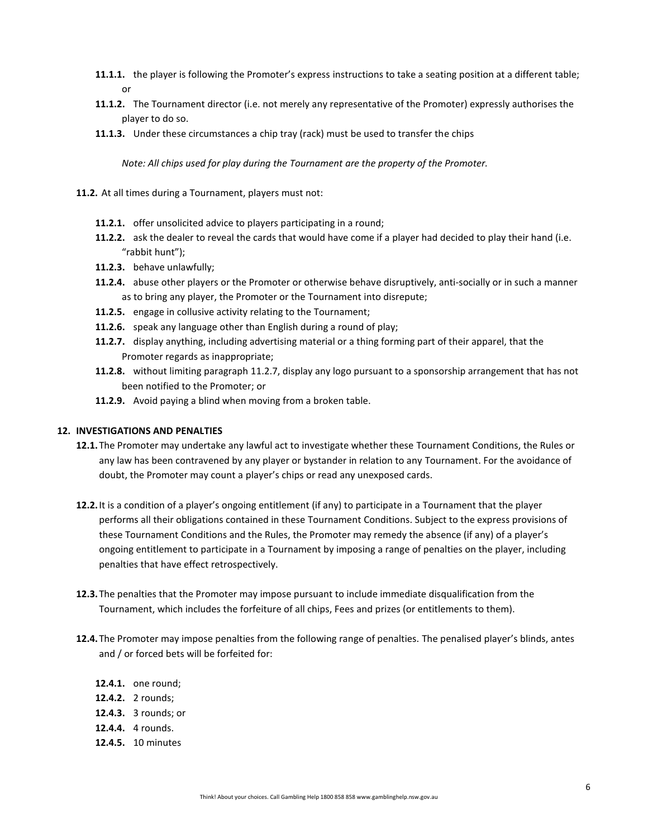- **11.1.1.** the player is following the Promoter's express instructions to take a seating position at a different table; or
- **11.1.2.** The Tournament director (i.e. not merely any representative of the Promoter) expressly authorises the player to do so.
- **11.1.3.** Under these circumstances a chip tray (rack) must be used to transfer the chips

*Note: All chips used for play during the Tournament are the property of the Promoter.*

- **11.2.** At all times during a Tournament, players must not:
	- **11.2.1.** offer unsolicited advice to players participating in a round;
	- **11.2.2.** ask the dealer to reveal the cards that would have come if a player had decided to play their hand (i.e. "rabbit hunt");
	- **11.2.3.** behave unlawfully;
	- **11.2.4.** abuse other players or the Promoter or otherwise behave disruptively, anti-socially or in such a manner as to bring any player, the Promoter or the Tournament into disrepute;
	- **11.2.5.** engage in collusive activity relating to the Tournament;
	- **11.2.6.** speak any language other than English during a round of play;
	- **11.2.7.** display anything, including advertising material or a thing forming part of their apparel, that the Promoter regards as inappropriate;
	- **11.2.8.** without limiting paragraph [11.2.7,](#page-5-0) display any logo pursuant to a sponsorship arrangement that has not been notified to the Promoter; or
	- **11.2.9.** Avoid paying a blind when moving from a broken table.

#### <span id="page-5-0"></span>**12. INVESTIGATIONS AND PENALTIES**

- **12.1.**The Promoter may undertake any lawful act to investigate whether these Tournament Conditions, the Rules or any law has been contravened by any player or bystander in relation to any Tournament. For the avoidance of doubt, the Promoter may count a player's chips or read any unexposed cards.
- **12.2.**It is a condition of a player's ongoing entitlement (if any) to participate in a Tournament that the player performs all their obligations contained in these Tournament Conditions. Subject to the express provisions of these Tournament Conditions and the Rules, the Promoter may remedy the absence (if any) of a player's ongoing entitlement to participate in a Tournament by imposing a range of penalties on the player, including penalties that have effect retrospectively.
- **12.3.**The penalties that the Promoter may impose pursuant to include immediate disqualification from the Tournament, which includes the forfeiture of all chips, Fees and prizes (or entitlements to them).
- **12.4.**The Promoter may impose penalties from the following range of penalties. The penalised player's blinds, antes and / or forced bets will be forfeited for:
	- **12.4.1.** one round;
	- **12.4.2.** 2 rounds;
	- **12.4.3.** 3 rounds; or
	- **12.4.4.** 4 rounds.
	- **12.4.5.** 10 minutes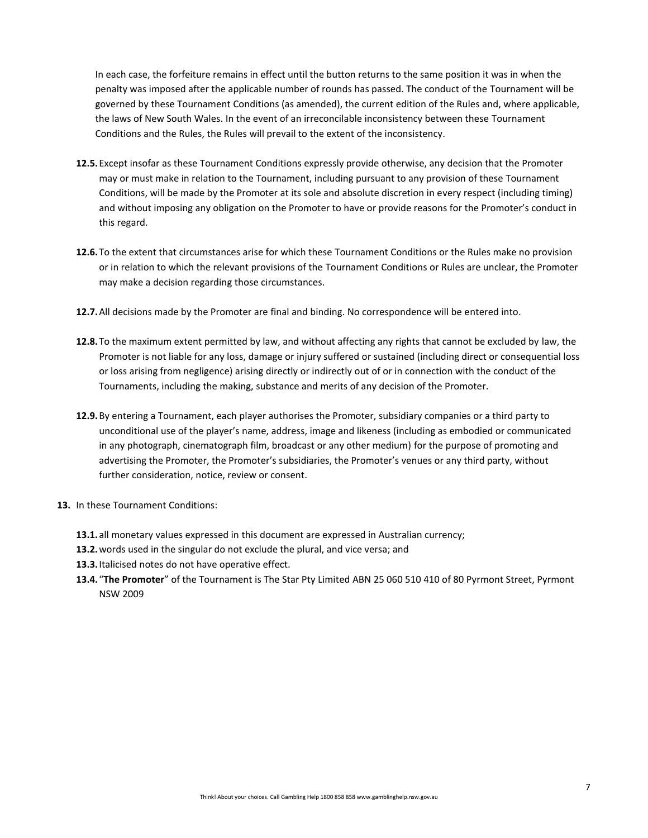In each case, the forfeiture remains in effect until the button returns to the same position it was in when the penalty was imposed after the applicable number of rounds has passed. The conduct of the Tournament will be governed by these Tournament Conditions (as amended), the current edition of the Rules and, where applicable, the laws of New South Wales. In the event of an irreconcilable inconsistency between these Tournament Conditions and the Rules, the Rules will prevail to the extent of the inconsistency.

- **12.5.**Except insofar as these Tournament Conditions expressly provide otherwise, any decision that the Promoter may or must make in relation to the Tournament, including pursuant to any provision of these Tournament Conditions, will be made by the Promoter at its sole and absolute discretion in every respect (including timing) and without imposing any obligation on the Promoter to have or provide reasons for the Promoter's conduct in this regard.
- **12.6.**To the extent that circumstances arise for which these Tournament Conditions or the Rules make no provision or in relation to which the relevant provisions of the Tournament Conditions or Rules are unclear, the Promoter may make a decision regarding those circumstances.
- **12.7.**All decisions made by the Promoter are final and binding. No correspondence will be entered into.
- **12.8.**To the maximum extent permitted by law, and without affecting any rights that cannot be excluded by law, the Promoter is not liable for any loss, damage or injury suffered or sustained (including direct or consequential loss or loss arising from negligence) arising directly or indirectly out of or in connection with the conduct of the Tournaments, including the making, substance and merits of any decision of the Promoter.
- **12.9.**By entering a Tournament, each player authorises the Promoter, subsidiary companies or a third party to unconditional use of the player's name, address, image and likeness (including as embodied or communicated in any photograph, cinematograph film, broadcast or any other medium) for the purpose of promoting and advertising the Promoter, the Promoter's subsidiaries, the Promoter's venues or any third party, without further consideration, notice, review or consent.
- **13.** In these Tournament Conditions:
	- **13.1.**all monetary values expressed in this document are expressed in Australian currency;
	- **13.2.**words used in the singular do not exclude the plural, and vice versa; and
	- **13.3.**Italicised notes do not have operative effect.
	- **13.4.** "**The Promoter**" of the Tournament is The Star Pty Limited ABN 25 060 510 410 of 80 Pyrmont Street, Pyrmont NSW 2009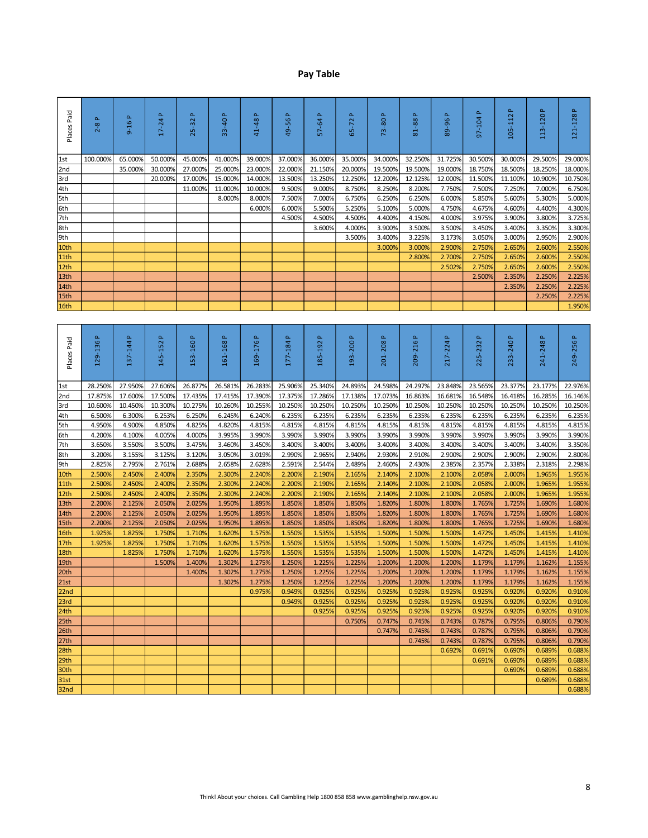# **Pay Table**

| Places Paid       | Δ.<br>$2 - 8$    | $\Delta$<br>$9 - 16$ | $17-24P$            | $\Delta$<br>$25 - 32$ | 33-40 P             | $\Delta$<br>41-48   | $\Delta$<br>49-56   | $\Delta$<br>57-64   | Δ.<br>$65 - 72$     | 73-80 P             | a.<br>81-88      | $\Delta$<br>89-96   | Δ.<br>97-104        | a.<br>105-112    | <u>م</u><br>113-120 | $\Delta$<br>121-128 |
|-------------------|------------------|----------------------|---------------------|-----------------------|---------------------|---------------------|---------------------|---------------------|---------------------|---------------------|------------------|---------------------|---------------------|------------------|---------------------|---------------------|
| 1st               | 100.000%         | 65.000%              | 50.000%             | 45.000%               | 41.000%             | 39.000%             | 37.000%             | 36.000%             | 35.000%             | 34.000%             | 32.250%          | 31.725%             | 30.500%             | 30.000%          | 29.500%             | 29.000%             |
| 2nd               |                  | 35.000%              | 30.000%             | 27.000%               | 25.000%             | 23.000%             | 22.000%             | 21.150%             | 20.000%             | 19.500%             | 19.500%          | 19.000%             | 18.750%             | 18.500%          | 18.250%             | 18.000%             |
| 3rd               |                  |                      | 20.000%             | 17.000%               | 15.000%             | 14.000%             | 13.500%             | 13.250%             | 12.250%             | 12.200%             | 12.125%          | 12.000%             | 11.500%             | 11.100%          | 10.900%             | 10.750%             |
| 4th               |                  |                      |                     | 11.000%               | 11.000%             | 10.000%             | 9.500%              | 9.000%              | 8.750%              | 8.250%              | 8.200%           | 7.750%              | 7.500%              | 7.250%           | 7.000%              | 6.750%              |
| 5th               |                  |                      |                     |                       | 8.000%              | 8.000%              | 7.500%              | 7.000%              | 6.750%              | 6.250%              | 6.250%           | 6.000%              | 5.850%              | 5.600%           | 5.300%              | 5.000%              |
| 6th               |                  |                      |                     |                       |                     | 6.000%              | 6.000%              | 5.500%              | 5.250%              | 5.100%              | 5.000%           | 4.750%              | 4.675%              | 4.600%           | 4.400%              | 4.300%              |
| 7th               |                  |                      |                     |                       |                     |                     | 4.500%              | 4.500%              | 4.500%              | 4.400%              | 4.150%           | 4.000%              | 3.975%              | 3.900%           | 3.800%              | 3.725%              |
| 8th               |                  |                      |                     |                       |                     |                     |                     | 3.600%              | 4.000%              | 3.900%              | 3.500%           | 3.500%              | 3.450%              | 3.400%           | 3.350%              | 3.300%              |
| 9th               |                  |                      |                     |                       |                     |                     |                     |                     | 3.500%              | 3.400%              | 3.225%<br>3.000% | 3.173%<br>2.900%    | 3.050%<br>2.750%    | 3.000%           | 2.950%              | 2.900%<br>2.550%    |
| 10th<br>11th      |                  |                      |                     |                       |                     |                     |                     |                     |                     | 3.000%              | 2.800%           | 2.700%              | 2.750%              | 2.650%<br>2.650% | 2.600%<br>2.600%    | 2.550%              |
| 12th              |                  |                      |                     |                       |                     |                     |                     |                     |                     |                     |                  | 2.502%              | 2.750%              | 2.650%           | 2.600%              | 2.550%              |
| 13th              |                  |                      |                     |                       |                     |                     |                     |                     |                     |                     |                  |                     | 2.500%              | 2.350%           | 2.250%              | 2.225%              |
| 14th              |                  |                      |                     |                       |                     |                     |                     |                     |                     |                     |                  |                     |                     | 2.350%           | 2.250%              | 2.225%              |
| 15th              |                  |                      |                     |                       |                     |                     |                     |                     |                     |                     |                  |                     |                     |                  | 2.250%              | 2.225%              |
| 16th              |                  |                      |                     |                       |                     |                     |                     |                     |                     |                     |                  |                     |                     |                  |                     | 1.950%              |
|                   |                  |                      |                     |                       |                     |                     |                     |                     |                     |                     |                  |                     |                     |                  |                     |                     |
| Places Paid       | Δ.<br>129-136    | $\Delta$<br>137-144  | $\Delta$<br>145-152 | $\Delta$<br>153-160   | $\Delta$<br>161-168 | $\Delta$<br>169-176 | $\Delta$<br>177-184 | $\Delta$<br>185-192 | <u>م</u><br>193-200 | <u>م</u><br>201-208 | a,<br>209-216    | $\Delta$<br>217-224 | $\Delta$<br>225-232 | a.<br>233-240    | <u>م</u><br>241-248 | Δ.<br>249-256       |
| 1st               | 28.250%          | 27.950%              | 27.606%             | 26.877%               | 26.581%             | 26.283%             | 25.906%             | 25.340%             | 24.893%             | 24.598%             | 24.297%          | 23.848%             | 23.565%             | 23.377%          | 23.177%             | 22.976%             |
| 2nd               | 17.875%          | 17.600%              | 17.500%             | 17.435%               | 17.415%             | 17.390%             | 17.375%             | 17.286%             | 17.138%             | 17.073%             | 16.863%          | 16.681%             | 16.548%             | 16.418%          | 16.285%             | 16.146%             |
| 3rd               | 10.600%          | 10.450%              | 10.300%             | 10.275%               | 10.260%             | 10.255%             | 10.250%             | 10.250%             | 10.250%             | 10.250%             | 10.250%          | 10.250%             | 10.250%             | 10.250%          | 10.250%             | 10.250%             |
| 4th               | 6.500%           | 6.300%               | 6.253%              | 6.250%                | 6.245%              | 6.240%              | 6.235%              | 6.235%              | 6.235%              | 6.235%              | 6.235%           | 6.235%              | 6.235%              | 6.235%           | 6.235%              | 6.235%              |
| 5th               | 4.950%           | 4.900%               | 4.850%              | 4.825%                | 4.820%              | 4.815%              | 4.815%              | 4.815%              | 4.815%              | 4.815%              | 4.815%           | 4.815%              | 4.815%              | 4.815%           | 4.815%              | 4.815%              |
| 6th               | 4.200%           | 4.100%               | 4.005%              | 4.000%                | 3.995%              | 3.990%              | 3.990%              | 3.990%              | 3.990%              | 3.990%              | 3.990%           | 3.990%              | 3.990%              | 3.990%           | 3.990%              | 3.990%              |
| 7th               | 3.650%           | 3.550%               | 3.500%              | 3.475%                | 3.460%              | 3.450%              | 3.400%              | 3.400%              | 3.400%              | 3.400%              | 3.400%           | 3.400%              | 3.400%              | 3.400%           | 3.400%              | 3.350%              |
| 8th               | 3.200%           | 3.155%               | 3.125%              | 3.120%                | 3.050%              | 3.019%              | 2.990%              | 2.965%              | 2.940%              | 2.930%              | 2.910%           | 2.900%              | 2.900%              | 2.900%           | 2.900%              | 2.800%              |
| 9th               | 2.825%           | 2.795%               | 2.761%              | 2.688%                | 2.658%              | 2.628%              | 2.591%              | 2.544%              | 2.489%              | 2.460%              | 2.430%           | 2.385%              | 2.357%              | 2.338%           | 2.318%              | 2.298%              |
| 10th              | 2.500%           | 2.450%               | 2.400%              | 2.350%                | 2.300%              | 2.240%              | 2.200%              | 2.190%              | 2.165%              | 2.140%              | 2.100%           | 2.100%              | 2.058%              | 2.000%           | 1.965%              | 1.955%              |
| 11th              | 2.500%           | 2.450%               | 2.400%              | 2.350%                | 2.300%              | 2.240%              | 2.200%              | 2.190%              | 2.165%              | 2.140%              | 2.100%           | 2.100%              | 2.058%              | 2.000%           | 1.965%              | 1.955%              |
| 12th              | 2.500%           | 2.450%               | 2.400%              | 2.350%                | 2.300%              | 2.240%              | 2.200%              | 2.190%              | 2.165%              | 2.140%              | 2.100%           | 2.100%              | 2.058%              | 2.000%           | 1.965%              | 1.955%              |
| 13th<br>14th      | 2.200%<br>2.200% | 2.125%<br>2.125%     | 2.050%<br>2.050%    | 2.025%<br>2.025%      | 1.950%<br>1.950%    | 1.895%<br>1.895%    | 1.850%<br>1.850%    | 1.850%<br>1.850%    | 1.850%<br>1.850%    | 1.820%<br>1.820%    | 1.800%<br>1.800% | 1.800%<br>1.800%    | 1.765%<br>1.765%    | 1.725%<br>1.725% | 1.690%<br>1.690%    | 1.680%<br>1.680%    |
| 15th              | 2.200%           | 2.125%               | 2.050%              | 2.025%                | 1.950%              | 1.895%              | 1.850%              | 1.850%              | 1.850%              | 1.820%              | 1.800%           | 1.800%              | 1.765%              | 1.725%           | 1.690%              | 1.680%              |
| 16th              | 1.925%           | 1.825%               | 1.750%              | 1.710%                | 1.620%              | 1.575%              | 1.550%              | 1.535%              | 1.535%              | 1.500%              | 1.500%           | 1.500%              | 1.472%              | 1.450%           | 1.415%              | 1.410%              |
| 17th              | 1.925%           | 1.825%               | 1.750%              | 1.710%                | 1.620%              | 1.575%              | 1.550%              | 1.535%              | 1.535%              | 1.500%              | 1.500%           | 1.500%              | 1.472%              | 1.450%           | 1.415%              | 1.410%              |
| 18th              |                  | 1.825%               | 1.750%              | 1.710%                | 1.620%              | 1.575%              | 1.550%              | 1.535%              | 1.535%              | 1.500%              | 1.500%           | 1.500%              | 1.472%              | 1.450%           | 1.415%              | 1.410%              |
| 19th              |                  |                      | 1.500%              | 1.400%                | 1.302%              | 1.275%              | 1.250%              | 1.225%              | 1.225%              | 1.200%              | 1.200%           | 1.200%              | 1.179%              | 1.179%           | 1.162%              | 1.155%              |
| $\overline{20th}$ |                  |                      |                     | 1.400%                | 1.302%              | 1.275%              | 1.250%              | 1.225%              | 1.225%              | 1.200%              | 1.200%           | 1.200%              | 1.179%              | 1.179%           | 1.162%              | 1.155%              |
| 21st              |                  |                      |                     |                       | 1.302%              | 1.275%              | 1.250%              | 1.225%              | 1.225%              | 1.200%              | 1.200%           | 1.200%              | 1.179%              | 1.179%           | 1.162%              | 1.155%              |
| 22nd              |                  |                      |                     |                       |                     | 0.975%              | 0.949%              | 0.925%              | 0.925%              | 0.925%              | 0.925%           | 0.925%              | 0.925%              | 0.920%           | 0.920%              | 0.910%              |
| 23rd              |                  |                      |                     |                       |                     |                     | 0.949%              | 0.925%              | 0.925%              | 0.925%              | 0.925%           | 0.925%              | 0.925%              | 0.920%           | 0.920%              | 0.910%              |
| 24th              |                  |                      |                     |                       |                     |                     |                     | 0.925%              | 0.925%              | 0.925%              | 0.925%           | 0.925%              | 0.925%              | 0.920%           | 0.920%              | 0.910%              |
| 25th              |                  |                      |                     |                       |                     |                     |                     |                     | 0.750%              | 0.747%              | 0.745%           | 0.743%              | 0.787%              | 0.795%           | 0.806%              | 0.790%              |
| 26th              |                  |                      |                     |                       |                     |                     |                     |                     |                     | 0.747%              | 0.745%           | 0.743%              | 0.787%              | 0.795%           | 0.806%              | 0.790%              |
| 27th              |                  |                      |                     |                       |                     |                     |                     |                     |                     |                     | 0.745%           | 0.743%              | 0.787%              | 0.795%           | 0.806%              | 0.790%              |
| 28th              |                  |                      |                     |                       |                     |                     |                     |                     |                     |                     |                  | 0.692%              | 0.691%              | 0.690%           | 0.689%              | 0.688%              |
| 29th              |                  |                      |                     |                       |                     |                     |                     |                     |                     |                     |                  |                     | 0.691%              | 0.690%           | 0.689%              | 0.688%              |
| 30th              |                  |                      |                     |                       |                     |                     |                     |                     |                     |                     |                  |                     |                     | 0.690%           | 0.689%              | 0.688%              |
| 31st              |                  |                      |                     |                       |                     |                     |                     |                     |                     |                     |                  |                     |                     |                  | 0.689%              | 0.688%              |
| 32nd              |                  |                      |                     |                       |                     |                     |                     |                     |                     |                     |                  |                     |                     |                  |                     | 0.688%              |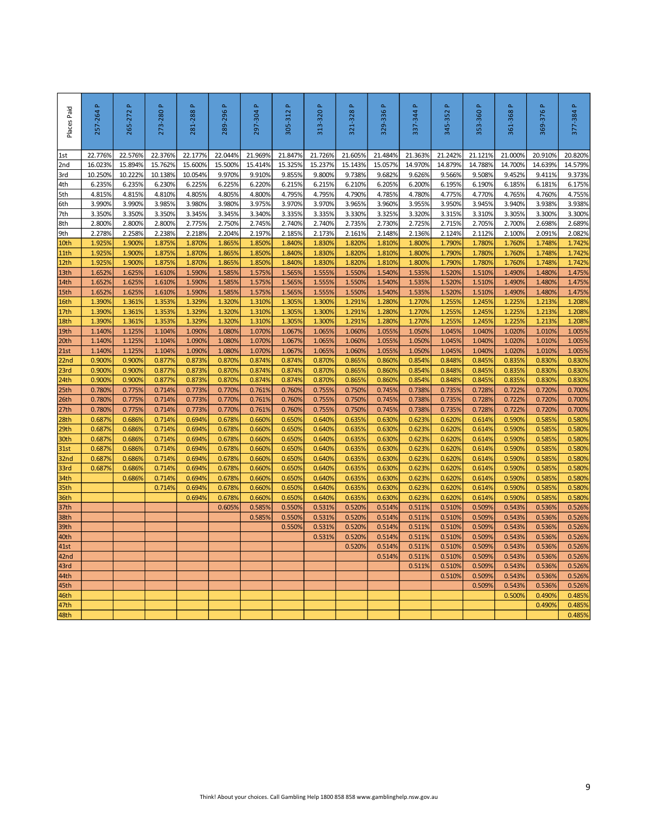| $\Delta$<br>257-264 | $\Delta$<br>265-272                                                                                                                                                                                    | 273-280P                                                                                                                                                                                     | $\Delta$<br>281-288                                                                                                                                                                          | Δ.<br>289-296                                                                                                                                                                                          | $\Delta$<br>297-304                                                                                                                                                                                             | Δ.<br>305-312                                                                                                                                                                                                             | $\Delta$<br>313-320                                                                                                                                                                                                                           | $\Delta$<br>321-328                                                                                                                                                                                                                                     | a.<br>329-336                                                                                                                                                                                                                                 | Δ.<br>337-344                                                                                                                                                                                                                       | $\Delta$<br>345-352                                                                                                                                                                                                                           | $\Delta$<br>353-360                                                                                                                                                                                                                                                         | Δ.<br>361-368                                                                                                                                                                                                                                                     | 369-376P                                                                                                                                                                                                                                                                              | 377-384 P                                                                                                                                                                                                                                                                   |
|---------------------|--------------------------------------------------------------------------------------------------------------------------------------------------------------------------------------------------------|----------------------------------------------------------------------------------------------------------------------------------------------------------------------------------------------|----------------------------------------------------------------------------------------------------------------------------------------------------------------------------------------------|--------------------------------------------------------------------------------------------------------------------------------------------------------------------------------------------------------|-----------------------------------------------------------------------------------------------------------------------------------------------------------------------------------------------------------------|---------------------------------------------------------------------------------------------------------------------------------------------------------------------------------------------------------------------------|-----------------------------------------------------------------------------------------------------------------------------------------------------------------------------------------------------------------------------------------------|---------------------------------------------------------------------------------------------------------------------------------------------------------------------------------------------------------------------------------------------------------|-----------------------------------------------------------------------------------------------------------------------------------------------------------------------------------------------------------------------------------------------|-------------------------------------------------------------------------------------------------------------------------------------------------------------------------------------------------------------------------------------|-----------------------------------------------------------------------------------------------------------------------------------------------------------------------------------------------------------------------------------------------|-----------------------------------------------------------------------------------------------------------------------------------------------------------------------------------------------------------------------------------------------------------------------------|-------------------------------------------------------------------------------------------------------------------------------------------------------------------------------------------------------------------------------------------------------------------|---------------------------------------------------------------------------------------------------------------------------------------------------------------------------------------------------------------------------------------------------------------------------------------|-----------------------------------------------------------------------------------------------------------------------------------------------------------------------------------------------------------------------------------------------------------------------------|
| 22.776%             | 22.576%                                                                                                                                                                                                | 22.376%                                                                                                                                                                                      | 22.177%                                                                                                                                                                                      | 22.044%                                                                                                                                                                                                | 21.969%                                                                                                                                                                                                         | 21.847%                                                                                                                                                                                                                   | 21.726%                                                                                                                                                                                                                                       | 21.605%                                                                                                                                                                                                                                                 | 21.484%                                                                                                                                                                                                                                       | 21.363%                                                                                                                                                                                                                             | 21.242%                                                                                                                                                                                                                                       | 21.121%                                                                                                                                                                                                                                                                     | 21.000%                                                                                                                                                                                                                                                           | 20.910%                                                                                                                                                                                                                                                                               | 20.820%                                                                                                                                                                                                                                                                     |
|                     |                                                                                                                                                                                                        |                                                                                                                                                                                              |                                                                                                                                                                                              |                                                                                                                                                                                                        |                                                                                                                                                                                                                 |                                                                                                                                                                                                                           |                                                                                                                                                                                                                                               |                                                                                                                                                                                                                                                         |                                                                                                                                                                                                                                               |                                                                                                                                                                                                                                     |                                                                                                                                                                                                                                               |                                                                                                                                                                                                                                                                             |                                                                                                                                                                                                                                                                   |                                                                                                                                                                                                                                                                                       | 14.579%                                                                                                                                                                                                                                                                     |
|                     |                                                                                                                                                                                                        |                                                                                                                                                                                              |                                                                                                                                                                                              |                                                                                                                                                                                                        |                                                                                                                                                                                                                 |                                                                                                                                                                                                                           |                                                                                                                                                                                                                                               |                                                                                                                                                                                                                                                         |                                                                                                                                                                                                                                               |                                                                                                                                                                                                                                     |                                                                                                                                                                                                                                               |                                                                                                                                                                                                                                                                             |                                                                                                                                                                                                                                                                   |                                                                                                                                                                                                                                                                                       | 9.373%                                                                                                                                                                                                                                                                      |
|                     |                                                                                                                                                                                                        |                                                                                                                                                                                              |                                                                                                                                                                                              |                                                                                                                                                                                                        |                                                                                                                                                                                                                 |                                                                                                                                                                                                                           |                                                                                                                                                                                                                                               |                                                                                                                                                                                                                                                         |                                                                                                                                                                                                                                               |                                                                                                                                                                                                                                     |                                                                                                                                                                                                                                               |                                                                                                                                                                                                                                                                             |                                                                                                                                                                                                                                                                   |                                                                                                                                                                                                                                                                                       | 6.175%<br>4.755%                                                                                                                                                                                                                                                            |
|                     |                                                                                                                                                                                                        |                                                                                                                                                                                              |                                                                                                                                                                                              |                                                                                                                                                                                                        |                                                                                                                                                                                                                 |                                                                                                                                                                                                                           |                                                                                                                                                                                                                                               |                                                                                                                                                                                                                                                         |                                                                                                                                                                                                                                               |                                                                                                                                                                                                                                     |                                                                                                                                                                                                                                               |                                                                                                                                                                                                                                                                             |                                                                                                                                                                                                                                                                   |                                                                                                                                                                                                                                                                                       | 3.938%                                                                                                                                                                                                                                                                      |
| 3.350%              | 3.350%                                                                                                                                                                                                 | 3.350%                                                                                                                                                                                       | 3.345%                                                                                                                                                                                       | 3.345%                                                                                                                                                                                                 | 3.340%                                                                                                                                                                                                          | 3.335%                                                                                                                                                                                                                    | 3.335%                                                                                                                                                                                                                                        | 3.330%                                                                                                                                                                                                                                                  | 3.325%                                                                                                                                                                                                                                        | 3.320%                                                                                                                                                                                                                              | 3.315%                                                                                                                                                                                                                                        | 3.310%                                                                                                                                                                                                                                                                      | 3.305%                                                                                                                                                                                                                                                            | 3.300%                                                                                                                                                                                                                                                                                | 3.300%                                                                                                                                                                                                                                                                      |
| 2.800%              | 2.800%                                                                                                                                                                                                 | 2.800%                                                                                                                                                                                       | 2.775%                                                                                                                                                                                       | 2.750%                                                                                                                                                                                                 | 2.745%                                                                                                                                                                                                          | 2.740%                                                                                                                                                                                                                    | 2.740%                                                                                                                                                                                                                                        | 2.735%                                                                                                                                                                                                                                                  | 2.730%                                                                                                                                                                                                                                        | 2.725%                                                                                                                                                                                                                              | 2.715%                                                                                                                                                                                                                                        | 2.705%                                                                                                                                                                                                                                                                      | 2.700%                                                                                                                                                                                                                                                            | 2.698%                                                                                                                                                                                                                                                                                | 2.689%                                                                                                                                                                                                                                                                      |
| 2.278%              | 2.258%                                                                                                                                                                                                 | 2.238%                                                                                                                                                                                       | 2.218%                                                                                                                                                                                       | 2.204%                                                                                                                                                                                                 | 2.197%                                                                                                                                                                                                          | 2.185%                                                                                                                                                                                                                    | 2.173%                                                                                                                                                                                                                                        | 2.161%                                                                                                                                                                                                                                                  | 2.148%                                                                                                                                                                                                                                        | 2.136%                                                                                                                                                                                                                              | 2.124%                                                                                                                                                                                                                                        | 2.112%                                                                                                                                                                                                                                                                      | 2.100%                                                                                                                                                                                                                                                            | 2.091%                                                                                                                                                                                                                                                                                | 2.082%                                                                                                                                                                                                                                                                      |
|                     |                                                                                                                                                                                                        |                                                                                                                                                                                              |                                                                                                                                                                                              |                                                                                                                                                                                                        |                                                                                                                                                                                                                 |                                                                                                                                                                                                                           |                                                                                                                                                                                                                                               |                                                                                                                                                                                                                                                         |                                                                                                                                                                                                                                               |                                                                                                                                                                                                                                     |                                                                                                                                                                                                                                               |                                                                                                                                                                                                                                                                             |                                                                                                                                                                                                                                                                   |                                                                                                                                                                                                                                                                                       | 1.742%                                                                                                                                                                                                                                                                      |
|                     |                                                                                                                                                                                                        |                                                                                                                                                                                              |                                                                                                                                                                                              |                                                                                                                                                                                                        |                                                                                                                                                                                                                 |                                                                                                                                                                                                                           |                                                                                                                                                                                                                                               |                                                                                                                                                                                                                                                         |                                                                                                                                                                                                                                               |                                                                                                                                                                                                                                     |                                                                                                                                                                                                                                               |                                                                                                                                                                                                                                                                             |                                                                                                                                                                                                                                                                   |                                                                                                                                                                                                                                                                                       | 1.742%                                                                                                                                                                                                                                                                      |
|                     |                                                                                                                                                                                                        |                                                                                                                                                                                              |                                                                                                                                                                                              |                                                                                                                                                                                                        |                                                                                                                                                                                                                 |                                                                                                                                                                                                                           |                                                                                                                                                                                                                                               |                                                                                                                                                                                                                                                         |                                                                                                                                                                                                                                               |                                                                                                                                                                                                                                     |                                                                                                                                                                                                                                               |                                                                                                                                                                                                                                                                             |                                                                                                                                                                                                                                                                   |                                                                                                                                                                                                                                                                                       | 1.742%<br>1.475%                                                                                                                                                                                                                                                            |
|                     |                                                                                                                                                                                                        |                                                                                                                                                                                              |                                                                                                                                                                                              |                                                                                                                                                                                                        |                                                                                                                                                                                                                 |                                                                                                                                                                                                                           |                                                                                                                                                                                                                                               |                                                                                                                                                                                                                                                         |                                                                                                                                                                                                                                               |                                                                                                                                                                                                                                     |                                                                                                                                                                                                                                               |                                                                                                                                                                                                                                                                             |                                                                                                                                                                                                                                                                   |                                                                                                                                                                                                                                                                                       | 1.475%                                                                                                                                                                                                                                                                      |
| 1.652%              | 1.625%                                                                                                                                                                                                 | 1.610%                                                                                                                                                                                       | 1.590%                                                                                                                                                                                       | 1.585%                                                                                                                                                                                                 | 1.575%                                                                                                                                                                                                          | 1.565%                                                                                                                                                                                                                    | 1.555%                                                                                                                                                                                                                                        | 1.550%                                                                                                                                                                                                                                                  | 1.540%                                                                                                                                                                                                                                        | 1.535%                                                                                                                                                                                                                              | 1.520%                                                                                                                                                                                                                                        | 1.510%                                                                                                                                                                                                                                                                      | 1.490%                                                                                                                                                                                                                                                            | 1.480%                                                                                                                                                                                                                                                                                | 1.475%                                                                                                                                                                                                                                                                      |
| 1.390%              | 1.361%                                                                                                                                                                                                 | 1.353%                                                                                                                                                                                       | 1.329%                                                                                                                                                                                       | 1.320%                                                                                                                                                                                                 | 1.310%                                                                                                                                                                                                          | 1.305%                                                                                                                                                                                                                    | 1.300%                                                                                                                                                                                                                                        | 1.291%                                                                                                                                                                                                                                                  | 1.280%                                                                                                                                                                                                                                        | 1.270%                                                                                                                                                                                                                              | 1.255%                                                                                                                                                                                                                                        | 1.245%                                                                                                                                                                                                                                                                      | 1.225%                                                                                                                                                                                                                                                            | 1.213%                                                                                                                                                                                                                                                                                | 1.208%                                                                                                                                                                                                                                                                      |
| 1.390%              | 1.361%                                                                                                                                                                                                 | 1.353%                                                                                                                                                                                       | 1.329%                                                                                                                                                                                       | 1.320%                                                                                                                                                                                                 | 1.310%                                                                                                                                                                                                          | 1.305%                                                                                                                                                                                                                    | 1.300%                                                                                                                                                                                                                                        | 1.291%                                                                                                                                                                                                                                                  | 1.280%                                                                                                                                                                                                                                        | 1.270%                                                                                                                                                                                                                              | 1.255%                                                                                                                                                                                                                                        | 1.245%                                                                                                                                                                                                                                                                      | 1.225%                                                                                                                                                                                                                                                            | 1.213%                                                                                                                                                                                                                                                                                | 1.208%                                                                                                                                                                                                                                                                      |
| 1.390%              | 1.361%                                                                                                                                                                                                 | 1.353%                                                                                                                                                                                       | 1.329%                                                                                                                                                                                       | 1.320%                                                                                                                                                                                                 | 1.310%                                                                                                                                                                                                          | 1.305%                                                                                                                                                                                                                    | 1.300%                                                                                                                                                                                                                                        | 1.291%                                                                                                                                                                                                                                                  | 1.280%                                                                                                                                                                                                                                        | 1.270%                                                                                                                                                                                                                              | 1.255%                                                                                                                                                                                                                                        | 1.245%                                                                                                                                                                                                                                                                      | 1.225%                                                                                                                                                                                                                                                            | 1.213%                                                                                                                                                                                                                                                                                | 1.208%                                                                                                                                                                                                                                                                      |
|                     |                                                                                                                                                                                                        |                                                                                                                                                                                              |                                                                                                                                                                                              |                                                                                                                                                                                                        |                                                                                                                                                                                                                 |                                                                                                                                                                                                                           |                                                                                                                                                                                                                                               |                                                                                                                                                                                                                                                         |                                                                                                                                                                                                                                               |                                                                                                                                                                                                                                     |                                                                                                                                                                                                                                               |                                                                                                                                                                                                                                                                             |                                                                                                                                                                                                                                                                   |                                                                                                                                                                                                                                                                                       | 1.005%                                                                                                                                                                                                                                                                      |
|                     |                                                                                                                                                                                                        |                                                                                                                                                                                              |                                                                                                                                                                                              |                                                                                                                                                                                                        |                                                                                                                                                                                                                 |                                                                                                                                                                                                                           |                                                                                                                                                                                                                                               |                                                                                                                                                                                                                                                         |                                                                                                                                                                                                                                               |                                                                                                                                                                                                                                     |                                                                                                                                                                                                                                               |                                                                                                                                                                                                                                                                             |                                                                                                                                                                                                                                                                   |                                                                                                                                                                                                                                                                                       | 1.005%                                                                                                                                                                                                                                                                      |
|                     |                                                                                                                                                                                                        |                                                                                                                                                                                              |                                                                                                                                                                                              |                                                                                                                                                                                                        |                                                                                                                                                                                                                 |                                                                                                                                                                                                                           |                                                                                                                                                                                                                                               |                                                                                                                                                                                                                                                         |                                                                                                                                                                                                                                               |                                                                                                                                                                                                                                     |                                                                                                                                                                                                                                               |                                                                                                                                                                                                                                                                             |                                                                                                                                                                                                                                                                   |                                                                                                                                                                                                                                                                                       | 1.005%<br>0.830%                                                                                                                                                                                                                                                            |
|                     |                                                                                                                                                                                                        |                                                                                                                                                                                              |                                                                                                                                                                                              |                                                                                                                                                                                                        |                                                                                                                                                                                                                 |                                                                                                                                                                                                                           |                                                                                                                                                                                                                                               |                                                                                                                                                                                                                                                         |                                                                                                                                                                                                                                               |                                                                                                                                                                                                                                     |                                                                                                                                                                                                                                               |                                                                                                                                                                                                                                                                             |                                                                                                                                                                                                                                                                   |                                                                                                                                                                                                                                                                                       | 0.830%                                                                                                                                                                                                                                                                      |
| 0.900%              | 0.900%                                                                                                                                                                                                 | 0.877%                                                                                                                                                                                       | 0.873%                                                                                                                                                                                       | 0.870%                                                                                                                                                                                                 | 0.874%                                                                                                                                                                                                          | 0.874%                                                                                                                                                                                                                    | 0.870%                                                                                                                                                                                                                                        | 0.865%                                                                                                                                                                                                                                                  | 0.860%                                                                                                                                                                                                                                        | 0.854%                                                                                                                                                                                                                              | 0.848%                                                                                                                                                                                                                                        | 0.845%                                                                                                                                                                                                                                                                      | 0.835%                                                                                                                                                                                                                                                            | 0.830%                                                                                                                                                                                                                                                                                | 0.830%                                                                                                                                                                                                                                                                      |
| 0.780%              | 0.775%                                                                                                                                                                                                 | 0.714%                                                                                                                                                                                       | 0.773%                                                                                                                                                                                       | 0.770%                                                                                                                                                                                                 | 0.761%                                                                                                                                                                                                          | 0.760%                                                                                                                                                                                                                    | 0.755%                                                                                                                                                                                                                                        | 0.750%                                                                                                                                                                                                                                                  | 0.745%                                                                                                                                                                                                                                        | 0.738%                                                                                                                                                                                                                              | 0.735%                                                                                                                                                                                                                                        | 0.728%                                                                                                                                                                                                                                                                      | 0.722%                                                                                                                                                                                                                                                            | 0.720%                                                                                                                                                                                                                                                                                | 0.700%                                                                                                                                                                                                                                                                      |
| 0.780%              | 0.775%                                                                                                                                                                                                 | 0.714%                                                                                                                                                                                       | 0.773%                                                                                                                                                                                       | 0.770%                                                                                                                                                                                                 | 0.761%                                                                                                                                                                                                          | 0.760%                                                                                                                                                                                                                    | 0.755%                                                                                                                                                                                                                                        | 0.750%                                                                                                                                                                                                                                                  | 0.745%                                                                                                                                                                                                                                        | 0.738%                                                                                                                                                                                                                              | 0.735%                                                                                                                                                                                                                                        | 0.728%                                                                                                                                                                                                                                                                      | 0.722%                                                                                                                                                                                                                                                            | 0.720%                                                                                                                                                                                                                                                                                | 0.700%                                                                                                                                                                                                                                                                      |
| 0.780%              | 0.775%                                                                                                                                                                                                 | 0.714%                                                                                                                                                                                       | 0.773%                                                                                                                                                                                       | 0.770%                                                                                                                                                                                                 | 0.761%                                                                                                                                                                                                          | 0.760%                                                                                                                                                                                                                    |                                                                                                                                                                                                                                               | 0.750%                                                                                                                                                                                                                                                  | 0.745%                                                                                                                                                                                                                                        | 0.738%                                                                                                                                                                                                                              |                                                                                                                                                                                                                                               | 0.728%                                                                                                                                                                                                                                                                      | 0.722%                                                                                                                                                                                                                                                            | 0.720%                                                                                                                                                                                                                                                                                | 0.700%                                                                                                                                                                                                                                                                      |
|                     |                                                                                                                                                                                                        |                                                                                                                                                                                              |                                                                                                                                                                                              |                                                                                                                                                                                                        |                                                                                                                                                                                                                 |                                                                                                                                                                                                                           |                                                                                                                                                                                                                                               |                                                                                                                                                                                                                                                         |                                                                                                                                                                                                                                               |                                                                                                                                                                                                                                     |                                                                                                                                                                                                                                               |                                                                                                                                                                                                                                                                             |                                                                                                                                                                                                                                                                   |                                                                                                                                                                                                                                                                                       | 0.580%                                                                                                                                                                                                                                                                      |
|                     |                                                                                                                                                                                                        |                                                                                                                                                                                              |                                                                                                                                                                                              |                                                                                                                                                                                                        |                                                                                                                                                                                                                 |                                                                                                                                                                                                                           |                                                                                                                                                                                                                                               |                                                                                                                                                                                                                                                         |                                                                                                                                                                                                                                               |                                                                                                                                                                                                                                     |                                                                                                                                                                                                                                               |                                                                                                                                                                                                                                                                             |                                                                                                                                                                                                                                                                   |                                                                                                                                                                                                                                                                                       | 0.580%<br>0.580%                                                                                                                                                                                                                                                            |
|                     |                                                                                                                                                                                                        |                                                                                                                                                                                              |                                                                                                                                                                                              |                                                                                                                                                                                                        |                                                                                                                                                                                                                 |                                                                                                                                                                                                                           |                                                                                                                                                                                                                                               |                                                                                                                                                                                                                                                         |                                                                                                                                                                                                                                               |                                                                                                                                                                                                                                     |                                                                                                                                                                                                                                               |                                                                                                                                                                                                                                                                             |                                                                                                                                                                                                                                                                   |                                                                                                                                                                                                                                                                                       | 0.580%                                                                                                                                                                                                                                                                      |
|                     | 0.686%                                                                                                                                                                                                 | 0.714%                                                                                                                                                                                       | 0.694%                                                                                                                                                                                       | 0.678%                                                                                                                                                                                                 | 0.660%                                                                                                                                                                                                          |                                                                                                                                                                                                                           |                                                                                                                                                                                                                                               |                                                                                                                                                                                                                                                         | 0.630%                                                                                                                                                                                                                                        | 0.623%                                                                                                                                                                                                                              |                                                                                                                                                                                                                                               | 0.614%                                                                                                                                                                                                                                                                      |                                                                                                                                                                                                                                                                   | 0.585%                                                                                                                                                                                                                                                                                | 0.580%                                                                                                                                                                                                                                                                      |
| 0.687%              | 0.6869                                                                                                                                                                                                 | 0.714%                                                                                                                                                                                       | 0.694%                                                                                                                                                                                       | 0.678%                                                                                                                                                                                                 | 0.660%                                                                                                                                                                                                          | 0.650%                                                                                                                                                                                                                    | 0.640%                                                                                                                                                                                                                                        | 0.635%                                                                                                                                                                                                                                                  | 0.630%                                                                                                                                                                                                                                        | 0.623%                                                                                                                                                                                                                              | 0.6209                                                                                                                                                                                                                                        | 0.614%                                                                                                                                                                                                                                                                      | 0.590%                                                                                                                                                                                                                                                            | 0.585%                                                                                                                                                                                                                                                                                | 0.580%                                                                                                                                                                                                                                                                      |
|                     | 0.686%                                                                                                                                                                                                 | 0.714%                                                                                                                                                                                       | 0.694%                                                                                                                                                                                       | 0.678%                                                                                                                                                                                                 | 0.660%                                                                                                                                                                                                          | 0.650%                                                                                                                                                                                                                    | 0.640%                                                                                                                                                                                                                                        | 0.635%                                                                                                                                                                                                                                                  | 0.630%                                                                                                                                                                                                                                        | 0.623%                                                                                                                                                                                                                              | 0.620%                                                                                                                                                                                                                                        | 0.614%                                                                                                                                                                                                                                                                      | 0.590%                                                                                                                                                                                                                                                            | 0.585%                                                                                                                                                                                                                                                                                | 0.580%                                                                                                                                                                                                                                                                      |
|                     |                                                                                                                                                                                                        | 0.714%                                                                                                                                                                                       | 0.694%                                                                                                                                                                                       | 0.678%                                                                                                                                                                                                 | 0.660%                                                                                                                                                                                                          | 0.650%                                                                                                                                                                                                                    | 0.640%                                                                                                                                                                                                                                        | 0.635%                                                                                                                                                                                                                                                  | 0.630%                                                                                                                                                                                                                                        | 0.623%                                                                                                                                                                                                                              | 0.620%                                                                                                                                                                                                                                        | 0.614%                                                                                                                                                                                                                                                                      | 0.590%                                                                                                                                                                                                                                                            | 0.585%                                                                                                                                                                                                                                                                                | 0.580%                                                                                                                                                                                                                                                                      |
|                     |                                                                                                                                                                                                        |                                                                                                                                                                                              |                                                                                                                                                                                              |                                                                                                                                                                                                        |                                                                                                                                                                                                                 |                                                                                                                                                                                                                           |                                                                                                                                                                                                                                               |                                                                                                                                                                                                                                                         |                                                                                                                                                                                                                                               |                                                                                                                                                                                                                                     |                                                                                                                                                                                                                                               |                                                                                                                                                                                                                                                                             |                                                                                                                                                                                                                                                                   |                                                                                                                                                                                                                                                                                       | 0.580%                                                                                                                                                                                                                                                                      |
|                     |                                                                                                                                                                                                        |                                                                                                                                                                                              |                                                                                                                                                                                              |                                                                                                                                                                                                        |                                                                                                                                                                                                                 |                                                                                                                                                                                                                           |                                                                                                                                                                                                                                               |                                                                                                                                                                                                                                                         |                                                                                                                                                                                                                                               |                                                                                                                                                                                                                                     |                                                                                                                                                                                                                                               |                                                                                                                                                                                                                                                                             |                                                                                                                                                                                                                                                                   |                                                                                                                                                                                                                                                                                       | 0.526%<br>0.526%                                                                                                                                                                                                                                                            |
|                     |                                                                                                                                                                                                        |                                                                                                                                                                                              |                                                                                                                                                                                              |                                                                                                                                                                                                        |                                                                                                                                                                                                                 |                                                                                                                                                                                                                           |                                                                                                                                                                                                                                               |                                                                                                                                                                                                                                                         |                                                                                                                                                                                                                                               |                                                                                                                                                                                                                                     |                                                                                                                                                                                                                                               |                                                                                                                                                                                                                                                                             |                                                                                                                                                                                                                                                                   |                                                                                                                                                                                                                                                                                       | 0.526%                                                                                                                                                                                                                                                                      |
|                     |                                                                                                                                                                                                        |                                                                                                                                                                                              |                                                                                                                                                                                              |                                                                                                                                                                                                        |                                                                                                                                                                                                                 |                                                                                                                                                                                                                           | 0.531%                                                                                                                                                                                                                                        | 0.520%                                                                                                                                                                                                                                                  | 0.514%                                                                                                                                                                                                                                        | 0.511%                                                                                                                                                                                                                              | 0.510%                                                                                                                                                                                                                                        | 0.509%                                                                                                                                                                                                                                                                      | 0.543%                                                                                                                                                                                                                                                            | 0.536%                                                                                                                                                                                                                                                                                | 0.526%                                                                                                                                                                                                                                                                      |
|                     |                                                                                                                                                                                                        |                                                                                                                                                                                              |                                                                                                                                                                                              |                                                                                                                                                                                                        |                                                                                                                                                                                                                 |                                                                                                                                                                                                                           |                                                                                                                                                                                                                                               | 0.520%                                                                                                                                                                                                                                                  | 0.514%                                                                                                                                                                                                                                        | 0.511%                                                                                                                                                                                                                              | 0.510%                                                                                                                                                                                                                                        | 0.509%                                                                                                                                                                                                                                                                      | 0.543%                                                                                                                                                                                                                                                            | 0.536%                                                                                                                                                                                                                                                                                | 0.526%                                                                                                                                                                                                                                                                      |
|                     |                                                                                                                                                                                                        |                                                                                                                                                                                              |                                                                                                                                                                                              |                                                                                                                                                                                                        |                                                                                                                                                                                                                 |                                                                                                                                                                                                                           |                                                                                                                                                                                                                                               |                                                                                                                                                                                                                                                         | 0.514%                                                                                                                                                                                                                                        | 0.511%                                                                                                                                                                                                                              | 0.510%                                                                                                                                                                                                                                        | 0.509%                                                                                                                                                                                                                                                                      | 0.543%                                                                                                                                                                                                                                                            | 0.536%                                                                                                                                                                                                                                                                                | 0.526%                                                                                                                                                                                                                                                                      |
|                     |                                                                                                                                                                                                        |                                                                                                                                                                                              |                                                                                                                                                                                              |                                                                                                                                                                                                        |                                                                                                                                                                                                                 |                                                                                                                                                                                                                           |                                                                                                                                                                                                                                               |                                                                                                                                                                                                                                                         |                                                                                                                                                                                                                                               |                                                                                                                                                                                                                                     |                                                                                                                                                                                                                                               |                                                                                                                                                                                                                                                                             |                                                                                                                                                                                                                                                                   |                                                                                                                                                                                                                                                                                       | 0.526%                                                                                                                                                                                                                                                                      |
|                     |                                                                                                                                                                                                        |                                                                                                                                                                                              |                                                                                                                                                                                              |                                                                                                                                                                                                        |                                                                                                                                                                                                                 |                                                                                                                                                                                                                           |                                                                                                                                                                                                                                               |                                                                                                                                                                                                                                                         |                                                                                                                                                                                                                                               |                                                                                                                                                                                                                                     |                                                                                                                                                                                                                                               |                                                                                                                                                                                                                                                                             |                                                                                                                                                                                                                                                                   |                                                                                                                                                                                                                                                                                       | 0.526%<br>0.526%                                                                                                                                                                                                                                                            |
|                     |                                                                                                                                                                                                        |                                                                                                                                                                                              |                                                                                                                                                                                              |                                                                                                                                                                                                        |                                                                                                                                                                                                                 |                                                                                                                                                                                                                           |                                                                                                                                                                                                                                               |                                                                                                                                                                                                                                                         |                                                                                                                                                                                                                                               |                                                                                                                                                                                                                                     |                                                                                                                                                                                                                                               |                                                                                                                                                                                                                                                                             |                                                                                                                                                                                                                                                                   |                                                                                                                                                                                                                                                                                       | 0.485%                                                                                                                                                                                                                                                                      |
|                     |                                                                                                                                                                                                        |                                                                                                                                                                                              |                                                                                                                                                                                              |                                                                                                                                                                                                        |                                                                                                                                                                                                                 |                                                                                                                                                                                                                           |                                                                                                                                                                                                                                               |                                                                                                                                                                                                                                                         |                                                                                                                                                                                                                                               |                                                                                                                                                                                                                                     |                                                                                                                                                                                                                                               |                                                                                                                                                                                                                                                                             |                                                                                                                                                                                                                                                                   | 0.490%                                                                                                                                                                                                                                                                                | 0.485%                                                                                                                                                                                                                                                                      |
|                     |                                                                                                                                                                                                        |                                                                                                                                                                                              |                                                                                                                                                                                              |                                                                                                                                                                                                        |                                                                                                                                                                                                                 |                                                                                                                                                                                                                           |                                                                                                                                                                                                                                               |                                                                                                                                                                                                                                                         |                                                                                                                                                                                                                                               |                                                                                                                                                                                                                                     |                                                                                                                                                                                                                                               |                                                                                                                                                                                                                                                                             |                                                                                                                                                                                                                                                                   |                                                                                                                                                                                                                                                                                       | 0.485%                                                                                                                                                                                                                                                                      |
|                     |                                                                                                                                                                                                        |                                                                                                                                                                                              |                                                                                                                                                                                              |                                                                                                                                                                                                        |                                                                                                                                                                                                                 |                                                                                                                                                                                                                           |                                                                                                                                                                                                                                               |                                                                                                                                                                                                                                                         |                                                                                                                                                                                                                                               |                                                                                                                                                                                                                                     |                                                                                                                                                                                                                                               |                                                                                                                                                                                                                                                                             |                                                                                                                                                                                                                                                                   |                                                                                                                                                                                                                                                                                       | 9                                                                                                                                                                                                                                                                           |
|                     | 16.023%<br>10.250%<br>6.235%<br>4.815%<br>3.990%<br>1.925%<br>1.925%<br>1.925%<br>1.652%<br>1.652%<br>1.140%<br>1.140%<br>1.140%<br>0.900%<br>0.900%<br>0.687%<br>0.687%<br>0.687%<br>0.687%<br>0.6879 | 15.894%<br>10.222%<br>6.235%<br>4.815%<br>3.990%<br>1.900%<br>1.900%<br>1.900%<br>1.625%<br>1.625%<br>1.125%<br>1.125%<br>1.125%<br>0.900%<br>0.900%<br>0.686%<br>0.686%<br>0.686%<br>0.686% | 15.762%<br>10.138%<br>6.230%<br>4.810%<br>3.985%<br>1.875%<br>1.875%<br>1.875%<br>1.610%<br>1.610%<br>1.104%<br>1.104%<br>1.104%<br>0.877%<br>0.877%<br>0.714%<br>0.714%<br>0.714%<br>0.714% | 15.600%<br>10.054%<br>6.225%<br>4.805%<br>3.980%<br>1.870%<br>1.870%<br>1.870%<br>1.590%<br>1.590%<br>1.090%<br>1.090%<br>1.090%<br>0.873%<br>0.873%<br>0.694%<br>0.694%<br>0.694%<br>0.694%<br>0.694% | 15.500%<br>9.970%<br>6.225%<br>4.805%<br>3.980%<br>1.865%<br>1.865%<br>1.865%<br>1.585%<br>1.585%<br>1.080%<br>1.080%<br>1.080%<br>0.870%<br>0.870%<br>0.678%<br>0.678%<br>0.678%<br>0.678%<br>0.678%<br>0.605% | 15.414%<br>9.910%<br>6.220%<br>4.800%<br>3.975%<br>1.850%<br>1.850%<br>1.850%<br>1.575%<br>1.575%<br>1.070%<br>1.070%<br>1.070%<br>0.874%<br>0.874%<br>0.660%<br>0.660%<br>0.660%<br>0.660%<br>0.660%<br>0.585%<br>0.585% | 15.325%<br>9.855%<br>6.215%<br>4.795%<br>3.970%<br>1.840%<br>1.840%<br>1.840%<br>1.565%<br>1.565%<br>1.067%<br>1.067%<br>1.067%<br>0.874%<br>0.874%<br>0.650%<br>0.650%<br>0.650%<br>0.650%<br>0.650%<br>0.650%<br>0.550%<br>0.550%<br>0.550% | 15.237%<br>9.800%<br>6.215%<br>4.795%<br>3.970%<br>1.830%<br>1.830%<br>1.830%<br>1.555%<br>1.555%<br>1.065%<br>1.065%<br>1.065%<br>0.870%<br>0.870%<br>0.755%<br>0.640%<br>0.640%<br>0.640%<br>0.640%<br>0.640%<br>0.640%<br>0.531%<br>0.531%<br>0.531% | 15.143%<br>9.738%<br>6.210%<br>4.790%<br>3.965%<br>1.820%<br>1.820%<br>1.820%<br>1.550%<br>1.550%<br>1.060%<br>1.060%<br>1.060%<br>0.865%<br>0.865%<br>0.635%<br>0.635%<br>0.635%<br>0.635%<br>0.635%<br>0.635%<br>0.520%<br>0.520%<br>0.520% | 15.057%<br>9.682%<br>6.205%<br>4.785%<br>3.960%<br>1.810%<br>1.810%<br>1.810%<br>1.540%<br>1.540%<br>1.055%<br>1.055%<br>1.055%<br>0.860%<br>0.860%<br>0.630%<br>0.630%<br>0.630%<br>0.630%<br>0.630%<br>0.514%<br>0.514%<br>0.514% | 14.970%<br>9.626%<br>6.200%<br>4.780%<br>3.955%<br>1.800%<br>1.800%<br>1.800%<br>1.535%<br>1.535%<br>1.050%<br>1.050%<br>1.050%<br>0.854%<br>0.854%<br>0.623%<br>0.623%<br>0.623%<br>0.623%<br>0.623%<br>0.511%<br>0.511%<br>0.511%<br>0.511% | 14.879%<br>9.566%<br>6.195%<br>4.775%<br>3.950%<br>1.790%<br>1.790%<br>1.790%<br>1.520%<br>1.520%<br>1.045%<br>1.045%<br>1.045%<br>0.8489<br>0.848%<br>0.735%<br>0.620%<br>0.620%<br>0.620%<br>0.6209<br>0.6209<br>0.620%<br>0.510%<br>0.510%<br>0.510%<br>0.510%<br>0.510% | 14.788%<br>9.508%<br>6.190%<br>4.770%<br>3.945%<br>1.780%<br>1.780%<br>1.780%<br>1.510%<br>1.510%<br>1.040%<br>1.040%<br>1.040%<br>0.845%<br>0.845%<br>0.614%<br>0.614%<br>0.614%<br>0.614%<br>0.614%<br>0.509%<br>0.509%<br>0.509%<br>0.509%<br>0.509%<br>0.509% | 14.700%<br>9.452%<br>6.185%<br>4.765%<br>3.940%<br>1.760%<br>1.760%<br>1.760%<br>1.490%<br>1.490%<br>1.020%<br>1.020%<br>1.020%<br>0.835%<br>0.835%<br>0.590%<br>0.590%<br>0.590%<br>0.590%<br>0.590%<br>0.590%<br>0.543%<br>0.543%<br>0.543%<br>0.543%<br>0.543%<br>0.543%<br>0.500% | 14.639%<br>9.411%<br>6.181%<br>4.760%<br>3.938%<br>1.748%<br>1.748%<br>1.748%<br>1.480%<br>1.480%<br>1.010%<br>1.010%<br>1.010%<br>0.830%<br>0.830%<br>0.585%<br>0.585%<br>0.585%<br>0.585%<br>0.585%<br>0.536%<br>0.536%<br>0.536%<br>0.536%<br>0.536%<br>0.536%<br>0.490% |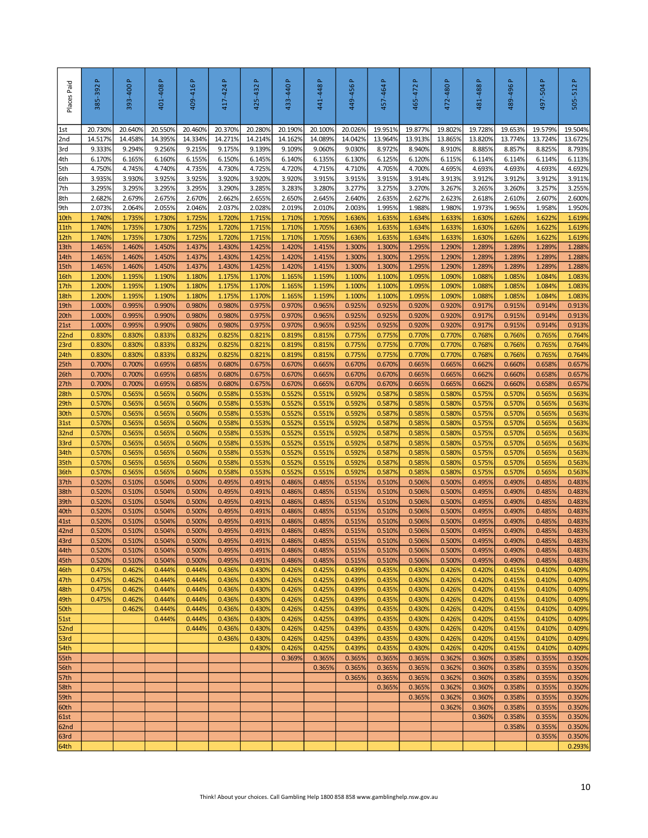| Places Paid  | $\Delta$<br>385-392 | 393-400 P         | 401-408P          | 409-416P          | $\Delta$<br>417-424 | $\mathbf{r}$<br>425-432 | 433-440 P         | 441-448 P                                                                              | 449-456 P         | 457-464 P         | $\Delta$<br>465-472 | 472-480 P         | 481-488P          | 489-496P          | 497-504P          | 505-512P          |
|--------------|---------------------|-------------------|-------------------|-------------------|---------------------|-------------------------|-------------------|----------------------------------------------------------------------------------------|-------------------|-------------------|---------------------|-------------------|-------------------|-------------------|-------------------|-------------------|
| $1st$        | 20.730%             | 20.640%           | 20.550%           | 20.460%           | 20.370%             | 20.280%                 | 20.190%           | 20.100%                                                                                | 20.026%           | 19.951%           | 19.877%             | 19.8029           | 19.728%           | 19.653%           | 19.579%           | 19.504%           |
| 2nd<br>3rd   | 14.517%<br>9.333%   | 14.458%<br>9.294% | 14.395%<br>9.256% | 14.334%<br>9.215% | 14.271%<br>9.175%   | 14.214%<br>9.139%       | 14.162%<br>9.109% | 14.089%<br>9.060%                                                                      | 14.042%<br>9.030% | 13.964%<br>8.972% | 13.913%<br>8.940%   | 13.8659<br>8.910% | 13.820%<br>8.885% | 13.774%<br>8.857% | 13.724%<br>8.825% | 13.672%<br>8.793% |
| 4th          | 6.170%              | 6.165%            | 6.160%            | 6.155%            | 6.150%              | 6.145%                  | 6.140%            | 6.135%                                                                                 | 6.130%            | 6.125%            | 6.120%              | 6.115%            | 6.114%            | 6.114%            | 6.114%            | 6.113%            |
| 5th          | 4.750%              | 4.745%            | 4.740%            | 4.735%            | 4.730%              | 4.725%                  | 4.720%            | 4.715%                                                                                 | 4.710%            | 4.705%            | 4.700%              | 4.695%            | 4.693%            | 4.693%            | 4.693%            | 4.692%            |
| 6th          | 3.935%              | 3.930%            | 3.925%            | 3.925%            | 3.920%              | 3.920%                  | 3.920%            | 3.915%                                                                                 | 3.915%            | 3.915%            | 3.914%              | 3.913%            | 3.912%            | 3.912%            | 3.912%            | 3.911%            |
| 7th          | 3.295%              | 3.295%            | 3.295%            | 3.295%            | 3.290%              | 3.285%                  | 3.283%            | 3.280%                                                                                 | 3.277%            | 3.275%            | 3.270%              | 3.267%            | 3.265%            | 3.260%            | 3.257%            | 3.255%            |
| 8th          | 2.682%              | 2.679%            | 2.675%            | 2.670%            | 2.662%              | 2.655%                  | 2.650%            | 2.645%                                                                                 | 2.640%            | 2.635%            | 2.627%              | 2.623%            | 2.618%            | 2.610%            | 2.607%            | 2.600%            |
| 9th<br>10th  | 2.073%<br>1.740%    | 2.064%<br>1.735%  | 2.055%<br>1.730%  | 2.046%<br>1.725%  | 2.037%<br>1.720%    | 2.028%<br>1.715%        | 2.019%<br>1.710%  | 2.010%<br>1.705%                                                                       | 2.003%<br>1.636%  | 1.995%<br>1.635%  | 1.988%<br>1.634%    | 1.980%<br>1.633%  | 1.973%<br>1.630%  | 1.965%<br>1.626%  | 1.958%<br>1.622%  | 1.950%<br>1.619%  |
| 11th         | 1.740%              | 1.735%            | 1.730%            | 1.725%            | 1.720%              | 1.715%                  | 1.710%            | 1.705%                                                                                 | 1.636%            | 1.635%            | 1.634%              | 1.633%            | 1.630%            | 1.626%            | 1.622%            | 1.619%            |
| 12th         | 1.740%              | 1.735%            | 1.730%            | 1.725%            | 1.720%              | 1.715%                  | 1.710%            | 1.705%                                                                                 | 1.636%            | 1.635%            | 1.634%              | 1.6339            | 1.630%            | 1.626%            | 1.622%            | 1.619%            |
| 13th         | 1.4659              | 1.460%            | 1.450%            | 1.437%            | 1.430%              | 1.425%                  | 1.420%            | 1.415%                                                                                 | 1.300%            | 1.300%            | 1.295%              | 1.290%            | 1.289%            | 1.2899            | 1.289%            | 1.288%            |
| 14th         | 1.465%              | 1.460%            | 1.450%            | 1.437%            | 1.430%              | 1.425%                  | 1.420%            | 1.415%                                                                                 | 1.300%            | 1.300%            | 1.295%              | 1.290%            | 1.289%            | 1.289%            | 1.289%            | 1.288%            |
| 15th         | 1.465%              | 1.460%            | 1.450%            | 1.437%            | 1.430%              | 1.425%                  | 1.420%            | 1.415%                                                                                 | 1.300%            | 1.300%            | 1.295%              | 1.290%            | 1.289%            | 1.289%            | 1.289%            | 1.288%            |
| 16th         | 1.200%              | 1.195%            | 1.190%            | 1.180%            | 1.175%              | 1.170%                  | 1.165%            | 1.159%<br>1.159%                                                                       | 1.100%            | 1.100%            | 1.095%              | 1.090%            | 1.088%            | 1.0859            | 1.084%            | 1.083%            |
| 17th<br>18th | 1.200%<br>1.200%    | 1.195%<br>1.195%  | 1.190%<br>1.190%  | 1.180%<br>1.180%  | 1.175%<br>1.175%    | 1.170%<br>1.170%        | 1.165%<br>1.165%  | 1.159%                                                                                 | 1.100%<br>1.100%  | 1.100%<br>1.100%  | 1.095%<br>1.095%    | 1.090%<br>1.090%  | 1.088%<br>1.088%  | 1.085%<br>1.085%  | 1.084%<br>1.084%  | 1.083%<br>1.083%  |
| 19th         | 1.000%              | 0.995%            | 0.990%            | 0.980%            | 0.980%              | 0.975%                  | 0.970%            | 0.965%                                                                                 | 0.925%            | 0.925%            | 0.920%              | 0.920%            | 0.917%            | 0.915%            | 0.914%            | 0.913%            |
| 20th         | 1.000%              | 0.995%            | 0.990%            | 0.980%            | 0.980%              | 0.975%                  | 0.970%            | 0.965%                                                                                 | 0.925%            | 0.925%            | 0.920%              | 0.920%            | 0.917%            | 0.915%            | 0.914%            | 0.913%            |
| 21st         | 1.000%              | 0.995%            | 0.990%            | 0.980%            | 0.980%              | 0.975%                  | 0.970%            | 0.965%                                                                                 | 0.925%            | 0.925%            | 0.920%              | 0.920%            | 0.917%            | 0.915%            | 0.914%            | 0.913%            |
| 22nd         | 0.830%              | 0.830%            | 0.833%            | 0.832%            | 0.825%              | 0.821%                  | 0.819%            | 0.815%                                                                                 | 0.775%            | 0.775%            | 0.770%              | 0.770%            | 0.768%            | 0.766%            | 0.765%            | 0.764%            |
| 23rd<br>24th | 0.830%<br>0.830%    | 0.830%<br>0.830%  | 0.833%<br>0.833%  | 0.832%<br>0.832%  | 0.825%<br>0.825%    | 0.821%<br>0.821%        | 0.819%<br>0.819%  | 0.815%<br>0.815%                                                                       | 0.775%<br>0.775%  | 0.775%<br>0.775%  | 0.770%<br>0.770%    | 0.770%<br>0.770%  | 0.768%<br>0.768%  | 0.766%<br>0.766%  | 0.765%<br>0.765%  | 0.764%<br>0.764%  |
| 25th         | 0.700%              | 0.700%            | 0.695%            | 0.685%            | 0.680%              | 0.675%                  | 0.670%            | 0.665%                                                                                 | 0.670%            | 0.670%            | 0.665%              | 0.665%            | 0.662%            | 0.660%            | 0.658%            | 0.657%            |
| 26th         | 0.700%              | 0.700%            | 0.695%            | 0.685%            | 0.680%              | 0.675%                  | 0.670%            | 0.665%                                                                                 | 0.670%            | 0.670%            | 0.665%              | 0.665%            | 0.662%            | 0.660%            | 0.658%            | 0.657%            |
| 27th         | 0.700%              | 0.700%            | 0.695%            | 0.685%            | 0.680%              | 0.675%                  | 0.670%            | 0.665%                                                                                 | 0.670%            | 0.670%            | 0.665%              | 0.665%            | 0.662%            | 0.660%            | 0.658%            | 0.657%            |
| 28th         | 0.570%              | 0.565%            | 0.565%            | 0.560%            | 0.558%              | 0.553%                  | 0.552%            | 0.551%                                                                                 | 0.592%            | 0.587%            | 0.585%              | 0.5809            | 0.575%            | 0.570%            | 0.565%            | 0.563%            |
| 29th         | 0.570%              | 0.565%            | 0.565%            | 0.560%            | 0.558%              | 0.553%                  | 0.552%            | 0.551%                                                                                 | 0.592%            | 0.587%            | 0.585%              | 0.580%            | 0.575%            | 0.570%            | 0.565%            | 0.563%            |
| 30th<br>31st | 0.570%<br>0.570%    | 0.565%<br>0.565%  | 0.565%<br>0.565%  | 0.560%<br>0.560%  | 0.558%<br>0.558%    | 0.553%<br>0.553%        | 0.552%<br>0.552%  | 0.551%<br>0.551%                                                                       | 0.592%<br>0.592%  | 0.587%<br>0.587%  | 0.585%<br>0.585%    | 0.5809<br>0.580%  | 0.575%<br>0.575%  | 0.570%<br>0.570%  | 0.565%<br>0.565%  | 0.563%<br>0.563%  |
| 32nd         | 0.570%              | 0.565%            | 0.565%            | 0.560%            | 0.558%              | 0.553%                  | 0.552%            | 0.551%                                                                                 | 0.592%            | 0.587%            | 0.585%              | 0.580%            | 0.575%            | 0.570%            | 0.565%            | 0.563%            |
| 33rd         | 0.570%              | 0.565%            | 0.565%            | 0.560%            | 0.558%              | 0.553%                  | 0.552%            | 0.551%                                                                                 | 0.592%            | 0.587%            | 0.585%              | 0.580%            | 0.575%            | 0.570%            | 0.565%            | 0.563%            |
| 34th         | 0.570%              | 0.565%            | 0.565%            | 0.560%            | 0.558%              | 0.553%                  | 0.552%            | 0.551%                                                                                 | 0.592%            | 0.587%            | 0.585%              | 0.580%            | 0.575%            | 0.570%            | 0.565%            | 0.563%            |
| 35th         | 0.570%              | 0.565%            | 0.565%            | 0.560%            | 0.558%              | 0.553%                  | 0.552%            | 0.551%                                                                                 | 0.592%            | 0.587%            | 0.585%              | 0.580%            | 0.575%            | 0.570%            | 0.565%            | 0.563%            |
| 36th<br>37th | 0.570%<br>0.520%    | 0.565%<br>0.510%  | 0.565%<br>0.504%  | 0.560%<br>0.500%  | 0.558%<br>0.495%    | 0.553%<br>0.491%        | 0.552%<br>0.486%  | 0.551%<br>0.485%                                                                       | 0.592%<br>0.515%  | 0.587%<br>0.510%  | 0.585%<br>0.506%    | 0.580%<br>0.500%  | 0.575%<br>0.495%  | 0.570%<br>0.490%  | 0.565%<br>0.485%  | 0.563%<br>0.483%  |
| 38th         | 0.520%              | 0.510%            | 0.504%            | 0.500%            | 0.495%              | 0.491%                  | 0.486%            | 0.485%                                                                                 | 0.515%            | 0.510%            | 0.506%              | 0.500%            | 0.495%            | 0.490%            | 0.485%            | 0.483%            |
| 39th         | 0.520%              | 0.510%            | 0.504%            | 0.500%            | 0.495%              | 0.491%                  | 0.486%            | 0.485%                                                                                 | 0.515%            | 0.510%            | 0.506%              | 0.500%            | 0.495%            | 0.490%            | 0.485%            | 0.483%            |
| 40th         | 0.520%              | 0.510%            | 0.504%            | 0.500%            | 0.495%              | 0.491%                  | 0.486%            | 0.485%                                                                                 | 0.515%            | 0.510%            | 0.506%              | 0.500%            | 0.495%            | 0.490%            | 0.485%            | 0.483%            |
| 41st         | 0.520%              | 0.510%            | 0.504%            | 0.500%            | 0.495%              | 0.491%                  | 0.486%            | 0.485%                                                                                 | 0.515%            | 0.510%            | 0.506%              | 0.500%            | 0.495%            | 0.490%            | 0.485%            | 0.483%            |
| 42nd<br>43rd | 0.520%<br>0.520%    | 0.510%<br>0.510%  | 0.504%<br>0.504%  | 0.500%<br>0.500%  | 0.495%<br>0.495%    | 0.491%<br>0.491%        | 0.486%<br>0.486%  | 0.485%<br>0.485%                                                                       | 0.515%<br>0.515%  | 0.510%<br>0.510%  | 0.506%<br>0.506%    | 0.500%<br>0.500%  | 0.495%<br>0.495%  | 0.490%<br>0.490%  | 0.485%<br>0.485%  | 0.483%<br>0.483%  |
| 44th         | 0.520%              | 0.510%            | 0.504%            | 0.500%            | 0.495%              | 0.491%                  | 0.486%            | 0.485%                                                                                 | 0.515%            | 0.510%            | 0.506%              | 0.500%            | 0.495%            | 0.490%            | 0.485%            | 0.483%            |
| 45th         | 0.520%              | 0.510%            | 0.504%            | 0.500%            | 0.495%              | 0.491%                  | 0.486%            | 0.485%                                                                                 | 0.515%            | 0.510%            | 0.506%              | 0.500%            | 0.495%            | 0.490%            | 0.485%            | 0.483%            |
| 46th         | 0.475%              | 0.462%            | 0.444%            | 0.444%            | 0.436%              | 0.430%                  | 0.426%            | 0.425%                                                                                 | 0.439%            | 0.435%            | 0.430%              | 0.426%            | 0.420%            | 0.415%            | 0.410%            | 0.409%            |
| 47th         | 0.475%              | 0.462%            | 0.444%            | 0.444%            | 0.436%              | 0.430%                  | 0.426%            | 0.425%                                                                                 | 0.439%            | 0.435%            | 0.430%              | 0.426%            | 0.420%            | 0.415%            | 0.410%            | 0.409%            |
| 48th         | 0.475%              | 0.462%            | 0.444%            | 0.444%            | 0.436%              | 0.430%                  | 0.426%            | 0.425%                                                                                 | 0.439%            | 0.435%            | 0.430%              | 0.426%            | 0.420%            | 0.415%            | 0.410%            | 0.409%            |
| 49th         | 0.475%              | 0.462%<br>0.462%  | 0.444%<br>0.444%  | 0.444%<br>0.444%  | 0.436%<br>0.436%    | 0.430%<br>0.430%        | 0.426%<br>0.426%  | 0.425%<br>0.425%                                                                       | 0.439%<br>0.439%  | 0.435%<br>0.435%  | 0.430%<br>0.430%    | 0.426%<br>0.426%  | 0.420%<br>0.420%  | 0.415%<br>0.415%  | 0.410%<br>0.410%  | 0.409%<br>0.409%  |
| 50th<br>51st |                     |                   | 0.444%            | 0.444%            | 0.436%              | 0.430%                  | 0.426%            | 0.425%                                                                                 | 0.439%            | 0.435%            | 0.430%              | 0.426%            | 0.420%            | 0.415%            | 0.410%            | 0.409%            |
| 52nd         |                     |                   |                   | 0.444%            | 0.436%              | 0.430%                  | 0.426%            | 0.425%                                                                                 | 0.439%            | 0.435%            | 0.430%              | 0.426%            | 0.420%            | 0.415%            | 0.410%            | 0.409%            |
| 53rd         |                     |                   |                   |                   | 0.436%              | 0.430%                  | 0.426%            | 0.425%                                                                                 | 0.439%            | 0.435%            | 0.430%              | 0.426%            | 0.420%            | 0.415%            | 0.410%            | 0.409%            |
| 54th         |                     |                   |                   |                   |                     | 0.430%                  | 0.426%            | 0.425%                                                                                 | 0.439%            | 0.435%            | 0.430%              | 0.426%            | 0.420%            | 0.415%            | 0.410%            | 0.409%            |
| 55th         |                     |                   |                   |                   |                     |                         | 0.369%            | 0.365%                                                                                 | 0.365%            | 0.365%            | 0.365%              | 0.362%            | 0.360%            | 0.358%            | 0.355%            | 0.350%            |
| 56th         |                     |                   |                   |                   |                     |                         |                   | 0.365%                                                                                 | 0.365%<br>0.365%  | 0.365%<br>0.365%  | 0.365%<br>0.365%    | 0.362%<br>0.362%  | 0.360%<br>0.360%  | 0.358%<br>0.358%  | 0.355%<br>0.355%  | 0.350%<br>0.350%  |
| 57th<br>58th |                     |                   |                   |                   |                     |                         |                   |                                                                                        |                   | 0.365%            | 0.365%              | 0.362%            | 0.360%            | 0.358%            | 0.355%            | 0.350%            |
| 59th         |                     |                   |                   |                   |                     |                         |                   |                                                                                        |                   |                   | 0.365%              | 0.362%            | 0.360%            | 0.358%            | 0.355%            | 0.350%            |
| 60th         |                     |                   |                   |                   |                     |                         |                   |                                                                                        |                   |                   |                     | 0.362%            | 0.360%            | 0.358%            | 0.355%            | 0.350%            |
| 61st         |                     |                   |                   |                   |                     |                         |                   |                                                                                        |                   |                   |                     |                   | 0.360%            | 0.358%            | 0.355%            | 0.350%            |
| 62nd         |                     |                   |                   |                   |                     |                         |                   |                                                                                        |                   |                   |                     |                   |                   | 0.358%            | 0.355%            | 0.350%            |
| 63rd<br>64th |                     |                   |                   |                   |                     |                         |                   |                                                                                        |                   |                   |                     |                   |                   |                   | 0.355%            | 0.350%<br>0.293%  |
|              |                     |                   |                   |                   |                     |                         |                   |                                                                                        |                   |                   |                     |                   |                   |                   |                   |                   |
|              |                     |                   |                   |                   |                     |                         |                   | Think! About your choices. Call Gambling Help 1800 858 858 www.gamblinghelp.nsw.gov.au |                   |                   |                     |                   |                   |                   |                   | 10                |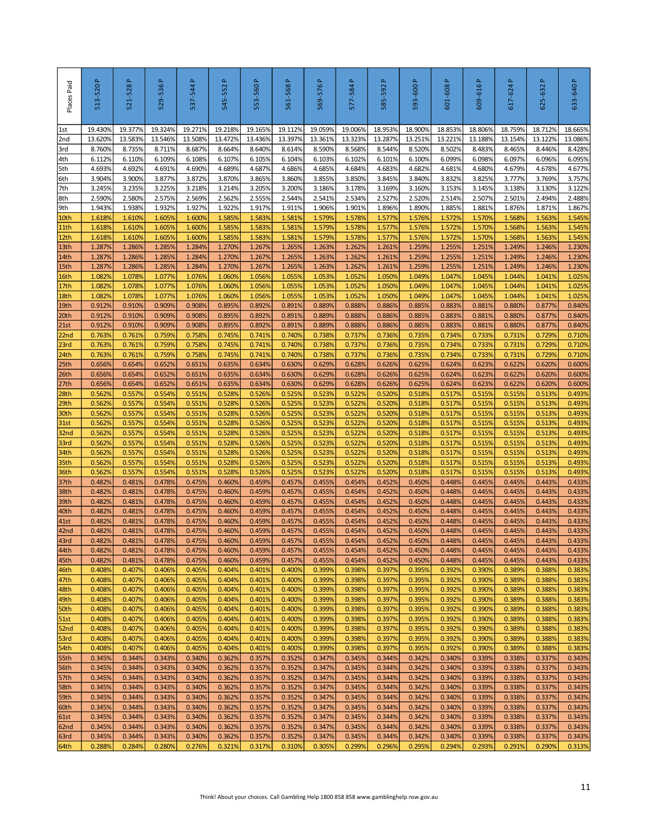| Places Paid      | 513-520P          | 521-528P          | 529-536P          | 537-544 P         | Δ.<br>545-552     | 553-560P          | Δ.<br>561-568     | 569-576P          | $\Delta$<br>577-584 | a,<br>585-592                                                                          | 593-600 P         | 601-608P          | 609-616P          | Δ.<br>617-624     | $\Delta$<br>625-632 | 633-640 P         |
|------------------|-------------------|-------------------|-------------------|-------------------|-------------------|-------------------|-------------------|-------------------|---------------------|----------------------------------------------------------------------------------------|-------------------|-------------------|-------------------|-------------------|---------------------|-------------------|
| 1st              | 19.430%           | 19.377%           | 19.324%           | 19.271%           | 19.218%           | 19.165%           | 19.112%           | 19.059%           | 19.006%             | 18.953%                                                                                | 18.900%           | 18.8539           | 18.806%           | 18.759%           | 18.712%             | 18.665%           |
| 2nd<br>3rd       | 13.620%<br>8.760% | 13.583%<br>8.735% | 13.546%<br>8.711% | 13.508%<br>8.687% | 13.472%<br>8.664% | 13.436%<br>8.640% | 13.397%<br>8.614% | 13.361%<br>8.590% | 13.323%<br>8.568%   | 13.287%<br>8.544%                                                                      | 13.251%<br>8.520% | 13.221%<br>8.502% | 13.188%<br>8.483% | 13.154%<br>8.465% | 13.122%<br>8.446%   | 13.086%<br>8.428% |
| 4th              | 6.112%            | 6.110%            | 6.109%            | 6.108%            | 6.107%            | 6.105%            | 6.104%            | 6.103%            | 6.102%              | 6.101%                                                                                 | 6.100%            | 6.099%            | 6.098%            | 6.097%            | 6.096%              | 6.095%            |
| 5th              | 4.693%            | 4.692%            | 4.691%            | 4.690%            | 4.689%            | 4.687%            | 4.686%            | 4.685%            | 4.684%              | 4.683%                                                                                 | 4.682%            | 4.681%            | 4.680%            | 4.679%            | 4.678%              | 4.677%            |
| 6th              | 3.904%            | 3.900%            | 3.877%            | 3.872%            | 3.870%            | 3.865%            | 3.860%            | 3.855%            | 3.850%              | 3.845%                                                                                 | 3.840%            | 3.832%            | 3.825%            | 3.777%            | 3.769%              | 3.757%            |
| 7th              | 3.245%            | 3.235%            | 3.225%            | 3.218%            | 3.214%            | 3.205%            | 3.200%            | 3.186%            | 3.178%              | 3.169%                                                                                 | 3.160%            | 3.153%            | 3.145%            | 3.138%            | 3.130%              | 3.122%            |
| 8th<br>9th       | 2.590%<br>1.943%  | 2.580%<br>1.938%  | 2.575%<br>1.932%  | 2.569%<br>1.927%  | 2.562%<br>1.922%  | 2.555%<br>1.917%  | 2.544%<br>1.911%  | 2.541%<br>1.906%  | 2.534%<br>1.901%    | 2.527%<br>1.896%                                                                       | 2.520%<br>1.890%  | 2.514%<br>1.885%  | 2.507%<br>1.881%  | 2.501%<br>1.876%  | 2.494%<br>1.871%    | 2.488%<br>1.867%  |
| 10th             | 1.618%            | 1.610%            | 1.605%            | 1.600%            | 1.585%            | 1.583%            | 1.581%            | 1.579%            | 1.578%              | 1.577%                                                                                 | 1.576%            | 1.572%            | 1.570%            | 1.568%            | 1.563%              | 1.545%            |
| 11th             | 1.618%            | 1.610%            | 1.605%            | 1.600%            | 1.585%            | 1.583%            | 1.581%            | 1.579%            | 1.578%              | 1.577%                                                                                 | 1.576%            | 1.572%            | 1.570%            | 1.568%            | 1.563%              | 1.545%            |
| 12th             | 1.618%            | 1.610%            | 1.605%            | 1.600%            | 1.585%            | 1.583%            | 1.581%            | 1.579%            | 1.578%              | 1.577%                                                                                 | 1.576%            | 1.5729            | 1.570%            | 1.568%            | 1.563%              | 1.545%            |
| 13th             | 1.287%            | 1.286%            | 1.2859            | 1.284%            | 1.270%            | 1.267%            | 1.265%            | 1.263%            | 1.262%              | 1.261%                                                                                 | 1.259%            | 1.2559            | 1.251%            | 1.249%            | 1.246%              | 1.230%            |
| 14th<br>15th     | 1.287%<br>1.287%  | 1.286%<br>1.286%  | 1.285%<br>1.285%  | 1.284%<br>1.284%  | 1.270%<br>1.270%  | 1.267%<br>1.267%  | 1.265%<br>1.265%  | 1.263%<br>1.263%  | 1.262%<br>1.262%    | 1.261%<br>1.261%                                                                       | 1.259%<br>1.259%  | 1.2559<br>1.255%  | 1.251%<br>1.251%  | 1.249%<br>1.249%  | 1.246%<br>1.246%    | 1.230%<br>1.230%  |
| 16th             | 1.0829            | 1.078%            | 1.077%            | 1.076%            | 1.060%            | 1.056%            | 1.055%            | 1.053%            | 1.052%              | 1.050%                                                                                 | 1.049%            | 1.047%            | 1.045%            | 1.044%            | 1.041%              | 1.025%            |
| 17th             | 1.082%            | 1.078%            | 1.077%            | 1.076%            | 1.060%            | 1.056%            | 1.055%            | 1.053%            | 1.052%              | 1.050%                                                                                 | 1.049%            | 1.047%            | 1.045%            | 1.044%            | 1.041%              | 1.025%            |
| 18th             | 1.082%            | 1.078%            | 1.077%            | 1.076%            | 1.060%            | 1.056%            | 1.055%            | 1.053%            | 1.052%              | 1.050%                                                                                 | 1.049%            | 1.047%            | 1.045%            | 1.044%            | 1.041%              | 1.025%            |
| 19th             | 0.912%            | 0.910%            | 0.909%            | 0.908%            | 0.895%            | 0.892%            | 0.891%            | 0.889%            | 0.888%              | 0.886%                                                                                 | 0.885%            | 0.883%            | 0.881%            | 0.880%            | 0.877%              | 0.840%            |
| 20th<br>21st     | 0.912%<br>0.912%  | 0.910%            | 0.909%<br>0.909%  | 0.908%<br>0.908%  | 0.895%            | 0.892%            | 0.891%<br>0.891%  | 0.889%<br>0.889%  | 0.888%              | 0.886%                                                                                 | 0.885%            | 0.883%<br>0.883%  | 0.881%<br>0.881%  | 0.880%            | 0.877%              | 0.840%<br>0.840%  |
| 22 <sub>nd</sub> | 0.763%            | 0.910%<br>0.761%  | 0.759%            | 0.758%            | 0.895%<br>0.745%  | 0.892%<br>0.741%  | 0.740%            | 0.738%            | 0.888%<br>0.737%    | 0.886%<br>0.736%                                                                       | 0.885%<br>0.735%  | 0.734%            | 0.733%            | 0.880%<br>0.731%  | 0.877%<br>0.729%    | 0.710%            |
| 23rd             | 0.763%            | 0.761%            | 0.759%            | 0.758%            | 0.745%            | 0.741%            | 0.740%            | 0.738%            | 0.737%              | 0.736%                                                                                 | 0.735%            | 0.734%            | 0.733%            | 0.731%            | 0.729%              | 0.710%            |
| 24th             | 0.763%            | 0.761%            | 0.759%            | 0.758%            | 0.745%            | 0.741%            | 0.740%            | 0.738%            | 0.737%              | 0.736%                                                                                 | 0.735%            | 0.734%            | 0.733%            | 0.731%            | 0.729%              | 0.710%            |
| 25 <sub>th</sub> | 0.656%            | 0.654%            | 0.652%            | 0.651%            | 0.635%            | 0.634%            | 0.630%            | 0.629%            | 0.628%              | 0.626%                                                                                 | 0.625%            | 0.624%            | 0.623%            | 0.622%            | 0.620%              | 0.600%            |
| 26th             | 0.656%            | 0.654%            | 0.652%            | 0.651%            | 0.635%            | 0.634%            | 0.630%            | 0.629%            | 0.628%              | 0.626%                                                                                 | 0.625%            | 0.624%            | 0.623%            | 0.622%            | 0.620%              | 0.600%            |
| 27th<br>28th     | 0.656%<br>0.562%  | 0.654%<br>0.557%  | 0.652%<br>0.554%  | 0.651%<br>0.551%  | 0.635%<br>0.528%  | 0.634%<br>0.526%  | 0.630%<br>0.525%  | 0.629%<br>0.523%  | 0.628%<br>0.522%    | 0.626%<br>0.520%                                                                       | 0.625%<br>0.518%  | 0.624%<br>0.517%  | 0.623%<br>0.515%  | 0.622%<br>0.515%  | 0.620%<br>0.513%    | 0.600%<br>0.493%  |
| 29th             | 0.562%            | 0.557%            | 0.554%            | 0.551%            | 0.528%            | 0.526%            | 0.525%            | 0.523%            | 0.522%              | 0.520%                                                                                 | 0.518%            | 0.517%            | 0.515%            | 0.515%            | 0.513%              | 0.493%            |
| 30th             | 0.562%            | 0.557%            | 0.554%            | 0.551%            | 0.528%            | 0.526%            | 0.525%            | 0.523%            | 0.522%              | 0.520%                                                                                 | 0.518%            | 0.517%            | 0.515%            | 0.515%            | 0.513%              | 0.493%            |
| 31st             | 0.562%            | 0.557%            | 0.554%            | 0.551%            | 0.528%            | 0.526%            | 0.525%            | 0.523%            | 0.522%              | 0.520%                                                                                 | 0.518%            | 0.517%            | 0.515%            | 0.515%            | 0.513%              | 0.493%            |
| 32 <sub>nd</sub> | 0.562%            | 0.557%            | 0.554%            | 0.551%            | 0.528%            | 0.526%            | 0.525%            | 0.523%            | 0.522%              | 0.520%                                                                                 | 0.518%            | 0.517%            | 0.515%            | 0.515%            | 0.513%              | 0.493%            |
| 33rd<br>34th     | 0.562%<br>0.562%  | 0.557%<br>0.557%  | 0.554%<br>0.554%  | 0.551%<br>0.551%  | 0.528%<br>0.528%  | 0.526%<br>0.526%  | 0.525%<br>0.525%  | 0.523%<br>0.523%  | 0.522%<br>0.522%    | 0.520%<br>0.520%                                                                       | 0.518%<br>0.518%  | 0.517%<br>0.517%  | 0.515%<br>0.515%  | 0.515%<br>0.515%  | 0.513%<br>0.513%    | 0.493%<br>0.493%  |
| 35th             | 0.562%            | 0.557%            | 0.554%            | 0.551%            | 0.528%            | 0.526%            | 0.525%            | 0.523%            | 0.522%              | 0.520%                                                                                 | 0.518%            | 0.517%            | 0.515%            | 0.515%            | 0.513%              | 0.493%            |
| 36th             | 0.562%            | 0.557%            | 0.554%            | 0.551%            | 0.528%            | 0.526%            | 0.525%            | 0.523%            | 0.522%              | 0.520%                                                                                 | 0.518%            | 0.517%            | 0.515%            | 0.515%            | 0.513%              | 0.493%            |
| 37th             | 0.4829            | 0.481%            | 0.478%            | 0.475%            | 0.460%            | 0.459%            | 0.457%            | 0.455%            | 0.454%              | 0.452%                                                                                 | 0.450%            | 0.4489            | 0.445%            | 0.445%            | 0.443%              | 0.433%            |
| 38th             | 0.482%            | 0.481%            | 0.478%            | 0.475%            | 0.460%            | 0.459%            | 0.457%            | 0.455%            | 0.454%              | 0.452%                                                                                 | 0.450%            | 0.448%            | 0.445%            | 0.445%            | 0.443%              | 0.433%            |
| 39th<br>40th     | 0.482%<br>0.482%  | 0.481%<br>0.481%  | 0.478%<br>0.478%  | 0.475%<br>0.475%  | 0.460%<br>0.460%  | 0.459%<br>0.459%  | 0.457%<br>0.457%  | 0.455%<br>0.455%  | 0.454%<br>0.454%    | 0.452%<br>0.452%                                                                       | 0.450%<br>0.450%  | 0.4489<br>0.448%  | 0.445%<br>0.445%  | 0.445%<br>0.445%  | 0.443%<br>0.443%    | 0.433%<br>0.433%  |
| 41st             | 0.482%            | 0.481%            | 0.478%            | 0.475%            | 0.460%            | 0.459%            | 0.457%            | 0.455%            | 0.454%              | 0.452%                                                                                 | 0.450%            | 0.448%            | 0.445%            | 0.445%            | 0.443%              | 0.433%            |
| 42nd             | 0.482%            | 0.481%            | 0.478%            | 0.475%            | 0.460%            | 0.459%            | 0.457%            | 0.455%            | 0.454%              | 0.452%                                                                                 | 0.450%            | 0.448%            | 0.445%            | 0.445%            | 0.443%              | 0.433%            |
| 43rd             | 0.482%            | 0.481%            | 0.478%            | 0.475%            | 0.460%            | 0.459%            | 0.457%            | 0.455%            | 0.454%              | 0.452%                                                                                 | 0.450%            | 0.448%            | 0.445%            | 0.445%            | 0.443%              | 0.433%            |
| 44th             | 0.482%            | 0.481%            | 0.478%            | 0.475%            | 0.460%            | 0.459%            | 0.457%            | 0.455%            | 0.454%              | 0.452%                                                                                 | 0.450%            | 0.448%            | 0.445%            | 0.445%            | 0.443%              | 0.433%            |
| 45th<br>46th     | 0.482%<br>0.408%  | 0.481%<br>0.407%  | 0.478%<br>0.406%  | 0.475%<br>0.405%  | 0.460%<br>0.404%  | 0.459%<br>0.401%  | 0.457%<br>0.400%  | 0.455%<br>0.399%  | 0.454%<br>0.398%    | 0.452%<br>0.397%                                                                       | 0.450%<br>0.395%  | 0.448%<br>0.392%  | 0.445%<br>0.390%  | 0.445%<br>0.389%  | 0.443%<br>0.388%    | 0.433%<br>0.383%  |
| 47th             | 0.408%            | 0.407%            | 0.406%            | 0.405%            | 0.404%            | 0.401%            | 0.400%            | 0.399%            | 0.398%              | 0.397%                                                                                 | 0.395%            | 0.392%            | 0.390%            | 0.389%            | 0.388%              | 0.383%            |
| 48th             | 0.408%            | 0.407%            | 0.406%            | 0.405%            | 0.404%            | 0.401%            | 0.400%            | 0.399%            | 0.398%              | 0.397%                                                                                 | 0.395%            | 0.392%            | 0.390%            | 0.389%            | 0.388%              | 0.383%            |
| 49th             | 0.408%            | 0.407%            | 0.406%            | 0.405%            | 0.404%            | 0.401%            | 0.400%            | 0.399%            | 0.398%              | 0.397%                                                                                 | 0.395%            | 0.392%            | 0.390%            | 0.389%            | 0.388%              | 0.383%            |
| 50th<br>51st     | 0.408%<br>0.408%  | 0.407%<br>0.407%  | 0.406%<br>0.406%  | 0.405%<br>0.405%  | 0.404%<br>0.404%  | 0.401%<br>0.401%  | 0.400%<br>0.400%  | 0.399%<br>0.399%  | 0.398%<br>0.398%    | 0.397%<br>0.397%                                                                       | 0.395%<br>0.395%  | 0.392%<br>0.392%  | 0.390%<br>0.390%  | 0.389%<br>0.389%  | 0.388%<br>0.388%    | 0.383%<br>0.383%  |
| 52nd             | 0.408%            | 0.407%            | 0.406%            | 0.405%            | 0.404%            | 0.401%            | 0.400%            | 0.399%            | 0.398%              | 0.397%                                                                                 | 0.395%            | 0.392%            | 0.390%            | 0.389%            | 0.388%              | 0.383%            |
| 53rd             | 0.408%            | 0.407%            | 0.406%            | 0.405%            | 0.404%            | 0.401%            | 0.400%            | 0.399%            | 0.398%              | 0.397%                                                                                 | 0.395%            | 0.392%            | 0.390%            | 0.389%            | 0.388%              | 0.383%            |
| 54th             | 0.408%            | 0.407%            | 0.406%            | 0.405%            | 0.404%            | 0.401%            | 0.400%            | 0.399%            | 0.398%              | 0.397%                                                                                 | 0.395%            | 0.392%            | 0.390%            | 0.389%            | 0.388%              | 0.383%            |
| 55th             | 0.345%            | 0.344%            | 0.343%            | 0.340%            | 0.362%            | 0.357%            | 0.352%            | 0.347%            | 0.345%              | 0.344%                                                                                 | 0.342%            | 0.340%            | 0.339%            | 0.338%            | 0.337%              | 0.343%            |
| 56th<br>57th     | 0.345%<br>0.345%  | 0.344%<br>0.344%  | 0.343%<br>0.343%  | 0.340%<br>0.340%  | 0.362%<br>0.362%  | 0.357%<br>0.357%  | 0.352%<br>0.352%  | 0.347%<br>0.347%  | 0.345%<br>0.345%    | 0.344%<br>0.344%                                                                       | 0.342%<br>0.342%  | 0.340%<br>0.340%  | 0.339%<br>0.339%  | 0.338%<br>0.338%  | 0.337%<br>0.337%    | 0.343%<br>0.343%  |
| 58th             | 0.345%            | 0.344%            | 0.343%            | 0.340%            | 0.362%            | 0.357%            | 0.352%            | 0.347%            | 0.345%              | 0.344%                                                                                 | 0.342%            | 0.340%            | 0.339%            | 0.338%            | 0.337%              | 0.343%            |
| 59th             | 0.345%            | 0.344%            | 0.343%            | 0.340%            | 0.362%            | 0.357%            | 0.352%            | 0.347%            | 0.345%              | 0.344%                                                                                 | 0.342%            | 0.340%            | 0.339%            | 0.338%            | 0.337%              | 0.343%            |
| 60th             | 0.345%            | 0.344%            | 0.343%            | 0.340%            | 0.362%            | 0.357%            | 0.352%            | 0.347%            | 0.345%              | 0.344%                                                                                 | 0.342%            | 0.340%            | 0.339%            | 0.338%            | 0.337%              | 0.343%            |
| 61st             | 0.345%            | 0.344%            | 0.343%            | 0.340%            | 0.362%            | 0.357%            | 0.352%            | 0.347%            | 0.345%              | 0.344%                                                                                 | 0.342%            | 0.340%            | 0.339%            | 0.338%            | 0.337%              | 0.343%            |
| 62nd<br>63rd     | 0.345%<br>0.345%  | 0.344%<br>0.344%  | 0.343%<br>0.343%  | 0.340%<br>0.340%  | 0.362%<br>0.362%  | 0.357%<br>0.357%  | 0.352%<br>0.352%  | 0.347%<br>0.347%  | 0.345%<br>0.345%    | 0.344%<br>0.344%                                                                       | 0.342%<br>0.342%  | 0.340%<br>0.340%  | 0.339%<br>0.339%  | 0.338%<br>0.338%  | 0.337%<br>0.337%    | 0.343%<br>0.343%  |
| 64th             | 0.288%            | 0.284%            | 0.280%            | 0.276%            | 0.321%            | 0.317%            | 0.310%            | 0.305%            | 0.299%              | 0.296%                                                                                 | 0.295%            | 0.294%            | 0.293%            | 0.291%            | 0.290%              | 0.313%            |
|                  |                   |                   |                   |                   |                   |                   |                   |                   |                     | Think! About your choices. Call Gambling Help 1800 858 858 www.gamblinghelp.nsw.gov.au |                   |                   |                   |                   |                     | 11                |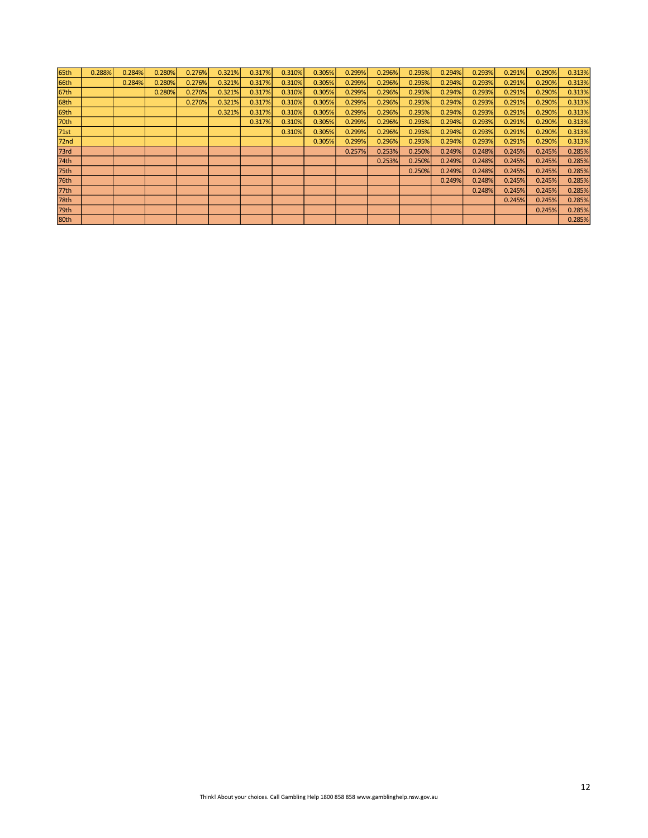| 65th             | 0.288% | 0.284% | 0.280% | 0.276% | 0.321% | 0.317% | 0.310% | 0.305% | 0.299% | 0.296% | 0.295% | 0.294% | 0.293% | 0.291% | 0.290% | 0.313% |
|------------------|--------|--------|--------|--------|--------|--------|--------|--------|--------|--------|--------|--------|--------|--------|--------|--------|
| 66th             |        | 0.284% | 0.280% | 0.276% | 0.321% | 0.317% | 0.310% | 0.305% | 0.299% | 0.296% | 0.295% | 0.294% | 0.293% | 0.291% | 0.290% | 0.313% |
| 67th             |        |        | 0.280% | 0.276% | 0.321% | 0.317% | 0.310% | 0.305% | 0.299% | 0.296% | 0.295% | 0.294% | 0.293% | 0.291% | 0.290% | 0.313% |
| 68th             |        |        |        | 0.276% | 0.321% | 0.317% | 0.310% | 0.305% | 0.299% | 0.296% | 0.295% | 0.294% | 0.293% | 0.291% | 0.290% | 0.313% |
| 69th             |        |        |        |        | 0.321% | 0.317% | 0.310% | 0.305% | 0.299% | 0.296% | 0.295% | 0.294% | 0.293% | 0.291% | 0.290% | 0.313% |
| 70th             |        |        |        |        |        | 0.317% | 0.310% | 0.305% | 0.299% | 0.296% | 0.295% | 0.294% | 0.293% | 0.291% | 0.290% | 0.313% |
| 71st             |        |        |        |        |        |        | 0.310% | 0.305% | 0.299% | 0.296% | 0.295% | 0.294% | 0.293% | 0.291% | 0.290% | 0.313% |
| 72 <sub>nd</sub> |        |        |        |        |        |        |        | 0.305% | 0.299% | 0.296% | 0.295% | 0.294% | 0.293% | 0.291% | 0.290% | 0.313% |
| 73rd             |        |        |        |        |        |        |        |        | 0.257% | 0.253% | 0.250% | 0.249% | 0.248% | 0.245% | 0.245% | 0.285% |
| 74th             |        |        |        |        |        |        |        |        |        | 0.253% | 0.250% | 0.249% | 0.248% | 0.245% | 0.245% | 0.285% |
| 75th             |        |        |        |        |        |        |        |        |        |        | 0.250% | 0.249% | 0.248% | 0.245% | 0.245% | 0.285% |
| 76th             |        |        |        |        |        |        |        |        |        |        |        | 0.249% | 0.248% | 0.245% | 0.245% | 0.285% |
| 77th             |        |        |        |        |        |        |        |        |        |        |        |        | 0.248% | 0.245% | 0.245% | 0.285% |
| 78th             |        |        |        |        |        |        |        |        |        |        |        |        |        | 0.245% | 0.245% | 0.285% |
| 79th             |        |        |        |        |        |        |        |        |        |        |        |        |        |        | 0.245% | 0.285% |
| 80th             |        |        |        |        |        |        |        |        |        |        |        |        |        |        |        | 0.285% |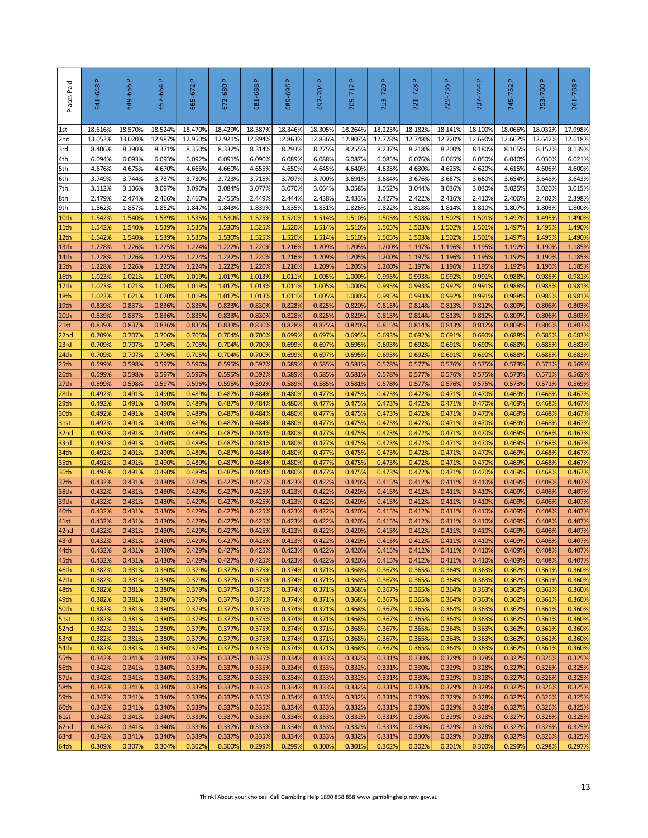| Places Paid              | $\Delta$<br>641-648 | 649-656 P         | $\Delta$<br>657-664 | 665-672P          | 672-680 P         | 681-688P          | 689-696P          | $\Delta$<br>697-704 | $\Delta$<br>705-712 | 713-720 P                                                                              | 721-728P          | 729-736 P         | $\Delta$<br>737-744 | Δ.<br>745-752     | 753-760 P         | 761-768P          |
|--------------------------|---------------------|-------------------|---------------------|-------------------|-------------------|-------------------|-------------------|---------------------|---------------------|----------------------------------------------------------------------------------------|-------------------|-------------------|---------------------|-------------------|-------------------|-------------------|
| 1st                      | 18.616%             | 18.570%           | 18.524%             | 18.470%           | 18.429%           | 18.387%           | 18.346%           | 18.305%             | 18.264%             | 18.223%                                                                                | 18.182%           | 18.141%           | 18.100%             | 18.066%           | 18.032%           | 17.998%           |
| 2nd<br>3rd               | 13.053%<br>8.406%   | 13.020%<br>8.390% | 12.987%<br>8.371%   | 12.950%<br>8.350% | 12.921%<br>8.332% | 12.894%<br>8.314% | 12.863%<br>8.293% | 12.836%<br>8.275%   | 12.807%<br>8.255%   | 12.778%<br>8.237%                                                                      | 12.748%<br>8.218% | 12.7209<br>8.200% | 12.690%<br>8.180%   | 12.667%<br>8.165% | 12.642%<br>8.152% | 12.618%<br>8.139% |
| 4th                      | 6.094%              | 6.093%            | 6.093%              | 6.092%            | 6.091%            | 6.090%            | 6.089%            | 6.088%              | 6.087%              | 6.085%                                                                                 | 6.076%            | 6.065%            | 6.050%              | 6.040%            | 6.030%            | 6.021%            |
| 5th                      | 4.676%              | 4.675%            | 4.670%              | 4.665%            | 4.660%            | 4.655%            | 4.650%            | 4.645%              | 4.640%              | 4.635%                                                                                 | 4.630%            | 4.625%            | 4.620%              | 4.615%            | 4.605%            | 4.600%            |
| 6th                      | 3.749%              | 3.744%            | 3.737%              | 3.730%            | 3.723%            | 3.715%            | 3.707%            | 3.700%              | 3.691%              | 3.684%                                                                                 | 3.676%            | 3.667%            | 3.660%              | 3.654%            | 3.648%            | 3.643%            |
| 7th                      | 3.112%              | 3.106%            | 3.097%              | 3.090%            | 3.084%            | 3.077%            | 3.070%            | 3.064%              | 3.058%              | 3.052%                                                                                 | 3.044%            | 3.036%            | 3.030%              | 3.025%            | 3.020%            | 3.015%            |
| 8th                      | 2.479%              | 2.474%            | 2.466%              | 2.460%            | 2.455%            | 2.449%            | 2.444%            | 2.438%              | 2.433%              | 2.427%                                                                                 | 2.422%            | 2.416%            | 2.410%              | 2.406%            | 2.402%            | 2.398%            |
| 9th<br>10th              | 1.862%<br>1.542%    | 1.857%<br>1.540%  | 1.852%<br>1.539%    | 1.847%<br>1.535%  | 1.843%<br>1.530%  | 1.839%<br>1.525%  | 1.835%<br>1.520%  | 1.831%<br>1.514%    | 1.826%<br>1.510%    | 1.822%<br>1.505%                                                                       | 1.818%<br>1.503%  | 1.814%<br>1.502%  | 1.810%<br>1.501%    | 1.807%<br>1.497%  | 1.803%<br>1.495%  | 1.800%<br>1.490%  |
| 11th                     | 1.542%              | 1.540%            | 1.539%              | 1.535%            | 1.530%            | 1.525%            | 1.520%            | 1.514%              | 1.510%              | 1.505%                                                                                 | 1.503%            | 1.502%            | 1.501%              | 1.497%            | 1.495%            | 1.490%            |
| 12th                     | 1.542%              | 1.540%            | 1.5399              | 1.535%            | 1.530%            | 1.525%            | 1.520%            | 1.514%              | 1.510%              | 1.505%                                                                                 | 1.503%            | 1.502%            | 1.501%              | 1.497%            | 1.495%            | 1.490%            |
| 13th                     | 1.2289              | 1.226%            | 1.225%              | 1.224%            | 1.222%            | 1.220%            | 1.216%            | 1.209%              | 1.205%              | 1.200%                                                                                 | 1.197%            | 1.1969            | 1.195%              | 1.192%            | 1.190%            | 1.185%            |
| 14th                     | 1.2289              | 1.226%            | 1.225%              | 1.224%            | 1.222%            | 1.220%            | 1.216%            | 1.209%              | 1.205%              | 1.200%                                                                                 | 1.197%            | 1.196%            | 1.195%              | 1.192%            | 1.190%            | 1.185%            |
| 15th                     | 1.228%              | 1.226%            | 1.225%              | 1.224%            | 1.222%            | 1.220%            | 1.216%            | 1.209%              | 1.205%              | 1.200%                                                                                 | 1.197%            | 1.196%            | 1.195%              | 1.192%            | 1.190%            | 1.185%            |
| 16th                     | 1.023%<br>1.023%    | 1.021%            | 1.020%<br>1.020%    | 1.019%<br>1.019%  | 1.017%<br>1.017%  | 1.013%            | 1.011%            | 1.005%              | 1.000%<br>1.000%    | 0.995%                                                                                 | 0.993%            | 0.992%<br>0.992%  | 0.991%<br>0.991%    | 0.988%<br>0.988%  | 0.985%<br>0.985%  | 0.981%<br>0.981%  |
| 17th<br>18th             | 1.023%              | 1.021%<br>1.021%  | 1.020%              | 1.019%            | 1.017%            | 1.013%<br>1.013%  | 1.011%<br>1.011%  | 1.005%<br>1.005%    | 1.000%              | 0.995%<br>0.995%                                                                       | 0.993%<br>0.993%  | 0.992%            | 0.991%              | 0.988%            | 0.985%            | 0.981%            |
| 19th                     | 0.839%              | 0.837%            | 0.836%              | 0.835%            | 0.833%            | 0.830%            | 0.828%            | 0.825%              | 0.820%              | 0.815%                                                                                 | 0.814%            | 0.813%            | 0.812%              | 0.809%            | 0.806%            | 0.803%            |
| 20th                     | 0.839%              | 0.837%            | 0.836%              | 0.835%            | 0.833%            | 0.830%            | 0.828%            | 0.825%              | 0.820%              | 0.815%                                                                                 | 0.814%            | 0.813%            | 0.812%              | 0.809%            | 0.806%            | 0.803%            |
| 21st                     | 0.839%              | 0.837%            | 0.836%              | 0.835%            | 0.833%            | 0.830%            | 0.828%            | 0.825%              | 0.820%              | 0.815%                                                                                 | 0.814%            | 0.813%            | 0.812%              | 0.809%            | 0.806%            | 0.803%            |
| 22 <sub>nd</sub>         | 0.709%              | 0.707%            | 0.706%              | 0.705%            | 0.704%            | 0.700%            | 0.699%            | 0.697%              | 0.695%              | 0.693%                                                                                 | 0.692%            | 0.691%            | 0.690%              | 0.688%            | 0.685%            | 0.683%            |
| 23rd<br>24th             | 0.709%<br>0.709%    | 0.707%<br>0.707%  | 0.706%<br>0.706%    | 0.705%<br>0.705%  | 0.704%<br>0.704%  | 0.700%<br>0.700%  | 0.699%<br>0.699%  | 0.697%<br>0.697%    | 0.695%<br>0.695%    | 0.693%<br>0.693%                                                                       | 0.692%<br>0.692%  | 0.691%<br>0.691%  | 0.690%<br>0.690%    | 0.688%<br>0.688%  | 0.685%<br>0.685%  | 0.683%<br>0.683%  |
| 25th                     | 0.599%              | 0.598%            | 0.597%              | 0.596%            | 0.595%            | 0.592%            | 0.589%            | 0.585%              | 0.581%              | 0.578%                                                                                 | 0.577%            | 0.576%            | 0.575%              | 0.573%            | 0.571%            | 0.569%            |
| 26th                     | 0.599%              | 0.598%            | 0.597%              | 0.596%            | 0.595%            | 0.592%            | 0.589%            | 0.585%              | 0.581%              | 0.578%                                                                                 | 0.577%            | 0.576%            | 0.575%              | 0.573%            | 0.571%            | 0.569%            |
| 27th                     | 0.599%              | 0.598%            | 0.597%              | 0.596%            | 0.595%            | 0.592%            | 0.589%            | 0.585%              | 0.581%              | 0.578%                                                                                 | 0.577%            | 0.576%            | 0.575%              | 0.573%            | 0.571%            | 0.569%            |
| 28th                     | 0.492%              | 0.491%            | 0.490%              | 0.489%            | 0.487%            | 0.484%            | 0.480%            | 0.477%              | 0.475%              | 0.473%                                                                                 | 0.472%            | 0.471%            | 0.470%              | 0.469%            | 0.468%            | 0.467%            |
| 29th                     | 0.492%              | 0.491%            | 0.490%              | 0.489%            | 0.487%            | 0.484%            | 0.480%            | 0.477%              | 0.475%              | 0.473%                                                                                 | 0.472%            | 0.471%            | 0.470%              | 0.469%            | 0.468%            | 0.467%            |
| 30th                     | 0.492%              | 0.491%            | 0.490%              | 0.489%            | 0.487%            | 0.484%            | 0.480%            | 0.477%              | 0.475%              | 0.473%                                                                                 | 0.472%            | 0.471%<br>0.471%  | 0.470%              | 0.469%            | 0.468%            | 0.467%            |
| 31st<br>32 <sub>nd</sub> | 0.492%<br>0.492%    | 0.491%<br>0.491%  | 0.490%<br>0.490%    | 0.489%<br>0.489%  | 0.487%<br>0.487%  | 0.484%<br>0.484%  | 0.480%<br>0.480%  | 0.477%<br>0.477%    | 0.475%<br>0.475%    | 0.473%<br>0.473%                                                                       | 0.472%<br>0.472%  | 0.471%            | 0.470%<br>0.470%    | 0.469%<br>0.469%  | 0.468%<br>0.468%  | 0.467%<br>0.467%  |
| 33rd                     | 0.492%              | 0.491%            | 0.490%              | 0.489%            | 0.487%            | 0.484%            | 0.480%            | 0.477%              | 0.475%              | 0.473%                                                                                 | 0.472%            | 0.471%            | 0.470%              | 0.469%            | 0.468%            | 0.467%            |
| 34th                     | 0.492%              | 0.491%            | 0.490%              | 0.489%            | 0.487%            | 0.484%            | 0.480%            | 0.477%              | 0.475%              | 0.473%                                                                                 | 0.472%            | 0.471%            | 0.470%              | 0.469%            | 0.468%            | 0.467%            |
| 35th                     | 0.492%              | 0.491%            | 0.490%              | 0.489%            | 0.487%            | 0.484%            | 0.480%            | 0.477%              | 0.475%              | 0.473%                                                                                 | 0.472%            | 0.471%            | 0.470%              | 0.469%            | 0.468%            | 0.467%            |
| 36th                     | 0.492%              | 0.491%            | 0.490%              | 0.489%            | 0.487%            | 0.484%            | 0.480%            | 0.477%              | 0.475%              | 0.473%                                                                                 | 0.472%            | 0.471%            | 0.470%              | 0.469%            | 0.468%            | 0.467%            |
| 37th                     | 0.432%              | 0.431%<br>0.431%  | 0.430%<br>0.430%    | 0.429%<br>0.429%  | 0.427%<br>0.427%  | 0.425%<br>0.425%  | 0.423%<br>0.423%  | 0.422%<br>0.422%    | 0.420%<br>0.420%    | 0.415%<br>0.415%                                                                       | 0.412%<br>0.412%  | 0.411%<br>0.411%  | 0.410%<br>0.410%    | 0.409%<br>0.409%  | 0.408%<br>0.408%  | 0.407%            |
| 38th<br>39th             | 0.432%<br>0.432%    | 0.431%            | 0.430%              | 0.429%            | 0.427%            | 0.425%            | 0.423%            | 0.422%              | 0.420%              | 0.415%                                                                                 | 0.412%            | 0.411%            | 0.410%              | 0.409%            | 0.408%            | 0.407%<br>0.407%  |
| 40th                     | 0.432%              | 0.431%            | 0.430%              | 0.429%            | 0.427%            | 0.425%            | 0.423%            | 0.422%              | 0.420%              | 0.415%                                                                                 | 0.412%            | 0.411%            | 0.410%              | 0.409%            | 0.408%            | 0.407%            |
| 41st                     | 0.432%              | 0.431%            | 0.430%              | 0.429%            | 0.427%            | 0.425%            | 0.423%            | 0.422%              | 0.420%              | 0.415%                                                                                 | 0.412%            | 0.411%            | 0.410%              | 0.409%            | 0.408%            | 0.407%            |
| 42nd                     | 0.432%              | 0.431%            | 0.430%              | 0.429%            | 0.427%            | 0.425%            | 0.423%            | 0.422%              | 0.420%              | 0.415%                                                                                 | 0.412%            | 0.411%            | 0.410%              | 0.409%            | 0.408%            | 0.407%            |
| 43rd                     | 0.432%              | 0.431%            | 0.430%              | 0.429%            | 0.427%            | 0.425%            | 0.423%            | 0.422%              | 0.420%              | 0.415%                                                                                 | 0.412%            | 0.411%            | 0.410%              | 0.409%            | 0.408%            | 0.407%            |
| 44th<br>45th             | 0.432%<br>0.432%    | 0.431%<br>0.431%  | 0.430%<br>0.430%    | 0.429%<br>0.429%  | 0.427%<br>0.427%  | 0.425%<br>0.425%  | 0.423%<br>0.423%  | 0.422%<br>0.422%    | 0.420%<br>0.420%    | 0.415%<br>0.415%                                                                       | 0.412%<br>0.412%  | 0.411%<br>0.411%  | 0.410%<br>0.410%    | 0.409%<br>0.409%  | 0.408%<br>0.408%  | 0.407%<br>0.407%  |
| 46th                     | 0.382%              | 0.381%            | 0.380%              | 0.379%            | 0.377%            | 0.375%            | 0.374%            | 0.371%              | 0.368%              | 0.367%                                                                                 | 0.365%            | 0.364%            | 0.363%              | 0.362%            | 0.361%            | 0.360%            |
| 47th                     | 0.382%              | 0.381%            | 0.380%              | 0.379%            | 0.377%            | 0.375%            | 0.374%            | 0.371%              | 0.368%              | 0.367%                                                                                 | 0.365%            | 0.364%            | 0.363%              | 0.362%            | 0.361%            | 0.360%            |
| 48th                     | 0.382%              | 0.381%            | 0.380%              | 0.379%            | 0.377%            | 0.375%            | 0.374%            | 0.371%              | 0.368%              | 0.367%                                                                                 | 0.365%            | 0.364%            | 0.363%              | 0.362%            | 0.361%            | 0.360%            |
| 49th                     | 0.382%              | 0.381%            | 0.380%              | 0.379%            | 0.377%            | 0.375%            | 0.374%            | 0.371%              | 0.368%              | 0.367%                                                                                 | 0.365%            | 0.364%            | 0.363%              | 0.362%            | 0.361%            | 0.360%            |
| 50th                     | 0.382%              | 0.381%            | 0.380%              | 0.379%            | 0.377%            | 0.375%            | 0.374%            | 0.371%              | 0.368%              | 0.367%                                                                                 | 0.365%            | 0.364%            | 0.363%              | 0.362%            | 0.361%            | 0.360%            |
| 51st<br>52nd             | 0.382%<br>0.382%    | 0.381%<br>0.381%  | 0.380%<br>0.380%    | 0.379%<br>0.379%  | 0.377%<br>0.377%  | 0.375%<br>0.375%  | 0.374%<br>0.374%  | 0.371%<br>0.371%    | 0.368%<br>0.368%    | 0.367%<br>0.367%                                                                       | 0.365%<br>0.365%  | 0.364%<br>0.364%  | 0.363%<br>0.363%    | 0.362%<br>0.362%  | 0.361%<br>0.361%  | 0.360%<br>0.360%  |
| 53rd                     | 0.382%              | 0.381%            | 0.380%              | 0.379%            | 0.377%            | 0.375%            | 0.374%            | 0.371%              | 0.368%              | 0.367%                                                                                 | 0.365%            | 0.364%            | 0.363%              | 0.362%            | 0.361%            | 0.360%            |
| 54th                     | 0.382%              | 0.381%            | 0.380%              | 0.379%            | 0.377%            | 0.375%            | 0.374%            | 0.371%              | 0.368%              | 0.367%                                                                                 | 0.365%            | 0.364%            | 0.363%              | 0.362%            | 0.361%            | 0.360%            |
| 55th                     | 0.342%              | 0.341%            | 0.340%              | 0.339%            | 0.337%            | 0.335%            | 0.334%            | 0.333%              | 0.332%              | 0.331%                                                                                 | 0.330%            | 0.329%            | 0.328%              | 0.327%            | 0.326%            | 0.325%            |
| 56th                     | 0.342%              | 0.341%            | 0.340%              | 0.339%            | 0.337%            | 0.335%            | 0.334%            | 0.333%              | 0.332%              | 0.331%                                                                                 | 0.330%            | 0.329%            | 0.328%              | 0.327%            | 0.326%            | 0.325%            |
| 57th                     | 0.342%              | 0.341%            | 0.340%              | 0.339%            | 0.337%            | 0.335%            | 0.334%            | 0.333%              | 0.332%              | 0.331%                                                                                 | 0.330%            | 0.329%            | 0.328%              | 0.327%            | 0.326%            | 0.325%            |
| 58th<br>59th             | 0.342%<br>0.342%    | 0.341%<br>0.341%  | 0.340%<br>0.340%    | 0.339%<br>0.339%  | 0.337%<br>0.337%  | 0.335%<br>0.335%  | 0.334%<br>0.334%  | 0.333%<br>0.333%    | 0.332%<br>0.332%    | 0.331%<br>0.331%                                                                       | 0.330%<br>0.330%  | 0.329%<br>0.329%  | 0.328%<br>0.328%    | 0.327%<br>0.327%  | 0.326%<br>0.326%  | 0.325%<br>0.325%  |
| 60th                     | 0.342%              | 0.341%            | 0.340%              | 0.339%            | 0.337%            | 0.335%            | 0.334%            | 0.333%              | 0.332%              | 0.331%                                                                                 | 0.330%            | 0.329%            | 0.328%              | 0.327%            | 0.326%            | 0.325%            |
| 61st                     | 0.342%              | 0.341%            | 0.340%              | 0.339%            | 0.337%            | 0.335%            | 0.334%            | 0.333%              | 0.332%              | 0.331%                                                                                 | 0.330%            | 0.329%            | 0.328%              | 0.327%            | 0.326%            | 0.325%            |
| 62nd                     | 0.342%              | 0.341%            | 0.340%              | 0.339%            | 0.337%            | 0.335%            | 0.334%            | 0.333%              | 0.332%              | 0.331%                                                                                 | 0.330%            | 0.329%            | 0.328%              | 0.327%            | 0.326%            | 0.325%            |
| 63rd                     | 0.342%              | 0.341%            | 0.340%              | 0.339%            | 0.337%            | 0.335%            | 0.334%            | 0.333%              | 0.332%              | 0.331%                                                                                 | 0.330%            | 0.329%            | 0.328%              | 0.327%            | 0.326%            | 0.325%            |
| 64th                     | 0.309%              | 0.307%            | 0.304%              | 0.302%            | 0.300%            | 0.299%            | 0.299%            | 0.300%              | 0.301%              | 0.302%                                                                                 | 0.302%            | 0.301%            | 0.300%              | 0.299%            | 0.298%            | 0.297%            |
|                          |                     |                   |                     |                   |                   |                   |                   |                     |                     | Think! About your choices. Call Gambling Help 1800 858 858 www.gamblinghelp.nsw.gov.au |                   |                   |                     |                   |                   | 13                |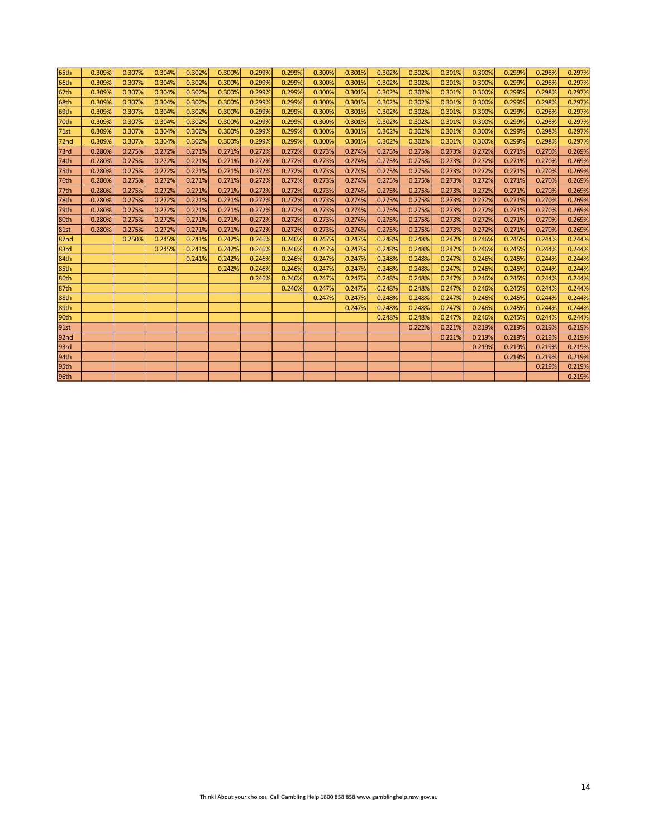| 65th             | 0.309% | 0.307% | 0.304% | 0.302% | 0.300% | 0.299% | 0.299% | 0.300% | 0.301% | 0.302% | 0.302% | 0.301% | 0.300% | 0.299% | 0.298% | 0.297% |
|------------------|--------|--------|--------|--------|--------|--------|--------|--------|--------|--------|--------|--------|--------|--------|--------|--------|
| 66th             | 0.309% | 0.307% | 0.304% | 0.302% | 0.300% | 0.299% | 0.299% | 0.300% | 0.301% | 0.302% | 0.302% | 0.301% | 0.300% | 0.299% | 0.298% | 0.297% |
| 67th             | 0.309% | 0.307% | 0.304% | 0.302% | 0.300% | 0.299% | 0.299% | 0.300% | 0.301% | 0.302% | 0.302% | 0.301% | 0.300% | 0.299% | 0.298% | 0.297% |
| 68th             | 0.309% | 0.307% | 0.304% | 0.302% | 0.300% | 0.299% | 0.299% | 0.300% | 0.301% | 0.302% | 0.302% | 0.301% | 0.300% | 0.299% | 0.298% | 0.297% |
| 69th             | 0.309% | 0.307% | 0.304% | 0.302% | 0.300% | 0.299% | 0.299% | 0.300% | 0.301% | 0.302% | 0.302% | 0.301% | 0.300% | 0.299% | 0.298% | 0.297% |
| 70th             | 0.309% | 0.307% | 0.304% | 0.302% | 0.300% | 0.299% | 0.299% | 0.300% | 0.301% | 0.302% | 0.302% | 0.301% | 0.300% | 0.299% | 0.298% | 0.297% |
| 71st             | 0.309% | 0.307% | 0.304% | 0.302% | 0.300% | 0.299% | 0.299% | 0.300% | 0.301% | 0.302% | 0.302% | 0.301% | 0.300% | 0.299% | 0.298% | 0.297% |
| 72 <sub>nd</sub> | 0.309% | 0.307% | 0.304% | 0.302% | 0.300% | 0.299% | 0.299% | 0.300% | 0.301% | 0.302% | 0.302% | 0.301% | 0.300% | 0.299% | 0.298% | 0.297% |
| 73rd             | 0.280% | 0.275% | 0.272% | 0.271% | 0.271% | 0.272% | 0.272% | 0.273% | 0.274% | 0.275% | 0.275% | 0.273% | 0.272% | 0.271% | 0.270% | 0.269% |
| 74th             | 0.280% | 0.275% | 0.272% | 0.271% | 0.271% | 0.272% | 0.272% | 0.273% | 0.274% | 0.275% | 0.275% | 0.273% | 0.272% | 0.271% | 0.270% | 0.269% |
| 75th             | 0.280% | 0.275% | 0.272% | 0.271% | 0.271% | 0.272% | 0.272% | 0.273% | 0.274% | 0.275% | 0.275% | 0.273% | 0.272% | 0.271% | 0.270% | 0.269% |
| 76th             | 0.280% | 0.275% | 0.272% | 0.271% | 0.271% | 0.272% | 0.272% | 0.273% | 0.274% | 0.275% | 0.275% | 0.273% | 0.272% | 0.271% | 0.270% | 0.269% |
| 77th             | 0.280% | 0.275% | 0.272% | 0.271% | 0.271% | 0.272% | 0.272% | 0.273% | 0.274% | 0.275% | 0.275% | 0.273% | 0.272% | 0.271% | 0.270% | 0.269% |
| 78th             | 0.280% | 0.275% | 0.272% | 0.271% | 0.271% | 0.272% | 0.272% | 0.273% | 0.274% | 0.275% | 0.275% | 0.273% | 0.272% | 0.271% | 0.270% | 0.269% |
| 79th             | 0.280% | 0.275% | 0.272% | 0.271% | 0.271% | 0.272% | 0.272% | 0.273% | 0.274% | 0.275% | 0.275% | 0.273% | 0.272% | 0.271% | 0.270% | 0.269% |
| 80th             | 0.280% | 0.275% | 0.272% | 0.271% | 0.271% | 0.272% | 0.272% | 0.273% | 0.274% | 0.275% | 0.275% | 0.273% | 0.272% | 0.271% | 0.270% | 0.269% |
| <b>81st</b>      | 0.280% | 0.275% | 0.272% | 0.271% | 0.271% | 0.272% | 0.272% | 0.273% | 0.274% | 0.275% | 0.275% | 0.273% | 0.272% | 0.271% | 0.270% | 0.269% |
| 82nd             |        | 0.250% | 0.245% | 0.241% | 0.242% | 0.246% | 0.246% | 0.247% | 0.247% | 0.248% | 0.248% | 0.247% | 0.246% | 0.245% | 0.244% | 0.244% |
| 83rd             |        |        | 0.245% | 0.241% | 0.242% | 0.246% | 0.246% | 0.247% | 0.247% | 0.248% | 0.248% | 0.247% | 0.246% | 0.245% | 0.244% | 0.244% |
| 84th             |        |        |        | 0.241% | 0.242% | 0.246% | 0.246% | 0.247% | 0.247% | 0.248% | 0.248% | 0.247% | 0.246% | 0.245% | 0.244% | 0.244% |
| 85th             |        |        |        |        | 0.242% | 0.246% | 0.246% | 0.247% | 0.247% | 0.248% | 0.248% | 0.247% | 0.246% | 0.245% | 0.244% | 0.244% |
| 86th             |        |        |        |        |        | 0.246% | 0.246% | 0.247% | 0.247% | 0.248% | 0.248% | 0.247% | 0.246% | 0.245% | 0.244% | 0.244% |
| 87th             |        |        |        |        |        |        | 0.246% | 0.247% | 0.247% | 0.248% | 0.248% | 0.247% | 0.246% | 0.245% | 0.244% | 0.244% |
| 88th             |        |        |        |        |        |        |        | 0.247% | 0.247% | 0.248% | 0.248% | 0.247% | 0.246% | 0.245% | 0.244% | 0.244% |
| 89th             |        |        |        |        |        |        |        |        | 0.247% | 0.248% | 0.248% | 0.247% | 0.246% | 0.245% | 0.244% | 0.244% |
| 90th             |        |        |        |        |        |        |        |        |        | 0.248% | 0.248% | 0.247% | 0.246% | 0.245% | 0.244% | 0.244% |
| 91st             |        |        |        |        |        |        |        |        |        |        | 0.222% | 0.221% | 0.219% | 0.219% | 0.219% | 0.219% |
| 92 <sub>nd</sub> |        |        |        |        |        |        |        |        |        |        |        | 0.221% | 0.219% | 0.219% | 0.219% | 0.219% |
| 93rd             |        |        |        |        |        |        |        |        |        |        |        |        | 0.219% | 0.219% | 0.219% | 0.219% |
| 94th             |        |        |        |        |        |        |        |        |        |        |        |        |        | 0.219% | 0.219% | 0.219% |
| 95th             |        |        |        |        |        |        |        |        |        |        |        |        |        |        | 0.219% | 0.219% |
| 96th             |        |        |        |        |        |        |        |        |        |        |        |        |        |        |        | 0.219% |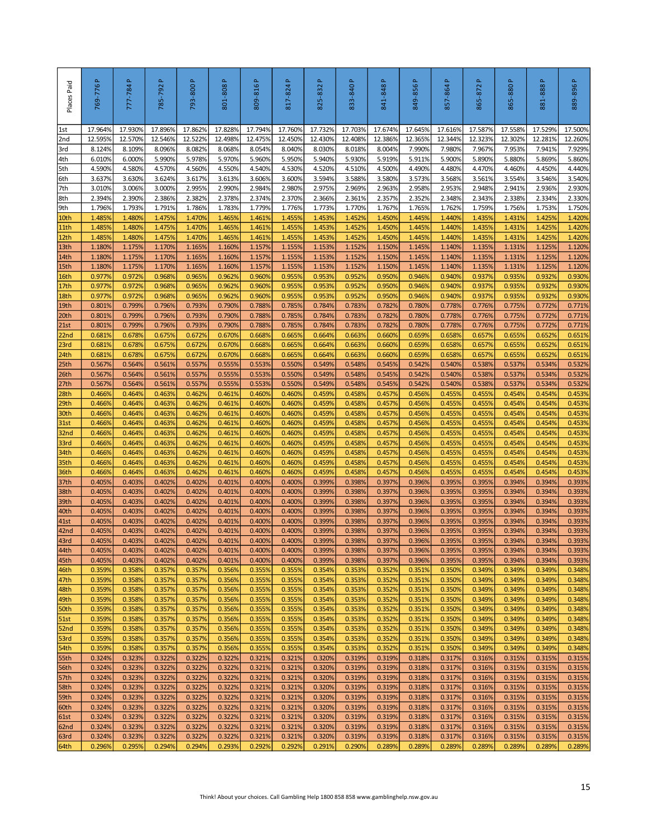| Places Paid              | 769-776 P         | 777-784 P         | 785-792 P         | 793-800 P         | Δ.<br>801-808     | 809-816 P         | 817-824 P         | 825-832P          | 833-840 P         | 841-848 P                                                                              | 849-856P          | 857-864 P         | $\Delta$<br>865-872 | <u>م</u><br>865-880 | 881-888 P         | 889-896P          |
|--------------------------|-------------------|-------------------|-------------------|-------------------|-------------------|-------------------|-------------------|-------------------|-------------------|----------------------------------------------------------------------------------------|-------------------|-------------------|---------------------|---------------------|-------------------|-------------------|
| 1st                      | 17.964%           | 17.930%           | 17.896%           | 17.862%           | 17.8289           | 17.794%           | 17.760%           | 17.732%           | 17.703%           | 17.674%                                                                                | 17.645%           | 17.616%           | 17.587%             | 17.558%             | 17.529%           | 17.500%           |
| 2nd<br>3rd               | 12.595%<br>8.124% | 12.570%<br>8.109% | 12.546%<br>8.096% | 12.522%<br>8.082% | 12.498%<br>8.068% | 12.475%<br>8.054% | 12.450%<br>8.040% | 12.430%<br>8.030% | 12.408%<br>8.018% | 12.386%<br>8.004%                                                                      | 12.365%<br>7.990% | 12.344%<br>7.980% | 12.323%<br>7.967%   | 12.302%<br>7.953%   | 12.281%<br>7.941% | 12.260%<br>7.929% |
| 4th                      | 6.010%            | 6.000%            | 5.990%            | 5.978%            | 5.970%            | 5.960%            | 5.950%            | 5.940%            | 5.930%            | 5.919%                                                                                 | 5.911%            | 5.900%            | 5.890%              | 5.880%              | 5.869%            | 5.860%            |
| 5th                      | 4.590%            | 4.580%            | 4.570%            | 4.560%            | 4.550%            | 4.540%            | 4.530%            | 4.520%            | 4.510%            | 4.500%                                                                                 | 4.490%            | 4.480%            | 4.470%              | 4.460%              | 4.450%            | 4.440%            |
| 6th                      | 3.637%            | 3.630%            | 3.624%            | 3.617%            | 3.613%            | 3.606%            | 3.600%            | 3.594%            | 3.588%            | 3.580%                                                                                 | 3.573%            | 3.568%            | 3.561%              | 3.554%              | 3.546%            | 3.540%            |
| 7th<br>8th               | 3.010%<br>2.394%  | 3.006%<br>2.390%  | 3.000%<br>2.386%  | 2.995%<br>2.382%  | 2.990%<br>2.378%  | 2.984%<br>2.374%  | 2.980%<br>2.370%  | 2.975%<br>2.366%  | 2.969%<br>2.361%  | 2.963%<br>2.357%                                                                       | 2.958%<br>2.352%  | 2.953%<br>2.348%  | 2.948%<br>2.343%    | 2.941%<br>2.338%    | 2.936%<br>2.334%  | 2.930%<br>2.330%  |
| 9th                      | 1.796%            | 1.793%            | 1.791%            | 1.786%            | 1.783%            | 1.779%            | 1.776%            | 1.773%            | 1.770%            | 1.767%                                                                                 | 1.765%            | 1.762%            | 1.759%              | 1.756%              | 1.753%            | 1.750%            |
| 10th                     | 1.485%            | 1.480%            | 1.475%            | 1.470%            | 1.465%            | 1.461%            | 1.455%            | 1.453%            | 1.452%            | 1.450%                                                                                 | 1.445%            | 1.440%            | 1.435%              | 1.431%              | 1.425%            | 1.420%            |
| 11th                     | 1.485%            | 1.480%            | 1.475%            | 1.470%            | 1.465%            | 1.461%            | 1.455%            | 1.453%            | 1.452%            | 1.450%                                                                                 | 1.445%            | 1.440%            | 1.435%              | 1.431%              | 1.425%            | 1.420%            |
| 12th                     | 1.4859            | 1.480%            | 1.475%            | 1.470%            | 1.465%            | 1.461%            | 1.455%            | 1.453%            | 1.452%            | 1.450%                                                                                 | 1.445%            | 1.440%            | 1.435%              | 1.431%              | 1.425%            | 1.420%            |
| 13th<br>14th             | 1.180%<br>1.180%  | 1.175%<br>1.175%  | 1.170%<br>1.170%  | 1.165%<br>1.165%  | 1.160%<br>1.160%  | 1.157%<br>1.157%  | 1.155%<br>1.155%  | 1.153%<br>1.153%  | 1.152%<br>1.152%  | 1.150%<br>1.150%                                                                       | 1.145%<br>1.145%  | 1.140%<br>1.140%  | 1.135%<br>1.135%    | 1.131%<br>1.131%    | 1.125%<br>1.125%  | 1.120%<br>1.120%  |
| 15th                     | 1.180%            | 1.175%            | 1.170%            | 1.165%            | 1.160%            | 1.157%            | 1.155%            | 1.153%            | 1.152%            | 1.150%                                                                                 | 1.145%            | 1.140%            | 1.135%              | 1.131%              | 1.125%            | 1.120%            |
| 16th                     | 0.977%            | 0.972%            | 0.9689            | 0.965%            | 0.962%            | 0.960%            | 0.955%            | 0.953%            | 0.952%            | 0.950%                                                                                 | 0.946%            | 0.940%            | 0.937%              | 0.935%              | 0.932%            | 0.930%            |
| 17th                     | 0.977%            | 0.972%            | 0.968%            | 0.965%            | 0.962%            | 0.960%            | 0.955%            | 0.953%            | 0.952%            | 0.950%                                                                                 | 0.946%            | 0.940%            | 0.937%              | 0.935%              | 0.932%            | 0.930%            |
| 18th<br>19th             | 0.977%<br>0.801%  | 0.972%<br>0.799%  | 0.968%<br>0.796%  | 0.965%<br>0.793%  | 0.962%<br>0.790%  | 0.960%<br>0.788%  | 0.955%<br>0.785%  | 0.953%<br>0.784%  | 0.952%<br>0.783%  | 0.950%<br>0.782%                                                                       | 0.946%<br>0.780%  | 0.940%<br>0.778%  | 0.937%<br>0.776%    | 0.935%<br>0.775%    | 0.932%<br>0.772%  | 0.930%<br>0.771%  |
| 20th                     | 0.801%            | 0.799%            | 0.796%            | 0.793%            | 0.790%            | 0.788%            | 0.785%            | 0.784%            | 0.783%            | 0.782%                                                                                 | 0.780%            | 0.778%            | 0.776%              | 0.775%              | 0.772%            | 0.771%            |
| 21st                     | 0.801%            | 0.799%            | 0.796%            | 0.793%            | 0.790%            | 0.788%            | 0.785%            | 0.784%            | 0.783%            | 0.782%                                                                                 | 0.780%            | 0.778%            | 0.776%              | 0.775%              | 0.772%            | 0.771%            |
| 22 <sub>nd</sub>         | 0.681%            | 0.678%            | 0.675%            | 0.672%            | 0.670%            | 0.668%            | 0.665%            | 0.664%            | 0.663%            | 0.660%                                                                                 | 0.659%            | 0.658%            | 0.657%              | 0.655%              | 0.652%            | 0.651%            |
| 23rd                     | 0.681%            | 0.678%            | 0.675%            | 0.672%            | 0.670%            | 0.668%            | 0.665%            | 0.664%            | 0.663%            | 0.660%                                                                                 | 0.659%            | 0.6589            | 0.657%              | 0.655%              | 0.652%            | 0.651%            |
| 24th<br>25 <sub>th</sub> | 0.681%<br>0.567%  | 0.678%<br>0.564%  | 0.675%<br>0.561%  | 0.672%<br>0.557%  | 0.670%<br>0.555%  | 0.668%<br>0.553%  | 0.665%<br>0.550%  | 0.664%<br>0.549%  | 0.663%<br>0.548%  | 0.660%<br>0.545%                                                                       | 0.659%<br>0.542%  | 0.6589<br>0.540%  | 0.657%<br>0.538%    | 0.655%<br>0.537%    | 0.652%<br>0.534%  | 0.651%<br>0.532%  |
| 26th                     | 0.567%            | 0.564%            | 0.561%            | 0.557%            | 0.555%            | 0.553%            | 0.550%            | 0.549%            | 0.548%            | 0.545%                                                                                 | 0.542%            | 0.540%            | 0.538%              | 0.537%              | 0.534%            | 0.532%            |
| 27th                     | 0.567%            | 0.564%            | 0.561%            | 0.557%            | 0.555%            | 0.553%            | 0.550%            | 0.549%            | 0.548%            | 0.545%                                                                                 | 0.542%            | 0.540%            | 0.538%              | 0.537%              | 0.534%            | 0.532%            |
| 28th                     | 0.4669            | 0.464%            | 0.463%            | 0.462%            | 0.461%            | 0.460%            | 0.460%            | 0.459%            | 0.458%            | 0.457%                                                                                 | 0.456%            | 0.455%            | 0.455%              | 0.454%              | 0.454%            | 0.453%            |
| 29th<br>30th             | 0.466%<br>0.466%  | 0.464%<br>0.464%  | 0.463%<br>0.463%  | 0.462%<br>0.462%  | 0.461%<br>0.461%  | 0.460%<br>0.460%  | 0.460%<br>0.460%  | 0.459%<br>0.459%  | 0.458%<br>0.458%  | 0.457%<br>0.457%                                                                       | 0.456%<br>0.456%  | 0.455%<br>0.455%  | 0.455%<br>0.455%    | 0.454%<br>0.454%    | 0.454%<br>0.454%  | 0.453%<br>0.453%  |
| 31st                     | 0.466%            | 0.464%            | 0.463%            | 0.462%            | 0.461%            | 0.460%            | 0.460%            | 0.459%            | 0.458%            | 0.457%                                                                                 | 0.456%            | 0.455%            | 0.455%              | 0.454%              | 0.454%            | 0.453%            |
| 32 <sub>nd</sub>         | 0.466%            | 0.464%            | 0.463%            | 0.462%            | 0.461%            | 0.460%            | 0.460%            | 0.459%            | 0.458%            | 0.457%                                                                                 | 0.456%            | 0.455%            | 0.455%              | 0.454%              | 0.454%            | 0.453%            |
| 33rd                     | 0.466%            | 0.464%            | 0.463%            | 0.462%            | 0.461%            | 0.460%            | 0.460%            | 0.459%            | 0.458%            | 0.457%                                                                                 | 0.456%            | 0.455%            | 0.455%              | 0.454%              | 0.454%            | 0.453%            |
| 34th                     | 0.466%            | 0.464%            | 0.463%            | 0.462%            | 0.461%            | 0.460%            | 0.460%            | 0.459%            | 0.458%            | 0.457%                                                                                 | 0.456%            | 0.455%            | 0.455%              | 0.454%              | 0.454%            | 0.453%            |
| 35th<br>36th             | 0.466%<br>0.466%  | 0.464%<br>0.464%  | 0.463%<br>0.463%  | 0.462%<br>0.462%  | 0.461%<br>0.461%  | 0.460%<br>0.460%  | 0.460%<br>0.460%  | 0.459%<br>0.459%  | 0.458%<br>0.458%  | 0.457%<br>0.457%                                                                       | 0.456%<br>0.456%  | 0.455%<br>0.455%  | 0.455%<br>0.455%    | 0.454%<br>0.454%    | 0.454%<br>0.454%  | 0.453%<br>0.453%  |
| 37th                     | 0.405%            | 0.403%            | 0.402%            | 0.402%            | 0.401%            | 0.400%            | 0.400%            | 0.399%            | 0.398%            | 0.397%                                                                                 | 0.396%            | 0.395%            | 0.395%              | 0.394%              | 0.394%            | 0.393%            |
| 38th                     | 0.405%            | 0.403%            | 0.402%            | 0.402%            | 0.401%            | 0.400%            | 0.400%            | 0.399%            | 0.398%            | 0.397%                                                                                 | 0.396%            | 0.395%            | 0.395%              | 0.394%              | 0.394%            | 0.393%            |
| 39th                     | 0.405%            | 0.403%            | 0.402%            | 0.402%            | 0.401%            | 0.400%            | 0.400%            | 0.399%            | 0.398%            | 0.397%                                                                                 | 0.396%            | 0.395%            | 0.395%              | 0.394%              | 0.394%            | 0.393%            |
| 40th<br>41st             | 0.405%<br>0.405%  | 0.403%<br>0.403%  | 0.402%<br>0.402%  | 0.402%<br>0.402%  | 0.401%<br>0.401%  | 0.400%<br>0.400%  | 0.400%<br>0.400%  | 0.399%<br>0.399%  | 0.398%<br>0.398%  | 0.397%<br>0.397%                                                                       | 0.396%<br>0.396%  | 0.395%<br>0.395%  | 0.395%<br>0.395%    | 0.394%<br>0.394%    | 0.394%<br>0.394%  | 0.393%<br>0.393%  |
| 42nd                     | 0.405%            | 0.403%            | 0.402%            | 0.402%            | 0.401%            | 0.400%            | 0.400%            | 0.399%            | 0.398%            | 0.397%                                                                                 | 0.396%            | 0.395%            | 0.395%              | 0.394%              | 0.394%            | 0.393%            |
| 43rd                     | 0.405%            | 0.403%            | 0.402%            | 0.402%            | 0.401%            | 0.400%            | 0.400%            | 0.399%            | 0.398%            | 0.397%                                                                                 | 0.396%            | 0395%             | 0.395%              | 0.394%              | 0.394%            | 0.393%            |
| 44th                     | 0.405%            | 0.403%            | 0.402%            | 0.402%            | 0.401%            | 0.400%            | 0.400%            | 0.399%            | 0.398%            | 0.397%                                                                                 | 0.396%            | 0.395%            | 0.395%              | 0.394%              | 0.394%            | 0.393%            |
| 45th<br>46th             | 0.405%<br>0.359%  | 0.403%<br>0.358%  | 0.402%<br>0.357%  | 0.402%<br>0.357%  | 0.401%<br>0.356%  | 0.400%<br>0.355%  | 0.400%<br>0.355%  | 0.399%<br>0.354%  | 0.398%<br>0.353%  | 0.397%<br>0.352%                                                                       | 0.396%<br>0.351%  | 0.395%<br>0.350%  | 0.395%<br>0.349%    | 0.394%<br>0.349%    | 0.394%<br>0.349%  | 0.393%<br>0.348%  |
| 47th                     | 0.359%            | 0.358%            | 0.357%            | 0.357%            | 0.356%            | 0.355%            | 0.355%            | 0.354%            | 0.353%            | 0.352%                                                                                 | 0.351%            | 0.350%            | 0.349%              | 0.349%              | 0.349%            | 0.348%            |
| 48th                     | 0.359%            | 0.358%            | 0.357%            | 0.357%            | 0.356%            | 0.355%            | 0.355%            | 0.354%            | 0.353%            | 0.352%                                                                                 | 0.351%            | 0.350%            | 0.349%              | 0.349%              | 0.349%            | 0.348%            |
| 49th                     | 0.359%            | 0.358%            | 0.357%            | 0.357%            | 0.356%            | 0.355%            | 0.355%            | 0.354%            | 0.353%            | 0.352%                                                                                 | 0.351%            | 0.350%            | 0.349%              | 0.349%              | 0.349%            | 0.348%            |
| 50th<br>51st             | 0.359%<br>0.359%  | 0.358%<br>0.358%  | 0.357%<br>0.357%  | 0.357%<br>0.357%  | 0.356%<br>0.356%  | 0.355%<br>0.355%  | 0.355%<br>0.355%  | 0.354%<br>0.354%  | 0.353%<br>0.353%  | 0.352%<br>0.352%                                                                       | 0.351%<br>0.351%  | 0.350%<br>0.350%  | 0.349%<br>0.349%    | 0.349%<br>0.349%    | 0.349%<br>0.349%  | 0.348%<br>0.348%  |
| 52nd                     | 0.359%            | 0.358%            | 0.357%            | 0.357%            | 0.356%            | 0.355%            | 0.355%            | 0.354%            | 0.353%            | 0.352%                                                                                 | 0.351%            | 0.350%            | 0.349%              | 0.349%              | 0.349%            | 0.348%            |
| 53rd                     | 0.359%            | 0.358%            | 0.357%            | 0.357%            | 0.356%            | 0.355%            | 0.355%            | 0.354%            | 0.353%            | 0.352%                                                                                 | 0.351%            | 0.350%            | 0.349%              | 0.349%              | 0.349%            | 0.348%            |
| 54th                     | 0.359%            | 0.358%            | 0.357%            | 0.357%            | 0.356%            | 0.355%            | 0.355%            | 0.354%            | 0.353%            | 0.352%                                                                                 | 0.351%            | 0.350%            | 0.349%              | 0.349%              | 0.349%            | 0.348%            |
| 55th                     | 0.324%            | 0.323%            | 0.322%            | 0.322%            | 0.322%            | 0.321%            | 0.321%<br>0.321%  | 0.320%            | 0.319%            | 0.319%                                                                                 | 0.318%            | 0.317%            | 0.316%              | 0.315%              | 0.315%            | 0.315%<br>0.315%  |
| 56th<br>57th             | 0.324%<br>0.324%  | 0.323%<br>0.323%  | 0.322%<br>0.322%  | 0.322%<br>0.322%  | 0.322%<br>0.322%  | 0.321%<br>0.321%  | 0.321%            | 0.320%<br>0.320%  | 0.319%<br>0.319%  | 0.319%<br>0.319%                                                                       | 0.318%<br>0.318%  | 0.317%<br>0.317%  | 0.316%<br>0.316%    | 0.315%<br>0.315%    | 0.315%<br>0.315%  | 0.315%            |
| 58th                     | 0.324%            | 0.323%            | 0.322%            | 0.322%            | 0.322%            | 0.321%            | 0.321%            | 0.320%            | 0.319%            | 0.319%                                                                                 | 0.318%            | 0.317%            | 0.316%              | 0.315%              | 0.315%            | 0.315%            |
| 59th                     | 0.324%            | 0.323%            | 0.322%            | 0.322%            | 0.322%            | 0.321%            | 0.321%            | 0.320%            | 0.319%            | 0.319%                                                                                 | 0.318%            | 0.317%            | 0.316%              | 0.315%              | 0.315%            | 0.315%            |
| 60th                     | 0.324%            | 0.323%            | 0.322%            | 0.322%            | 0.322%            | 0.321%            | 0.321%            | 0.320%            | 0.319%            | 0.319%                                                                                 | 0.318%            | 0.317%            | 0.316%              | 0.315%              | 0.315%            | 0.315%            |
| 61st<br>62nd             | 0.324%<br>0.324%  | 0.323%<br>0.323%  | 0.322%<br>0.322%  | 0.322%<br>0.322%  | 0.322%<br>0.322%  | 0.321%<br>0.321%  | 0.321%<br>0.321%  | 0.320%<br>0.320%  | 0.319%<br>0.319%  | 0.319%<br>0.319%                                                                       | 0.318%<br>0.318%  | 0.317%<br>0.317%  | 0.316%<br>0.316%    | 0.315%<br>0.315%    | 0.315%<br>0.315%  | 0.315%<br>0.315%  |
| 63rd                     | 0.324%            | 0.323%            | 0.322%            | 0.322%            | 0.322%            | 0.321%            | 0.321%            | 0.320%            | 0.319%            | 0.319%                                                                                 | 0.318%            | 0.317%            | 0.316%              | 0.315%              | 0.315%            | 0.315%            |
| 64th                     | 0.296%            | 0.295%            | 0.294%            | 0.294%            | 0.293%            | 0.292%            | 0.292%            | 0.291%            | 0.290%            | 0.289%                                                                                 | 0.289%            | 0.289%            | 0.289%              | 0.289%              | 0.289%            | 0.289%            |
|                          |                   |                   |                   |                   |                   |                   |                   |                   |                   | Think! About your choices. Call Gambling Help 1800 858 858 www.gamblinghelp.nsw.gov.au |                   |                   |                     |                     |                   | 15                |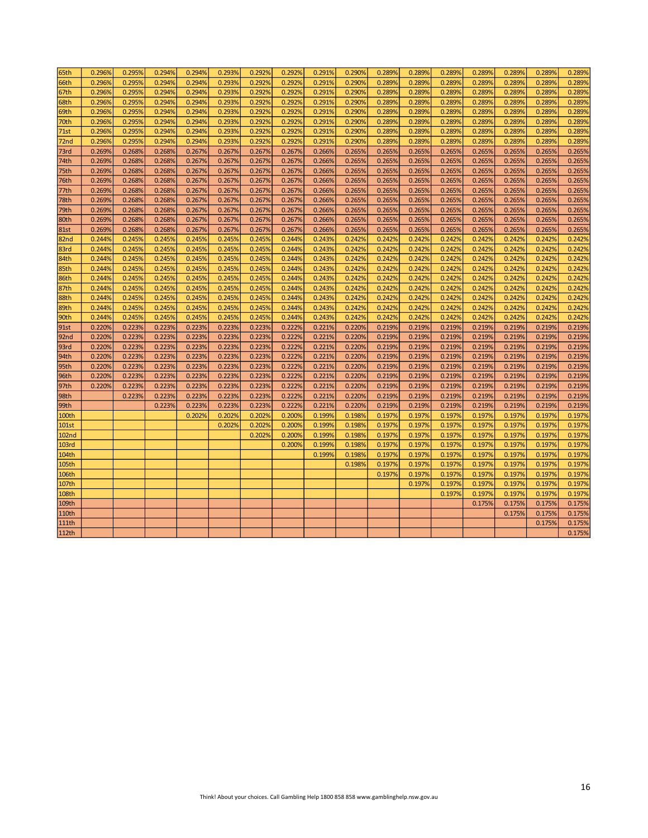| 65th              | 0.296% | 0.295% | 0.294% | 0.294% | 0.293% | 0.292% | 0.292% | 0.291% | 0.290% | 0.289% | 0.289% | 0.289% | 0.289% | 0.289% | 0.289% | 0.289% |
|-------------------|--------|--------|--------|--------|--------|--------|--------|--------|--------|--------|--------|--------|--------|--------|--------|--------|
| 66th              | 0.296% | 0.295% | 0.294% | 0.294% | 0.293% | 0.292% | 0.292% | 0.291% | 0.290% | 0.289% | 0.289% | 0.289% | 0.289% | 0.289% | 0.289% | 0.289% |
| 67th              | 0.296% | 0.295% | 0.294% | 0.294% | 0.293% | 0.292% | 0.292% | 0.291% | 0.290% | 0.289% | 0.289% | 0.289% | 0.289% | 0.289% | 0.289% | 0.289% |
| 68th              | 0.296% | 0.295% | 0.294% | 0.294% | 0.293% | 0.292% | 0.292% | 0.291% | 0.290% | 0.289% | 0.289% | 0.289% | 0.289% | 0.289% | 0.289% | 0.289% |
| 69th              | 0.296% | 0.295% | 0.294% | 0.294% | 0.293% | 0.292% | 0.292% | 0.291% | 0.290% | 0.289% | 0.289% | 0.289% | 0.289% | 0.289% | 0.289% | 0.289% |
| 70th              | 0.296% | 0.295% | 0.294% | 0.294% | 0.293% | 0.292% | 0.292% | 0.291% | 0.290% | 0.289% | 0.289% | 0.289% | 0.289% | 0.289% | 0.289% | 0.289% |
| 71st              | 0.296% | 0.295% | 0.294% | 0.294% | 0.293% | 0.292% | 0.292% | 0.291% | 0.290% | 0.289% | 0.289% | 0.289% | 0.289% | 0.289% | 0.289% | 0.289% |
| 72nd              | 0.296% | 0.295% | 0.294% | 0.294% | 0.293% | 0.292% | 0.292% | 0.291% | 0.290% | 0.289% | 0.289% | 0.289% | 0.289% | 0.289% | 0.289% | 0.289% |
| 73rd              | 0.269% | 0.268% | 0.268% | 0.267% | 0.267% | 0.267% | 0.267% | 0.266% | 0.265% | 0.265% | 0.265% | 0.265% | 0.265% | 0.265% | 0.265% | 0.265% |
| 74th              | 0.269% | 0.268% | 0.268% | 0.267% | 0.267% | 0.267% | 0.267% | 0.266% | 0.265% | 0.265% | 0.265% | 0.265% | 0.265% | 0.265% | 0.265% | 0.265% |
| 75th              | 0.269% | 0.268% | 0.268% | 0.267% | 0.267% | 0.267% | 0.267% | 0.266% | 0.265% | 0.265% | 0.265% | 0.265% | 0.265% | 0.265% | 0.265% | 0.265% |
| 76th              | 0.269% | 0.268% | 0.268% | 0.267% | 0.267% | 0.267% | 0.267% | 0.266% | 0.265% | 0.265% | 0.265% | 0.265% | 0.265% | 0.265% | 0.265% | 0.265% |
| 77th              | 0.269% | 0.268% | 0.268% | 0.267% | 0.267% | 0.267% | 0.267% | 0.266% | 0.265% | 0.265% | 0.265% | 0.265% | 0.265% | 0.265% | 0.265% | 0.265% |
| 78th              | 0.269% | 0.268% | 0.268% | 0.267% | 0.267% | 0.267% | 0.267% | 0.266% | 0.265% | 0.265% | 0.265% | 0.265% | 0.265% | 0.265% | 0.265% | 0.265% |
| 79th              | 0.269% | 0.268% | 0.268% | 0.267% | 0.267% | 0.267% | 0.267% | 0.266% | 0.265% | 0.265% | 0.265% | 0.265% | 0.265% | 0.265% | 0.265% | 0.265% |
| 80th              | 0.269% | 0.268% | 0.268% | 0.267% | 0.267% | 0.267% | 0.267% | 0.266% | 0.265% | 0.265% | 0.265% | 0.265% | 0.265% | 0.265% | 0.265% | 0.265% |
| <b>81st</b>       | 0.269% | 0.268% | 0.268% | 0.267% | 0.267% | 0.267% | 0.267% | 0.266% | 0.265% | 0.265% | 0.265% | 0.265% | 0.265% | 0.265% | 0.265% | 0.265% |
| 82nd              | 0.244% | 0.245% | 0.245% | 0.245% | 0.245% | 0.245% | 0.244% | 0.243% | 0.242% | 0.242% | 0.242% | 0.242% | 0.242% | 0.242% | 0.242% | 0.242% |
| 83rd              | 0.244% | 0.245% | 0.245% | 0.245% | 0.245% | 0.245% | 0.244% | 0.243% | 0.242% | 0.242% | 0.242% | 0.242% | 0.242% | 0.242% | 0.242% | 0.242% |
| 84th              | 0.244% | 0.245% | 0.245% | 0.245% | 0.245% | 0.245% | 0.244% | 0.243% | 0.242% | 0.242% | 0.242% | 0.242% | 0.242% | 0.242% | 0.242% | 0.242% |
| 85th              | 0.244% | 0.245% | 0.245% | 0.245% | 0.245% | 0.245% | 0.244% | 0.243% | 0.242% | 0.242% | 0.242% | 0.242% | 0.242% | 0.242% | 0.242% | 0.242% |
| 86th              | 0.244% | 0.245% | 0.245% | 0.245% | 0.245% | 0.245% | 0.244% | 0.243% | 0.242% | 0.242% | 0.242% | 0.242% | 0.242% | 0.242% | 0.242% | 0.242% |
| 87th              | 0.244% | 0.245% | 0.245% | 0.245% | 0.245% | 0.245% | 0.244% | 0.243% | 0.242% | 0.242% | 0.242% | 0.242% | 0.242% | 0.242% | 0.242% | 0.242% |
| 88th              | 0.244% | 0.245% | 0.245% | 0.245% | 0.245% | 0.245% | 0.244% | 0.243% | 0.242% | 0.242% | 0.242% | 0.242% | 0.242% | 0.242% | 0.242% | 0.242% |
| 89th              | 0.244% | 0.245% | 0.245% | 0.245% | 0.245% | 0.245% | 0.244% | 0.243% | 0.242% | 0.242% | 0.242% | 0.242% | 0.242% | 0.242% | 0.242% | 0.242% |
| 90th              | 0.244% | 0.245% | 0.245% | 0.245% | 0.245% | 0.245% | 0.244% | 0.243% | 0.242% | 0.242% | 0.242% | 0.242% | 0.242% | 0.242% | 0.242% | 0.242% |
| <b>91st</b>       | 0.220% | 0.223% | 0.223% | 0.223% | 0.223% | 0.223% | 0.222% | 0.221% | 0.220% | 0.219% | 0.219% | 0.219% | 0.219% | 0.219% | 0.219% | 0.219% |
| 92nd              | 0.220% | 0.223% | 0.223% | 0.223% | 0.223% | 0.223% | 0.222% | 0.221% | 0.220% | 0.219% | 0.219% | 0.219% | 0.219% | 0.219% | 0.219% | 0.219% |
| 93rd              | 0.220% | 0.223% | 0.223% | 0.223% | 0.223% | 0.223% | 0.222% | 0.221% | 0.220% | 0.219% | 0.219% | 0.219% | 0.219% | 0.219% | 0.219% | 0.219% |
| 94th              | 0.220% | 0.223% | 0.223% | 0.223% | 0.223% | 0.223% | 0.222% | 0.221% | 0.220% | 0.219% | 0.219% | 0.219% | 0.219% | 0.219% | 0.219% | 0.219% |
| 95th              | 0.220% | 0.223% | 0.223% | 0.223% | 0.223% | 0.223% | 0.222% | 0.221% | 0.220% | 0.219% | 0.219% | 0.219% | 0.219% | 0.219% | 0.219% | 0.219% |
| 96th              | 0.220% | 0.223% | 0.223% | 0.223% | 0.223% | 0.223% | 0.222% | 0.221% | 0.220% | 0.219% | 0.219% | 0.219% | 0.219% | 0.219% | 0.219% | 0.219% |
| 97th              | 0.220% | 0.223% | 0.223% | 0.223% | 0.223% | 0.223% | 0.222% | 0.221% | 0.220% | 0.219% | 0.219% | 0.219% | 0.219% | 0.219% | 0.219% | 0.219% |
| 98th              |        | 0.223% | 0.223% | 0.223% | 0.223% | 0.223% | 0.222% | 0.221% | 0.220% | 0.219% | 0.219% | 0.219% | 0.219% | 0.219% | 0.219% | 0.219% |
| 99th              |        |        | 0.223% | 0.223% | 0.223% | 0.223% | 0.222% | 0.221% | 0.220% | 0.219% | 0.219% | 0.219% | 0.219% | 0.219% | 0.219% | 0.219% |
| 100th             |        |        |        | 0.202% | 0.202% | 0.202% | 0.200% | 0.199% | 0.198% | 0.197% | 0.197% | 0.197% | 0.197% | 0.197% | 0.197% | 0.197% |
| <b>101st</b>      |        |        |        |        | 0.202% | 0.202% | 0.200% | 0.199% | 0.198% | 0.197% | 0.197% | 0.197% | 0.197% | 0.197% | 0.197% | 0.197% |
| 102 <sub>nd</sub> |        |        |        |        |        | 0.202% | 0.200% | 0.199% | 0.198% | 0.197% | 0.197% | 0.197% | 0.197% | 0.197% | 0.197% | 0.197% |
| <b>103rd</b>      |        |        |        |        |        |        | 0.200% | 0.199% | 0.198% | 0.197% | 0.197% | 0.197% | 0.197% | 0.197% | 0.197% | 0.197% |
| 104th             |        |        |        |        |        |        |        | 0.199% | 0.198% | 0.197% | 0.197% | 0.197% | 0.197% | 0.197% | 0.197% | 0.197% |
| 105th             |        |        |        |        |        |        |        |        | 0.198% | 0.197% | 0.197% | 0.197% | 0.197% | 0.197% | 0.197% | 0.197% |
| 106th             |        |        |        |        |        |        |        |        |        | 0.197% | 0.197% | 0.197% | 0.197% | 0.197% | 0.197% | 0.197% |
| 107th             |        |        |        |        |        |        |        |        |        |        | 0.197% | 0.197% | 0.197% | 0.197% | 0.197% | 0.197% |
| <b>108th</b>      |        |        |        |        |        |        |        |        |        |        |        | 0.197% | 0.197% | 0.197% | 0.197% | 0.197% |
| 109th             |        |        |        |        |        |        |        |        |        |        |        |        | 0.175% | 0.175% | 0.175% | 0.175% |
| 110th             |        |        |        |        |        |        |        |        |        |        |        |        |        | 0.175% | 0.175% | 0.175% |
| <b>111th</b>      |        |        |        |        |        |        |        |        |        |        |        |        |        |        | 0.175% | 0.175% |
| 112th             |        |        |        |        |        |        |        |        |        |        |        |        |        |        |        | 0.175% |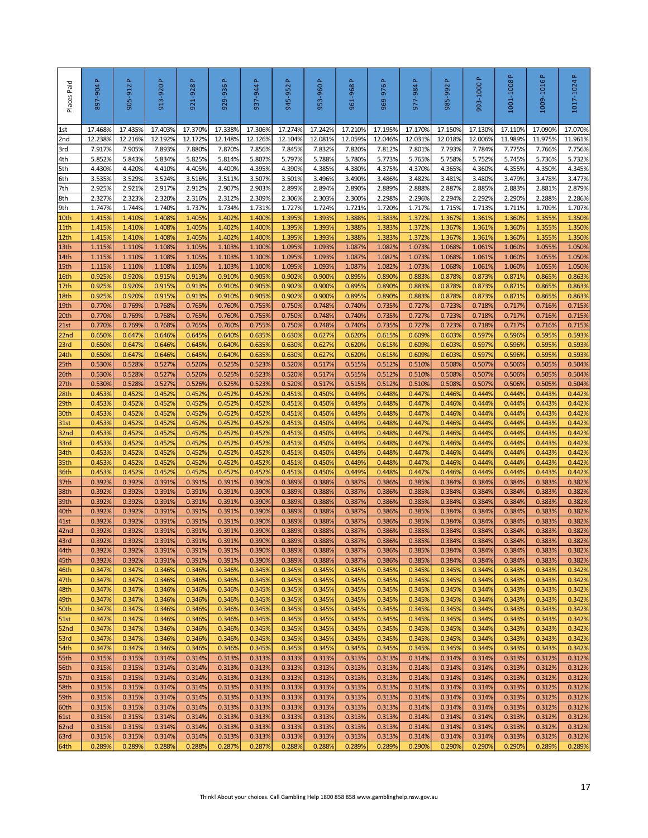| Places Paid              | 897-904 P         | a,<br>905-912     | 913-920P          | 921-928P          | 929-936 P         | 937-944 P         | Δ.<br>945-952     | 953-960P          | 961-968 P         | 969-976P                                                                               | 977-984 P         | $\Delta$<br>985-992 | Δ.<br>993-1000    | Δ.<br>1001-1008   | 1009-1016P        | 1017-1024P        |
|--------------------------|-------------------|-------------------|-------------------|-------------------|-------------------|-------------------|-------------------|-------------------|-------------------|----------------------------------------------------------------------------------------|-------------------|---------------------|-------------------|-------------------|-------------------|-------------------|
| 1st                      | 17.4689           | 17.435%           | 17.403%           | 17.370%           | 17.338%           | 17.306%           | 17.274%           | 17.242%           | 17.210%           | 17.195%                                                                                | 17.170%           | 17.150%             | 17.130%           | 17.110%           | 17.090%           | 17.070%           |
| 2nd<br>3rd               | 12.2389<br>7.917% | 12.216%<br>7.905% | 12.192%<br>7.893% | 12.172%<br>7.880% | 12.148%<br>7.870% | 12.126%<br>7.856% | 12.104%<br>7.845% | 12.081%<br>7.832% | 12.059%<br>7.820% | 12.046%<br>7.812%                                                                      | 12.031%<br>7.801% | 12.0189<br>7.793%   | 12.006%<br>7.784% | 11.989%<br>7.775% | 11.975%<br>7.766% | 11.961%<br>7.756% |
| 4th                      | 5.852%            | 5.843%            | 5.834%            | 5.825%            | 5.814%            | 5.807%            | 5.797%            | 5.788%            | 5.780%            | 5.773%                                                                                 | 5.765%            | 5.758%              | 5.752%            | 5.745%            | 5.736%            | 5.732%            |
| 5th                      | 4.430%            | 4.420%            | 4.410%            | 4.405%            | 4.400%            | 4.395%            | 4.390%            | 4.385%            | 4.380%            | 4.375%                                                                                 | 4.370%            | 4.365%              | 4.360%            | 4.355%            | 4.350%            | 4.345%            |
| 6th                      | 3.535%            | 3.529%            | 3.524%            | 3.516%            | 3.511%            | 3.507%            | 3.501%            | 3.496%            | 3.490%            | 3.486%                                                                                 | 3.482%            | 3.481%              | 3.480%            | 3.479%            | 3.478%            | 3.477%            |
| 7th<br>8th               | 2.925%<br>2.327%  | 2.921%<br>2.323%  | 2.917%<br>2.320%  | 2.912%<br>2.316%  | 2.907%<br>2.312%  | 2.903%<br>2.309%  | 2.899%<br>2.306%  | 2.894%<br>2.303%  | 2.890%<br>2.300%  | 2.889%<br>2.298%                                                                       | 2.888%<br>2.296%  | 2.887%<br>2.294%    | 2.885%<br>2.292%  | 2.883%<br>2.290%  | 2.881%<br>2.288%  | 2.879%<br>2.286%  |
| 9th                      | 1.747%            | 1.744%            | 1.740%            | 1.737%            | 1.734%            | 1.731%            | 1.727%            | 1.724%            | 1.721%            | 1.720%                                                                                 | 1.717%            | 1.715%              | 1.713%            | 1.711%            | 1.709%            | 1.707%            |
| 10th                     | 1.415%            | 1.410%            | 1.408%            | 1.405%            | 1.402%            | 1.400%            | 1.395%            | 1.393%            | 1.388%            | 1.383%                                                                                 | 1.372%            | 1.367%              | 1.361%            | 1.360%            | 1.355%            | 1.350%            |
| 11th                     | 1.415%            | 1.410%            | 1.408%            | 1.405%            | 1.402%            | 1.400%            | 1.395%            | 1.393%            | 1.3889            | 1.383%                                                                                 | 1.372%            | 1.3679              | 1.361%            | 1.360%            | 1.355%            | 1.350%            |
| 12th                     | 1.415%            | 1.410%            | 1.408%            | 1.405%            | 1.402%            | 1.400%            | 1.395%            | 1.393%            | 1.3889            | 1.383%                                                                                 | 1.372%            | 1.3679              | 1.361%            | 1.360%            | 1.355%            | 1.350%            |
| 13th<br>14th             | 1.115%<br>1.115%  | 1.110%<br>1.110%  | 1.1089<br>1.108%  | 1.105%<br>1.105%  | 1.103%<br>1.103%  | 1.100%<br>1.100%  | 1.095%<br>1.095%  | 1.093%<br>1.093%  | 1.087%<br>1.087%  | 1.082%<br>1.082%                                                                       | 1.073%<br>1.073%  | 1.0689<br>1.0689    | 1.061%<br>1.061%  | 1.060%<br>1.060%  | 1.055%<br>1.055%  | 1.050%<br>1.050%  |
| 15th                     | 1.115%            | 1.110%            | 1.108%            | 1.105%            | 1.103%            | 1.100%            | 1.095%            | 1.093%            | 1.087%            | 1.082%                                                                                 | 1.073%            | 1.0689              | 1.061%            | 1.060%            | 1.055%            | 1.050%            |
| 16th                     | 0.925%            | 0.920%            | 0.915%            | 0.913%            | 0.910%            | 0.905%            | 0.902%            | 0.900%            | 0.895%            | 0.890%                                                                                 | 0.883%            | 0.878%              | 0.873%            | 0.871%            | 0.865%            | 0.863%            |
| 17th                     | 0.925%            | 0.920%            | 0.915%            | 0.913%            | 0.910%            | 0.905%            | 0.902%            | 0.900%            | 0.895%            | 0.890%                                                                                 | 0.883%            | 0.878%              | 0.873%            | 0.871%            | 0.865%            | 0.863%            |
| 18th<br>19th             | 0.925%<br>0.770%  | 0.920%<br>0.769%  | 0.915%<br>0.768%  | 0.913%<br>0.765%  | 0.910%<br>0.760%  | 0.905%<br>0.755%  | 0.902%<br>0.750%  | 0.900%<br>0.748%  | 0.895%<br>0.740%  | 0.890%<br>0.735%                                                                       | 0.883%<br>0.727%  | 0.878%<br>0.723%    | 0.873%<br>0.718%  | 0.871%<br>0.717%  | 0.865%<br>0.716%  | 0.863%<br>0.715%  |
| 20th                     | 0.770%            | 0.769%            | 0.768%            | 0.765%            | 0.760%            | 0.755%            | 0.750%            | 0.748%            | 0.740%            | 0.735%                                                                                 | 0.727%            | 0.723%              | 0.718%            | 0.717%            | 0.716%            | 0.715%            |
| 21st                     | 0.770%            | 0.769%            | 0.768%            | 0.765%            | 0.760%            | 0.755%            | 0.750%            | 0.748%            | 0.740%            | 0.735%                                                                                 | 0.727%            | 0.723%              | 0.718%            | 0.717%            | 0.716%            | 0.715%            |
| 22 <sub>nd</sub>         | 0.650%            | 0.647%            | 0.646%            | 0.645%            | 0.640%            | 0.635%            | 0.630%            | 0.627%            | 0.620%            | 0.615%                                                                                 | 0.609%            | 0.603%              | 0.597%            | 0.596%            | 0.595%            | 0.593%            |
| 23rd                     | 0.650%            | 0.647%            | 0.646%            | 0.645%            | 0.640%            | 0.635%            | 0.630%            | 0.627%            | 0.620%            | 0.615%                                                                                 | 0.609%            | 0.603%              | 0.597%            | 0.596%            | 0.595%            | 0.593%            |
| 24th<br>25 <sub>th</sub> | 0.650%<br>0.530%  | 0.647%<br>0.528%  | 0.646%<br>0.527%  | 0.645%<br>0.526%  | 0.640%<br>0.525%  | 0.635%<br>0.523%  | 0.630%<br>0.520%  | 0.627%<br>0.517%  | 0.620%<br>0.515%  | 0.615%<br>0.512%                                                                       | 0.609%<br>0.510%  | 0.603%<br>0.508%    | 0.597%<br>0.507%  | 0.596%<br>0.506%  | 0.595%<br>0.505%  | 0.593%<br>0.504%  |
| 26th                     | 0.530%            | 0.528%            | 0.527%            | 0.526%            | 0.525%            | 0.523%            | 0.520%            | 0.517%            | 0.515%            | 0.512%                                                                                 | 0.510%            | 0.5089              | 0.507%            | 0.506%            | 0.505%            | 0.504%            |
| 27th                     | 0.530%            | 0.528%            | 0.527%            | 0.526%            | 0.525%            | 0.523%            | 0.520%            | 0.517%            | 0.515%            | 0.512%                                                                                 | 0.510%            | 0.508%              | 0.507%            | 0.506%            | 0.505%            | 0.504%            |
| 28th                     | 0.453%            | 0.452%            | 0.452%            | 0.452%            | 0.452%            | 0.452%            | 0.451%            | 0.450%            | 0.449%            | 0.448%                                                                                 | 0.447%            | 0.446%              | 0.444%            | 0.444%            | 0.443%            | 0.442%            |
| 29th                     | 0.453%<br>0.453%  | 0.452%            | 0.452%<br>0.452%  | 0.452%<br>0.452%  | 0.452%<br>0.452%  | 0.452%<br>0.452%  | 0.451%<br>0.451%  | 0.450%<br>0.450%  | 0.449%<br>0.449%  | 0.448%<br>0.448%                                                                       | 0.447%<br>0.447%  | 0.446%<br>0.446%    | 0.444%<br>0.444%  | 0.444%<br>0.444%  | 0.443%<br>0.443%  | 0.442%<br>0.442%  |
| 30 <sub>th</sub><br>31st | 0.453%            | 0.452%<br>0.452%  | 0.452%            | 0.452%            | 0.452%            | 0.452%            | 0.451%            | 0.450%            | 0.449%            | 0.448%                                                                                 | 0.447%            | 0.446%              | 0.444%            | 0.444%            | 0.443%            | 0.442%            |
| 32 <sub>nd</sub>         | 0.453%            | 0.452%            | 0.452%            | 0.452%            | 0.452%            | 0.452%            | 0.451%            | 0.450%            | 0.449%            | 0.448%                                                                                 | 0.447%            | 0.446%              | 0.444%            | 0.444%            | 0.443%            | 0.442%            |
| 33rd                     | 0.453%            | 0.452%            | 0.452%            | 0.452%            | 0.452%            | 0.452%            | 0.451%            | 0.450%            | 0.449%            | 0.448%                                                                                 | 0.447%            | 0.446%              | 0.444%            | 0.444%            | 0.443%            | 0.442%            |
| 34th                     | 0.453%            | 0.452%            | 0.452%            | 0.452%            | 0.452%            | 0.452%            | 0.451%            | 0.450%            | 0.449%            | 0.448%                                                                                 | 0.447%            | 0.446%              | 0.444%            | 0.444%            | 0.443%            | 0.442%            |
| 35th<br>36th             | 0.453%<br>0.453%  | 0.452%<br>0.452%  | 0.452%<br>0.452%  | 0.452%<br>0.452%  | 0.452%<br>0.452%  | 0.452%<br>0.452%  | 0.451%<br>0.451%  | 0.450%<br>0.450%  | 0.449%<br>0.449%  | 0.448%<br>0.448%                                                                       | 0.447%<br>0.447%  | 0.446%<br>0.446%    | 0.444%<br>0.444%  | 0.444%<br>0.444%  | 0.443%<br>0.443%  | 0.442%<br>0.442%  |
| 37th                     | 0.392%            | 0.392%            | 0.391%            | 0.391%            | 0.391%            | 0.390%            | 0.389%            | 0.388%            | 0.387%            | 0.386%                                                                                 | 0.385%            | 0.3849              | 0.384%            | 0.384%            | 0.383%            | 0.382%            |
| 38th                     | 0.392%            | 0.392%            | 0.391%            | 0.391%            | 0.391%            | 0.390%            | 0.389%            | 0.388%            | 0.387%            | 0.386%                                                                                 | 0.385%            | 0.384%              | 0.384%            | 0.384%            | 0.383%            | 0.382%            |
| 39th                     | 0.392%            | 0.392%            | 0.391%            | 0.391%            | 0.391%            | 0.390%            | 0.389%            | 0.388%            | 0.387%            | 0.386%                                                                                 | 0.385%            | 0.384%              | 0.384%            | 0.384%            | 0.383%            | 0.382%            |
| 40th<br>41st             | 0.392%<br>0.392%  | 0.392%<br>0.392%  | 0.391%<br>0.391%  | 0.391%<br>0.391%  | 0.391%<br>0.391%  | 0.390%<br>0.390%  | 0.389%<br>0.389%  | 0.388%<br>0.388%  | 0.387%<br>0.387%  | 0.386%<br>0.386%                                                                       | 0.385%<br>0.385%  | 0.384%<br>0.384%    | 0.384%<br>0.384%  | 0.384%<br>0.384%  | 0.383%<br>0.383%  | 0.382%<br>0.382%  |
| 42nd                     | 0.392%            | 0.392%            | 0.391%            | 0.391%            | 0.391%            | 0.390%            | 0.389%            | 0.388%            | 0.387%            | 0.386%                                                                                 | 0.385%            | 0.384%              | 0.384%            | 0.384%            | 0.383%            | 0.382%            |
| 43rd                     | 0.392%            | 0.392%            | 0.391%            | 0.391%            | 0.391%            | 0.390%            | 0.389%            | 0.388%            | 0.387%            | 0.386%                                                                                 | 0.385%            | 0.384%              | 0.384%            | 0.384%            | 0.383%            | 0.382%            |
| 44th                     | 0.392%            | 0.392%            | 0.391%            | 0.391%            | 0.391%            | 0.390%            | 0.389%            | 0.388%            | 0.387%            | 0.386%                                                                                 | 0.385%            | 0.384%              | 0.384%            | 0.384%            | 0.383%            | 0.382%            |
| 45th<br>46th             | 0.392%<br>0.347%  | 0.392%<br>0.347%  | 0.391%<br>0.346%  | 0.391%<br>0.346%  | 0.391%<br>0.346%  | 0.390%<br>0.345%  | 0.389%<br>0.345%  | 0.388%<br>0.345%  | 0.387%<br>0.345%  | 0.386%<br>0.345%                                                                       | 0.385%<br>0.345%  | 0.384%<br>0.345%    | 0.384%<br>0.344%  | 0.384%<br>0.343%  | 0.383%<br>0.343%  | 0.382%<br>0.342%  |
| 47th                     | 0.347%            | 0.347%            | 0.346%            | 0.346%            | 0.346%            | 0.345%            | 0.345%            | 0.345%            | 0.345%            | 0.345%                                                                                 | 0.345%            | 0.345%              | 0.344%            | 0.343%            | 0.343%            | 0.342%            |
| 48th                     | 0.347%            | 0.347%            | 0.346%            | 0.346%            | 0.346%            | 0.345%            | 0.345%            | 0.345%            | 0.345%            | 0.345%                                                                                 | 0.345%            | 0.345%              | 0.344%            | 0.343%            | 0.343%            | 0.342%            |
| 49th                     | 0.347%            | 0.347%            | 0.346%            | 0.346%            | 0.346%            | 0.345%            | 0.345%            | 0.345%            | 0.345%            | 0.345%                                                                                 | 0.345%            | 0.345%              | 0.344%            | 0.343%            | 0.343%            | 0.342%            |
| 50th<br>51st             | 0.347%<br>0.347%  | 0.347%<br>0.347%  | 0.346%<br>0.346%  | 0.346%<br>0.346%  | 0.346%<br>0.346%  | 0.345%<br>0.345%  | 0.345%<br>0.345%  | 0.345%<br>0.345%  | 0.345%<br>0.345%  | 0.345%<br>0.345%                                                                       | 0.345%<br>0.345%  | 0.345%<br>0.345%    | 0.344%<br>0.344%  | 0.343%<br>0.343%  | 0.343%<br>0.343%  | 0.342%<br>0.342%  |
| 52nd                     | 0.347%            | 0.347%            | 0.346%            | 0.346%            | 0.346%            | 0.345%            | 0.345%            | 0.345%            | 0.345%            | 0.345%                                                                                 | 0.345%            | 0.345%              | 0.344%            | 0.343%            | 0.343%            | 0.342%            |
| 53rd                     | 0.347%            | 0.347%            | 0.346%            | 0.346%            | 0.346%            | 0.345%            | 0.345%            | 0.345%            | 0.345%            | 0.345%                                                                                 | 0.345%            | 0.345%              | 0.344%            | 0.343%            | 0.343%            | 0.342%            |
| 54th                     | 0.347%            | 0.347%            | 0.346%            | 0.346%            | 0.346%            | 0.345%            | 0.345%            | 0.345%            | 0.345%            | 0.345%                                                                                 | 0.345%            | 0.345%              | 0.344%            | 0.343%            | 0.343%            | 0.342%            |
| 55th                     | 0.315%<br>0.315%  | 0.315%<br>0.315%  | 0.314%<br>0.314%  | 0.314%<br>0.314%  | 0.313%<br>0.313%  | 0.313%<br>0.313%  | 0.313%<br>0.313%  | 0.313%<br>0.313%  | 0.313%<br>0.313%  | 0.313%<br>0.313%                                                                       | 0.314%<br>0.314%  | 0.314%<br>0.314%    | 0.314%<br>0.314%  | 0.313%<br>0.313%  | 0.312%<br>0.312%  | 0.312%<br>0.312%  |
| 56th<br>57th             | 0.315%            | 0.315%            | 0.314%            | 0.314%            | 0.313%            | 0.313%            | 0.313%            | 0.313%            | 0.313%            | 0.313%                                                                                 | 0.314%            | 0.314%              | 0.314%            | 0.313%            | 0.312%            | 0.312%            |
| 58th                     | 0.315%            | 0.315%            | 0.314%            | 0.314%            | 0.313%            | 0.313%            | 0.313%            | 0.313%            | 0.313%            | 0.313%                                                                                 | 0.314%            | 0.314%              | 0.314%            | 0.313%            | 0.312%            | 0.312%            |
| 59th                     | 0.315%            | 0.315%            | 0.314%            | 0.314%            | 0.313%            | 0.313%            | 0.313%            | 0.313%            | 0.313%            | 0.313%                                                                                 | 0.314%            | 0.314%              | 0.314%            | 0.313%            | 0.312%            | 0.312%            |
| 60th                     | 0.315%            | 0.315%            | 0.314%            | 0.314%            | 0.313%            | 0.313%            | 0.313%            | 0.313%            | 0.313%            | 0.313%                                                                                 | 0.314%            | 0.314%              | 0.314%            | 0.313%            | 0.312%            | 0.312%            |
| 61st<br>62nd             | 0.315%<br>0.315%  | 0.315%<br>0.315%  | 0.314%<br>0.314%  | 0.314%<br>0.314%  | 0.313%<br>0.313%  | 0.313%<br>0.313%  | 0.313%<br>0.313%  | 0.313%<br>0.313%  | 0.313%<br>0.313%  | 0.313%<br>0.313%                                                                       | 0.314%<br>0.314%  | 0.314%<br>0.314%    | 0.314%<br>0.314%  | 0.313%<br>0.313%  | 0.312%<br>0.312%  | 0.312%<br>0.312%  |
| 63rd                     | 0.315%            | 0.315%            | 0.314%            | 0.314%            | 0.313%            | 0.313%            | 0.313%            | 0.313%            | 0.313%            | 0.313%                                                                                 | 0.314%            | 0.314%              | 0.314%            | 0.313%            | 0.312%            | 0.312%            |
| 64th                     | 0.289%            | 0.289%            | 0.288%            | 0.288%            | 0.287%            | 0.287%            | 0.288%            | 0.288%            | 0.289%            | 0.289%                                                                                 | 0.290%            | 0.290%              | 0.290%            | 0.290%            | 0.289%            | 0.289%            |
|                          |                   |                   |                   |                   |                   |                   |                   |                   |                   | Think! About your choices. Call Gambling Help 1800 858 858 www.gamblinghelp.nsw.gov.au |                   |                     |                   |                   |                   | 17                |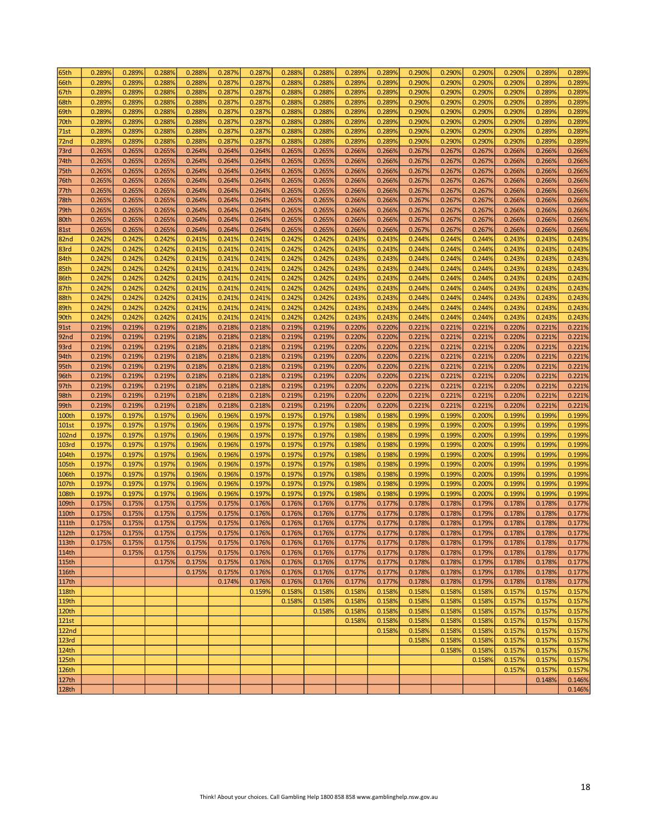| 65th              | 0.289% | 0.289% | 0.288% | 0.288% | 0.287% | 0.287%           | 0.288%           | 0.288% | 0.289% | 0.289% | 0.290%           | 0.290% | 0.290% | 0.290%           | 0.289%           | 0.289% |
|-------------------|--------|--------|--------|--------|--------|------------------|------------------|--------|--------|--------|------------------|--------|--------|------------------|------------------|--------|
| 66th              | 0.289% | 0.289% | 0.288% | 0.288% | 0.287% | 0.287%           | 0.288%           | 0.288% | 0.289% | 0.289% | 0.290%           | 0.290% | 0.290% | 0.290%           | 0.289%           | 0.289% |
| 67th              | 0.289% | 0.289% | 0.288% | 0.288% | 0.287% | 0.287%           | 0.288%           | 0.288% | 0.289% | 0.289% | 0.290%           | 0.290% | 0.290% | 0.290%           | 0.289%           | 0.289% |
| 68th              | 0.289% | 0.289% | 0.288% | 0.288% | 0.287% | 0.287%           | 0.288%           | 0.288% | 0.289% | 0.289% | 0.290%           | 0.290% | 0.290% | 0.290%           | 0.289%           | 0.289% |
| 69th              | 0.289% | 0.289% | 0.288% | 0.288% | 0.287% | 0.287%           | 0.288%           | 0.288% | 0.289% | 0.289% | 0.290%           | 0.290% | 0.290% | 0.290%           | 0.289%           | 0.289% |
| 70th              | 0.289% | 0.289% | 0.288% | 0.288% | 0.287% | 0.287%           | 0.288%           | 0.288% | 0.289% | 0.289% | 0.290%           | 0.290% | 0.290% | 0.290%           | 0.289%           | 0.289% |
| 71st              | 0.289% | 0.289% | 0.288% | 0.288% | 0.287% | 0.287%           | 0.288%           | 0.288% | 0.289% | 0.289% | 0.290%           | 0.290% | 0.290% | 0.290%           | 0.289%           | 0.289% |
| 72nd              | 0.289% | 0.289% | 0.288% | 0.288% | 0.287% | 0.287%           | 0.288%           | 0.288% | 0.289% | 0.289% | 0.290%           | 0.290% | 0.290% | 0.290%           | 0.289%           | 0.289% |
| 73rd              | 0.265% | 0.265% | 0.265% | 0.264% | 0.264% | 0.264%           | 0.265%           | 0.265% | 0.266% | 0.266% | 0.267%           | 0.267% | 0.267% | 0.266%           | 0.266%           | 0.266% |
| 74th              | 0.265% | 0.265% | 0.265% | 0.264% | 0.264% | 0.264%           | 0.265%           | 0.265% | 0.266% | 0.266% | 0.267%           | 0.267% | 0.267% | 0.266%           | 0.266%           | 0.266% |
| 75th              | 0.265% | 0.265% | 0.265% | 0.264% | 0.264% | 0.264%           | 0.265%           | 0.265% | 0.266% | 0.266% | 0.267%           | 0.267% | 0.267% | 0.266%           | 0.266%           | 0.266% |
| 76th              | 0.265% | 0.265% | 0.265% | 0.264% | 0.264% | 0.264%           | 0.265%           | 0.265% | 0.266% | 0.266% | 0.267%           | 0.267% | 0.267% | 0.266%           | 0.266%           | 0.266% |
|                   |        |        |        |        |        |                  |                  |        |        |        |                  |        |        |                  |                  |        |
| 77th              | 0.265% | 0.265% | 0.265% | 0.264% | 0.264% | 0.264%           | 0.265%           | 0.265% | 0.266% | 0.266% | 0.267%           | 0.267% | 0.267% | 0.266%           | 0.266%           | 0.266% |
| 78th              | 0.265% | 0.265% | 0.265% | 0.264% | 0.264% | 0.264%           | 0.265%           | 0.265% | 0.266% | 0.266% | 0.267%           | 0.267% | 0.267% | 0.266%           | 0.266%           | 0.266% |
| 79th              | 0.265% | 0.265% | 0.265% | 0.264% | 0.264% | 0.264%           | 0.265%           | 0.265% | 0.266% | 0.266% | 0.267%           | 0.267% | 0.267% | 0.266%           | 0.266%           | 0.266% |
| 80th              | 0.265% | 0.265% | 0.265% | 0.264% | 0.264% | 0.264%           | 0.265%           | 0.265% | 0.266% | 0.266% | 0.267%           | 0.267% | 0.267% | 0.266%           | 0.266%           | 0.266% |
| <b>81st</b>       | 0.265% | 0.265% | 0.265% | 0.264% | 0.264% | 0.264%           | 0.265%           | 0.265% | 0.266% | 0.266% | 0.267%           | 0.267% | 0.267% | 0.266%           | 0.266%           | 0.266% |
| 82nd              | 0.242% | 0.242% | 0.242% | 0.241% | 0.241% | 0.241%           | 0.242%           | 0.242% | 0.243% | 0.243% | 0.244%           | 0.244% | 0.244% | 0.243%           | 0.243%           | 0.243% |
| 83rd              | 0.242% | 0.242% | 0.242% | 0.241% | 0.241% | 0.241%           | 0.242%           | 0.242% | 0.243% | 0.243% | 0.244%           | 0.244% | 0.244% | 0.243%           | 0.243%           | 0.243% |
| 84th              | 0.242% | 0.242% | 0.242% | 0.241% | 0.241% | 0.241%           | 0.242%           | 0.242% | 0.243% | 0.243% | 0.244%           | 0.244% | 0.244% | 0.243%           | 0.243%           | 0.243% |
| 85th              | 0.242% | 0.242% | 0.242% | 0.241% | 0.241% | 0.241%           | 0.242%           | 0.242% | 0.243% | 0.243% | 0.244%           | 0.244% | 0.244% | 0.243%           | 0.243%           | 0.243% |
| 86th              | 0.242% | 0.242% | 0.242% | 0.241% | 0.241% | 0.241%           | 0.242%           | 0.242% | 0.243% | 0.243% | 0.244%           | 0.244% | 0.244% | 0.243%           | 0.243%           | 0.243% |
| 87th              | 0.242% | 0.242% | 0.242% | 0.241% | 0.241% | 0.241%           | 0.242%           | 0.242% | 0.243% | 0.243% | 0.244%           | 0.244% | 0.244% | 0.243%           | 0.243%           | 0.243% |
| 88th              | 0.2429 | 0.242% | 0.242% | 0.241% | 0.241% | 0.241%           | 0.242%           | 0.242% | 0.243% | 0.243% | 0.244%           | 0.244% | 0.244% | 0.243%           | 0.243%           | 0.243% |
| 89th              | 0.242% | 0.242% | 0.242% | 0.241% | 0.241% | 0.241%           | 0.242%           | 0.242% | 0.243% | 0.243% | 0.244%           | 0.244% | 0.244% | 0.243%           | 0.243%           | 0.243% |
| 90th              | 0.242% | 0.242% | 0.242% | 0.241% | 0.241% | 0.241%           | 0.242%           | 0.242% | 0.243% | 0.243% | 0.244%           | 0.244% | 0.244% | 0.243%           | 0.243%           | 0.243% |
| 91st              | 0.219% | 0.219% | 0.219% | 0.218% | 0.218% | 0.218%           | 0.219%           | 0.219% | 0.220% | 0.220% | 0.221%           | 0.221% | 0.221% | 0.220%           | 0.221%           | 0.221% |
| 92 <sub>nd</sub>  | 0.219% | 0.219% | 0.219% | 0.218% | 0.218% | 0.218%           | 0.219%           | 0.219% | 0.220% | 0.220% | 0.221%           | 0.221% | 0.221% | 0.220%           | 0.221%           | 0.221% |
| 93rd              | 0.219% | 0.219% | 0.219% | 0.218% | 0.218% | 0.218%           | 0.219%           | 0.219% | 0.220% | 0.220% | 0.221%           | 0.221% | 0.221% | 0.220%           | 0.221%           | 0.221% |
| 94th              | 0.219% | 0.219% | 0.219% | 0.218% | 0.218% | 0.218%           | 0.219%           | 0.219% | 0.220% | 0.220% | 0.221%           | 0.221% | 0.221% | 0.220%           | 0.221%           | 0.221% |
| 95th              | 0.219% | 0.219% | 0.219% | 0.218% | 0.218% | 0.218%           | 0.219%           | 0.219% | 0.220% | 0.220% | 0.221%           | 0.221% | 0.221% | 0.220%           | 0.221%           | 0.221% |
| 96th              | 0.219% | 0.219% | 0.219% | 0.218% | 0.218% | 0.218%           | 0.219%           | 0.219% | 0.220% | 0.220% | 0.221%           | 0.221% | 0.221% | 0.220%           | 0.221%           | 0.221% |
| 97th              | 0.219% | 0.219% | 0.219% | 0.218% | 0.218% | 0.218%           | 0.219%           | 0.219% | 0.220% | 0.220% | 0.221%           | 0.221% | 0.221% | 0.220%           | 0.221%           | 0.221% |
| 98th              | 0.219% | 0.219% | 0.219% | 0.218% | 0.218% | 0.218%           | 0.219%           | 0.219% | 0.220% | 0.220% | 0.221%           | 0.221% | 0.221% | 0.220%           | 0.221%           | 0.221% |
| 99th              | 0.219% | 0.219% | 0.219% | 0.218% | 0.218% | 0.218%           | 0.219%           | 0.219% | 0.220% | 0.220% | 0.221%           | 0.221% | 0.221% | 0.220%           | 0.221%           | 0.221% |
| 100th             | 0.1979 | 0.197% | 0.197% | 0.196% | 0.196% | 0.197%           | 0.197%           | 0.197% | 0.198% | 0.198% | 0.199%           | 0.1999 | 0.200% | 0.199%           | 0.199%           | 0.199% |
| <b>101st</b>      | 0.197% | 0.197% | 0.197% | 0.196% | 0.196% | 0.197%           | 0.197%           | 0.197% | 0.198% | 0.198% | 0.199%           | 0.199% | 0.200% | 0.199%           | 0.199%           | 0.199% |
| <b>102nd</b>      | 0.197% | 0.197% | 0.197% | 0.196% | 0.196% | 0.197%           | 0.197%           | 0.197% | 0.198% | 0.198% | 0.199%           | 0.199% | 0.200% | 0.199%           | 0.199%           | 0.199% |
| 103rd             | 0.197% | 0.197% | 0.197% | 0.196% | 0.196% | 0.197%           | 0.197%           | 0.197% | 0.198% | 0.198% | 0.199%           | 0.199% | 0.200% | 0.199%           | 0.199%           | 0.199% |
| 104th             | 0.197% | 0.197% | 0.197% | 0.196% | 0.196% | 0.197%           | 0.197%           | 0.197% | 0.198% | 0.198% | 0.199%           | 0.199% | 0.200% | 0.199%           | 0.199%           | 0.199% |
| 105th             | 0.197% | 0.197% | 0.197% | 0.196% | 0.196% | 0.197%           | 0.197%           | 0.197% | 0.198% | 0.198% | 0.199%           | 0.199% | 0.200% | 0.199%           | 0.199%           | 0.199% |
| 106th             | 0.197% | 0.197% | 0.197% | 0.196% | 0.196% | 0.197%           | 0.197%           | 0.197% | 0.198% | 0.198% | 0.199%           | 0.199% | 0.200% | 0.199%           | 0.199%           | 0.199% |
| 107th             | 0.197% | 0.197% | 0.197% | 0.196% | 0.196% | 0.197%           | 0.197%           | 0.197% | 0.198% | 0.198% | 0.199%           | 0.199% | 0.200% | 0.199%           | 0.199%           | 0.199% |
| <b>108th</b>      | 0.197% | 0.197% | 0.197% | 0.196% | 0.196% | 0.197%           | 0.197%           | 0.197% | 0.198% | 0.198% | 0.199%           | 0.199% | 0.200% | 0.199%           | 0.199%           | 0.199% |
| 109th             | 0.175% | 0.175% | 0.175% | 0.175% | 0.175% | 0.176%           | 0.176%           | 0.176% | 0.177% | 0.177% | 0.178%           | 0.178% | 0.179% | 0.178%           | 0.178%           | 0.177% |
| 110th             | 0.175% | 0.175% | 0.175% | 0.175% | 0.175% | 0.176%           | 0.176%           | 0.176% | 0.177% | 0.177% | 0.178%           | 0.178% | 0.179% | 0.178%           | 0.178%           | 0.177% |
| 111th             | 0.175% | 0.175% | 0.175% | 0.175% | 0.175% | 0.176%           | 0.176%           | 0.176% | 0.177% | 0.177% | 0.178%           | 0.1789 | 0.179% | 0.178%           | 0.178%           | 0.177% |
| <b>112th</b>      | 0.175% | 0.175% | 0.175% | 0.175% | 0.175% | 0.176%           | 0.176%           | 0.176% | 0.177% | 0.177% | 0.178%           | 0.178% | 0.179% | 0.178%           | 0.178%           | 0.177% |
| 113th             | 0.175% | 0.175% | 0.175% | 0.175% | 0.175% | 0.176%           | 0.176%           | 0.176% | 0.177% | 0.177% | 0.178%           | 0.178% | 0.179% | 0.178%           | 0.178%           | 0.177% |
| 114th             |        | 0.175% | 0.175% | 0.175% | 0.175% | 0.176%           | 0.176%           | 0.176% | 0.177% | 0.177% | 0.178%           | 0.178% | 0.179% | 0.178%           | 0.178%           | 0.177% |
| <b>115th</b>      |        |        | 0.175% | 0.175% | 0.175% | 0.176%           | 0.176%           | 0.176% | 0.177% | 0.177% | 0.178%           | 0.178% | 0.179% | 0.178%           | 0.178%           | 0.177% |
| 116th             |        |        |        | 0.175% | 0.175% | 0.176%           | 0.176%           | 0.176% | 0.177% | 0.177% | 0.178%           | 0.178% | 0.179% | 0.178%           | 0.178%           | 0.177% |
|                   |        |        |        |        |        |                  |                  | 0.176% | 0.177% | 0.177% |                  |        | 0.179% |                  |                  |        |
| 117th<br>118th    |        |        |        |        | 0.174% | 0.176%<br>0.159% | 0.176%<br>0.158% | 0.158% | 0.158% | 0.158% | 0.178%<br>0.158% | 0.178% | 0.158% | 0.178%<br>0.157% | 0.178%<br>0.157% | 0.177% |
|                   |        |        |        |        |        |                  |                  |        |        |        |                  | 0.158% |        |                  |                  | 0.157% |
| 119 <sub>th</sub> |        |        |        |        |        |                  | 0.158%           | 0.158% | 0.158% | 0.158% | 0.158%           | 0.158% | 0.158% | 0.157%           | 0.157%           | 0.157% |
| 120th             |        |        |        |        |        |                  |                  | 0.158% | 0.158% | 0.158% | 0.158%           | 0.158% | 0.158% | 0.157%           | 0.157%           | 0.157% |
| 121st             |        |        |        |        |        |                  |                  |        | 0.158% | 0.158% | 0.158%           | 0.158% | 0.158% | 0.157%           | 0.157%           | 0.157% |
| 122nd             |        |        |        |        |        |                  |                  |        |        | 0.158% | 0.158%           | 0.158% | 0.158% | 0.157%           | 0.157%           | 0.157% |
| 123rd             |        |        |        |        |        |                  |                  |        |        |        | 0.158%           | 0.158% | 0.158% | 0.157%           | 0.157%           | 0.157% |
| 124th             |        |        |        |        |        |                  |                  |        |        |        |                  | 0.158% | 0.158% | 0.157%           | 0.157%           | 0.157% |
| 125th             |        |        |        |        |        |                  |                  |        |        |        |                  |        | 0.158% | 0.157%           | 0.157%           | 0.157% |
| 126th             |        |        |        |        |        |                  |                  |        |        |        |                  |        |        | 0.157%           | 0.157%           | 0.157% |
| 127th             |        |        |        |        |        |                  |                  |        |        |        |                  |        |        |                  | 0.148%           | 0.146% |
| 128th             |        |        |        |        |        |                  |                  |        |        |        |                  |        |        |                  |                  | 0.146% |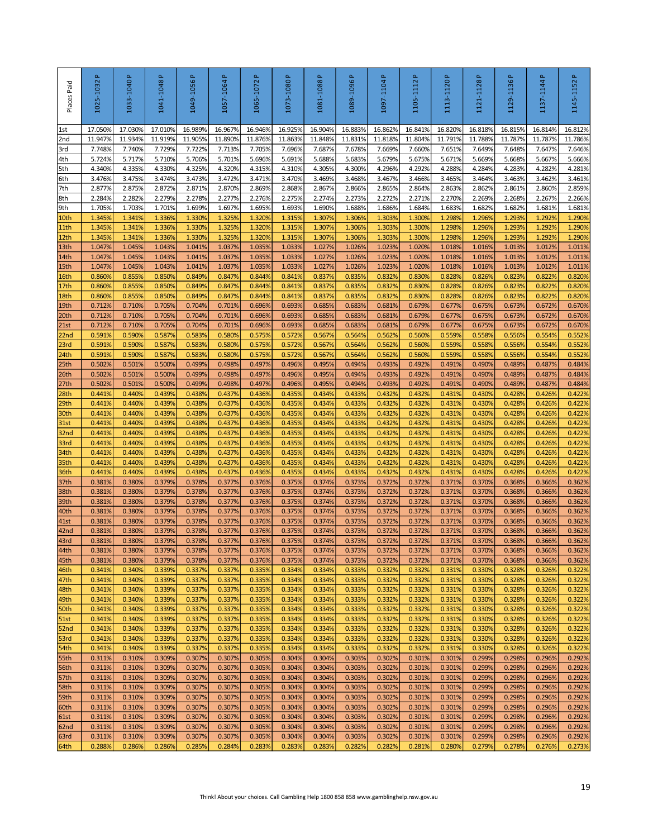| Places Paid              | 1025-1032 P       | 1033-1040 P       | 1041-1048P        | 1049-1056P        | <u>م</u><br>1057-1064 | $\Delta$<br>1065-1072 | 1073-1080 P       | 1081-1088P        | 1089-1096P                                                                             | 1097-1104P        | a,<br>1105-1112   | 1113-1120P        | 1121-1128P        | 1129-1136P        | $\Delta$<br>1137-1144 | $\Delta$<br>1145-1152 |
|--------------------------|-------------------|-------------------|-------------------|-------------------|-----------------------|-----------------------|-------------------|-------------------|----------------------------------------------------------------------------------------|-------------------|-------------------|-------------------|-------------------|-------------------|-----------------------|-----------------------|
| 1st                      | 17.050%           | 17.030%           | 17.010%           | 16.989%           | 16.967%               | 16.946%               | 16.925%           | 16.904%           | 16.883%                                                                                | 16.862%           | 16.841%           | 16.820%           | 16.818%           | 16.815%           | 16.814%               | 16.812%               |
| 2nd<br>3rd               | 11.947%<br>7.748% | 11.934%<br>7.740% | 11.919%<br>7.729% | 11.905%<br>7.722% | 11.890%<br>7.713%     | 11.876%<br>7.705%     | 11.863%<br>7.696% | 11.848%<br>7.687% | 11.831%<br>7.678%                                                                      | 11.818%<br>7.669% | 11.804%<br>7.660% | 11.791%<br>7.651% | 11.788%<br>7.649% | 11.787%<br>7.648% | 11.787%<br>7.647%     | 11.786%<br>7.646%     |
| 4th                      | 5.724%            | 5.717%            | 5.710%            | 5.706%            | 5.701%                | 5.696%                | 5.691%            | 5.688%            | 5.683%                                                                                 | 5.679%            | 5.675%            | 5.671%            | 5.669%            | 5.668%            | 5.667%                | 5.666%                |
| 5th                      | 4.340%            | 4.335%            | 4.330%            | 4.325%            | 4.320%                | 4.315%                | 4.310%            | 4.305%            | 4.300%                                                                                 | 4.296%            | 4.292%            | 4.288%            | 4.284%            | 4.283%            | 4.282%                | 4.281%                |
| 6th                      | 3.476%            | 3.475%            | 3.474%            | 3.473%            | 3.472%                | 3.471%                | 3.470%            | 3.469%            | 3.468%                                                                                 | 3.467%            | 3.466%            | 3.465%            | 3.464%            | 3.463%            | 3.462%                | 3.461%                |
| 7th                      | 2.877%            | 2.875%            | 2.872%            | 2.871%            | 2.870%                | 2.869%                | 2.868%            | 2.867%            | 2.866%                                                                                 | 2.865%            | 2.864%            | 2.863%            | 2.862%            | 2.861%            | 2.860%                | 2.859%                |
| 8th<br>9th               | 2.284%<br>1.705%  | 2.282%<br>1.703%  | 2.279%<br>1.701%  | 2.278%<br>1.699%  | 2.277%<br>1.697%      | 2.276%<br>1.695%      | 2.275%<br>1.693%  | 2.274%<br>1.690%  | 2.273%<br>1.688%                                                                       | 2.272%<br>1.686%  | 2.271%<br>1.684%  | 2.270%<br>1.683%  | 2.269%<br>1.682%  | 2.268%<br>1.682%  | 2.267%<br>1.681%      | 2.266%<br>1.681%      |
| 10th                     | 1.345%            | 1.341%            | 1.336%            | 1.330%            | 1.325%                | 1.320%                | 1.315%            | 1.307%            | 1.306%                                                                                 | 1.303%            | 1.300%            | 1.2989            | 1.296%            | 1.293%            | 1.292%                | 1.290%                |
| 11th                     | 1.345%            | 1.341%            | 1.336%            | 1.330%            | 1.325%                | 1.320%                | 1.315%            | 1.307%            | 1.306%                                                                                 | 1.303%            | 1.300%            | 1.2989            | 1.296%            | 1.293%            | 1.292%                | 1.290%                |
| 12th                     | 1.345%            | 1.341%            | 1.336%            | 1.330%            | 1.325%                | 1.320%                | 1.315%            | 1.307%            | 1.306%                                                                                 | 1.303%            | 1.300%            | 1.2989            | 1.296%            | 1.293%            | 1.292%                | 1.290%                |
| 13th                     | 1.047%            | 1.045%            | 1.043%            | 1.041%            | 1.037%                | 1.035%                | 1.033%            | 1.027%            | 1.026%                                                                                 | 1.023%            | 1.020%            | 1.0189            | 1.016%            | 1.013%            | 1.012%                | 1.011%                |
| 14th<br>15th             | 1.047%<br>1.047%  | 1.045%<br>1.045%  | 1.043%<br>1.043%  | 1.041%<br>1.041%  | 1.037%<br>1.037%      | 1.035%<br>1.035%      | 1.033%<br>1.033%  | 1.027%<br>1.027%  | 1.026%<br>1.026%                                                                       | 1.023%<br>1.023%  | 1.020%<br>1.020%  | 1.018%<br>1.018%  | 1.016%<br>1.016%  | 1.013%<br>1.013%  | 1.012%<br>1.012%      | 1.011%<br>1.011%      |
| 16th                     | 0.860%            | 0.855%            | 0.850%            | 0.849%            | 0.847%                | 0.844%                | 0.841%            | 0.837%            | 0.835%                                                                                 | 0.832%            | 0.830%            | 0.8289            | 0.826%            | 0.823%            | 0.822%                | 0.820%                |
| 17th                     | 0.860%            | 0.855%            | 0.850%            | 0.849%            | 0.847%                | 0.844%                | 0.841%            | 0.837%            | 0.835%                                                                                 | 0.832%            | 0.830%            | 0.828%            | 0.826%            | 0.823%            | 0.822%                | 0.820%                |
| 18th                     | 0.860%            | 0.855%            | 0.850%            | 0.849%            | 0.847%                | 0.844%                | 0.841%            | 0.837%            | 0.835%                                                                                 | 0.832%            | 0.830%            | 0.828%            | 0.826%            | 0.823%            | 0.822%                | 0.820%                |
| 19th                     | 0.712%            | 0.710%            | 0.705%            | 0.704%            | 0.701%                | 0.696%                | 0.693%            | 0.685%            | 0.683%                                                                                 | 0.681%            | 0.679%            | 0.677%            | 0.675%            | 0.673%            | 0.672%                | 0.670%                |
| 20th                     | 0.712%<br>0.712%  | 0.710%<br>0.710%  | 0.705%<br>0.705%  | 0.704%<br>0.704%  | 0.701%<br>0.701%      | 0.696%<br>0.696%      | 0.693%<br>0.693%  | 0.685%<br>0.685%  | 0.683%<br>0.683%                                                                       | 0.681%<br>0.681%  | 0.679%<br>0.679%  | 0.677%<br>0.677%  | 0.675%<br>0.675%  | 0.673%<br>0.673%  | 0.672%<br>0.672%      | 0.670%<br>0.670%      |
| 21st<br>22 <sub>nd</sub> | 0.591%            | 0.590%            | 0.587%            | 0.583%            | 0.580%                | 0.575%                | 0.572%            | 0.567%            | 0.564%                                                                                 | 0.562%            | 0.560%            | 0.559%            | 0.558%            | 0.556%            | 0.554%                | 0.552%                |
| 23rd                     | 0.591%            | 0.590%            | 0.587%            | 0.583%            | 0.580%                | 0.575%                | 0.572%            | 0.567%            | 0.564%                                                                                 | 0.562%            | 0.560%            | 0.559%            | 0.558%            | 0.556%            | 0.554%                | 0.552%                |
| 24th                     | 0.591%            | 0.590%            | 0.587%            | 0.583%            | 0.580%                | 0.575%                | 0.572%            | 0.567%            | 0.564%                                                                                 | 0.562%            | 0.560%            | 0.5599            | 0.558%            | 0.556%            | 0.554%                | 0.552%                |
| 25 <sub>th</sub>         | 0.502%            | 0.501%            | 0.500%            | 0.499%            | 0.498%                | 0.497%                | 0.496%            | 0.495%            | 0.494%                                                                                 | 0.493%            | 0.492%            | 0.491%            | 0.490%            | 0.489%            | 0.487%                | 0.484%                |
| 26th                     | 0.502%            | 0.501%            | 0.500%            | 0.499%            | 0.498%                | 0.497%                | 0.496%            | 0.495%            | 0.494%                                                                                 | 0.493%            | 0.492%            | 0.491%            | 0.490%            | 0.489%            | 0.487%                | 0.484%                |
| 27th<br>28th             | 0.502%<br>0.441%  | 0.501%<br>0.440%  | 0.500%<br>0.439%  | 0.499%<br>0.438%  | 0.498%<br>0.437%      | 0.497%<br>0.436%      | 0.496%<br>0.435%  | 0.495%<br>0.434%  | 0.494%<br>0.433%                                                                       | 0.493%<br>0.432%  | 0.492%<br>0.432%  | 0.491%<br>0.431%  | 0.490%<br>0.430%  | 0.489%<br>0.428%  | 0.487%<br>0.426%      | 0.484%<br>0.422%      |
| 29th                     | 0.441%            | 0.440%            | 0.439%            | 0.438%            | 0.437%                | 0.436%                | 0.435%            | 0.434%            | 0.433%                                                                                 | 0.432%            | 0.432%            | 0.431%            | 0.430%            | 0.428%            | 0.426%                | 0.422%                |
| 30th                     | 0.441%            | 0.440%            | 0.439%            | 0.438%            | 0.437%                | 0.436%                | 0.435%            | 0.434%            | 0.433%                                                                                 | 0.432%            | 0.432%            | 0.431%            | 0.430%            | 0.428%            | 0.426%                | 0.422%                |
| 31st                     | 0.441%            | 0.440%            | 0.439%            | 0.438%            | 0.437%                | 0.436%                | 0.435%            | 0.434%            | 0.433%                                                                                 | 0.432%            | 0.432%            | 0.431%            | 0.430%            | 0.428%            | 0.426%                | 0.422%                |
| 32 <sub>nd</sub>         | 0.441%            | 0.440%            | 0.439%            | 0.438%            | 0.437%                | 0.436%                | 0.435%            | 0.434%            | 0.433%                                                                                 | 0.432%            | 0.432%            | 0.431%            | 0.430%            | 0.428%            | 0.426%                | 0.422%                |
| 33rd<br>34th             | 0.441%<br>0.441%  | 0.440%<br>0.440%  | 0.439%<br>0.439%  | 0.438%<br>0.438%  | 0.437%<br>0.437%      | 0.436%<br>0.436%      | 0.435%<br>0.435%  | 0.434%<br>0.434%  | 0.433%<br>0.433%                                                                       | 0.432%<br>0.432%  | 0.432%<br>0.432%  | 0.431%<br>0.431%  | 0.430%<br>0.430%  | 0.428%<br>0.428%  | 0.426%<br>0.426%      | 0.422%<br>0.422%      |
| 35th                     | 0.441%            | 0.440%            | 0.439%            | 0.438%            | 0.437%                | 0.436%                | 0.435%            | 0.434%            | 0.433%                                                                                 | 0.432%            | 0.432%            | 0.431%            | 0.430%            | 0.428%            | 0.426%                | 0.422%                |
| 36th                     | 0.441%            | 0.440%            | 0.439%            | 0.438%            | 0.437%                | 0.436%                | 0.435%            | 0.434%            | 0.433%                                                                                 | 0.432%            | 0.432%            | 0.431%            | 0.430%            | 0.428%            | 0.426%                | 0.422%                |
| 37th                     | 0.381%            | 0.380%            | 0.379%            | 0.378%            | 0.377%                | 0.376%                | 0.375%            | 0.374%            | 0.373%                                                                                 | 0.372%            | 0.372%            | 0.371%            | 0.370%            | 0.368%            | 0.366%                | 0.362%                |
| 38th                     | 0.381%            | 0.380%            | 0.379%            | 0.378%            | 0.377%                | 0.376%                | 0.375%            | 0.374%            | 0.373%                                                                                 | 0.372%            | 0.372%            | 0.371%            | 0.370%            | 0.368%            | 0.366%                | 0.362%                |
| 39th<br>40th             | 0.381%<br>0.381%  | 0.380%<br>0.380%  | 0.379%<br>0.379%  | 0.378%<br>0.378%  | 0.377%<br>0.377%      | 0.376%<br>0.376%      | 0.375%<br>0.375%  | 0.374%<br>0.374%  | 0.373%<br>0.373%                                                                       | 0.372%<br>0.372%  | 0.372%<br>0.372%  | 0.371%<br>0.371%  | 0.370%<br>0.370%  | 0.368%<br>0.368%  | 0.366%<br>0.366%      | 0.362%<br>0.362%      |
| 41st                     | 0.381%            | 0.380%            | 0.379%            | 0.378%            | 0.377%                | 0.376%                | 0.375%            | 0.374%            | 0.373%                                                                                 | 0.372%            | 0.372%            | 0.371%            | 0.370%            | 0.368%            | 0.366%                | 0.362%                |
| 42 <sub>nd</sub>         | 0.381%            | 0.380%            | 0.379%            | 0.378%            | 0.377%                | 0.376%                | 0.375%            | 0.374%            | 0.373%                                                                                 | 0.372%            | 0.372%            | 0.371%            | 0.370%            | 0.368%            | 0.366%                | 0.362%                |
| 43rd                     | 0.381%            | 0.380%            | 0379%             | 0.378%            | 0.377%                | 0.376%                | 0.375%            | 0.374%            | 0.373%                                                                                 | 0.372%            | 0.372%            | 0.371%            | 0.370%            | 0.368%            | 0.366%                | 0.362%                |
| 44th                     | 0.381%            | 0.380%            | 0.379%            | 0.378%            | 0.377%                | 0.376%                | 0.375%            | 0.374%            | 0.373%                                                                                 | 0.372%            | 0.372%            | 0.371%            | 0.370%            | 0.368%            | 0.366%                | 0.362%                |
| 45th<br>46th             | 0.381%<br>0.341%  | 0.380%<br>0.340%  | 0.379%<br>0.339%  | 0.378%<br>0.337%  | 0.377%<br>0.337%      | 0.376%<br>0.335%      | 0.375%<br>0.334%  | 0.374%<br>0.334%  | 0.373%<br>0.333%                                                                       | 0.372%<br>0.332%  | 0.372%<br>0.332%  | 0.371%<br>0.331%  | 0.370%<br>0.330%  | 0.368%<br>0.328%  | 0.366%<br>0.326%      | 0.362%<br>0.322%      |
| 47th                     | 0.341%            | 0.340%            | 0.339%            | 0.337%            | 0.337%                | 0.335%                | 0.334%            | 0.334%            | 0.333%                                                                                 | 0.332%            | 0.332%            | 0.331%            | 0.330%            | 0.328%            | 0.326%                | 0.322%                |
| 48th                     | 0.341%            | 0.340%            | 0.339%            | 0.337%            | 0.337%                | 0.335%                | 0.334%            | 0.334%            | 0.333%                                                                                 | 0.332%            | 0.332%            | 0.331%            | 0.330%            | 0.328%            | 0.326%                | 0.322%                |
| 49th                     | 0.341%            | 0.340%            | 0.339%            | 0.337%            | 0.337%                | 0.335%                | 0.334%            | 0.334%            | 0.333%                                                                                 | 0.332%            | 0.332%            | 0.331%            | 0.330%            | 0.328%            | 0.326%                | 0.322%                |
| 50th<br>51st             | 0.341%<br>0.341%  | 0.340%<br>0.340%  | 0.339%<br>0.339%  | 0.337%<br>0.337%  | 0.337%<br>0.337%      | 0.335%<br>0.335%      | 0.334%<br>0.334%  | 0.334%<br>0.334%  | 0.333%<br>0.333%                                                                       | 0.332%<br>0.332%  | 0.332%<br>0.332%  | 0.331%<br>0.331%  | 0.330%<br>0.330%  | 0.328%<br>0.328%  | 0.326%<br>0.326%      | 0.322%<br>0.322%      |
| 52nd                     | 0.341%            | 0.340%            | 0.339%            | 0.337%            | 0.337%                | 0.335%                | 0.334%            | 0.334%            | 0.333%                                                                                 | 0.332%            | 0.332%            | 0.331%            | 0.330%            | 0.328%            | 0.326%                | 0.322%                |
| 53rd                     | 0.341%            | 0.340%            | 0.339%            | 0.337%            | 0.337%                | 0.335%                | 0.334%            | 0.334%            | 0.333%                                                                                 | 0.332%            | 0.332%            | 0.331%            | 0.330%            | 0.328%            | 0.326%                | 0.322%                |
| 54th                     | 0.341%            | 0.340%            | 0.339%            | 0.337%            | 0.337%                | 0.335%                | 0.334%            | 0.334%            | 0.333%                                                                                 | 0.332%            | 0.332%            | 0.331%            | 0.330%            | 0.328%            | 0.326%                | 0.322%                |
| 55th                     | 0.311%            | 0.310%            | 0.309%            | 0.307%            | 0.307%                | 0.305%                | 0.304%            | 0.304%            | 0.303%                                                                                 | 0.302%            | 0.301%            | 0.301%            | 0.299%            | 0.298%            | 0.296%                | 0.292%                |
| 56th<br>57th             | 0.311%<br>0.311%  | 0.310%<br>0.310%  | 0.309%<br>0.309%  | 0.307%<br>0.307%  | 0.307%<br>0.307%      | 0.305%<br>0.305%      | 0.304%<br>0.304%  | 0.304%<br>0.304%  | 0.303%<br>0.303%                                                                       | 0.302%<br>0.302%  | 0.301%<br>0.301%  | 0.301%<br>0.301%  | 0.299%<br>0.299%  | 0.298%<br>0.298%  | 0.296%<br>0.296%      | 0.292%<br>0.292%      |
| 58th                     | 0.311%            | 0.310%            | 0.309%            | 0.307%            | 0.307%                | 0.305%                | 0.304%            | 0.304%            | 0.303%                                                                                 | 0.302%            | 0.301%            | 0.301%            | 0.299%            | 0.298%            | 0.296%                | 0.292%                |
| 59th                     | 0.311%            | 0.310%            | 0.309%            | 0.307%            | 0.307%                | 0.305%                | 0.304%            | 0.304%            | 0.303%                                                                                 | 0.302%            | 0.301%            | 0.301%            | 0.299%            | 0.298%            | 0.296%                | 0.292%                |
| 60th                     | 0.311%            | 0.310%            | 0.309%            | 0.307%            | 0.307%                | 0.305%                | 0.304%            | 0.304%            | 0.303%                                                                                 | 0.302%            | 0.301%            | 0.301%            | 0.299%            | 0.298%            | 0.296%                | 0.292%                |
| 61st                     | 0.311%            | 0.310%            | 0.309%            | 0.307%            | 0.307%                | 0.305%                | 0.304%            | 0.304%            | 0.303%                                                                                 | 0.302%            | 0.301%            | 0.301%            | 0.299%            | 0.298%            | 0.296%                | 0.292%                |
| 62nd<br>63rd             | 0.311%<br>0.311%  | 0.310%<br>0.310%  | 0.309%<br>0.309%  | 0.307%<br>0.307%  | 0.307%<br>0.307%      | 0.305%<br>0.305%      | 0.304%<br>0.304%  | 0.304%<br>0.304%  | 0.303%<br>0.303%                                                                       | 0.302%<br>0.302%  | 0.301%<br>0.301%  | 0.301%<br>0.301%  | 0.299%<br>0.299%  | 0.298%<br>0.298%  | 0.296%<br>0.296%      | 0.292%<br>0.292%      |
| 64th                     | 0.288%            | 0.286%            | 0.286%            | 0.285%            | 0.284%                | 0.283%                | 0.283%            | 0.283%            | 0.282%                                                                                 | 0.282%            | 0.281%            | 0.280%            | 0.279%            | 0.278%            | 0.276%                | 0.273%                |
|                          |                   |                   |                   |                   |                       |                       |                   |                   | Think! About your choices. Call Gambling Help 1800 858 858 www.gamblinghelp.nsw.gov.au |                   |                   |                   |                   |                   |                       | 19                    |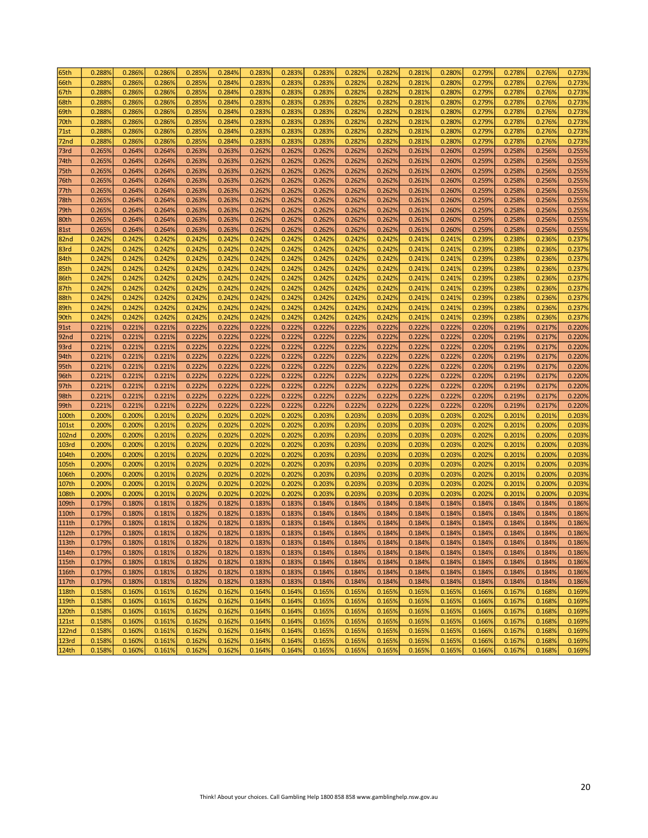| 65th              | 0.2889 | 0.286% | 0.286% | 0.285% | 0.284% | 0.283% | 0.283% | 0.283% | 0.282% | 0.282% | 0.281% | 0.280% | 0.279% | 0.278% | 0.276% | 0.273% |
|-------------------|--------|--------|--------|--------|--------|--------|--------|--------|--------|--------|--------|--------|--------|--------|--------|--------|
| 66th              | 0.2889 | 0.286% | 0.286% | 0.285% | 0.284% | 0.283% | 0.283% | 0.283% | 0.282% | 0.282% | 0.281% | 0.280% | 0.279% | 0.278% | 0.276% | 0.273% |
| 67th              | 0.288% | 0.286% | 0.286% | 0.285% | 0.284% | 0.283% | 0.283% | 0.283% | 0.282% | 0.282% | 0.281% | 0.280% | 0.279% | 0.278% | 0.276% | 0.273% |
| 68th              | 0.288% | 0.286% | 0.286% | 0.285% | 0.284% | 0.283% | 0.283% | 0.283% | 0.282% | 0.282% | 0.281% | 0.280% | 0.279% | 0.278% | 0.276% | 0.273% |
| 69th              | 0.288% | 0.286% | 0.286% | 0.285% | 0.284% | 0.283% | 0.283% | 0.283% | 0.282% | 0.282% | 0.281% | 0.280% | 0.279% | 0.278% | 0.276% | 0.273% |
| 70th              | 0.2889 | 0.286% | 0.286% | 0.285% | 0.284% | 0.283% | 0.283% | 0.283% | 0.282% | 0.282% | 0.281% | 0.280% | 0.279% | 0.278% | 0.276% | 0.273% |
| 71st              | 0.288% | 0.286% | 0.286% | 0.285% | 0.284% | 0.283% | 0.283% | 0.283% | 0.282% | 0.282% | 0.281% | 0.280% | 0.279% | 0.278% | 0.276% | 0.273% |
|                   | 0.288% | 0.286% | 0.286% | 0.285% | 0.284% | 0.283% | 0.283% | 0.283% | 0.282% | 0.282% | 0.281% | 0.280% | 0.279% | 0.278% | 0.276% | 0.273% |
| 72nd              |        |        |        |        |        |        |        |        |        |        |        |        |        |        |        |        |
| 73rd              | 0.265% | 0.264% | 0.264% | 0.263% | 0.263% | 0.262% | 0.262% | 0.262% | 0.262% | 0.262% | 0.261% | 0.260% | 0.259% | 0.258% | 0.256% | 0.255% |
| 74th              | 0.265% | 0.264% | 0.264% | 0.263% | 0.263% | 0.262% | 0.262% | 0.262% | 0.262% | 0.262% | 0.261% | 0.260% | 0.259% | 0.258% | 0.256% | 0.255% |
| 75th              | 0.265% | 0.264% | 0.264% | 0.263% | 0.263% | 0.262% | 0.262% | 0.262% | 0.262% | 0.262% | 0.261% | 0.260% | 0.259% | 0.258% | 0.256% | 0.255% |
| 76th              | 0.265% | 0.264% | 0.264% | 0.263% | 0.263% | 0.262% | 0.262% | 0.262% | 0.262% | 0.262% | 0.261% | 0.260% | 0.259% | 0.258% | 0.256% | 0.255% |
| 77th              | 0.2659 | 0.264% | 0.264% | 0.263% | 0.263% | 0.262% | 0.262% | 0.262% | 0.262% | 0.262% | 0.261% | 0.260% | 0.259% | 0.258% | 0.256% | 0.255% |
| 78th              | 0.265% | 0.264% | 0.264% | 0.263% | 0.263% | 0.262% | 0.262% | 0.262% | 0.262% | 0.262% | 0.261% | 0.260% | 0.259% | 0.258% | 0.256% | 0.255% |
| 79th              | 0.265% | 0.264% | 0.264% | 0.263% | 0.263% | 0.262% | 0.262% | 0.262% | 0.262% | 0.262% | 0.261% | 0.260% | 0.259% | 0.258% | 0.256% | 0.255% |
| 80th              | 0.265% | 0.264% | 0.264% | 0.263% | 0.263% | 0.262% | 0.262% | 0.262% | 0.262% | 0.262% | 0.261% | 0.260% | 0.259% | 0.258% | 0.256% | 0.255% |
| <b>81st</b>       | 0.265% | 0.264% | 0.264% | 0.263% | 0.263% | 0.262% | 0.262% | 0.262% | 0.262% | 0.262% | 0.261% | 0.260% | 0.259% | 0.258% | 0.256% | 0.255% |
| 82nd              | 0.242% | 0.242% | 0.242% | 0.242% | 0.242% | 0.242% | 0.242% | 0.242% | 0.242% | 0.242% | 0.241% | 0.241% | 0.239% | 0.238% | 0.236% | 0.237% |
| 83rd              | 0.242% | 0.242% | 0.242% | 0.242% | 0.242% | 0.242% | 0.242% | 0.242% | 0.242% | 0.242% | 0.241% | 0.241% | 0.239% | 0.238% | 0.236% | 0.237% |
| 84th              | 0.242% | 0.242% | 0.242% | 0.242% | 0.242% | 0.242% | 0.242% | 0.242% | 0.242% | 0.242% | 0.241% | 0.241% | 0.239% | 0.238% | 0.236% | 0.237% |
| 85th              | 0.242% | 0.242% | 0.242% | 0.242% | 0.242% | 0.242% | 0.242% | 0.242% | 0.242% | 0.242% | 0.241% | 0.241% | 0.239% | 0.238% | 0.236% | 0.237% |
| 86th              | 0.242% | 0.242% | 0.242% | 0.242% | 0.242% | 0.242% | 0.242% | 0.242% | 0.242% | 0.242% | 0.241% | 0.241% | 0.239% | 0.238% | 0.236% | 0.237% |
| 87th              | 0.242% | 0.242% | 0.242% | 0.242% | 0.242% | 0.242% | 0.242% | 0.242% | 0.242% | 0.242% | 0.241% | 0.241% | 0.239% | 0.238% | 0.236% | 0.237% |
| 88th              | 0.2429 | 0.242% | 0.242% | 0.242% | 0.242% | 0.242% | 0.242% | 0.242% | 0.242% | 0.242% | 0.241% | 0.241% | 0.239% | 0.238% | 0.236% | 0.237% |
| 89th              | 0.242% | 0.242% | 0.242% | 0.242% | 0.242% | 0.242% | 0.242% | 0.242% | 0.242% | 0.242% | 0.241% | 0.241% | 0.239% | 0.238% | 0.236% | 0.237% |
| 90th              | 0.242% | 0.242% | 0.242% | 0.242% | 0.242% | 0.242% | 0.242% | 0.242% | 0.242% | 0.242% | 0.241% | 0.241% | 0.239% | 0.238% | 0.236% | 0.237% |
| 91st              | 0.221% | 0.221% | 0.221% | 0.222% | 0.222% | 0.222% | 0.222% | 0.222% | 0.222% | 0.222% | 0.222% | 0.222% | 0.220% | 0.219% | 0.217% | 0.220% |
| 92nd              | 0.221% | 0.221% | 0.221% | 0.222% | 0.222% | 0.222% | 0.222% | 0.222% | 0.222% | 0.222% | 0.222% | 0.222% | 0.220% | 0.219% | 0.217% | 0.220% |
| 93rd              | 0.221% | 0.221% | 0.221% | 0.222% | 0.222% | 0.222% | 0.222% | 0.222% | 0.222% | 0.222% | 0.222% | 0.222% | 0.220% | 0.219% | 0.217% | 0.220% |
| 94th              | 0.221% | 0.221% | 0.221% | 0.222% | 0.222% | 0.222% | 0.222% | 0.222% | 0.222% | 0.222% | 0.222% | 0.222% | 0.220% | 0.219% | 0.217% | 0.220% |
| 95th              | 0.221% | 0.221% | 0.221% | 0.222% | 0.222% | 0.222% | 0.222% | 0.222% | 0.222% | 0.222% | 0.222% | 0.222% | 0.220% | 0.219% | 0.217% | 0.220% |
| 96th              | 0.221% | 0.221% | 0.221% | 0.222% | 0.222% | 0.222% | 0.222% | 0.222% | 0.222% | 0.222% | 0.222% | 0.222% | 0.220% | 0.219% | 0.217% | 0.220% |
| 97th              | 0.221% | 0.221% | 0.221% | 0.222% | 0.222% | 0.222% | 0.222% | 0.222% | 0.222% | 0.222% | 0.222% | 0.222% | 0.220% | 0.219% | 0.217% | 0.220% |
|                   | 0.221% | 0.221% | 0.221% | 0.222% | 0.222% | 0.222% | 0.222% | 0.222% | 0.222% | 0.222% | 0.222% | 0.222% | 0.220% | 0.219% | 0.217% | 0.220% |
| 98th              |        |        |        |        |        |        |        |        |        |        |        |        |        |        |        |        |
| 99th              | 0.221% | 0.221% | 0.221% | 0.222% | 0.222% | 0.222% | 0.222% | 0.222% | 0.222% | 0.222% | 0.222% | 0.222% | 0.220% | 0.219% | 0.217% | 0.220% |
| 100th             | 0.2009 | 0.200% | 0.201% | 0.202% | 0.2029 | 0.202% | 0.202% | 0.203% | 0.203% | 0.203% | 0.203% | 0.203% | 0.202% | 0.201% | 0.201% | 0.203% |
| <b>101st</b>      | 0.2009 | 0.200% | 0.201% | 0.202% | 0.202% | 0.202% | 0.202% | 0.203% | 0.203% | 0.203% | 0.203% | 0.203% | 0.202% | 0.201% | 0.200% | 0.203% |
| <b>102nd</b>      | 0.200% | 0.200% | 0.201% | 0.202% | 0.202% | 0.202% | 0.202% | 0.203% | 0.203% | 0.203% | 0.203% | 0.203% | 0.202% | 0.201% | 0.200% | 0.203% |
| 103rd             | 0.200% | 0.200% | 0.201% | 0.202% | 0.202% | 0.202% | 0.202% | 0.203% | 0.203% | 0.203% | 0.203% | 0.203% | 0.202% | 0.201% | 0.200% | 0.203% |
| 104th             | 0.200% | 0.200% | 0.201% | 0.202% | 0.202% | 0.202% | 0.202% | 0.203% | 0.203% | 0.203% | 0.203% | 0.203% | 0.202% | 0.201% | 0.200% | 0.203% |
| 105th             | 0.200% | 0.200% | 0.201% | 0.202% | 0.202% | 0.202% | 0.202% | 0.203% | 0.203% | 0.203% | 0.203% | 0.203% | 0.202% | 0.201% | 0.200% | 0.203% |
| 106th             | 0.200% | 0.200% | 0.201% | 0.202% | 0.202% | 0.202% | 0.202% | 0.203% | 0.203% | 0.203% | 0.203% | 0.203% | 0.202% | 0.201% | 0.200% | 0.203% |
| 107th             | 0.200% | 0.200% | 0.201% | 0.202% | 0.202% | 0.202% | 0.202% | 0.203% | 0.203% | 0.203% | 0.203% | 0.203% | 0.202% | 0.201% | 0.200% | 0.203% |
| <b>108th</b>      | 0.200% | 0.200% | 0.201% | 0.202% | 0.202% | 0.202% | 0.202% | 0.203% | 0.203% | 0.203% | 0.203% | 0.203% | 0.202% | 0.201% | 0.200% | 0.203% |
| 109th             | 0.179% | 0.180% | 0.181% | 0.182% | 0.182% | 0.183% | 0.183% | 0.184% | 0.184% | 0.184% | 0.184% | 0.184% | 0.184% | 0.184% | 0.184% | 0.186% |
| 110th             | 0.179% | 0.1809 | 0.181% | 0.182% | 0.182% | 0.183% | 0.183% | 0.184% | 0.184% | 0.184% | 0.184% | 0.184% | 0.184% | 0.184% | 0.184% | 0.186% |
| 111th             | 0.1799 | 0.1809 | 0.1819 | 0.182% | 0.1829 | 0.183% | 0.183% | 0.184% | 0.1849 | 0.184% | 0.184% | 0.1849 | 0.184% | 0.184% | 0.184% | 0.186% |
| <b>112th</b>      | 0.179% | 0.180% | 0.181% | 0.182% | 0.182% | 0.183% | 0.183% | 0.184% | 0.184% | 0.184% | 0.184% | 0.184% | 0.184% | 0.184% | 0.184% | 0.186% |
| 113th             | 0.179% | 0.180% | 0.181% | 0.182% | 0.182% | 0.183% | 0.183% | 0.184% | 0.184% | 0.184% | 0.184% | 0.184% | 0.184% | 0.184% | 0.184% | 0.186% |
| 114th             | 0.179% | 0.180% | 0.181% | 0.182% | 0.182% | 0.183% | 0.183% | 0.184% | 0.184% | 0.184% | 0.184% | 0.184% | 0.184% | 0.184% | 0.184% | 0.186% |
| 115th             | 0.179% | 0.180% | 0.181% | 0.182% | 0.182% | 0.183% | 0.183% | 0.184% | 0.184% | 0.184% | 0.184% | 0.184% | 0.184% | 0.184% | 0.184% | 0.186% |
| 116th             | 0.179% | 0.180% | 0.181% | 0.182% | 0.182% | 0.183% | 0.183% | 0.184% | 0.184% | 0.184% | 0.184% | 0.184% | 0.184% | 0.184% | 0.184% | 0.186% |
| 117th             | 0.179% | 0.180% | 0.181% | 0.182% | 0.182% | 0.183% | 0.183% | 0.184% | 0.184% | 0.184% | 0.184% | 0.184% | 0.184% | 0.184% | 0.184% | 0.186% |
| 118 <sub>th</sub> | 0.158% | 0.160% | 0.161% | 0.162% | 0.162% | 0.164% | 0.164% | 0.165% | 0.165% | 0.165% | 0.165% | 0.165% | 0.166% | 0.167% | 0.168% | 0.169% |
| 119th             | 0.158% | 0.160% | 0.161% | 0.162% | 0.162% | 0.164% | 0.164% | 0.165% | 0.165% | 0.165% | 0.165% | 0.165% | 0.166% | 0.167% | 0.168% | 0.169% |
| 120th             | 0.158% | 0.160% | 0.161% | 0.162% | 0.162% | 0.164% | 0.164% | 0.165% | 0.165% | 0.165% | 0.165% | 0.165% | 0.166% | 0.167% | 0.168% | 0.169% |
| 121st             | 0.158% | 0.160% | 0.161% | 0.162% | 0.162% | 0.164% | 0.164% | 0.165% | 0.165% | 0.165% | 0.165% | 0.165% | 0.166% | 0.167% | 0.168% | 0.169% |
| 122 <sub>nd</sub> | 0.158% | 0.160% | 0.161% | 0.162% | 0.162% | 0.164% | 0.164% | 0.165% | 0.165% | 0.165% | 0.165% | 0.165% | 0.166% | 0.167% | 0.168% | 0.169% |
| 123rd             | 0.158% | 0.160% | 0.161% | 0.162% | 0.162% | 0.164% | 0.164% | 0.165% | 0.165% | 0.165% | 0.165% | 0.165% | 0.166% | 0.167% | 0.168% | 0.169% |
| 124th             | 0.158% | 0.160% | 0.161% | 0.162% | 0.162% | 0.164% | 0.164% | 0.165% | 0.165% | 0.165% | 0.165% | 0.165% | 0.166% | 0.167% | 0.168% | 0.169% |
|                   |        |        |        |        |        |        |        |        |        |        |        |        |        |        |        |        |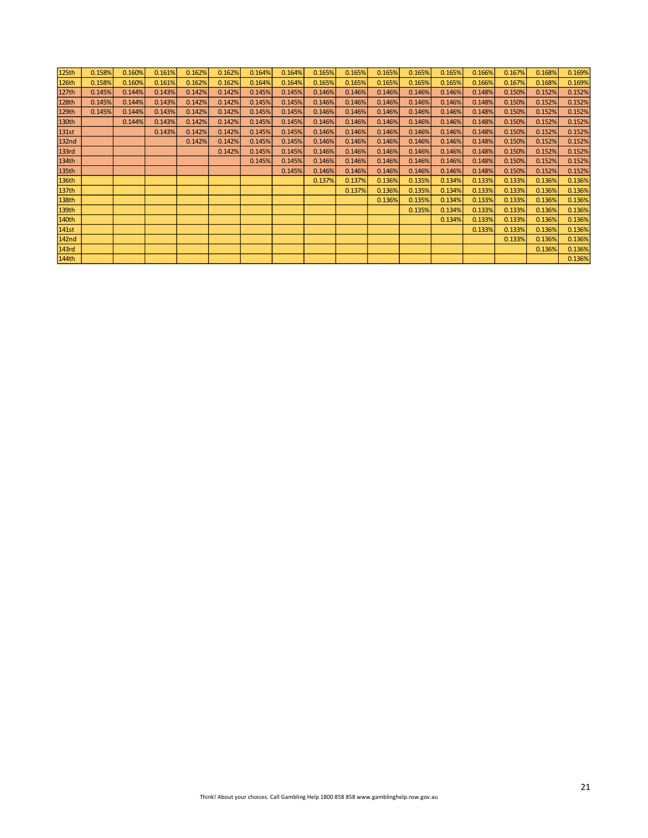| 125 <sub>th</sub> | 0.158% | 0.160% | 0.161% | 0.162% | 0.162% | 0.164% | 0.164% | 0.165% | 0.165% | 0.165% | 0.165% | 0.165% | 0.166% | 0.167% | 0.168% | 0.169% |
|-------------------|--------|--------|--------|--------|--------|--------|--------|--------|--------|--------|--------|--------|--------|--------|--------|--------|
| 126th             | 0.158% | 0.160% | 0.161% | 0.162% | 0.162% | 0.164% | 0.164% | 0.165% | 0.165% | 0.165% | 0.165% | 0.165% | 0.166% | 0.167% | 0.168% | 0.169% |
| 127th             | 0.145% | 0.144% | 0.143% | 0.142% | 0.142% | 0.145% | 0.145% | 0.146% | 0.146% | 0.146% | 0.146% | 0.146% | 0.148% | 0.150% | 0.152% | 0.152% |
| 128th             | 0.145% | 0.144% | 0.143% | 0.142% | 0.142% | 0.145% | 0.145% | 0.146% | 0.146% | 0.146% | 0.146% | 0.146% | 0.148% | 0.150% | 0.152% | 0.152% |
| 129th             | 0.145% | 0.144% | 0.143% | 0.142% | 0.142% | 0.145% | 0.145% | 0.146% | 0.146% | 0.146% | 0.146% | 0.146% | 0.148% | 0.150% | 0.152% | 0.152% |
| 130th             |        | 0.144% | 0.143% | 0.142% | 0.142% | 0.145% | 0.145% | 0.146% | 0.146% | 0.146% | 0.146% | 0.146% | 0.148% | 0.150% | 0.152% | 0.152% |
| 131st             |        |        | 0.143% | 0.142% | 0.142% | 0.145% | 0.145% | 0.146% | 0.146% | 0.146% | 0.146% | 0.146% | 0.148% | 0.150% | 0.152% | 0.152% |
| 132 <sub>nd</sub> |        |        |        | 0.142% | 0.142% | 0.145% | 0.145% | 0.146% | 0.146% | 0.146% | 0.146% | 0.146% | 0.148% | 0.150% | 0.152% | 0.152% |
| 133rd             |        |        |        |        | 0.142% | 0.145% | 0.145% | 0.146% | 0.146% | 0.146% | 0.146% | 0.146% | 0.148% | 0.150% | 0.152% | 0.152% |
| 134th             |        |        |        |        |        | 0.145% | 0.145% | 0.146% | 0.146% | 0.146% | 0.146% | 0.146% | 0.148% | 0.150% | 0.152% | 0.152% |
| 135th             |        |        |        |        |        |        | 0.145% | 0.146% | 0.146% | 0.146% | 0.146% | 0.146% | 0.148% | 0.150% | 0.152% | 0.152% |
| 136th             |        |        |        |        |        |        |        | 0.137% | 0.137% | 0.136% | 0.135% | 0.134% | 0.133% | 0.133% | 0.136% | 0.136% |
| 137th             |        |        |        |        |        |        |        |        | 0.137% | 0.136% | 0.135% | 0.134% | 0.133% | 0.133% | 0.136% | 0.136% |
| 138th             |        |        |        |        |        |        |        |        |        | 0.136% | 0.135% | 0.134% | 0.133% | 0.133% | 0.136% | 0.136% |
| 139th             |        |        |        |        |        |        |        |        |        |        | 0.135% | 0.134% | 0.133% | 0.133% | 0.136% | 0.136% |
| 140th             |        |        |        |        |        |        |        |        |        |        |        | 0.134% | 0.133% | 0.133% | 0.136% | 0.136% |
| 141st             |        |        |        |        |        |        |        |        |        |        |        |        | 0.133% | 0.133% | 0.136% | 0.136% |
| 142 <sub>nd</sub> |        |        |        |        |        |        |        |        |        |        |        |        |        | 0.133% | 0.136% | 0.136% |
| 143rd             |        |        |        |        |        |        |        |        |        |        |        |        |        |        | 0.136% | 0.136% |
| 144th             |        |        |        |        |        |        |        |        |        |        |        |        |        |        |        | 0.136% |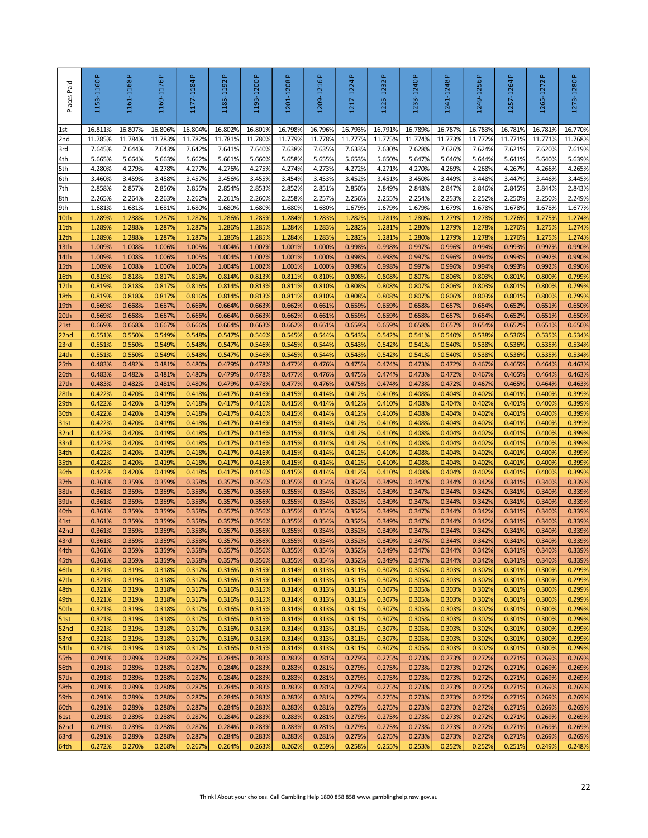| Places Paid  | 1153-1160P       | $\Delta$<br>1161-1168 | 1169-1176P       | Δ.<br>1177-1184  | $\Delta$<br>1185-1192 | 1193-1200P       | 1201-1208P       | 1209-1216P                                                                             | $\Delta$<br>1217-1224 | م<br>1225-1232   | 1233-1240 P      | 1241-1248P       | 1249-1256P       | Δ.<br>1257-1264  | $\Delta$<br>1265-1272 | 1273-1280P       |
|--------------|------------------|-----------------------|------------------|------------------|-----------------------|------------------|------------------|----------------------------------------------------------------------------------------|-----------------------|------------------|------------------|------------------|------------------|------------------|-----------------------|------------------|
| $1st$        | 16.811%          | 16.807%               | 16.806%          | 16.804%          | 16.802%               | 16.801%          | 16.798%          | 16.796%                                                                                | 16.793%               | 16.791%          | 16.789%          | 16.787%          | 16.783%          | 16.781%          | 16.781%               | 16.770%          |
| 2nd          | 11.785%          | 11.784%               | 11.783%          | 11.782%          | 11.781%               | 11.780%          | 11.779%          | 11.778%                                                                                | 11.777%               | 11.775%          | 11.774%          | 11.773%          | 11.772%          | 11.771%          | 11.771%               | 11.768%          |
| 3rd<br>4th   | 7.645%<br>5.665% | 7.644%<br>5.664%      | 7.643%<br>5.663% | 7.642%<br>5.662% | 7.641%<br>5.661%      | 7.640%<br>5.660% | 7.638%<br>5.658% | 7.635%<br>5.655%                                                                       | 7.633%<br>5.653%      | 7.630%<br>5.650% | 7.628%<br>5.647% | 7.626%<br>5.646% | 7.624%<br>5.644% | 7.621%<br>5.641% | 7.620%<br>5.640%      | 7.619%<br>5.639% |
| 5th          | 4.280%           | 4.279%                | 4.278%           | 4.277%           | 4.276%                | 4.275%           | 4.274%           | 4.273%                                                                                 | 4.272%                | 4.271%           | 4.270%           | 4.269%           | 4.268%           | 4.267%           | 4.266%                | 4.265%           |
| 6th          | 3.460%           | 3.459%                | 3.458%           | 3.457%           | 3.456%                | 3.455%           | 3.454%           | 3.453%                                                                                 | 3.452%                | 3.451%           | 3.450%           | 3.449%           | 3.448%           | 3.447%           | 3.446%                | 3.445%           |
| 7th          | 2.858%           | 2.857%                | 2.856%           | 2.855%           | 2.854%                | 2.853%           | 2.852%           | 2.851%                                                                                 | 2.850%                | 2.849%           | 2.848%           | 2.847%           | 2.846%           | 2.845%           | 2.844%                | 2.843%           |
| 8th<br>9th   | 2.265%<br>1.681% | 2.264%<br>1.681%      | 2.263%<br>1.681% | 2.262%<br>1.680% | 2.261%<br>1.680%      | 2.260%<br>1.680% | 2.258%<br>1.680% | 2.257%<br>1.680%                                                                       | 2.256%<br>1.679%      | 2.255%<br>1.679% | 2.254%<br>1.679% | 2.253%<br>1.679% | 2.252%<br>1.678% | 2.250%<br>1.678% | 2.250%<br>1.678%      | 2.249%<br>1.677% |
| 10th         | 1.289%           | 1.288%                | 1.287%           | 1.287%           | 1.286%                | 1.285%           | 1.284%           | 1.283%                                                                                 | 1.282%                | 1.281%           | 1.280%           | 1.279%           | 1.278%           | 1.276%           | 1.275%                | 1.274%           |
| 11th         | 1.2899           | 1.288%                | 1.287%           | 1.287%           | 1.286%                | 1.285%           | 1.284%           | 1.283%                                                                                 | 1.282%                | 1.281%           | 1.280%           | 1.279%           | 1.278%           | 1.276%           | 1.275%                | 1.274%           |
| 12th         | 1.2899           | 1.288%                | 1.287%           | 1.287%           | 1.286%                | 1.285%           | 1.284%           | 1.283%                                                                                 | 1.282%                | 1.281%           | 1.280%           | 1.2799           | 1.278%           | 1.276%           | 1.275%                | 1.274%           |
| 13th<br>14th | 1.0099<br>1.009% | 1.008%<br>1.008%      | 1.006%<br>1.006% | 1.005%<br>1.005% | 1.004%<br>1.004%      | 1.002%<br>1.002% | 1.001%<br>1.001% | 1.000%<br>1.000%                                                                       | 0.998%<br>0.998%      | 0.998%<br>0.998% | 0.997%<br>0.997% | 0.996%<br>0.996% | 0.994%<br>0.994% | 0.993%<br>0.993% | 0.992%<br>0.992%      | 0.990%<br>0.990% |
| 15th         | 1.009%           | 1.008%                | 1.006%           | 1.005%           | 1.004%                | 1.002%           | 1.001%           | 1.000%                                                                                 | 0.998%                | 0.998%           | 0.997%           | 0.996%           | 0.994%           | 0.993%           | 0.992%                | 0.990%           |
| 16th         | 0.819%           | 0.818%                | 0.817%           | 0.816%           | 0.814%                | 0.813%           | 0.811%           | 0.810%                                                                                 | 0.808%                | 0.808%           | 0.807%           | 0.806%           | 0.803%           | 0.801%           | 0.800%                | 0.799%           |
| 17th         | 0.819%           | 0.818%                | 0.817%           | 0.816%           | 0.814%                | 0.813%           | 0.811%           | 0.810%                                                                                 | 0.808%                | 0.808%           | 0.807%           | 0.806%           | 0.803%           | 0.801%           | 0.800%                | 0.799%           |
| 18th<br>19th | 0.819%<br>0.669% | 0.818%<br>0.668%      | 0.817%<br>0.667% | 0.816%<br>0.666% | 0.814%<br>0.664%      | 0.813%<br>0.663% | 0.811%<br>0.662% | 0.810%<br>0.661%                                                                       | 0.808%<br>0.659%      | 0.808%<br>0.659% | 0.807%<br>0.658% | 0.806%<br>0.657% | 0.803%<br>0.654% | 0.801%<br>0.652% | 0.800%<br>0.651%      | 0.799%<br>0.650% |
| 20th         | 0.669%           | 0.668%                | 0.667%           | 0.666%           | 0.664%                | 0.663%           | 0.662%           | 0.661%                                                                                 | 0.659%                | 0.659%           | 0.658%           | 0.657%           | 0.654%           | 0.652%           | 0.651%                | 0.650%           |
| 21st         | 0.669%           | 0.668%                | 0.667%           | 0.666%           | 0.664%                | 0.663%           | 0.662%           | 0.661%                                                                                 | 0.659%                | 0.659%           | 0.658%           | 0.657%           | 0.654%           | 0.652%           | 0.651%                | 0.650%           |
| 22nd         | 0.551%           | 0.550%                | 0.549%           | 0.548%           | 0.547%                | 0.546%           | 0.545%           | 0.544%                                                                                 | 0.543%                | 0.542%           | 0.541%           | 0.540%           | 0.538%           | 0.536%           | 0.535%                | 0.534%           |
| 23rd<br>24th | 0.551%<br>0.551% | 0.550%<br>0.550%      | 0.549%<br>0.549% | 0.548%<br>0.548% | 0.547%<br>0.547%      | 0.546%<br>0.546% | 0.545%<br>0.545% | 0.544%<br>0.544%                                                                       | 0.543%<br>0.543%      | 0.542%<br>0.542% | 0.541%<br>0.541% | 0.540%<br>0.540% | 0.538%<br>0.538% | 0.536%<br>0.536% | 0.535%<br>0.535%      | 0.534%<br>0.534% |
| 25th         | 0.483%           | 0.482%                | 0.481%           | 0.480%           | 0.479%                | 0.478%           | 0.477%           | 0.476%                                                                                 | 0.475%                | 0.474%           | 0.473%           | 0.472%           | 0.467%           | 0.465%           | 0.464%                | 0.463%           |
| 26th         | 0.483%           | 0.482%                | 0.481%           | 0.480%           | 0.479%                | 0.478%           | 0.477%           | 0.476%                                                                                 | 0.475%                | 0.474%           | 0.473%           | 0.472%           | 0.467%           | 0.465%           | 0.464%                | 0.463%           |
| 27th         | 0.483%           | 0.482%                | 0.481%           | 0.480%           | 0.479%                | 0.478%           | 0.477%           | 0.476%                                                                                 | 0.475%                | 0.474%           | 0.473%           | 0.472%           | 0.467%           | 0.465%           | 0.464%                | 0.463%           |
| 28th<br>29th | 0.422%<br>0.422% | 0.420%<br>0.420%      | 0.419%<br>0.419% | 0.418%<br>0.418% | 0.417%<br>0.417%      | 0.416%<br>0.416% | 0.415%<br>0.415% | 0.414%<br>0.414%                                                                       | 0.412%<br>0.412%      | 0.410%<br>0.410% | 0.408%<br>0.408% | 0.404%<br>0.404% | 0.402%<br>0.402% | 0.401%<br>0.401% | 0.400%<br>0.400%      | 0.399%<br>0.399% |
| 30th         | 0.422%           | 0.420%                | 0.419%           | 0.418%           | 0.417%                | 0.416%           | 0.415%           | 0.414%                                                                                 | 0.412%                | 0.410%           | 0.408%           | 0.404%           | 0.402%           | 0.401%           | 0.400%                | 0.399%           |
| 31st         | 0.422%           | 0.420%                | 0.419%           | 0.418%           | 0.417%                | 0.416%           | 0.415%           | 0.414%                                                                                 | 0.412%                | 0.410%           | 0.408%           | 0.404%           | 0.402%           | 0.401%           | 0.400%                | 0.399%           |
| 32nd         | 0.422%           | 0.420%                | 0.419%           | 0.418%           | 0.417%                | 0.416%           | 0.415%           | 0.414%                                                                                 | 0.412%                | 0.410%           | 0.408%           | 0.404%           | 0.402%           | 0.401%           | 0.400%                | 0.399%           |
| 33rd<br>34th | 0.422%<br>0.422% | 0.420%<br>0.420%      | 0.419%<br>0.419% | 0.418%<br>0.418% | 0.417%<br>0.417%      | 0.416%<br>0.416% | 0.415%<br>0.415% | 0.414%<br>0.414%                                                                       | 0.412%<br>0.412%      | 0.410%<br>0.410% | 0.408%<br>0.408% | 0.404%<br>0.404% | 0.402%<br>0.402% | 0.401%<br>0.401% | 0.400%<br>0.400%      | 0.399%<br>0.399% |
| 35th         | 0.422%           | 0.420%                | 0.419%           | 0.418%           | 0.417%                | 0.416%           | 0.415%           | 0.414%                                                                                 | 0.412%                | 0.410%           | 0.408%           | 0.404%           | 0.402%           | 0.401%           | 0.400%                | 0.399%           |
| 36th         | 0.422%           | 0.420%                | 0.419%           | 0.418%           | 0.417%                | 0.416%           | 0.415%           | 0.414%                                                                                 | 0.412%                | 0.410%           | 0.408%           | 0.404%           | 0.402%           | 0.401%           | 0.400%                | 0.399%           |
| 37th         | 0.361%           | 0.359%                | 0.359%           | 0.358%           | 0.357%                | 0.356%           | 0.355%           | 0.354%                                                                                 | 0.352%                | 0.349%           | 0.347%           | 0.344%           | 0.342%           | 0.341%           | 0.340%                | 0.339%           |
| 38th<br>39th | 0.361%<br>0.361% | 0.359%<br>0.359%      | 0.359%<br>0.359% | 0.358%<br>0.358% | 0.357%<br>0.357%      | 0.356%<br>0.356% | 0.355%<br>0.355% | 0.354%<br>0.354%                                                                       | 0.352%<br>0.352%      | 0.349%<br>0.349% | 0.347%<br>0.347% | 0.344%<br>0.344% | 0.342%<br>0.342% | 0.341%<br>0.341% | 0.340%<br>0.340%      | 0.339%<br>0.339% |
| 40th         | 0.361%           | 0.359%                | 0.359%           | 0.358%           | 0.357%                | 0.356%           | 0.355%           | 0.354%                                                                                 | 0.352%                | 0.349%           | 0.347%           | 0.344%           | 0.342%           | 0.341%           | 0.340%                | 0.339%           |
| 41st         | 0.361%           | 0.359%                | 0.359%           | 0.358%           | 0.357%                | 0.356%           | 0.355%           | 0.354%                                                                                 | 0.352%                | 0.349%           | 0.347%           | 0.344%           | 0.342%           | 0.341%           | 0.340%                | 0.339%           |
| 42nd         | 0.361%<br>0.361% | 0.359%<br>0.359%      | 0.359%<br>0.359% | 0.358%<br>0.358% | 0.357%<br>0.357%      | 0.356%<br>0.356% | 0.355%<br>0.355% | 0.354%<br>0.354%                                                                       | 0.352%<br>0.352%      | 0.349%<br>0.349% | 0.347%<br>0.347% | 0.344%<br>0.344% | 0.342%<br>0.342% | 0.341%<br>0.341% | 0.340%<br>0.340%      | 0.339%<br>0.339% |
| 43rd<br>44th | 0.361%           | 0.359%                | 0.359%           | 0.358%           | 0.357%                | 0.356%           | 0.355%           | 0.354%                                                                                 | 0.352%                | 0.349%           | 0.347%           | 0.344%           | 0.342%           | 0.341%           | 0.340%                | 0.339%           |
| 45th         | 0.361%           | 0.359%                | 0.359%           | 0.358%           | 0.357%                | 0.356%           | 0.355%           | 0.354%                                                                                 | 0.352%                | 0.349%           | 0.347%           | 0.344%           | 0.342%           | 0.341%           | 0.340%                | 0.339%           |
| 46th         | 0.321%           | 0.319%                | 0.318%           | 0.317%           | 0.316%                | 0.315%           | 0.314%           | 0.313%                                                                                 | 0.311%                | 0.307%           | 0.305%           | 0.303%           | 0.302%           | 0.301%           | 0.300%                | 0.299%           |
| 47th         | 0.321%           | 0.319%                | 0.318%           | 0.317%           | 0.316%                | 0.315%           | 0.314%           | 0.313%                                                                                 | 0.311%                | 0.307%<br>0.307% | 0.305%           | 0.303%           | 0.302%           | 0.301%           | 0.300%                | 0.299%           |
| 48th<br>49th | 0.321%<br>0.321% | 0.319%<br>0.319%      | 0.318%<br>0.318% | 0.317%<br>0.317% | 0.316%<br>0.316%      | 0.315%<br>0.315% | 0.314%<br>0.314% | 0.313%<br>0.313%                                                                       | 0.311%<br>0.311%      | 0.307%           | 0.305%<br>0.305% | 0.303%<br>0.303% | 0.302%<br>0.302% | 0.301%<br>0.301% | 0.300%<br>0.300%      | 0.299%<br>0.299% |
| 50th         | 0.321%           | 0.319%                | 0.318%           | 0.317%           | 0.316%                | 0.315%           | 0.314%           | 0.313%                                                                                 | 0.311%                | 0.307%           | 0.305%           | 0.303%           | 0.302%           | 0.301%           | 0.300%                | 0.299%           |
| 51st         | 0.321%           | 0.319%                | 0.318%           | 0.317%           | 0.316%                | 0.315%           | 0.314%           | 0.313%                                                                                 | 0.311%                | 0.307%           | 0.305%           | 0.303%           | 0.302%           | 0.301%           | 0.300%                | 0.299%           |
| 52nd         | 0.321%<br>0.321% | 0.319%                | 0.318%<br>0.318% | 0.317%           | 0.316%<br>0.316%      | 0.315%<br>0.315% | 0.314%           | 0.313%<br>0.313%                                                                       | 0.311%<br>0.311%      | 0.307%<br>0.307% | 0.305%<br>0.305% | 0.303%           | 0.302%<br>0.302% | 0.301%<br>0.301% | 0.300%                | 0.299%<br>0.299% |
| 53rd<br>54th | 0.321%           | 0.319%<br>0.319%      | 0.318%           | 0.317%<br>0.317% | 0.316%                | 0.315%           | 0.314%<br>0.314% | 0.313%                                                                                 | 0.311%                | 0.307%           | 0.305%           | 0.303%<br>0.303% | 0.302%           | 0.301%           | 0.300%<br>0.300%      | 0.299%           |
| 55th         | 0.291%           | 0.289%                | 0.288%           | 0.287%           | 0.284%                | 0.283%           | 0.283%           | 0.281%                                                                                 | 0.279%                | 0.275%           | 0.273%           | 0.273%           | 0.272%           | 0.271%           | 0.269%                | 0.269%           |
| 56th         | 0.291%           | 0.289%                | 0.288%           | 0.287%           | 0.284%                | 0.283%           | 0.283%           | 0.281%                                                                                 | 0.279%                | 0.275%           | 0.273%           | 0.273%           | 0.272%           | 0.271%           | 0.269%                | 0.269%           |
| 57th         | 0.291%           | 0.289%                | 0.288%           | 0.287%           | 0.284%                | 0.283%           | 0.283%           | 0.281%                                                                                 | 0.279%                | 0.275%           | 0.273%           | 0.273%           | 0.272%           | 0.271%           | 0.269%                | 0.269%           |
| 58th<br>59th | 0.291%<br>0.291% | 0.289%<br>0.289%      | 0.288%<br>0.288% | 0.287%<br>0.287% | 0.284%<br>0.284%      | 0.283%<br>0.283% | 0.283%<br>0.283% | 0.281%<br>0.281%                                                                       | 0.279%<br>0.279%      | 0.275%<br>0.275% | 0.273%<br>0.273% | 0.273%<br>0.273% | 0.272%<br>0.272% | 0.271%<br>0.271% | 0.269%<br>0.269%      | 0.269%<br>0.269% |
| 60th         | 0.291%           | 0.289%                | 0.288%           | 0.287%           | 0.284%                | 0.283%           | 0.283%           | 0.281%                                                                                 | 0.279%                | 0.275%           | 0.273%           | 0.273%           | 0.272%           | 0.271%           | 0.269%                | 0.269%           |
| 61st         | 0.291%           | 0.289%                | 0.288%           | 0.287%           | 0.284%                | 0.283%           | 0.283%           | 0.281%                                                                                 | 0.279%                | 0.275%           | 0.273%           | 0.273%           | 0.272%           | 0.271%           | 0.269%                | 0.269%           |
| 62nd         | 0.291%           | 0.289%                | 0.288%           | 0.287%           | 0.284%                | 0.283%           | 0.283%           | 0.281%                                                                                 | 0.279%                | 0.275%           | 0.273%           | 0.273%           | 0.272%           | 0.271%           | 0.269%                | 0.269%           |
| 63rd<br>64th | 0.291%<br>0.272% | 0.289%<br>0.270%      | 0.288%<br>0.268% | 0.287%<br>0.267% | 0.284%<br>0.264%      | 0.283%<br>0.263% | 0.283%<br>0.262% | 0.281%<br>0.259%                                                                       | 0.279%<br>0.258%      | 0.275%<br>0.255% | 0.273%<br>0.253% | 0.273%<br>0.252% | 0.272%<br>0.252% | 0.271%<br>0.251% | 0.269%<br>0.249%      | 0.269%<br>0.248% |
|              |                  |                       |                  |                  |                       |                  |                  |                                                                                        |                       |                  |                  |                  |                  |                  |                       |                  |
|              |                  |                       |                  |                  |                       |                  |                  | Think! About your choices. Call Gambling Help 1800 858 858 www.gamblinghelp.nsw.gov.au |                       |                  |                  |                  |                  |                  |                       | 22               |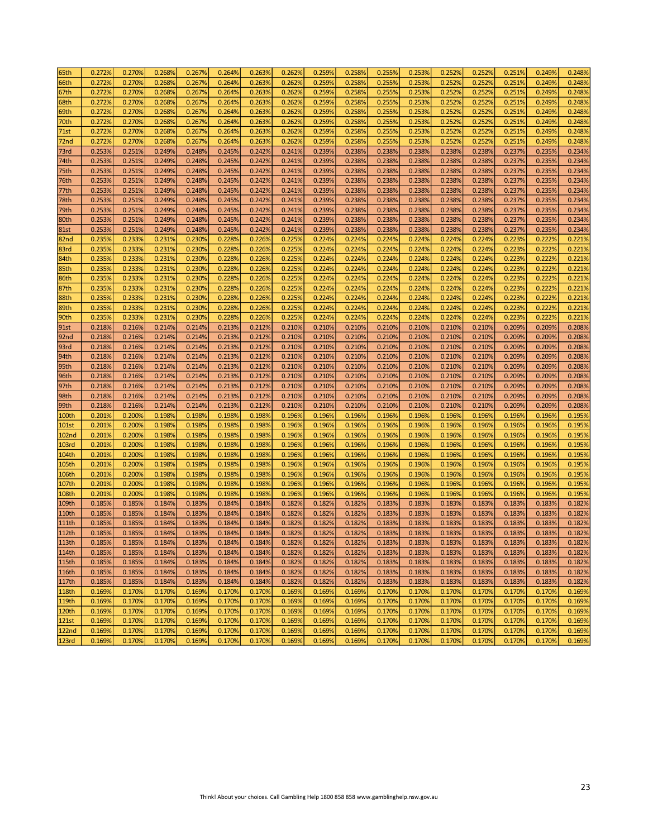| 65th         | 0.272% | 0.270% | 0.268% | 0.267% | 0.264% | 0.263% | 0.262% | 0.259% | 0.258% | 0.255% | 0.253% | 0.252% | 0.252% | 0.251% | 0.249% | 0.248% |
|--------------|--------|--------|--------|--------|--------|--------|--------|--------|--------|--------|--------|--------|--------|--------|--------|--------|
| 66th         | 0.272% | 0.270% | 0.268% | 0.267% | 0.264% | 0.263% | 0.262% | 0.259% | 0.258% | 0.255% | 0.253% | 0.252% | 0.252% | 0.251% | 0.249% | 0.248% |
| 67th         | 0.272% | 0.270% | 0.268% | 0.267% | 0.264% | 0.263% | 0.262% | 0.259% | 0.258% | 0.255% | 0.253% | 0.252% | 0.252% | 0.251% | 0.249% | 0.248% |
| 68th         | 0.272% | 0.270% | 0.268% | 0.267% | 0.264% | 0.263% | 0.262% | 0.259% | 0.258% | 0.255% | 0.253% | 0.252% | 0.252% | 0.251% | 0.249% | 0.248% |
|              |        |        | 0.268% |        | 0.264% |        |        | 0.259% |        | 0.255% |        | 0.252% | 0.252% | 0.251% |        |        |
| 69th         | 0.272% | 0.270% |        | 0.267% |        | 0.263% | 0.262% |        | 0.258% |        | 0.253% |        |        |        | 0.249% | 0.248% |
| 70th         | 0.272% | 0.270% | 0.268% | 0.267% | 0.264% | 0.263% | 0.262% | 0.259% | 0.258% | 0.255% | 0.253% | 0.252% | 0.252% | 0.251% | 0.249% | 0.248% |
| 71st         | 0.272% | 0.270% | 0.268% | 0.267% | 0.264% | 0.263% | 0.262% | 0.259% | 0.258% | 0.255% | 0.253% | 0.252% | 0.252% | 0.251% | 0.249% | 0.248% |
| 72nd         | 0.272% | 0.270% | 0.268% | 0.267% | 0.264% | 0.263% | 0.262% | 0.259% | 0.258% | 0.255% | 0.253% | 0.252% | 0.252% | 0.251% | 0.249% | 0.248% |
| 73rd         | 0.253% | 0.251% | 0.249% | 0.248% | 0.245% | 0.242% | 0.241% | 0.239% | 0.238% | 0.238% | 0.238% | 0.238% | 0.238% | 0.237% | 0.235% | 0.234% |
| 74th         | 0.253% | 0.251% | 0.249% | 0.248% | 0.245% | 0.242% | 0.241% | 0.239% | 0.238% | 0.238% | 0.238% | 0.238% | 0.238% | 0.237% | 0.235% | 0.234% |
| 75th         | 0.253% | 0.251% | 0.249% | 0.248% | 0.245% | 0.242% | 0.241% | 0.239% | 0.238% | 0.238% | 0.238% | 0.238% | 0.238% | 0.237% | 0.235% | 0.234% |
| 76th         | 0.253% | 0.251% | 0.249% | 0.248% | 0.245% | 0.242% | 0.241% | 0.239% | 0.238% | 0.238% | 0.238% | 0.238% | 0.238% | 0.237% | 0.235% | 0.234% |
| 77th         | 0.253% | 0.251% | 0.249% | 0.248% | 0.245% | 0.242% | 0.241% | 0.239% | 0.238% | 0.238% | 0.238% | 0.238% | 0.238% | 0.237% | 0.235% | 0.234% |
| 78th         | 0.253% | 0.251% | 0.249% | 0.248% | 0.245% | 0.242% | 0.241% | 0.239% | 0.238% | 0.238% | 0.238% | 0.238% | 0.238% | 0.237% | 0.235% | 0.234% |
| 79th         | 0.253% | 0.251% | 0.249% | 0.248% | 0.245% | 0.242% | 0.241% | 0.239% | 0.238% | 0.238% | 0.238% | 0.238% | 0.238% | 0.237% | 0.235% | 0.234% |
| 80th         | 0.253% | 0.251% | 0.249% | 0.248% | 0.245% | 0.242% | 0.241% | 0.239% | 0.238% | 0.238% | 0.238% | 0.238% | 0.238% | 0.237% | 0.235% | 0.234% |
| 81st         | 0.253% | 0.251% | 0.249% | 0.248% | 0.245% | 0.242% | 0.241% | 0.239% | 0.238% | 0.238% | 0.238% | 0.238% | 0.238% | 0.237% | 0.235% | 0.234% |
| 82nd         | 0.235% | 0.233% | 0.231% | 0.230% | 0.228% | 0.226% | 0.225% | 0.224% | 0.224% | 0.224% | 0.224% | 0.224% | 0.224% | 0.223% | 0.222% | 0.221% |
| 83rd         | 0.235% | 0.233% | 0.231% | 0.230% | 0.228% | 0.226% | 0.225% | 0.224% | 0.224% | 0.224% | 0.224% | 0.224% | 0.224% | 0.223% | 0.222% | 0.221% |
| 84th         | 0.235% | 0.233% | 0.231% | 0.230% | 0.228% | 0.226% | 0.225% | 0.224% | 0.224% | 0.224% | 0.224% | 0.224% | 0.224% | 0.223% | 0.222% | 0.221% |
| 85th         | 0.235% | 0.233% | 0.231% | 0.230% | 0.228% | 0.226% | 0.225% | 0.224% | 0.224% | 0.224% | 0.224% | 0.224% | 0.224% | 0.223% | 0.222% | 0.221% |
|              |        |        |        |        |        |        |        |        |        |        |        |        |        |        |        |        |
| 86th         | 0.2359 | 0.233% | 0.231% | 0.230% | 0.228% | 0.226% | 0.225% | 0.224% | 0.224% | 0.224% | 0.224% | 0.224% | 0.224% | 0.223% | 0.222% | 0.221% |
| 87th         | 0.2359 | 0.233% | 0.231% | 0.230% | 0.228% | 0.226% | 0.225% | 0.224% | 0.224% | 0.224% | 0.224% | 0.224% | 0.224% | 0.223% | 0.222% | 0.221% |
| 88th         | 0.2359 | 0.233% | 0.231% | 0.230% | 0.228% | 0.226% | 0.225% | 0.224% | 0.224% | 0.224% | 0.224% | 0.224% | 0.224% | 0.223% | 0.222% | 0.221% |
| 89th         | 0.235% | 0.233% | 0.231% | 0.230% | 0.228% | 0.226% | 0.225% | 0.224% | 0.224% | 0.224% | 0.224% | 0.224% | 0.224% | 0.223% | 0.222% | 0.221% |
| 90th         | 0.235% | 0.233% | 0.231% | 0.230% | 0.228% | 0.226% | 0.225% | 0.224% | 0.224% | 0.224% | 0.224% | 0.224% | 0.224% | 0.223% | 0.222% | 0.221% |
| 91st         | 0.218% | 0.216% | 0.214% | 0.214% | 0.213% | 0.212% | 0.210% | 0.210% | 0.210% | 0.210% | 0.210% | 0.210% | 0.210% | 0.209% | 0.209% | 0.208% |
| 92nd         | 0.218% | 0.216% | 0.214% | 0.214% | 0.213% | 0.212% | 0.210% | 0.210% | 0.210% | 0.210% | 0.210% | 0.210% | 0.210% | 0.209% | 0.209% | 0.208% |
| 93rd         | 0.218% | 0.216% | 0.214% | 0.214% | 0.213% | 0.212% | 0.210% | 0.210% | 0.210% | 0.210% | 0.210% | 0.210% | 0.210% | 0.209% | 0.209% | 0.208% |
| 94th         | 0.218% | 0.216% | 0.214% | 0.214% | 0.213% | 0.212% | 0.210% | 0.210% | 0.210% | 0.210% | 0.210% | 0.210% | 0.210% | 0.209% | 0.209% | 0.208% |
| 95th         | 0.218% | 0.216% | 0.214% | 0.214% | 0.213% | 0.212% | 0.210% | 0.210% | 0.210% | 0.210% | 0.210% | 0.210% | 0.210% | 0.209% | 0.209% | 0.208% |
| 96th         | 0.218% | 0.216% | 0.214% | 0.214% | 0.213% | 0.212% | 0.210% | 0.210% | 0.210% | 0.210% | 0.210% | 0.210% | 0.210% | 0.209% | 0.209% | 0.208% |
| 97th         | 0.218% | 0.216% | 0.214% | 0.214% | 0.213% | 0.212% | 0.210% | 0.210% | 0.210% | 0.210% | 0.210% | 0.210% | 0.210% | 0.209% | 0.209% | 0.208% |
| 98th         | 0.218% | 0.216% | 0.214% | 0.214% | 0.213% | 0.212% | 0.210% | 0.210% | 0.210% | 0.210% | 0.210% | 0.210% | 0.210% | 0.209% | 0.209% | 0.208% |
| 99th         | 0.218% | 0.216% | 0.214% | 0.214% | 0.213% | 0.212% | 0.210% | 0.210% | 0.210% | 0.210% | 0.210% | 0.210% | 0.210% | 0.209% | 0.209% | 0.208% |
| 100th        | 0.201% | 0.200% | 0.198% | 0.198% | 0.198% | 0.198% | 0.196% | 0.196% | 0.196% | 0.196% | 0.196% | 0.196% | 0.196% | 0.196% | 0.196% | 0.195% |
|              |        |        |        |        |        |        |        |        |        |        |        |        |        |        |        |        |
| <b>101st</b> | 0.201% | 0.200% | 0.198% | 0.198% | 0.198% | 0.198% | 0.196% | 0.196% | 0.196% | 0.196% | 0.196% | 0.196% | 0.196% | 0.196% | 0.196% | 0.195% |
| <b>102nd</b> | 0.201% | 0.200% | 0.198% | 0.198% | 0.198% | 0.198% | 0.196% | 0.196% | 0.196% | 0.196% | 0.196% | 0.196% | 0.196% | 0.196% | 0.196% | 0.195% |
| 103rd        | 0.201% | 0.200% | 0.198% | 0.198% | 0.198% | 0.198% | 0.196% | 0.196% | 0.196% | 0.196% | 0.196% | 0.196% | 0.196% | 0.196% | 0.196% | 0.195% |
| 104th        | 0.201% | 0.200% | 0.198% | 0.198% | 0.198% | 0.198% | 0.196% | 0.196% | 0.196% | 0.196% | 0.196% | 0.196% | 0.196% | 0.196% | 0.196% | 0.195% |
| 105th        | 0.201% | 0.200% | 0.198% | 0.198% | 0.198% | 0.198% | 0.196% | 0.196% | 0.196% | 0.196% | 0.196% | 0.196% | 0.196% | 0.196% | 0.196% | 0.195% |
| 106th        | 0.201% | 0.200% | 0.198% | 0.198% | 0.198% | 0.198% | 0.196% | 0.196% | 0.196% | 0.196% | 0.196% | 0.196% | 0.196% | 0.196% | 0.196% | 0.195% |
| 107th        | 0.201% | 0.200% | 0.198% | 0.198% | 0.198% | 0.198% | 0.196% | 0.196% | 0.196% | 0.196% | 0.196% | 0.196% | 0.196% | 0.196% | 0.196% | 0.195% |
| 108th        | 0.201% | 0.200% | 0.198% | 0.198% | 0.198% | 0.198% | 0.196% | 0.196% | 0.196% | 0.196% | 0.196% | 0.196% | 0.196% | 0.196% | 0.196% | 0.195% |
| 109th        | 0.185% | 0.185% | 0.184% | 0.183% | 0.184% | 0.184% | 0.182% | 0.182% | 0.182% | 0.183% | 0.183% | 0.183% | 0.183% | 0.183% | 0.183% | 0.182% |
| <b>110th</b> | 0.185% | 0.185% | 0.184% | 0.183% | 0.184% | 0.184% | 0.182% | 0.182% | 0.182% | 0.183% | 0.183% | 0.183% | 0.183% | 0.183% | 0.183% | 0.182% |
| <b>111th</b> | 0.1859 | 0.185% | 0.184% | 0.183% | 0.184% | 0.184% | 0.1829 | 0.182% | 0.1829 | 0.183% | 0.183% | 0.1839 | 0.183% | 0.1839 | 0.183% | 0.182% |
| 112th        | 0.185% | 0.185% | 0.184% | 0.183% | 0.184% | 0.184% | 0.182% | 0.182% | 0.182% | 0.183% | 0.183% | 0.183% | 0.183% | 0.183% | 0.183% | 0.182% |
| 113th        | 0.185% | 0.185% | 0.184% | 0.183% | 0.184% | 0.184% | 0.182% | 0.182% | 0.182% | 0.183% | 0.183% | 0.183% | 0.183% | 0.183% | 0.183% | 0.182% |
| 114th        | 0.185% | 0.185% | 0.184% | 0.183% | 0.184% | 0.184% | 0.182% | 0.182% | 0.182% | 0.183% | 0.183% | 0.183% | 0.183% | 0.183% | 0.183% | 0.182% |
| 115th        | 0.185% | 0.185% | 0.184% | 0.183% | 0.184% | 0.184% | 0.182% | 0.182% | 0.182% | 0.183% | 0.183% | 0.183% | 0.183% | 0.183% | 0.183% | 0.182% |
| 116th        | 0.185% | 0.185% | 0.184% | 0.183% | 0.184% | 0.184% | 0.182% | 0.182% | 0.182% | 0.183% | 0.183% | 0.183% | 0.183% | 0.183% | 0.183% | 0.182% |
| 117th        | 0.185% | 0.185% | 0.184% | 0.183% | 0.184% | 0.184% | 0.182% | 0.182% | 0.182% | 0.183% | 0.183% | 0.183% | 0.183% | 0.183% | 0.183% | 0.182% |
| 118th        | 0.169% | 0.170% | 0.170% | 0.169% | 0.170% | 0.170% | 0.169% | 0.169% | 0.169% | 0.170% | 0.170% | 0.170% | 0.170% | 0.170% | 0.170% | 0.169% |
|              |        |        |        |        |        |        |        |        |        |        |        |        |        |        |        |        |
| 119th        | 0.169% | 0.170% | 0.170% | 0.169% | 0.170% | 0.170% | 0.169% | 0.169% | 0.169% | 0.170% | 0.170% | 0.170% | 0.170% | 0.170% | 0.170% | 0.169% |
| 120th        | 0.169% | 0.170% | 0.170% | 0.169% | 0.170% | 0.170% | 0.169% | 0.169% | 0.169% | 0.170% | 0.170% | 0.170% | 0.170% | 0.170% | 0.170% | 0.169% |
| <b>121st</b> | 0.169% | 0.170% | 0.170% | 0.169% | 0.170% | 0.170% | 0.169% | 0.169% | 0.169% | 0.170% | 0.170% | 0.170% | 0.170% | 0.170% | 0.170% | 0.169% |
| <b>122nd</b> | 0.169% | 0.170% | 0.170% | 0.169% | 0.170% | 0.170% | 0.169% | 0.169% | 0.169% | 0.170% | 0.170% | 0.170% | 0.170% | 0.170% | 0.170% | 0.169% |
| 123rd        | 0.169% | 0.170% | 0.170% | 0.169% | 0.170% | 0.170% | 0.169% | 0.169% | 0.169% | 0.170% | 0.170% | 0.170% | 0.170% | 0.170% | 0.170% | 0.169% |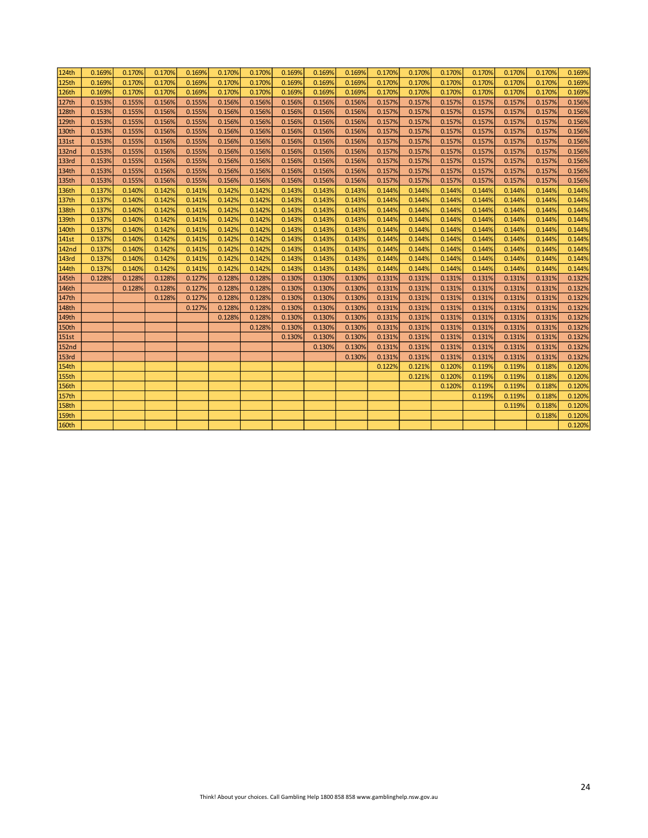| 124th        | 0.169% | 0.170% | 0.170% | 0.169% | 0.170% | 0.170% | 0.169% | 0.169% | 0.169% | 0.170% | 0.170% | 0.170% | 0.170% | 0.170% | 0.170% | 0.169% |
|--------------|--------|--------|--------|--------|--------|--------|--------|--------|--------|--------|--------|--------|--------|--------|--------|--------|
| 125th        | 0.169% | 0.170% | 0.170% | 0.169% | 0.170% | 0.170% | 0.169% | 0.169% | 0.169% | 0.170% | 0.170% | 0.170% | 0.170% | 0.170% | 0.170% | 0.169% |
| 126th        | 0.169% | 0.170% | 0.170% | 0.169% | 0.170% | 0.170% | 0.169% | 0.169% | 0.169% | 0.170% | 0.170% | 0.170% | 0.170% | 0.170% | 0.170% | 0.169% |
| 127th        | 0.153% | 0.155% | 0.156% | 0.155% | 0.156% | 0.156% | 0.156% | 0.156% | 0.156% | 0.157% | 0.157% | 0.157% | 0.157% | 0.157% | 0.157% | 0.156% |
| <b>128th</b> | 0.153% | 0.155% | 0.156% | 0.155% | 0.156% | 0.156% | 0.156% | 0.156% | 0.156% | 0.157% | 0.157% | 0.157% | 0.157% | 0.157% | 0.157% | 0.156% |
| 129th        | 0.153% | 0.155% | 0.156% | 0.155% | 0.156% | 0.156% | 0.156% | 0.156% | 0.156% | 0.157% | 0.157% | 0.157% | 0.157% | 0.157% | 0.157% | 0.156% |
| 130th        | 0.153% | 0.155% | 0.156% | 0.155% | 0.156% | 0.156% | 0.156% | 0.156% | 0.156% | 0.157% | 0.157% | 0.157% | 0.157% | 0.157% | 0.157% | 0.156% |
| 131st        | 0.153% | 0.155% | 0.156% | 0.155% | 0.156% | 0.156% | 0.156% | 0.156% | 0.156% | 0.157% | 0.157% | 0.157% | 0.157% | 0.157% | 0.157% | 0.156% |
| <b>132nd</b> | 0.153% | 0.155% | 0.156% | 0.155% | 0.156% | 0.156% | 0.156% | 0.156% | 0.156% | 0.157% | 0.157% | 0.157% | 0.157% | 0.157% | 0.157% | 0.156% |
| <b>133rd</b> | 0.153% | 0.155% | 0.156% | 0.155% | 0.156% | 0.156% | 0.156% | 0.156% | 0.156% | 0.157% | 0.157% | 0.157% | 0.157% | 0.157% | 0.157% | 0.156% |
| 134th        | 0.153% | 0.155% | 0.156% | 0.155% | 0.156% | 0.156% | 0.156% | 0.156% | 0.156% | 0.157% | 0.157% | 0.157% | 0.157% | 0.157% | 0.157% | 0.156% |
| 135th        | 0.153% | 0.155% | 0.156% | 0.155% | 0.156% | 0.156% | 0.156% | 0.156% | 0.156% | 0.157% | 0.157% | 0.157% | 0.157% | 0.157% | 0.157% | 0.156% |
| 136th        | 0.137% | 0.140% | 0.142% | 0.141% | 0.142% | 0.142% | 0.143% | 0.143% | 0.143% | 0.144% | 0.144% | 0.144% | 0.144% | 0.144% | 0.144% | 0.144% |
| 137th        | 0.137% | 0.140% | 0.142% | 0.141% | 0.142% | 0.142% | 0.143% | 0.143% | 0.143% | 0.144% | 0.144% | 0.144% | 0.144% | 0.144% | 0.144% | 0.144% |
| 138th        | 0.137% | 0.140% | 0.142% | 0.141% | 0.142% | 0.142% | 0.143% | 0.143% | 0.143% | 0.144% | 0.144% | 0.144% | 0.144% | 0.144% | 0.144% | 0.144% |
| 139th        | 0.137% | 0.140% | 0.142% | 0.141% | 0.142% | 0.142% | 0.143% | 0.143% | 0.143% | 0.144% | 0.144% | 0.144% | 0.144% | 0.144% | 0.144% | 0.144% |
| 140th        | 0.137% | 0.140% | 0.142% | 0.141% | 0.142% | 0.142% | 0.143% | 0.143% | 0.143% | 0.144% | 0.144% | 0.144% | 0.144% | 0.144% | 0.144% | 0.144% |
| 141st        | 0.137% | 0.140% | 0.142% | 0.141% | 0.142% | 0.142% | 0.143% | 0.143% | 0.143% | 0.144% | 0.144% | 0.144% | 0.144% | 0.144% | 0.144% | 0.144% |
| <b>142nd</b> | 0.137% | 0.140% | 0.142% | 0.141% | 0.142% | 0.142% | 0.143% | 0.143% | 0.143% | 0.144% | 0.144% | 0.144% | 0.144% | 0.144% | 0.144% | 0.144% |
| 143rd        | 0.137% | 0.140% | 0.142% | 0.141% | 0.142% | 0.142% | 0.143% | 0.143% | 0.143% | 0.144% | 0.144% | 0.144% | 0.144% | 0.144% | 0.144% | 0.144% |
| 144th        | 0.137% | 0.140% | 0.142% | 0.141% | 0.142% | 0.142% | 0.143% | 0.143% | 0.143% | 0.144% | 0.144% | 0.144% | 0.144% | 0.144% | 0.144% | 0.144% |
| 145th        | 0.128% | 0.128% | 0.128% | 0.127% | 0.128% | 0.128% | 0.130% | 0.130% | 0.130% | 0.131% | 0.131% | 0.131% | 0.131% | 0.131% | 0.131% | 0.132% |
| 146th        |        | 0.128% | 0.128% | 0.127% | 0.128% | 0.128% | 0.130% | 0.130% | 0.130% | 0.131% | 0.131% | 0.131% | 0.131% | 0.131% | 0.131% | 0.132% |
| 147th        |        |        | 0.128% | 0.127% | 0.128% | 0.128% | 0.130% | 0.130% | 0.130% | 0.131% | 0.131% | 0.131% | 0.131% | 0.131% | 0.131% | 0.132% |
| 148th        |        |        |        | 0.127% | 0.128% | 0.128% | 0.130% | 0.130% | 0.130% | 0.131% | 0.131% | 0.131% | 0.131% | 0.131% | 0.131% | 0.132% |
| 149th        |        |        |        |        | 0.128% | 0.128% | 0.130% | 0.130% | 0.130% | 0.131% | 0.131% | 0.131% | 0.131% | 0.131% | 0.131% | 0.132% |
| 150th        |        |        |        |        |        | 0.128% | 0.130% | 0.130% | 0.130% | 0.131% | 0.131% | 0.131% | 0.131% | 0.131% | 0.131% | 0.132% |
| 151st        |        |        |        |        |        |        | 0.130% | 0.130% | 0.130% | 0.131% | 0.131% | 0.131% | 0.131% | 0.131% | 0.131% | 0.132% |
| <b>152nd</b> |        |        |        |        |        |        |        | 0.130% | 0.130% | 0.131% | 0.131% | 0.131% | 0.131% | 0.131% | 0.131% | 0.132% |
| 153rd        |        |        |        |        |        |        |        |        | 0.130% | 0.131% | 0.131% | 0.131% | 0.131% | 0.131% | 0.131% | 0.132% |
| 154th        |        |        |        |        |        |        |        |        |        | 0.122% | 0.121% | 0.120% | 0.119% | 0.119% | 0.118% | 0.120% |
| <b>155th</b> |        |        |        |        |        |        |        |        |        |        | 0.121% | 0.120% | 0.119% | 0.119% | 0.118% | 0.120% |
| 156th        |        |        |        |        |        |        |        |        |        |        |        | 0.120% | 0.119% | 0.119% | 0.118% | 0.120% |
| 157th        |        |        |        |        |        |        |        |        |        |        |        |        | 0.119% | 0.119% | 0.118% | 0.120% |
| <b>158th</b> |        |        |        |        |        |        |        |        |        |        |        |        |        | 0.119% | 0.118% | 0.120% |
| <b>159th</b> |        |        |        |        |        |        |        |        |        |        |        |        |        |        | 0.118% | 0.120% |
| <b>160th</b> |        |        |        |        |        |        |        |        |        |        |        |        |        |        |        | 0.120% |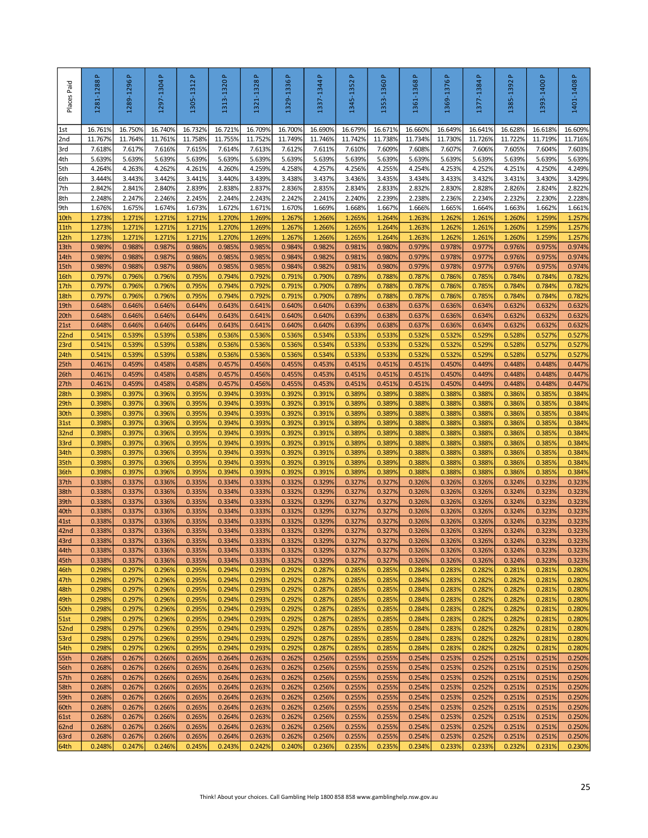| Places Paid              | 1281-1288P        | 1289-1296 P       | $\Delta$<br>1297-1304 | Δ.<br>1305-1312   | 1313-1320P        | $\Delta$<br>1321-1328 | 1329-1336P        | $\Delta$<br>1337-1344 | Δ.<br>1345-1352   | 1353-1360P                                                                             | 1361-1368P        | 1369-1376 P       | $\Delta$<br>1377-1384 | Δ.<br>1385-1392   | 1393-1400 P       | 1401-1408P        |
|--------------------------|-------------------|-------------------|-----------------------|-------------------|-------------------|-----------------------|-------------------|-----------------------|-------------------|----------------------------------------------------------------------------------------|-------------------|-------------------|-----------------------|-------------------|-------------------|-------------------|
| 1st                      | 16.761%           | 16.750%           | 16.740%               | 16.732%           | 16.721%           | 16.709%               | 16.700%           | 16.690%               | 16.679%           | 16.671%                                                                                | 16.660%           | 16.6499           | 16.641%               | 16.628%           | 16.618%           | 16.609%           |
| 2nd<br>3rd               | 11.767%<br>7.618% | 11.764%<br>7.617% | 11.761%<br>7.616%     | 11.758%<br>7.615% | 11.755%<br>7.614% | 11.752%<br>7.613%     | 11.749%<br>7.612% | 11.746%<br>7.611%     | 11.742%<br>7.610% | 11.738%<br>7.609%                                                                      | 11.734%<br>7.608% | 11.7309<br>7.607% | 11.726%<br>7.606%     | 11.722%<br>7.605% | 11.719%<br>7.604% | 11.716%<br>7.603% |
| 4th                      | 5.639%            | 5.639%            | 5.639%                | 5.639%            | 5.639%            | 5.639%                | 5.639%            | 5.639%                | 5.639%            | 5.639%                                                                                 | 5.639%            | 5.639%            | 5.639%                | 5.639%            | 5.639%            | 5.639%            |
| 5th                      | 4.264%            | 4.263%            | 4.262%                | 4.261%            | 4.260%            | 4.259%                | 4.258%            | 4.257%                | 4.256%            | 4.255%                                                                                 | 4.254%            | 4.253%            | 4.252%                | 4.251%            | 4.250%            | 4.249%            |
| 6th                      | 3.444%            | 3.443%            | 3.442%                | 3.441%            | 3.440%            | 3.439%                | 3.438%            | 3.437%                | 3.436%            | 3.435%                                                                                 | 3.434%            | 3.433%            | 3.432%                | 3.431%            | 3.430%            | 3.429%            |
| 7th                      | 2.842%            | 2.841%            | 2.840%                | 2.839%            | 2.838%            | 2.837%                | 2.836%            | 2.835%                | 2.834%            | 2.833%                                                                                 | 2.832%            | 2.830%            | 2.828%                | 2.826%            | 2.824%            | 2.822%            |
| 8th<br>9th               | 2.248%<br>1.676%  | 2.247%<br>1.675%  | 2.246%<br>1.674%      | 2.245%<br>1.673%  | 2.244%<br>1.672%  | 2.243%<br>1.671%      | 2.242%<br>1.670%  | 2.241%<br>1.669%      | 2.240%<br>1.668%  | 2.239%<br>1.667%                                                                       | 2.238%<br>1.666%  | 2.236%<br>1.665%  | 2.234%<br>1.664%      | 2.232%<br>1.663%  | 2.230%<br>1.662%  | 2.228%<br>1.661%  |
| 10th                     | 1.273%            | 1.271%            | 1.271%                | 1.271%            | 1.270%            | 1.269%                | 1.267%            | 1.266%                | 1.265%            | 1.264%                                                                                 | 1.263%            | 1.262%            | 1.261%                | 1.260%            | 1.259%            | 1.257%            |
| 11th                     | 1.273%            | 1.271%            | 1.271%                | 1.271%            | 1.270%            | 1.269%                | 1.267%            | 1.266%                | 1.265%            | 1.264%                                                                                 | 1.263%            | 1.2629            | 1.261%                | 1.260%            | 1.259%            | 1.257%            |
| 12th                     | 1.273%            | 1.271%            | 1.271%                | 1.271%            | 1.270%            | 1.269%                | 1.267%            | 1.266%                | 1.265%            | 1.264%                                                                                 | 1.263%            | 1.2629            | 1.261%                | 1.260%            | 1.259%            | 1.257%            |
| 13th                     | 0.989%            | 0.9889            | 0.987%                | 0.986%            | 0.985%            | 0.985%                | 0.984%            | 0.982%                | 0.981%            | 0.980%                                                                                 | 0.979%            | 0.9789            | 0.977%                | 0.976%            | 0.975%            | 0.974%            |
| 14th<br>15th             | 0.989%<br>0.989%  | 0.988%<br>0.988%  | 0.987%<br>0.987%      | 0.986%<br>0.986%  | 0.985%<br>0.985%  | 0.985%<br>0.985%      | 0.984%<br>0.984%  | 0.982%<br>0.982%      | 0.981%<br>0.981%  | 0.980%<br>0.980%                                                                       | 0.979%<br>0.979%  | 0.978%<br>0.978%  | 0.977%<br>0.977%      | 0.976%<br>0.976%  | 0.975%<br>0.975%  | 0.974%<br>0.974%  |
| 16th                     | 0.797%            | 0.796%            | 0.796%                | 0.795%            | 0.794%            | 0.792%                | 0.791%            | 0.790%                | 0.789%            | 0.788%                                                                                 | 0.787%            | 0.7869            | 0.785%                | 0.784%            | 0.784%            | 0.782%            |
| 17th                     | 0.797%            | 0.796%            | 0.796%                | 0.795%            | 0.794%            | 0.792%                | 0.791%            | 0.790%                | 0.789%            | 0.788%                                                                                 | 0.787%            | 0.7869            | 0.785%                | 0.784%            | 0.784%            | 0.782%            |
| 18th                     | 0.797%            | 0.796%            | 0.796%                | 0.795%            | 0.794%            | 0.792%                | 0.791%            | 0.790%                | 0.789%            | 0.788%                                                                                 | 0.787%            | 0.786%            | 0.785%                | 0.784%            | 0.784%            | 0.782%            |
| 19th                     | 0.648%            | 0.646%            | 0.646%                | 0.644%            | 0.643%            | 0.641%                | 0.640%            | 0.640%                | 0.639%            | 0.638%                                                                                 | 0.637%            | 0.636%            | 0.634%                | 0.632%            | 0.632%            | 0.632%            |
| 20th<br>21st             | 0.648%<br>0.648%  | 0.646%<br>0.646%  | 0.646%<br>0.646%      | 0.644%<br>0.644%  | 0.643%<br>0.643%  | 0.641%<br>0.641%      | 0.640%<br>0.640%  | 0.640%<br>0.640%      | 0.639%<br>0.639%  | 0.638%<br>0.638%                                                                       | 0.637%<br>0.637%  | 0.636%<br>0.636%  | 0.634%<br>0.634%      | 0.632%<br>0.632%  | 0.632%<br>0.632%  | 0.632%<br>0.632%  |
| 22 <sub>nd</sub>         | 0.541%            | 0.539%            | 0.539%                | 0.538%            | 0.536%            | 0.536%                | 0.536%            | 0.534%                | 0.533%            | 0.533%                                                                                 | 0.532%            | 0.532%            | 0.529%                | 0.528%            | 0.527%            | 0.527%            |
| 23rd                     | 0.541%            | 0.539%            | 0.539%                | 0.538%            | 0.536%            | 0.536%                | 0.536%            | 0.534%                | 0.533%            | 0.533%                                                                                 | 0.532%            | 0.532%            | 0.529%                | 0.528%            | 0.527%            | 0.527%            |
| 24th                     | 0.541%            | 0.539%            | 0.539%                | 0.538%            | 0.536%            | 0.536%                | 0.536%            | 0.534%                | 0.533%            | 0.533%                                                                                 | 0.532%            | 0.532%            | 0.529%                | 0.528%            | 0.527%            | 0.527%            |
| 25 <sub>th</sub>         | 0.461%            | 0.459%            | 0.4589                | 0.458%            | 0.457%            | 0.456%                | 0.455%            | 0.453%                | 0.451%            | 0.451%                                                                                 | 0.451%            | 0.450%            | 0.449%                | 0.448%            | 0.448%            | 0.447%            |
| 26th<br>27th             | 0.461%<br>0.461%  | 0.459%<br>0.459%  | 0.458%<br>0.458%      | 0.458%<br>0.458%  | 0.457%<br>0.457%  | 0.456%<br>0.456%      | 0.455%<br>0.455%  | 0.453%<br>0.453%      | 0.451%<br>0.451%  | 0.451%<br>0.451%                                                                       | 0.451%<br>0.451%  | 0.4509<br>0.450%  | 0.449%<br>0.449%      | 0.448%<br>0.448%  | 0.448%<br>0.448%  | 0.447%<br>0.447%  |
| 28th                     | 0.398%            | 0.397%            | 0.396%                | 0.395%            | 0.394%            | 0.393%                | 0.392%            | 0.391%                | 0.389%            | 0.389%                                                                                 | 0.388%            | 0.3889            | 0.388%                | 0.386%            | 0.385%            | 0.384%            |
| 29th                     | 0.398%            | 0.397%            | 0.396%                | 0.395%            | 0.394%            | 0.393%                | 0.392%            | 0.391%                | 0.389%            | 0.389%                                                                                 | 0.388%            | 0.3889            | 0.388%                | 0.386%            | 0.385%            | 0.384%            |
| 30th                     | 0.398%            | 0.397%            | 0.396%                | 0.395%            | 0.394%            | 0.393%                | 0.392%            | 0.391%                | 0.389%            | 0.389%                                                                                 | 0.388%            | 0.3889            | 0.388%                | 0.386%            | 0.385%            | 0.384%            |
| 31st                     | 0.398%            | 0.397%            | 0.396%                | 0.395%            | 0.394%            | 0.393%                | 0.392%            | 0.391%                | 0.389%            | 0.389%                                                                                 | 0.388%            | 0.3889            | 0.388%                | 0.386%            | 0.385%            | 0.384%            |
| 32 <sub>nd</sub><br>33rd | 0.398%<br>0.398%  | 0.397%<br>0.397%  | 0.396%<br>0.396%      | 0.395%<br>0.395%  | 0.394%<br>0.394%  | 0.393%<br>0.393%      | 0.392%<br>0.392%  | 0.391%<br>0.391%      | 0.389%<br>0.389%  | 0.389%<br>0.389%                                                                       | 0.388%<br>0.388%  | 0.3889<br>0.388%  | 0.388%<br>0.388%      | 0.386%<br>0.386%  | 0.385%<br>0.385%  | 0.384%<br>0.384%  |
| 34th                     | 0.398%            | 0.397%            | 0.396%                | 0.395%            | 0.394%            | 0.393%                | 0.392%            | 0.391%                | 0.389%            | 0.389%                                                                                 | 0.388%            | 0.3889            | 0.388%                | 0.386%            | 0.385%            | 0.384%            |
| 35th                     | 0.3989            | 0.397%            | 0.396%                | 0.395%            | 0.394%            | 0.393%                | 0.392%            | 0.391%                | 0.389%            | 0.389%                                                                                 | 0.388%            | 0.3889            | 0.388%                | 0.386%            | 0.385%            | 0.384%            |
| 36th                     | 0.398%            | 0.397%            | 0.396%                | 0.395%            | 0.394%            | 0.393%                | 0.392%            | 0.391%                | 0.389%            | 0.389%                                                                                 | 0.388%            | 0.3889            | 0.388%                | 0.386%            | 0.385%            | 0.384%            |
| 37th<br>38th             | 0.3389<br>0.338%  | 0.337%<br>0.337%  | 0.336%<br>0.336%      | 0.335%<br>0.335%  | 0.334%<br>0.334%  | 0.333%<br>0.333%      | 0.332%<br>0.332%  | 0.329%<br>0.329%      | 0.327%<br>0.327%  | 0.327%<br>0.327%                                                                       | 0.326%<br>0.326%  | 0.3269<br>0.326%  | 0.326%<br>0.326%      | 0.324%<br>0.324%  | 0.323%<br>0.323%  | 0.323%<br>0.323%  |
| 39th                     | 0.338%            | 0.337%            | 0.336%                | 0.335%            | 0.334%            | 0.333%                | 0.332%            | 0.329%                | 0.327%            | 0.327%                                                                                 | 0.326%            | 0.326%            | 0.326%                | 0.324%            | 0.323%            | 0.323%            |
| 40th                     | 0.338%            | 0.337%            | 0.336%                | 0.335%            | 0.334%            | 0.333%                | 0.332%            | 0.329%                | 0.327%            | 0.327%                                                                                 | 0.326%            | 0.326%            | 0.326%                | 0.324%            | 0.323%            | 0.323%            |
| 41st                     | 0.338%            | 0.337%            | 0.336%                | 0.335%            | 0.334%            | 0.333%                | 0.332%            | 0.329%                | 0.327%            | 0.327%                                                                                 | 0.326%            | 0.326%            | 0.326%                | 0.324%            | 0.323%            | 0.323%            |
| 42 <sub>nd</sub>         | 0.338%<br>0338%   | 0.337%<br>0.337%  | 0.336%<br>0.336%      | 0.335%            | 0.334%            | 0.333%                | 0.332%<br>0.332%  | 0.329%<br>0.329%      | 0.327%            | 0.327%<br>0.327%                                                                       | 0.326%            | 0.326%            | 0.326%                | 0.324%            | 0.323%            | 0.323%<br>0.323%  |
| 43rd<br>44th             | 0.338%            | 0.337%            | 0.336%                | 0.335%<br>0.335%  | 0.334%<br>0.334%  | 0.333%<br>0.333%      | 0.332%            | 0.329%                | 0.327%<br>0.327%  | 0.327%                                                                                 | 0.326%<br>0.326%  | 0.326%<br>0.326%  | 0.326%<br>0.326%      | 0.324%<br>0.324%  | 0.323%<br>0.323%  | 0.323%            |
| 45th                     | 0.338%            | 0.337%            | 0.336%                | 0.335%            | 0.334%            | 0.333%                | 0.332%            | 0.329%                | 0.327%            | 0.327%                                                                                 | 0.326%            | 0.326%            | 0.326%                | 0.324%            | 0.323%            | 0.323%            |
| 46th                     | 0.298%            | 0.297%            | 0.296%                | 0.295%            | 0.294%            | 0.293%                | 0.292%            | 0.287%                | 0.285%            | 0.285%                                                                                 | 0.284%            | 0.283%            | 0.282%                | 0.281%            | 0.281%            | 0.280%            |
| 47th                     | 0.298%            | 0.297%            | 0.296%                | 0.295%            | 0.294%            | 0.293%                | 0.292%            | 0.287%                | 0.285%            | 0.285%                                                                                 | 0.284%            | 0.283%            | 0.282%                | 0.282%            | 0.281%            | 0.280%            |
| 48th<br>49th             | 0.298%<br>0.298%  | 0.297%<br>0.297%  | 0.296%<br>0.296%      | 0.295%<br>0.295%  | 0.294%<br>0.294%  | 0.293%<br>0.293%      | 0.292%<br>0.292%  | 0.287%<br>0.287%      | 0.285%<br>0.285%  | 0.285%<br>0.285%                                                                       | 0.284%<br>0.284%  | 0.283%<br>0.283%  | 0.282%<br>0.282%      | 0.282%<br>0.282%  | 0.281%<br>0.281%  | 0.280%<br>0.280%  |
| 50th                     | 0.298%            | 0.297%            | 0.296%                | 0.295%            | 0.294%            | 0.293%                | 0.292%            | 0.287%                | 0.285%            | 0.285%                                                                                 | 0.284%            | 0.283%            | 0.282%                | 0.282%            | 0.281%            | 0.280%            |
| 51st                     | 0.298%            | 0.297%            | 0.296%                | 0.295%            | 0.294%            | 0.293%                | 0.292%            | 0.287%                | 0.285%            | 0.285%                                                                                 | 0.284%            | 0.283%            | 0.282%                | 0.282%            | 0.281%            | 0.280%            |
| 52nd                     | 0.298%            | 0.297%            | 0.296%                | 0.295%            | 0.294%            | 0.293%                | 0.292%            | 0.287%                | 0.285%            | 0.285%                                                                                 | 0.284%            | 0.283%            | 0.282%                | 0.282%            | 0.281%            | 0.280%            |
| 53rd                     | 0.298%            | 0.297%            | 0.296%                | 0.295%            | 0.294%            | 0.293%                | 0.292%            | 0.287%                | 0.285%            | 0.285%                                                                                 | 0.284%            | 0.283%            | 0.282%                | 0.282%            | 0.281%            | 0.280%            |
| 54th<br>55th             | 0.298%<br>0.268%  | 0.297%<br>0.267%  | 0.296%<br>0.266%      | 0.295%<br>0.265%  | 0.294%<br>0.264%  | 0.293%<br>0.263%      | 0.292%<br>0.262%  | 0.287%<br>0.256%      | 0.285%<br>0.255%  | 0.285%<br>0.255%                                                                       | 0.284%<br>0.254%  | 0.283%<br>0.253%  | 0.282%<br>0.252%      | 0.282%<br>0.251%  | 0.281%<br>0.251%  | 0.280%<br>0.250%  |
| 56th                     | 0.268%            | 0.267%            | 0.266%                | 0.265%            | 0.264%            | 0.263%                | 0.262%            | 0.256%                | 0.255%            | 0.255%                                                                                 | 0.254%            | 0.253%            | 0.252%                | 0.251%            | 0.251%            | 0.250%            |
| 57th                     | 0.268%            | 0.267%            | 0.266%                | 0.265%            | 0.264%            | 0.263%                | 0.262%            | 0.256%                | 0.255%            | 0.255%                                                                                 | 0.254%            | 0.253%            | 0.252%                | 0.251%            | 0.251%            | 0.250%            |
| 58th                     | 0.268%            | 0.267%            | 0.266%                | 0.265%            | 0.264%            | 0.263%                | 0.262%            | 0.256%                | 0.255%            | 0.255%                                                                                 | 0.254%            | 0.253%            | 0.252%                | 0.251%            | 0.251%            | 0.250%            |
| 59th<br>60th             | 0.268%            | 0.267%            | 0.266%<br>0.266%      | 0.265%            | 0.264%<br>0.264%  | 0.263%                | 0.262%            | 0.256%<br>0.256%      | 0.255%            | 0.255%<br>0.255%                                                                       | 0.254%<br>0.254%  | 0.253%            | 0.252%                | 0.251%            | 0.251%<br>0.251%  | 0.250%            |
| 61st                     | 0.268%<br>0.268%  | 0.267%<br>0.267%  | 0.266%                | 0.265%<br>0.265%  | 0.264%            | 0.263%<br>0.263%      | 0.262%<br>0.262%  | 0.256%                | 0.255%<br>0.255%  | 0.255%                                                                                 | 0.254%            | 0.253%<br>0.253%  | 0.252%<br>0.252%      | 0.251%<br>0.251%  | 0.251%            | 0.250%<br>0.250%  |
| 62nd                     | 0.268%            | 0.267%            | 0.266%                | 0.265%            | 0.264%            | 0.263%                | 0.262%            | 0.256%                | 0.255%            | 0.255%                                                                                 | 0.254%            | 0.253%            | 0.252%                | 0.251%            | 0.251%            | 0.250%            |
| 63rd                     | 0.268%            | 0.267%            | 0.266%                | 0.265%            | 0.264%            | 0.263%                | 0.262%            | 0.256%                | 0.255%            | 0.255%                                                                                 | 0.254%            | 0.253%            | 0.252%                | 0.251%            | 0.251%            | 0.250%            |
| 64th                     | 0.248%            | 0.247%            | 0.246%                | 0.245%            | 0.243%            | 0.242%                | 0.240%            | 0.236%                | 0.235%            | 0.235%                                                                                 | 0.234%            | 0.233%            | 0.233%                | 0.232%            | 0.231%            | 0.230%            |
|                          |                   |                   |                       |                   |                   |                       |                   |                       |                   | Think! About your choices. Call Gambling Help 1800 858 858 www.gamblinghelp.nsw.gov.au |                   |                   |                       |                   |                   | 25                |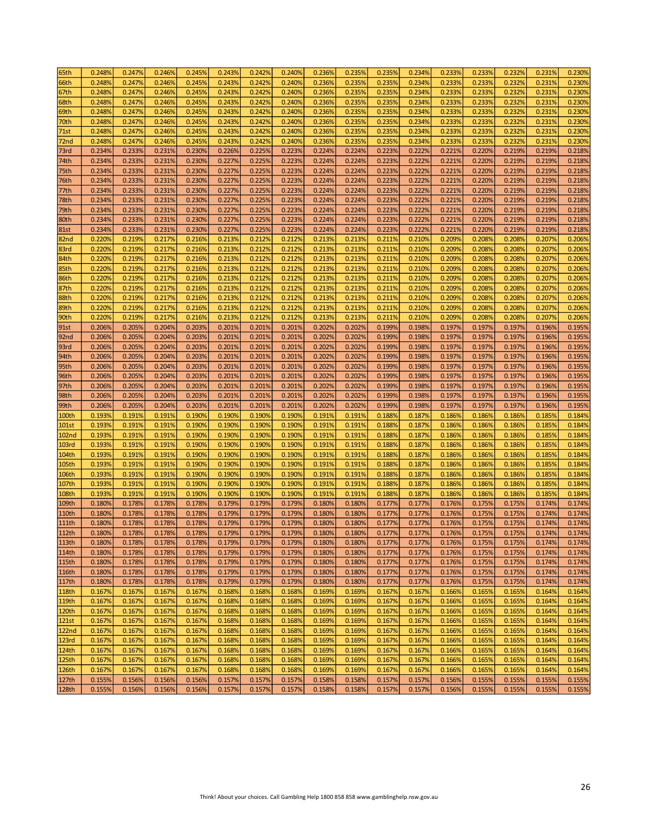| 65th              | 0.248% | 0.247% | 0.246% | 0.245% | 0.243% | 0.242% | 0.240% | 0.236% | 0.235% | 0.235% | 0.234% | 0.233% | 0.233% | 0.232% | 0.231% | 0.230% |
|-------------------|--------|--------|--------|--------|--------|--------|--------|--------|--------|--------|--------|--------|--------|--------|--------|--------|
| 66th              | 0.248% | 0.247% | 0.246% | 0.245% | 0.243% | 0.242% | 0.240% | 0.236% | 0.235% | 0.235% | 0.234% | 0.233% | 0.233% | 0.232% | 0.231% | 0.230% |
| 67th              | 0.248% | 0.247% | 0.246% | 0.245% | 0.243% | 0.242% | 0.240% | 0.236% | 0.235% | 0.235% | 0.234% | 0.233% | 0.233% | 0.232% | 0.231% | 0.230% |
| 68th              | 0.248% | 0.247% | 0.246% | 0.245% | 0.243% | 0.242% | 0.240% | 0.236% | 0.235% | 0.235% | 0.234% | 0.233% | 0.233% | 0.232% | 0.231% | 0.230% |
| 69th              | 0.248% | 0.247% | 0.246% | 0.245% | 0.243% | 0.242% | 0.240% | 0.236% | 0.235% | 0.235% | 0.234% | 0.233% | 0.233% | 0.232% | 0.231% | 0.230% |
| 70th              | 0.248% | 0.247% | 0.246% | 0.245% | 0.243% | 0.242% | 0.240% | 0.236% | 0.235% | 0.235% | 0.234% | 0.233% | 0.233% | 0.232% | 0.231% | 0.230% |
| 71st              | 0.248% | 0.247% | 0.246% | 0.245% | 0.243% | 0.242% | 0.240% | 0.236% | 0.235% | 0.235% | 0.234% | 0.233% | 0.233% | 0.232% | 0.231% | 0.230% |
| 72nd              | 0.248% | 0.247% | 0.246% | 0.245% | 0.243% | 0.242% | 0.240% | 0.236% | 0.235% | 0.235% | 0.234% | 0.233% | 0.233% | 0.232% | 0.231% | 0.230% |
| 73rd              | 0.234% | 0.233% | 0.231% | 0.230% | 0.226% | 0.225% | 0.223% | 0.224% | 0.224% | 0.223% | 0.222% | 0.221% | 0.220% | 0.219% | 0.219% | 0.218% |
| 74th              | 0.234% | 0.233% | 0.231% | 0.230% | 0.227% | 0.225% | 0.223% | 0.224% | 0.224% | 0.223% | 0.222% | 0.221% | 0.220% | 0.219% | 0.219% | 0.218% |
| 75th              | 0.234% | 0.233% | 0.231% | 0.230% | 0.227% | 0.225% | 0.223% | 0.224% | 0.224% | 0.223% | 0.222% | 0.221% | 0.220% | 0.219% | 0.219% | 0.218% |
| 76th              | 0.234% | 0.233% | 0.231% | 0.230% | 0.227% | 0.225% | 0.223% | 0.224% | 0.224% | 0.223% | 0.222% | 0.221% | 0.220% | 0.219% | 0.219% | 0.218% |
| 77th              | 0.234% | 0.233% | 0.231% | 0.230% | 0.227% | 0.225% | 0.223% | 0.224% | 0.224% | 0.223% | 0.222% | 0.221% | 0.220% | 0.219% | 0.219% | 0.218% |
| 78th              | 0.234% | 0.233% | 0.231% | 0.230% | 0.227% | 0.225% | 0.223% | 0.224% | 0.224% | 0.223% | 0.222% | 0.221% | 0.220% | 0.219% | 0.219% | 0.218% |
| 79th              | 0.234% | 0.233% | 0.231% | 0.230% | 0.227% | 0.225% | 0.223% | 0.224% | 0.224% | 0.223% | 0.222% | 0.221% | 0.220% | 0.219% | 0.219% | 0.218% |
| 80th              | 0.234% | 0.233% | 0.231% | 0.230% | 0.227% | 0.225% | 0.223% | 0.224% | 0.224% | 0.223% | 0.222% | 0.221% | 0.220% | 0.219% | 0.219% | 0.218% |
| <b>81st</b>       | 0.234% | 0.233% | 0.231% | 0.230% | 0.227% | 0.225% | 0.223% | 0.224% | 0.224% | 0.223% | 0.222% | 0.221% | 0.220% | 0.219% | 0.219% | 0.218% |
| 82nd              | 0.220% | 0.219% | 0.217% | 0.216% | 0.213% | 0.212% | 0.212% | 0.213% | 0.213% | 0.211% | 0.210% | 0.209% | 0.208% | 0.208% | 0.207% | 0.206% |
| 83rd              | 0.220% | 0.219% | 0.217% | 0.216% | 0.213% | 0.212% | 0.212% | 0.213% | 0.213% | 0.211% | 0.210% | 0.209% | 0.208% | 0.208% | 0.207% | 0.206% |
| 84th              | 0.220% | 0.219% | 0.217% | 0.216% | 0.213% | 0.212% | 0.212% | 0.213% | 0.213% | 0.211% | 0.210% | 0.209% | 0.208% | 0.208% | 0.207% | 0.206% |
| 85th              | 0.220% | 0.219% | 0.217% | 0.216% | 0.213% | 0.212% | 0.212% | 0.213% | 0.213% | 0.211% | 0.210% | 0.209% | 0.208% | 0.208% | 0.207% | 0.206% |
| 86th              | 0.220% | 0.219% | 0.217% | 0.216% | 0.213% | 0.212% | 0.212% | 0.213% | 0.213% | 0.211% | 0.210% | 0.209% | 0.208% | 0.208% | 0.207% | 0.206% |
| 87th              | 0.220% | 0.219% | 0.217% | 0.216% | 0.213% | 0.212% | 0.212% | 0.213% | 0.213% | 0.211% | 0.210% | 0.209% | 0.208% | 0.208% | 0.207% | 0.206% |
| 88th              | 0.220% | 0.219% | 0.217% | 0.216% | 0.213% | 0.212% | 0.212% | 0.213% | 0.213% | 0.211% | 0.210% | 0.209% | 0.208% | 0.208% | 0.207% | 0.206% |
| 89th              | 0.220% | 0.219% | 0.217% | 0.216% | 0.213% | 0.212% | 0.212% | 0.213% | 0.213% | 0.211% | 0.210% | 0.209% | 0.208% | 0.208% | 0.207% | 0.206% |
| 90th              | 0.220% | 0.219% | 0.217% | 0.216% | 0.213% | 0.212% | 0.212% | 0.213% | 0.213% | 0.211% | 0.210% | 0.209% | 0.208% | 0.208% | 0.207% | 0.206% |
| 91st              | 0.206% | 0.205% | 0.204% | 0.203% | 0.201% | 0.201% | 0.201% | 0.202% | 0.202% | 0.199% | 0.198% | 0.197% | 0.197% | 0.197% | 0.196% | 0.195% |
| 92nd              | 0.206% | 0.205% | 0.204% | 0.203% | 0.201% | 0.201% | 0.201% | 0.202% | 0.202% | 0.199% | 0.198% | 0.197% | 0.197% | 0.197% | 0.196% | 0.195% |
| 93rd              | 0.206% | 0.205% | 0.204% | 0.203% | 0.201% | 0.201% | 0.201% | 0.202% | 0.202% | 0.199% | 0.198% | 0.197% | 0.197% | 0.197% | 0.196% | 0.195% |
| 94th              | 0.206% | 0.205% | 0.204% | 0.203% | 0.201% | 0.201% | 0.201% | 0.202% | 0.202% | 0.199% | 0.198% | 0.197% | 0.197% | 0.197% | 0.196% | 0.195% |
| 95th              | 0.206% | 0.205% | 0.204% | 0.203% | 0.201% | 0.201% | 0.201% | 0.202% | 0.202% | 0.199% | 0.198% | 0.197% | 0.197% | 0.197% | 0.196% | 0.195% |
| 96th              | 0.206% | 0.205% | 0.204% | 0.203% | 0.201% | 0.201% | 0.201% | 0.202% | 0.202% | 0.199% | 0.198% | 0.197% | 0.197% | 0.197% | 0.196% | 0.195% |
| 97th              | 0.206% | 0.205% | 0.204% | 0.203% | 0.201% | 0.201% | 0.201% | 0.202% | 0.202% | 0.199% | 0.198% | 0.197% | 0.197% | 0.197% | 0.196% | 0.195% |
| 98th              | 0.206% | 0.205% | 0.204% | 0.203% | 0.201% | 0.201% | 0.201% | 0.202% | 0.202% | 0.199% | 0.198% | 0.197% | 0.197% | 0.197% | 0.196% | 0.195% |
| 99th              | 0.206% | 0.205% | 0.204% | 0.203% | 0.201% | 0.201% | 0.201% | 0.202% | 0.202% | 0.199% | 0.198% | 0.197% | 0.197% | 0.197% | 0.196% | 0.195% |
| 100th             | 0.193% | 0.191% | 0.191% | 0.190% | 0.190% | 0.190% | 0.190% | 0.191% | 0.191% | 0.188% | 0.187% | 0.186% | 0.186% | 0.186% | 0.185% | 0.184% |
| <b>101st</b>      | 0.193% | 0.191% | 0.191% | 0.190% | 0.190% | 0.190% | 0.190% | 0.191% | 0.191% | 0.188% | 0.187% | 0.186% | 0.186% | 0.186% | 0.185% | 0.184% |
| <b>102nd</b>      | 0.193% | 0.191% | 0.191% | 0.190% | 0.190% | 0.190% | 0.190% | 0.191% | 0.191% | 0.188% | 0.187% | 0.186% | 0.186% | 0.186% | 0.185% | 0.184% |
| 103rd             | 0.193% | 0.191% | 0.191% | 0.190% | 0.190% | 0.190% | 0.190% | 0.191% | 0.191% | 0.188% | 0.187% | 0.186% | 0.186% | 0.186% | 0.185% | 0.184% |
| 104th             | 0.193% | 0.191% | 0.191% | 0.190% | 0.190% | 0.190% | 0.190% | 0.191% | 0.191% | 0.188% | 0.187% | 0.186% | 0.186% | 0.186% | 0.185% | 0.184% |
| 105th             | 0.193% | 0.191% | 0.191% | 0.190% | 0.190% | 0.190% | 0.190% | 0.191% | 0.191% | 0.188% | 0.187% | 0.186% | 0.186% | 0.186% | 0.185% | 0.184% |
| 106th             | 0.193% | 0.191% | 0.191% | 0.190% | 0.190% | 0.190% | 0.190% | 0.191% | 0.191% | 0.188% | 0.187% | 0.186% | 0.186% | 0.186% | 0.185% | 0.184% |
| 107th             | 0.193% | 0.191% | 0.191% | 0.190% | 0.190% | 0.190% | 0.190% | 0.191% | 0.191% | 0.188% | 0.187% | 0.186% | 0.186% | 0.186% | 0.185% | 0.184% |
| 108th             | 0.193% | 0.191% | 0.191% | 0.190% | 0.190% | 0.190% | 0.190% | 0.191% | 0.191% | 0.188% | 0.187% | 0.186% | 0.186% | 0.186% | 0.185% | 0.184% |
| 109th             | 0.180% | 0.178% | 0.178% | 0.178% | 0.179% | 0.179% | 0.179% | 0.180% | 0.180% | 0.177% | 0.177% | 0.176% | 0.175% | 0.175% | 0.174% | 0.174% |
| 110th             | 0.180% | 0.178% | 0.178% | 0.178% | 0.179% | 0.179% | 0.179% | 0.180% | 0.180% | 0.177% | 0.177% | 0.176% | 0.175% | 0.175% | 0.174% | 0.174% |
| <b>111th</b>      | 0.180% | 0.178% | 0.1789 | 0.178% | 0.1799 | 0.179% | 0.179% | 0.180% | 0.180% | 0.177% | 0.177% | 0.176% | 0.175% | 0.175% | 0.174% | 0.174% |
| 112th             | 0.180% | 0.178% | 0.178% | 0.178% | 0.179% | 0.179% | 0.179% | 0.180% | 0.180% | 0.177% | 0.177% | 0.176% | 0.175% | 0.175% | 0.174% | 0.174% |
| 113th             | 0.180% | 0.178% | 0.178% | 0.178% | 0.179% | 0.179% | 0.179% | 0.180% | 0.180% | 0.177% | 0.177% | 0.176% | 0.175% | 0.175% | 0.174% | 0.174% |
| 114th             | 0.180% | 0.178% | 0.178% | 0.178% | 0.179% | 0.179% | 0.179% | 0.180% | 0.180% | 0.177% | 0.177% | 0.176% | 0.175% | 0.175% | 0.174% | 0.174% |
| 115th             | 0.180% | 0.178% | 0.178% | 0.178% | 0.179% | 0.179% | 0.179% | 0.180% | 0.180% | 0.177% | 0.177% | 0.176% | 0.175% | 0.175% | 0.174% | 0.174% |
| 116th             | 0.180% | 0.178% | 0.178% | 0.178% | 0.179% | 0.179% | 0.179% | 0.180% | 0.180% | 0.177% | 0.177% | 0.176% | 0.175% | 0.175% | 0.174% | 0.174% |
| 117th             | 0.180% | 0.178% | 0.178% | 0.178% | 0.179% | 0.179% | 0.179% | 0.180% | 0.180% | 0.177% | 0.177% | 0.176% | 0.175% | 0.175% | 0.174% | 0.174% |
| 118th             | 0.167% | 0.167% | 0.167% | 0.167% | 0.168% | 0.168% | 0.168% | 0.169% | 0.169% | 0.167% | 0.167% | 0.166% | 0.165% | 0.165% | 0.164% | 0.164% |
| 119th             | 0.167% | 0.167% | 0.167% | 0.167% | 0.168% | 0.168% | 0.168% | 0.169% | 0.169% | 0.167% | 0.167% | 0.166% | 0.165% | 0.165% | 0.164% | 0.164% |
| 120th             | 0.167% | 0.167% | 0.167% | 0.167% | 0.168% | 0.168% | 0.168% | 0.169% | 0.169% | 0.167% | 0.167% | 0.166% | 0.165% | 0.165% | 0.164% | 0.164% |
| 121st             | 0.167% | 0.167% | 0.167% | 0.167% | 0.168% | 0.168% | 0.168% | 0.169% | 0.169% | 0.167% | 0.167% | 0.166% | 0.165% | 0.165% | 0.164% | 0.164% |
| 122 <sub>nd</sub> | 0.167% | 0.167% | 0.167% | 0.167% | 0.168% | 0.168% | 0.168% | 0.169% | 0.169% | 0.167% | 0.167% | 0.166% | 0.165% | 0.165% | 0.164% | 0.164% |
| 123rd             | 0.167% | 0.167% | 0.167% | 0.167% | 0.168% | 0.168% | 0.168% | 0.169% | 0.169% | 0.167% | 0.167% | 0.166% | 0.165% | 0.165% | 0.164% | 0.164% |
| 124th             | 0.167% | 0.167% | 0.167% | 0.167% | 0.168% | 0.168% | 0.168% | 0.169% | 0.169% | 0.167% | 0.167% | 0.166% | 0.165% | 0.165% | 0.164% | 0.164% |
| 125th             | 0.167% | 0.167% | 0.167% | 0.167% | 0.168% | 0.168% | 0.168% | 0.169% | 0.169% | 0.167% | 0.167% | 0.166% | 0.165% | 0.165% | 0.164% | 0.164% |
| 126th             | 0.167% | 0.167% | 0.167% | 0.167% | 0.168% | 0.168% | 0.168% | 0.169% | 0.169% | 0.167% | 0.167% | 0.166% | 0.165% | 0.165% | 0.164% | 0.164% |
| 127th             | 0.155% | 0.156% | 0.156% | 0.156% | 0.157% | 0.157% | 0.157% | 0.158% | 0.158% | 0.157% | 0.157% | 0.156% | 0.155% | 0.155% | 0.155% | 0.155% |
| 128th             | 0.155% | 0.156% | 0.156% | 0.156% | 0.157% | 0.157% | 0.157% | 0.158% | 0.158% | 0.157% | 0.157% | 0.156% | 0.155% | 0.155% | 0.155% | 0.155% |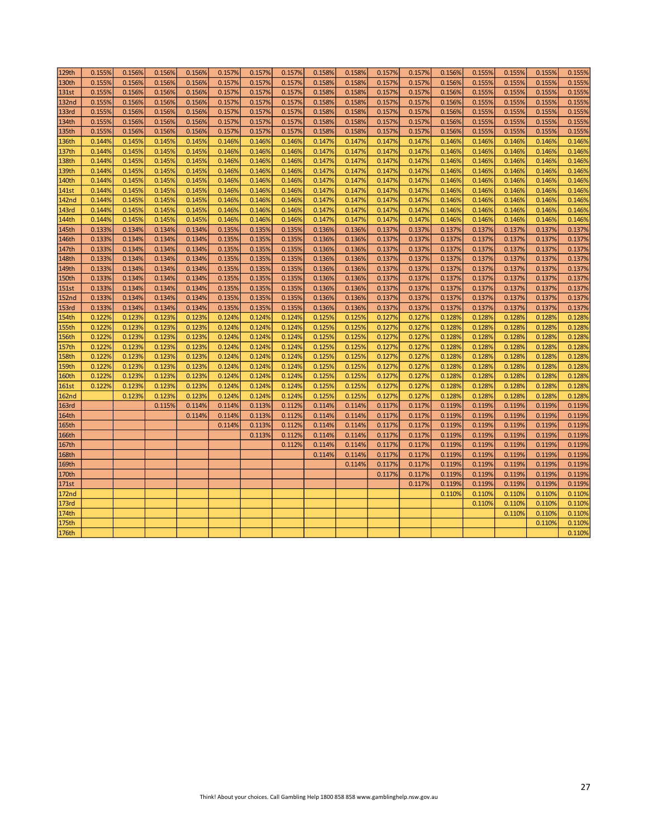| 129th        | 0.155% | 0.156% | 0.156% | 0.156% | 0.157% | 0.157% | 0.157% | 0.158% | 0.158% | 0.157% | 0.157% | 0.156% | 0.155% | 0.155% | 0.155% | 0.155% |
|--------------|--------|--------|--------|--------|--------|--------|--------|--------|--------|--------|--------|--------|--------|--------|--------|--------|
| 130th        | 0.155% | 0.156% | 0.156% | 0.156% | 0.157% | 0.157% | 0.157% | 0.158% | 0.158% | 0.157% | 0.157% | 0.156% | 0.155% | 0.155% | 0.155% | 0.155% |
| 131st        | 0.155% | 0.156% | 0.156% | 0.156% | 0.157% | 0.157% | 0.157% | 0.158% | 0.158% | 0.157% | 0.157% | 0.156% | 0.155% | 0.155% | 0.155% | 0.155% |
| <b>132nd</b> | 0.155% | 0.156% | 0.156% | 0.156% | 0.157% | 0.157% | 0.157% | 0.158% | 0.158% | 0.157% | 0.157% | 0.156% | 0.155% | 0.155% | 0.155% | 0.155% |
| 133rd        | 0.155% | 0.156% | 0.156% | 0.156% | 0.157% | 0.157% | 0.157% | 0.158% | 0.158% | 0.157% | 0.157% | 0.156% | 0.155% | 0.155% | 0.155% | 0.155% |
| 134th        | 0.155% | 0.156% | 0.156% | 0.156% | 0.157% | 0.157% | 0.157% | 0.158% | 0.158% | 0.157% | 0.157% | 0.156% | 0.155% | 0.155% | 0.155% | 0.155% |
| 135th        | 0.155% | 0.156% | 0.156% | 0.156% | 0.157% | 0.157% | 0.157% | 0.158% | 0.158% | 0.157% | 0.157% | 0.156% | 0.155% | 0.155% | 0.155% | 0.155% |
| 136th        | 0.144% | 0.145% | 0.145% | 0.145% | 0.146% | 0.146% | 0.146% | 0.147% | 0.147% | 0.147% | 0.147% | 0.146% | 0.146% | 0.146% | 0.146% | 0.146% |
| 137th        | 0.144% | 0.145% | 0.145% | 0.145% | 0.146% | 0.146% | 0.146% | 0.147% | 0.147% | 0.147% | 0.147% | 0.146% | 0.146% | 0.146% | 0.146% | 0.146% |
| 138th        | 0.144% | 0.145% | 0.145% | 0.145% | 0.146% | 0.146% | 0.146% | 0.147% | 0.147% | 0.147% | 0.147% | 0.146% | 0.146% | 0.146% | 0.146% | 0.146% |
| 139th        | 0.144% | 0.145% | 0.145% | 0.145% | 0.146% | 0.146% | 0.146% | 0.147% | 0.147% | 0.147% | 0.147% | 0.146% | 0.146% | 0.146% | 0.146% | 0.146% |
| 140th        | 0.144% | 0.145% | 0.145% | 0.145% | 0.146% | 0.146% | 0.146% | 0.147% | 0.147% | 0.147% | 0.147% | 0.146% | 0.146% | 0.146% | 0.146% | 0.146% |
| 141st        | 0.144% | 0.145% | 0.145% | 0.145% | 0.146% | 0.146% | 0.146% | 0.147% | 0.147% | 0.147% | 0.147% | 0.146% | 0.146% | 0.146% | 0.146% | 0.146% |
| <b>142nd</b> | 0.144% | 0.145% | 0.145% | 0.145% | 0.146% | 0.146% | 0.146% | 0.147% | 0.147% | 0.147% | 0.147% | 0.146% | 0.146% | 0.146% | 0.146% | 0.146% |
| <b>143rd</b> | 0.144% | 0.145% | 0.145% | 0.145% | 0.146% | 0.146% | 0.146% | 0.147% | 0.147% | 0.147% | 0.147% | 0.146% | 0.146% | 0.146% | 0.146% | 0.146% |
| 144th        | 0.144% | 0.145% | 0.145% | 0.145% | 0.146% | 0.146% | 0.146% | 0.147% | 0.147% | 0.147% | 0.147% | 0.146% | 0.146% | 0.146% | 0.146% | 0.146% |
| 145th        | 0.133% | 0.134% | 0.134% | 0.134% | 0.135% | 0.135% | 0.135% | 0.136% | 0.136% | 0.137% | 0.137% | 0.137% | 0.137% | 0.137% | 0.137% | 0.137% |
| 146th        | 0.133% | 0.134% | 0.134% | 0.134% | 0.135% | 0.135% | 0.135% | 0.136% | 0.136% | 0.137% | 0.137% | 0.137% | 0.137% | 0.137% | 0.137% | 0.137% |
| 147th        | 0.133% | 0.134% | 0.134% | 0.134% | 0.135% | 0.135% | 0.135% | 0.136% | 0.136% | 0.137% | 0.137% | 0.137% | 0.137% | 0.137% | 0.137% | 0.137% |
| 148th        | 0.133% | 0.134% | 0.134% | 0.134% | 0.135% | 0.135% | 0.135% | 0.136% | 0.136% | 0.137% | 0.137% | 0.137% | 0.137% | 0.137% | 0.137% | 0.137% |
| 149th        | 0.133% | 0.134% | 0.134% | 0.134% | 0.135% | 0.135% | 0.135% | 0.136% | 0.136% | 0.137% | 0.137% | 0.137% | 0.137% | 0.137% | 0.137% | 0.137% |
| <b>150th</b> | 0.133% | 0.134% | 0.134% | 0.134% | 0.135% | 0.135% | 0.135% | 0.136% | 0.136% | 0.137% | 0.137% | 0.137% | 0.137% | 0.137% | 0.137% | 0.137% |
| <b>151st</b> | 0.133% | 0.134% | 0.134% | 0.134% | 0.135% | 0.135% | 0.135% | 0.136% | 0.136% | 0.137% | 0.137% | 0.137% | 0.137% | 0.137% | 0.137% | 0.137% |
| <b>152nd</b> | 0.133% | 0.134% | 0.134% | 0.134% | 0.135% | 0.135% | 0.135% | 0.136% | 0.136% | 0.137% | 0.137% | 0.137% | 0.137% | 0.137% | 0.137% | 0.137% |
| 153rd        | 0.133% | 0.134% | 0.134% | 0.134% | 0.135% | 0.135% | 0.135% | 0.136% | 0.136% | 0.137% | 0.137% | 0.137% | 0.137% | 0.137% | 0.137% | 0.137% |
| 154th        | 0.122% | 0.123% | 0.123% | 0.123% | 0.124% | 0.124% | 0.124% | 0.125% | 0.125% | 0.127% | 0.127% | 0.128% | 0.128% | 0.128% | 0.128% | 0.128% |
| 155th        | 0.122% | 0.123% | 0.123% | 0.123% | 0.124% | 0.124% | 0.124% | 0.125% | 0.125% | 0.127% | 0.127% | 0.128% | 0.128% | 0.128% | 0.128% | 0.128% |
| 156th        | 0.122% | 0.123% | 0.123% | 0.123% | 0.124% | 0.124% | 0.124% | 0.125% | 0.125% | 0.127% | 0.127% | 0.128% | 0.128% | 0.128% | 0.128% | 0.128% |
| 157th        | 0.122% | 0.123% | 0.123% | 0.123% | 0.124% | 0.124% | 0.124% | 0.125% | 0.125% | 0.127% | 0.127% | 0.128% | 0.128% | 0.128% | 0.128% | 0.128% |
| <b>158th</b> | 0.122% | 0.123% | 0.123% | 0.123% | 0.124% | 0.124% | 0.124% | 0.125% | 0.125% | 0.127% | 0.127% | 0.128% | 0.128% | 0.128% | 0.128% | 0.128% |
| <b>159th</b> | 0.122% | 0.123% | 0.123% | 0.123% | 0.124% | 0.124% | 0.124% | 0.125% | 0.125% | 0.127% | 0.127% | 0.128% | 0.128% | 0.128% | 0.128% | 0.128% |
| 160th        | 0.122% | 0.123% | 0.123% | 0.123% | 0.124% | 0.124% | 0.124% | 0.125% | 0.125% | 0.127% | 0.127% | 0.128% | 0.128% | 0.128% | 0.128% | 0.128% |
| <b>161st</b> | 0.122% | 0.123% | 0.123% | 0.123% | 0.124% | 0.124% | 0.124% | 0.125% | 0.125% | 0.127% | 0.127% | 0.128% | 0.128% | 0.128% | 0.128% | 0.128% |
| <b>162nd</b> |        | 0.123% | 0.123% | 0.123% | 0.124% | 0.124% | 0.124% | 0.125% | 0.125% | 0.127% | 0.127% | 0.128% | 0.128% | 0.128% | 0.128% | 0.128% |
| <b>163rd</b> |        |        | 0.115% | 0.114% | 0.114% | 0.113% | 0.112% | 0.114% | 0.114% | 0.117% | 0.117% | 0.119% | 0.119% | 0.119% | 0.119% | 0.119% |
| 164th        |        |        |        | 0.114% | 0.114% | 0.113% | 0.112% | 0.114% | 0.114% | 0.117% | 0.117% | 0.119% | 0.119% | 0.119% | 0.119% | 0.119% |
| 165th        |        |        |        |        | 0.114% | 0.113% | 0.112% | 0.114% | 0.114% | 0.117% | 0.117% | 0.119% | 0.119% | 0.119% | 0.119% | 0.119% |
| 166th        |        |        |        |        |        | 0.113% | 0.112% | 0.114% | 0.114% | 0.117% | 0.117% | 0.119% | 0.119% | 0.119% | 0.119% | 0.119% |
| 167th        |        |        |        |        |        |        | 0.112% | 0.114% | 0.114% | 0.117% | 0.117% | 0.119% | 0.119% | 0.119% | 0.119% | 0.119% |
| 168th        |        |        |        |        |        |        |        | 0.114% | 0.114% | 0.117% | 0.117% | 0.119% | 0.119% | 0.119% | 0.119% | 0.119% |
| 169th        |        |        |        |        |        |        |        |        | 0.114% | 0.117% | 0.117% | 0.119% | 0.119% | 0.119% | 0.119% | 0.119% |
| 170th        |        |        |        |        |        |        |        |        |        | 0.117% | 0.117% | 0.119% | 0.119% | 0.119% | 0.119% | 0.119% |
| 171st        |        |        |        |        |        |        |        |        |        |        | 0.117% | 0.119% | 0.119% | 0.119% | 0.119% | 0.119% |
| <b>172nd</b> |        |        |        |        |        |        |        |        |        |        |        | 0.110% | 0.110% | 0.110% | 0.110% | 0.110% |
| 173rd        |        |        |        |        |        |        |        |        |        |        |        |        | 0.110% | 0.110% | 0.110% | 0.110% |
| 174th        |        |        |        |        |        |        |        |        |        |        |        |        |        | 0.110% | 0.110% | 0.110% |
| 175th        |        |        |        |        |        |        |        |        |        |        |        |        |        |        | 0.110% | 0.110% |
| 176th        |        |        |        |        |        |        |        |        |        |        |        |        |        |        |        | 0.110% |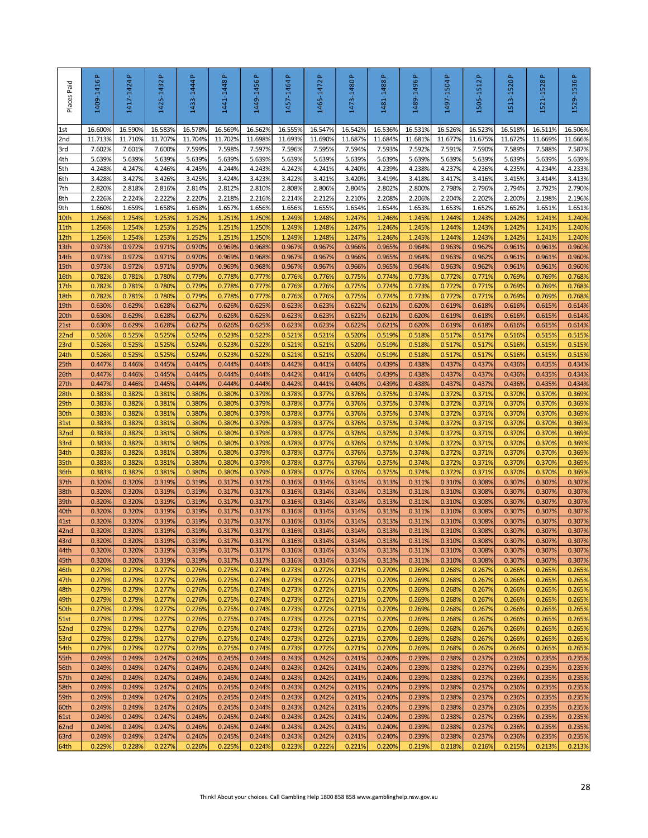| Places Paid              | 1409-1416P       | 1417-1424P       | 1425-1432 P      | Δ.<br>1433-1444  | 1441-1448 P      | 1449-1456 P      | $\Delta$<br>1457-1464 | $\mathbf{r}$<br>1465-1472 | 1473-1480 P      | 1481-1488 P                                                                            | 1489-1496 P      | 1497-1504P       | 1505-1512P       | 1513-1520P       | 1521-1528P       | 1529-1536P       |
|--------------------------|------------------|------------------|------------------|------------------|------------------|------------------|-----------------------|---------------------------|------------------|----------------------------------------------------------------------------------------|------------------|------------------|------------------|------------------|------------------|------------------|
| 1st                      | 16.600%          | 16.590%          | 16.583%          | 16.578%          | 16.569%          | 16.562%          | 16.555%               | 16.547%                   | 16.542%          | 16.536%                                                                                | 16.531%          | 16.526%          | 16.523%          | 16.518%          | 16.511%          | 16.506%          |
| 2nd                      | 11.713%          | 11.710%          | 11.707%          | 11.704%          | 11.702%          | 11.698%          | 11.693%               | 11.690%                   | 11.687%          | 11.684%                                                                                | 11.681%          | 11.677%          | 11.675%          | 11.672%          | 11.669%          | 11.666%          |
| 3rd<br>4th               | 7.602%<br>5.639% | 7.601%<br>5.639% | 7.600%<br>5.639% | 7.599%<br>5.639% | 7.598%<br>5.639% | 7.597%<br>5.639% | 7.596%<br>5.639%      | 7.595%<br>5.639%          | 7.594%<br>5.639% | 7.593%<br>5.639%                                                                       | 7.592%<br>5.639% | 7.591%<br>5.639% | 7.590%<br>5.639% | 7.589%<br>5.639% | 7.588%<br>5.639% | 7.587%<br>5.639% |
| 5th                      | 4.248%           | 4.247%           | 4.246%           | 4.245%           | 4.244%           | 4.243%           | 4.242%                | 4.241%                    | 4.240%           | 4.239%                                                                                 | 4.238%           | 4.237%           | 4.236%           | 4.235%           | 4.234%           | 4.233%           |
| 6th                      | 3.428%           | 3.427%           | 3.426%           | 3.425%           | 3.424%           | 3.423%           | 3.422%                | 3.421%                    | 3.420%           | 3.419%                                                                                 | 3.418%           | 3.417%           | 3.416%           | 3.415%           | 3.414%           | 3.413%           |
| 7th                      | 2.820%           | 2.818%           | 2.816%           | 2.814%           | 2.812%           | 2.810%           | 2.808%                | 2.806%                    | 2.804%           | 2.802%                                                                                 | 2.800%           | 2.798%           | 2.796%           | 2.794%           | 2.792%           | 2.790%           |
| 8th<br>9th               | 2.226%<br>1.660% | 2.224%<br>1.659% | 2.222%<br>1.658% | 2.220%<br>1.658% | 2.218%<br>1.657% | 2.216%<br>1.656% | 2.214%<br>1.656%      | 2.212%<br>1.655%          | 2.210%<br>1.654% | 2.208%<br>1.654%                                                                       | 2.206%<br>1.653% | 2.204%<br>1.653% | 2.202%<br>1.652% | 2.200%<br>1.652% | 2.198%<br>1.651% | 2.196%<br>1.651% |
| 10th                     | 1.256%           | 1.254%           | 1.253%           | 1.252%           | 1.251%           | 1.250%           | 1.249%                | 1.248%                    | 1.247%           | 1.246%                                                                                 | 1.245%           | 1.244%           | 1.243%           | 1.242%           | 1.241%           | 1.240%           |
| 11th                     | 1.256%           | 1.254%           | 1.253%           | 1.252%           | 1.251%           | 1.250%           | 1.249%                | 1.248%                    | 1.247%           | 1.246%                                                                                 | 1.245%           | 1.244%           | 1.243%           | 1.242%           | 1.241%           | 1.240%           |
| 12th                     | 1.256%           | 1.254%           | 1.253%           | 1.252%           | 1.251%           | 1.250%           | 1.249%                | 1.248%                    | 1.247%           | 1.246%                                                                                 | 1.245%           | 1.244%           | 1.243%           | 1.242%           | 1.241%           | 1.240%           |
| 13th<br>14th             | 0.973%<br>0.973% | 0.972%<br>0.972% | 0.971%<br>0.971% | 0.970%<br>0.970% | 0.969%<br>0.969% | 0.968%<br>0.968% | 0.967%<br>0.967%      | 0.967%<br>0.967%          | 0.966%<br>0.966% | 0.965%<br>0.965%                                                                       | 0.964%<br>0.964% | 0.963%<br>0.963% | 0.962%<br>0.962% | 0.961%<br>0.961% | 0.961%<br>0.961% | 0.960%<br>0.960% |
| 15th                     | 0.973%           | 0.972%           | 0.971%           | 0.970%           | 0.969%           | 0.968%           | 0.967%                | 0.967%                    | 0.966%           | 0.965%                                                                                 | 0.964%           | 0.963%           | 0.962%           | 0.961%           | 0.961%           | 0.960%           |
| 16th                     | 0.782%           | 0.781%           | 0.780%           | 0.779%           | 0.778%           | 0.777%           | 0.776%                | 0.776%                    | 0.775%           | 0.774%                                                                                 | 0.773%           | 0.772%           | 0.771%           | 0.769%           | 0.769%           | 0.768%           |
| 17th                     | 0.782%           | 0.781%           | 0.780%           | 0.779%           | 0.778%           | 0.777%           | 0.776%                | 0.776%                    | 0.775%           | 0.774%                                                                                 | 0.773%           | 0.772%           | 0.771%           | 0.769%           | 0.769%           | 0.768%           |
| 18th                     | 0.782%           | 0.781%           | 0.780%           | 0.779%           | 0.778%           | 0.777%           | 0.776%                | 0.776%                    | 0.775%           | 0.774%                                                                                 | 0.773%           | 0.772%           | 0.771%           | 0.769%           | 0.769%           | 0.768%           |
| 19th<br>20th             | 0.630%<br>0.630% | 0.629%<br>0.629% | 0.628%<br>0.628% | 0.627%<br>0.627% | 0.626%<br>0.626% | 0.625%<br>0.625% | 0.623%<br>0.623%      | 0.623%<br>0.623%          | 0.622%<br>0.622% | 0.621%<br>0.621%                                                                       | 0.620%<br>0.620% | 0.619%<br>0.619% | 0.618%<br>0.618% | 0.616%<br>0.616% | 0.615%<br>0.615% | 0.614%<br>0.614% |
| 21st                     | 0.630%           | 0.629%           | 0.628%           | 0.627%           | 0.626%           | 0.625%           | 0.623%                | 0.623%                    | 0.622%           | 0.621%                                                                                 | 0.620%           | 0.619%           | 0.618%           | 0.616%           | 0.615%           | 0.614%           |
| 22 <sub>nd</sub>         | 0.526%           | 0.525%           | 0.525%           | 0.524%           | 0.523%           | 0.522%           | 0.521%                | 0.521%                    | 0.520%           | 0.519%                                                                                 | 0.518%           | 0.517%           | 0.517%           | 0.516%           | 0.515%           | 0.515%           |
| 23rd                     | 0.526%           | 0.525%           | 0.525%           | 0.524%           | 0.523%           | 0.522%           | 0.521%                | 0.521%                    | 0.520%           | 0.519%                                                                                 | 0.518%           | 0.517%           | 0.517%           | 0.516%           | 0.515%           | 0.515%           |
| 24th<br>25 <sub>th</sub> | 0.526%<br>0.447% | 0.525%<br>0.446% | 0.525%<br>0.445% | 0.524%<br>0.444% | 0.523%<br>0.444% | 0.522%<br>0.444% | 0.521%<br>0.442%      | 0.521%<br>0.441%          | 0.520%<br>0.440% | 0.519%<br>0.439%                                                                       | 0.518%<br>0.438% | 0.517%<br>0.437% | 0.517%<br>0.437% | 0.516%<br>0.436% | 0.515%<br>0.435% | 0.515%<br>0.434% |
| 26th                     | 0.447%           | 0.446%           | 0.445%           | 0.444%           | 0.444%           | 0.444%           | 0.442%                | 0.441%                    | 0.440%           | 0.439%                                                                                 | 0.438%           | 0.437%           | 0.437%           | 0.436%           | 0.435%           | 0.434%           |
| 27th                     | 0.447%           | 0.446%           | 0.445%           | 0.444%           | 0.444%           | 0.444%           | 0.442%                | 0.441%                    | 0.440%           | 0.439%                                                                                 | 0.438%           | 0.437%           | 0.437%           | 0.436%           | 0.435%           | 0.434%           |
| 28th                     | 0.3839           | 0.382%           | 0.381%           | 0.380%           | 0.380%           | 0.379%           | 0.378%                | 0.377%                    | 0.376%           | 0.375%                                                                                 | 0.374%           | 0.372%           | 0.371%           | 0.370%           | 0.370%           | 0.369%           |
| 29th<br>30th             | 0.383%<br>0.383% | 0.382%<br>0.382% | 0.381%<br>0.381% | 0.380%<br>0.380% | 0.380%<br>0.380% | 0.379%<br>0.379% | 0.378%<br>0.378%      | 0.377%<br>0.377%          | 0.376%<br>0.376% | 0.375%<br>0.375%                                                                       | 0.374%<br>0.374% | 0.372%<br>0.372% | 0.371%<br>0.371% | 0.370%<br>0.370% | 0.370%<br>0.370% | 0.369%<br>0.369% |
| 31st                     | 0.383%           | 0.382%           | 0.381%           | 0.380%           | 0.380%           | 0.379%           | 0.378%                | 0.377%                    | 0.376%           | 0.375%                                                                                 | 0.374%           | 0.372%           | 0.371%           | 0.370%           | 0.370%           | 0.369%           |
| 32 <sub>nd</sub>         | 0.383%           | 0.382%           | 0.381%           | 0.380%           | 0.380%           | 0.379%           | 0.378%                | 0.377%                    | 0.376%           | 0.375%                                                                                 | 0.374%           | 0.372%           | 0.371%           | 0.370%           | 0.370%           | 0.369%           |
| 33rd                     | 0.383%           | 0.382%           | 0.381%           | 0.380%           | 0.380%           | 0.379%           | 0.378%                | 0.377%                    | 0.376%           | 0.375%                                                                                 | 0.374%           | 0.372%           | 0.371%           | 0.370%           | 0.370%           | 0.369%           |
| 34th<br>35th             | 0.383%<br>0.383% | 0.382%<br>0.382% | 0.381%<br>0.381% | 0.380%<br>0.380% | 0.380%<br>0.380% | 0.379%<br>0.379% | 0.378%<br>0.378%      | 0.377%<br>0.377%          | 0.376%<br>0.376% | 0.375%<br>0.375%                                                                       | 0.374%<br>0.374% | 0.372%<br>0.372% | 0.371%<br>0.371% | 0.370%<br>0.370% | 0.370%<br>0.370% | 0.369%<br>0.369% |
| 36th                     | 0.383%           | 0.382%           | 0.381%           | 0.380%           | 0.380%           | 0.379%           | 0.378%                | 0.377%                    | 0.376%           | 0.375%                                                                                 | 0.374%           | 0.372%           | 0.371%           | 0.370%           | 0.370%           | 0.369%           |
| 37th                     | 0.320%           | 0.320%           | 0.3199           | 0.319%           | 0.317%           | 0.317%           | 0.316%                | 0.314%                    | 0.314%           | 0.313%                                                                                 | 0.311%           | 0.310%           | 0.308%           | 0.307%           | 0.307%           | 0.307%           |
| 38th<br>39th             | 0.320%<br>0.320% | 0.320%<br>0.320% | 0.319%<br>0.319% | 0.319%<br>0.319% | 0.317%<br>0.317% | 0.317%<br>0.317% | 0.316%<br>0.316%      | 0.314%<br>0.314%          | 0.314%<br>0.314% | 0.313%<br>0.313%                                                                       | 0.311%<br>0.311% | 0.310%<br>0.310% | 0.308%<br>0.308% | 0.307%<br>0.307% | 0.307%<br>0.307% | 0.307%<br>0.307% |
| 40th                     | 0.320%           | 0.320%           | 0.319%           | 0.319%           | 0.317%           | 0.317%           | 0.316%                | 0.314%                    | 0.314%           | 0.313%                                                                                 | 0.311%           | 0.310%           | 0.308%           | 0.307%           | 0.307%           | 0.307%           |
| 41st                     | 0.320%           | 0.320%           | 0.319%           | 0.319%           | 0.317%           | 0.317%           | 0.316%                | 0.314%                    | 0.314%           | 0.313%                                                                                 | 0.311%           | 0.310%           | 0.308%           | 0.307%           | 0.307%           | 0.307%           |
| 42 <sub>nd</sub>         | 0.320%           | 0.320%<br>0.320% | 0.319%           | 0.319%           | 0.317%           | 0.317%           | 0.316%                | 0.314%                    | 0.314%           | 0.313%                                                                                 | 0.311%           | 0.310%           | 0.308%           | 0.307%           | 0.307%           | 0.307%           |
| 43rd<br>44th             | 0.320%<br>0.320% | 0.320%           | 0.319%<br>0.319% | 0.319%<br>0.319% | 0.317%<br>0.317% | 0.317%<br>0.317% | 0.316%<br>0.316%      | 0.314%<br>0.314%          | 0.314%<br>0.314% | 0.313%<br>0.313%                                                                       | 0.311%<br>0.311% | 0.310%<br>0.310% | 0.308%<br>0.308% | 0.307%<br>0.307% | 0.307%<br>0.307% | 0.307%<br>0.307% |
| 45th                     | 0.320%           | 0.320%           | 0.319%           | 0.319%           | 0.317%           | 0.317%           | 0.316%                | 0.314%                    | 0.314%           | 0.313%                                                                                 | 0.311%           | 0.310%           | 0.308%           | 0.307%           | 0.307%           | 0.307%           |
| 46th                     | 0.279%           | 0.279%           | 0.277%           | 0.276%           | 0.275%           | 0.274%           | 0.273%                | 0.272%                    | 0.271%           | 0.270%                                                                                 | 0.269%           | 0.268%           | 0.267%           | 0.266%           | 0.265%           | 0.265%           |
| 47th                     | 0.279%           | 0.279%           | 0.277%           | 0.276%           | 0.275%           | 0.274%           | 0.273%                | 0.272%                    | 0.271%           | 0.270%                                                                                 | 0.269%           | 0.268%           | 0.267%           | 0.266%           | 0.265%           | 0.265%           |
| 48th<br>49th             | 0.279%<br>0.279% | 0.279%<br>0.279% | 0.277%<br>0.277% | 0.276%<br>0.276% | 0.275%<br>0.275% | 0.274%<br>0.274% | 0.273%<br>0.273%      | 0.272%<br>0.272%          | 0.271%<br>0.271% | 0.270%<br>0.270%                                                                       | 0.269%<br>0.269% | 0.268%<br>0.268% | 0.267%<br>0.267% | 0.266%<br>0.266% | 0.265%<br>0.265% | 0.265%<br>0.265% |
| 50th                     | 0.279%           | 0.279%           | 0.277%           | 0.276%           | 0.275%           | 0.274%           | 0.273%                | 0.272%                    | 0.271%           | 0.270%                                                                                 | 0.269%           | 0.268%           | 0.267%           | 0.266%           | 0.265%           | 0.265%           |
| 51st                     | 0.279%           | 0.279%           | 0.277%           | 0.276%           | 0.275%           | 0.274%           | 0.273%                | 0.272%                    | 0.271%           | 0.270%                                                                                 | 0.269%           | 0.268%           | 0.267%           | 0.266%           | 0.265%           | 0.265%           |
| 52nd                     | 0.279%           | 0.279%           | 0.277%           | 0.276%           | 0.275%           | 0.274%           | 0.273%                | 0.272%                    | 0.271%           | 0.270%                                                                                 | 0.269%           | 0.268%           | 0.267%           | 0.266%           | 0.265%           | 0.265%           |
| 53rd<br>54th             | 0.279%<br>0.279% | 0.279%<br>0.279% | 0.277%<br>0.277% | 0.276%<br>0.276% | 0.275%<br>0.275% | 0.274%<br>0.274% | 0.273%<br>0.273%      | 0.272%<br>0.272%          | 0.271%<br>0.271% | 0.270%<br>0.270%                                                                       | 0.269%<br>0.269% | 0.268%<br>0.268% | 0.267%<br>0.267% | 0.266%<br>0.266% | 0.265%<br>0.265% | 0.265%<br>0.265% |
| 55th                     | 0.249%           | 0.249%           | 0.247%           | 0.246%           | 0.245%           | 0.244%           | 0.243%                | 0.242%                    | 0.241%           | 0.240%                                                                                 | 0.239%           | 0.238%           | 0.237%           | 0.236%           | 0.235%           | 0.235%           |
| 56th                     | 0.249%           | 0.249%           | 0.247%           | 0.246%           | 0.245%           | 0.244%           | 0.243%                | 0.242%                    | 0.241%           | 0.240%                                                                                 | 0.239%           | 0.238%           | 0.237%           | 0.236%           | 0.235%           | 0.235%           |
| 57th                     | 0.249%           | 0.249%           | 0.247%           | 0.246%           | 0.245%           | 0.244%           | 0.243%                | 0.242%                    | 0.241%           | 0.240%                                                                                 | 0.239%           | 0.238%           | 0.237%           | 0.236%           | 0.235%           | 0.235%           |
| 58th                     | 0.249%<br>0.249% | 0.249%<br>0.249% | 0.247%<br>0.247% | 0.246%<br>0.246% | 0.245%<br>0.245% | 0.244%<br>0.244% | 0.243%<br>0.243%      | 0.242%<br>0.242%          | 0.241%<br>0.241% | 0.240%<br>0.240%                                                                       | 0.239%<br>0.239% | 0.238%<br>0.238% | 0.237%<br>0.237% | 0.236%<br>0.236% | 0.235%<br>0.235% | 0.235%<br>0.235% |
| 59th<br>60th             | 0.249%           | 0.249%           | 0.247%           | 0.246%           | 0.245%           | 0.244%           | 0.243%                | 0.242%                    | 0.241%           | 0.240%                                                                                 | 0.239%           | 0.238%           | 0.237%           | 0.236%           | 0.235%           | 0.235%           |
| 61st                     | 0.249%           | 0.249%           | 0.247%           | 0.246%           | 0.245%           | 0.244%           | 0.243%                | 0.242%                    | 0.241%           | 0.240%                                                                                 | 0.239%           | 0.238%           | 0.237%           | 0.236%           | 0.235%           | 0.235%           |
| 62nd                     | 0.249%           | 0.249%           | 0.247%           | 0.246%           | 0.245%           | 0.244%           | 0.243%                | 0.242%                    | 0.241%           | 0.240%                                                                                 | 0.239%           | 0.238%           | 0.237%           | 0.236%           | 0.235%           | 0.235%           |
| 63rd<br>64th             | 0.249%<br>0.229% | 0.249%<br>0.228% | 0.247%<br>0.227% | 0.246%<br>0.226% | 0.245%<br>0.225% | 0.244%<br>0.224% | 0.243%<br>0.223%      | 0.242%<br>0.222%          | 0.241%<br>0.221% | 0.240%<br>0.220%                                                                       | 0.239%<br>0.219% | 0.238%<br>0.218% | 0.237%<br>0.216% | 0.236%<br>0.215% | 0.235%<br>0.213% | 0.235%<br>0.213% |
|                          |                  |                  |                  |                  |                  |                  |                       |                           |                  |                                                                                        |                  |                  |                  |                  |                  |                  |
|                          |                  |                  |                  |                  |                  |                  |                       |                           |                  | Think! About your choices. Call Gambling Help 1800 858 858 www.gamblinghelp.nsw.gov.au |                  |                  |                  |                  |                  | 28               |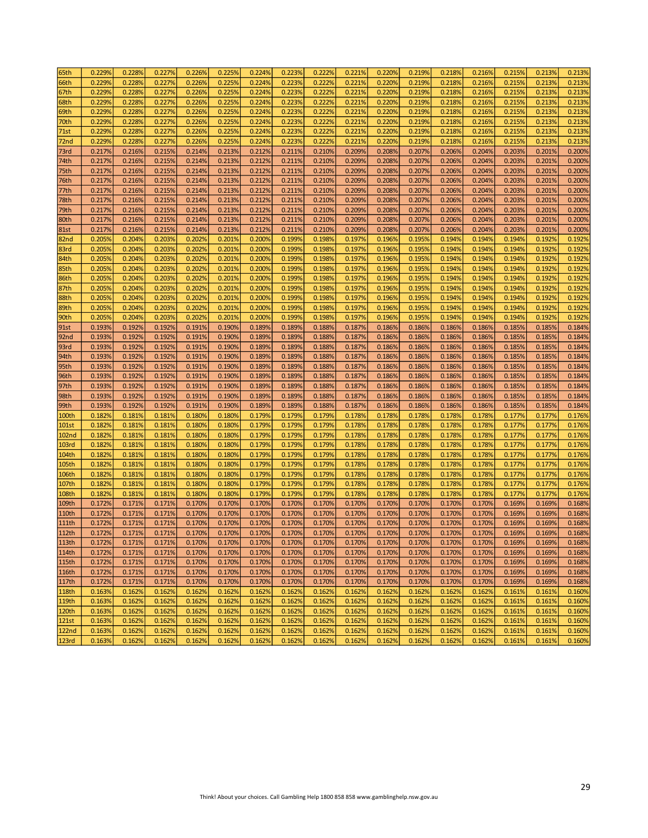| 65th         | 0.229% | 0.228% | 0.227% | 0.226% | 0.225% | 0.224% | 0.223% | 0.222% | 0.221% | 0.220% | 0.219% | 0.218% | 0.216% | 0.215% | 0.213% | 0.213% |
|--------------|--------|--------|--------|--------|--------|--------|--------|--------|--------|--------|--------|--------|--------|--------|--------|--------|
| 66th         | 0.229% | 0.228% | 0.227% | 0.226% | 0.225% | 0.224% | 0.223% | 0.222% | 0.221% | 0.220% | 0.219% | 0.218% | 0.216% | 0.215% | 0.213% | 0.213% |
| 67th         | 0.229% | 0.228% | 0.227% | 0.226% | 0.225% | 0.224% | 0.223% | 0.222% | 0.221% | 0.220% | 0.219% | 0.218% | 0.216% | 0.215% | 0.213% | 0.213% |
| 68th         | 0.229% | 0.228% | 0.227% | 0.226% | 0.225% | 0.224% | 0.223% | 0.222% | 0.221% | 0.220% | 0.219% | 0.218% | 0.216% | 0.215% | 0.213% | 0.213% |
| 69th         | 0.229% | 0.228% | 0.227% | 0.226% | 0.225% | 0.224% | 0.223% | 0.222% | 0.221% | 0.220% | 0.219% | 0.218% | 0.216% | 0.215% | 0.213% | 0.213% |
| 70th         | 0.229% | 0.228% | 0.227% | 0.226% | 0.225% | 0.224% | 0.223% | 0.222% | 0.221% | 0.220% | 0.219% | 0.218% | 0.216% | 0.215% | 0.213% | 0.213% |
|              |        |        |        |        |        |        |        |        |        |        |        |        |        |        |        |        |
| 71st         | 0.229% | 0.228% | 0.227% | 0.226% | 0.225% | 0.224% | 0.223% | 0.222% | 0.221% | 0.220% | 0.219% | 0.218% | 0.216% | 0.215% | 0.213% | 0.213% |
| 72nd         | 0.229% | 0.228% | 0.227% | 0.226% | 0.225% | 0.224% | 0.223% | 0.222% | 0.221% | 0.220% | 0.219% | 0.218% | 0.216% | 0.215% | 0.213% | 0.213% |
| 73rd         | 0.217% | 0.216% | 0.215% | 0.214% | 0.213% | 0.212% | 0.211% | 0.210% | 0.209% | 0.208% | 0.207% | 0.206% | 0.204% | 0.203% | 0.201% | 0.200% |
| 74th         | 0.217% | 0.216% | 0.215% | 0.214% | 0.213% | 0.212% | 0.211% | 0.210% | 0.209% | 0.208% | 0.207% | 0.206% | 0.204% | 0.203% | 0.201% | 0.200% |
| 75th         | 0.217% | 0.216% | 0.215% | 0.214% | 0.213% | 0.212% | 0.211% | 0.210% | 0.209% | 0.208% | 0.207% | 0.206% | 0.204% | 0.203% | 0.201% | 0.200% |
| 76th         | 0.217% | 0.216% | 0.215% | 0.214% | 0.213% | 0.212% | 0.211% | 0.210% | 0.209% | 0.208% | 0.207% | 0.206% | 0.204% | 0.203% | 0.201% | 0.200% |
| 77th         | 0.217% | 0.216% | 0.215% | 0.214% | 0.213% | 0.212% | 0.211% | 0.210% | 0.209% | 0.208% | 0.207% | 0.206% | 0.204% | 0.203% | 0.201% | 0.200% |
| 78th         | 0.217% | 0.216% | 0.215% | 0.214% | 0.213% | 0.212% | 0.211% | 0.210% | 0.209% | 0.208% | 0.207% | 0.206% | 0.204% | 0.203% | 0.201% | 0.200% |
| 79th         | 0.217% | 0.216% | 0.215% | 0.214% | 0.213% | 0.212% | 0.211% | 0.210% | 0.209% | 0.208% | 0.207% | 0.206% | 0.204% | 0.203% | 0.201% | 0.200% |
| 80th         | 0.217% | 0.216% | 0.215% | 0.214% | 0.213% | 0.212% | 0.211% | 0.210% | 0.209% | 0.208% | 0.207% | 0.206% | 0.204% | 0.203% | 0.201% | 0.200% |
| 81st         | 0.217% | 0.216% | 0.215% | 0.214% | 0.213% | 0.212% | 0.211% | 0.210% | 0.209% | 0.208% | 0.207% | 0.206% | 0.204% | 0.203% | 0.201% | 0.200% |
| 82nd         | 0.205% | 0.204% | 0.203% | 0.202% | 0.201% | 0.200% | 0.199% | 0.198% | 0.197% | 0.196% | 0.195% | 0.194% | 0.194% | 0.194% | 0.192% | 0.192% |
| 83rd         | 0.205% | 0.204% | 0.203% | 0.202% | 0.201% | 0.200% | 0.199% | 0.198% | 0.197% | 0.196% | 0.195% | 0.194% | 0.194% | 0.194% | 0.192% | 0.192% |
| 84th         | 0.2059 | 0.204% | 0.203% | 0.202% | 0.201% | 0.200% | 0.199% | 0.198% | 0.197% | 0.196% | 0.195% | 0.194% | 0.194% | 0.194% | 0.192% | 0.192% |
| 85th         | 0.205% | 0.204% | 0.203% | 0.202% | 0.201% | 0.200% | 0.199% | 0.198% | 0.197% | 0.196% | 0.195% | 0.194% | 0.194% | 0.194% | 0.192% | 0.192% |
| 86th         | 0.205% | 0.204% | 0.203% | 0.202% | 0.201% | 0.200% | 0.199% | 0.198% | 0.197% | 0.196% | 0.195% | 0.194% | 0.194% | 0.194% | 0.192% | 0.192% |
| 87th         | 0.205% | 0.204% | 0.203% | 0.202% | 0.201% | 0.200% | 0.199% | 0.198% | 0.197% | 0.196% | 0.195% | 0.194% | 0.194% | 0.194% | 0.192% | 0.192% |
| 88th         | 0.205% | 0.204% | 0.203% | 0.202% | 0.201% | 0.200% | 0.199% | 0.198% | 0.197% | 0.196% | 0.195% | 0.194% | 0.194% | 0.194% | 0.192% | 0.192% |
|              |        |        |        |        |        |        |        |        |        |        |        |        |        |        |        |        |
| 89th         | 0.205% | 0.204% | 0.203% | 0.202% | 0.201% | 0.200% | 0.199% | 0.198% | 0.197% | 0.196% | 0.195% | 0.194% | 0.194% | 0.194% | 0.192% | 0.192% |
| 90th         | 0.205% | 0.204% | 0.203% | 0.202% | 0.201% | 0.200% | 0.199% | 0.198% | 0.197% | 0.196% | 0.195% | 0.194% | 0.194% | 0.194% | 0.192% | 0.192% |
| 91st         | 0.193% | 0.192% | 0.192% | 0.191% | 0.190% | 0.189% | 0.189% | 0.188% | 0.187% | 0.186% | 0.186% | 0.186% | 0.186% | 0.185% | 0.185% | 0.184% |
| 92nd         | 0.193% | 0.192% | 0.192% | 0.191% | 0.190% | 0.189% | 0.189% | 0.188% | 0.187% | 0.186% | 0.186% | 0.186% | 0.186% | 0.185% | 0.185% | 0.184% |
| 93rd         | 0.193% | 0.192% | 0.192% | 0.191% | 0.190% | 0.189% | 0.189% | 0.188% | 0.187% | 0.186% | 0.186% | 0.186% | 0.186% | 0.185% | 0.185% | 0.184% |
| 94th         | 0.193% | 0.192% | 0.192% | 0.191% | 0.190% | 0.189% | 0.189% | 0.188% | 0.187% | 0.186% | 0.186% | 0.186% | 0.186% | 0.185% | 0.185% | 0.184% |
| 95th         | 0.193% | 0.192% | 0.192% | 0.191% | 0.190% | 0.189% | 0.189% | 0.188% | 0.187% | 0.186% | 0.186% | 0.186% | 0.186% | 0.185% | 0.185% | 0.184% |
| 96th         | 0.193% | 0.192% | 0.192% | 0.191% | 0.190% | 0.189% | 0.189% | 0.188% | 0.187% | 0.186% | 0.186% | 0.186% | 0.186% | 0.185% | 0.185% | 0.184% |
| 97th         | 0.193% | 0.192% | 0.192% | 0.191% | 0.190% | 0.189% | 0.189% | 0.188% | 0.187% | 0.186% | 0.186% | 0.186% | 0.186% | 0.185% | 0.185% | 0.184% |
| 98th         | 0.193% | 0.192% | 0.192% | 0.191% | 0.190% | 0.189% | 0.189% | 0.188% | 0.187% | 0.186% | 0.186% | 0.186% | 0.186% | 0.185% | 0.185% | 0.184% |
| 99th         | 0.193% | 0.192% | 0.192% | 0.191% | 0.190% | 0.189% | 0.189% | 0.188% | 0.187% | 0.186% | 0.186% | 0.186% | 0.186% | 0.185% | 0.185% | 0.184% |
| 100th        | 0.182% | 0.181% | 0.181% | 0.180% | 0.180% | 0.179% | 0.179% | 0.179% | 0.178% | 0.178% | 0.178% | 0.178% | 0.178% | 0.177% | 0.177% | 0.176% |
| <b>101st</b> | 0.182% | 0.181% | 0.181% | 0.180% | 0.180% | 0.179% | 0.179% | 0.179% | 0.178% | 0.178% | 0.178% | 0.178% | 0.178% | 0.177% | 0.177% | 0.176% |
| <b>102nd</b> | 0.182% | 0.181% | 0.181% | 0.180% | 0.180% | 0.179% | 0.179% | 0.179% | 0.178% | 0.178% | 0.178% | 0.178% | 0.178% | 0.177% | 0.177% | 0.176% |
| <b>103rd</b> | 0.182% | 0.181% | 0.181% | 0.180% | 0.180% | 0.179% | 0.179% | 0.179% | 0.178% | 0.178% | 0.178% | 0.178% | 0.178% | 0.177% | 0.177% | 0.176% |
| 104th        | 0.182% | 0.181% | 0.181% | 0.180% | 0.180% | 0.179% | 0.179% | 0.179% | 0.178% | 0.178% | 0.178% | 0.178% | 0.178% | 0.177% | 0.177% | 0.176% |
| 105th        | 0.182% | 0.181% | 0.181% | 0.180% | 0.180% | 0.179% | 0.179% | 0.179% | 0.178% | 0.178% | 0.178% | 0.178% | 0.178% | 0.177% | 0.177% | 0.176% |
| 106th        | 0.182% | 0.181% | 0.181% | 0.180% | 0.180% | 0.179% | 0.179% | 0.179% | 0.178% | 0.178% | 0.178% | 0.178% | 0.178% | 0.177% | 0.177% | 0.176% |
| 107th        | 0.182% | 0.181% | 0.181% | 0.180% | 0.180% | 0.179% | 0.179% | 0.179% | 0.178% | 0.178% | 0.178% | 0.178% | 0.178% | 0.177% | 0.177% | 0.176% |
| 108th        | 0.182% | 0.181% | 0.181% | 0.180% | 0.180% | 0.179% | 0.179% | 0.179% | 0.178% | 0.178% | 0.178% | 0.178% | 0.178% | 0.177% | 0.177% | 0.176% |
| 109th        | 0.172% | 0.171% | 0.171% | 0.170% | 0.170% |        | 0.170% | 0.170% | 0.170% | 0.170% | 0.170% | 0.170% | 0.170% | 0.169% | 0.169% | 0.168% |
|              |        |        |        |        |        | 0.170% |        |        |        |        |        |        |        |        |        |        |
| <b>110th</b> | 0.172% | 0.171% | 0.171% | 0.170% | 0.170% | 0.170% | 0.170% | 0.170% | 0.170% | 0.170% | 0.170% | 0.170% | 0.170% | 0.169% | 0.169% | 0.168% |
| <b>111th</b> | 0.172% | 0.171% | 0.171% | 0.170% | 0.170% | 0.170% | 0.170% | 0.170% | 0.170% | 0.170% | 0.170% | 0.170% | 0.170% | 0.169% | 0.169% | 0.168% |
| 112th        | 0.172% | 0.171% | 0.171% | 0.170% | 0.170% | 0.170% | 0.170% | 0.170% | 0.170% | 0.170% | 0.170% | 0.170% | 0.170% | 0.169% | 0.169% | 0.168% |
| 113th        | 0.172% | 0.171% | 0.171% | 0.170% | 0.170% | 0.170% | 0.170% | 0.170% | 0.170% | 0.170% | 0.170% | 0.170% | 0.170% | 0.169% | 0.169% | 0.168% |
| 114th        | 0.172% | 0.171% | 0.171% | 0.170% | 0.170% | 0.170% | 0.170% | 0.170% | 0.170% | 0.170% | 0.170% | 0.170% | 0.170% | 0.169% | 0.169% | 0.168% |
| 115th        | 0.172% | 0.171% | 0.171% | 0.170% | 0.170% | 0.170% | 0.170% | 0.170% | 0.170% | 0.170% | 0.170% | 0.170% | 0.170% | 0.169% | 0.169% | 0.168% |
| 116th        | 0.172% | 0.171% | 0.171% | 0.170% | 0.170% | 0.170% | 0.170% | 0.170% | 0.170% | 0.170% | 0.170% | 0.170% | 0.170% | 0.169% | 0.169% | 0.168% |
| 117th        | 0.172% | 0.171% | 0.171% | 0.170% | 0.170% | 0.170% | 0.170% | 0.170% | 0.170% | 0.170% | 0.170% | 0.170% | 0.170% | 0.169% | 0.169% | 0.168% |
| 118th        | 0.163% | 0.162% | 0.162% | 0.162% | 0.162% | 0.162% | 0.162% | 0.162% | 0.162% | 0.162% | 0.162% | 0.162% | 0.162% | 0.161% | 0.161% | 0.160% |
| 119th        | 0.163% | 0.162% | 0.162% | 0.162% | 0.162% | 0.162% | 0.162% | 0.162% | 0.162% | 0.162% | 0.162% | 0.162% | 0.162% | 0.161% | 0.161% | 0.160% |
| 120th        | 0.163% | 0.162% | 0.162% | 0.162% | 0.162% | 0.162% | 0.162% | 0.162% | 0.162% | 0.162% | 0.162% | 0.162% | 0.162% | 0.161% | 0.161% | 0.160% |
| 121st        | 0.163% | 0.162% | 0.162% | 0.162% | 0.162% | 0.162% | 0.162% | 0.162% | 0.162% | 0.162% | 0.162% | 0.162% | 0.162% | 0.161% | 0.161% | 0.160% |
| <b>122nd</b> | 0.163% | 0.162% | 0.162% | 0.162% | 0.162% | 0.162% | 0.162% | 0.162% | 0.162% | 0.162% | 0.162% | 0.162% | 0.162% | 0.161% | 0.161% | 0.160% |
| 123rd        | 0.163% | 0.162% | 0.162% | 0.162% | 0.162% | 0.162% | 0.162% | 0.162% | 0.162% | 0.162% | 0.162% | 0.162% | 0.162% | 0.161% | 0.161% | 0.160% |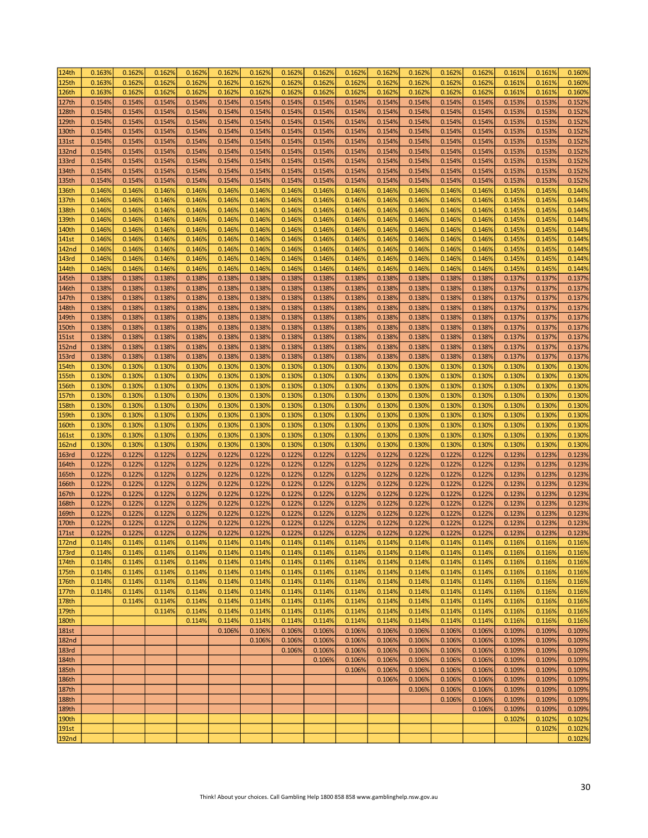| 124th        | 0.163% | 0.162% | 0.162% | 0.162% | 0.162% | 0.162% | 0.162% | 0.162% | 0.162% | 0.162% | 0.162% | 0.162% | 0.162% | 0.161% | 0.161% | 0.160% |
|--------------|--------|--------|--------|--------|--------|--------|--------|--------|--------|--------|--------|--------|--------|--------|--------|--------|
| 125th        | 0.163% | 0.162% | 0.162% | 0.162% | 0.162% | 0.162% | 0.162% | 0.162% | 0.162% | 0.162% | 0.162% | 0.162% | 0.162% | 0.161% | 0.161% | 0.160% |
| 126th        | 0.163% | 0.162% | 0.162% | 0.162% | 0.162% | 0.162% | 0.162% | 0.162% | 0.162% | 0.162% | 0.162% | 0.162% | 0.162% | 0.161% | 0.161% | 0.160% |
| 127th        | 0.154% | 0.154% | 0.154% | 0.154% | 0.154% | 0.154% | 0.154% | 0.154% | 0.154% | 0.154% | 0.154% | 0.154% | 0.154% | 0.153% | 0.153% | 0.152% |
| 128th        | 0.154% | 0.154% | 0.154% | 0.154% | 0.154% | 0.154% | 0.154% | 0.154% | 0.154% | 0.154% | 0.154% | 0.154% | 0.154% | 0.153% | 0.153% | 0.152% |
| 129th        | 0.154% | 0.154% | 0.154% | 0.154% | 0.154% | 0.154% | 0.154% | 0.154% | 0.154% | 0.154% | 0.154% | 0.154% | 0.154% | 0.153% | 0.153% | 0.152% |
|              |        |        |        |        |        |        |        |        |        |        |        |        |        |        |        |        |
| 130th        | 0.154% | 0.154% | 0.154% | 0.154% | 0.154% | 0.154% | 0.154% | 0.154% | 0.154% | 0.154% | 0.154% | 0.154% | 0.154% | 0.153% | 0.153% | 0.152% |
| 131st        | 0.154% | 0.154% | 0.154% | 0.154% | 0.154% | 0.154% | 0.154% | 0.154% | 0.154% | 0.154% | 0.154% | 0.154% | 0.154% | 0.153% | 0.153% | 0.152% |
| <b>132nd</b> | 0.154% | 0.154% | 0.154% | 0.154% | 0.154% | 0.154% | 0.154% | 0.154% | 0.154% | 0.154% | 0.154% | 0.154% | 0.154% | 0.153% | 0.153% | 0.152% |
| 133rd        | 0.154% | 0.154% | 0.154% | 0.154% | 0.154% | 0.154% | 0.154% | 0.154% | 0.154% | 0.154% | 0.154% | 0.154% | 0.154% | 0.153% | 0.153% | 0.152% |
| 134th        | 0.154% | 0.154% | 0.154% | 0.154% | 0.154% | 0.154% | 0.154% | 0.154% | 0.154% | 0.154% | 0.154% | 0.154% | 0.154% | 0.153% | 0.153% | 0.152% |
| 135th        | 0.154% | 0.154% | 0.154% | 0.154% | 0.154% | 0.154% | 0.154% | 0.154% | 0.154% | 0.154% | 0.154% | 0.154% | 0.154% | 0.153% | 0.153% | 0.152% |
| 136th        | 0.146% | 0.146% | 0.146% | 0.146% | 0.146% | 0.146% | 0.146% | 0.146% | 0.146% | 0.146% | 0.146% | 0.146% | 0.146% | 0.145% | 0.145% | 0.144% |
| 137th        | 0.146% | 0.146% | 0.146% | 0.146% | 0.146% | 0.146% | 0.146% | 0.146% | 0.146% | 0.146% | 0.146% | 0.146% | 0.146% | 0.145% | 0.145% | 0.144% |
| 138th        | 0.146% | 0.146% | 0.146% | 0.146% | 0.146% | 0.146% | 0.146% | 0.146% | 0.146% | 0.146% | 0.146% | 0.146% | 0.146% | 0.145% | 0.145% | 0.144% |
| 139th        | 0.146% | 0.146% | 0.146% | 0.146% | 0.146% | 0.146% | 0.146% | 0.146% | 0.146% | 0.146% | 0.146% | 0.146% | 0.146% | 0.145% | 0.145% | 0.144% |
| 140th        | 0.146% | 0.146% | 0.146% | 0.146% | 0.146% | 0.146% | 0.146% | 0.146% | 0.146% | 0.146% | 0.146% | 0.146% | 0.146% | 0.145% | 0.145% | 0.144% |
|              | 0.146% |        |        |        |        |        |        |        |        |        |        |        |        |        |        |        |
| 141st        |        | 0.146% | 0.146% | 0.146% | 0.146% | 0.146% | 0.146% | 0.146% | 0.146% | 0.146% | 0.146% | 0.146% | 0.146% | 0.145% | 0.145% | 0.144% |
| <b>142nd</b> | 0.146% | 0.146% | 0.146% | 0.146% | 0.146% | 0.146% | 0.146% | 0.146% | 0.146% | 0.146% | 0.146% | 0.146% | 0.146% | 0.145% | 0.145% | 0.144% |
| 143rd        | 0.146% | 0.146% | 0.146% | 0.146% | 0.146% | 0.146% | 0.146% | 0.146% | 0.146% | 0.146% | 0.146% | 0.146% | 0.146% | 0.145% | 0.145% | 0.144% |
| 144th        | 0.146% | 0.146% | 0.146% | 0.146% | 0.146% | 0.146% | 0.146% | 0.146% | 0.146% | 0.146% | 0.146% | 0.146% | 0.146% | 0.145% | 0.145% | 0.144% |
| 145th        | 0.138% | 0.138% | 0.138% | 0.138% | 0.138% | 0.138% | 0.138% | 0.138% | 0.138% | 0.138% | 0.138% | 0.138% | 0.138% | 0.137% | 0.137% | 0.137% |
| 146th        | 0.138% | 0.138% | 0.138% | 0.138% | 0.138% | 0.138% | 0.138% | 0.138% | 0.138% | 0.138% | 0.138% | 0.138% | 0.138% | 0.137% | 0.137% | 0.137% |
| 147th        | 0.138% | 0.138% | 0.138% | 0.138% | 0.138% | 0.138% | 0.138% | 0.138% | 0.138% | 0.138% | 0.138% | 0.138% | 0.138% | 0.137% | 0.137% | 0.137% |
| 148th        | 0.138% | 0.138% | 0.138% | 0.138% | 0.138% | 0.138% | 0.138% | 0.138% | 0.138% | 0.138% | 0.138% | 0.138% | 0.138% | 0.137% | 0.137% | 0.137% |
| 149th        | 0.138% | 0.138% | 0.138% | 0.138% | 0.138% | 0.138% | 0.138% | 0.138% | 0.138% | 0.138% | 0.138% | 0.138% | 0.138% | 0.137% | 0.137% | 0.137% |
| 150th        | 0.138% | 0.138% | 0.138% | 0.138% | 0.138% | 0.138% | 0.138% | 0.138% | 0.138% | 0.138% | 0.138% | 0.138% | 0.138% | 0.137% | 0.137% | 0.137% |
| <b>151st</b> | 0.138% | 0.138% | 0.138% | 0.138% | 0.138% | 0.138% | 0.138% | 0.138% | 0.138% | 0.138% | 0.138% | 0.138% | 0.138% | 0.137% | 0.137% | 0.137% |
|              | 0.138% | 0.138% | 0.138% | 0.138% | 0.138% | 0.138% | 0.138% | 0.138% | 0.138% | 0.138% | 0.138% | 0.138% | 0.138% | 0.137% | 0.137% | 0.137% |
| 152nd        |        |        |        |        |        |        |        |        |        |        |        |        |        |        |        |        |
| 153rd        | 0.138% | 0.138% | 0.138% | 0.138% | 0.138% | 0.138% | 0.138% | 0.138% | 0.138% | 0.138% | 0.138% | 0.138% | 0.138% | 0.137% | 0.137% | 0.137% |
| 154th        | 0.130% | 0.130% | 0.130% | 0.130% | 0.130% | 0.130% | 0.130% | 0.130% | 0.130% | 0.130% | 0.130% | 0.130% | 0.130% | 0.130% | 0.130% | 0.130% |
| 155th        | 0.130% | 0.130% | 0.130% | 0.130% | 0.130% | 0.130% | 0.130% | 0.130% | 0.130% | 0.130% | 0.130% | 0.130% | 0.130% | 0.130% | 0.130% | 0.130% |
| 156th        | 0.130% | 0.130% | 0.130% | 0.130% | 0.130% | 0.130% | 0.130% | 0.130% | 0.130% | 0.130% | 0.130% | 0.130% | 0.130% | 0.130% | 0.130% | 0.130% |
| 157th        | 0.130% | 0.130% | 0.130% | 0.130% | 0.130% | 0.130% | 0.130% | 0.130% | 0.130% | 0.130% | 0.130% | 0.130% | 0.130% | 0.130% | 0.130% | 0.130% |
| 158th        | 0.130% | 0.130% | 0.130% | 0.130% | 0.130% | 0.130% | 0.130% | 0.130% | 0.130% | 0.130% | 0.130% | 0.130% | 0.130% | 0.130% | 0.130% | 0.130% |
| 159th        | 0.130% | 0.130% | 0.130% | 0.130% | 0.130% | 0.130% | 0.130% | 0.130% | 0.130% | 0.130% | 0.130% | 0.130% | 0.130% | 0.130% | 0.130% | 0.130% |
| 160th        | 0.130% | 0.130% | 0.130% | 0.130% | 0.130% | 0.130% | 0.130% | 0.130% | 0.130% | 0.130% | 0.130% | 0.130% | 0.130% | 0.130% | 0.130% | 0.130% |
| <b>161st</b> | 0.130% | 0.130% | 0.130% | 0.130% | 0.130% | 0.130% | 0.130% | 0.130% | 0.130% | 0.130% | 0.130% | 0.130% | 0.130% | 0.130% | 0.130% | 0.130% |
| <b>162nd</b> | 0.130% | 0.130% | 0.130% | 0.130% | 0.130% | 0.130% | 0.130% | 0.130% | 0.130% | 0.130% | 0.130% | 0.130% | 0.130% | 0.130% | 0.130% | 0.130% |
| <b>163rd</b> | 0.122% | 0.122% | 0.122% | 0.122% | 0.122% | 0.122% | 0.122% | 0.122% | 0.122% | 0.122% | 0.122% | 0.122% | 0.122% | 0.123% | 0.123% | 0.123% |
| 164th        | 0.122% | 0.122% | 0.122% | 0.122% | 0.122% | 0.122% | 0.122% | 0.122% | 0.122% | 0.122% | 0.122% | 0.122% | 0.122% | 0.123% | 0.123% | 0.123% |
|              |        |        |        |        |        |        |        |        |        |        |        |        |        |        |        |        |
| 165th        | 0.122% | 0.122% | 0.122% | 0.122% | 0.122% | 0.122% | 0.122% | 0.122% | 0.122% | 0.122% | 0.122% | 0.122% | 0.122% | 0.123% | 0.123% | 0.123% |
| 166th        | 0.122% | 0.122% | 0.122% | 0.122% | 0.122% | 0.122% | 0.122% | 0.122% | 0.122% | 0.122% | 0.122% | 0.122% | 0.122% | 0.123% | 0.123% | 0.123% |
| 167th        | 0.122% | 0.122% | 0.122% | 0.122% | 0.122% | 0.122% | 0.122% | 0.122% | 0.122% | 0.122% | 0.122% | 0.122% | 0.122% | 0.123% | 0.123% | 0.123% |
| 168th        | 0.122% | 0.122% | 0.122% | 0.122% | 0.122% | 0.122% | 0.122% | 0.122% | 0.122% | 0.122% | 0.122% | 0.122% | 0.122% | 0.123% | 0.123% | 0.123% |
| 169th        | 0.122% | 0.122% | 0.122% | 0.122% | 0.122% | 0.122% | 0.122% | 0.122% | 0.122% | 0.122% | 0.122% | 0.122% | 0.122% | 0.123% | 0.123% | 0.123% |
| 170th        | 0.122% | 0.122% | 0.122% | 0.122% | 0.122% | 0.122% | 0.122% | 0.122% | 0.122% | 0.122% | 0.122% | 0.122% | 0.122% | 0.123% | 0.123% | 0.123% |
| 171st        | 0.122% | 0.122% | 0.122% | 0.122% | 0.122% | 0.122% | 0.122% | 0.122% | 0.122% | 0.122% | 0.122% | 0.122% | 0.122% | 0.123% | 0.123% | 0.123% |
| 172nd        | 0.114% | 0.114% | 0.114% | 0.114% | 0.114% | 0.114% | 0.114% | 0.114% | 0.114% | 0.114% | 0.114% | 0.114% | 0.114% | 0.116% | 0.116% | 0.116% |
| 173rd        | 0.114% | 0.114% | 0.114% | 0.114% | 0.114% | 0.114% | 0.114% | 0.114% | 0.114% | 0.114% | 0.114% | 0.114% | 0.114% | 0.116% | 0.116% | 0.116% |
| 174th        | 0.114% | 0.114% | 0.114% | 0.114% | 0.114% | 0.114% | 0.114% | 0.114% | 0.114% | 0.114% | 0.114% | 0.114% | 0.114% | 0.116% | 0.116% | 0.116% |
| 175th        | 0.114% | 0.114% | 0.114% | 0.114% | 0.114% | 0.114% | 0.114% | 0.114% | 0.114% | 0.114% | 0.114% | 0.114% | 0.114% | 0.116% | 0.116% | 0.116% |
| 176th        | 0.114% | 0.114% | 0.114% | 0.114% | 0.114% | 0.114% | 0.114% | 0.114% | 0.114% | 0.114% | 0.114% | 0.114% | 0.114% | 0.116% | 0.116% | 0.116% |
| 177th        | 0.114% | 0.114% | 0.114% | 0.114% | 0.114% | 0.114% | 0.114% | 0.114% | 0.114% | 0.114% | 0.114% | 0.114% | 0.114% | 0.116% | 0.116% | 0.116% |
| 178th        |        | 0.114% | 0.114% | 0.114% | 0.114% | 0.114% | 0.114% | 0.114% | 0.114% | 0.114% | 0.114% | 0.114% | 0.114% | 0.116% | 0.116% | 0.116% |
|              |        |        |        |        |        |        |        |        |        |        |        |        |        |        |        |        |
| 179th        |        |        | 0.114% | 0.114% | 0.114% | 0.114% | 0.114% | 0.114% | 0.114% | 0.114% | 0.114% | 0.114% | 0.114% | 0.116% | 0.116% | 0.116% |
| 180th        |        |        |        | 0.114% | 0.114% | 0.114% | 0.114% | 0.114% | 0.114% | 0.114% | 0.114% | 0.114% | 0.114% | 0.116% | 0.116% | 0.116% |
| <b>181st</b> |        |        |        |        | 0.106% | 0.106% | 0.106% | 0.106% | 0.106% | 0.106% | 0.106% | 0.106% | 0.106% | 0.109% | 0.109% | 0.109% |
| <b>182nd</b> |        |        |        |        |        | 0.106% | 0.106% | 0.106% | 0.106% | 0.106% | 0.106% | 0.106% | 0.106% | 0.109% | 0.109% | 0.109% |
| 183rd        |        |        |        |        |        |        | 0.106% | 0.106% | 0.106% | 0.106% | 0.106% | 0.106% | 0.106% | 0.109% | 0.109% | 0.109% |
| 184th        |        |        |        |        |        |        |        | 0.106% | 0.106% | 0.106% | 0.106% | 0.106% | 0.106% | 0.109% | 0.109% | 0.109% |
| 185th        |        |        |        |        |        |        |        |        | 0.106% | 0.106% | 0.106% | 0.106% | 0.106% | 0.109% | 0.109% | 0.109% |
| 186th        |        |        |        |        |        |        |        |        |        | 0.106% | 0.106% | 0.106% | 0.106% | 0.109% | 0.109% | 0.109% |
| 187th        |        |        |        |        |        |        |        |        |        |        | 0.106% | 0.106% | 0.106% | 0.109% | 0.109% | 0.109% |
| 188th        |        |        |        |        |        |        |        |        |        |        |        | 0.106% | 0.106% | 0.109% | 0.109% | 0.109% |
| 189th        |        |        |        |        |        |        |        |        |        |        |        |        | 0.106% | 0.109% | 0.109% | 0.109% |
| 190th        |        |        |        |        |        |        |        |        |        |        |        |        |        | 0.102% | 0.102% | 0.102% |
|              |        |        |        |        |        |        |        |        |        |        |        |        |        |        | 0.102% | 0.102% |
| 191st        |        |        |        |        |        |        |        |        |        |        |        |        |        |        |        |        |
| <b>192nd</b> |        |        |        |        |        |        |        |        |        |        |        |        |        |        |        | 0.102% |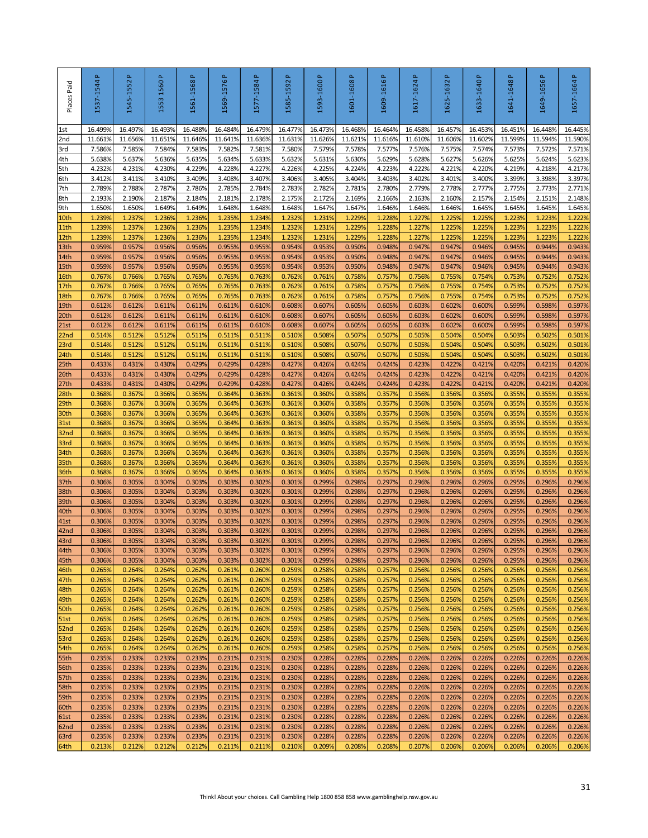| Places Paid              | 1537-1544P       | 1545-1552P       | Δ.<br>1560<br>1553 | Δ.<br>1561-1568  | 1569-1576P       | $\Delta$<br>1577-1584 | $\Delta$<br>1585-1592 | 1593-1600P       | 1601-1608P       | 1609-1616P                                                                             | 1617-1624P       | 1625-1632 P      | 1633-1640P       | 1641-1648P       | 1649-1656 P      | 1657-1664P       |
|--------------------------|------------------|------------------|--------------------|------------------|------------------|-----------------------|-----------------------|------------------|------------------|----------------------------------------------------------------------------------------|------------------|------------------|------------------|------------------|------------------|------------------|
| 1st                      | 16.499%          | 16.497%          | 16.493%            | 16.488%          | 16.484%          | 16.479%               | 16.477%               | 16.473%          | 16.468%          | 16.464%                                                                                | 16.458%          | 16.457%          | 16.453%          | 16.451%          | 16.448%          | 16.445%          |
| 2nd                      | 11.661%          | 11.656%          | 11.651%            | 11.646%          | 11.641%          | 11.636%               | 11.631%               | 11.626%          | 11.621%          | 11.616%                                                                                | 11.610%          | 11.6069          | 11.602%          | 11.599%          | 11.594%          | 11.590%          |
| 3rd<br>4th               | 7.586%<br>5.638% | 7.585%<br>5.637% | 7.584%<br>5.636%   | 7.583%<br>5.635% | 7.582%<br>5.634% | 7.581%<br>5.633%      | 7.580%<br>5.632%      | 7.579%<br>5.631% | 7.578%<br>5.630% | 7.577%<br>5.629%                                                                       | 7.576%<br>5.628% | 7.575%<br>5.627% | 7.574%<br>5.626% | 7.573%<br>5.625% | 7.572%<br>5.624% | 7.571%<br>5.623% |
| 5th                      | 4.232%           | 4.231%           | 4.230%             | 4.229%           | 4.228%           | 4.227%                | 4.226%                | 4.225%           | 4.224%           | 4.223%                                                                                 | 4.222%           | 4.221%           | 4.220%           | 4.219%           | 4.218%           | 4.217%           |
| 6th                      | 3.412%           | 3.411%           | 3.410%             | 3.409%           | 3.408%           | 3.407%                | 3.406%                | 3.405%           | 3.404%           | 3.403%                                                                                 | 3.402%           | 3.401%           | 3.400%           | 3.399%           | 3.398%           | 3.397%           |
| 7th                      | 2.789%           | 2.788%           | 2.787%             | 2.786%           | 2.785%           | 2.784%                | 2.783%                | 2.782%           | 2.781%           | 2.780%                                                                                 | 2.779%           | 2.778%           | 2.777%           | 2.775%           | 2.773%           | 2.771%           |
| 8th                      | 2.193%           | 2.190%           | 2.187%             | 2.184%           | 2.181%           | 2.178%                | 2.175%                | 2.172%           | 2.169%           | 2.166%                                                                                 | 2.163%           | 2.160%           | 2.157%           | 2.154%           | 2.151%           | 2.148%           |
| 9th<br>10th              | 1.650%<br>1.239% | 1.650%<br>1.237% | 1.649%<br>1.236%   | 1.649%<br>1.236% | 1.648%<br>1.235% | 1.648%<br>1.234%      | 1.648%<br>1.232%      | 1.647%<br>1.231% | 1.647%<br>1.229% | 1.646%<br>1.228%                                                                       | 1.646%<br>1.227% | 1.646%<br>1.225% | 1.645%<br>1.225% | 1.645%<br>1.223% | 1.645%<br>1.223% | 1.645%<br>1.222% |
| 11th                     | 1.239%           | 1.237%           | 1.236%             | 1.236%           | 1.235%           | 1.234%                | 1.232%                | 1.231%           | 1.229%           | 1.228%                                                                                 | 1.227%           | 1.225%           | 1.225%           | 1.223%           | 1.223%           | 1.222%           |
| 12th                     | 1.239%           | 1.237%           | 1.236%             | 1.236%           | 1.235%           | 1.234%                | 1.232%                | 1.231%           | 1.229%           | 1.228%                                                                                 | 1.227%           | 1.225%           | 1.225%           | 1.223%           | 1.223%           | 1.222%           |
| 13th                     | 0.959%           | 0.957%           | 0.956%             | 0.956%           | 0.955%           | 0.955%                | 0.954%                | 0.953%           | 0.950%           | 0.948%                                                                                 | 0.947%           | 0.947%           | 0.946%           | 0.945%           | 0.944%           | 0.943%           |
| 14th                     | 0.959%           | 0.957%           | 0.956%             | 0.956%           | 0.955%           | 0.955%                | 0.954%                | 0.953%           | 0.950%           | 0.948%                                                                                 | 0.947%           | 0.947%           | 0.946%           | 0.945%           | 0.944%           | 0.943%           |
| 15th<br>16th             | 0.959%<br>0.767% | 0.957%<br>0.766% | 0.956%<br>0.765%   | 0.956%<br>0.765% | 0.955%<br>0.765% | 0.955%<br>0.763%      | 0.954%<br>0.762%      | 0.953%<br>0.761% | 0.950%<br>0.758% | 0.948%<br>0.757%                                                                       | 0.947%<br>0.756% | 0.947%<br>0.755% | 0.946%<br>0.754% | 0.945%<br>0.753% | 0.944%<br>0.752% | 0.943%<br>0.752% |
| 17th                     | 0.767%           | 0.766%           | 0.765%             | 0.765%           | 0.765%           | 0.763%                | 0.762%                | 0.761%           | 0.758%           | 0.757%                                                                                 | 0.756%           | 0.755%           | 0.754%           | 0.753%           | 0.752%           | 0.752%           |
| 18th                     | 0.767%           | 0.766%           | 0.765%             | 0.765%           | 0.765%           | 0.763%                | 0.762%                | 0.761%           | 0.758%           | 0.757%                                                                                 | 0.756%           | 0.755%           | 0.754%           | 0.753%           | 0.752%           | 0.752%           |
| 19th                     | 0.612%           | 0.612%           | 0.611%             | 0.611%           | 0.611%           | 0.610%                | 0.608%                | 0.607%           | 0.605%           | 0.605%                                                                                 | 0.603%           | 0.602%           | 0.600%           | 0.599%           | 0.598%           | 0.597%           |
| 20th                     | 0.612%           | 0.612%           | 0.611%             | 0.611%           | 0.611%           | 0.610%                | 0.608%                | 0.607%           | 0.605%           | 0.605%                                                                                 | 0.603%           | 0.602%           | 0.600%           | 0.599%           | 0.598%           | 0.597%           |
| 21st<br>22 <sub>nd</sub> | 0.612%<br>0.514% | 0.612%           | 0.611%<br>0.512%   | 0.611%<br>0.511% | 0.611%<br>0.511% | 0.610%<br>0.511%      | 0.608%                | 0.607%<br>0.508% | 0.605%           | 0.605%                                                                                 | 0.603%           | 0.602%<br>0.504% | 0.600%<br>0.504% | 0.599%<br>0.503% | 0.598%           | 0.597%<br>0.501% |
| 23rd                     | 0.514%           | 0.512%<br>0.512% | 0.512%             | 0.511%           | 0.511%           | 0.511%                | 0.510%<br>0.510%      | 0.508%           | 0.507%<br>0.507% | 0.507%<br>0.507%                                                                       | 0.505%<br>0.505% | 0.504%           | 0.504%           | 0.503%           | 0.502%<br>0.502% | 0.501%           |
| 24th                     | 0.514%           | 0.512%           | 0.512%             | 0.511%           | 0.511%           | 0.511%                | 0.510%                | 0.508%           | 0.507%           | 0.507%                                                                                 | 0.505%           | 0.504%           | 0.504%           | 0.503%           | 0.502%           | 0.501%           |
| 25 <sub>th</sub>         | 0.433%           | 0.431%           | 0.430%             | 0.429%           | 0.429%           | 0.428%                | 0.427%                | 0.426%           | 0.424%           | 0.424%                                                                                 | 0.423%           | 0.422%           | 0.421%           | 0.420%           | 0.421%           | 0.420%           |
| 26th                     | 0.433%           | 0.431%           | 0.430%             | 0.429%           | 0.429%           | 0.428%                | 0.427%                | 0.426%           | 0.424%           | 0.424%                                                                                 | 0.423%           | 0.422%           | 0.421%           | 0.420%           | 0.421%           | 0.420%           |
| 27th                     | 0.433%<br>0.3689 | 0.431%           | 0.430%<br>0.3669   | 0.429%<br>0.365% | 0.429%           | 0.428%                | 0.427%                | 0.426%<br>0.360% | 0.424%<br>0.358% | 0.424%                                                                                 | 0.423%           | 0.422%<br>0.3569 | 0.421%<br>0.356% | 0.420%           | 0.421%<br>0.355% | 0.420%           |
| 28th<br>29th             | 0.368%           | 0.367%<br>0.367% | 0.366%             | 0.365%           | 0.364%<br>0.364% | 0.363%<br>0.363%      | 0.361%<br>0.361%      | 0.360%           | 0.358%           | 0.357%<br>0.357%                                                                       | 0.356%<br>0.356% | 0.356%           | 0.356%           | 0.355%<br>0.355% | 0.355%           | 0.355%<br>0.355% |
| 30th                     | 0.368%           | 0.367%           | 0.366%             | 0.365%           | 0.364%           | 0.363%                | 0.361%                | 0.360%           | 0.358%           | 0.357%                                                                                 | 0.356%           | 0.3569           | 0.356%           | 0.355%           | 0.355%           | 0.355%           |
| 31st                     | 0.368%           | 0.367%           | 0.3669             | 0.365%           | 0.364%           | 0.363%                | 0.361%                | 0.360%           | 0.358%           | 0.357%                                                                                 | 0.356%           | 0.356%           | 0.356%           | 0.355%           | 0.355%           | 0.355%           |
| 32 <sub>nd</sub>         | 0.3689           | 0.367%           | 0.366%             | 0.365%           | 0.364%           | 0.363%                | 0.361%                | 0.360%           | 0.358%           | 0.357%                                                                                 | 0.356%           | 0.356%           | 0.356%           | 0.355%           | 0.355%           | 0.355%           |
| 33rd                     | 0.368%           | 0.367%           | 0.366%             | 0.365%<br>0.365% | 0.364%           | 0.363%                | 0.361%                | 0.360%           | 0.358%<br>0.358% | 0.357%                                                                                 | 0.356%           | 0.356%           | 0.356%<br>0.356% | 0.355%           | 0.355%           | 0.355%           |
| 34th<br>35th             | 0.3689<br>0.3689 | 0.367%<br>0.367% | 0.3669<br>0.3669   | 0.365%           | 0.364%<br>0.364% | 0.363%<br>0.363%      | 0.361%<br>0.361%      | 0.360%<br>0.360% | 0.358%           | 0.357%<br>0.357%                                                                       | 0.356%<br>0.356% | 0.3569<br>0.3569 | 0.356%           | 0.355%<br>0.355% | 0.355%<br>0.355% | 0.355%<br>0.355% |
| 36th                     | 0.368%           | 0.367%           | 0.366%             | 0.365%           | 0.364%           | 0.363%                | 0.361%                | 0.360%           | 0.358%           | 0.357%                                                                                 | 0.356%           | 0.3569           | 0.356%           | 0.355%           | 0.355%           | 0.355%           |
| 37th                     | 0.3069           | 0.305%           | 0.304%             | 0.303%           | 0.303%           | 0.302%                | 0.301%                | 0.299%           | 0.298%           | 0.297%                                                                                 | 0.296%           | 0.296%           | 0.296%           | 0.295%           | 0.296%           | 0.296%           |
| 38th                     | 0.306%           | 0.305%           | 0.304%             | 0.303%           | 0.303%           | 0.302%                | 0.301%                | 0.299%           | 0.298%           | 0.297%                                                                                 | 0.296%           | 0.296%           | 0.296%           | 0.295%           | 0.296%           | 0.296%           |
| 39th<br>40th             | 0.306%<br>0.306% | 0.305%<br>0.305% | 0.304%<br>0.304%   | 0.303%<br>0.303% | 0.303%<br>0.303% | 0.302%<br>0.302%      | 0.301%<br>0.301%      | 0.299%<br>0.299% | 0.298%<br>0.298% | 0.297%<br>0.297%                                                                       | 0.296%<br>0.296% | 0.296%<br>0.296% | 0.296%<br>0.296% | 0.295%<br>0.295% | 0.296%<br>0.296% | 0.296%<br>0.296% |
| 41st                     | 0.306%           | 0.305%           | 0.304%             | 0.303%           | 0.303%           | 0.302%                | 0.301%                | 0.299%           | 0.298%           | 0.297%                                                                                 | 0.296%           | 0.296%           | 0.296%           | 0.295%           | 0.296%           | 0.296%           |
| 42 <sub>nd</sub>         | 0.306%           | 0.305%           | 0.304%             | 0.303%           | 0.303%           | 0.302%                | 0.301%                | 0.299%           | 0.298%           | 0.297%                                                                                 | 0.296%           | 0.296%           | 0.296%           | 0.295%           | 0.296%           | 0.296%           |
| 43rd                     | 0.306%           | 0.305%           | 0.304%             | 0.303%           | 0.303%           | 0.302%                | 0.301%                | 0.299%           | 0.298%           | 0.297%                                                                                 | 0.296%           | 0.296%           | 0.296%           | 0.295%           | 0.296%           | 0.296%           |
| 44th                     | 0.306%           | 0.305%           | 0.304%             | 0.303%           | 0.303%           | 0.302%                | 0.301%                | 0.299%           | 0.298%           | 0.297%                                                                                 | 0.296%           | 0.296%           | 0.296%           | 0.295%           | 0.296%           | 0.296%           |
| 45th<br>46th             | 0.306%<br>0.265% | 0.305%<br>0.264% | 0.304%<br>0.264%   | 0.303%<br>0.262% | 0.303%<br>0.261% | 0.302%<br>0.260%      | 0.301%<br>0.259%      | 0.299%<br>0.258% | 0.298%<br>0.258% | 0.297%<br>0.257%                                                                       | 0.296%<br>0.256% | 0.296%<br>0.256% | 0.296%<br>0.256% | 0.295%<br>0.256% | 0.296%<br>0.256% | 0.296%<br>0.256% |
| 47th                     | 0.265%           | 0.264%           | 0.264%             | 0.262%           | 0.261%           | 0.260%                | 0.259%                | 0.258%           | 0.258%           | 0.257%                                                                                 | 0.256%           | 0.256%           | 0.256%           | 0.256%           | 0.256%           | 0.256%           |
| 48th                     | 0.265%           | 0.264%           | 0.264%             | 0.262%           | 0.261%           | 0.260%                | 0.259%                | 0.258%           | 0.258%           | 0.257%                                                                                 | 0.256%           | 0.256%           | 0.256%           | 0.256%           | 0.256%           | 0.256%           |
| 49th                     | 0.265%           | 0.264%           | 0.264%             | 0.262%           | 0.261%           | 0.260%                | 0.259%                | 0.258%           | 0.258%           | 0.257%                                                                                 | 0.256%           | 0.256%           | 0.256%           | 0.256%           | 0.256%           | 0.256%           |
| 50th<br>51st             | 0.265%<br>0.265% | 0.264%<br>0.264% | 0.264%<br>0.264%   | 0.262%<br>0.262% | 0.261%<br>0.261% | 0.260%<br>0.260%      | 0.259%<br>0.259%      | 0.258%<br>0.258% | 0.258%<br>0.258% | 0.257%<br>0.257%                                                                       | 0.256%<br>0.256% | 0.256%<br>0.256% | 0.256%<br>0.256% | 0.256%<br>0.256% | 0.256%<br>0.256% | 0.256%<br>0.256% |
| 52nd                     | 0.265%           | 0.264%           | 0.264%             | 0.262%           | 0.261%           | 0.260%                | 0.259%                | 0.258%           | 0.258%           | 0.257%                                                                                 | 0.256%           | 0.256%           | 0.256%           | 0.256%           | 0.256%           | 0.256%           |
| 53rd                     | 0.265%           | 0.264%           | 0.264%             | 0.262%           | 0.261%           | 0.260%                | 0.259%                | 0.258%           | 0.258%           | 0.257%                                                                                 | 0.256%           | 0.256%           | 0.256%           | 0.256%           | 0.256%           | 0.256%           |
| 54th                     | 0.265%           | 0.264%           | 0.264%             | 0.262%           | 0.261%           | 0.260%                | 0.259%                | 0.258%           | 0.258%           | 0.257%                                                                                 | 0.256%           | 0.256%           | 0.256%           | 0.256%           | 0.256%           | 0.256%           |
| 55th                     | 0.235%           | 0.233%           | 0.233%             | 0.233%           | 0.231%           | 0.231%                | 0.230%                | 0.228%           | 0.228%           | 0.228%                                                                                 | 0.226%           | 0.226%           | 0.226%           | 0.226%           | 0.226%           | 0.226%           |
| 56th<br>57th             | 0.235%<br>0.235% | 0.233%<br>0.233% | 0.233%<br>0.233%   | 0.233%<br>0.233% | 0.231%<br>0.231% | 0.231%<br>0.231%      | 0.230%<br>0.230%      | 0.228%<br>0.228% | 0.228%<br>0.228% | 0.228%<br>0.228%                                                                       | 0.226%<br>0.226% | 0.226%<br>0.226% | 0.226%<br>0.226% | 0.226%<br>0.226% | 0.226%<br>0.226% | 0.226%<br>0.226% |
| 58th                     | 0.235%           | 0.233%           | 0.233%             | 0.233%           | 0.231%           | 0.231%                | 0.230%                | 0.228%           | 0.228%           | 0.228%                                                                                 | 0.226%           | 0.226%           | 0.226%           | 0.226%           | 0.226%           | 0.226%           |
| 59th                     | 0.235%           | 0.233%           | 0.233%             | 0.233%           | 0.231%           | 0.231%                | 0.230%                | 0.228%           | 0.228%           | 0.228%                                                                                 | 0.226%           | 0.226%           | 0.226%           | 0.226%           | 0.226%           | 0.226%           |
| 60th                     | 0.235%           | 0.233%           | 0.233%             | 0.233%           | 0.231%           | 0.231%                | 0.230%                | 0.228%           | 0.228%           | 0.228%                                                                                 | 0.226%           | 0.226%           | 0.226%           | 0.226%           | 0.226%           | 0.226%           |
| 61st                     | 0.235%           | 0.233%           | 0.233%             | 0.233%           | 0.231%           | 0.231%                | 0.230%                | 0.228%           | 0.228%           | 0.228%                                                                                 | 0.226%           | 0.226%           | 0.226%           | 0.226%           | 0.226%           | 0.226%           |
| 62nd<br>63rd             | 0.235%<br>0.235% | 0.233%<br>0.233% | 0.233%<br>0.233%   | 0.233%<br>0.233% | 0.231%<br>0.231% | 0.231%<br>0.231%      | 0.230%<br>0.230%      | 0.228%<br>0.228% | 0.228%<br>0.228% | 0.228%<br>0.228%                                                                       | 0.226%<br>0.226% | 0.226%<br>0.226% | 0.226%<br>0.226% | 0.226%<br>0.226% | 0.226%<br>0.226% | 0.226%<br>0.226% |
| 64th                     | 0.213%           | 0.212%           | 0.212%             | 0.212%           | 0.211%           | 0.211%                | 0.210%                | 0.209%           | 0.208%           | 0.208%                                                                                 | 0.207%           | 0.206%           | 0.206%           | 0.206%           | 0.206%           | 0.206%           |
|                          |                  |                  |                    |                  |                  |                       |                       |                  |                  | Think! About your choices. Call Gambling Help 1800 858 858 www.gamblinghelp.nsw.gov.au |                  |                  |                  |                  |                  | 31               |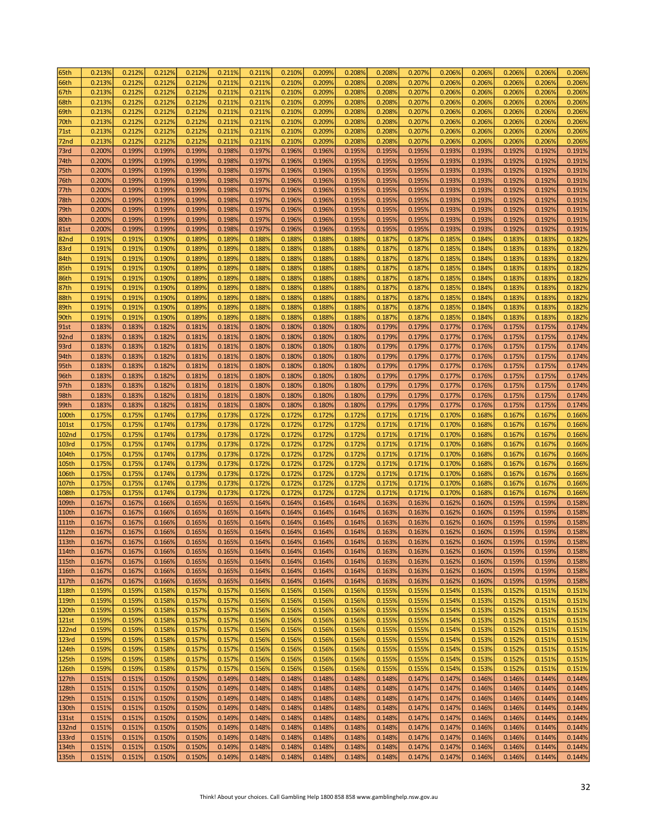| 65th              | 0.213%           | 0.212%           | 0.212%           | 0.212% | 0.211%           | 0.211%           | 0.210%           | 0.209% | 0.208% | 0.208%           | 0.207%           | 0.206% | 0.206% | 0.206%           | 0.206%           | 0.206% |
|-------------------|------------------|------------------|------------------|--------|------------------|------------------|------------------|--------|--------|------------------|------------------|--------|--------|------------------|------------------|--------|
| 66th              | 0.213%           | 0.212%           | 0.212%           | 0.212% | 0.211%           | 0.211%           | 0.210%           | 0.209% | 0.208% | 0.208%           | 0.207%           | 0.206% | 0.206% | 0.206%           | 0.206%           | 0.206% |
| 67th              | 0.213%           | 0.212%           | 0.212%           | 0.212% | 0.211%           | 0.211%           | 0.210%           | 0.209% | 0.208% | 0.208%           | 0.207%           | 0.206% | 0.206% | 0.206%           | 0.206%           | 0.206% |
| 68th              | 0.213%           | 0.212%           | 0.212%           | 0.212% | 0.211%           | 0.211%           | 0.210%           | 0.209% | 0.208% | 0.208%           | 0.207%           | 0.206% | 0.206% | 0.206%           | 0.206%           | 0.206% |
| 69th              | 0.213%           | 0.212%           | 0.212%           | 0.212% | 0.211%           | 0.211%           | 0.210%           | 0.209% | 0.208% | 0.208%           | 0.207%           | 0.206% | 0.206% | 0.206%           | 0.206%           | 0.206% |
| 70th              | 0.213%           | 0.212%           | 0.212%           | 0.212% | 0.211%           | 0.211%           | 0.210%           | 0.209% | 0.208% | 0.208%           | 0.207%           | 0.206% | 0.206% | 0.206%           | 0.206%           | 0.206% |
| 71st              | 0.213%           | 0.212%           | 0.212%           | 0.212% | 0.211%           | 0.211%           | 0.210%           | 0.209% | 0.208% | 0.208%           | 0.207%           | 0.206% | 0.206% | 0.206%           | 0.206%           | 0.206% |
| 72nd              | 0.213%           | 0.212%           | 0.212%           | 0.212% | 0.211%           | 0.211%           | 0.210%           | 0.209% | 0.208% | 0.208%           | 0.207%           | 0.206% | 0.206% | 0.206%           | 0.206%           | 0.206% |
|                   |                  |                  |                  |        |                  |                  |                  |        |        |                  |                  |        |        |                  |                  |        |
| 73rd              | 0.200%           | 0.199%           | 0.199%           | 0.199% | 0.198%           | 0.197%           | 0.196%           | 0.196% | 0.195% | 0.195%           | 0.195%           | 0.193% | 0.193% | 0.192%           | 0.192%           | 0.191% |
| 74th              | 0.200%           | 0.199%           | 0.199%           | 0.199% | 0.198%           | 0.197%           | 0.196%           | 0.196% | 0.195% | 0.195%           | 0.195%           | 0.193% | 0.193% | 0.192%           | 0.192%           | 0.191% |
| 75th              | 0.200%           | 0.199%           | 0.199%           | 0.199% | 0.198%           | 0.197%           | 0.196%           | 0.196% | 0.195% | 0.195%           | 0.195%           | 0.193% | 0.193% | 0.192%           | 0.192%           | 0.191% |
| 76th              | 0.200%           | 0.199%           | 0.199%           | 0.199% | 0.198%           | 0.197%           | 0.196%           | 0.196% | 0.195% | 0.195%           | 0.195%           | 0.193% | 0.193% | 0.192%           | 0.192%           | 0.191% |
| 77th              | 0.200%           | 0.199%           | 0.199%           | 0.199% | 0.198%           | 0.197%           | 0.196%           | 0.196% | 0.195% | 0.195%           | 0.195%           | 0.193% | 0.193% | 0.192%           | 0.192%           | 0.191% |
| 78th              | 0.200%           | 0.199%           | 0.199%           | 0.199% | 0.198%           | 0.197%           | 0.196%           | 0.196% | 0.195% | 0.195%           | 0.195%           | 0.193% | 0.193% | 0.192%           | 0.192%           | 0.191% |
| 79th              | 0.200%           | 0.199%           | 0.199%           | 0.199% | 0.198%           | 0.197%           | 0.196%           | 0.196% | 0.195% | 0.195%           | 0.195%           | 0.193% | 0.193% | 0.192%           | 0.192%           | 0.191% |
| 80th              | 0.200%           | 0.199%           | 0.199%           | 0.199% | 0.198%           | 0.197%           | 0.196%           | 0.196% | 0.195% | 0.195%           | 0.195%           | 0.193% | 0.193% | 0.192%           | 0.192%           | 0.191% |
| <b>81st</b>       | 0.200%           | 0.199%           | 0.199%           | 0.199% | 0.198%           | 0.197%           | 0.196%           | 0.196% | 0.195% | 0.195%           | 0.195%           | 0.193% | 0.193% | 0.192%           | 0.192%           | 0.191% |
| 82nd              | 0.191%           | 0.191%           | 0.190%           | 0.189% | 0.189%           | 0.188%           | 0.188%           | 0.188% | 0.188% | 0.187%           | 0.187%           | 0.185% | 0.184% | 0.183%           | 0.183%           | 0.182% |
| 83rd              | 0.191%           | 0.191%           | 0.190%           | 0.189% | 0.189%           | 0.188%           | 0.188%           | 0.188% | 0.188% | 0.187%           | 0.187%           | 0.185% | 0.184% | 0.183%           | 0.183%           | 0.182% |
| 84th              | 0.191%           | 0.191%           | 0.190%           | 0.189% | 0.189%           | 0.188%           | 0.188%           | 0.188% | 0.188% | 0.187%           | 0.187%           | 0.185% | 0.184% | 0.183%           | 0.183%           | 0.182% |
| 85th              | 0.191%           | 0.191%           | 0.190%           | 0.189% | 0.189%           | 0.188%           | 0.188%           | 0.188% | 0.188% | 0.187%           | 0.187%           | 0.185% | 0.184% | 0.183%           | 0.183%           | 0.182% |
| 86th              | 0.191%           | 0.191%           | 0.190%           | 0.189% | 0.189%           | 0.188%           | 0.188%           | 0.188% | 0.188% | 0.187%           | 0.187%           | 0.185% | 0.184% | 0.183%           | 0.183%           | 0.182% |
| 87th              | 0.191%           | 0.191%           | 0.190%           | 0.189% | 0.189%           | 0.188%           | 0.188%           | 0.188% | 0.188% | 0.187%           | 0.187%           | 0.185% | 0.184% | 0.183%           | 0.183%           | 0.182% |
| 88th              | 0.191%           | 0.191%           | 0.190%           | 0.189% | 0.189%           | 0.188%           | 0.188%           | 0.188% | 0.188% | 0.187%           | 0.187%           | 0.185% | 0.184% | 0.1839           | 0.183%           | 0.182% |
| 89th              | 0.191%           | 0.191%           | 0.190%           | 0.189% | 0.189%           | 0.188%           | 0.1889           | 0.188% | 0.1889 | 0.187%           | 0.187%           | 0.1859 | 0.184% | 0.1839           | 0.183%           | 0.182% |
| 90th              | 0.191%           | 0.191%           | 0.190%           | 0.189% | 0.189%           | 0.188%           | 0.1889           | 0.188% | 0.188% | 0.187%           | 0.187%           | 0.1859 | 0.184% | 0.183%           | 0.183%           | 0.182% |
| 91st              | 0.183%           | 0.183%           | 0.182%           | 0.181% | 0.181%           | 0.180%           | 0.180%           | 0.180% | 0.180% | 0.179%           | 0.179%           | 0.177% | 0.176% | 0.175%           | 0.175%           | 0.174% |
|                   |                  |                  |                  | 0.181% |                  |                  |                  | 0.180% | 0.180% |                  |                  | 0.177% | 0.176% |                  |                  | 0.174% |
| 92 <sub>nd</sub>  | 0.183%<br>0.183% | 0.183%<br>0.183% | 0.182%<br>0.182% | 0.181% | 0.181%<br>0.181% | 0.180%<br>0.180% | 0.180%<br>0.180% | 0.180% | 0.180% | 0.179%<br>0.179% | 0.179%<br>0.179% | 0.177% | 0.176% | 0.175%<br>0.175% | 0.175%<br>0.175% | 0.174% |
| 93rd              |                  |                  |                  |        |                  |                  |                  |        |        |                  |                  |        |        |                  |                  |        |
| 94th              | 0.183%           | 0.183%           | 0.182%           | 0.181% | 0.181%           | 0.180%           | 0.180%           | 0.180% | 0.180% | 0.179%           | 0.179%           | 0.177% | 0.176% | 0.175%           | 0.175%           | 0.174% |
| 95th              | 0.183%           | 0.183%           | 0.182%           | 0.181% | 0.181%           | 0.180%           | 0.180%           | 0.180% | 0.180% | 0.179%           | 0.179%           | 0.177% | 0.176% | 0.175%           | 0.175%           | 0.174% |
| 96th              | 0.183%           | 0.183%           | 0.182%           | 0.181% | 0.181%           | 0.180%           | 0.180%           | 0.180% | 0.180% | 0.179%           | 0.179%           | 0.177% | 0.176% | 0.175%           | 0.175%           | 0.174% |
| 97th              | 0.183%           | 0.183%           | 0.182%           | 0.181% | 0.181%           | 0.180%           | 0.180%           | 0.180% | 0.180% | 0.179%           | 0.179%           | 0.177% | 0.176% | 0.175%           | 0.175%           | 0.174% |
| 98th              | 0.183%           | 0.183%           | 0.182%           | 0.181% | 0.181%           | 0.180%           | 0.180%           | 0.180% | 0.180% | 0.179%           | 0.179%           | 0.177% | 0.176% | 0.175%           | 0.175%           | 0.174% |
| 99th              | 0.183%           | 0.183%           | 0.182%           | 0.181% | 0.181%           | 0.180%           | 0.180%           | 0.180% | 0.180% | 0.179%           | 0.179%           | 0.177% | 0.176% | 0.175%           | 0.175%           | 0.174% |
| 100th             | 0.175%           | 0.175%           | 0.174%           | 0.173% | 0.173%           | 0.172%           | 0.172%           | 0.172% | 0.172% | 0.171%           | 0.171%           | 0.170% | 0.168% | 0.167%           | 0.167%           | 0.166% |
| <b>101st</b>      | 0.175%           | 0.175%           | 0.174%           | 0.173% | 0.173%           | 0.172%           | 0.172%           | 0.172% | 0.172% | 0.171%           | 0.171%           | 0.170% | 0.168% | 0.167%           | 0.167%           | 0.166% |
| <b>102nd</b>      | 0.175%           | 0.175%           | 0.174%           | 0.173% | 0.173%           | 0.172%           | 0.172%           | 0.172% | 0.172% | 0.171%           | 0.171%           | 0.170% | 0.168% | 0.167%           | 0.167%           | 0.166% |
| <b>103rd</b>      | 0.175%           | 0.175%           | 0.174%           | 0.173% | 0.173%           | 0.172%           | 0.172%           | 0.172% | 0.172% | 0.171%           | 0.171%           | 0.170% | 0.168% | 0.167%           | 0.167%           | 0.166% |
| 104th             | 0.175%           | 0.175%           | 0.174%           | 0.173% | 0.173%           | 0.172%           | 0.172%           | 0.172% | 0.172% | 0.171%           | 0.171%           | 0.170% | 0.168% | 0.167%           | 0.167%           | 0.166% |
| 105th             | 0.175%           | 0.175%           | 0.174%           | 0.173% | 0.173%           | 0.172%           | 0.172%           | 0.172% | 0.172% | 0.171%           | 0.171%           | 0.170% | 0.168% | 0.167%           | 0.167%           | 0.166% |
| 106th             | 0.175%           | 0.175%           | 0.174%           | 0.173% | 0.173%           | 0.172%           | 0.172%           | 0.172% | 0.172% | 0.171%           | 0.171%           | 0.170% | 0.168% | 0.167%           | 0.167%           | 0.166% |
| 107th             | 0.175%           | 0.175%           | 0.174%           | 0.173% | 0.173%           | 0.172%           | 0.172%           | 0.172% | 0.172% | 0.171%           | 0.171%           | 0.170% | 0.168% | 0.167%           | 0.167%           | 0.166% |
| 108th             | 0.175%           | 0.175%           | 0.174%           | 0.173% | 0.173%           | 0.172%           | 0.172%           | 0.172% | 0.172% | 0.171%           | 0.171%           | 0.170% | 0.168% | 0.167%           | 0.167%           | 0.166% |
| 109th             | 0.167%           | 0.167%           | 0.166%           | 0.165% | 0.165%           | 0.164%           | 0.164%           | 0.164% | 0.164% | 0.163%           | 0.163%           | 0.162% | 0.160% | 0.159%           | 0.159%           | 0.158% |
| 110 <sub>th</sub> | 0.167%           | 0.167%           | 0.166%           | 0.165% | 0.165%           | 0.164%           | 0.164%           | 0.164% | 0.164% | 0.163%           | 0.163%           | 0.162% | 0.160% | 0.159%           | 0.159%           | 0.158% |
| <b>111th</b>      | 0.167%           | 0.167%           | 0.166%           | 0.165% | 0.165%           | 0.164%           | 0.164%           | 0.164% | 0.164% | 0.163%           | 0.163%           | 0.162% | 0.160% | 0.159%           | 0.159%           | 0.158% |
| 112th             | 0.167%           | 0.167%           | 0.166%           | 0.165% | 0.165%           | 0.164%           | 0.164%           | 0.164% | 0.164% | 0.163%           | 0.163%           | 0.162% | 0.160% | 0.159%           | 0.159%           | 0.158% |
|                   |                  |                  |                  |        |                  |                  |                  |        |        |                  |                  |        |        |                  |                  |        |
| 113th             | 0.167%           | 0.167%           | 0.166%           | 0.165% | 0.165%           | 0.164%           | 0.164%           | 0.164% | 0.164% | 0.163%           | 0.163%           | 0.162% | 0.160% | 0.159%           | 0.159%           | 0.158% |
| 114th             | 0.167%           | 0.167%           | 0.166%           | 0.165% | 0.165%           | 0.164%           | 0.164%           | 0.164% | 0.164% | 0.163%           | 0.163%           | 0.162% | 0.160% | 0.159%           | 0.159%           | 0.158% |
| 115th             | 0.167%           | 0.167%           | 0.166%           | 0.165% | 0.165%           | 0.164%           | 0.164%           | 0.164% | 0.164% | 0.163%           | 0.163%           | 0.162% | 0.160% | 0.159%           | 0.159%           | 0.158% |
| 116th             | 0.167%           | 0.167%           | 0.166%           | 0.165% | 0.165%           | 0.164%           | 0.164%           | 0.164% | 0.164% | 0.163%           | 0.163%           | 0.162% | 0.160% | 0.159%           | 0.159%           | 0.158% |
| 117th             | 0.167%           | 0.167%           | 0.166%           | 0.165% | 0.165%           | 0.164%           | 0.164%           | 0.164% | 0.164% | 0.163%           | 0.163%           | 0.162% | 0.160% | 0.159%           | 0.159%           | 0.158% |
| <b>118th</b>      | 0.159%           | 0.159%           | 0.158%           | 0.157% | 0.157%           | 0.156%           | 0.156%           | 0.156% | 0.156% | 0.155%           | 0.155%           | 0.154% | 0.153% | 0.152%           | 0.151%           | 0.151% |
| 119th             | 0.159%           | 0.159%           | 0.158%           | 0.157% | 0.157%           | 0.156%           | 0.156%           | 0.156% | 0.156% | 0.155%           | 0.155%           | 0.154% | 0.153% | 0.152%           | 0.151%           | 0.151% |
| 120th             | 0.159%           | 0.159%           | 0.158%           | 0.157% | 0.157%           | 0.156%           | 0.156%           | 0.156% | 0.156% | 0.155%           | 0.155%           | 0.154% | 0.153% | 0.152%           | 0.151%           | 0.151% |
| 121st             | 0.159%           | 0.159%           | 0.158%           | 0.157% | 0.157%           | 0.156%           | 0.156%           | 0.156% | 0.156% | 0.155%           | 0.155%           | 0.154% | 0.153% | 0.152%           | 0.151%           | 0.151% |
| 122 <sub>nd</sub> | 0.159%           | 0.159%           | 0.158%           | 0.157% | 0.157%           | 0.156%           | 0.156%           | 0.156% | 0.156% | 0.155%           | 0.155%           | 0.154% | 0.153% | 0.152%           | 0.151%           | 0.151% |
| 123rd             | 0.159%           | 0.159%           | 0.158%           | 0.157% | 0.157%           | 0.156%           | 0.156%           | 0.156% | 0.156% | 0.155%           | 0.155%           | 0.154% | 0.153% | 0.152%           | 0.151%           | 0.151% |
| 124th             | 0.159%           | 0.159%           | 0.158%           | 0.157% | 0.157%           | 0.156%           | 0.156%           | 0.156% | 0.156% | 0.155%           | 0.155%           | 0.154% | 0.153% | 0.152%           | 0.151%           | 0.151% |
| 125th             | 0.159%           | 0.159%           | 0.158%           | 0.157% | 0.157%           | 0.156%           | 0.156%           | 0.156% | 0.156% | 0.155%           | 0.155%           | 0.154% | 0.153% | 0.152%           | 0.151%           | 0.151% |
| 126th             | 0.159%           | 0.159%           | 0.158%           | 0.157% | 0.157%           | 0.156%           | 0.156%           | 0.156% | 0.156% | 0.155%           | 0.155%           | 0.154% | 0.153% | 0.152%           | 0.151%           | 0.151% |
| 127th             | 0.151%           | 0.151%           | 0.150%           | 0.150% | 0.149%           | 0.148%           | 0.148%           | 0.148% | 0.148% | 0.148%           | 0.147%           | 0.147% | 0.146% | 0.146%           | 0.144%           | 0.144% |
| 128th             | 0.151%           | 0.151%           | 0.150%           | 0.150% | 0.149%           | 0.148%           | 0.148%           | 0.148% | 0.148% | 0.148%           | 0.147%           | 0.147% | 0.146% | 0.146%           | 0.144%           | 0.144% |
| 129th             | 0.151%           | 0.151%           | 0.150%           | 0.150% | 0.149%           | 0.148%           | 0.148%           | 0.148% | 0.148% | 0.148%           | 0.147%           | 0.147% | 0.146% | 0.146%           | 0.144%           | 0.144% |
| 130th             | 0.151%           | 0.151%           | 0.150%           | 0.150% | 0.149%           | 0.148%           | 0.148%           | 0.148% | 0.148% | 0.148%           | 0.147%           | 0.147% | 0.146% | 0.146%           | 0.144%           | 0.144% |
| 131st             | 0.151%           | 0.151%           | 0.150%           | 0.150% | 0.149%           | 0.148%           | 0.148%           | 0.148% | 0.148% | 0.148%           | 0.147%           | 0.147% | 0.146% | 0.146%           | 0.144%           | 0.144% |
| 132nd             | 0.151%           | 0.151%           | 0.150%           | 0.150% | 0.149%           | 0.148%           | 0.148%           | 0.148% | 0.148% | 0.148%           | 0.147%           | 0.147% | 0.146% | 0.146%           | 0.144%           | 0.144% |
| 133rd             | 0.151%           | 0.151%           | 0.150%           | 0.150% | 0.149%           | 0.148%           | 0.148%           | 0.148% | 0.148% | 0.148%           | 0.147%           | 0.147% | 0.146% | 0.146%           | 0.144%           | 0.144% |
| 134th             | 0.151%           | 0.151%           | 0.150%           | 0.150% | 0.149%           | 0.148%           | 0.148%           | 0.148% | 0.148% | 0.148%           | 0.147%           | 0.147% | 0.146% | 0.146%           | 0.144%           | 0.144% |
| 135th             | 0.151%           | 0.151%           | 0.150%           | 0.150% | 0.149%           | 0.148%           | 0.148%           | 0.148% | 0.148% | 0.148%           | 0.147%           | 0.147% | 0.146% | 0.146%           | 0.144%           | 0.144% |
|                   |                  |                  |                  |        |                  |                  |                  |        |        |                  |                  |        |        |                  |                  |        |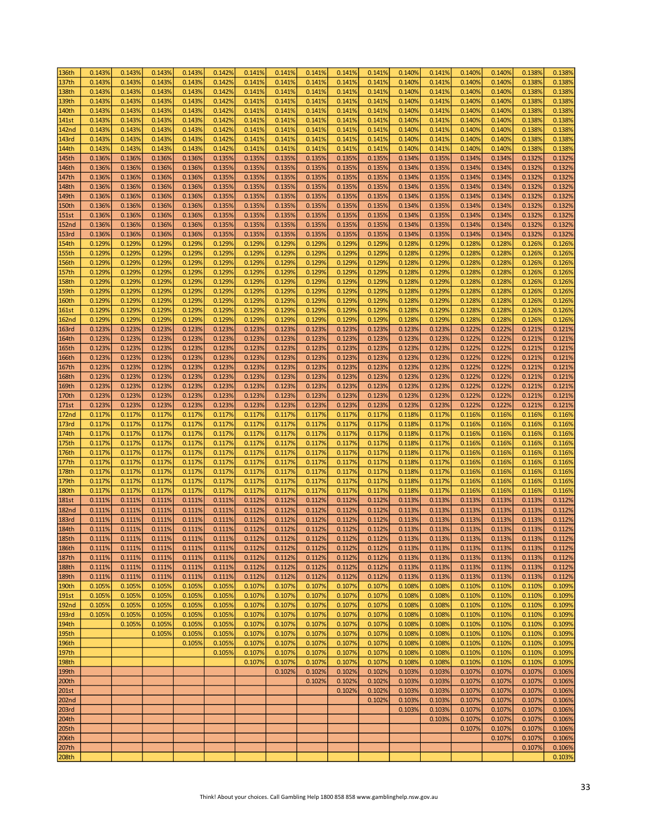| 136th        | 0.143% | 0.143% | 0.143% | 0.143% | 0.142% | 0.141% | 0.141% | 0.141% | 0.141% | 0.141% | 0.140% | 0.141% | 0.140% | 0.140% | 0.138% | 0.138% |
|--------------|--------|--------|--------|--------|--------|--------|--------|--------|--------|--------|--------|--------|--------|--------|--------|--------|
| 137th        | 0.143% | 0.143% | 0.143% | 0.143% | 0.142% | 0.141% | 0.141% | 0.141% | 0.141% | 0.141% | 0.140% | 0.141% | 0.140% | 0.140% | 0.138% | 0.138% |
| 138th        | 0.143% | 0.143% | 0.143% | 0.143% | 0.142% | 0.141% | 0.141% | 0.141% | 0.141% | 0.141% | 0.140% | 0.141% | 0.140% | 0.140% | 0.138% | 0.138% |
| 139th        | 0.143% | 0.143% | 0.143% | 0.143% | 0.142% | 0.141% | 0.141% | 0.141% | 0.141% | 0.141% | 0.140% | 0.141% | 0.140% | 0.140% | 0.138% | 0.138% |
|              | 0.143% | 0.143% | 0.143% | 0.143% | 0.142% | 0.141% | 0.141% | 0.141% | 0.141% | 0.141% | 0.140% | 0.141% | 0.140% | 0.140% | 0.138% | 0.138% |
| 140th        |        |        |        |        |        |        |        |        |        |        |        |        |        |        |        |        |
| 141st        | 0.143% | 0.143% | 0.143% | 0.143% | 0.142% | 0.141% | 0.141% | 0.141% | 0.141% | 0.141% | 0.140% | 0.141% | 0.140% | 0.140% | 0.138% | 0.138% |
| 142nd        | 0.143% | 0.143% | 0.143% | 0.143% | 0.142% | 0.141% | 0.141% | 0.141% | 0.141% | 0.141% | 0.140% | 0.141% | 0.140% | 0.140% | 0.138% | 0.138% |
| 143rd        | 0.143% | 0.143% | 0.143% | 0.143% | 0.142% | 0.141% | 0.141% | 0.141% | 0.141% | 0.141% | 0.140% | 0.141% | 0.140% | 0.140% | 0.138% | 0.138% |
| 144th        | 0.143% | 0.143% | 0.143% | 0.143% | 0.142% | 0.141% | 0.141% | 0.141% | 0.141% | 0.141% | 0.140% | 0.141% | 0.140% | 0.140% | 0.138% | 0.138% |
| 145th        | 0.136% | 0.136% | 0.136% | 0.136% | 0.135% | 0.135% | 0.135% | 0.135% | 0.135% | 0.135% | 0.134% | 0.135% | 0.134% | 0.134% | 0.132% | 0.132% |
| 146th        | 0.136% | 0.136% | 0.136% | 0.136% | 0.135% | 0.135% | 0.135% | 0.135% | 0.135% | 0.135% | 0.134% | 0.135% | 0.134% | 0.134% | 0.132% | 0.132% |
| 147th        | 0.136% | 0.136% | 0.136% | 0.136% | 0.135% | 0.135% | 0.135% | 0.135% | 0.135% | 0.135% | 0.134% | 0.135% | 0.134% | 0.134% | 0.132% | 0.132% |
| 148th        | 0.136% | 0.136% | 0.136% | 0.136% | 0.135% | 0.135% | 0.135% | 0.135% | 0.135% | 0.135% | 0.134% | 0.135% | 0.134% | 0.134% | 0.132% | 0.132% |
| 149th        | 0.136% | 0.136% | 0.136% | 0.136% | 0.135% | 0.135% | 0.135% | 0.135% | 0.135% | 0.135% | 0.134% | 0.135% | 0.134% | 0.134% | 0.132% | 0.132% |
|              |        |        |        |        |        |        |        |        |        |        |        |        |        |        |        |        |
| 150th        | 0.136% | 0.136% | 0.136% | 0.136% | 0.135% | 0.135% | 0.135% | 0.135% | 0.135% | 0.135% | 0.134% | 0.135% | 0.134% | 0.134% | 0.132% | 0.132% |
| <b>151st</b> | 0.136% | 0.136% | 0.136% | 0.136% | 0.135% | 0.135% | 0.135% | 0.135% | 0.135% | 0.135% | 0.134% | 0.135% | 0.134% | 0.134% | 0.132% | 0.132% |
| 152nd        | 0.136% | 0.136% | 0.136% | 0.136% | 0.135% | 0.135% | 0.135% | 0.135% | 0.135% | 0.135% | 0.134% | 0.135% | 0.134% | 0.134% | 0.132% | 0.132% |
| 153rd        | 0.136% | 0.136% | 0.136% | 0.136% | 0.135% | 0.135% | 0.135% | 0.135% | 0.135% | 0.135% | 0.134% | 0.135% | 0.134% | 0.134% | 0.132% | 0.132% |
| 154th        | 0.129% | 0.129% | 0.129% | 0.129% | 0.129% | 0.129% | 0.129% | 0.129% | 0.129% | 0.129% | 0.128% | 0.129% | 0.128% | 0.128% | 0.126% | 0.126% |
| 155th        | 0.129% | 0.129% | 0.129% | 0.129% | 0.129% | 0.129% | 0.129% | 0.129% | 0.129% | 0.129% | 0.128% | 0.129% | 0.128% | 0.128% | 0.126% | 0.126% |
| 156th        | 0.129% | 0.129% | 0.129% | 0.129% | 0.1299 | 0.129% | 0.129% | 0.129% | 0.129% | 0.129% | 0.1289 | 0.129% | 0.128% | 0.128% | 0.126% | 0.126% |
| 157th        | 0.129% | 0.129% | 0.129% | 0.129% | 0.129% | 0.129% | 0.129% | 0.129% | 0.129% | 0.129% | 0.128% | 0.129% | 0.128% | 0.128% | 0.126% | 0.126% |
| 158th        | 0.129% | 0.129% | 0.129% | 0.129% | 0.129% | 0.129% | 0.129% | 0.129% | 0.129% | 0.129% | 0.128% | 0.129% | 0.128% | 0.128% | 0.126% | 0.126% |
| 159th        | 0.129% | 0.129% | 0.129% | 0.129% | 0.129% | 0.129% | 0.129% | 0.129% | 0.129% | 0.129% | 0.128% | 0.129% | 0.128% | 0.128% | 0.126% | 0.126% |
| 160th        | 0.129% | 0.129% | 0.129% | 0.129% | 0.1299 | 0.129% | 0.129% | 0.129% | 0.129% | 0.129% | 0.128% | 0.129% | 0.128% | 0.128% | 0.126% | 0.126% |
|              |        |        |        |        |        |        |        |        |        |        |        |        |        |        |        |        |
| <b>161st</b> | 0.129% | 0.129% | 0.129% | 0.129% | 0.1299 | 0.129% | 0.129% | 0.129% | 0.129% | 0.129% | 0.1289 | 0.1299 | 0.128% | 0.128% | 0.126% | 0.126% |
| <b>162nd</b> | 0.129% | 0.129% | 0.129% | 0.129% | 0.1299 | 0.129% | 0.129% | 0.129% | 0.129% | 0.129% | 0.1289 | 0.1299 | 0.128% | 0.128% | 0.126% | 0.126% |
| <b>163rd</b> | 0.123% | 0.123% | 0.123% | 0.123% | 0.123% | 0.123% | 0.123% | 0.123% | 0.123% | 0.123% | 0.123% | 0.123% | 0.122% | 0.122% | 0.121% | 0.121% |
| 164th        | 0.123% | 0.123% | 0.123% | 0.123% | 0.123% | 0.123% | 0.123% | 0.123% | 0.123% | 0.123% | 0.123% | 0.123% | 0.122% | 0.122% | 0.121% | 0.121% |
| 165th        | 0.123% | 0.123% | 0.123% | 0.123% | 0.123% | 0.123% | 0.123% | 0.123% | 0.123% | 0.123% | 0.1239 | 0.123% | 0.122% | 0.122% | 0.121% | 0.121% |
| 166th        | 0.123% | 0.123% | 0.123% | 0.123% | 0.123% | 0.123% | 0.123% | 0.123% | 0.123% | 0.123% | 0.123% | 0.123% | 0.122% | 0.122% | 0.121% | 0.121% |
| 167th        | 0.123% | 0.123% | 0.123% | 0.123% | 0.123% | 0.123% | 0.123% | 0.123% | 0.123% | 0.123% | 0.123% | 0.123% | 0.122% | 0.122% | 0.121% | 0.121% |
| 168th        | 0.123% | 0.123% | 0.123% | 0.123% | 0.123% | 0.123% | 0.123% | 0.123% | 0.123% | 0.123% | 0.123% | 0.123% | 0.122% | 0.122% | 0.121% | 0.121% |
| 169th        | 0.123% | 0.123% | 0.123% | 0.123% | 0.123% | 0.123% | 0.123% | 0.123% | 0.123% | 0.123% | 0.123% | 0.123% | 0.122% | 0.122% | 0.121% | 0.121% |
| 170th        | 0.123% | 0.123% | 0.123% | 0.123% | 0.123% | 0.123% | 0.123% | 0.123% | 0.123% | 0.123% | 0.123% | 0.123% | 0.122% | 0.122% | 0.121% | 0.121% |
|              |        |        |        |        |        |        |        |        |        |        |        |        |        |        |        |        |
| 171st        | 0.123% | 0.123% | 0.123% | 0.123% | 0.123% | 0.123% | 0.123% | 0.123% | 0.123% | 0.123% | 0.123% | 0.123% | 0.122% | 0.122% | 0.121% | 0.121% |
| 172nd        | 0.117% | 0.117% | 0.117% | 0.117% | 0.117% | 0.117% | 0.117% | 0.117% | 0.117% | 0.117% | 0.1189 | 0.117% | 0.116% | 0.116% | 0.116% | 0.116% |
| 173rd        | 0.117% | 0.117% | 0.117% | 0.117% | 0.117% | 0.117% | 0.117% | 0.117% | 0.117% | 0.117% | 0.1189 | 0.117% | 0.116% | 0.116% | 0.116% | 0.116% |
| 174th        | 0.117% | 0.117% | 0.117% | 0.117% | 0.117% | 0.117% | 0.117% | 0.117% | 0.117% | 0.117% | 0.1189 | 0.117% | 0.116% | 0.116% | 0.116% | 0.116% |
| 175th        | 0.117% | 0.117% | 0.117% | 0.117% | 0.117% | 0.117% | 0.117% | 0.117% | 0.117% | 0.117% | 0.1189 | 0.117% | 0.116% | 0.116% | 0.116% | 0.116% |
| 176th        | 0.117% | 0.117% | 0.117% | 0.117% | 0.117% | 0.117% | 0.117% | 0.117% | 0.117% | 0.117% | 0.118% | 0.117% | 0.116% | 0.116% | 0.116% | 0.116% |
| 177th        | 0.117% | 0.117% | 0.117% | 0.117% | 0.117% | 0.117% | 0.117% | 0.117% | 0.117% | 0.117% | 0.1189 | 0.117% | 0.116% | 0.116% | 0.116% | 0.116% |
| 178th        | 0.117% | 0.117% | 0.117% | 0.117% | 0.117% | 0.117% | 0.117% | 0.117% | 0.117% | 0.117% | 0.118% | 0.117% | 0.116% | 0.116% | 0.116% | 0.116% |
| 179th        | 0.117% | 0.117% | 0.117% | 0.117% | 0.117% | 0.117% | 0.117% | 0.117% | 0.117% | 0.117% | 0.1189 | 0.117% | 0.116% | 0.116% | 0.116% | 0.116% |
| 180th        | 0.117% | 0.117% | 0.117% | 0.117% | 0.117% | 0.117% | 0.117% | 0.117% | 0.117% | 0.117% | 0.118% | 0.117% | 0.116% | 0.116% | 0.116% | 0.116% |
| <b>181st</b> | 0.111% | 0.111% | 0.111% | 0.111% | 0.111% | 0.112% | 0.112% | 0.112% | 0.112% | 0.112% | 0.113% | 0.113% | 0.113% | 0.113% | 0.113% | 0.112% |
| <b>182nd</b> | 0.111% | 0.111% | 0.111% | 0.111% | 0.111% | 0.112% | 0.112% | 0.112% | 0.112% | 0.112% | 0.113% | 0.113% | 0.113% | 0.113% | 0.113% | 0.112% |
|              |        |        |        |        |        |        |        |        |        |        |        |        |        |        |        |        |
| 183rd        | 0.111% | 0.111% | 0.111% | 0.111% | 0.111% | 0.112% | 0.112% | 0.112% | 0.112% | 0.112% | 0.113% | 0.113% | 0.113% | 0.113% | 0.113% | 0.112% |
| 184th        | 0.111% | 0.111% | 0.111% | 0.111% | 0.111% | 0.112% | 0.112% | 0.112% | 0.112% | 0.112% | 0.113% | 0.113% | 0.113% | 0.113% | 0.113% | 0.112% |
| 185th        | 0.111% | 0.111% | 0.111% | 0.111% | 0.111% | 0.112% | 0.112% | 0.112% | 0.112% | 0.112% | 0.113% | 0.113% | 0.113% | 0.113% | 0.113% | 0.112% |
| 186th        | 0.111% | 0.111% | 0.111% | 0.111% | 0.111% | 0.112% | 0.112% | 0.112% | 0.112% | 0.112% | 0.113% | 0.113% | 0.113% | 0.113% | 0.113% | 0.112% |
| 187th        | 0.111% | 0.111% | 0.111% | 0.111% | 0.111% | 0.112% | 0.112% | 0.112% | 0.112% | 0.112% | 0.113% | 0.113% | 0.113% | 0.113% | 0.113% | 0.112% |
| 188th        | 0.111% | 0.111% | 0.111% | 0.111% | 0.111% | 0.112% | 0.112% | 0.112% | 0.112% | 0.112% | 0.113% | 0.113% | 0.113% | 0.113% | 0.113% | 0.112% |
| 189th        | 0.111% | 0.111% | 0.111% | 0.111% | 0.111% | 0.112% | 0.112% | 0.112% | 0.112% | 0.112% | 0.113% | 0.113% | 0.113% | 0.113% | 0.113% | 0.112% |
| 190th        | 0.105% | 0.105% | 0.105% | 0.105% | 0.105% | 0.107% | 0.107% | 0.107% | 0.107% | 0.107% | 0.108% | 0.108% | 0.110% | 0.110% | 0.110% | 0.109% |
| 191st        | 0.105% | 0.105% | 0.105% | 0.105% | 0.105% | 0.107% | 0.107% | 0.107% | 0.107% | 0.107% | 0.108% | 0.108% | 0.110% | 0.110% | 0.110% | 0.109% |
| <b>192nd</b> | 0.105% | 0.105% | 0.105% | 0.105% | 0.105% | 0.107% | 0.107% | 0.107% | 0.107% | 0.107% | 0.108% | 0.108% | 0.110% | 0.110% | 0.110% | 0.109% |
| <b>193rd</b> | 0.105% | 0.105% | 0.105% | 0.105% | 0.105% | 0.107% | 0.107% | 0.107% | 0.107% | 0.107% | 0.108% | 0.108% | 0.110% | 0.110% | 0.110% | 0.109% |
|              |        |        |        |        |        |        |        |        |        |        |        |        |        |        |        |        |
| 194th        |        | 0.105% | 0.105% | 0.105% | 0.105% | 0.107% | 0.107% | 0.107% | 0.107% | 0.107% | 0.108% | 0.108% | 0.110% | 0.110% | 0.110% | 0.109% |
| 195th        |        |        | 0.105% | 0.105% | 0.105% | 0.107% | 0.107% | 0.107% | 0.107% | 0.107% | 0.108% | 0.108% | 0.110% | 0.110% | 0.110% | 0.109% |
| 196th        |        |        |        | 0.105% | 0.105% | 0.107% | 0.107% | 0.107% | 0.107% | 0.107% | 0.108% | 0.108% | 0.110% | 0.110% | 0.110% | 0.109% |
| 197th        |        |        |        |        | 0.105% | 0.107% | 0.107% | 0.107% | 0.107% | 0.107% | 0.108% | 0.108% | 0.110% | 0.110% | 0.110% | 0.109% |
| 198th        |        |        |        |        |        | 0.107% | 0.107% | 0.107% | 0.107% | 0.107% | 0.108% | 0.108% | 0.110% | 0.110% | 0.110% | 0.109% |
| 199th        |        |        |        |        |        |        | 0.102% | 0.102% | 0.102% | 0.102% | 0.103% | 0.103% | 0.107% | 0.107% | 0.107% | 0.106% |
| 200th        |        |        |        |        |        |        |        | 0.102% | 0.102% | 0.102% | 0.103% | 0.103% | 0.107% | 0.107% | 0.107% | 0.106% |
| 201st        |        |        |        |        |        |        |        |        | 0.102% | 0.102% | 0.103% | 0.103% | 0.107% | 0.107% | 0.107% | 0.106% |
| 202nd        |        |        |        |        |        |        |        |        |        | 0.102% | 0.103% | 0.103% | 0.107% | 0.107% | 0.107% | 0.106% |
| 203rd        |        |        |        |        |        |        |        |        |        |        | 0.103% | 0.103% | 0.107% | 0.107% | 0.107% | 0.106% |
| 204th        |        |        |        |        |        |        |        |        |        |        |        | 0.103% | 0.107% | 0.107% | 0.107% | 0.106% |
| 205th        |        |        |        |        |        |        |        |        |        |        |        |        | 0.107% | 0.107% | 0.107% | 0.106% |
|              |        |        |        |        |        |        |        |        |        |        |        |        |        |        |        |        |
| 206th        |        |        |        |        |        |        |        |        |        |        |        |        |        | 0.107% | 0.107% | 0.106% |
| 207th        |        |        |        |        |        |        |        |        |        |        |        |        |        |        | 0.107% | 0.106% |
| 208th        |        |        |        |        |        |        |        |        |        |        |        |        |        |        |        | 0.103% |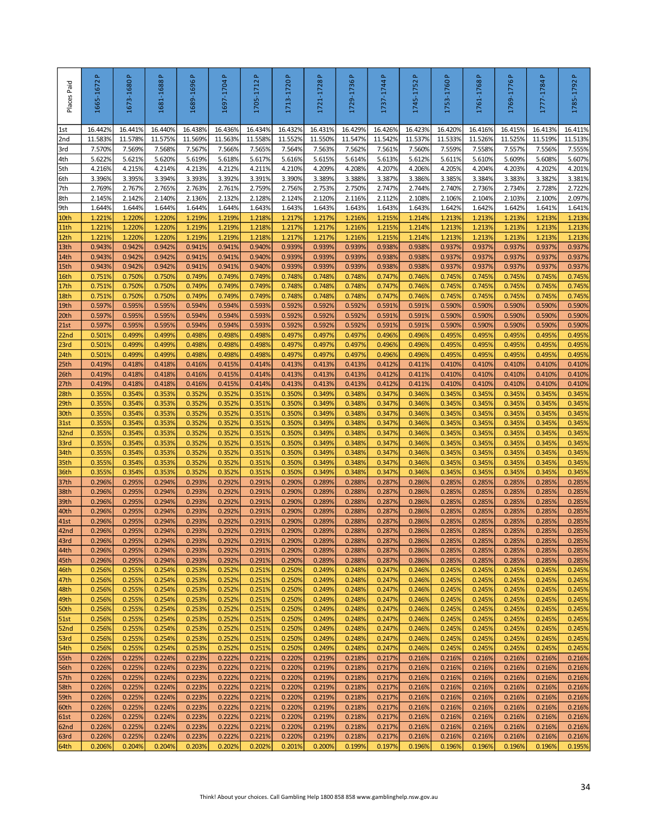| Places Paid         | <u>م</u><br>1665-1672 | Δ.<br>1673-1680   | Δ.<br>1681-1688   | Δ.<br>1689-1696   | <u>م</u><br>1697-1704 | Δ.<br>1705-1712   | 1713-1720 P       | $\Delta$<br>1721-1728 | a.<br>1729-1736   | a.<br>1737-1744   | a.<br>1745-1752                                                                        | $\Delta$<br>1753-1760 | $\Delta$<br>1761-1768 | 1769-1776 P       | Δ.<br>1777-1784   | Δ.<br>1785-1792   |
|---------------------|-----------------------|-------------------|-------------------|-------------------|-----------------------|-------------------|-------------------|-----------------------|-------------------|-------------------|----------------------------------------------------------------------------------------|-----------------------|-----------------------|-------------------|-------------------|-------------------|
| 1st                 | 16.442%               | 16.441%           | 16.440%           | 16.438%           | 16.436%               | 16.434%           | 16.432%           | 16.431%               | 16.429%           | 16.426%           | 16.423%                                                                                | 16.4209               | 16.416%               | 16.415%           | 16.413%           | 16.411%           |
| 2nd<br>3rd          | 11.583%<br>7.570%     | 11.578%<br>7.569% | 11.575%<br>7.568% | 11.569%<br>7.567% | 11.563%<br>7.566%     | 11.558%<br>7.565% | 11.552%<br>7.564% | 11.550%<br>7.563%     | 11.547%<br>7.562% | 11.542%<br>7.561% | 11.537%<br>7.560%                                                                      | 11.533%<br>7.559%     | 11.526%<br>7.558%     | 11.525%<br>7.557% | 11.519%<br>7.556% | 11.513%<br>7.555% |
| 4th                 | 5.622%                | 5.621%            | 5.620%            | 5.619%            | 5.618%                | 5.617%            | 5.616%            | 5.615%                | 5.614%            | 5.613%            | 5.612%                                                                                 | 5.611%                | 5.610%                | 5.609%            | 5.608%            | 5.607%            |
| 5th                 | 4.216%                | 4.215%            | 4.214%            | 4.213%            | 4.212%                | 4.211%            | 4.210%            | 4.209%                | 4.208%            | 4.207%            | 4.206%                                                                                 | 4.205%                | 4.204%                | 4.203%            | 4.202%            | 4.201%            |
| 6th                 | 3.396%                | 3.395%            | 3.394%            | 3.393%            | 3.392%                | 3.391%            | 3.390%            | 3.389%                | 3.388%            | 3.387%            | 3.386%                                                                                 | 3.385%                | 3.384%                | 3.383%            | 3.382%            | 3.381%            |
| 7th                 | 2.769%                | 2.767%<br>2.142%  | 2.765%<br>2.140%  | 2.763%<br>2.136%  | 2.761%                | 2.759%            | 2.756%<br>2.124%  | 2.753%                | 2.750%<br>2.116%  | 2.747%<br>2.112%  | 2.744%                                                                                 | 2.740%<br>2.106%      | 2.736%<br>2.104%      | 2.734%<br>2.103%  | 2.728%            | 2.722%            |
| 8th<br>9th          | 2.145%<br>1.644%      | 1.644%            | 1.644%            | 1.644%            | 2.132%<br>1.644%      | 2.128%<br>1.643%  | 1.643%            | 2.120%<br>1.643%      | 1.643%            | 1.643%            | 2.108%<br>1.643%                                                                       | 1.642%                | 1.642%                | 1.642%            | 2.100%<br>1.641%  | 2.097%<br>1.641%  |
| 10th                | 1.221%                | 1.220%            | 1.220%            | 1.219%            | 1.219%                | 1.218%            | 1.217%            | 1.217%                | 1.216%            | 1.215%            | 1.214%                                                                                 | 1.213%                | 1.213%                | 1.213%            | 1.213%            | 1.213%            |
| 11th                | 1.221%                | 1.220%            | 1.2209            | 1.219%            | 1.219%                | 1.218%            | 1.217%            | 1.217%                | 1.216%            | 1.215%            | 1.214%                                                                                 | 1.2139                | 1.213%                | 1.213%            | 1.213%            | 1.213%            |
| 12th                | 1.221%                | 1.220%            | 1.220%            | 1.219%            | 1.219%                | 1.218%            | 1.217%            | 1.217%                | 1.216%            | 1.215%            | 1.214%                                                                                 | 1.2139                | 1.213%                | 1.213%            | 1.213%            | 1.213%            |
| 13th<br> 14th       | 0.943%<br>0.943%      | 0.942%<br>0.942%  | 0.942%<br>0.942%  | 0.941%<br>0.941%  | 0.941%<br>0.941%      | 0.940%<br>0.940%  | 0.939%<br>0.939%  | 0.939%<br>0.939%      | 0.939%<br>0.939%  | 0.938%<br>0.938%  | 0.938%<br>0.938%                                                                       | 0.937%<br>0.937%      | 0.937%<br>0.937%      | 0.937%<br>0.937%  | 0.937%<br>0.937%  | 0.937%<br>0.937%  |
| 15th                | 0.943%                | 0.942%            | 0.942%            | 0.941%            | 0.941%                | 0.940%            | 0.939%            | 0.939%                | 0.939%            | 0.938%            | 0.938%                                                                                 | 0.937%                | 0.937%                | 0.937%            | 0.937%            | 0.937%            |
| 16th                | 0.751%                | 0.750%            | 0.750%            | 0.749%            | 0.749%                | 0.749%            | 0.748%            | 0.748%                | 0.748%            | 0.747%            | 0.746%                                                                                 | 0.745%                | 0.745%                | 0.745%            | 0.745%            | 0.745%            |
| 17th                | 0.751%                | 0.750%            | 0.750%            | 0.749%            | 0.749%                | 0.749%            | 0.748%            | 0.748%                | 0.748%            | 0.747%            | 0.746%                                                                                 | 0.745%                | 0.745%                | 0.745%            | 0.745%            | 0.745%            |
| 18th                | 0.751%<br>0.597%      | 0.750%            | 0.750%<br>0.595%  | 0.749%<br>0.594%  | 0.749%                | 0.749%            | 0.748%            | 0.748%<br>0.592%      | 0.748%            | 0.747%            | 0.746%                                                                                 | 0.745%<br>0.590%      | 0.745%                | 0.745%            | 0.745%            | 0.745%<br>0.590%  |
| 19th<br>20th        | 0.597%                | 0.595%<br>0.595%  | 0.595%            | 0.594%            | 0.594%<br>0.594%      | 0.593%<br>0.593%  | 0.592%<br>0.592%  | 0.592%                | 0.592%<br>0.592%  | 0.591%<br>0.591%  | 0.591%<br>0.591%                                                                       | 0.590%                | 0.590%<br>0.590%      | 0.590%<br>0.590%  | 0.590%<br>0.590%  | 0.590%            |
| 21st                | 0.597%                | 0.595%            | 0.595%            | 0.594%            | 0.594%                | 0.593%            | 0.592%            | 0.592%                | 0.592%            | 0.591%            | 0.591%                                                                                 | 0.590%                | 0.590%                | 0.590%            | 0.590%            | 0.590%            |
| 22nd                | 0.501%                | 0.499%            | 0.499%            | 0.498%            | 0.498%                | 0.498%            | 0.497%            | 0.497%                | 0.497%            | 0.496%            | 0.496%                                                                                 | 0.495%                | 0.495%                | 0.495%            | 0.495%            | 0.495%            |
| 23rd                | 0.501%                | 0.499%            | 0.4999            | 0.498%            | 0.498%                | 0.498%            | 0.497%            | 0.497%                | 0.497%            | 0.496%            | 0.496%                                                                                 | 0.4959                | 0.495%                | 0.495%            | 0.495%            | 0.495%            |
| 24th<br>25th        | 0.5019<br>0.419%      | 0.499%<br>0.418%  | 0.4999<br>0.418%  | 0.498%<br>0.416%  | 0.498%<br>0.415%      | 0.498%<br>0.414%  | 0.497%<br>0.413%  | 0.497%<br>0.413%      | 0.497%<br>0.413%  | 0.496%<br>0.412%  | 0.496%<br>0.411%                                                                       | 0.4959<br>0.410%      | 0.495%<br>0.410%      | 0.495%<br>0.410%  | 0.495%<br>0.410%  | 0.495%<br>0.410%  |
| 26th                | 0.419%                | 0.418%            | 0.418%            | 0.416%            | 0.415%                | 0.414%            | 0.413%            | 0.413%                | 0.413%            | 0.412%            | 0.411%                                                                                 | 0.410%                | 0.410%                | 0.410%            | 0.410%            | 0.410%            |
| 27th                | 0.419%                | 0.418%            | 0.418%            | 0.416%            | 0.415%                | 0.414%            | 0.413%            | 0.413%                | 0.413%            | 0.412%            | 0.411%                                                                                 | 0.410%                | 0.410%                | 0.410%            | 0.410%            | 0.410%            |
| 28th                | 0.355%                | 0.354%            | 0.353%            | 0.352%            | 0.352%                | 0.351%            | 0.350%            | 0.349%                | 0.348%            | 0.347%            | 0.346%                                                                                 | 0.345%                | 0.345%                | 0.345%            | 0.345%            | 0.345%            |
| 29th<br>30th        | 0.355%<br>0.355%      | 0.354%<br>0.354%  | 0.353%<br>0.353%  | 0.352%<br>0.352%  | 0.352%<br>0.352%      | 0.351%<br>0.351%  | 0.350%<br>0.350%  | 0.349%<br>0.349%      | 0.348%<br>0.348%  | 0.347%<br>0.347%  | 0.346%<br>0.346%                                                                       | 0.345%<br>0.345%      | 0.345%<br>0.345%      | 0.345%<br>0.345%  | 0.345%<br>0.345%  | 0.345%<br>0.345%  |
| 31st                | 0.355%                | 0.354%            | 0.353%            | 0.352%            | 0.352%                | 0.351%            | 0.350%            | 0.349%                | 0.348%            | 0.347%            | 0.346%                                                                                 | 0.345%                | 0.345%                | 0.345%            | 0.345%            | 0.345%            |
| 32nd                | 0.355%                | 0.354%            | 0.353%            | 0.352%            | 0.352%                | 0.351%            | 0.350%            | 0.349%                | 0.348%            | 0.347%            | 0.346%                                                                                 | 0.345%                | 0.345%                | 0.345%            | 0.345%            | 0.345%            |
| 33rd                | 0.355%                | 0.354%            | 0.353%            | 0.352%            | 0.352%                | 0.351%            | 0.350%            | 0.349%                | 0.348%            | 0.347%            | 0.346%                                                                                 | 0.345%                | 0.345%                | 0.345%            | 0.345%            | 0.345%            |
| 34th                | 0.355%                | 0.354%            | 0.353%            | 0.352%            | 0.352%                | 0.351%            | 0.350%            | 0.349%                | 0.348%            | 0.347%            | 0.346%                                                                                 | 0.345%                | 0.345%                | 0.345%            | 0.345%            | 0.345%            |
| 35th<br>36th        | 0.3559<br>0.3559      | 0.354%<br>0.354%  | 0.353%<br>0.353%  | 0.352%<br>0.352%  | 0.352%<br>0.352%      | 0.351%<br>0.351%  | 0.350%<br>0.350%  | 0.349%<br>0.349%      | 0.348%<br>0.3489  | 0.347%<br>0.347%  | 0.346%<br>0.346%                                                                       | 0.345%<br>0.345%      | 0.345%<br>0.345%      | 0.345%<br>0.345%  | 0.345%<br>0.345%  | 0.345%<br>0.345%  |
| 37th                | 0.296%                | 0.295%            | 0.294%            | 0.293%            | 0.292%                | 0.291%            | 0.290%            | 0.289%                | 0.288%            | 0.287%            | 0.286%                                                                                 | 0.285%                | 0.285%                | 0.285%            | 0.285%            | 0.285%            |
| 38th                | 0.296%                | 0.295%            | 0.294%            | 0.293%            | 0.292%                | 0.291%            | 0.290%            | 0.289%                | 0.288%            | 0.287%            | 0.286%                                                                                 | 0.285%                | 0.285%                | 0.285%            | 0.285%            | 0.285%            |
| 39th                | 0.296%                | 0.295%            | 0.294%            | 0.293%            | 0.292%                | 0.291%            | 0.290%            | 0.289%                | 0.288%            | 0.287%            | 0.286%                                                                                 | 0.285%                | 0.285%                | 0.285%            | 0.285%            | 0.285%            |
| 40th<br>41st        | 0.296%<br>0.296%      | 0.295%<br>0.295%  | 0.294%<br>0.294%  | 0.293%<br>0.293%  | 0.292%<br>0.292%      | 0.291%<br>0.291%  | 0.290%<br>0.290%  | 0.289%<br>0.289%      | 0.288%<br>0.288%  | 0.287%<br>0.287%  | 0.286%<br>0.286%                                                                       | 0.285%<br>0.285%      | 0.285%<br>0.285%      | 0.285%<br>0.285%  | 0.285%<br>0.285%  | 0.285%<br>0.285%  |
| 42 <sub>nd</sub>    | 0.296%                | 0.295%            | 0.294%            | 0.293%            | 0.292%                | 0.291%            | 0.290%            | 0.289%                | 0.288%            | 0.287%            | 0.286%                                                                                 | 0.285%                | 0.285%                | 0.285%            | 0.285%            | 0.285%            |
| 43rd                | 0.296%                | 0.295%            | 0.294%            | 0.293%            | 0.292%                | 0.291%            | 0.290%            | 0.289%                | 0.288%            | 0.287%            | 0.286%                                                                                 | 0.285%                | 0.285%                | 0.285%            | 0.285%            | 0.285%            |
| 44th                | 0.296%                | 0.295%            | 0.294%            | 0.293%            | 0.292%                | 0.291%            | 0.290%            | 0.289%                | 0.288%            | 0.287%            | 0.286%                                                                                 | 0.285%                | 0.285%                | 0.285%            | 0.285%            | 0.285%            |
| 45th<br>46th        | 0.296%<br>0.256%      | 0.295%<br>0.255%  | 0.294%<br>0.254%  | 0.293%<br>0.253%  | 0.292%<br>0.252%      | 0.291%<br>0.251%  | 0.290%<br>0.250%  | 0.289%<br>0.249%      | 0.288%<br>0.248%  | 0.287%<br>0.247%  | 0.286%<br>0.246%                                                                       | 0.285%<br>0.245%      | 0.285%<br>0.245%      | 0.285%<br>0.245%  | 0.285%<br>0.245%  | 0.285%<br>0.245%  |
| 47th                | 0.256%                | 0.255%            | 0.254%            | 0.253%            | 0.252%                | 0.251%            | 0.250%            | 0.249%                | 0.248%            | 0.247%            | 0.246%                                                                                 | 0.245%                | 0.245%                | 0.245%            | 0.245%            | 0.245%            |
| 48th                | 0.256%                | 0.255%            | 0.254%            | 0.253%            | 0.252%                | 0.251%            | 0.250%            | 0.249%                | 0.248%            | 0.247%            | 0.246%                                                                                 | 0.245%                | 0.245%                | 0.245%            | 0.245%            | 0.245%            |
| 49th                | 0.256%                | 0.255%            | 0.254%            | 0.253%            | 0.252%                | 0.251%            | 0.250%            | 0.249%                | 0.248%            | 0.247%            | 0.246%                                                                                 | 0.245%                | 0.245%                | 0.245%            | 0.245%            | 0.245%            |
| 50th<br>51st        | 0.256%<br>0.256%      | 0.255%<br>0.255%  | 0.254%<br>0.254%  | 0.253%<br>0.253%  | 0.252%<br>0.252%      | 0.251%<br>0.251%  | 0.250%<br>0.250%  | 0.249%<br>0.249%      | 0.248%<br>0.248%  | 0.247%<br>0.247%  | 0.246%<br>0.246%                                                                       | 0.245%<br>0.245%      | 0.245%<br>0.245%      | 0.245%<br>0.245%  | 0.245%<br>0.245%  | 0.245%<br>0.245%  |
| 52nd                | 0.256%                | 0.255%            | 0.254%            | 0.253%            | 0.252%                | 0.251%            | 0.250%            | 0.249%                | 0.248%            | 0.247%            | 0.246%                                                                                 | 0.245%                | 0.245%                | 0.245%            | 0.245%            | 0.245%            |
| 53rd                | 0.256%                | 0.255%            | 0.254%            | 0.253%            | 0.252%                | 0.251%            | 0.250%            | 0.249%                | 0.248%            | 0.247%            | 0.246%                                                                                 | 0.245%                | 0.245%                | 0.245%            | 0.245%            | 0.245%            |
| 54th                | 0.256%                | 0.255%            | 0.254%            | 0.253%            | 0.252%                | 0.251%            | 0.250%            | 0.249%                | 0.248%            | 0.247%            | 0.246%                                                                                 | 0.245%                | 0.245%                | 0.245%            | 0.245%            | 0.245%            |
| 55th                | 0.226%<br>0.226%      | 0.225%<br>0.225%  | 0.224%<br>0.224%  | 0.223%<br>0.223%  | 0.222%<br>0.222%      | 0.221%<br>0.221%  | 0.220%<br>0.220%  | 0.219%<br>0.219%      | 0.218%<br>0.218%  | 0.217%<br>0.217%  | 0.216%<br>0.216%                                                                       | 0.216%<br>0.216%      | 0.216%<br>0.216%      | 0.216%<br>0.216%  | 0.216%<br>0.216%  | 0.216%<br>0.216%  |
| 56th<br>57th        | 0.226%                | 0.225%            | 0.224%            | 0.223%            | 0.222%                | 0.221%            | 0.220%            | 0.219%                | 0.218%            | 0.217%            | 0.216%                                                                                 | 0.216%                | 0.216%                | 0.216%            | 0.216%            | 0.216%            |
| 58th                | 0.226%                | 0.225%            | 0.224%            | 0.223%            | 0.222%                | 0.221%            | 0.220%            | 0.219%                | 0.218%            | 0.217%            | 0.216%                                                                                 | 0.216%                | 0.216%                | 0.216%            | 0.216%            | 0.216%            |
| 59th                | 0.226%                | 0.225%            | 0.224%            | 0.223%            | 0.222%                | 0.221%            | 0.220%            | 0.219%                | 0.218%            | 0.217%            | 0.216%                                                                                 | 0.216%                | 0.216%                | 0.216%            | 0.216%            | 0.216%            |
| 60th                | 0.226%                | 0.225%            | 0.224%            | 0.223%            | 0.222%                | 0.221%            | 0.220%            | 0.219%                | 0.218%            | 0.217%            | 0.216%                                                                                 | 0.216%                | 0.216%                | 0.216%            | 0.216%            | 0.216%            |
| <b>61st</b><br>62nd | 0.226%<br>0.226%      | 0.225%<br>0.225%  | 0.224%<br>0.224%  | 0.223%<br>0.223%  | 0.222%<br>0.222%      | 0.221%<br>0.221%  | 0.220%<br>0.220%  | 0.219%<br>0.219%      | 0.218%<br>0.218%  | 0.217%<br>0.217%  | 0.216%<br>0.216%                                                                       | 0.216%<br>0.216%      | 0.216%<br>0.216%      | 0.216%<br>0.216%  | 0.216%<br>0.216%  | 0.216%<br>0.216%  |
| 63rd                | 0.226%                | 0.225%            | 0.224%            | 0.223%            | 0.222%                | 0.221%            | 0.220%            | 0.219%                | 0.218%            | 0.217%            | 0.216%                                                                                 | 0.216%                | 0.216%                | 0.216%            | 0.216%            | 0.216%            |
| 64th                | 0.206%                | 0.204%            | 0.204%            | 0.203%            | 0.202%                | 0.202%            | 0.201%            | 0.200%                | 0.199%            | 0.197%            | 0.196%                                                                                 | 0.196%                | 0.196%                | 0.196%            | 0.196%            | 0.195%            |
|                     |                       |                   |                   |                   |                       |                   |                   |                       |                   |                   | Think! About your choices. Call Gambling Help 1800 858 858 www.gamblinghelp.nsw.gov.au |                       |                       |                   |                   | 34                |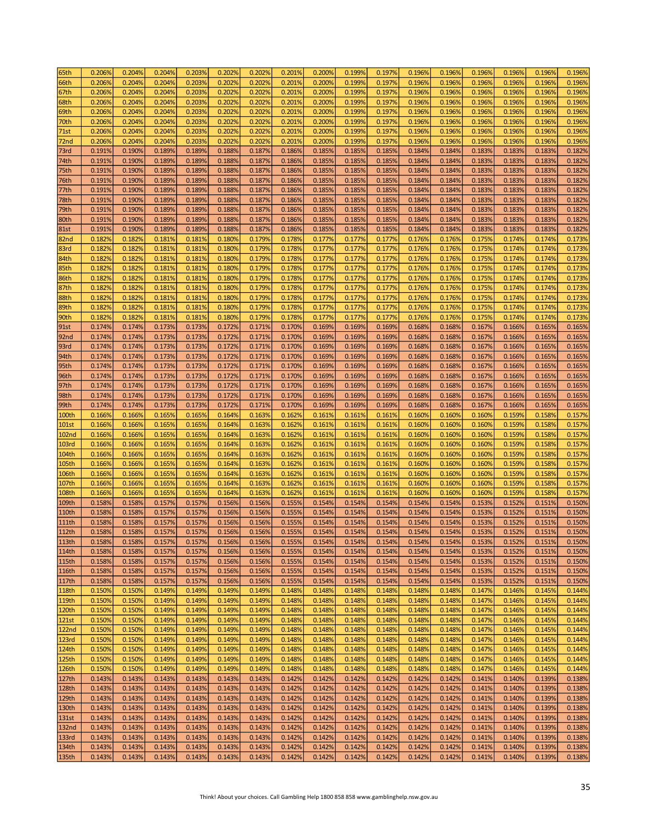| 65th              | 0.206% | 0.204% | 0.204% | 0.203% | 0.202% | 0.202% | 0.201% | 0.200% | 0.199% | 0.197% | 0.196% | 0.196% | 0.196% | 0.1969 | 0.196% | 0.196% |
|-------------------|--------|--------|--------|--------|--------|--------|--------|--------|--------|--------|--------|--------|--------|--------|--------|--------|
| 66th              | 0.206% | 0.204% | 0.204% | 0.203% | 0.202% | 0.202% | 0.201% | 0.200% | 0.199% | 0.197% | 0.196% | 0.196% | 0.196% | 0.196% | 0.196% | 0.196% |
| 67th              | 0.206% | 0.204% | 0.204% | 0.203% | 0.202% | 0.202% | 0.201% | 0.200% | 0.199% | 0.197% | 0.196% | 0.196% | 0.196% | 0.196% | 0.196% | 0.196% |
| 68th              | 0.206% | 0.204% | 0.204% | 0.203% | 0.202% | 0.202% | 0.201% | 0.200% | 0.199% | 0.197% | 0.196% | 0.196% | 0.196% | 0.196% | 0.196% | 0.196% |
| 69th              | 0.206% | 0.204% | 0.204% | 0.203% | 0.202% | 0.202% | 0.201% | 0.200% | 0.199% | 0.197% | 0.196% | 0.196% | 0.196% | 0.196% | 0.196% | 0.196% |
| 70th              | 0.206% | 0.204% | 0.204% | 0.203% | 0.202% | 0.202% | 0.201% | 0.200% | 0.199% | 0.197% | 0.196% | 0.196% | 0.196% | 0.196% | 0.196% | 0.196% |
| 71st              | 0.206% | 0.204% | 0.204% | 0.203% | 0.202% | 0.202% | 0.201% | 0.200% | 0.199% | 0.197% | 0.196% | 0.196% | 0.196% | 0.196% | 0.196% | 0.196% |
|                   | 0.206% |        | 0.204% | 0.203% | 0.202% |        | 0.201% | 0.200% | 0.199% | 0.197% |        | 0.196% | 0.196% |        |        | 0.196% |
| 72nd              |        | 0.204% |        |        |        | 0.202% |        |        |        |        | 0.196% |        |        | 0.196% | 0.196% |        |
| 73rd              | 0.191% | 0.190% | 0.189% | 0.189% | 0.188% | 0.187% | 0.186% | 0.185% | 0.185% | 0.185% | 0.184% | 0.184% | 0.183% | 0.183% | 0.183% | 0.182% |
| 74th              | 0.191% | 0.190% | 0.189% | 0.189% | 0.188% | 0.187% | 0.186% | 0.185% | 0.185% | 0.185% | 0.184% | 0.184% | 0.183% | 0.183% | 0.183% | 0.182% |
| 75th              | 0.191% | 0.190% | 0.189% | 0.189% | 0.188% | 0.187% | 0.186% | 0.185% | 0.185% | 0.185% | 0.184% | 0.184% | 0.183% | 0.183% | 0.183% | 0.182% |
| 76th              | 0.191% | 0.190% | 0.189% | 0.189% | 0.188% | 0.187% | 0.186% | 0.185% | 0.185% | 0.185% | 0.184% | 0.184% | 0.183% | 0.183% | 0.183% | 0.182% |
| 77th              | 0.191% | 0.190% | 0.189% | 0.189% | 0.188% | 0.187% | 0.186% | 0.185% | 0.185% | 0.185% | 0.184% | 0.184% | 0.183% | 0.183% | 0.183% | 0.182% |
| 78th              | 0.191% | 0.190% | 0.189% | 0.189% | 0.188% | 0.187% | 0.186% | 0.185% | 0.185% | 0.185% | 0.184% | 0.184% | 0.183% | 0.183% | 0.183% | 0.182% |
| 79th              | 0.191% | 0.190% | 0.189% | 0.189% | 0.188% | 0.187% | 0.186% | 0.185% | 0.185% | 0.185% | 0.184% | 0.184% | 0.183% | 0.183% | 0.183% | 0.182% |
| 80th              | 0.191% | 0.190% | 0.189% | 0.189% | 0.188% | 0.187% | 0.186% | 0.185% | 0.185% | 0.185% | 0.184% | 0.184% | 0.183% | 0.183% | 0.183% | 0.182% |
| <b>81st</b>       | 0.191% | 0.190% | 0.189% | 0.189% | 0.188% | 0.187% | 0.186% | 0.185% | 0.185% | 0.185% | 0.184% | 0.184% | 0.183% | 0.183% | 0.183% | 0.182% |
| 82nd              | 0.182% | 0.182% | 0.181% | 0.181% | 0.180% | 0.179% | 0.178% | 0.177% | 0.177% | 0.177% | 0.176% | 0.176% | 0.175% | 0.174% | 0.174% | 0.173% |
| 83rd              | 0.182% | 0.182% | 0.181% | 0.181% | 0.180% | 0.179% | 0.178% | 0.177% | 0.177% | 0.177% | 0.176% | 0.176% | 0.175% | 0.174% | 0.174% | 0.173% |
| 84th              | 0.182% | 0.182% | 0.181% | 0.181% | 0.180% | 0.179% | 0.178% | 0.177% | 0.177% | 0.177% | 0.176% | 0.176% | 0.175% | 0.174% | 0.174% | 0.173% |
| 85th              | 0.182% | 0.182% | 0.181% | 0.181% | 0.180% | 0.179% | 0.178% | 0.177% | 0.177% | 0.177% | 0.176% | 0.176% | 0.175% | 0.174% | 0.174% | 0.173% |
| 86th              | 0.182% | 0.182% | 0.181% | 0.181% | 0.180% | 0.179% | 0.178% | 0.177% | 0.177% | 0.177% | 0.176% | 0.176% | 0.175% | 0.174% | 0.174% | 0.173% |
| 87th              | 0.182% | 0.182% | 0.181% | 0.181% | 0.180% | 0.179% | 0.178% | 0.177% | 0.177% | 0.177% | 0.176% | 0.176% | 0.175% | 0.174% | 0.174% | 0.173% |
| 88th              | 0.182% | 0.182% | 0.181% | 0.181% | 0.180% | 0.179% | 0.178% | 0.177% | 0.177% | 0.177% | 0.176% | 0.176% | 0.175% | 0.174% | 0.174% | 0.173% |
|                   | 0.182% |        | 0.181% | 0.181% | 0.180% |        |        |        | 0.177% |        | 0.176% |        | 0.175% | 0.174% | 0.174% | 0.173% |
| 89th              |        | 0.182% |        |        |        | 0.179% | 0.178% | 0.177% |        | 0.177% |        | 0.176% |        |        |        |        |
| 90th              | 0.182% | 0.182% | 0.181% | 0.181% | 0.180% | 0.179% | 0.1789 | 0.177% | 0.177% | 0.177% | 0.176% | 0.176% | 0.175% | 0.174% | 0.174% | 0.173% |
| 91st              | 0.174% | 0.174% | 0.173% | 0.173% | 0.172% | 0.171% | 0.170% | 0.169% | 0.169% | 0.169% | 0.168% | 0.168% | 0.167% | 0.166% | 0.165% | 0.165% |
| 92nd              | 0.174% | 0.174% | 0.173% | 0.173% | 0.172% | 0.171% | 0.170% | 0.169% | 0.169% | 0.169% | 0.168% | 0.168% | 0.167% | 0.166% | 0.165% | 0.165% |
| 93rd              | 0.174% | 0.174% | 0.173% | 0.173% | 0.172% | 0.171% | 0.170% | 0.169% | 0.169% | 0.169% | 0.168% | 0.168% | 0.167% | 0.166% | 0.165% | 0.165% |
| 94th              | 0.174% | 0.174% | 0.173% | 0.173% | 0.172% | 0.171% | 0.170% | 0.169% | 0.169% | 0.169% | 0.168% | 0.168% | 0.167% | 0.166% | 0.165% | 0.165% |
| 95th              | 0.174% | 0.174% | 0.173% | 0.173% | 0.172% | 0.171% | 0.170% | 0.169% | 0.169% | 0.169% | 0.168% | 0.168% | 0.167% | 0.166% | 0.165% | 0.165% |
| 96th              | 0.174% | 0.174% | 0.173% | 0.173% | 0.172% | 0.171% | 0.170% | 0.169% | 0.169% | 0.169% | 0.168% | 0.168% | 0.167% | 0.166% | 0.165% | 0.165% |
| 97th              | 0.174% | 0.174% | 0.173% | 0.173% | 0.172% | 0.171% | 0.170% | 0.169% | 0.169% | 0.169% | 0.168% | 0.168% | 0.167% | 0.166% | 0.165% | 0.165% |
| 98th              | 0.174% | 0.174% | 0.173% | 0.173% | 0.172% | 0.171% | 0.170% | 0.169% | 0.169% | 0.169% | 0.168% | 0.168% | 0.167% | 0.166% | 0.165% | 0.165% |
| 99th              | 0.174% | 0.174% | 0.173% | 0.173% | 0.172% | 0.171% | 0.170% | 0.169% | 0.169% | 0.169% | 0.168% | 0.168% | 0.167% | 0.166% | 0.165% | 0.165% |
| 100th             | 0.166% | 0.166% | 0.165% | 0.165% | 0.164% | 0.163% | 0.162% | 0.161% | 0.161% | 0.161% | 0.160% | 0.160% | 0.160% | 0.159% | 0.158% | 0.157% |
| <b>101st</b>      | 0.166% | 0.166% | 0.165% | 0.165% | 0.164% | 0.163% | 0.162% | 0.161% | 0.161% | 0.161% | 0.160% | 0.160% | 0.160% | 0.159% | 0.158% | 0.157% |
| <b>102nd</b>      | 0.166% | 0.166% | 0.165% | 0.165% | 0.164% | 0.163% | 0.162% | 0.161% | 0.161% | 0.161% | 0.160% | 0.160% | 0.160% | 0.1599 | 0.158% | 0.157% |
| <b>103rd</b>      | 0.166% | 0.1669 | 0.165% | 0.165% | 0.164% | 0.163% | 0.162% | 0.161% | 0.161% | 0.161% | 0.160% | 0.160% | 0.160% | 0.1599 | 0.1589 | 0.157% |
| 104th             | 0.166% | 0.166% | 0.165% | 0.165% | 0.164% | 0.163% | 0.162% | 0.161% | 0.161% | 0.161% | 0.160% | 0.160% | 0.160% | 0.1599 | 0.158% | 0.157% |
| 105th             | 0.166% | 0.166% | 0.165% | 0.165% | 0.164% | 0.163% | 0.162% | 0.161% | 0.161% | 0.161% | 0.160% | 0.160% | 0.160% | 0.1599 | 0.158% | 0.157% |
| 106th             | 0.166% | 0.166% | 0.165% | 0.165% | 0.164% | 0.163% | 0.162% | 0.161% | 0.161% | 0.161% | 0.160% | 0.160% | 0.160% | 0.1599 | 0.158% | 0.157% |
| 107th             | 0.166% | 0.166% | 0.165% | 0.165% | 0.164% | 0.163% | 0.162% | 0.161% | 0.161% | 0.161% | 0.160% | 0.160% | 0.160% | 0.159% | 0.158% | 0.157% |
|                   |        |        |        |        |        |        |        |        |        |        |        |        |        |        |        | 0.157% |
| 108th             | 0.166% | 0.166% | 0.165% | 0.165% | 0.164% | 0.163% | 0.162% | 0.161% | 0.161% | 0.161% | 0.160% | 0.160% | 0.160% | 0.159% | 0.158% |        |
| 109th             | 0.158% | 0.158% | 0.157% | 0.157% | 0.156% | 0.156% | 0.155% | 0.154% | 0.154% | 0.154% | 0.154% | 0.154% | 0.153% | 0.152% | 0.151% | 0.150% |
| 110th             | 0.158% | 0.158% | 0.157% | 0.157% | 0.156% | 0.156% | 0.155% | 0.154% | 0.154% | 0.154% | 0.154% | 0.154% | 0.153% | 0.152% | 0.151% | 0.150% |
| <b>111th</b>      | 0.158% | 0.158% | 0.157% | 0.157% | 0.156% | 0.156% | 0.155% | 0.154% | 0.154% | 0.154% | 0.154% | 0.154% | 0.153% | 0.152% | 0.151% | 0.150% |
| 112th             | 0.158% | 0.158% | 0.157% | 0.157% | 0.156% | 0.156% | 0.155% | 0.154% | 0.154% | 0.154% | 0.154% | 0.154% | 0.153% | 0.152% | 0.151% | 0.150% |
| 113th             | 0.158% | 0.158% | 0.157% | 0.157% | 0.156% | 0.156% | 0.155% | 0.154% | 0.154% | 0.154% | 0.154% | 0.154% | 0.153% | 0.152% | 0.151% | 0.150% |
| 114th             | 0.158% | 0.158% | 0.157% | 0.157% | 0.156% | 0.156% | 0.155% | 0.154% | 0.154% | 0.154% | 0.154% | 0.154% | 0.153% | 0.152% | 0.151% | 0.150% |
| 115th             | 0.158% | 0.158% | 0.157% | 0.157% | 0.156% | 0.156% | 0.155% | 0.154% | 0.154% | 0.154% | 0.154% | 0.154% | 0.153% | 0.152% | 0.151% | 0.150% |
| 116th             | 0.158% | 0.158% | 0.157% | 0.157% | 0.156% | 0.156% | 0.155% | 0.154% | 0.154% | 0.154% | 0.154% | 0.154% | 0.153% | 0.152% | 0.151% | 0.150% |
| 117th             | 0.158% | 0.158% | 0.157% | 0.157% | 0.156% | 0.156% | 0.155% | 0.154% | 0.154% | 0.154% | 0.154% | 0.154% | 0.153% | 0.152% | 0.151% | 0.150% |
| 118th             | 0.150% | 0.150% | 0.149% | 0.149% | 0.149% | 0.149% | 0.148% | 0.148% | 0.148% | 0.148% | 0.148% | 0.148% | 0.147% | 0.146% | 0.145% | 0.144% |
| 119th             | 0.150% | 0.150% | 0.149% | 0.149% | 0.149% | 0.149% | 0.148% | 0.148% | 0.148% | 0.148% | 0.148% | 0.148% | 0.147% | 0.146% | 0.145% | 0.144% |
| 120th             | 0.150% | 0.150% | 0.149% | 0.149% | 0.149% | 0.149% | 0.148% | 0.148% | 0.148% | 0.148% | 0.148% | 0.148% | 0.147% | 0.146% | 0.145% | 0.144% |
| 121st             | 0.150% | 0.150% | 0.149% | 0.149% | 0.149% | 0.149% | 0.148% | 0.148% | 0.148% | 0.148% | 0.148% | 0.148% | 0.147% | 0.146% | 0.145% | 0.144% |
| 122 <sub>nd</sub> | 0.150% | 0.150% | 0.149% | 0.149% | 0.149% | 0.149% | 0.148% | 0.148% | 0.148% | 0.148% | 0.148% | 0.148% | 0.147% | 0.146% | 0.145% | 0.144% |
| 123rd             | 0.150% | 0.150% | 0.149% | 0.149% | 0.149% | 0.149% | 0.148% | 0.148% | 0.148% | 0.148% | 0.148% | 0.148% | 0.147% | 0.146% | 0.145% | 0.144% |
| 124th             | 0.150% | 0.150% | 0.149% | 0.149% | 0.149% | 0.149% | 0.148% | 0.148% | 0.148% | 0.148% | 0.148% | 0.148% | 0.147% | 0.146% | 0.145% | 0.144% |
| 125th             | 0.150% | 0.150% | 0.149% | 0.149% | 0.149% | 0.149% | 0.148% | 0.148% | 0.148% | 0.148% | 0.148% | 0.148% | 0.147% | 0.146% | 0.145% | 0.144% |
| 126th             | 0.150% | 0.150% | 0.149% | 0.149% | 0.149% | 0.149% | 0.148% | 0.148% | 0.148% | 0.148% | 0.148% | 0.148% | 0.147% | 0.146% | 0.145% | 0.144% |
| 127th             | 0.143% | 0.143% | 0.143% | 0.143% | 0.143% | 0.143% | 0.142% | 0.142% | 0.142% | 0.142% | 0.142% | 0.142% | 0.141% | 0.140% | 0.139% | 0.138% |
| 128th             | 0.143% | 0.143% | 0.143% | 0.143% | 0.143% | 0.143% | 0.142% | 0.142% | 0.142% | 0.142% | 0.142% | 0.142% | 0.141% | 0.140% | 0.139% | 0.138% |
|                   |        |        |        |        |        |        |        |        |        |        |        |        |        |        |        |        |
| 129th             | 0.143% | 0.143% | 0.143% | 0.143% | 0.143% | 0.143% | 0.142% | 0.142% | 0.142% | 0.142% | 0.142% | 0.142% | 0.141% | 0.140% | 0.139% | 0.138% |
| 130th             | 0.143% | 0.143% | 0.143% | 0.143% | 0.143% | 0.143% | 0.142% | 0.142% | 0.142% | 0.142% | 0.142% | 0.142% | 0.141% | 0.140% | 0.139% | 0.138% |
| 131st             | 0.143% | 0.143% | 0.143% | 0.143% | 0.143% | 0.143% | 0.142% | 0.142% | 0.142% | 0.142% | 0.142% | 0.142% | 0.141% | 0.140% | 0.139% | 0.138% |
| 132 <sub>nd</sub> | 0.143% | 0.143% | 0.143% | 0.143% | 0.143% | 0.143% | 0.142% | 0.142% | 0.142% | 0.142% | 0.142% | 0.142% | 0.141% | 0.140% | 0.139% | 0.138% |
| 133rd             | 0.143% | 0.143% | 0.143% | 0.143% | 0.143% | 0.143% | 0.142% | 0.142% | 0.142% | 0.142% | 0.142% | 0.142% | 0.141% | 0.140% | 0.139% | 0.138% |
| 134th             | 0.143% | 0.143% | 0.143% | 0.143% | 0.143% | 0.143% | 0.142% | 0.142% | 0.142% | 0.142% | 0.142% | 0.142% | 0.141% | 0.140% | 0.139% | 0.138% |
| 135th             | 0.143% | 0.143% | 0.143% | 0.143% | 0.143% | 0.143% | 0.142% | 0.142% | 0.142% | 0.142% | 0.142% | 0.142% | 0.141% | 0.140% | 0.139% | 0.138% |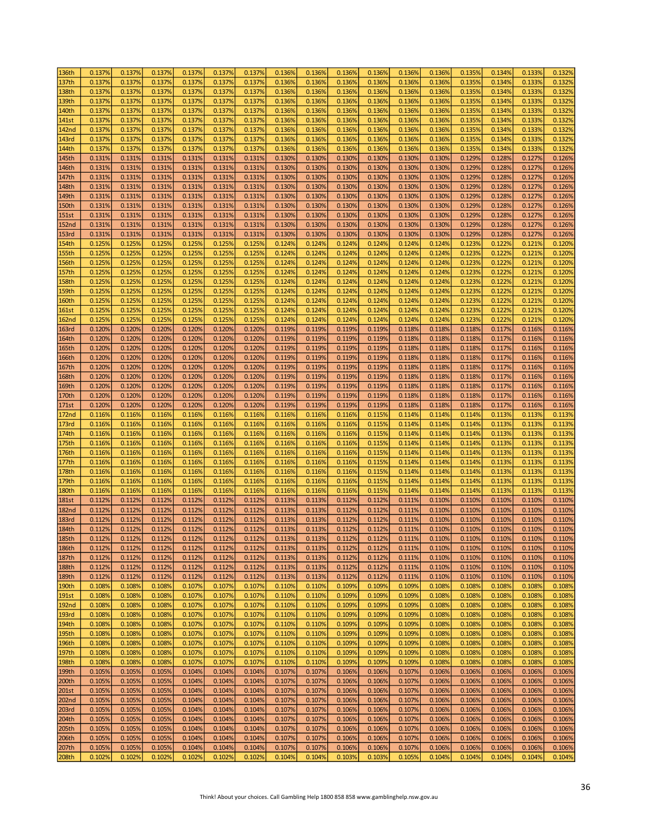| 136th        | 0.137% | 0.137% | 0.137% | 0.137% | 0.137% | 0.137% | 0.136% | 0.136% | 0.136% | 0.136% | 0.136% | 0.136% | 0.135% | 0.134% | 0.133% | 0.132% |
|--------------|--------|--------|--------|--------|--------|--------|--------|--------|--------|--------|--------|--------|--------|--------|--------|--------|
| 137th        | 0.137% | 0.137% | 0.137% | 0.137% | 0.137% | 0.137% | 0.136% | 0.136% | 0.136% | 0.136% | 0.136% | 0.136% | 0.135% | 0.134% | 0.133% | 0.132% |
| 138th        | 0.137% | 0.137% | 0.137% | 0.137% | 0.137% | 0.137% | 0.136% | 0.136% | 0.136% | 0.136% | 0.136% | 0.136% | 0.135% | 0.134% | 0.133% | 0.132% |
| 139th        | 0.137% | 0.137% | 0.137% | 0.137% | 0.137% | 0.137% | 0.136% | 0.136% | 0.136% | 0.136% | 0.136% | 0.1369 | 0.135% | 0.134% | 0.133% | 0.132% |
|              |        |        |        |        |        |        |        |        |        |        |        |        |        |        |        |        |
| 140th        | 0.137% | 0.137% | 0.137% | 0.137% | 0.137% | 0.137% | 0.136% | 0.136% | 0.136% | 0.136% | 0.136% | 0.1369 | 0.135% | 0.134% | 0.133% | 0.132% |
| 141st        | 0.137% | 0.137% | 0.137% | 0.137% | 0.137% | 0.137% | 0.136% | 0.136% | 0.136% | 0.136% | 0.1369 | 0.136% | 0.135% | 0.134% | 0.133% | 0.132% |
| <b>142nd</b> | 0.137% | 0.137% | 0.137% | 0.137% | 0.137% | 0.137% | 0.136% | 0.136% | 0.136% | 0.136% | 0.136% | 0.136% | 0.135% | 0.134% | 0.133% | 0.132% |
| 143rd        | 0.137% | 0.137% | 0.137% | 0.137% | 0.137% | 0.137% | 0.136% | 0.136% | 0.136% | 0.136% | 0.1369 | 0.136% | 0.135% | 0.134% | 0.133% | 0.132% |
| 144th        | 0.137% | 0.137% | 0.137% | 0.137% | 0.137% | 0.137% | 0.136% | 0.136% | 0.136% | 0.136% | 0.136% | 0.1369 | 0.135% | 0.1349 | 0.133% | 0.132% |
| 145th        | 0.131% | 0.131% | 0.131% | 0.131% | 0.131% | 0.131% | 0.130% | 0.130% | 0.130% | 0.130% | 0.130% | 0.130% | 0.129% | 0.128% | 0.127% | 0.126% |
| 146th        | 0.131% | 0.131% | 0.131% | 0.131% | 0.131% | 0.131% | 0.130% | 0.130% | 0.130% | 0.130% | 0.130% | 0.130% | 0.129% | 0.128% | 0.127% | 0.126% |
| 147th        | 0.131% | 0.131% | 0.131% | 0.131% | 0.131% | 0.131% | 0.130% | 0.130% | 0.130% | 0.130% | 0.130% | 0.130% | 0.129% | 0.128% | 0.127% | 0.126% |
| 148th        | 0.131% | 0.131% | 0.131% | 0.131% | 0.131% | 0.131% | 0.130% | 0.130% | 0.130% | 0.130% | 0.130% | 0.130% | 0.129% | 0.128% | 0.127% | 0.126% |
| 149th        | 0.131% | 0.131% | 0.131% | 0.131% | 0.131% | 0.131% | 0.130% | 0.130% | 0.130% | 0.130% | 0.130% | 0.130% | 0.129% | 0.128% | 0.127% | 0.126% |
|              | 0.131% |        |        |        | 0.131% |        |        | 0.130% |        |        |        |        |        |        |        |        |
| 150th        |        | 0.131% | 0.131% | 0.131% |        | 0.131% | 0.130% |        | 0.130% | 0.130% | 0.130% | 0.130% | 0.129% | 0.128% | 0.127% | 0.126% |
| <b>151st</b> | 0.131% | 0.131% | 0.131% | 0.131% | 0.131% | 0.131% | 0.130% | 0.130% | 0.130% | 0.130% | 0.130% | 0.130% | 0.129% | 0.128% | 0.127% | 0.126% |
| <b>152nd</b> | 0.131% | 0.131% | 0.131% | 0.131% | 0.131% | 0.131% | 0.130% | 0.130% | 0.130% | 0.130% | 0.130% | 0.130% | 0.129% | 0.128% | 0.127% | 0.126% |
| <b>153rd</b> | 0.131% | 0.131% | 0.131% | 0.131% | 0.131% | 0.131% | 0.130% | 0.130% | 0.130% | 0.130% | 0.130% | 0.130% | 0.129% | 0.128% | 0.127% | 0.126% |
| 154th        | 0.125% | 0.125% | 0.125% | 0.125% | 0.125% | 0.125% | 0.124% | 0.124% | 0.124% | 0.124% | 0.124% | 0.124% | 0.123% | 0.122% | 0.121% | 0.120% |
| <b>155th</b> | 0.125% | 0.125% | 0.125% | 0.125% | 0.125% | 0.125% | 0.124% | 0.124% | 0.124% | 0.124% | 0.124% | 0.124% | 0.123% | 0.122% | 0.121% | 0.120% |
| 156th        | 0.125% | 0.125% | 0.125% | 0.125% | 0.125% | 0.125% | 0.124% | 0.124% | 0.124% | 0.124% | 0.124% | 0.124% | 0.123% | 0.122% | 0.121% | 0.120% |
| 157th        | 0.125% | 0.125% | 0.125% | 0.125% | 0.125% | 0.125% | 0.124% | 0.124% | 0.124% | 0.124% | 0.124% | 0.124% | 0.123% | 0.122% | 0.121% | 0.120% |
| <b>158th</b> | 0.125% | 0.125% | 0.125% | 0.125% | 0.125% | 0.125% | 0.124% | 0.124% | 0.124% | 0.124% | 0.124% | 0.124% | 0.123% | 0.122% | 0.121% | 0.120% |
| 159th        | 0.125% | 0.125% | 0.125% | 0.125% | 0.125% | 0.125% | 0.124% | 0.124% | 0.124% | 0.124% | 0.124% | 0.124% | 0.123% | 0.122% | 0.121% | 0.120% |
| <b>160th</b> | 0.125% | 0.125% | 0.125% | 0.125% | 0.125% | 0.125% | 0.124% | 0.124% | 0.124% | 0.124% | 0.124% | 0.124% | 0.123% | 0.122% | 0.121% | 0.120% |
| <b>161st</b> | 0.125% | 0.125% | 0.125% | 0.125% | 0.125% | 0.125% | 0.124% | 0.124% | 0.124% | 0.124% | 0.124% | 0.124% | 0.123% | 0.122% | 0.121% | 0.120% |
| <b>162nd</b> | 0.125% | 0.125% | 0.125% | 0.125% | 0.125% | 0.125% | 0.124% | 0.124% | 0.124% | 0.124% | 0.124% | 0.124% | 0.123% | 0.122% | 0.121% | 0.120% |
| <b>163rd</b> | 0.120% | 0.120% | 0.120% | 0.120% | 0.120% | 0.120% | 0.119% | 0.119% | 0.119% | 0.119% | 0.118% | 0.118% | 0.118% | 0.117% | 0.116% | 0.116% |
| 164th        | 0.120% | 0.120% | 0.120% | 0.120% | 0.120% | 0.120% | 0.119% | 0.119% | 0.119% | 0.119% | 0.118% | 0.118% | 0.118% | 0.117% | 0.116% | 0.116% |
|              |        |        |        |        |        |        |        |        |        |        |        |        |        |        |        |        |
| 165th        | 0.120% | 0.120% | 0.120% | 0.120% | 0.120% | 0.120% | 0.119% | 0.119% | 0.119% | 0.119% | 0.118% | 0.118% | 0.118% | 0.117% | 0.116% | 0.116% |
| 166th        | 0.120% | 0.120% | 0.120% | 0.120% | 0.120% | 0.120% | 0.119% | 0.119% | 0.119% | 0.119% | 0.118% | 0.118% | 0.118% | 0.117% | 0.116% | 0.116% |
| 167th        | 0.120% | 0.120% | 0.120% | 0.120% | 0.120% | 0.120% | 0.119% | 0.119% | 0.119% | 0.119% | 0.118% | 0.118% | 0.118% | 0.117% | 0.116% | 0.116% |
| 168th        | 0.120% | 0.120% | 0.120% | 0.120% | 0.120% | 0.120% | 0.119% | 0.119% | 0.119% | 0.119% | 0.118% | 0.118% | 0.118% | 0.117% | 0.116% | 0.116% |
| 169th        | 0.120% | 0.120% | 0.120% | 0.120% | 0.120% | 0.120% | 0.119% | 0.119% | 0.119% | 0.119% | 0.118% | 0.118% | 0.118% | 0.117% | 0.116% | 0.116% |
| 170th        | 0.120% | 0.120% | 0.120% | 0.120% | 0.120% | 0.120% | 0.119% | 0.119% | 0.119% | 0.119% | 0.118% | 0.118% | 0.118% | 0.117% | 0.116% | 0.116% |
| 171st        | 0.120% | 0.120% | 0.120% | 0.120% | 0.120% | 0.120% | 0.119% | 0.119% | 0.119% | 0.119% | 0.118% | 0.118% | 0.118% | 0.117% | 0.116% | 0.116% |
| <b>172nd</b> | 0.116% | 0.116% | 0.116% | 0.116% | 0.116% | 0.116% | 0.116% | 0.116% | 0.116% | 0.115% | 0.114% | 0.114% | 0.114% | 0.113% | 0.113% | 0.113% |
| 173rd        | 0.116% | 0.116% | 0.116% | 0.116% | 0.116% | 0.116% | 0.116% | 0.116% | 0.116% | 0.115% | 0.114% | 0.114% | 0.114% | 0.113% | 0.113% | 0.113% |
| 174th        | 0.116% | 0.116% | 0.116% | 0.116% | 0.116% | 0.116% | 0.116% | 0.116% | 0.116% | 0.115% | 0.114% | 0.114% | 0.114% | 0.113% | 0.113% | 0.113% |
| 175th        | 0.116% | 0.116% | 0.116% | 0.116% | 0.116% | 0.116% | 0.116% | 0.116% | 0.116% | 0.115% | 0.114% | 0.114% | 0.114% | 0.113% | 0.113% | 0.113% |
| 176th        | 0.116% | 0.116% | 0.116% | 0.116% | 0.116% | 0.116% | 0.116% | 0.116% | 0.116% | 0.115% | 0.114% | 0.114% | 0.114% | 0.113% | 0.113% | 0.113% |
| 177th        | 0.116% | 0.116% | 0.116% | 0.116% | 0.116% | 0.116% | 0.116% | 0.116% | 0.116% | 0.115% | 0.114% | 0.114% | 0.114% | 0.113% | 0.113% | 0.113% |
| 178th        | 0.116% | 0.116% | 0.116% | 0.116% | 0.116% | 0.116% | 0.116% | 0.116% | 0.116% | 0.115% | 0.114% | 0.114% | 0.114% | 0.113% | 0.113% | 0.113% |
| 179th        | 0.116% | 0.116% | 0.116% | 0.116% | 0.116% | 0.116% | 0.116% | 0.116% | 0.116% | 0.115% | 0.114% | 0.114% | 0.114% | 0.113% | 0.113% | 0.113% |
| <b>180th</b> | 0.116% |        | 0.116% | 0.116% | 0.116% | 0.116% | 0.116% | 0.116% | 0.116% | 0.115% |        | 0.114% | 0.114% | 0.113% | 0.113% | 0.113% |
|              |        | 0.116% |        |        |        |        |        |        |        |        | 0.114% |        |        |        |        |        |
| <b>181st</b> | 0.112% | 0.112% | 0.112% | 0.112% | 0.112% | 0.112% | 0.113% | 0.113% | 0.112% | 0.112% | 0.111% | 0.110% | 0.110% | 0.110% | 0.110% | 0.110% |
| <b>182nd</b> | 0.112% | 0.112% | 0.112% | 0.112% | 0.112% | 0.112% | 0.113% | 0.113% | 0.112% | 0.112% | 0.111% | 0.110% | 0.110% | 0.110% | 0.110% | 0.110% |
| <b>183rd</b> | 0.112% | 0.112% | 0.112% | 0.112% | 0.112% | 0.112% | 0.113% | 0.113% | 0.112% | 0.112% | 0.111% | 0.110% | 0.110% | 0.110% | 0.110% | 0.110% |
| 184th        | 0.112% | 0.112% | 0.112% | 0.112% | 0.112% | 0.112% | 0.113% | 0.113% | 0.112% | 0.112% | 0.111% | 0.110% | 0.110% | 0.110% | 0.110% | 0.110% |
| 185th        | 0.112% | 0.112% | 0.112% | 0.112% | 0.112% | 0.112% | 0.113% | 0.113% | 0.112% | 0.112% | 0.111% | 0.110% | 0.110% | 0.110% | 0.110% | 0.110% |
| 186th        | 0.112% | 0.112% | 0.112% | 0.112% | 0.112% | 0.112% | 0.113% | 0.113% | 0.112% | 0.112% | 0.111% | 0.110% | 0.110% | 0.110% | 0.110% | 0.110% |
| 187th        | 0.112% | 0.112% | 0.112% | 0.112% | 0.112% | 0.112% | 0.113% | 0.113% | 0.112% | 0.112% | 0.111% | 0.110% | 0.110% | 0.110% | 0.110% | 0.110% |
| 188th        | 0.112% | 0.112% | 0.112% | 0.112% | 0.112% | 0.112% | 0.113% | 0.113% | 0.112% | 0.112% | 0.111% | 0.110% | 0.110% | 0.110% | 0.110% | 0.110% |
| 189th        | 0.112% | 0.112% | 0.112% | 0.112% | 0.112% | 0.112% | 0.113% | 0.113% | 0.112% | 0.112% | 0.111% | 0.110% | 0.110% | 0.110% | 0.110% | 0.110% |
| 190th        | 0.108% | 0.108% | 0.108% | 0.107% | 0.107% | 0.107% | 0.110% | 0.110% | 0.109% | 0.109% | 0.109% | 0.108% | 0.108% | 0.108% | 0.108% | 0.108% |
| 191st        | 0.108% | 0.108% | 0.108% | 0.107% | 0.107% | 0.107% | 0.110% | 0.110% | 0.109% | 0.109% | 0.109% | 0.108% | 0.108% | 0.108% | 0.108% | 0.108% |
| <b>192nd</b> | 0.108% | 0.108% | 0.108% | 0.107% | 0.107% | 0.107% | 0.110% | 0.110% | 0.109% | 0.109% | 0.109% | 0.108% | 0.108% | 0.108% | 0.108% | 0.108% |
| <b>193rd</b> | 0.108% | 0.108% | 0.108% | 0.107% | 0.107% | 0.107% | 0.110% | 0.110% | 0.109% | 0.109% | 0.109% | 0.108% | 0.108% | 0.108% | 0.108% | 0.108% |
| 194th        | 0.108% | 0.108% | 0.108% | 0.107% | 0.107% | 0.107% | 0.110% | 0.110% | 0.109% | 0.109% | 0.109% | 0.108% | 0.108% | 0.108% | 0.108% | 0.108% |
| 195th        | 0.108% | 0.108% | 0.108% | 0.107% | 0.107% | 0.107% | 0.110% | 0.110% | 0.109% | 0.109% | 0.109% | 0.108% | 0.108% | 0.108% | 0.108% | 0.108% |
| 196th        | 0.108% | 0.108% | 0.108% | 0.107% | 0.107% | 0.107% | 0.110% | 0.110% | 0.109% | 0.109% | 0.109% | 0.108% | 0.108% | 0.108% | 0.108% | 0.108% |
|              | 0.108% |        |        | 0.107% | 0.107% | 0.107% | 0.110% | 0.110% | 0.109% | 0.109% |        |        | 0.108% | 0.108% |        | 0.108% |
| 197th        |        | 0.108% | 0.108% |        |        |        |        |        |        |        | 0.109% | 0.108% |        |        | 0.108% |        |
| 198th        | 0.108% | 0.108% | 0.108% | 0.107% | 0.107% | 0.107% | 0.110% | 0.110% | 0.109% | 0.109% | 0.109% | 0.108% | 0.108% | 0.108% | 0.108% | 0.108% |
| 199th        | 0.105% | 0.105% | 0.105% | 0.104% | 0.104% | 0.104% | 0.107% | 0.107% | 0.106% | 0.106% | 0.107% | 0.106% | 0.106% | 0.106% | 0.106% | 0.106% |
| 200th        | 0.105% | 0.105% | 0.105% | 0.104% | 0.104% | 0.104% | 0.107% | 0.107% | 0.106% | 0.106% | 0.107% | 0.106% | 0.106% | 0.106% | 0.106% | 0.106% |
| 201st        | 0.105% | 0.105% | 0.105% | 0.104% | 0.104% | 0.104% | 0.107% | 0.107% | 0.106% | 0.106% | 0.107% | 0.106% | 0.106% | 0.106% | 0.106% | 0.106% |
| 202nd        | 0.105% | 0.105% | 0.105% | 0.104% | 0.104% | 0.104% | 0.107% | 0.107% | 0.106% | 0.106% | 0.107% | 0.106% | 0.106% | 0.106% | 0.106% | 0.106% |
| 203rd        | 0.105% | 0.105% | 0.105% | 0.104% | 0.104% | 0.104% | 0.107% | 0.107% | 0.106% | 0.106% | 0.107% | 0.106% | 0.106% | 0.106% | 0.106% | 0.106% |
| 204th        | 0.105% | 0.105% | 0.105% | 0.104% | 0.104% | 0.104% | 0.107% | 0.107% | 0.106% | 0.106% | 0.107% | 0.106% | 0.106% | 0.106% | 0.106% | 0.106% |
| 205th        | 0.105% | 0.105% | 0.105% | 0.104% | 0.104% | 0.104% | 0.107% | 0.107% | 0.106% | 0.106% | 0.107% | 0.106% | 0.106% | 0.106% | 0.106% | 0.106% |
| 206th        | 0.105% | 0.105% | 0.105% | 0.104% | 0.104% | 0.104% | 0.107% | 0.107% | 0.106% | 0.106% | 0.107% | 0.106% | 0.106% | 0.106% | 0.106% | 0.106% |
| 207th        | 0.105% | 0.105% | 0.105% | 0.104% | 0.104% | 0.104% | 0.107% | 0.107% | 0.106% | 0.106% | 0.107% | 0.106% | 0.106% | 0.106% | 0.106% | 0.106% |
| 208th        | 0.102% | 0.102% | 0.102% | 0.102% | 0.102% | 0.102% | 0.104% | 0.104% | 0.103% | 0.103% | 0.105% | 0.104% | 0.104% | 0.104% | 0.104% | 0.104% |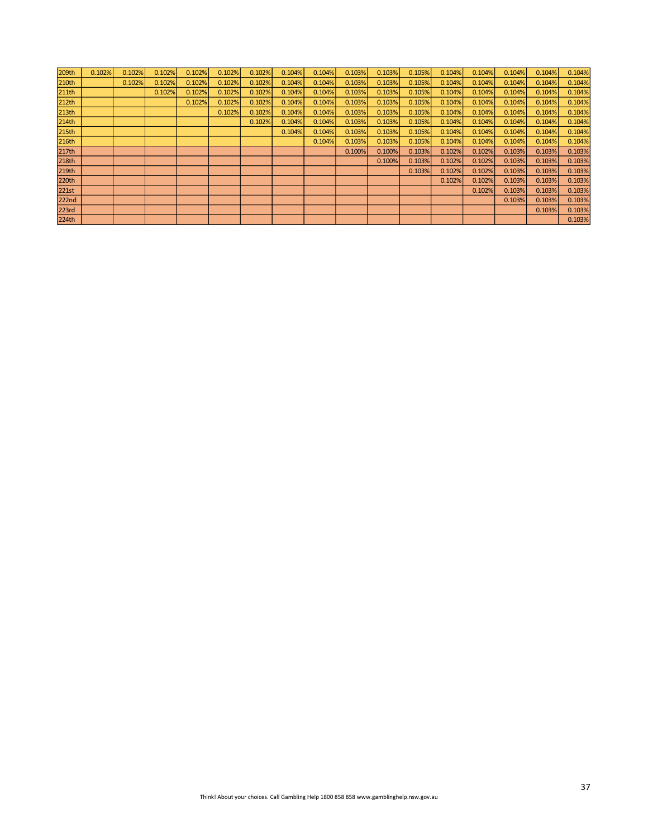| 209th             | 0.102% | 0.102% | 0.102% | 0.102% | 0.102% | 0.102% | 0.104% | 0.104% | 0.103% | 0.103% | 0.105% | 0.104% | 0.104% | 0.104% | 0.104% | 0.104% |
|-------------------|--------|--------|--------|--------|--------|--------|--------|--------|--------|--------|--------|--------|--------|--------|--------|--------|
| 210th             |        | 0.102% | 0.102% | 0.102% | 0.102% | 0.102% | 0.104% | 0.104% | 0.103% | 0.103% | 0.105% | 0.104% | 0.104% | 0.104% | 0.104% | 0.104% |
| 211th             |        |        | 0.102% | 0.102% | 0.102% | 0.102% | 0.104% | 0.104% | 0.103% | 0.103% | 0.105% | 0.104% | 0.104% | 0.104% | 0.104% | 0.104% |
| 212th             |        |        |        | 0.102% | 0.102% | 0.102% | 0.104% | 0.104% | 0.103% | 0.103% | 0.105% | 0.104% | 0.104% | 0.104% | 0.104% | 0.104% |
| 213th             |        |        |        |        | 0.102% | 0.102% | 0.104% | 0.104% | 0.103% | 0.103% | 0.105% | 0.104% | 0.104% | 0.104% | 0.104% | 0.104% |
| 214th             |        |        |        |        |        | 0.102% | 0.104% | 0.104% | 0.103% | 0.103% | 0.105% | 0.104% | 0.104% | 0.104% | 0.104% | 0.104% |
| 215 <sub>th</sub> |        |        |        |        |        |        | 0.104% | 0.104% | 0.103% | 0.103% | 0.105% | 0.104% | 0.104% | 0.104% | 0.104% | 0.104% |
| 216th             |        |        |        |        |        |        |        | 0.104% | 0.103% | 0.103% | 0.105% | 0.104% | 0.104% | 0.104% | 0.104% | 0.104% |
| 217th             |        |        |        |        |        |        |        |        | 0.100% | 0.100% | 0.103% | 0.102% | 0.102% | 0.103% | 0.103% | 0.103% |
| 218th             |        |        |        |        |        |        |        |        |        | 0.100% | 0.103% | 0.102% | 0.102% | 0.103% | 0.103% | 0.103% |
| 219th             |        |        |        |        |        |        |        |        |        |        | 0.103% | 0.102% | 0.102% | 0.103% | 0.103% | 0.103% |
| 220th             |        |        |        |        |        |        |        |        |        |        |        | 0.102% | 0.102% | 0.103% | 0.103% | 0.103% |
| 221st             |        |        |        |        |        |        |        |        |        |        |        |        | 0.102% | 0.103% | 0.103% | 0.103% |
| 222n <sub>d</sub> |        |        |        |        |        |        |        |        |        |        |        |        |        | 0.103% | 0.103% | 0.103% |
| 223rd             |        |        |        |        |        |        |        |        |        |        |        |        |        |        | 0.103% | 0.103% |
| 224th             |        |        |        |        |        |        |        |        |        |        |        |        |        |        |        | 0.103% |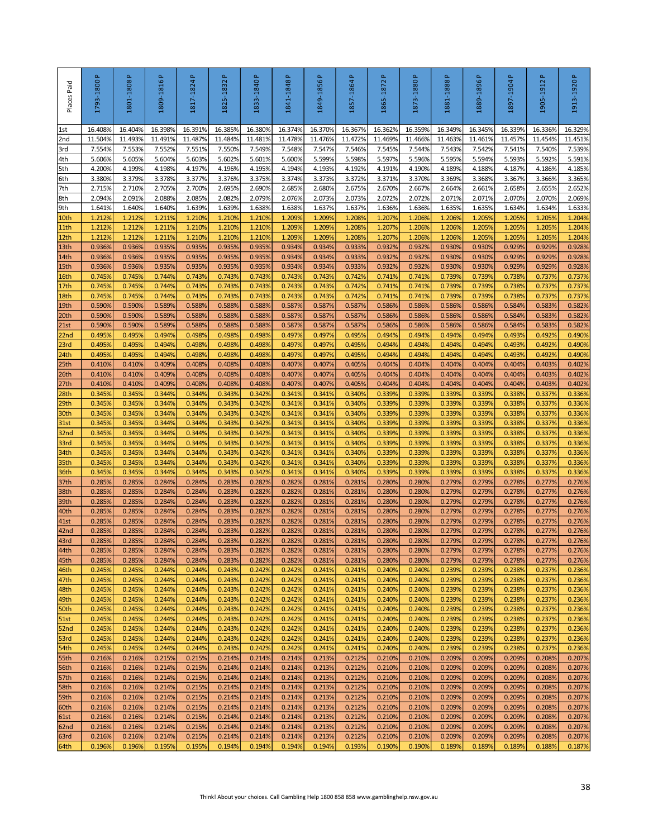| Places Paid              | 1793-1800P       | 1801-1808P       | 1809-1816P       | $\Delta$<br>1817-1824 | <u>م</u><br>1825-1832 | 1833-1840 P      | 1841-1848P       | 1849-1856 P      | $\Delta$<br>1857-1864 | a,<br>1865-1872                                                                        | 1873-1880 P      | 1881-1888 P      | 1889-1896 P      | Δ.<br>1897-1904  | $\Delta$<br>1905-1912 | 1913-1920P       |
|--------------------------|------------------|------------------|------------------|-----------------------|-----------------------|------------------|------------------|------------------|-----------------------|----------------------------------------------------------------------------------------|------------------|------------------|------------------|------------------|-----------------------|------------------|
| 1st                      | 16.4089          | 16.404%          | 16.398%          | 16.391%               | 16.385%               | 16.380%          | 16.374%          | 16.370%          | 16.367%               | 16.362%                                                                                | 16.359%          | 16.3499          | 16.345%          | 16.339%          | 16.336%               | 16.329%          |
| 2nd                      | 11.504%          | 11.493%          | 11.491%          | 11.487%               | 11.484%               | 11.481%          | 11.478%          | 11.476%          | 11.472%               | 11.469%                                                                                | 11.466%          | 11.4639          | 11.461%          | 11.457%          | 11.454%               | 11.451%          |
| 3rd<br>4th               | 7.554%<br>5.606% | 7.553%<br>5.605% | 7.552%<br>5.604% | 7.551%<br>5.603%      | 7.550%<br>5.602%      | 7.549%<br>5.601% | 7.548%<br>5.600% | 7.547%<br>5.599% | 7.546%<br>5.598%      | 7.545%<br>5.597%                                                                       | 7.544%<br>5.596% | 7.543%<br>5.595% | 7.542%<br>5.594% | 7.541%<br>5.593% | 7.540%<br>5.592%      | 7.539%<br>5.591% |
| 5th                      | 4.200%           | 4.199%           | 4.198%           | 4.197%                | 4.196%                | 4.195%           | 4.194%           | 4.193%           | 4.192%                | 4.191%                                                                                 | 4.190%           | 4.189%           | 4.188%           | 4.187%           | 4.186%                | 4.185%           |
| 6th                      | 3.380%           | 3.379%           | 3.378%           | 3.377%                | 3.376%                | 3.375%           | 3.374%           | 3.373%           | 3.372%                | 3.371%                                                                                 | 3.370%           | 3.369%           | 3.368%           | 3.367%           | 3.366%                | 3.365%           |
| 7th                      | 2.715%           | 2.710%           | 2.705%           | 2.700%                | 2.695%                | 2.690%           | 2.685%           | 2.680%           | 2.675%                | 2.670%                                                                                 | 2.667%           | 2.664%           | 2.661%           | 2.658%           | 2.655%                | 2.652%           |
| 8th<br>9th               | 2.094%<br>1.641% | 2.091%<br>1.640% | 2.088%<br>1.640% | 2.085%<br>1.639%      | 2.082%<br>1.639%      | 2.079%<br>1.638% | 2.076%<br>1.638% | 2.073%<br>1.637% | 2.073%<br>1.637%      | 2.072%<br>1.636%                                                                       | 2.072%<br>1.636% | 2.071%<br>1.635% | 2.071%<br>1.635% | 2.070%<br>1.634% | 2.070%<br>1.634%      | 2.069%<br>1.633% |
| 10th                     | 1.212%           | 1.212%           | 1.211%           | 1.210%                | 1.210%                | 1.210%           | 1.209%           | 1.209%           | 1.208%                | 1.207%                                                                                 | 1.206%           | 1.206%           | 1.205%           | 1.205%           | 1.205%                | 1.204%           |
| 11th                     | 1.212%           | 1.212%           | 1.211%           | 1.210%                | 1.210%                | 1.210%           | 1.209%           | 1.209%           | 1.208%                | 1.207%                                                                                 | 1.206%           | 1.2069           | 1.205%           | 1.205%           | 1.205%                | 1.204%           |
| 12th                     | 1.212%           | 1.212%           | 1.211%           | 1.210%                | 1.210%                | 1.210%           | 1.209%           | 1.209%           | 1.2089                | 1.207%                                                                                 | 1.206%           | 1.2069           | 1.205%           | 1.205%           | 1.205%                | 1.204%           |
| 13th<br>14th             | 0.936%<br>0.936% | 0.936%<br>0.936% | 0.935%<br>0.935% | 0.935%<br>0.935%      | 0.935%<br>0.935%      | 0.935%<br>0.935% | 0.934%<br>0.934% | 0.934%<br>0.934% | 0.933%<br>0.933%      | 0.932%<br>0.932%                                                                       | 0.932%<br>0.932% | 0.930%<br>0.930% | 0.930%<br>0.930% | 0.929%<br>0.929% | 0.929%<br>0.929%      | 0.928%<br>0.928% |
| 15th                     | 0.936%           | 0.936%           | 0.935%           | 0.935%                | 0.935%                | 0.935%           | 0.934%           | 0.934%           | 0.933%                | 0.932%                                                                                 | 0.932%           | 0.930%           | 0.930%           | 0.929%           | 0.929%                | 0.928%           |
| 16th                     | 0.745%           | 0.745%           | 0.744%           | 0.743%                | 0.743%                | 0.743%           | 0.743%           | 0.743%           | 0.742%                | 0.741%                                                                                 | 0.741%           | 0.739%           | 0.739%           | 0.738%           | 0.737%                | 0.737%           |
| 17th                     | 0.745%           | 0.745%           | 0.744%           | 0.743%                | 0.743%                | 0.743%           | 0.743%           | 0.743%           | 0.742%                | 0.741%                                                                                 | 0.741%           | 0.739%           | 0.739%           | 0.738%           | 0.737%                | 0.737%           |
| 18th<br>19th             | 0.745%<br>0.590% | 0.745%<br>0.590% | 0.744%<br>0.589% | 0.743%<br>0.588%      | 0.743%<br>0.588%      | 0.743%<br>0.588% | 0.743%<br>0.587% | 0.743%<br>0.587% | 0.742%<br>0.587%      | 0.741%<br>0.586%                                                                       | 0.741%<br>0.586% | 0.739%<br>0.5869 | 0.739%<br>0.586% | 0.738%<br>0.584% | 0.737%<br>0.583%      | 0.737%<br>0.582% |
| 20th                     | 0.590%           | 0.590%           | 0.589%           | 0.588%                | 0.588%                | 0.588%           | 0.587%           | 0.587%           | 0.587%                | 0.586%                                                                                 | 0.586%           | 0.586%           | 0.586%           | 0.584%           | 0.583%                | 0.582%           |
| 21st                     | 0.590%           | 0.590%           | 0.589%           | 0.588%                | 0.588%                | 0.588%           | 0.587%           | 0.587%           | 0.587%                | 0.586%                                                                                 | 0.586%           | 0.586%           | 0.586%           | 0.584%           | 0.583%                | 0.582%           |
| 22 <sub>nd</sub>         | 0.495%           | 0.495%           | 0.494%           | 0.498%                | 0.498%                | 0.498%           | 0.497%           | 0.497%           | 0.495%                | 0.494%                                                                                 | 0.494%           | 0.494%           | 0.494%           | 0.493%           | 0.492%                | 0.490%           |
| 23rd<br>24th             | 0.495%<br>0.495% | 0.495%<br>0.495% | 0.494%<br>0.494% | 0.498%<br>0.498%      | 0.498%<br>0.498%      | 0.498%<br>0.498% | 0.497%<br>0.497% | 0.497%<br>0.497% | 0.495%<br>0.495%      | 0.494%<br>0.494%                                                                       | 0.494%<br>0.494% | 0.494%<br>0.494% | 0.494%<br>0.494% | 0.493%<br>0.493% | 0.492%<br>0.492%      | 0.490%<br>0.490% |
| 25 <sub>th</sub>         | 0.410%           | 0.410%           | 0.409%           | 0.408%                | 0.408%                | 0.408%           | 0.407%           | 0.407%           | 0.405%                | 0.404%                                                                                 | 0.404%           | 0.404%           | 0.404%           | 0.404%           | 0.403%                | 0.402%           |
| 26th                     | 0.410%           | 0.410%           | 0.409%           | 0.408%                | 0.408%                | 0.408%           | 0.407%           | 0.407%           | 0.405%                | 0.404%                                                                                 | 0.404%           | 0.404%           | 0.404%           | 0.404%           | 0.403%                | 0.402%           |
| 27th                     | 0.410%           | 0.410%           | 0.409%           | 0.408%                | 0.408%                | 0.408%           | 0.407%           | 0.407%           | 0.405%                | 0.404%                                                                                 | 0.404%           | 0.404%           | 0.404%           | 0.404%           | 0.403%                | 0.402%           |
| 28th<br>29th             | 0.345%<br>0.345% | 0.345%<br>0.345% | 0.344%<br>0.344% | 0.344%<br>0.344%      | 0.343%<br>0.343%      | 0.342%<br>0.342% | 0.341%<br>0.341% | 0.341%<br>0.341% | 0.340%<br>0.340%      | 0.339%<br>0.339%                                                                       | 0.339%<br>0.339% | 0.3399<br>0.339% | 0.339%<br>0.339% | 0.338%<br>0.338% | 0.337%<br>0.337%      | 0.336%<br>0.336% |
| 30th                     | 0.345%           | 0.345%           | 0.344%           | 0.344%                | 0.343%                | 0.342%           | 0.341%           | 0.341%           | 0.340%                | 0.339%                                                                                 | 0.339%           | 0.3399           | 0.339%           | 0.338%           | 0.337%                | 0.336%           |
| 31st                     | 0.345%           | 0.345%           | 0.344%           | 0.344%                | 0.343%                | 0.342%           | 0.341%           | 0.341%           | 0.340%                | 0.339%                                                                                 | 0.339%           | 0.339%           | 0.339%           | 0.338%           | 0.337%                | 0.336%           |
| 32 <sub>nd</sub>         | 0.345%           | 0.345%           | 0.344%           | 0.344%                | 0.343%                | 0.342%           | 0.341%           | 0.341%           | 0.340%                | 0.339%                                                                                 | 0.339%           | 0.3399           | 0.339%           | 0.338%           | 0.337%                | 0.336%           |
| 33rd<br>34th             | 0.345%<br>0.345% | 0.345%<br>0.345% | 0.344%<br>0.344% | 0.344%<br>0.344%      | 0.343%<br>0.343%      | 0.342%<br>0.342% | 0.341%<br>0.341% | 0.341%<br>0.341% | 0.340%<br>0.340%      | 0.339%<br>0.339%                                                                       | 0.339%<br>0.339% | 0.339%<br>0.3399 | 0.339%<br>0.339% | 0.338%<br>0.338% | 0.337%<br>0.337%      | 0.336%<br>0.336% |
| 35th                     | 0.345%           | 0.345%           | 0.344%           | 0.344%                | 0.343%                | 0.342%           | 0.341%           | 0.341%           | 0.340%                | 0.339%                                                                                 | 0.339%           | 0.3399           | 0.339%           | 0.338%           | 0.337%                | 0.336%           |
| 36th                     | 0.345%           | 0.345%           | 0.344%           | 0.344%                | 0.343%                | 0.342%           | 0.341%           | 0.341%           | 0.340%                | 0.339%                                                                                 | 0.339%           | 0.3399           | 0.339%           | 0.338%           | 0.337%                | 0.336%           |
| 37th<br>38th             | 0.2859<br>0.285% | 0.285%<br>0.285% | 0.284%<br>0.284% | 0.284%<br>0.284%      | 0.283%<br>0.283%      | 0.282%<br>0.282% | 0.282%<br>0.282% | 0.281%<br>0.281% | 0.281%<br>0.281%      | 0.280%<br>0.280%                                                                       | 0.280%<br>0.280% | 0.279%<br>0.279% | 0.279%<br>0.279% | 0.278%<br>0.278% | 0.277%<br>0.277%      | 0.276%<br>0.276% |
| 39th                     | 0.285%           | 0.285%           | 0.284%           | 0.284%                | 0.283%                | 0.282%           | 0.282%           | 0.281%           | 0.281%                | 0.280%                                                                                 | 0.280%           | 0.279%           | 0.279%           | 0.278%           | 0.277%                | 0.276%           |
| 40th                     | 0.285%           | 0.285%           | 0.284%           | 0.284%                | 0.283%                | 0.282%           | 0.282%           | 0.281%           | 0.281%                | 0.280%                                                                                 | 0.280%           | 0.279%           | 0.279%           | 0.278%           | 0.277%                | 0.276%           |
| 41st                     | 0.285%           | 0.285%           | 0.284%           | 0.284%                | 0.283%                | 0.282%           | 0.282%           | 0.281%           | 0.281%                | 0.280%                                                                                 | 0.280%           | 0.279%           | 0.279%           | 0.278%           | 0.277%                | 0.276%           |
| 42 <sub>nd</sub><br>43rd | 0.285%<br>0.285% | 0.285%<br>0.285% | 0.284%<br>0.284% | 0.284%<br>0.284%      | 0.283%<br>0.283%      | 0.282%<br>0.282% | 0.282%<br>0.282% | 0.281%<br>0.281% | 0.281%<br>0.281%      | 0.280%<br>0.280%                                                                       | 0.280%<br>0.280% | 0.279%<br>0.279% | 0.279%<br>0.279% | 0.278%<br>0.278% | 0.277%<br>0.277%      | 0.276%<br>0.276% |
| 44th                     | 0.285%           | 0.285%           | 0.284%           | 0.284%                | 0.283%                | 0.282%           | 0.282%           | 0.281%           | 0.281%                | 0.280%                                                                                 | 0.280%           | 0.279%           | 0.279%           | 0.278%           | 0.277%                | 0.276%           |
| 45th                     | 0.285%           | 0.285%           | 0.284%           | 0.284%                | 0.283%                | 0.282%           | 0.282%           | 0.281%           | 0.281%                | 0.280%                                                                                 | 0.280%           | 0.279%           | 0.279%           | 0.278%           | 0.277%                | 0.276%           |
| 46th                     | 0.245%           | 0.245%           | 0.244%           | 0.244%                | 0.243%                | 0.242%           | 0.242%           | 0.241%           | 0.241%                | 0.240%                                                                                 | 0.240%           | 0.239%           | 0.239%           | 0.238%           | 0.237%                | 0.236%           |
| 47th<br>48th             | 0.245%<br>0.245% | 0.245%<br>0.245% | 0.244%<br>0.244% | 0.244%<br>0.244%      | 0.243%<br>0.243%      | 0.242%<br>0.242% | 0.242%<br>0.242% | 0.241%<br>0.241% | 0.241%<br>0.241%      | 0.240%<br>0.240%                                                                       | 0.240%<br>0.240% | 0.239%<br>0.239% | 0.239%<br>0.239% | 0.238%<br>0.238% | 0.237%<br>0.237%      | 0.236%<br>0.236% |
| 49th                     | 0.245%           | 0.245%           | 0.244%           | 0.244%                | 0.243%                | 0.242%           | 0.242%           | 0.241%           | 0.241%                | 0.240%                                                                                 | 0.240%           | 0.239%           | 0.239%           | 0.238%           | 0.237%                | 0.236%           |
| 50th                     | 0.245%           | 0.245%           | 0.244%           | 0.244%                | 0.243%                | 0.242%           | 0.242%           | 0.241%           | 0.241%                | 0.240%                                                                                 | 0.240%           | 0.239%           | 0.239%           | 0.238%           | 0.237%                | 0.236%           |
| 51st<br>52nd             | 0.245%<br>0.245% | 0.245%<br>0.245% | 0.244%<br>0.244% | 0.244%<br>0.244%      | 0.243%<br>0.243%      | 0.242%<br>0.242% | 0.242%<br>0.242% | 0.241%<br>0.241% | 0.241%<br>0.241%      | 0.240%<br>0.240%                                                                       | 0.240%<br>0.240% | 0.239%<br>0.239% | 0.239%<br>0.239% | 0.238%<br>0.238% | 0.237%<br>0.237%      | 0.236%<br>0.236% |
| 53rd                     | 0.245%           | 0.245%           | 0.244%           | 0.244%                | 0.243%                | 0.242%           | 0.242%           | 0.241%           | 0.241%                | 0.240%                                                                                 | 0.240%           | 0.239%           | 0.239%           | 0.238%           | 0.237%                | 0.236%           |
| 54th                     | 0.245%           | 0.245%           | 0.244%           | 0.244%                | 0.243%                | 0.242%           | 0.242%           | 0.241%           | 0.241%                | 0.240%                                                                                 | 0.240%           | 0.239%           | 0.239%           | 0.238%           | 0.237%                | 0.236%           |
| 55th                     | 0.216%           | 0.216%           | 0.215%           | 0.215%                | 0.214%                | 0.214%           | 0.214%           | 0.213%           | 0.212%                | 0.210%                                                                                 | 0.210%           | 0.209%           | 0.209%           | 0.209%           | 0.208%                | 0.207%           |
| 56th<br>57th             | 0.216%<br>0.216% | 0.216%<br>0.216% | 0.214%<br>0.214% | 0.215%<br>0.215%      | 0.214%<br>0.214%      | 0.214%<br>0.214% | 0.214%<br>0.214% | 0.213%<br>0.213% | 0.212%<br>0.212%      | 0.210%<br>0.210%                                                                       | 0.210%<br>0.210% | 0.209%<br>0.209% | 0.209%<br>0.209% | 0.209%<br>0.209% | 0.208%<br>0.208%      | 0.207%<br>0.207% |
| 58th                     | 0.216%           | 0.216%           | 0.214%           | 0.215%                | 0.214%                | 0.214%           | 0.214%           | 0.213%           | 0.212%                | 0.210%                                                                                 | 0.210%           | 0.209%           | 0.209%           | 0.209%           | 0.208%                | 0.207%           |
| 59th                     | 0.216%           | 0.216%           | 0.214%           | 0.215%                | 0.214%                | 0.214%           | 0.214%           | 0.213%           | 0.212%                | 0.210%                                                                                 | 0.210%           | 0.209%           | 0.209%           | 0.209%           | 0.208%                | 0.207%           |
| 60th                     | 0.216%           | 0.216%           | 0.214%           | 0.215%                | 0.214%                | 0.214%           | 0.214%           | 0.213%           | 0.212%                | 0.210%                                                                                 | 0.210%           | 0.209%           | 0.209%           | 0.209%           | 0.208%                | 0.207%           |
| 61st<br>62nd             | 0.216%<br>0.216% | 0.216%<br>0.216% | 0.214%<br>0.214% | 0.215%<br>0.215%      | 0.214%<br>0.214%      | 0.214%<br>0.214% | 0.214%<br>0.214% | 0.213%<br>0.213% | 0.212%<br>0.212%      | 0.210%<br>0.210%                                                                       | 0.210%<br>0.210% | 0.209%<br>0.209% | 0.209%<br>0.209% | 0.209%<br>0.209% | 0.208%<br>0.208%      | 0.207%<br>0.207% |
| 63rd                     | 0.216%           | 0.216%           | 0.214%           | 0.215%                | 0.214%                | 0.214%           | 0.214%           | 0.213%           | 0.212%                | 0.210%                                                                                 | 0.210%           | 0.209%           | 0.209%           | 0.209%           | 0.208%                | 0.207%           |
| 64th                     | 0.196%           | 0.196%           | 0.195%           | 0.195%                | 0.194%                | 0.194%           | 0.194%           | 0.194%           | 0.193%                | 0.190%                                                                                 | 0.190%           | 0.189%           | 0.189%           | 0.189%           | 0.188%                | 0.187%           |
|                          |                  |                  |                  |                       |                       |                  |                  |                  |                       | Think! About your choices. Call Gambling Help 1800 858 858 www.gamblinghelp.nsw.gov.au |                  |                  |                  |                  |                       | 38               |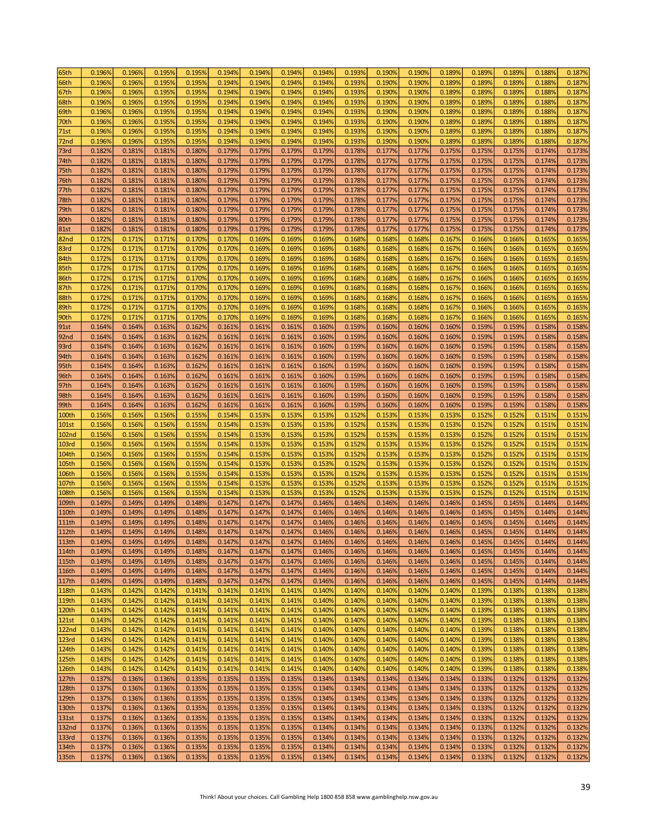| 65th              | 0.196% | 0.196% | 0.195% | 0.195% | 0.194% | 0.194% | 0.194%           | 0.194% | 0.193% | 0.190% | 0.190% | 0.1899 | 0.1899 | 0.1899 | 0.188% | 0.187% |
|-------------------|--------|--------|--------|--------|--------|--------|------------------|--------|--------|--------|--------|--------|--------|--------|--------|--------|
| 66th              | 0.196% | 0.196% | 0.195% | 0.195% | 0.194% | 0.194% | 0.194%           | 0.194% | 0.193% | 0.190% | 0.190% | 0.189% | 0.189% | 0.1899 | 0.188% | 0.187% |
| 67th              | 0.196% | 0.196% | 0.195% | 0.195% | 0.194% | 0.194% | 0.194%           | 0.194% | 0.193% | 0.190% | 0.190% | 0.189% | 0.189% | 0.189% | 0.188% | 0.187% |
|                   |        |        |        |        |        |        |                  |        |        |        |        |        |        |        |        |        |
| 68th              | 0.196% | 0.196% | 0.195% | 0.195% | 0.194% | 0.194% | 0.194%           | 0.194% | 0.193% | 0.190% | 0.190% | 0.1899 | 0.189% | 0.1899 | 0.188% | 0.187% |
| 69th              | 0.196% | 0.196% | 0.195% | 0.195% | 0.194% | 0.194% | 0.194%           | 0.194% | 0.193% | 0.190% | 0.190% | 0.189% | 0.189% | 0.189% | 0.188% | 0.187% |
| 70th              | 0.196% | 0.196% | 0.195% | 0.195% | 0.194% | 0.194% | 0.194%           | 0.194% | 0.193% | 0.190% | 0.190% | 0.189% | 0.189% | 0.189% | 0.188% | 0.187% |
| 71st              | 0.196% | 0.196% | 0.195% | 0.195% | 0.194% | 0.194% | 0.194%           | 0.194% | 0.193% | 0.190% | 0.190% | 0.189% | 0.189% | 0.189% | 0.188% | 0.187% |
| 72nd              | 0.196% | 0.196% | 0.195% | 0.195% | 0.194% | 0.194% | 0.194%           | 0.194% | 0.193% | 0.190% | 0.190% | 0.189% | 0.189% | 0.189% | 0.188% | 0.187% |
| 73rd              | 0.182% | 0.181% | 0.181% | 0.180% | 0.179% | 0.179% | 0.179%           | 0.179% | 0.178% | 0.177% | 0.177% | 0.175% | 0.175% | 0.175% | 0.174% | 0.173% |
| 74th              | 0.182% | 0.181% | 0.181% | 0.180% | 0.179% | 0.179% | 0.179%           | 0.179% | 0.178% | 0.177% | 0.177% | 0.175% | 0.175% | 0.175% | 0.174% | 0.173% |
| 75th              | 0.182% | 0.181% | 0.181% | 0.180% | 0.179% | 0.179% | 0.179%           | 0.179% | 0.178% | 0.177% | 0.177% | 0.175% | 0.175% | 0.175% | 0.174% | 0.173% |
|                   |        |        |        |        |        |        |                  |        |        |        |        |        |        |        |        |        |
| 76th              | 0.182% | 0.181% | 0.181% | 0.180% | 0.179% | 0.179% | 0.179%           | 0.179% | 0.178% | 0.177% | 0.177% | 0.175% | 0.175% | 0.175% | 0.174% | 0.173% |
| 77th              | 0.182% | 0.181% | 0.181% | 0.180% | 0.179% | 0.179% | 0.179%           | 0.179% | 0.178% | 0.177% | 0.177% | 0.175% | 0.175% | 0.175% | 0.174% | 0.173% |
| 78th              | 0.182% | 0.181% | 0.181% | 0.180% | 0.179% | 0.179% | 0.179%           | 0.179% | 0.178% | 0.177% | 0.177% | 0.175% | 0.175% | 0.175% | 0.174% | 0.173% |
| 79th              | 0.182% | 0.181% | 0.181% | 0.180% | 0.179% | 0.179% | 0.179%           | 0.179% | 0.178% | 0.177% | 0.177% | 0.175% | 0.175% | 0.175% | 0.174% | 0.173% |
| 80th              | 0.182% | 0.181% | 0.181% | 0.180% | 0.179% | 0.179% | 0.179%           | 0.179% | 0.178% | 0.177% | 0.177% | 0.175% | 0.175% | 0.175% | 0.174% | 0.173% |
| <b>81st</b>       | 0.182% | 0.181% | 0.181% | 0.180% | 0.179% | 0.179% | 0.179%           | 0.179% | 0.178% | 0.177% | 0.177% | 0.175% | 0.175% | 0.175% | 0.174% | 0.173% |
| 82nd              | 0.172% | 0.171% | 0.171% | 0.170% | 0.170% | 0.169% | 0.169%           | 0.169% | 0.168% | 0.168% | 0.168% | 0.167% | 0.166% | 0.166% | 0.165% | 0.165% |
| 83rd              | 0.172% | 0.171% | 0.171% | 0.170% | 0.170% | 0.169% | 0.169%           | 0.169% | 0.168% | 0.168% | 0.168% | 0.167% | 0.166% | 0.166% | 0.165% | 0.165% |
| 84th              | 0.172% | 0.171% | 0.171% | 0.170% | 0.170% | 0.169% | 0.169%           | 0.169% | 0.168% | 0.168% | 0.168% | 0.167% | 0.166% | 0.166% | 0.165% | 0.165% |
| 85th              | 0.172% | 0.171% | 0.171% | 0.170% | 0.170% | 0.169% | 0.169%           | 0.169% | 0.168% | 0.168% | 0.168% | 0.167% | 0.166% | 0.166% | 0.165% | 0.165% |
|                   |        |        |        |        |        |        |                  |        |        |        |        |        |        |        |        |        |
| 86th              | 0.172% | 0.171% | 0.171% | 0.170% | 0.170% | 0.169% | 0.169%           | 0.169% | 0.168% | 0.168% | 0.168% | 0.167% | 0.166% | 0.166% | 0.165% | 0.165% |
| 87th              | 0.172% | 0.171% | 0.171% | 0.170% | 0.170% | 0.169% | 0.169%           | 0.169% | 0.168% | 0.168% | 0.168% | 0.167% | 0.166% | 0.166% | 0.165% | 0.165% |
| 88th              | 0.172% | 0.171% | 0.171% | 0.170% | 0.170% | 0.169% | 0.169%           | 0.169% | 0.168% | 0.168% | 0.168% | 0.167% | 0.166% | 0.166% | 0.165% | 0.165% |
| 89th              | 0.172% | 0.171% | 0.171% | 0.170% | 0.170% | 0.169% | 0.169%           | 0.169% | 0.168% | 0.168% | 0.168% | 0.167% | 0.166% | 0.166% | 0.165% | 0.165% |
| 90th              | 0.172% | 0.171% | 0.171% | 0.170% | 0.170% | 0.169% | 0.169%           | 0.169% | 0.168% | 0.168% | 0.168% | 0.167% | 0.166% | 0.1669 | 0.165% | 0.165% |
| 91st              | 0.164% | 0.164% | 0.163% | 0.162% | 0.161% | 0.161% | 0.161%           | 0.160% | 0.159% | 0.160% | 0.160% | 0.160% | 0.159% | 0.159% | 0.158% | 0.158% |
| 92 <sub>nd</sub>  | 0.164% | 0.164% | 0.163% | 0.162% | 0.161% | 0.161% | 0.161%           | 0.160% | 0.159% | 0.160% | 0.160% | 0.160% | 0.159% | 0.159% | 0.158% | 0.158% |
| 93rd              | 0.164% | 0.164% | 0.163% | 0.162% | 0.161% | 0.161% | 0.161%           | 0.160% | 0.159% | 0.160% | 0.160% | 0.160% | 0.159% | 0.159% | 0.158% | 0.158% |
| 94th              | 0.164% | 0.164% | 0.163% | 0.162% | 0.161% | 0.161% | 0.161%           | 0.160% | 0.159% | 0.160% | 0.160% | 0.160% | 0.159% | 0.159% | 0.158% | 0.158% |
| 95th              | 0.164% | 0.164% | 0.163% | 0.162% | 0.161% | 0.161% | 0.161%           | 0.160% | 0.159% | 0.160% | 0.160% | 0.160% | 0.159% | 0.159% | 0.158% | 0.158% |
| 96th              | 0.164% | 0.164% | 0.163% | 0.162% | 0.161% | 0.161% | 0.161%           | 0.160% | 0.159% | 0.160% | 0.160% | 0.160% | 0.159% | 0.159% | 0.158% | 0.158% |
| 97th              | 0.164% | 0.164% | 0.163% | 0.162% | 0.161% | 0.161% | 0.161%           | 0.160% | 0.159% | 0.160% | 0.160% | 0.160% | 0.159% | 0.159% | 0.158% | 0.158% |
| 98th              | 0.164% | 0.164% | 0.163% | 0.162% | 0.161% | 0.161% | 0.161%           | 0.160% | 0.159% | 0.160% | 0.160% | 0.160% | 0.159% | 0.159% | 0.158% | 0.158% |
| 99th              | 0.164% | 0.164% | 0.163% | 0.162% | 0.161% | 0.161% | 0.161%           | 0.160% | 0.159% | 0.160% | 0.160% | 0.160% | 0.159% | 0.159% | 0.158% | 0.158% |
| 100th             | 0.156% | 0.156% | 0.156% | 0.155% | 0.154% | 0.153% | 0.153%           | 0.153% | 0.152% | 0.153% | 0.153% | 0.153% | 0.152% | 0.152% | 0.151% | 0.151% |
|                   |        |        |        | 0.155% |        |        |                  | 0.153% |        |        |        |        |        |        |        | 0.151% |
| <b>101st</b>      | 0.156% | 0.156% | 0.156% |        | 0.154% | 0.153% | 0.153%           |        | 0.152% | 0.153% | 0.153% | 0.153% | 0.152% | 0.152% | 0.151% |        |
| <b>102nd</b>      | 0.156% | 0.156% | 0.156% | 0.155% | 0.154% | 0.153% | 0.153%           | 0.153% | 0.152% | 0.153% | 0.153% | 0.153% | 0.152% | 0.1529 | 0.151% | 0.151% |
| <b>103rd</b>      | 0.156% | 0.156% | 0.156% | 0.155% | 0.154% | 0.153% | 0.153%           | 0.153% | 0.152% | 0.153% | 0.153% | 0.1539 | 0.152% | 0.1529 | 0.151% | 0.151% |
| 104th             | 0.156% | 0.156% | 0.156% | 0.155% | 0.154% | 0.153% | 0.153%           | 0.153% | 0.152% | 0.153% | 0.153% | 0.153% | 0.152% | 0.1529 | 0.151% | 0.151% |
| 105th             | 0.156% | 0.156% | 0.156% | 0.155% | 0.154% | 0.153% | 0.153%           | 0.153% | 0.152% | 0.153% | 0.153% | 0.153% | 0.152% | 0.152% | 0.151% | 0.151% |
| 106th             | 0.156% | 0.156% | 0.156% | 0.155% | 0.154% | 0.153% | 0.153%           | 0.153% | 0.152% | 0.153% | 0.153% | 0.153% | 0.152% | 0.152% | 0.151% | 0.151% |
| 107th             | 0.156% | 0.156% | 0.156% | 0.155% | 0.154% | 0.153% | 0.153%           | 0.153% | 0.152% | 0.153% | 0.153% | 0.153% | 0.152% | 0.152% | 0.151% | 0.151% |
| 108th             | 0.156% | 0.156% | 0.156% | 0.155% | 0.154% | 0.153% | 0.153%           | 0.153% | 0.152% | 0.153% | 0.153% | 0.153% | 0.152% | 0.152% | 0.151% | 0.151% |
| 109th             | 0.149% | 0.149% | 0.149% | 0.148% | 0.147% | 0.147% | 0.147%           | 0.146% | 0.146% | 0.146% | 0.146% | 0.146% | 0.145% | 0.145% | 0.144% | 0.144% |
| 110th             | 0.149% | 0.149% | 0.149% | 0.148% | 0.147% | 0.147% | 0.147%           | 0.146% | 0.146% | 0.146% | 0.146% | 0.146% | 0.145% | 0.145% | 0.144% | 0.144% |
| <b>111th</b>      | 0.149% | 0.149% | 0.149% | 0.148% | 0.147% | 0.147% | 0.147%           | 0.146% | 0.146% | 0.146% | 0.146% | 0.146% | 0.145% | 0.145% | 0.144% | 0.144% |
| 112th             | 0.149% | 0.149% | 0.149% | 0.148% | 0.147% | 0.147% | 0.147%           | 0.146% | 0.146% | 0.146% | 0.146% | 0.146% | 0.145% | 0.145% | 0.144% | 0.144% |
| 113th             | 0.149% | 0.149% | 0.149% | 0.148% | 0.147% | 0.147% | 0.147%           | 0.146% | 0.146% | 0.146% | 0.146% | 0.146% | 0.145% | 0.145% | 0.144% | 0.144% |
| 114th             | 0.149% |        | 0.149% | 0.148% |        |        |                  | 0.146% |        |        | 0.146% |        |        | 0.145% | 0.144% | 0.144% |
|                   |        | 0.149% |        |        | 0.147% | 0.147% | 0.147%<br>0.147% |        | 0.146% | 0.146% |        | 0.146% | 0.145% |        |        |        |
| 115th             | 0.149% | 0.149% | 0.149% | 0.148% | 0.147% | 0.147% |                  | 0.146% | 0.146% | 0.146% | 0.146% | 0.146% | 0.145% | 0.145% | 0.144% | 0.144% |
| 116th             | 0.149% | 0.149% | 0.149% | 0.148% | 0.147% | 0.147% | 0.147%           | 0.146% | 0.146% | 0.146% | 0.146% | 0.146% | 0.145% | 0.145% | 0.144% | 0.144% |
| 117th             | 0.149% | 0.149% | 0.149% | 0.148% | 0.147% | 0.147% | 0.147%           | 0.146% | 0.146% | 0.146% | 0.146% | 0.146% | 0.145% | 0.145% | 0.144% | 0.144% |
| 118th             | 0.143% | 0.142% | 0.142% | 0.141% | 0.141% | 0.141% | 0.141%           | 0.140% | 0.140% | 0.140% | 0.140% | 0.140% | 0.139% | 0.138% | 0.138% | 0.138% |
| 119th             | 0.143% | 0.142% | 0.142% | 0.141% | 0.141% | 0.141% | 0.141%           | 0.140% | 0.140% | 0.140% | 0.140% | 0.140% | 0.139% | 0.138% | 0.138% | 0.138% |
| 120th             | 0.143% | 0.142% | 0.142% | 0.141% | 0.141% | 0.141% | 0.141%           | 0.140% | 0.140% | 0.140% | 0.140% | 0.140% | 0.139% | 0.138% | 0.138% | 0.138% |
| 121st             | 0.143% | 0.142% | 0.142% | 0.141% | 0.141% | 0.141% | 0.141%           | 0.140% | 0.140% | 0.140% | 0.140% | 0.140% | 0.139% | 0.138% | 0.138% | 0.138% |
| 122 <sub>nd</sub> | 0.143% | 0.142% | 0.142% | 0.141% | 0.141% | 0.141% | 0.141%           | 0.140% | 0.140% | 0.140% | 0.140% | 0.140% | 0.139% | 0.138% | 0.138% | 0.138% |
| 123rd             | 0.143% | 0.142% | 0.142% | 0.141% | 0.141% | 0.141% | 0.141%           | 0.140% | 0.140% | 0.140% | 0.140% | 0.140% | 0.139% | 0.138% | 0.138% | 0.138% |
| 124th             | 0.143% | 0.142% | 0.142% | 0.141% | 0.141% | 0.141% | 0.141%           | 0.140% | 0.140% | 0.140% | 0.140% | 0.140% | 0.139% | 0.138% | 0.138% | 0.138% |
| 125th             | 0.143% | 0.142% | 0.142% | 0.141% | 0.141% | 0.141% | 0.141%           | 0.140% | 0.140% | 0.140% | 0.140% | 0.140% | 0.139% | 0.138% | 0.138% | 0.138% |
| 126th             | 0.143% | 0.142% | 0.142% | 0.141% | 0.141% | 0.141% | 0.141%           | 0.140% | 0.140% | 0.140% | 0.140% | 0.140% | 0.139% | 0.138% | 0.138% | 0.138% |
| 127th             | 0.137% | 0.136% | 0.136% | 0.135% | 0.135% | 0.135% | 0.135%           | 0.134% | 0.134% | 0.134% | 0.134% | 0.134% | 0.133% | 0.132% | 0.132% | 0.132% |
| 128th             | 0.137% | 0.136% | 0.136% | 0.135% | 0.135% | 0.135% | 0.135%           | 0.134% | 0.134% | 0.134% | 0.134% | 0.134% | 0.133% | 0.132% | 0.132% | 0.132% |
| 129th             | 0.137% | 0.136% | 0.136% | 0.135% | 0.135% | 0.135% | 0.135%           | 0.134% | 0.134% | 0.134% | 0.134% | 0.134% | 0.133% | 0.132% | 0.132% | 0.132% |
| 130th             | 0.137% | 0.136% | 0.136% | 0.135% | 0.135% | 0.135% | 0.135%           | 0.134% | 0.134% | 0.134% | 0.134% | 0.134% | 0.133% | 0.132% | 0.132% | 0.132% |
|                   |        |        |        |        |        |        |                  |        |        |        |        |        |        |        |        |        |
| 131st             | 0.137% | 0.136% | 0.136% | 0.135% | 0.135% | 0.135% | 0.135%           | 0.134% | 0.134% | 0.134% | 0.134% | 0.134% | 0.133% | 0.132% | 0.132% | 0.132% |
| 132 <sub>nd</sub> | 0.137% | 0.136% | 0.136% | 0.135% | 0.135% | 0.135% | 0.135%           | 0.134% | 0.134% | 0.134% | 0.134% | 0.134% | 0.133% | 0.132% | 0.132% | 0.132% |
| 133rd             | 0.137% | 0.136% | 0.136% | 0.135% | 0.135% | 0.135% | 0.135%           | 0.134% | 0.134% | 0.134% | 0.134% | 0.134% | 0.133% | 0.132% | 0.132% | 0.132% |
| 134th             | 0.137% | 0.136% | 0.136% | 0.135% | 0.135% | 0.135% | 0.135%           | 0.134% | 0.134% | 0.134% | 0.134% | 0.134% | 0.133% | 0.132% | 0.132% | 0.132% |
| 135th             | 0.137% | 0.136% | 0.136% | 0.135% | 0.135% | 0.135% | 0.135%           | 0.134% | 0.134% | 0.134% | 0.134% | 0.134% | 0.133% | 0.132% | 0.132% | 0.132% |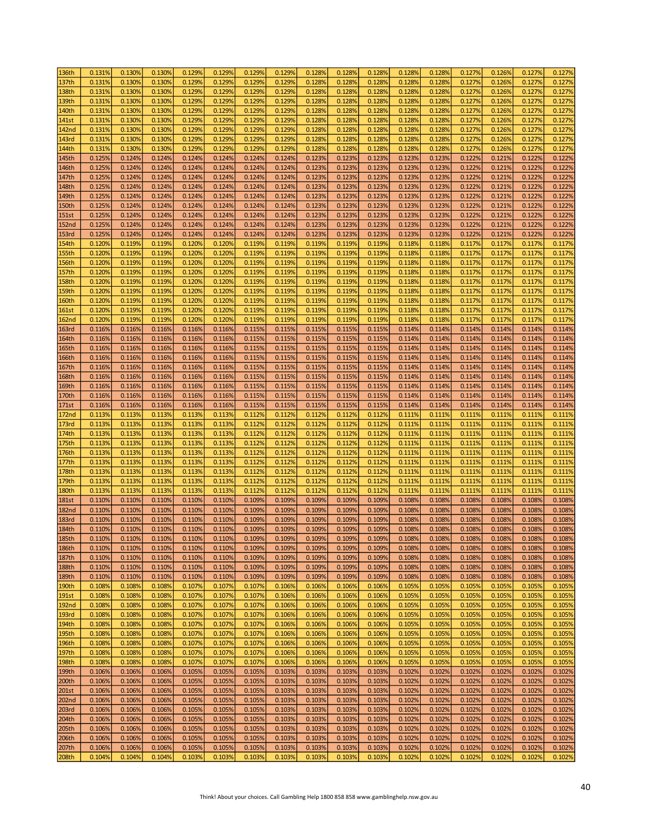| 136th        | 0.131% | 0.130% | 0.130% | 0.129% | 0.129% | 0.129% | 0.129% | 0.128% | 0.128% | 0.128% | 0.128% | 0.128% | 0.127% | 0.126% | 0.127% | 0.127% |
|--------------|--------|--------|--------|--------|--------|--------|--------|--------|--------|--------|--------|--------|--------|--------|--------|--------|
| 137th        | 0.131% | 0.130% | 0.130% | 0.129% | 0.129% | 0.129% | 0.129% | 0.128% | 0.128% | 0.128% | 0.1289 | 0.128% | 0.127% | 0.126% | 0.127% | 0.127% |
| 138th        | 0.131% | 0.130% | 0.130% | 0.129% | 0.129% | 0.129% | 0.129% | 0.128% | 0.128% | 0.128% | 0.128% | 0.128% | 0.127% | 0.126% | 0.127% | 0.127% |
| 139th        | 0.131% | 0.130% | 0.130% | 0.129% | 0.129% | 0.129% | 0.129% | 0.128% | 0.128% | 0.128% | 0.128% | 0.1289 | 0.127% | 0.126% | 0.127% | 0.127% |
|              |        |        |        |        |        |        |        |        |        |        |        |        |        |        |        |        |
| 140th        | 0.131% | 0.130% | 0.130% | 0.129% | 0.1299 | 0.129% | 0.1299 | 0.128% | 0.128% | 0.128% | 0.1289 | 0.1289 | 0.127% | 0.126% | 0.127% | 0.127% |
| 141st        | 0.131% | 0.130% | 0.130% | 0.129% | 0.1299 | 0.129% | 0.129% | 0.128% | 0.128% | 0.128% | 0.1289 | 0.1289 | 0.127% | 0.126% | 0.127% | 0.127% |
| <b>142nd</b> | 0.131% | 0.130% | 0.130% | 0.129% | 0.1299 | 0.129% | 0.129% | 0.128% | 0.128% | 0.128% | 0.1289 | 0.1289 | 0.127% | 0.126% | 0.127% | 0.127% |
| 143rd        | 0.131% | 0.130% | 0.130% | 0.129% | 0.1299 | 0.129% | 0.129% | 0.128% | 0.128% | 0.128% | 0.1289 | 0.1289 | 0.127% | 0.126% | 0.127% | 0.127% |
| 144th        | 0.131% | 0.130% | 0.130% | 0.129% | 0.1299 | 0.129% | 0.129% | 0.128% | 0.128% | 0.128% | 0.1289 | 0.1289 | 0.127% | 0.126% | 0.127% | 0.127% |
| 145th        | 0.125% | 0.124% | 0.124% | 0.124% | 0.124% | 0.124% | 0.124% | 0.123% | 0.123% | 0.123% | 0.123% | 0.123% | 0.122% | 0.121% | 0.122% | 0.122% |
| 146th        | 0.125% | 0.124% | 0.124% | 0.124% | 0.124% | 0.124% | 0.124% | 0.123% | 0.123% | 0.123% | 0.123% | 0.123% | 0.122% | 0.121% | 0.122% | 0.122% |
| 147th        | 0.125% | 0.124% | 0.124% | 0.124% | 0.124% | 0.124% | 0.124% | 0.123% | 0.123% | 0.123% | 0.123% | 0.1239 | 0.122% | 0.121% | 0.122% | 0.122% |
| 148th        | 0.125% | 0.124% | 0.124% | 0.124% | 0.124% | 0.124% | 0.124% | 0.123% | 0.123% | 0.123% | 0.123% | 0.1239 | 0.122% | 0.121% | 0.122% | 0.122% |
| 149th        | 0.125% | 0.124% | 0.124% | 0.124% | 0.124% | 0.124% | 0.124% | 0.123% | 0.123% | 0.123% | 0.123% | 0.123% | 0.122% | 0.121% | 0.122% | 0.122% |
|              | 0.125% |        |        | 0.124% |        | 0.124% |        | 0.123% |        | 0.123% |        |        | 0.122% | 0.121% |        | 0.122% |
| 150th        |        | 0.124% | 0.124% |        | 0.124% |        | 0.124% |        | 0.123% |        | 0.123% | 0.123% |        |        | 0.122% |        |
| <b>151st</b> | 0.125% | 0.124% | 0.124% | 0.124% | 0.124% | 0.124% | 0.124% | 0.123% | 0.123% | 0.123% | 0.123% | 0.123% | 0.122% | 0.121% | 0.122% | 0.122% |
| <b>152nd</b> | 0.125% | 0.124% | 0.124% | 0.124% | 0.124% | 0.124% | 0.124% | 0.123% | 0.123% | 0.123% | 0.123% | 0.1239 | 0.122% | 0.121% | 0.122% | 0.122% |
| <b>153rd</b> | 0.125% | 0.124% | 0.124% | 0.124% | 0.124% | 0.124% | 0.124% | 0.123% | 0.123% | 0.123% | 0.123% | 0.123% | 0.122% | 0.121% | 0.122% | 0.122% |
| 154th        | 0.120% | 0.119% | 0.119% | 0.120% | 0.120% | 0.119% | 0.119% | 0.119% | 0.119% | 0.119% | 0.118% | 0.1189 | 0.117% | 0.117% | 0.117% | 0.117% |
| <b>155th</b> | 0.120% | 0.119% | 0.119% | 0.120% | 0.120% | 0.119% | 0.119% | 0.119% | 0.119% | 0.119% | 0.118% | 0.1189 | 0.117% | 0.117% | 0.117% | 0.117% |
| 156th        | 0.120% | 0.119% | 0.119% | 0.120% | 0.120% | 0.119% | 0.119% | 0.119% | 0.119% | 0.119% | 0.118% | 0.1189 | 0.117% | 0.117% | 0.117% | 0.117% |
| 157th        | 0.120% | 0.119% | 0.119% | 0.120% | 0.120% | 0.119% | 0.119% | 0.119% | 0.119% | 0.119% | 0.118% | 0.1189 | 0.117% | 0.117% | 0.117% | 0.117% |
| <b>158th</b> | 0.120% | 0.119% | 0.119% | 0.120% | 0.120% | 0.119% | 0.119% | 0.119% | 0.119% | 0.119% | 0.118% | 0.1189 | 0.117% | 0.117% | 0.117% | 0.117% |
| <b>159th</b> | 0.120% | 0.119% | 0.119% | 0.120% | 0.120% | 0.119% | 0.119% | 0.119% | 0.119% | 0.119% | 0.118% | 0.1189 | 0.117% | 0.117% | 0.117% | 0.117% |
| <b>160th</b> | 0.120% | 0.119% | 0.119% | 0.120% | 0.120% | 0.119% | 0.119% | 0.119% | 0.119% | 0.119% | 0.118% | 0.1189 | 0.117% | 0.117% | 0.117% | 0.117% |
| <b>161st</b> | 0.120% | 0.119% | 0.119% | 0.120% | 0.120% | 0.119% | 0.119% | 0.119% | 0.119% | 0.119% | 0.118% | 0.1189 | 0.117% | 0.117% | 0.117% | 0.117% |
| <b>162nd</b> | 0.120% | 0.119% | 0.119% | 0.120% | 0.120% | 0.119% | 0.119% | 0.119% | 0.119% | 0.119% | 0.118% | 0.118% | 0.117% | 0.117% | 0.117% | 0.117% |
| <b>163rd</b> | 0.116% | 0.116% | 0.116% | 0.116% | 0.116% | 0.115% | 0.115% | 0.115% | 0.115% | 0.115% | 0.114% | 0.114% | 0.114% | 0.114% | 0.114% | 0.114% |
| 164th        | 0.116% | 0.116% | 0.116% | 0.116% | 0.116% | 0.115% | 0.115% | 0.115% | 0.115% | 0.115% | 0.114% | 0.114% | 0.114% | 0.114% | 0.114% | 0.114% |
|              |        |        |        |        |        |        |        |        |        |        |        |        |        |        |        |        |
| 165th        | 0.116% | 0.116% | 0.116% | 0.116% | 0.116% | 0.115% | 0.115% | 0.115% | 0.115% | 0.115% | 0.114% | 0.114% | 0.114% | 0.114% | 0.114% | 0.114% |
| 166th        | 0.116% | 0.116% | 0.116% | 0.116% | 0.116% | 0.115% | 0.115% | 0.115% | 0.115% | 0.115% | 0.114% | 0.114% | 0.114% | 0.114% | 0.114% | 0.114% |
| 167th        | 0.116% | 0.116% | 0.116% | 0.116% | 0.116% | 0.115% | 0.115% | 0.115% | 0.115% | 0.115% | 0.114% | 0.114% | 0.114% | 0.114% | 0.114% | 0.114% |
| 168th        | 0.116% | 0.116% | 0.116% | 0.116% | 0.116% | 0.115% | 0.115% | 0.115% | 0.115% | 0.115% | 0.114% | 0.114% | 0.114% | 0.114% | 0.114% | 0.114% |
| 169th        | 0.116% | 0.116% | 0.116% | 0.116% | 0.116% | 0.115% | 0.115% | 0.115% | 0.115% | 0.115% | 0.114% | 0.114% | 0.114% | 0.114% | 0.114% | 0.114% |
| 170th        | 0.116% | 0.116% | 0.116% | 0.116% | 0.116% | 0.115% | 0.115% | 0.115% | 0.115% | 0.115% | 0.114% | 0.114% | 0.114% | 0.114% | 0.114% | 0.114% |
| 171st        | 0.116% | 0.116% | 0.116% | 0.116% | 0.116% | 0.115% | 0.115% | 0.115% | 0.115% | 0.115% | 0.114% | 0.114% | 0.114% | 0.114% | 0.114% | 0.114% |
| <b>172nd</b> | 0.113% | 0.113% | 0.113% | 0.113% | 0.113% | 0.112% | 0.112% | 0.112% | 0.112% | 0.112% | 0.111% | 0.111% | 0.111% | 0.111% | 0.111% | 0.111% |
| 173rd        | 0.113% | 0.113% | 0.113% | 0.113% | 0.113% | 0.112% | 0.112% | 0.112% | 0.112% | 0.112% | 0.111% | 0.111% | 0.111% | 0.111% | 0.111% | 0.111% |
| 174th        | 0.113% | 0.113% | 0.113% | 0.113% | 0.113% | 0.112% | 0.112% | 0.112% | 0.112% | 0.112% | 0.111% | 0.111% | 0.111% | 0.111% | 0.111% | 0.111% |
| 175th        | 0.113% | 0.113% | 0.113% | 0.113% | 0.113% | 0.112% | 0.112% | 0.112% | 0.112% | 0.112% | 0.111% | 0.111% | 0.111% | 0.111% | 0.111% | 0.111% |
| 176th        | 0.113% | 0.113% | 0.113% | 0.113% | 0.113% | 0.112% | 0.112% | 0.112% | 0.112% | 0.112% | 0.111% | 0.111% | 0.111% | 0.111% | 0.111% | 0.111% |
| 177th        | 0.113% | 0.113% | 0.113% | 0.113% | 0.113% | 0.112% | 0.112% | 0.112% | 0.112% | 0.112% | 0.111% | 0.111% | 0.111% | 0.111% | 0.111% | 0.111% |
| 178th        | 0.113% | 0.113% | 0.113% | 0.113% | 0.113% | 0.112% | 0.112% | 0.112% | 0.112% | 0.112% | 0.111% | 0.111% | 0.111% | 0.111% | 0.111% | 0.111% |
| 179th        | 0.113% | 0.113% | 0.113% | 0.113% | 0.113% | 0.112% | 0.112% | 0.112% | 0.112% | 0.112% | 0.111% | 0.111% | 0.111% | 0.111% | 0.111% | 0.111% |
| <b>180th</b> | 0.113% |        | 0.113% | 0.113% | 0.113% | 0.112% | 0.112% | 0.112% | 0.112% | 0.112% | 0.111% | 0.111% | 0.111% | 0.111% | 0.111% | 0.111% |
|              |        | 0.113% |        |        |        |        |        |        |        |        |        |        |        |        |        |        |
| <b>181st</b> | 0.110% | 0.110% | 0.110% | 0.110% | 0.110% | 0.109% | 0.109% | 0.109% | 0.109% | 0.109% | 0.108% | 0.108% | 0.108% | 0.108% | 0.108% | 0.108% |
| <b>182nd</b> | 0.110% | 0.110% | 0.110% | 0.110% | 0.110% | 0.109% | 0.109% | 0.109% | 0.109% | 0.109% | 0.108% | 0.108% | 0.108% | 0.108% | 0.108% | 0.108% |
| <b>183rd</b> | 0.110% | 0.110% | 0.110% | 0.110% | 0.110% | 0.109% | 0.109% | 0.109% | 0.109% | 0.109% | 0.108% | 0.108% | 0.108% | 0.108% | 0.108% | 0.108% |
| 184th        | 0.110% | 0.110% | 0.110% | 0.110% | 0.110% | 0.109% | 0.109% | 0.109% | 0.109% | 0.109% | 0.108% | 0.108% | 0.108% | 0.108% | 0.108% | 0.108% |
| 185th        | 0.110% | 0.110% | 0.110% | 0.110% | 0.110% | 0.109% | 0.109% | 0.109% | 0.109% | 0.109% | 0.108% | 0.108% | 0.108% | 0.108% | 0.108% | 0.108% |
| 186th        | 0.110% | 0.110% | 0.110% | 0.110% | 0.110% | 0.109% | 0.109% | 0.109% | 0.109% | 0.109% | 0.108% | 0.108% | 0.108% | 0.108% | 0.108% | 0.108% |
| 187th        | 0.110% | 0.110% | 0.110% | 0.110% | 0.110% | 0.109% | 0.109% | 0.109% | 0.109% | 0.109% | 0.108% | 0.108% | 0.108% | 0.108% | 0.108% | 0.108% |
| 188th        | 0.110% | 0.110% | 0.110% | 0.110% | 0.110% | 0.109% | 0.109% | 0.109% | 0.109% | 0.109% | 0.108% | 0.108% | 0.108% | 0.108% | 0.108% | 0.108% |
| 189th        | 0.110% | 0.110% | 0.110% | 0.110% | 0.110% | 0.109% | 0.109% | 0.109% | 0.109% | 0.109% | 0.108% | 0.108% | 0.108% | 0.108% | 0.108% | 0.108% |
| 190th        | 0.108% | 0.108% | 0.108% | 0.107% | 0.107% | 0.107% | 0.106% | 0.106% | 0.106% | 0.106% | 0.105% | 0.105% | 0.105% | 0.105% | 0.105% | 0.105% |
| 191st        | 0.108% | 0.108% | 0.108% | 0.107% | 0.107% | 0.107% | 0.106% | 0.106% | 0.106% | 0.106% | 0.105% | 0.105% | 0.105% | 0.105% | 0.105% | 0.105% |
| <b>192nd</b> | 0.108% | 0.108% | 0.108% | 0.107% | 0.107% | 0.107% | 0.106% | 0.106% | 0.106% | 0.106% | 0.105% | 0.105% | 0.105% | 0.105% | 0.105% | 0.105% |
| <b>193rd</b> | 0.108% | 0.108% | 0.108% | 0.107% | 0.107% | 0.107% | 0.106% | 0.106% | 0.106% | 0.106% | 0.105% | 0.105% | 0.105% | 0.105% | 0.105% | 0.105% |
| 194th        | 0.108% | 0.108% | 0.108% | 0.107% | 0.107% | 0.107% | 0.106% | 0.106% | 0.106% | 0.106% | 0.105% | 0.105% | 0.105% | 0.105% | 0.105% | 0.105% |
| 195th        | 0.108% | 0.108% | 0.108% | 0.107% | 0.107% | 0.107% | 0.106% | 0.106% | 0.106% | 0.106% | 0.105% | 0.105% | 0.105% | 0.105% | 0.105% | 0.105% |
| 196th        | 0.108% | 0.108% | 0.108% | 0.107% | 0.107% | 0.107% | 0.106% | 0.106% | 0.106% | 0.106% | 0.105% | 0.105% | 0.105% | 0.105% | 0.105% | 0.105% |
|              |        |        |        |        |        |        |        |        |        |        |        |        |        |        |        |        |
| 197th        | 0.108% | 0.108% | 0.108% | 0.107% | 0.107% | 0.107% | 0.106% | 0.106% | 0.106% | 0.106% | 0.105% | 0.105% | 0.105% | 0.105% | 0.105% | 0.105% |
| 198th        | 0.108% | 0.108% | 0.108% | 0.107% | 0.107% | 0.107% | 0.106% | 0.106% | 0.106% | 0.106% | 0.105% | 0.105% | 0.105% | 0.105% | 0.105% | 0.105% |
| 199th        | 0.106% | 0.106% | 0.106% | 0.105% | 0.105% | 0.105% | 0.103% | 0.103% | 0.103% | 0.103% | 0.102% | 0.102% | 0.102% | 0.102% | 0.102% | 0.102% |
| 200th        | 0.106% | 0.106% | 0.106% | 0.105% | 0.105% | 0.105% | 0.103% | 0.103% | 0.103% | 0.103% | 0.102% | 0.102% | 0.102% | 0.102% | 0.102% | 0.102% |
| 201st        | 0.106% | 0.106% | 0.106% | 0.105% | 0.105% | 0.105% | 0.103% | 0.103% | 0.103% | 0.103% | 0.102% | 0.102% | 0.102% | 0.102% | 0.102% | 0.102% |
| 202nd        | 0.106% | 0.106% | 0.106% | 0.105% | 0.105% | 0.105% | 0.103% | 0.103% | 0.103% | 0.103% | 0.102% | 0.102% | 0.102% | 0.102% | 0.102% | 0.102% |
| 203rd        | 0.106% | 0.106% | 0.106% | 0.105% | 0.105% | 0.105% | 0.103% | 0.103% | 0.103% | 0.103% | 0.102% | 0.102% | 0.102% | 0.102% | 0.102% | 0.102% |
| 204th        | 0.106% | 0.106% | 0.106% | 0.105% | 0.105% | 0.105% | 0.103% | 0.103% | 0.103% | 0.103% | 0.102% | 0.102% | 0.102% | 0.102% | 0.102% | 0.102% |
| 205th        | 0.106% | 0.106% | 0.106% | 0.105% | 0.105% | 0.105% | 0.103% | 0.103% | 0.103% | 0.103% | 0.102% | 0.102% | 0.102% | 0.102% | 0.102% | 0.102% |
| 206th        | 0.106% | 0.106% | 0.106% | 0.105% | 0.105% | 0.105% | 0.103% | 0.103% | 0.103% | 0.103% | 0.102% | 0.102% | 0.102% | 0.102% | 0.102% | 0.102% |
| 207th        | 0.106% | 0.106% | 0.106% | 0.105% | 0.105% | 0.105% | 0.103% | 0.103% | 0.103% | 0.103% | 0.102% | 0.102% | 0.102% | 0.102% | 0.102% | 0.102% |
| 208th        | 0.104% | 0.104% | 0.104% | 0.103% | 0.103% | 0.103% | 0.103% | 0.103% | 0.103% | 0.103% | 0.102% | 0.102% | 0.102% | 0.102% | 0.102% | 0.102% |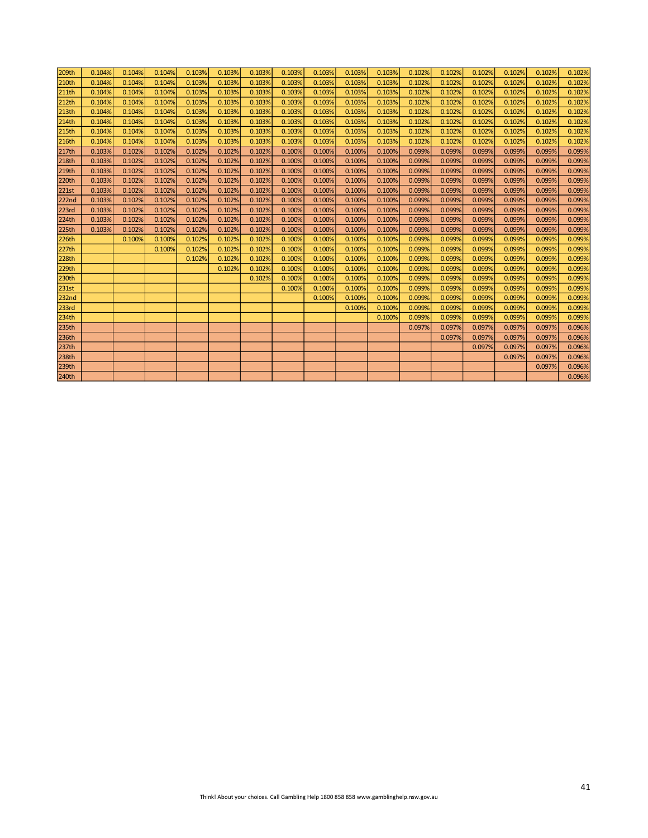| 209th | 0.104% | 0.104% | 0.104% | 0.103% | 0.103% | 0.103% | 0.103% | 0.103% | 0.103% | 0.103% | 0.102% | 0.102% | 0.102% | 0.102% | 0.102% | 0.102% |
|-------|--------|--------|--------|--------|--------|--------|--------|--------|--------|--------|--------|--------|--------|--------|--------|--------|
| 210th | 0.104% | 0.104% | 0.104% | 0.103% | 0.103% | 0.103% | 0.103% | 0.103% | 0.103% | 0.103% | 0.102% | 0.102% | 0.102% | 0.102% | 0.102% | 0.102% |
| 211th | 0.104% | 0.104% | 0.104% | 0.103% | 0.103% | 0.103% | 0.103% | 0.103% | 0.103% | 0.103% | 0.102% | 0.102% | 0.102% | 0.102% | 0.102% | 0.102% |
| 212th | 0.104% | 0.104% | 0.104% | 0.103% | 0.103% | 0.103% | 0.103% | 0.103% | 0.103% | 0.103% | 0.102% | 0.102% | 0.102% | 0.102% | 0.102% | 0.102% |
| 213th | 0.104% | 0.104% | 0.104% | 0.103% | 0.103% | 0.103% | 0.103% | 0.103% | 0.103% | 0.103% | 0.102% | 0.102% | 0.102% | 0.102% | 0.102% | 0.102% |
| 214th | 0.104% | 0.104% | 0.104% | 0.103% | 0.103% | 0.103% | 0.103% | 0.103% | 0.103% | 0.103% | 0.102% | 0.102% | 0.102% | 0.102% | 0.102% | 0.102% |
| 215th | 0.104% | 0.104% | 0.104% | 0.103% | 0.103% | 0.103% | 0.103% | 0.103% | 0.103% | 0.103% | 0.102% | 0.102% | 0.102% | 0.102% | 0.102% | 0.102% |
| 216th | 0.104% | 0.104% | 0.104% | 0.103% | 0.103% | 0.103% | 0.103% | 0.103% | 0.103% | 0.103% | 0.102% | 0.102% | 0.102% | 0.102% | 0.102% | 0.102% |
| 217th | 0.103% | 0.102% | 0.102% | 0.102% | 0.102% | 0.102% | 0.100% | 0.100% | 0.100% | 0.100% | 0.099% | 0.099% | 0.099% | 0.099% | 0.099% | 0.099% |
| 218th | 0.103% | 0.102% | 0.102% | 0.102% | 0.102% | 0.102% | 0.100% | 0.100% | 0.100% | 0.100% | 0.099% | 0.099% | 0.099% | 0.099% | 0.099% | 0.099% |
| 219th | 0.103% | 0.102% | 0.102% | 0.102% | 0.102% | 0.102% | 0.100% | 0.100% | 0.100% | 0.100% | 0.099% | 0.099% | 0.099% | 0.099% | 0.099% | 0.099% |
| 220th | 0.103% | 0.102% | 0.102% | 0.102% | 0.102% | 0.102% | 0.100% | 0.100% | 0.100% | 0.100% | 0.099% | 0.099% | 0.099% | 0.099% | 0.099% | 0.099% |
| 221st | 0.103% | 0.102% | 0.102% | 0.102% | 0.102% | 0.102% | 0.100% | 0.100% | 0.100% | 0.100% | 0.099% | 0.099% | 0.099% | 0.099% | 0.099% | 0.099% |
| 222nd | 0.103% | 0.102% | 0.102% | 0.102% | 0.102% | 0.102% | 0.100% | 0.100% | 0.100% | 0.100% | 0.099% | 0.099% | 0.099% | 0.099% | 0.099% | 0.099% |
| 223rd | 0.103% | 0.102% | 0.102% | 0.102% | 0.102% | 0.102% | 0.100% | 0.100% | 0.100% | 0.100% | 0.099% | 0.099% | 0.099% | 0.099% | 0.099% | 0.099% |
| 224th | 0.103% | 0.102% | 0.102% | 0.102% | 0.102% | 0.102% | 0.100% | 0.100% | 0.100% | 0.100% | 0.099% | 0.099% | 0.099% | 0.099% | 0.099% | 0.099% |
| 225th | 0.103% | 0.102% | 0.102% | 0.102% | 0.102% | 0.102% | 0.100% | 0.100% | 0.100% | 0.100% | 0.099% | 0.099% | 0.099% | 0.099% | 0.099% | 0.099% |
| 226th |        | 0.100% | 0.100% | 0.102% | 0.102% | 0.102% | 0.100% | 0.100% | 0.100% | 0.100% | 0.099% | 0.099% | 0.099% | 0.099% | 0.099% | 0.099% |
| 227th |        |        | 0.100% | 0.102% | 0.102% | 0.102% | 0.100% | 0.100% | 0.100% | 0.100% | 0.099% | 0.099% | 0.099% | 0.099% | 0.099% | 0.099% |
| 228th |        |        |        | 0.102% | 0.102% | 0.102% | 0.100% | 0.100% | 0.100% | 0.100% | 0.099% | 0.099% | 0.099% | 0.099% | 0.099% | 0.099% |
| 229th |        |        |        |        | 0.102% | 0.102% | 0.100% | 0.100% | 0.100% | 0.100% | 0.099% | 0.099% | 0.099% | 0.099% | 0.099% | 0.099% |
| 230th |        |        |        |        |        | 0.102% | 0.100% | 0.100% | 0.100% | 0.100% | 0.099% | 0.099% | 0.099% | 0.099% | 0.099% | 0.099% |
| 231st |        |        |        |        |        |        | 0.100% | 0.100% | 0.100% | 0.100% | 0.099% | 0.099% | 0.099% | 0.099% | 0.099% | 0.099% |
| 232nd |        |        |        |        |        |        |        | 0.100% | 0.100% | 0.100% | 0.099% | 0.099% | 0.099% | 0.099% | 0.099% | 0.099% |
| 233rd |        |        |        |        |        |        |        |        | 0.100% | 0.100% | 0.099% | 0.099% | 0.099% | 0.099% | 0.099% | 0.099% |
| 234th |        |        |        |        |        |        |        |        |        | 0.100% | 0.099% | 0.099% | 0.099% | 0.099% | 0.099% | 0.099% |
| 235th |        |        |        |        |        |        |        |        |        |        | 0.097% | 0.097% | 0.097% | 0.097% | 0.097% | 0.096% |
| 236th |        |        |        |        |        |        |        |        |        |        |        | 0.097% | 0.097% | 0.097% | 0.097% | 0.096% |
| 237th |        |        |        |        |        |        |        |        |        |        |        |        | 0.097% | 0.097% | 0.097% | 0.096% |
| 238th |        |        |        |        |        |        |        |        |        |        |        |        |        | 0.097% | 0.097% | 0.096% |
| 239th |        |        |        |        |        |        |        |        |        |        |        |        |        |        | 0.097% | 0.096% |
| 240th |        |        |        |        |        |        |        |        |        |        |        |        |        |        |        | 0.096% |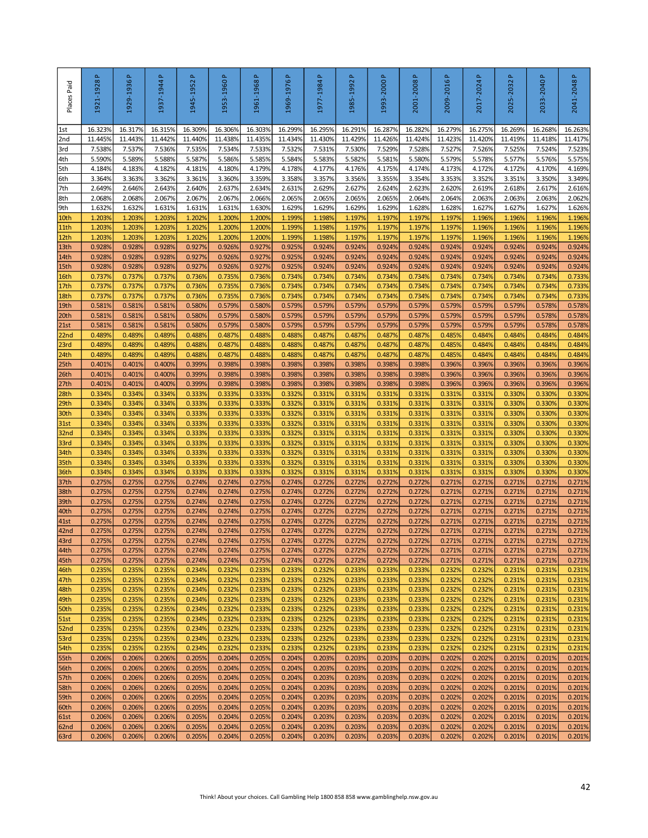| Places Paid              | $\Delta$<br>1921-1928 | 1929-1936 P       | Δ.<br>1937-1944   | Δ.<br>1945-1952   | <u>م</u><br>1953-1960 | $\Delta$<br>1961-1968 | 1969-1976 P       | $\Delta$<br>1977-1984 | Δ.<br>1985-1992   | a.<br>1993-2000                                                                        | Δ.<br>2001-2008   | 2009-2016 P       | $\Delta$<br>2017-2024 | Δ.<br>2025-2032   | <u>م</u><br>2033-2040 | 2041-2048 P       |
|--------------------------|-----------------------|-------------------|-------------------|-------------------|-----------------------|-----------------------|-------------------|-----------------------|-------------------|----------------------------------------------------------------------------------------|-------------------|-------------------|-----------------------|-------------------|-----------------------|-------------------|
| 1st                      | 16.323%               | 16.317%           | 16.315%           | 16.309%           | 16.306%               | 16.303%               | 16.299%           | 16.295%               | 16.291%           | 16.287%                                                                                | 16.282%           | 16.279%           | 16.275%               | 16.269%           | 16.268%               | 16.263%           |
| 2nd<br>3rd               | 11.445%<br>7.538%     | 11.443%<br>7.537% | 11.442%<br>7.536% | 11.440%<br>7.535% | 11.438%<br>7.534%     | 11.435%<br>7.533%     | 11.434%<br>7.532% | 11.430%<br>7.531%     | 11.429%<br>7.530% | 11.426%<br>7.529%                                                                      | 11.424%<br>7.528% | 11.423%<br>7.527% | 11.420%<br>7.526%     | 11.419%<br>7.525% | 11.418%<br>7.524%     | 11.417%<br>7.523% |
| 4th                      | 5.590%                | 5.589%            | 5.588%            | 5.587%            | 5.586%                | 5.585%                | 5.584%            | 5.583%                | 5.582%            | 5.581%                                                                                 | 5.580%            | 5.579%            | 5.578%                | 5.577%            | 5.576%                | 5.575%            |
| 5th                      | 4.184%                | 4.183%            | 4.182%            | 4.181%            | 4.180%                | 4.179%                | 4.178%            | 4.177%                | 4.176%            | 4.175%                                                                                 | 4.174%            | 4.173%            | 4.172%                | 4.172%            | 4.170%                | 4.169%            |
| 6th                      | 3.364%                | 3.363%            | 3.362%            | 3.361%            | 3.360%                | 3.359%                | 3.358%            | 3.357%                | 3.356%            | 3.355%                                                                                 | 3.354%            | 3.353%            | 3.352%                | 3.351%            | 3.350%                | 3.349%            |
| 7th                      | 2.649%                | 2.646%            | 2.643%            | 2.640%            | 2.637%                | 2.634%                | 2.631%            | 2.629%                | 2.627%            | 2.624%                                                                                 | 2.623%            | 2.620%            | 2.619%                | 2.618%            | 2.617%                | 2.616%            |
| 8th<br>9th               | 2.068%<br>1.632%      | 2.068%<br>1.632%  | 2.067%<br>1.631%  | 2.067%<br>1.631%  | 2.067%<br>1.631%      | 2.066%<br>1.630%      | 2.065%<br>1.629%  | 2.065%<br>1.629%      | 2.065%<br>1.629%  | 2.065%<br>1.629%                                                                       | 2.064%<br>1.628%  | 2.064%<br>1.628%  | 2.063%<br>1.627%      | 2.063%<br>1.627%  | 2.063%<br>1.627%      | 2.062%<br>1.626%  |
| 10th                     | 1.203%                | 1.203%            | 1.203%            | 1.202%            | 1.200%                | 1.200%                | 1.199%            | 1.198%                | 1.197%            | 1.197%                                                                                 | 1.197%            | 1.197%            | 1.196%                | 1.196%            | 1.196%                | 1.196%            |
| 11th                     | 1.2039                | 1.203%            | 1.203%            | 1.202%            | 1.200%                | 1.200%                | 1.199%            | 1.198%                | 1.197%            | 1.197%                                                                                 | 1.197%            | 1.1979            | 1.196%                | 1.196%            | 1.196%                | 1.196%            |
| 12th                     | 1.2039                | 1.203%            | 1.203%            | 1.202%            | 1.200%                | 1.200%                | 1.199%            | 1.198%                | 1.197%            | 1.197%                                                                                 | 1.197%            | 1.1979            | 1.196%                | 1.196%            | 1.196%                | 1.196%            |
| 13th                     | 0.9289                | 0.928%            | 0.928%            | 0.927%            | 0.926%                | 0.927%                | 0.925%            | 0.924%                | 0.924%            | 0.924%                                                                                 | 0.924%            | 0.924%            | 0.924%<br>0.924%      | 0.924%            | 0.924%                | 0.924%            |
| 14th<br>15th             | 0.928%<br>0.928%      | 0.928%<br>0.928%  | 0.928%<br>0.928%  | 0.927%<br>0.927%  | 0.926%<br>0.926%      | 0.927%<br>0.927%      | 0.925%<br>0.925%  | 0.924%<br>0.924%      | 0.924%<br>0.924%  | 0.924%<br>0.924%                                                                       | 0.924%<br>0.924%  | 0.924%<br>0.924%  | 0.924%                | 0.924%<br>0.924%  | 0.924%<br>0.924%      | 0.924%<br>0.924%  |
| 16th                     | 0.737%                | 0.737%            | 0.737%            | 0.736%            | 0.735%                | 0.736%                | 0.734%            | 0.734%                | 0.734%            | 0.734%                                                                                 | 0.734%            | 0.734%            | 0.734%                | 0.734%            | 0.734%                | 0.733%            |
| 17th                     | 0.737%                | 0.737%            | 0.737%            | 0.736%            | 0.735%                | 0.736%                | 0.734%            | 0.734%                | 0.734%            | 0.734%                                                                                 | 0.734%            | 0.734%            | 0.734%                | 0.734%            | 0.734%                | 0.733%            |
| 18th                     | 0.737%                | 0.737%            | 0.737%            | 0.736%            | 0.735%                | 0.736%                | 0.734%            | 0.734%                | 0.734%            | 0.734%                                                                                 | 0.734%            | 0.734%            | 0.734%                | 0.734%            | 0.734%                | 0.733%            |
| 19th<br>20 <sub>th</sub> | 0.581%<br>0.581%      | 0.581%<br>0.581%  | 0.581%<br>0.581%  | 0.580%<br>0.580%  | 0.579%<br>0.579%      | 0.580%<br>0.580%      | 0.579%<br>0.579%  | 0.579%<br>0.579%      | 0.579%<br>0.579%  | 0.579%<br>0.579%                                                                       | 0.579%<br>0.579%  | 0.579%<br>0.579%  | 0.579%<br>0.579%      | 0.579%<br>0.579%  | 0.578%<br>0.578%      | 0.578%<br>0.578%  |
| 21st                     | 0.581%                | 0.581%            | 0.581%            | 0.580%            | 0.579%                | 0.580%                | 0.579%            | 0.579%                | 0.579%            | 0.579%                                                                                 | 0.579%            | 0.579%            | 0.579%                | 0.579%            | 0.578%                | 0.578%            |
| 22 <sub>nd</sub>         | 0.489%                | 0.489%            | 0.489%            | 0.488%            | 0.487%                | 0.488%                | 0.488%            | 0.487%                | 0.487%            | 0.487%                                                                                 | 0.487%            | 0.485%            | 0.484%                | 0.484%            | 0.484%                | 0.484%            |
| 23rd                     | 0.4899                | 0.489%            | 0.4899            | 0.488%            | 0.487%                | 0.488%                | 0.488%            | 0.487%                | 0.487%            | 0.487%                                                                                 | 0.487%            | 0.4859            | 0.484%                | 0.484%            | 0.484%                | 0.484%            |
| 24th                     | 0.4899                | 0.489%            | 0.4899            | 0.488%            | 0.487%                | 0.488%                | 0.488%            | 0.487%                | 0.487%            | 0.487%                                                                                 | 0.487%            | 0.4859            | 0.484%                | 0.484%            | 0.484%                | 0.484%            |
| 25th<br>26th             | 0.401%<br>0.401%      | 0.401%<br>0.401%  | 0.400%<br>0.400%  | 0.399%<br>0.399%  | 0.398%<br>0.398%      | 0.398%<br>0.398%      | 0.398%<br>0.398%  | 0.398%<br>0.398%      | 0.398%<br>0.398%  | 0.398%<br>0.398%                                                                       | 0.398%<br>0.398%  | 0.396%<br>0.396%  | 0.396%<br>0.396%      | 0.396%<br>0.396%  | 0.396%<br>0.396%      | 0.396%<br>0.396%  |
| 27th                     | 0.401%                | 0.401%            | 0.400%            | 0.399%            | 0.398%                | 0.398%                | 0.398%            | 0.398%                | 0.398%            | 0.398%                                                                                 | 0.398%            | 0.396%            | 0.396%                | 0.396%            | 0.396%                | 0.396%            |
| 28th                     | 0.334%                | 0.334%            | 0.334%            | 0.333%            | 0.333%                | 0.333%                | 0.332%            | 0.331%                | 0.331%            | 0.331%                                                                                 | 0.331%            | 0.331%            | 0.331%                | 0.330%            | 0.330%                | 0.330%            |
| 29th                     | 0.334%                | 0.334%            | 0.334%            | 0.333%            | 0.333%                | 0.333%                | 0.332%            | 0.331%                | 0.331%            | 0.331%                                                                                 | 0.331%            | 0.331%            | 0.331%                | 0.330%            | 0.330%                | 0.330%            |
| 30th                     | 0.334%                | 0.334%            | 0.334%            | 0.333%            | 0.333%                | 0.333%                | 0.332%            | 0.331%                | 0.331%            | 0.331%                                                                                 | 0.331%            | 0.331%            | 0.331%                | 0.330%            | 0.330%                | 0.330%            |
| 31st                     | 0.334%<br>0.334%      | 0.334%<br>0.334%  | 0.334%<br>0.334%  | 0.333%<br>0.333%  | 0.333%<br>0.333%      | 0.333%<br>0.333%      | 0.332%<br>0.332%  | 0.331%<br>0.331%      | 0.331%<br>0.331%  | 0.331%<br>0.331%                                                                       | 0.331%<br>0.331%  | 0.331%<br>0.331%  | 0.331%<br>0.331%      | 0.330%<br>0.330%  | 0.330%<br>0.330%      | 0.330%<br>0.330%  |
| 32 <sub>nd</sub><br>33rd | 0.334%                | 0.334%            | 0.334%            | 0.333%            | 0.333%                | 0.333%                | 0.332%            | 0.331%                | 0.331%            | 0.331%                                                                                 | 0.331%            | 0.331%            | 0.331%                | 0.330%            | 0.330%                | 0.330%            |
| 34th                     | 0.334%                | 0.334%            | 0.334%            | 0.333%            | 0.333%                | 0.333%                | 0.332%            | 0.331%                | 0.331%            | 0.331%                                                                                 | 0.331%            | 0.3319            | 0.331%                | 0.330%            | 0.330%                | 0.330%            |
| 35th                     | 0.3349                | 0.3349            | 0.3349            | 0.333%            | 0.333%                | 0.333%                | 0.332%            | 0.331%                | 0.3319            | 0.331%                                                                                 | 0.331%            | 0.3319            | 0.331%                | 0.330%            | 0.330%                | 0.330%            |
| 36th                     | 0.334%                | 0.334%            | 0.334%            | 0.333%            | 0.333%                | 0.333%                | 0.332%            | 0.331%                | 0.331%            | 0.331%                                                                                 | 0.331%            | 0.331%            | 0.331%                | 0.330%            | 0.330%                | 0.330%            |
| 37th<br>38th             | 0.275%<br>0.275%      | 0.275%<br>0.275%  | 0.275%<br>0.275%  | 0.274%<br>0.274%  | 0.274%<br>0.274%      | 0.275%<br>0.275%      | 0.274%<br>0.274%  | 0.272%<br>0.272%      | 0.272%<br>0.272%  | 0.272%<br>0.272%                                                                       | 0.272%<br>0.272%  | 0.271%<br>0.271%  | 0.271%<br>0.271%      | 0.271%<br>0.271%  | 0.271%<br>0.271%      | 0.271%<br>0.271%  |
| 39th                     | 0.275%                | 0.275%            | 0.275%            | 0.274%            | 0.274%                | 0.275%                | 0.274%            | 0.272%                | 0.272%            | 0.272%                                                                                 | 0.272%            | 0.271%            | 0.271%                | 0.271%            | 0.271%                | 0.271%            |
| 40th                     | 0.275%                | 0.275%            | 0.275%            | 0.274%            | 0.274%                | 0.275%                | 0.274%            | 0.272%                | 0.272%            | 0.272%                                                                                 | 0.272%            | 0.271%            | 0.271%                | 0.271%            | 0.271%                | 0.271%            |
| 41st                     | 0.275%                | 0.275%            | 0.275%            | 0.274%            | 0.274%                | 0.275%                | 0.274%            | 0.272%                | 0.272%            | 0.272%                                                                                 | 0.272%            | 0.271%            | 0.271%                | 0.271%            | 0.271%                | 0.271%            |
| 42nd<br>43rd             | 0.275%<br>0.275%      | 0.275%<br>0.275%  | 0.275%<br>0.275%  | 0.274%<br>0.274%  | 0.274%<br>0.274%      | 0.275%<br>0.275%      | 0.274%<br>0.274%  | 0.272%<br>0.272%      | 0.272%<br>0.272%  | 0.272%<br>0.272%                                                                       | 0.272%<br>0.272%  | 0.271%<br>0.271%  | 0.271%<br>0.271%      | 0.271%<br>0.271%  | 0.271%<br>0.271%      | 0.271%<br>0.271%  |
| 44th                     | 0.275%                | 0.275%            | 0.275%            | 0.274%            | 0.274%                | 0.275%                | 0.274%            | 0.272%                | 0.272%            | 0.272%                                                                                 | 0.272%            | 0.271%            | 0.271%                | 0.271%            | 0.271%                | 0.271%            |
| 45th                     | 0.275%                | 0.275%            | 0.275%            | 0.274%            | 0.274%                | 0.275%                | 0.274%            | 0.272%                | 0.272%            | 0.272%                                                                                 | 0.272%            | 0.271%            | 0.271%                | 0.271%            | 0.271%                | 0.271%            |
| 46th                     | 0.235%                | 0.235%            | 0.235%            | 0.234%            | 0.232%                | 0.233%                | 0.233%            | 0.232%                | 0.233%            | 0.233%                                                                                 | 0.233%            | 0.232%            | 0.232%                | 0.231%            | 0.231%                | 0.231%            |
| 47th                     | 0.235%                | 0.235%            | 0.235%            | 0.234%            | 0.232%                | 0.233%                | 0.233%            | 0.232%                | 0.233%            | 0.233%                                                                                 | 0.233%            | 0.232%            | 0.232%                | 0.231%            | 0.231%                | 0.231%            |
| 48th<br>49th             | 0.235%<br>0.235%      | 0.235%<br>0.235%  | 0.235%<br>0.235%  | 0.234%<br>0.234%  | 0.232%<br>0.232%      | 0.233%<br>0.233%      | 0.233%<br>0.233%  | 0.232%<br>0.232%      | 0.233%<br>0.233%  | 0.233%<br>0.233%                                                                       | 0.233%<br>0.233%  | 0.232%<br>0.232%  | 0.232%<br>0.232%      | 0.231%<br>0.231%  | 0.231%<br>0.231%      | 0.231%<br>0.231%  |
| 50th                     | 0.235%                | 0.235%            | 0.235%            | 0.234%            | 0.232%                | 0.233%                | 0.233%            | 0.232%                | 0.233%            | 0.233%                                                                                 | 0.233%            | 0.232%            | 0.232%                | 0.231%            | 0.231%                | 0.231%            |
| 51st                     | 0.235%                | 0.235%            | 0.235%            | 0.234%            | 0.232%                | 0.233%                | 0.233%            | 0.232%                | 0.233%            | 0.233%                                                                                 | 0.233%            | 0.232%            | 0.232%                | 0.231%            | 0.231%                | 0.231%            |
| 52nd                     | 0.235%                | 0.235%            | 0.235%            | 0.234%            | 0.232%                | 0.233%                | 0.233%            | 0.232%                | 0.233%            | 0.233%                                                                                 | 0.233%            | 0.232%            | 0.232%                | 0.231%            | 0.231%                | 0.231%            |
| 53rd<br>54th             | 0.235%<br>0.235%      | 0.235%<br>0.235%  | 0.235%<br>0.235%  | 0.234%<br>0.234%  | 0.232%<br>0.232%      | 0.233%<br>0.233%      | 0.233%<br>0.233%  | 0.232%<br>0.232%      | 0.233%<br>0.233%  | 0.233%<br>0.233%                                                                       | 0.233%<br>0.233%  | 0.232%<br>0.232%  | 0.232%<br>0.232%      | 0.231%<br>0.231%  | 0.231%<br>0.231%      | 0.231%<br>0.231%  |
| 55th                     | 0.206%                | 0.206%            | 0.206%            | 0.205%            | 0.204%                | 0.205%                | 0.204%            | 0.203%                | 0.203%            | 0.203%                                                                                 | 0.203%            | 0.202%            | 0.202%                | 0.201%            | 0.201%                | 0.201%            |
| 56th                     | 0.206%                | 0.206%            | 0.206%            | 0.205%            | 0.204%                | 0.205%                | 0.204%            | 0.203%                | 0.203%            | 0.203%                                                                                 | 0.203%            | 0.202%            | 0.202%                | 0.201%            | 0.201%                | 0.201%            |
| 57th                     | 0.206%                | 0.206%            | 0.206%            | 0.205%            | 0.204%                | 0.205%                | 0.204%            | 0.203%                | 0.203%            | 0.203%                                                                                 | 0.203%            | 0.202%            | 0.202%                | 0.201%            | 0.201%                | 0.201%            |
| 58th                     | 0.206%                | 0.206%            | 0.206%            | 0.205%            | 0.204%                | 0.205%                | 0.204%            | 0.203%                | 0.203%            | 0.203%                                                                                 | 0.203%            | 0.202%            | 0.202%                | 0.201%            | 0.201%                | 0.201%            |
| 59th<br>60th             | 0.206%<br>0.206%      | 0.206%<br>0.206%  | 0.206%<br>0.206%  | 0.205%<br>0.205%  | 0.204%<br>0.204%      | 0.205%<br>0.205%      | 0.204%<br>0.204%  | 0.203%<br>0.203%      | 0.203%<br>0.203%  | 0.203%<br>0.203%                                                                       | 0.203%<br>0.203%  | 0.202%<br>0.202%  | 0.202%<br>0.202%      | 0.201%<br>0.201%  | 0.201%<br>0.201%      | 0.201%<br>0.201%  |
| <b>61st</b>              | 0.206%                | 0.206%            | 0.206%            | 0.205%            | 0.204%                | 0.205%                | 0.204%            | 0.203%                | 0.203%            | 0.203%                                                                                 | 0.203%            | 0.202%            | 0.202%                | 0.201%            | 0.201%                | 0.201%            |
| 62nd                     | 0.206%                | 0.206%            | 0.206%            | 0.205%            | 0.204%                | 0.205%                | 0.204%            | 0.203%                | 0.203%            | 0.203%                                                                                 | 0.203%            | 0.202%            | 0.202%                | 0.201%            | 0.201%                | 0.201%            |
| 63rd                     | 0.206%                | 0.206%            | 0.206%            | 0.205%            | 0.204%                | 0.205%                | 0.204%            | 0.203%                | 0.203%            | 0.203%                                                                                 | 0.203%            | 0.202%            | 0.202%                | 0.201%            | 0.201%                | 0.201%            |
|                          |                       |                   |                   |                   |                       |                       |                   |                       |                   | Think! About your choices. Call Gambling Help 1800 858 858 www.gamblinghelp.nsw.gov.au |                   |                   |                       |                   |                       | 42                |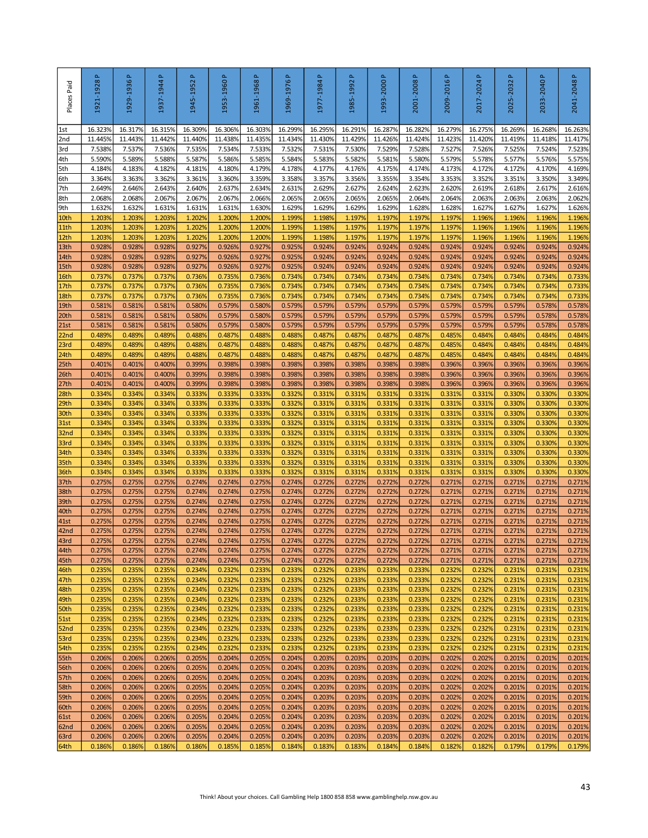| Places Paid              | 1921-1928P        | 1929-1936 P       | $\Delta$<br>1937-1944 | Δ.<br>1945-1952   | 1953-1960P        | $\Delta$<br>1961-1968 | 1969-1976P        | $\Delta$<br>1977-1984 | $\Delta$<br>1985-1992 | 1993-2000 P                                                                            | 2001-2008 P       | 2009-2016 P       | 2017-2024 P       | 2025-2032P        | 2033-2040 P       | 2041-2048 P       |
|--------------------------|-------------------|-------------------|-----------------------|-------------------|-------------------|-----------------------|-------------------|-----------------------|-----------------------|----------------------------------------------------------------------------------------|-------------------|-------------------|-------------------|-------------------|-------------------|-------------------|
| 1st                      | 16.323%           | 16.317%           | 16.315%               | 16.309%           | 16.306%           | 16.303%               | 16.299%           | 16.295%               | 16.291%               | 16.287%                                                                                | 16.282%           | 16.279%           | 16.275%           | 16.269%           | 16.268%           | 16.263%           |
| 2nd<br>3rd               | 11.445%<br>7.538% | 11.443%<br>7.537% | 11.442%<br>7.536%     | 11.440%<br>7.535% | 11.438%<br>7.534% | 11.435%<br>7.533%     | 11.434%<br>7.532% | 11.430%<br>7.531%     | 11.429%<br>7.530%     | 11.426%<br>7.529%                                                                      | 11.424%<br>7.528% | 11.423%<br>7.527% | 11.420%<br>7.526% | 11.419%<br>7.525% | 11.418%<br>7.524% | 11.417%<br>7.523% |
| 4th                      | 5.590%            | 5.589%            | 5.588%                | 5.587%            | 5.586%            | 5.585%                | 5.584%            | 5.583%                | 5.582%                | 5.581%                                                                                 | 5.580%            | 5.579%            | 5.578%            | 5.577%            | 5.576%            | 5.575%            |
| 5th                      | 4.184%            | 4.183%            | 4.182%                | 4.181%            | 4.180%            | 4.179%                | 4.178%            | 4.177%                | 4.176%                | 4.175%                                                                                 | 4.174%            | 4.173%            | 4.172%            | 4.172%            | 4.170%            | 4.169%            |
| 6th                      | 3.364%            | 3.363%            | 3.362%                | 3.361%            | 3.360%            | 3.359%                | 3.358%            | 3.357%                | 3.356%                | 3.355%                                                                                 | 3.354%            | 3.353%            | 3.352%            | 3.351%            | 3.350%            | 3.349%            |
| 7th<br>8th               | 2.649%<br>2.068%  | 2.646%<br>2.068%  | 2.643%<br>2.067%      | 2.640%<br>2.067%  | 2.637%<br>2.067%  | 2.634%<br>2.066%      | 2.631%<br>2.065%  | 2.629%<br>2.065%      | 2.627%<br>2.065%      | 2.624%<br>2.065%                                                                       | 2.623%<br>2.064%  | 2.620%<br>2.064%  | 2.619%<br>2.063%  | 2.618%<br>2.063%  | 2.617%<br>2.063%  | 2.616%<br>2.062%  |
| 9th                      | 1.632%            | 1.632%            | 1.631%                | 1.631%            | 1.631%            | 1.630%                | 1.629%            | 1.629%                | 1.629%                | 1.629%                                                                                 | 1.628%            | 1.628%            | 1.627%            | 1.627%            | 1.627%            | 1.626%            |
| 10th                     | 1.203%            | 1.203%            | 1.203%                | 1.202%            | 1.200%            | 1.200%                | 1.199%            | 1.198%                | 1.197%                | 1.197%                                                                                 | 1.197%            | 1.197%            | 1.196%            | 1.196%            | 1.196%            | 1.196%            |
| 11th                     | 1.203%            | 1.203%            | 1.203%                | 1.202%            | 1.200%            | 1.200%                | 1.199%            | 1.198%                | 1.197%                | 1.197%                                                                                 | 1.197%            | 1.197%            | 1.196%            | 1.196%            | 1.196%            | 1.196%            |
| 12th<br>13th             | 1.203%<br>0.9289  | 1.203%<br>0.928%  | 1.203%<br>0.928%      | 1.202%<br>0.927%  | 1.200%<br>0.926%  | 1.200%<br>0.927%      | 1.199%<br>0.925%  | 1.198%<br>0.924%      | 1.197%<br>0.924%      | 1.197%<br>0.924%                                                                       | 1.197%<br>0.924%  | 1.197%<br>0.924%  | 1.196%<br>0.924%  | 1.196%<br>0.924%  | 1.196%<br>0.924%  | 1.196%<br>0.924%  |
| 14th                     | 0.928%            | 0.928%            | 0.928%                | 0.927%            | 0.926%            | 0.927%                | 0.925%            | 0.924%                | 0.924%                | 0.924%                                                                                 | 0.924%            | 0.924%            | 0.924%            | 0.924%            | 0.924%            | 0.924%            |
| 15th                     | 0.928%            | 0.928%            | 0.928%                | 0.927%            | 0.926%            | 0.927%                | 0.925%            | 0.924%                | 0.924%                | 0.924%                                                                                 | 0.924%            | 0.924%            | 0.924%            | 0.924%            | 0.924%            | 0.924%            |
| 16th                     | 0.737%            | 0.737%            | 0.737%                | 0.736%            | 0.735%            | 0.736%                | 0.734%            | 0.734%                | 0.734%                | 0.734%                                                                                 | 0.734%            | 0.734%            | 0.734%            | 0.734%            | 0.734%            | 0.733%            |
| 17th<br>18th             | 0.737%<br>0.737%  | 0.737%<br>0.737%  | 0.737%<br>0.737%      | 0.736%<br>0.736%  | 0.735%<br>0.735%  | 0.736%<br>0.736%      | 0.734%<br>0.734%  | 0.734%<br>0.734%      | 0.734%<br>0.734%      | 0.734%<br>0.734%                                                                       | 0.734%<br>0.734%  | 0.734%<br>0.734%  | 0.734%<br>0.734%  | 0.734%<br>0.734%  | 0.734%<br>0.734%  | 0.733%<br>0.733%  |
| 19th                     | 0.581%            | 0.581%            | 0.581%                | 0.580%            | 0.579%            | 0.580%                | 0.579%            | 0.579%                | 0.579%                | 0.579%                                                                                 | 0.579%            | 0.579%            | 0.579%            | 0.579%            | 0.578%            | 0.578%            |
| 20th                     | 0.581%            | 0.581%            | 0.581%                | 0.580%            | 0.579%            | 0.580%                | 0.579%            | 0.579%                | 0.579%                | 0.579%                                                                                 | 0.579%            | 0.579%            | 0.579%            | 0.579%            | 0.578%            | 0.578%            |
| 21st                     | 0.581%            | 0.581%            | 0.581%                | 0.580%            | 0.579%            | 0.580%                | 0.579%            | 0.579%                | 0.579%                | 0.579%                                                                                 | 0.579%            | 0.579%            | 0.579%            | 0.579%            | 0.578%            | 0.578%            |
| 22 <sub>nd</sub><br>23rd | 0.489%<br>0.489%  | 0.489%<br>0.489%  | 0.489%<br>0.489%      | 0.488%<br>0.488%  | 0.487%<br>0.487%  | 0.488%<br>0.488%      | 0.488%<br>0.488%  | 0.487%<br>0.487%      | 0.487%<br>0.487%      | 0.487%<br>0.487%                                                                       | 0.487%<br>0.487%  | 0.485%<br>0.485%  | 0.484%<br>0.484%  | 0.484%<br>0.484%  | 0.484%<br>0.484%  | 0.484%<br>0.484%  |
| 24th                     | 0.489%            | 0.489%            | 0.489%                | 0.488%            | 0.487%            | 0.488%                | 0.488%            | 0.487%                | 0.487%                | 0.487%                                                                                 | 0.487%            | 0.485%            | 0.484%            | 0.484%            | 0.484%            | 0.484%            |
| 25 <sub>th</sub>         | 0.401%            | 0.401%            | 0.400%                | 0.399%            | 0.398%            | 0.398%                | 0.398%            | 0.398%                | 0.398%                | 0.398%                                                                                 | 0.398%            | 0.396%            | 0.396%            | 0.396%            | 0.396%            | 0.396%            |
| 26th                     | 0.401%            | 0.401%            | 0.400%                | 0.399%            | 0.398%            | 0.398%                | 0.398%            | 0.398%                | 0.398%                | 0.398%                                                                                 | 0.398%            | 0.396%            | 0.396%            | 0.396%            | 0.396%            | 0.396%<br>0.396%  |
| 27th<br>28th             | 0.401%<br>0.334%  | 0.401%<br>0.334%  | 0.400%<br>0.334%      | 0.399%<br>0.333%  | 0.398%<br>0.333%  | 0.398%<br>0.333%      | 0.398%<br>0.332%  | 0.398%<br>0.331%      | 0.398%<br>0.331%      | 0.398%<br>0.331%                                                                       | 0.398%<br>0.331%  | 0.396%<br>0.331%  | 0.396%<br>0.331%  | 0.396%<br>0.330%  | 0.396%<br>0.330%  | 0.330%            |
| 29th                     | 0.334%            | 0.334%            | 0.334%                | 0.333%            | 0.333%            | 0.333%                | 0.332%            | 0.331%                | 0.331%                | 0.331%                                                                                 | 0.331%            | 0.331%            | 0.331%            | 0.330%            | 0.330%            | 0.330%            |
| 30th                     | 0.334%            | 0.334%            | 0.334%                | 0.333%            | 0.333%            | 0.333%                | 0.332%            | 0.331%                | 0.331%                | 0.331%                                                                                 | 0.331%            | 0.331%            | 0.331%            | 0.330%            | 0.330%            | 0.330%            |
| 31st                     | 0.334%            | 0.334%            | 0.334%                | 0.333%            | 0.333%            | 0.333%                | 0.332%            | 0.331%                | 0.331%                | 0.331%                                                                                 | 0.331%            | 0.331%            | 0.331%            | 0.330%            | 0.330%            | 0.330%            |
| 32 <sub>nd</sub><br>33rd | 0.334%<br>0.334%  | 0.334%<br>0.334%  | 0.334%<br>0.334%      | 0.333%<br>0.333%  | 0.333%<br>0.333%  | 0.333%<br>0.333%      | 0.332%<br>0.332%  | 0.331%<br>0.331%      | 0.331%<br>0.331%      | 0.331%<br>0.331%                                                                       | 0.331%<br>0.331%  | 0.331%<br>0.331%  | 0.331%<br>0.331%  | 0.330%<br>0.330%  | 0.330%<br>0.330%  | 0.330%<br>0.330%  |
| 34th                     | 0.334%            | 0.334%            | 0.334%                | 0.333%            | 0.333%            | 0.333%                | 0.332%            | 0.331%                | 0.331%                | 0.331%                                                                                 | 0.331%            | 0.331%            | 0.331%            | 0.330%            | 0.330%            | 0.330%            |
| 35th                     | 0.334%            | 0.334%            | 0.334%                | 0.333%            | 0.333%            | 0.333%                | 0.332%            | 0.331%                | 0.331%                | 0.331%                                                                                 | 0.331%            | 0.331%            | 0.331%            | 0.330%            | 0.330%            | 0.330%            |
| 36th<br>37th             | 0.334%<br>0.275%  | 0.334%<br>0.275%  | 0.334%<br>0.275%      | 0.333%<br>0.274%  | 0.333%<br>0.274%  | 0.333%<br>0.275%      | 0.332%<br>0.274%  | 0.331%<br>0.272%      | 0.331%<br>0.272%      | 0.331%<br>0.272%                                                                       | 0.331%<br>0.272%  | 0.331%<br>0.271%  | 0.331%<br>0.271%  | 0.330%<br>0.271%  | 0.330%<br>0.271%  | 0.330%<br>0.271%  |
| 38th                     | 0.275%            | 0.275%            | 0.275%                | 0.274%            | 0.274%            | 0.275%                | 0.274%            | 0.272%                | 0.272%                | 0.272%                                                                                 | 0.272%            | 0.271%            | 0.271%            | 0.271%            | 0.271%            | 0.271%            |
| 39th                     | 0.275%            | 0.275%            | 0.275%                | 0.274%            | 0.274%            | 0.275%                | 0.274%            | 0.272%                | 0.272%                | 0.272%                                                                                 | 0.272%            | 0.271%            | 0.271%            | 0.271%            | 0.271%            | 0.271%            |
| 40th                     | 0.275%            | 0.275%            | 0.275%                | 0.274%            | 0.274%            | 0.275%                | 0.274%            | 0.272%                | 0.272%                | 0.272%                                                                                 | 0.272%            | 0.271%            | 0.271%            | 0.271%            | 0.271%            | 0.271%            |
| 41st<br>42 <sub>nd</sub> | 0.275%<br>0.275%  | 0.275%<br>0.275%  | 0.275%<br>0.275%      | 0.274%<br>0.274%  | 0.274%<br>0.274%  | 0.275%<br>0.275%      | 0.274%<br>0.274%  | 0.272%<br>0.272%      | 0.272%<br>0.272%      | 0.272%<br>0.272%                                                                       | 0.272%<br>0.272%  | 0.271%<br>0.271%  | 0.271%<br>0.271%  | 0.271%<br>0.271%  | 0.271%<br>0.271%  | 0.271%<br>0.271%  |
| 43rd                     | 0.275%            | 0.275%            | 0.275%                | 0.274%            | 0.274%            | 0.275%                | 0.274%            | 0.272%                | 0.272%                | 0.272%                                                                                 | 0.272%            | 0.271%            | 0.271%            | 0.271%            | 0.271%            | 0.271%            |
| 44th                     | 0.275%            | 0.275%            | 0.275%                | 0.274%            | 0.274%            | 0.275%                | 0.274%            | 0.272%                | 0.272%                | 0.272%                                                                                 | 0.272%            | 0.271%            | 0.271%            | 0.271%            | 0.271%            | 0.271%            |
| 45th                     | 0.275%            | 0.275%            | 0.275%                | 0.274%            | 0.274%            | 0.275%                | 0.274%            | 0.272%                | 0.272%                | 0.272%                                                                                 | 0.272%            | 0.271%            | 0.271%            | 0.271%            | 0.271%            | 0.271%            |
| 46th<br>47th             | 0.235%<br>0.235%  | 0.235%<br>0.235%  | 0.235%<br>0.235%      | 0.234%<br>0.234%  | 0.232%<br>0.232%  | 0.233%<br>0.233%      | 0.233%<br>0.233%  | 0.232%<br>0.232%      | 0.233%<br>0.233%      | 0.233%<br>0.233%                                                                       | 0.233%<br>0.233%  | 0.232%<br>0.232%  | 0.232%<br>0.232%  | 0.231%<br>0.231%  | 0.231%<br>0.231%  | 0.231%<br>0.231%  |
| 48th                     | 0.235%            | 0.235%            | 0.235%                | 0.234%            | 0.232%            | 0.233%                | 0.233%            | 0.232%                | 0.233%                | 0.233%                                                                                 | 0.233%            | 0.232%            | 0.232%            | 0.231%            | 0.231%            | 0.231%            |
| 49th                     | 0.235%            | 0.235%            | 0.235%                | 0.234%            | 0.232%            | 0.233%                | 0.233%            | 0.232%                | 0.233%                | 0.233%                                                                                 | 0.233%            | 0.232%            | 0.232%            | 0.231%            | 0.231%            | 0.231%            |
| 50th<br>51st             | 0.235%<br>0.235%  | 0.235%<br>0.235%  | 0.235%<br>0.235%      | 0.234%<br>0.234%  | 0.232%<br>0.232%  | 0.233%<br>0.233%      | 0.233%<br>0.233%  | 0.232%<br>0.232%      | 0.233%<br>0.233%      | 0.233%<br>0.233%                                                                       | 0.233%<br>0.233%  | 0.232%<br>0.232%  | 0.232%<br>0.232%  | 0.231%<br>0.231%  | 0.231%<br>0.231%  | 0.231%<br>0.231%  |
| 52nd                     | 0.235%            | 0.235%            | 0.235%                | 0.234%            | 0.232%            | 0.233%                | 0.233%            | 0.232%                | 0.233%                | 0.233%                                                                                 | 0.233%            | 0.232%            | 0.232%            | 0.231%            | 0.231%            | 0.231%            |
| 53rd                     | 0.235%            | 0.235%            | 0.235%                | 0.234%            | 0.232%            | 0.233%                | 0.233%            | 0.232%                | 0.233%                | 0.233%                                                                                 | 0.233%            | 0.232%            | 0.232%            | 0.231%            | 0.231%            | 0.231%            |
| 54th                     | 0.235%            | 0.235%            | 0.235%                | 0.234%            | 0.232%            | 0.233%                | 0.233%            | 0.232%                | 0.233%                | 0.233%                                                                                 | 0.233%            | 0.232%            | 0.232%            | 0.231%            | 0.231%            | 0.231%            |
| 55th<br>56th             | 0.206%<br>0.206%  | 0.206%<br>0.206%  | 0.206%<br>0.206%      | 0.205%<br>0.205%  | 0.204%<br>0.204%  | 0.205%<br>0.205%      | 0.204%<br>0.204%  | 0.203%<br>0.203%      | 0.203%<br>0.203%      | 0.203%<br>0.203%                                                                       | 0.203%<br>0.203%  | 0.202%<br>0.202%  | 0.202%<br>0.202%  | 0.201%<br>0.201%  | 0.201%<br>0.201%  | 0.201%<br>0.201%  |
| 57th                     | 0.206%            | 0.206%            | 0.206%                | 0.205%            | 0.204%            | 0.205%                | 0.204%            | 0.203%                | 0.203%                | 0.203%                                                                                 | 0.203%            | 0.202%            | 0.202%            | 0.201%            | 0.201%            | 0.201%            |
| 58th                     | 0.206%            | 0.206%            | 0.206%                | 0.205%            | 0.204%            | 0.205%                | 0.204%            | 0.203%                | 0.203%                | 0.203%                                                                                 | 0.203%            | 0.202%            | 0.202%            | 0.201%            | 0.201%            | 0.201%            |
| 59th                     | 0.206%            | 0.206%            | 0.206%                | 0.205%            | 0.204%            | 0.205%                | 0.204%            | 0.203%                | 0.203%                | 0.203%                                                                                 | 0.203%            | 0.202%            | 0.202%            | 0.201%            | 0.201%            | 0.201%            |
| 60th<br>61st             | 0.206%<br>0.206%  | 0.206%<br>0.206%  | 0.206%<br>0.206%      | 0.205%<br>0.205%  | 0.204%<br>0.204%  | 0.205%<br>0.205%      | 0.204%<br>0.204%  | 0.203%<br>0.203%      | 0.203%<br>0.203%      | 0.203%<br>0.203%                                                                       | 0.203%<br>0.203%  | 0.202%<br>0.202%  | 0.202%<br>0.202%  | 0.201%<br>0.201%  | 0.201%<br>0.201%  | 0.201%<br>0.201%  |
| 62nd                     | 0.206%            | 0.206%            | 0.206%                | 0.205%            | 0.204%            | 0.205%                | 0.204%            | 0.203%                | 0.203%                | 0.203%                                                                                 | 0.203%            | 0.202%            | 0.202%            | 0.201%            | 0.201%            | 0.201%            |
| 63rd                     | 0.206%            | 0.206%            | 0.206%                | 0.205%            | 0.204%            | 0.205%                | 0.204%            | 0.203%                | 0.203%                | 0.203%                                                                                 | 0.203%            | 0.202%            | 0.202%            | 0.201%            | 0.201%            | 0.201%            |
| 64th                     | 0.186%            | 0.186%            | 0.186%                | 0.186%            | 0.185%            | 0.185%                | 0.184%            | 0.183%                | 0.183%                | 0.184%                                                                                 | 0.184%            | 0.182%            | 0.182%            | 0.179%            | 0.179%            | 0.179%            |
|                          |                   |                   |                       |                   |                   |                       |                   |                       |                       | Think! About your choices. Call Gambling Help 1800 858 858 www.gamblinghelp.nsw.gov.au |                   |                   |                   |                   |                   | 43                |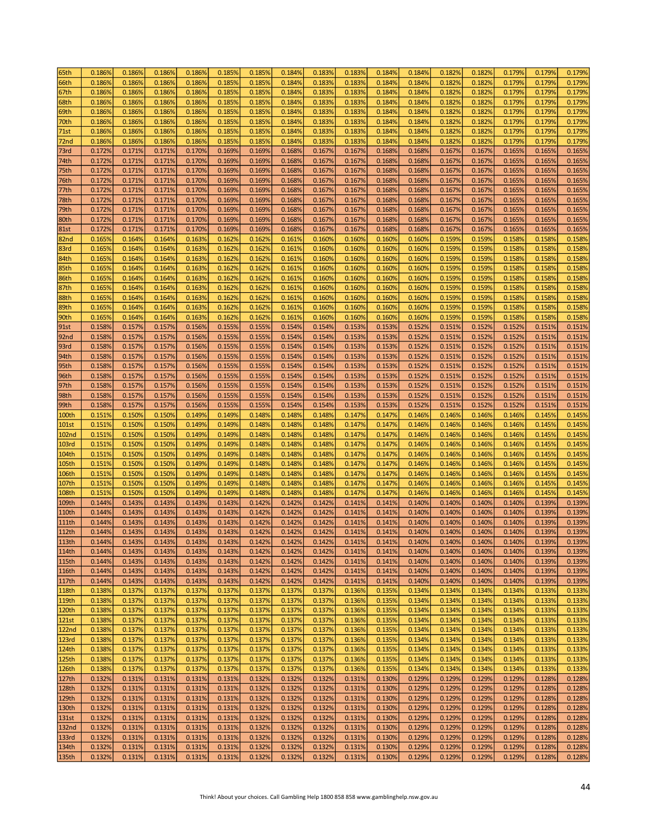| 65th              | 0.186%           | 0.186%           | 0.186%           | 0.186% | 0.185% | 0.185% | 0.184% | 0.183% | 0.183% | 0.184% | 0.184% | 0.182% | 0.182% | 0.179% | 0.179% | 0.179% |
|-------------------|------------------|------------------|------------------|--------|--------|--------|--------|--------|--------|--------|--------|--------|--------|--------|--------|--------|
| 66th              | 0.186%           | 0.186%           | 0.186%           | 0.186% | 0.185% | 0.185% | 0.184% | 0.183% | 0.183% | 0.184% | 0.184% | 0.182% | 0.182% | 0.179% | 0.179% | 0.179% |
| 67th              | 0.186%           | 0.186%           | 0.186%           | 0.186% | 0.185% | 0.185% | 0.184% | 0.183% | 0.183% | 0.184% | 0.184% | 0.182% | 0.182% | 0.179% | 0.179% | 0.179% |
| 68th              | 0.186%           | 0.186%           | 0.186%           | 0.186% | 0.185% | 0.185% | 0.184% | 0.183% | 0.183% | 0.184% | 0.184% | 0.182% | 0.182% | 0.179% | 0.179% | 0.179% |
| 69th              | 0.186%           | 0.186%           | 0.186%           | 0.186% | 0.185% | 0.185% | 0.184% | 0.183% | 0.183% | 0.184% | 0.184% | 0.182% | 0.182% | 0.179% | 0.179% | 0.179% |
| 70th              | 0.186%           | 0.186%           | 0.186%           | 0.186% | 0.185% | 0.185% | 0.184% | 0.183% | 0.183% | 0.184% | 0.184% | 0.182% | 0.182% | 0.179% | 0.179% | 0.179% |
| 71st              | 0.186%           | 0.186%           | 0.186%           | 0.186% | 0.185% | 0.185% | 0.184% | 0.183% | 0.183% | 0.184% | 0.184% | 0.182% | 0.182% | 0.179% | 0.179% | 0.179% |
| 72nd              | 0.186%           | 0.186%           | 0.186%           | 0.186% | 0.185% | 0.185% | 0.184% | 0.183% | 0.183% | 0.184% | 0.184% | 0.182% | 0.182% | 0.179% | 0.179% | 0.179% |
|                   |                  |                  |                  |        |        |        |        |        |        |        |        |        |        |        |        |        |
| 73rd              | 0.172%           | 0.171%           | 0.171%           | 0.170% | 0.169% | 0.169% | 0.168% | 0.167% | 0.167% | 0.168% | 0.168% | 0.167% | 0.167% | 0.165% | 0.165% | 0.165% |
| 74th              | 0.172%           | 0.171%           | 0.171%           | 0.170% | 0.169% | 0.169% | 0.168% | 0.167% | 0.167% | 0.168% | 0.168% | 0.167% | 0.167% | 0.165% | 0.165% | 0.165% |
| 75th              | 0.172%           | 0.171%           | 0.171%           | 0.170% | 0.169% | 0.169% | 0.168% | 0.167% | 0.167% | 0.168% | 0.168% | 0.167% | 0.167% | 0.165% | 0.165% | 0.165% |
| 76th              | 0.172%           | 0.171%           | 0.171%           | 0.170% | 0.169% | 0.169% | 0.168% | 0.167% | 0.167% | 0.168% | 0.168% | 0.167% | 0.167% | 0.165% | 0.165% | 0.165% |
| 77th              | 0.172%           | 0.171%           | 0.171%           | 0.170% | 0.169% | 0.169% | 0.168% | 0.167% | 0.167% | 0.168% | 0.168% | 0.167% | 0.167% | 0.165% | 0.165% | 0.165% |
| 78th              | 0.172%           | 0.171%           | 0.171%           | 0.170% | 0.169% | 0.169% | 0.168% | 0.167% | 0.167% | 0.168% | 0.168% | 0.167% | 0.167% | 0.165% | 0.165% | 0.165% |
| 79th              | 0.172%           | 0.171%           | 0.171%           | 0.170% | 0.169% | 0.169% | 0.168% | 0.167% | 0.167% | 0.168% | 0.168% | 0.167% | 0.167% | 0.165% | 0.165% | 0.165% |
| 80th              | 0.172%           | 0.171%           | 0.171%           | 0.170% | 0.169% | 0.169% | 0.168% | 0.167% | 0.167% | 0.168% | 0.168% | 0.167% | 0.167% | 0.165% | 0.165% | 0.165% |
| <b>81st</b>       | 0.172%           | 0.171%           | 0.171%           | 0.170% | 0.169% | 0.169% | 0.168% | 0.167% | 0.167% | 0.168% | 0.168% | 0.167% | 0.167% | 0.165% | 0.165% | 0.165% |
| 82nd              | 0.165%           | 0.164%           | 0.164%           | 0.163% | 0.162% | 0.162% | 0.161% | 0.160% | 0.160% | 0.160% | 0.160% | 0.159% | 0.159% | 0.158% | 0.158% | 0.158% |
| 83rd              | 0.165%           | 0.164%           | 0.164%           | 0.163% | 0.162% | 0.162% | 0.161% | 0.160% | 0.160% | 0.160% | 0.160% | 0.159% | 0.159% | 0.158% | 0.158% | 0.158% |
| 84th              | 0.165%           | 0.164%           | 0.164%           | 0.163% | 0.162% | 0.162% | 0.161% | 0.160% | 0.160% | 0.160% | 0.160% | 0.159% | 0.159% | 0.158% | 0.158% | 0.158% |
| 85th              | 0.165%           | 0.164%           | 0.164%           | 0.163% | 0.162% | 0.162% | 0.161% | 0.160% | 0.160% | 0.160% | 0.160% | 0.159% | 0.159% | 0.158% | 0.158% | 0.158% |
| 86th              | 0.165%           | 0.164%           | 0.164%           | 0.163% | 0.162% | 0.162% | 0.161% | 0.160% | 0.160% | 0.160% | 0.160% | 0.159% | 0.159% | 0.158% | 0.158% | 0.158% |
| 87th              | 0.165%           | 0.164%           | 0.164%           | 0.163% | 0.162% | 0.162% | 0.161% | 0.160% | 0.160% | 0.160% | 0.160% | 0.159% | 0.159% | 0.158% | 0.158% | 0.158% |
| 88th              | 0.165%           | 0.164%           | 0.164%           | 0.163% | 0.162% | 0.162% | 0.161% | 0.160% | 0.160% | 0.160% | 0.160% | 0.159% | 0.159% | 0.1589 | 0.158% | 0.158% |
| 89th              | 0.165%           | 0.164%           | 0.164%           | 0.163% | 0.162% | 0.162% | 0.161% | 0.160% | 0.160% | 0.160% | 0.160% | 0.159% | 0.159% | 0.1589 | 0.158% | 0.158% |
| 90th              | 0.165%           | 0.164%           | 0.164%           | 0.163% | 0.162% | 0.162% | 0.161% | 0.160% | 0.160% | 0.160% | 0.160% | 0.159% | 0.159% | 0.1589 | 0.158% | 0.158% |
|                   |                  |                  |                  |        |        |        |        |        |        |        |        |        |        |        |        |        |
| 91st              | 0.158%           | 0.157%           | 0.157%           | 0.156% | 0.155% | 0.155% | 0.154% | 0.154% | 0.153% | 0.153% | 0.152% | 0.151% | 0.152% | 0.152% | 0.151% | 0.151% |
| 92 <sub>nd</sub>  | 0.158%           | 0.157%           | 0.157%           | 0.156% | 0.155% | 0.155% | 0.154% | 0.154% | 0.153% | 0.153% | 0.152% | 0.151% | 0.152% | 0.152% | 0.151% | 0.151% |
| 93rd              | 0.158%           | 0.157%           | 0.157%           | 0.156% | 0.155% | 0.155% | 0.154% | 0.154% | 0.153% | 0.153% | 0.152% | 0.151% | 0.152% | 0.152% | 0.151% | 0.151% |
| 94th              | 0.158%           | 0.157%           | 0.157%           | 0.156% | 0.155% | 0.155% | 0.154% | 0.154% | 0.153% | 0.153% | 0.152% | 0.151% | 0.152% | 0.152% | 0.151% | 0.151% |
| 95th              | 0.158%           | 0.157%           | 0.157%           | 0.156% | 0.155% | 0.155% | 0.154% | 0.154% | 0.153% | 0.153% | 0.152% | 0.151% | 0.152% | 0.152% | 0.151% | 0.151% |
| 96th              | 0.158%           | 0.157%           | 0.157%           | 0.156% | 0.155% | 0.155% | 0.154% | 0.154% | 0.153% | 0.153% | 0.152% | 0.151% | 0.152% | 0.152% | 0.151% | 0.151% |
| 97th              | 0.158%           | 0.157%           | 0.157%           | 0.156% | 0.155% | 0.155% | 0.154% | 0.154% | 0.153% | 0.153% | 0.152% | 0.151% | 0.152% | 0.152% | 0.151% | 0.151% |
| 98th              | 0.158%           | 0.157%           | 0.157%           | 0.156% | 0.155% | 0.155% | 0.154% | 0.154% | 0.153% | 0.153% | 0.152% | 0.151% | 0.152% | 0.152% | 0.151% | 0.151% |
| 99th              | 0.158%           | 0.157%           | 0.157%           | 0.156% | 0.155% | 0.155% | 0.154% | 0.154% | 0.153% | 0.153% | 0.152% | 0.151% | 0.152% | 0.152% | 0.151% | 0.151% |
| 100th             | 0.151%           | 0.150%           | 0.150%           | 0.149% | 0.149% | 0.148% | 0.148% | 0.148% | 0.147% | 0.147% | 0.146% | 0.146% | 0.146% | 0.146% | 0.145% | 0.145% |
| <b>101st</b>      | 0.151%           | 0.150%           | 0.150%           | 0.149% | 0.149% | 0.148% | 0.148% | 0.148% | 0.147% | 0.147% | 0.146% | 0.146% | 0.146% | 0.146% | 0.145% | 0.145% |
| <b>102nd</b>      | 0.151%           | 0.150%           | 0.150%           | 0.149% | 0.149% | 0.148% | 0.148% | 0.148% | 0.147% | 0.147% | 0.146% | 0.146% | 0.146% | 0.146% | 0.145% | 0.145% |
| <b>103rd</b>      | 0.151%           | 0.150%           | 0.150%           | 0.149% | 0.149% | 0.148% | 0.1489 | 0.148% | 0.147% | 0.147% | 0.146% | 0.146% | 0.146% | 0.146% | 0.145% | 0.145% |
| 104th             | 0.151%           | 0.150%           | 0.150%           | 0.149% | 0.149% | 0.148% | 0.148% | 0.148% | 0.147% | 0.147% | 0.146% | 0.146% | 0.146% | 0.146% | 0.145% | 0.145% |
| 105th             | 0.151%           | 0.150%           | 0.150%           | 0.149% | 0.149% | 0.148% | 0.148% | 0.148% | 0.147% | 0.147% | 0.146% | 0.146% | 0.146% | 0.146% | 0.145% | 0.145% |
| 106th             | 0.151%           | 0.150%           | 0.150%           | 0.149% | 0.149% | 0.148% | 0.148% | 0.148% | 0.147% | 0.147% | 0.146% | 0.146% | 0.146% | 0.146% | 0.145% | 0.145% |
| 107th             | 0.151%           | 0.150%           | 0.150%           | 0.149% | 0.149% | 0.148% | 0.148% | 0.148% | 0.147% | 0.147% | 0.146% | 0.146% | 0.146% | 0.146% | 0.145% | 0.145% |
| 108th             | 0.151%           | 0.150%           | 0.150%           | 0.149% | 0.149% | 0.148% | 0.148% | 0.148% | 0.147% | 0.147% | 0.146% | 0.146% | 0.146% | 0.146% | 0.145% | 0.145% |
| 109th             | 0.144%           | 0.143%           | 0.143%           | 0.143% | 0.143% | 0.142% | 0.142% | 0.142% | 0.141% | 0.141% | 0.140% | 0.140% | 0.140% | 0.140% | 0.139% | 0.139% |
| 110 <sub>th</sub> | 0.144%           | 0.143%           | 0.143%           | 0.143% | 0.143% | 0.142% | 0.142% | 0.142% | 0.141% | 0.141% | 0.140% | 0.140% | 0.140% | 0.140% | 0.139% | 0.139% |
| <b>111th</b>      | 0.144%           | 0.143%           | 0.143%           | 0.143% | 0.143% | 0.142% | 0.142% | 0.142% | 0.141% | 0.141% | 0.140% | 0.140% | 0.140% | 0.140% | 0.139% | 0.139% |
|                   |                  |                  |                  |        |        |        |        |        |        |        |        |        |        |        |        |        |
| 112th             | 0.144%           | 0.143%           | 0.143%           | 0.143% | 0.143% | 0.142% | 0.142% | 0.142% | 0.141% | 0.141% | 0.140% | 0.140% | 0.140% | 0.140% | 0.139% | 0.139% |
| 113th             | 0.144%           | 0.143%           | 0.143%           | 0.143% | 0.143% | 0.142% | 0.142% | 0.142% | 0.141% | 0.141% | 0.140% | 0.140% | 0.140% | 0.140% | 0.139% | 0.139% |
| 114th             | 0.144%           | 0.143%           | 0.143%           | 0.143% | 0.143% | 0.142% | 0.142% | 0.142% | 0.141% | 0.141% | 0.140% | 0.140% | 0.140% | 0.140% | 0.139% | 0.139% |
| 115th             | 0.144%           | 0.143%           | 0.143%           | 0.143% | 0.143% | 0.142% | 0.142% | 0.142% | 0.141% | 0.141% | 0.140% | 0.140% | 0.140% | 0.140% | 0.139% | 0.139% |
| 116th             | 0.144%           | 0.143%           | 0.143%           | 0.143% | 0.143% | 0.142% | 0.142% | 0.142% | 0.141% | 0.141% | 0.140% | 0.140% | 0.140% | 0.140% | 0.139% | 0.139% |
| 117th             | 0.144%           | 0.143%           | 0.143%           | 0.143% | 0.143% | 0.142% | 0.142% | 0.142% | 0.141% | 0.141% | 0.140% | 0.140% | 0.140% | 0.140% | 0.139% | 0.139% |
| <b>118th</b>      | 0.138%           | 0.137%           | 0.137%           | 0.137% | 0.137% | 0.137% | 0.137% | 0.137% | 0.136% | 0.135% | 0.134% | 0.134% | 0.134% | 0.134% | 0.133% | 0.133% |
| 119th             | 0.138%           | 0.137%           | 0.137%           | 0.137% | 0.137% | 0.137% | 0.137% | 0.137% | 0.136% | 0.135% | 0.134% | 0.134% | 0.134% | 0.134% | 0.133% | 0.133% |
| 120th             | 0.138%           | 0.137%           | 0.137%           | 0.137% | 0.137% | 0.137% | 0.137% | 0.137% | 0.136% | 0.135% | 0.134% | 0.134% | 0.134% | 0.134% | 0.133% | 0.133% |
| 121st             | 0.138%           | 0.137%           | 0.137%           | 0.137% | 0.137% | 0.137% | 0.137% | 0.137% | 0.136% | 0.135% | 0.134% | 0.134% | 0.134% | 0.134% | 0.133% | 0.133% |
| 122 <sub>nd</sub> | 0.138%           | 0.137%           | 0.137%           | 0.137% | 0.137% | 0.137% | 0.137% | 0.137% | 0.136% | 0.135% | 0.134% | 0.134% | 0.134% | 0.134% | 0.133% | 0.133% |
| 123rd             | 0.138%           | 0.137%           | 0.137%           | 0.137% | 0.137% | 0.137% | 0.137% | 0.137% | 0.136% | 0.135% | 0.134% | 0.134% | 0.134% | 0.134% | 0.133% | 0.133% |
| 124th             | 0.138%           | 0.137%           | 0.137%           | 0.137% | 0.137% | 0.137% | 0.137% | 0.137% | 0.136% | 0.135% | 0.134% | 0.134% | 0.134% | 0.134% | 0.133% | 0.133% |
| 125th             | 0.138%           | 0.137%           | 0.137%           | 0.137% | 0.137% | 0.137% | 0.137% | 0.137% | 0.136% | 0.135% | 0.134% | 0.134% | 0.134% | 0.134% | 0.133% | 0.133% |
| 126th             | 0.138%           | 0.137%           | 0.137%           | 0.137% | 0.137% | 0.137% | 0.137% | 0.137% | 0.136% | 0.135% | 0.134% | 0.134% | 0.134% | 0.134% | 0.133% | 0.133% |
| 127th             | 0.132%           | 0.131%           | 0.131%           | 0.131% | 0.131% | 0.132% | 0.132% | 0.132% | 0.131% | 0.130% | 0.129% | 0.129% | 0.129% | 0.129% | 0.128% | 0.128% |
| 128th             | 0.132%           | 0.131%           | 0.131%           | 0.131% | 0.131% | 0.132% | 0.132% | 0.132% | 0.131% | 0.130% | 0.129% | 0.129% | 0.129% | 0.129% | 0.128% | 0.128% |
| 129th             | 0.132%           | 0.131%           | 0.131%           | 0.131% | 0.131% | 0.132% | 0.132% | 0.132% | 0.131% | 0.130% | 0.129% | 0.129% | 0.129% | 0.129% | 0.128% | 0.128% |
| 130th             | 0.132%           | 0.131%           | 0.131%           | 0.131% | 0.131% | 0.132% | 0.132% | 0.132% | 0.131% | 0.130% | 0.129% | 0.129% | 0.129% | 0.129% | 0.128% | 0.128% |
| 131st             | 0.132%           | 0.131%           | 0.131%           | 0.131% | 0.131% | 0.132% | 0.132% | 0.132% | 0.131% | 0.130% | 0.129% | 0.129% | 0.129% | 0.129% | 0.128% | 0.128% |
| 132nd             | 0.132%           | 0.131%           | 0.131%           | 0.131% | 0.131% | 0.132% | 0.132% | 0.132% | 0.131% | 0.130% | 0.129% | 0.129% | 0.129% | 0.129% | 0.128% | 0.128% |
|                   |                  |                  |                  |        |        |        |        |        |        |        |        |        |        |        |        |        |
| 133rd             | 0.132%           | 0.131%<br>0.131% | 0.131%<br>0.131% | 0.131% | 0.131% | 0.132% | 0.132% | 0.132% | 0.131% | 0.130% | 0.129% | 0.129% | 0.129% | 0.129% | 0.128% | 0.128% |
|                   |                  |                  |                  | 0.131% | 0.131% | 0.132% | 0.132% | 0.132% | 0.131% | 0.130% | 0.129% | 0.129% | 0.129% | 0.129% | 0.128% | 0.128% |
| 134th<br>135th    | 0.132%<br>0.132% | 0.131%           | 0.131%           | 0.131% | 0.131% | 0.132% | 0.132% | 0.132% | 0.131% | 0.130% | 0.129% | 0.129% | 0.129% | 0.129% | 0.128% | 0.128% |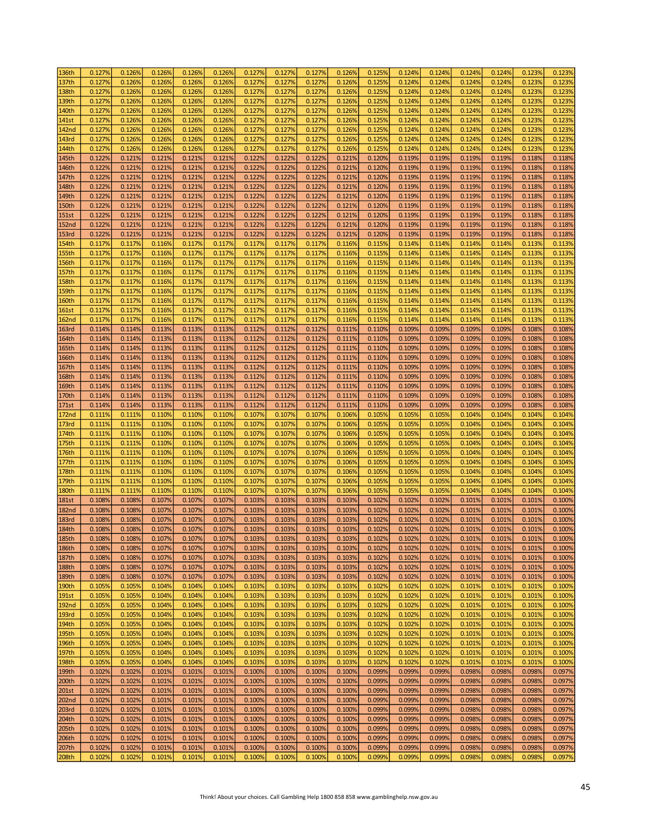| 136th        | 0.127% | 0.126% | 0.126% | 0.126% | 0.126% | 0.127% | 0.127% | 0.127% | 0.126% | 0.125% | 0.124% | 0.124% | 0.124% | 0.124% | 0.123% | 0.123% |
|--------------|--------|--------|--------|--------|--------|--------|--------|--------|--------|--------|--------|--------|--------|--------|--------|--------|
| 137th        | 0.127% | 0.126% | 0.126% | 0.126% | 0.126% | 0.127% | 0.127% | 0.127% | 0.126% | 0.125% | 0.124% | 0.124% | 0.124% | 0.124% | 0.123% | 0.123% |
| 138th        | 0.127% | 0.126% | 0.126% | 0.126% | 0.126% | 0.127% | 0.127% | 0.127% | 0.126% | 0.125% | 0.124% | 0.124% | 0.124% | 0.124% | 0.123% | 0.123% |
| 139th        | 0.127% | 0.126% | 0.126% | 0.126% | 0.126% | 0.127% | 0.127% | 0.127% | 0.126% | 0.125% | 0.124% | 0.124% | 0.124% | 0.124% | 0.123% | 0.123% |
|              |        |        |        |        |        |        |        |        |        |        |        |        |        |        |        |        |
| 140th        | 0.127% | 0.126% | 0.126% | 0.126% | 0.126% | 0.127% | 0.127% | 0.127% | 0.126% | 0.125% | 0.124% | 0.124% | 0.124% | 0.124% | 0.123% | 0.123% |
| 141st        | 0.127% | 0.126% | 0.126% | 0.126% | 0.126% | 0.127% | 0.127% | 0.127% | 0.126% | 0.125% | 0.124% | 0.124% | 0.124% | 0.124% | 0.123% | 0.123% |
| <b>142nd</b> | 0.127% | 0.126% | 0.126% | 0.126% | 0.126% | 0.127% | 0.127% | 0.127% | 0.126% | 0.125% | 0.124% | 0.124% | 0.124% | 0.124% | 0.123% | 0.123% |
| 143rd        | 0.127% | 0.126% | 0.126% | 0.126% | 0.126% | 0.127% | 0.127% | 0.127% | 0.126% | 0.125% | 0.124% | 0.124% | 0.124% | 0.124% | 0.123% | 0.123% |
| 144th        | 0.127% | 0.126% | 0.1269 | 0.126% | 0.126% | 0.127% | 0.127% | 0.127% | 0.126% | 0.125% | 0.124% | 0.124% | 0.124% | 0.124% | 0.123% | 0.123% |
| 145th        | 0.122% | 0.121% | 0.121% | 0.121% | 0.121% | 0.122% | 0.122% | 0.122% | 0.121% | 0.120% | 0.119% | 0.119% | 0.119% | 0.119% | 0.118% | 0.118% |
| 146th        | 0.122% | 0.121% | 0.121% | 0.121% | 0.121% | 0.122% | 0.122% | 0.122% | 0.121% | 0.120% | 0.119% | 0.119% | 0.119% | 0.119% | 0.118% | 0.118% |
| 147th        | 0.122% | 0.121% | 0.121% | 0.121% | 0.121% | 0.122% | 0.122% | 0.122% | 0.121% | 0.120% | 0.119% | 0.119% | 0.119% | 0.119% | 0.118% | 0.118% |
| 148th        | 0.122% | 0.121% | 0.121% | 0.121% | 0.121% | 0.122% | 0.122% | 0.122% | 0.121% | 0.120% | 0.119% | 0.119% | 0.119% | 0.119% | 0.118% | 0.118% |
|              |        |        |        |        |        |        |        |        |        |        |        |        |        |        |        |        |
| 149th        | 0.122% | 0.121% | 0.121% | 0.121% | 0.121% | 0.122% | 0.122% | 0.122% | 0.121% | 0.120% | 0.119% | 0.119% | 0.119% | 0.119% | 0.118% | 0.118% |
| 150th        | 0.122% | 0.121% | 0.121% | 0.121% | 0.121% | 0.122% | 0.122% | 0.122% | 0.121% | 0.120% | 0.119% | 0.119% | 0.119% | 0.119% | 0.118% | 0.118% |
| <b>151st</b> | 0.122% | 0.121% | 0.121% | 0.121% | 0.121% | 0.122% | 0.122% | 0.122% | 0.121% | 0.120% | 0.119% | 0.119% | 0.119% | 0.119% | 0.118% | 0.118% |
| <b>152nd</b> | 0.122% | 0.121% | 0.121% | 0.121% | 0.121% | 0.122% | 0.122% | 0.122% | 0.121% | 0.120% | 0.119% | 0.119% | 0.119% | 0.119% | 0.118% | 0.118% |
| <b>153rd</b> | 0.122% | 0.121% | 0.121% | 0.121% | 0.121% | 0.122% | 0.122% | 0.122% | 0.121% | 0.120% | 0.119% | 0.119% | 0.119% | 0.119% | 0.118% | 0.118% |
| 154th        | 0.117% | 0.117% | 0.116% | 0.117% | 0.117% | 0.117% | 0.117% | 0.117% | 0.116% | 0.115% | 0.114% | 0.114% | 0.114% | 0.114% | 0.113% | 0.113% |
| <b>155th</b> | 0.117% | 0.117% | 0.116% | 0.117% | 0.117% | 0.117% | 0.117% | 0.117% | 0.116% | 0.115% | 0.114% | 0.114% | 0.114% | 0.114% | 0.113% | 0.113% |
| 156th        | 0.117% | 0.117% | 0.116% | 0.117% | 0.117% | 0.117% | 0.117% | 0.117% | 0.116% | 0.115% | 0.114% | 0.114% | 0.114% | 0.114% | 0.113% | 0.113% |
| 157th        | 0.117% | 0.117% | 0.116% | 0.117% | 0.117% | 0.117% | 0.117% | 0.117% | 0.116% | 0.115% | 0.114% | 0.114% | 0.114% | 0.114% | 0.113% | 0.113% |
| <b>158th</b> | 0.117% | 0.117% | 0.116% | 0.117% | 0.117% | 0.117% | 0.117% | 0.117% | 0.116% | 0.115% | 0.114% | 0.114% | 0.114% | 0.114% | 0.113% | 0.113% |
| 159th        | 0.117% | 0.117% | 0.116% | 0.117% | 0.117% | 0.117% | 0.117% | 0.117% | 0.116% | 0.115% | 0.114% | 0.1149 | 0.114% | 0.114% | 0.113% | 0.113% |
| <b>160th</b> | 0.117% | 0.117% | 0.116% | 0.117% | 0.117% | 0.117% | 0.117% | 0.117% | 0.116% | 0.115% | 0.114% | 0.114% | 0.114% | 0.114% | 0.113% | 0.113% |
|              |        |        |        |        |        |        |        |        |        |        |        |        |        |        |        |        |
| <b>161st</b> | 0.117% | 0.117% | 0.116% | 0.117% | 0.117% | 0.117% | 0.117% | 0.117% | 0.116% | 0.115% | 0.114% | 0.114% | 0.114% | 0.114% | 0.113% | 0.113% |
| <b>162nd</b> | 0.117% | 0.117% | 0.116% | 0.117% | 0.117% | 0.117% | 0.117% | 0.117% | 0.116% | 0.115% | 0.114% | 0.114% | 0.114% | 0.114% | 0.113% | 0.113% |
| <b>163rd</b> | 0.114% | 0.114% | 0.113% | 0.113% | 0.113% | 0.112% | 0.112% | 0.112% | 0.111% | 0.110% | 0.109% | 0.109% | 0.109% | 0.109% | 0.108% | 0.108% |
| 164th        | 0.114% | 0.114% | 0.113% | 0.113% | 0.113% | 0.112% | 0.112% | 0.112% | 0.111% | 0.110% | 0.109% | 0.109% | 0.109% | 0.109% | 0.108% | 0.108% |
| 165th        | 0.114% | 0.114% | 0.113% | 0.113% | 0.113% | 0.112% | 0.112% | 0.112% | 0.111% | 0.110% | 0.109% | 0.109% | 0.109% | 0.109% | 0.108% | 0.108% |
| 166th        | 0.114% | 0.114% | 0.113% | 0.113% | 0.113% | 0.112% | 0.112% | 0.112% | 0.111% | 0.110% | 0.109% | 0.109% | 0.109% | 0.109% | 0.108% | 0.108% |
| 167th        | 0.114% | 0.114% | 0.113% | 0.113% | 0.113% | 0.112% | 0.112% | 0.112% | 0.111% | 0.110% | 0.109% | 0.109% | 0.109% | 0.109% | 0.108% | 0.108% |
| 168th        | 0.114% | 0.114% | 0.113% | 0.113% | 0.113% | 0.112% | 0.112% | 0.112% | 0.111% | 0.110% | 0.109% | 0.109% | 0.109% | 0.109% | 0.108% | 0.108% |
| 169th        | 0.114% | 0.114% | 0.113% | 0.113% | 0.113% | 0.112% | 0.112% | 0.112% | 0.111% | 0.110% | 0.109% | 0.109% | 0.109% | 0.109% | 0.108% | 0.108% |
|              | 0.114% | 0.114% | 0.113% | 0.113% | 0.113% | 0.112% | 0.112% | 0.112% | 0.111% | 0.110% | 0.109% | 0.109% | 0.109% | 0.109% | 0.108% | 0.108% |
| 170th        |        |        |        |        |        |        |        |        |        |        |        |        |        |        |        |        |
| 171st        | 0.114% | 0.114% | 0.113% | 0.113% | 0.113% | 0.112% | 0.112% | 0.112% | 0.111% | 0.110% | 0.109% | 0.109% | 0.109% | 0.109% | 0.108% | 0.108% |
| <b>172nd</b> | 0.111% | 0.111% | 0.110% | 0.110% | 0.110% | 0.107% | 0.107% | 0.107% | 0.106% | 0.105% | 0.105% | 0.105% | 0.104% | 0.104% | 0.104% | 0.104% |
| 173rd        | 0.111% | 0.111% | 0.110% | 0.110% | 0.110% | 0.107% | 0.107% | 0.107% | 0.106% | 0.105% | 0.105% | 0.105% | 0.104% | 0.104% | 0.104% | 0.104% |
| 174th        | 0.111% | 0.111% | 0.110% | 0.110% | 0.110% | 0.107% | 0.107% | 0.107% | 0.106% | 0.105% | 0.105% | 0.105% | 0.104% | 0.104% | 0.104% | 0.104% |
| 175th        | 0.111% | 0.111% | 0.110% | 0.110% | 0.110% | 0.107% | 0.107% | 0.107% | 0.106% | 0.105% | 0.105% | 0.105% | 0.104% | 0.104% | 0.104% | 0.104% |
| 176th        | 0.111% | 0.111% | 0.110% | 0.110% | 0.110% | 0.107% | 0.107% | 0.107% | 0.106% | 0.105% | 0.105% | 0.105% | 0.104% | 0.104% | 0.104% | 0.104% |
| 177th        | 0.111% | 0.111% | 0.110% | 0.110% | 0.110% | 0.107% | 0.107% | 0.107% | 0.106% | 0.105% | 0.105% | 0.105% | 0.104% | 0.104% | 0.104% | 0.104% |
| 178th        | 0.111% | 0.111% | 0.110% | 0.110% | 0.110% | 0.107% | 0.107% | 0.107% | 0.106% | 0.105% | 0.105% | 0.105% | 0.104% | 0.104% | 0.104% | 0.104% |
| 179th        | 0.111% | 0.111% | 0.110% | 0.110% | 0.110% | 0.107% | 0.107% | 0.107% | 0.106% | 0.105% | 0.105% | 0.105% | 0.104% | 0.104% | 0.104% | 0.104% |
| <b>180th</b> | 0.111% | 0.111% | 0.110% | 0.110% | 0.110% | 0.107% | 0.107% | 0.107% | 0.106% | 0.105% | 0.105% | 0.105% | 0.104% | 0.104% | 0.104% | 0.104% |
| <b>181st</b> | 0.108% | 0.108% | 0.107% | 0.107% | 0.107% | 0.103% | 0.103% | 0.103% | 0.103% | 0.102% | 0.102% | 0.102% | 0.101% | 0.101% | 0.101% | 0.100% |
| <b>182nd</b> | 0.108% | 0.108% | 0.107% | 0.107% | 0.107% | 0.103% | 0.103% | 0.103% | 0.103% | 0.102% | 0.102% | 0.102% | 0.101% | 0.101% | 0.101% | 0.100% |
| <b>183rd</b> | 0.108% | 0.108% | 0.107% | 0.107% | 0.107% | 0.103% | 0.103% | 0.103% | 0.103% | 0.102% | 0.102% | 0.102% | 0.101% | 0.101% | 0.101% | 0.100% |
| 184th        | 0.108% | 0.108% | 0.107% | 0.107% | 0.107% | 0.103% | 0.103% | 0.103% | 0.103% | 0.102% | 0.102% | 0.102% | 0.101% | 0.101% | 0.101% | 0.100% |
|              |        |        |        |        |        |        |        |        |        |        |        |        |        |        |        |        |
| 185th        | 0.108% | 0.108% | 0.107% | 0.107% | 0.107% | 0.103% | 0.103% | 0.103% | 0.103% | 0.102% | 0.102% | 0.102% | 0.101% | 0.101% | 0.101% | 0.100% |
| 186th        | 0.108% | 0.108% | 0.107% | 0.107% | 0.107% | 0.103% | 0.103% | 0.103% | 0.103% | 0.102% | 0.102% | 0.102% | 0.101% | 0.101% | 0.101% | 0.100% |
| 187th        | 0.108% | 0.108% | 0.107% | 0.107% | 0.107% | 0.103% | 0.103% | 0.103% | 0.103% | 0.102% | 0.102% | 0.102% | 0.101% | 0.101% | 0.101% | 0.100% |
| 188th        | 0.108% | 0.108% | 0.107% | 0.107% | 0.107% | 0.103% | 0.103% | 0.103% | 0.103% | 0.102% | 0.102% | 0.102% | 0.101% | 0.101% | 0.101% | 0.100% |
| 189th        | 0.108% | 0.108% | 0.107% | 0.107% | 0.107% | 0.103% | 0.103% | 0.103% | 0.103% | 0.102% | 0.102% | 0.102% | 0.101% | 0.101% | 0.101% | 0.100% |
| 190th        | 0.105% | 0.105% | 0.104% | 0.104% | 0.104% | 0.103% | 0.103% | 0.103% | 0.103% | 0.102% | 0.102% | 0.102% | 0.101% | 0.101% | 0.101% | 0.100% |
| 191st        | 0.105% | 0.105% | 0.104% | 0.104% | 0.104% | 0.103% | 0.103% | 0.103% | 0.103% | 0.102% | 0.102% | 0.102% | 0.101% | 0.101% | 0.101% | 0.100% |
| <b>192nd</b> | 0.105% | 0.105% | 0.104% | 0.104% | 0.104% | 0.103% | 0.103% | 0.103% | 0.103% | 0.102% | 0.102% | 0.102% | 0.101% | 0.101% | 0.101% | 0.100% |
| <b>193rd</b> | 0.105% | 0.105% | 0.104% | 0.104% | 0.104% | 0.103% | 0.103% | 0.103% | 0.103% | 0.102% | 0.102% | 0.102% | 0.101% | 0.101% | 0.101% | 0.100% |
| 194th        | 0.105% | 0.105% | 0.104% | 0.104% | 0.104% | 0.103% | 0.103% | 0.103% | 0.103% | 0.102% | 0.102% | 0.102% | 0.101% | 0.101% | 0.101% | 0.100% |
| 195th        | 0.105% | 0.105% | 0.104% | 0.104% | 0.104% | 0.103% | 0.103% | 0.103% | 0.103% | 0.102% | 0.102% | 0.102% | 0.101% | 0.101% | 0.101% | 0.100% |
| 196th        | 0.105% | 0.105% | 0.104% | 0.104% | 0.104% | 0.103% | 0.103% | 0.103% | 0.103% | 0.102% | 0.102% | 0.102% | 0.101% | 0.101% | 0.101% | 0.100% |
| 197th        | 0.105% | 0.105% | 0.104% | 0.104% | 0.104% | 0.103% | 0.103% | 0.103% | 0.103% | 0.102% | 0.102% | 0.102% | 0.101% | 0.101% | 0.101% | 0.100% |
|              |        |        |        |        |        |        |        |        |        |        |        |        |        |        |        |        |
| 198th        | 0.105% | 0.105% | 0.104% | 0.104% | 0.104% | 0.103% | 0.103% | 0.103% | 0.103% | 0.102% | 0.102% | 0.102% | 0.101% | 0.101% | 0.101% | 0.100% |
| 199th        | 0.102% | 0.102% | 0.101% | 0.101% | 0.101% | 0.100% | 0.100% | 0.100% | 0.100% | 0.099% | 0.099% | 0.099% | 0.098% | 0.098% | 0.098% | 0.097% |
| 200th        | 0.102% | 0.102% | 0.101% | 0.101% | 0.101% | 0.100% | 0.100% | 0.100% | 0.100% | 0.099% | 0.099% | 0.099% | 0.098% | 0.098% | 0.098% | 0.097% |
| 201st        | 0.102% | 0.102% | 0.101% | 0.101% | 0.101% | 0.100% | 0.100% | 0.100% | 0.100% | 0.099% | 0.099% | 0.099% | 0.098% | 0.098% | 0.098% | 0.097% |
| 202nd        | 0.102% | 0.102% | 0.101% | 0.101% | 0.101% | 0.100% | 0.100% | 0.100% | 0.100% | 0.099% | 0.099% | 0.099% | 0.098% | 0.098% | 0.098% | 0.097% |
| 203rd        | 0.102% | 0.102% | 0.101% | 0.101% | 0.101% | 0.100% | 0.100% | 0.100% | 0.100% | 0.099% | 0.099% | 0.099% | 0.098% | 0.098% | 0.098% | 0.097% |
| 204th        | 0.102% | 0.102% | 0.101% | 0.101% | 0.101% | 0.100% | 0.100% | 0.100% | 0.100% | 0.099% | 0.099% | 0.099% | 0.098% | 0.098% | 0.098% | 0.097% |
| 205th        | 0.102% | 0.102% | 0.101% | 0.101% | 0.101% | 0.100% | 0.100% | 0.100% | 0.100% | 0.099% | 0.099% | 0.099% | 0.098% | 0.098% | 0.098% | 0.097% |
| 206th        | 0.102% | 0.102% | 0.101% | 0.101% | 0.101% | 0.100% | 0.100% | 0.100% | 0.100% | 0.099% | 0.099% | 0.099% | 0.098% | 0.098% | 0.098% | 0.097% |
|              | 0.102% | 0.102% | 0.101% | 0.101% | 0.101% | 0.100% | 0.100% | 0.100% | 0.100% | 0.099% | 0.099% | 0.099% | 0.098% | 0.098% | 0.098% | 0.097% |
| 207th        |        |        |        |        |        |        |        |        |        |        |        |        |        |        |        |        |
| 208th        | 0.102% | 0.102% | 0.101% | 0.101% | 0.101% | 0.100% | 0.100% | 0.100% | 0.100% | 0.099% | 0.099% | 0.099% | 0.098% | 0.098% | 0.098% | 0.097% |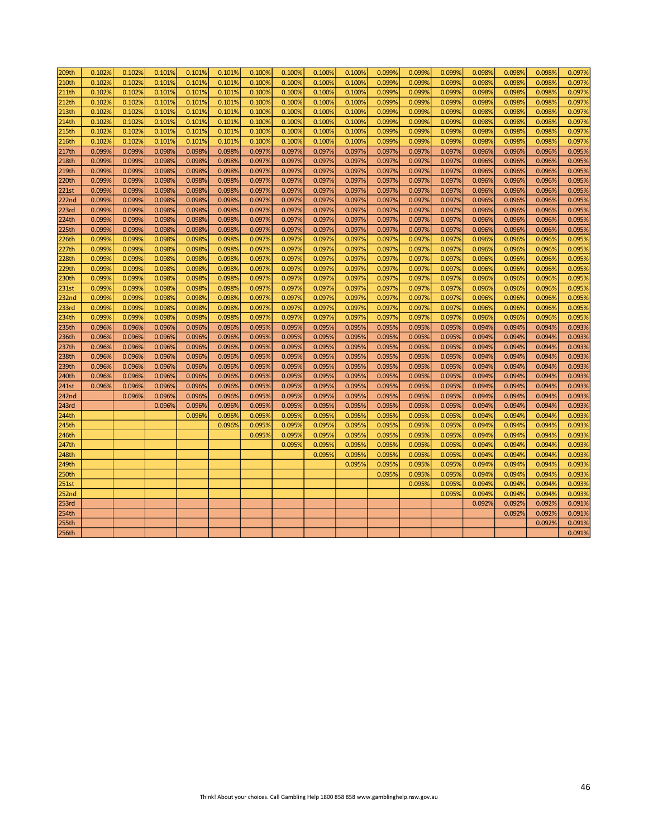| 209th             | 0.102% | 0.102% | 0.101% | 0.101% | 0.101% | 0.100% | 0.100% | 0.100% | 0.100% | 0.099% | 0.099% | 0.099% | 0.098% | 0.098% | 0.098% | 0.097% |
|-------------------|--------|--------|--------|--------|--------|--------|--------|--------|--------|--------|--------|--------|--------|--------|--------|--------|
| 210th             | 0.102% | 0.102% | 0.101% | 0.101% | 0.101% | 0.100% | 0.100% | 0.100% | 0.100% | 0.099% | 0.099% | 0.099% | 0.098% | 0.098% | 0.098% | 0.097% |
| 211th             | 0.102% | 0.102% | 0.101% | 0.101% | 0.101% | 0.100% | 0.100% | 0.100% | 0.100% | 0.099% | 0.099% | 0.099% | 0.098% | 0.098% | 0.098% | 0.097% |
| 212th             | 0.102% | 0.102% | 0.101% | 0.101% | 0.101% | 0.100% | 0.100% | 0.100% | 0.100% | 0.099% | 0.099% | 0.099% | 0.098% | 0.098% | 0.098% | 0.097% |
| 213th             | 0.102% | 0.102% | 0.101% | 0.101% | 0.101% | 0.100% | 0.100% | 0.100% | 0.100% | 0.099% | 0.099% | 0.099% | 0.098% | 0.098% | 0.098% | 0.097% |
| 214th             | 0.102% | 0.102% | 0.101% | 0.101% | 0.101% | 0.100% | 0.100% | 0.100% | 0.100% | 0.099% | 0.099% | 0.099% | 0.098% | 0.098% | 0.098% | 0.097% |
| 215th             | 0.102% | 0.102% | 0.101% | 0.101% | 0.101% | 0.100% | 0.100% | 0.100% | 0.100% | 0.099% | 0.099% | 0.099% | 0.098% | 0.098% | 0.098% | 0.097% |
| 216th             | 0.102% | 0.102% | 0.101% | 0.101% | 0.101% | 0.100% | 0.100% | 0.100% | 0.100% | 0.099% | 0.099% | 0.099% | 0.098% | 0.098% | 0.098% | 0.097% |
| 217th             | 0.099% | 0.099% | 0.098% | 0.098% | 0.098% | 0.097% | 0.097% | 0.097% | 0.097% | 0.097% | 0.097% | 0.097% | 0.096% | 0.096% | 0.096% | 0.095% |
| 218th             | 0.099% | 0.099% | 0.098% | 0.098% | 0.098% | 0.097% | 0.097% | 0.097% | 0.097% | 0.097% | 0.097% | 0.097% | 0.096% | 0.096% | 0.096% | 0.095% |
| 219th             | 0.099% | 0.099% | 0.098% | 0.098% | 0.098% | 0.097% | 0.097% | 0.097% | 0.097% | 0.097% | 0.097% | 0.097% | 0.096% | 0.096% | 0.096% | 0.095% |
| 220th             | 0.099% | 0.099% | 0.098% | 0.098% | 0.098% | 0.097% | 0.097% | 0.097% | 0.097% | 0.097% | 0.097% | 0.097% | 0.096% | 0.096% | 0.096% | 0.095% |
| <b>221st</b>      | 0.099% | 0.099% | 0.098% | 0.098% | 0.098% | 0.097% | 0.097% | 0.097% | 0.097% | 0.097% | 0.097% | 0.097% | 0.096% | 0.096% | 0.096% | 0.095% |
| <b>222nd</b>      | 0.099% | 0.099% | 0.098% | 0.098% | 0.098% | 0.097% | 0.097% | 0.097% | 0.097% | 0.097% | 0.097% | 0.097% | 0.096% | 0.096% | 0.096% | 0.095% |
| 223rd             | 0.099% | 0.099% | 0.098% | 0.098% | 0.098% | 0.097% | 0.097% | 0.097% | 0.097% | 0.097% | 0.097% | 0.097% | 0.096% | 0.096% | 0.096% | 0.095% |
| 224th             | 0.099% | 0.099% | 0.098% | 0.098% | 0.098% | 0.097% | 0.097% | 0.097% | 0.097% | 0.097% | 0.097% | 0.097% | 0.096% | 0.096% | 0.096% | 0.095% |
| <b>225th</b>      | 0.099% | 0.099% | 0.098% | 0.098% | 0.098% | 0.097% | 0.097% | 0.097% | 0.097% | 0.097% | 0.097% | 0.097% | 0.096% | 0.096% | 0.096% | 0.095% |
| 226th             | 0.099% | 0.099% | 0.098% | 0.098% | 0.098% | 0.097% | 0.097% | 0.097% | 0.097% | 0.097% | 0.097% | 0.097% | 0.096% | 0.096% | 0.096% | 0.095% |
| 227th             | 0.099% | 0.099% | 0.098% | 0.098% | 0.098% | 0.097% | 0.097% | 0.097% | 0.097% | 0.097% | 0.097% | 0.097% | 0.096% | 0.096% | 0.096% | 0.095% |
| <b>228th</b>      | 0.099% | 0.099% | 0.098% | 0.098% | 0.098% | 0.097% | 0.097% | 0.097% | 0.097% | 0.097% | 0.097% | 0.097% | 0.096% | 0.096% | 0.096% | 0.095% |
| 229th             | 0.099% | 0.099% | 0.098% | 0.098% | 0.098% | 0.097% | 0.097% | 0.097% | 0.097% | 0.097% | 0.097% | 0.097% | 0.096% | 0.096% | 0.096% | 0.095% |
| 230th             | 0.099% | 0.099% | 0.098% | 0.098% | 0.098% | 0.097% | 0.097% | 0.097% | 0.097% | 0.097% | 0.097% | 0.097% | 0.096% | 0.096% | 0.096% | 0.095% |
| 231st             | 0.099% | 0.099% | 0.098% | 0.098% | 0.098% | 0.097% | 0.097% | 0.097% | 0.097% | 0.097% | 0.097% | 0.097% | 0.096% | 0.096% | 0.096% | 0.095% |
| <b>232nd</b>      | 0.099% | 0.099% | 0.098% | 0.098% | 0.098% | 0.097% | 0.097% | 0.097% | 0.097% | 0.097% | 0.097% | 0.097% | 0.096% | 0.096% | 0.096% | 0.095% |
| 233rd             | 0.099% | 0.099% | 0.098% | 0.098% | 0.098% | 0.097% | 0.097% | 0.097% | 0.097% | 0.097% | 0.097% | 0.097% | 0.096% | 0.096% | 0.096% | 0.095% |
| 234th             | 0.099% | 0.099% | 0.098% | 0.098% | 0.098% | 0.097% | 0.097% | 0.097% | 0.097% | 0.097% | 0.097% | 0.097% | 0.096% | 0.096% | 0.096% | 0.095% |
| 235th             | 0.096% | 0.096% | 0.096% | 0.096% | 0.096% | 0.095% | 0.095% | 0.095% | 0.095% | 0.095% | 0.095% | 0.095% | 0.094% | 0.094% | 0.094% | 0.093% |
| 236th             | 0.096% | 0.096% | 0.096% | 0.096% | 0.096% | 0.095% | 0.095% | 0.095% | 0.095% | 0.095% | 0.095% | 0.095% | 0.094% | 0.094% | 0.094% | 0.093% |
| 237th             | 0.096% | 0.096% | 0.096% | 0.096% | 0.096% | 0.095% | 0.095% | 0.095% | 0.095% | 0.095% | 0.095% | 0.095% | 0.094% | 0.094% | 0.094% | 0.093% |
| 238th             | 0.096% | 0.096% | 0.096% | 0.096% | 0.096% | 0.095% | 0.095% | 0.095% | 0.095% | 0.095% | 0.095% | 0.095% | 0.094% | 0.094% | 0.094% | 0.093% |
| 239th             | 0.096% | 0.096% | 0.096% | 0.096% | 0.096% | 0.095% | 0.095% | 0.095% | 0.095% | 0.095% | 0.095% | 0.095% | 0.094% | 0.094% | 0.094% | 0.093% |
| 240th             | 0.096% | 0.096% | 0.096% | 0.096% | 0.096% | 0.095% | 0.095% | 0.095% | 0.095% | 0.095% | 0.095% | 0.095% | 0.094% | 0.094% | 0.094% | 0.093% |
| 241st             | 0.096% | 0.096% | 0.096% | 0.096% | 0.096% | 0.095% | 0.095% | 0.095% | 0.095% | 0.095% | 0.095% | 0.095% | 0.094% | 0.094% | 0.094% | 0.093% |
| <b>242nd</b>      |        | 0.096% | 0.096% | 0.096% | 0.096% | 0.095% | 0.095% | 0.095% | 0.095% | 0.095% | 0.095% | 0.095% | 0.094% | 0.094% | 0.094% | 0.093% |
| <b>243rd</b>      |        |        | 0.096% | 0.096% | 0.096% | 0.095% | 0.095% | 0.095% | 0.095% | 0.095% | 0.095% | 0.095% | 0.094% | 0.094% | 0.094% | 0.093% |
| 244th             |        |        |        | 0.096% | 0.096% | 0.095% | 0.095% | 0.095% | 0.095% | 0.095% | 0.095% | 0.095% | 0.094% | 0.094% | 0.094% | 0.093% |
| 245th             |        |        |        |        | 0.096% | 0.095% | 0.095% | 0.095% | 0.095% | 0.095% | 0.095% | 0.095% | 0.094% | 0.094% | 0.094% | 0.093% |
| 246th             |        |        |        |        |        | 0.095% | 0.095% | 0.095% | 0.095% | 0.095% | 0.095% | 0.095% | 0.094% | 0.094% | 0.094% | 0.093% |
| 247th             |        |        |        |        |        |        | 0.095% | 0.095% | 0.095% | 0.095% | 0.095% | 0.0959 | 0.094% | 0.094% | 0.094% | 0.093% |
| 248th             |        |        |        |        |        |        |        | 0.095% | 0.095% | 0.095% | 0.095% | 0.095% | 0.094% | 0.094% | 0.094% | 0.093% |
| 249th             |        |        |        |        |        |        |        |        | 0.095% | 0.095% | 0.095% | 0.095% | 0.094% | 0.094% | 0.094% | 0.093% |
| 250th             |        |        |        |        |        |        |        |        |        | 0.095% | 0.095% | 0.095% | 0.094% | 0.094% | 0.094% | 0.093% |
| 251st             |        |        |        |        |        |        |        |        |        |        | 0.095% | 0.095% | 0.094% | 0.094% | 0.094% | 0.093% |
| 252 <sub>nd</sub> |        |        |        |        |        |        |        |        |        |        |        | 0.095% | 0.094% | 0.094% | 0.094% | 0.093% |
| 253rd             |        |        |        |        |        |        |        |        |        |        |        |        | 0.092% | 0.092% | 0.092% | 0.091% |
| 254th             |        |        |        |        |        |        |        |        |        |        |        |        |        | 0.092% | 0.092% | 0.091% |
| 255th             |        |        |        |        |        |        |        |        |        |        |        |        |        |        | 0.092% | 0.091% |
| 256th             |        |        |        |        |        |        |        |        |        |        |        |        |        |        |        | 0.091% |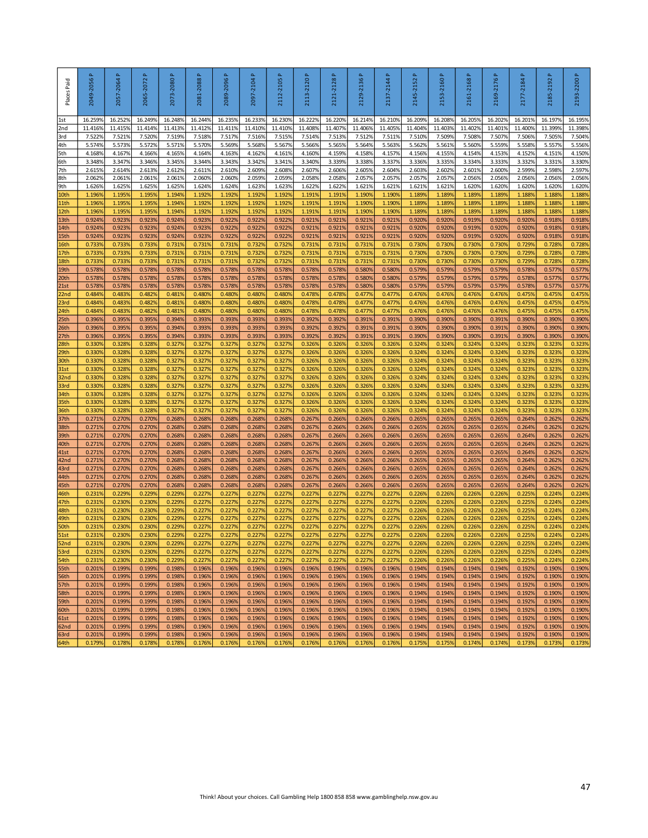| 16.2449<br>11.4129<br>7.5189<br>5.5709<br>4.1649<br>3.344%<br>2.6119<br>2.0609<br>1.6249<br>1.1929<br>1.1929<br>1.192<br>0.9239<br>0.9239<br>0.9239<br>0.7319<br>0.7319<br>0.7319<br>0.5789<br>0.578<br>0.578<br>0.4809<br>0.480%<br>0.480%<br>0.3939<br>0.3939<br>0.3939<br>0.3279<br>0.3279<br>0.3279<br>0.3279<br>0.3279<br>0.3279<br>0.3279<br>0.3279<br>0.3279<br>0.2689<br>0.268 | 16.2359<br>11.4119<br>7.5179<br>5.5699<br>4.1639<br>3.3439<br>2.6109<br>2.0609<br>1.6249<br>1.1929<br>1.1929<br>1.1929<br>0.9229<br>0.9229<br>0.9229<br>0.7319<br>0.7319<br>0.7319<br>0.5789<br>0.5789<br>0.5789<br>0.4809<br>0.4809<br>0.4809<br>0.3939<br>0.3939<br>0.3939<br>0.3279<br>0.3279<br>0.3279<br>0.3279<br>0.3279<br>0.3279<br>0.3279<br>0.3279<br>0.3279 | 16.2339<br>11.410%<br>7.5169<br>5.568%<br>4.162%<br>3.342%<br>2.609%<br>2.0599<br>1.623%<br>1.1929<br>1.1929<br>1.1929<br>0.922%<br>0.922%<br>0.922%<br>0.7329<br>0.732%<br>0.7329<br>0.5789<br>0.5789<br>0.5789<br>0.480%<br>0.480%<br>0.480%<br>0.3939<br>0.393%<br>0.3939<br>0.3279<br>0.3279<br>0.3279<br>0.327%<br>0.327%<br>0.3279<br>0.3279 | 16.2309<br>11.410%<br>7.515%<br>5.567%<br>4.161%<br>3.341%<br>2.608%<br>2.059%<br>1.623%<br>1.192%<br>1.192%<br>1.1929<br>0.922%<br>0.922%<br>0.922%<br>0.732%<br>0.732%<br>0.732%<br>0.578%<br>0.578%<br>0.5789<br>0.480%<br>0.480%<br>0.480%<br>0.3939<br>0.393%<br>0.393%<br>0.327%<br>0.3279<br>0.327%<br>0.327%<br>0.327%<br>0.327% | 16.2229<br>11.4089<br>7.5149<br>5.5669<br>4.1609<br>3.340%<br>2.607%<br>2.0589<br>1.6229<br>1.1919<br>1.1919<br>1.1919<br>0.9219<br>0.9219<br>0.9219<br>0.7319<br>0.7319<br>0.7319<br>0.5789<br>0.5789<br>0.5789<br>0.4789<br>0.4789<br>0.4789<br>0.3929<br>0.3929<br>0.3929<br>0.3269<br>0.3269<br>0.3269<br>0.3269 | 16.2209<br>11.4079<br>7.5139<br>5.5659<br>4.159%<br>3.339%<br>2.606%<br>2.0589<br>1.6229<br>1.1919<br>1.1919<br>1.1919<br>0.9219<br>0.9219<br>0.921%<br>0.7319<br>0.7319<br>0.7319<br>0.5789<br>0.5789<br>0.5789<br>0.4789<br>0.4789<br>0.4789<br>0.3929<br>0.3929<br>0.3929<br>0.3269<br>0.3269<br>0.3269<br>0.3269 | 16.2149<br>11.4069<br>7.512%<br>5.5649<br>4.1589<br>3.3389<br>2.6059<br>2.0579<br>1.6219<br>1.1909<br>1.1909<br>1.1909<br>0.921%<br>0.921%<br>0.921%<br>0.7319<br>0.731%<br>0.7319<br>0.580%<br>0.580%<br>0.580%<br>0.4779<br>0.4779<br>0.4779<br>0.391%<br>0.391%<br>0.3919<br>0.3269<br>0.3269<br>0.3269<br>0.3269 | 16.2109<br>11.4059<br>7.511%<br>5.563%<br>4.157%<br>3.337%<br>2.604%<br>2.057%<br>1.621%<br>1.190%<br>1.190%<br>1.1909<br>0.921%<br>0.921%<br>0.921%<br>0.731%<br>0.731%<br>0.731%<br>0.580%<br>0.580%<br>0.580%<br>0.477%<br>0.477%<br>0.477%<br>0.391%<br>0.391%<br>0.391%<br>0.3269<br>0.3269 | 16.2099<br>11.4049<br>7.5109<br>5.5629<br>4.156%<br>3.336%<br>2.603%<br>2.0579<br>1.6219<br>1.1899<br>1.1899<br>1.189<br>0.9209<br>0.9209<br>0.9209<br>0.7309<br>0.7309<br>0.7309<br>0.5799<br>0.5799<br>0.5799<br>0.4769<br>0.4769<br>0.4769<br>0.3909<br>0.3909<br>0.3909<br>0.3249<br>0.3249 | 16.2089<br>11.4039<br>7.5099<br>5.5619<br>4.155%<br>3.335%<br>2.602%<br>2.0579<br>1.6219<br>1.1899<br>1.1899<br>1.1899<br>0.9209<br>0.9209<br>0.920%<br>0.7309<br>0.7309<br>0.7309<br>0.5799<br>0.5799<br>0.5799<br>0.4769<br>0.4769<br>0.4769<br>0.3909<br>0.3909<br>0.3909<br>0.3249<br>0.3249 | 16.2059<br>11.4029<br>7.5089<br>5.560%<br>4.154%<br>3.334%<br>2.6019<br>2.0569<br>1.620%<br>1.1899<br>1.1899<br>1.1899<br>0.9199<br>0.9199<br>0.9199<br>0.7309<br>0.730%<br>0.7309<br>0.5799<br>0.5799<br>0.5799<br>0.4769<br>0.4769<br>0.4769<br>0.390%<br>0.390%<br>0.3909<br>0.3249<br>0.3249 | 16.202%<br>11.401%<br>7.507%<br>5.559%<br>4.153%<br>3.333%<br>2.600%<br>2.056%<br>1.620%<br>1.189%<br>1.1899<br>1.1899<br>0.920%<br>0.920%<br>0.920%<br>0.730%<br>0.730%<br>0.7309<br>0.579%<br>0.579%<br>0.579%<br>0.476%<br>0.476%<br>0.4769<br>0.391%<br>0.391%<br>0.391%<br>0.324%<br>0.324% | 16.2019<br>11.4009<br>7.5069<br>5.5589<br>4.152%<br>3.332%<br>2.5999<br>2.0569<br>1.620%<br>1.1889<br>1.1889<br>1.188<br>0.9209<br>0.9209<br>0.9209<br>0.7299<br>0.7299<br>0.7299<br>0.5789<br>0.5789<br>0.5789<br>0.4759<br>0.4759<br>0.4759<br>0.3909<br>0.390%<br>0.3909<br>0.3239 | 16.1979<br>11.3999<br>7.5059<br>5.557%<br>4.151%<br>3.331%<br>2.5989<br>2.0569<br>1.620%<br>1.1889<br>1.1889<br>1.1889<br>0.9189<br>0.9189<br>0.9189<br>0.7289<br>0.7289<br>0.7289<br>0.5779<br>0.5779<br>0.5779<br>0.4759<br>0.4759<br>0.4759<br>0.3909<br>0.3909<br>0.3909<br>0.3239 | 16.195%<br>11.3989<br>7.504%<br>5.556%<br>4.150%<br>3.330%<br>2.597%<br>2.056%<br>1.620%<br>1.188%<br>1.188%<br>1.1889<br>0.918%<br>0.918%<br>0.918%<br>0.7289<br>0.728%<br>0.7289<br>0.577%<br>0.577%<br>0.577%<br>0.4759<br>0.475%<br>0.475%<br>0.390%<br>0.390%<br>0.390%<br>0.3239 |
|----------------------------------------------------------------------------------------------------------------------------------------------------------------------------------------------------------------------------------------------------------------------------------------------------------------------------------------------------------------------------------------|------------------------------------------------------------------------------------------------------------------------------------------------------------------------------------------------------------------------------------------------------------------------------------------------------------------------------------------------------------------------|----------------------------------------------------------------------------------------------------------------------------------------------------------------------------------------------------------------------------------------------------------------------------------------------------------------------------------------------------|------------------------------------------------------------------------------------------------------------------------------------------------------------------------------------------------------------------------------------------------------------------------------------------------------------------------------------------|----------------------------------------------------------------------------------------------------------------------------------------------------------------------------------------------------------------------------------------------------------------------------------------------------------------------|----------------------------------------------------------------------------------------------------------------------------------------------------------------------------------------------------------------------------------------------------------------------------------------------------------------------|----------------------------------------------------------------------------------------------------------------------------------------------------------------------------------------------------------------------------------------------------------------------------------------------------------------------|--------------------------------------------------------------------------------------------------------------------------------------------------------------------------------------------------------------------------------------------------------------------------------------------------|-------------------------------------------------------------------------------------------------------------------------------------------------------------------------------------------------------------------------------------------------------------------------------------------------|--------------------------------------------------------------------------------------------------------------------------------------------------------------------------------------------------------------------------------------------------------------------------------------------------|--------------------------------------------------------------------------------------------------------------------------------------------------------------------------------------------------------------------------------------------------------------------------------------------------|--------------------------------------------------------------------------------------------------------------------------------------------------------------------------------------------------------------------------------------------------------------------------------------------------|---------------------------------------------------------------------------------------------------------------------------------------------------------------------------------------------------------------------------------------------------------------------------------------|----------------------------------------------------------------------------------------------------------------------------------------------------------------------------------------------------------------------------------------------------------------------------------------|----------------------------------------------------------------------------------------------------------------------------------------------------------------------------------------------------------------------------------------------------------------------------------------|
|                                                                                                                                                                                                                                                                                                                                                                                        |                                                                                                                                                                                                                                                                                                                                                                        |                                                                                                                                                                                                                                                                                                                                                    |                                                                                                                                                                                                                                                                                                                                          |                                                                                                                                                                                                                                                                                                                      |                                                                                                                                                                                                                                                                                                                      |                                                                                                                                                                                                                                                                                                                      |                                                                                                                                                                                                                                                                                                  |                                                                                                                                                                                                                                                                                                 |                                                                                                                                                                                                                                                                                                  |                                                                                                                                                                                                                                                                                                  |                                                                                                                                                                                                                                                                                                  |                                                                                                                                                                                                                                                                                       |                                                                                                                                                                                                                                                                                        |                                                                                                                                                                                                                                                                                        |
|                                                                                                                                                                                                                                                                                                                                                                                        |                                                                                                                                                                                                                                                                                                                                                                        |                                                                                                                                                                                                                                                                                                                                                    |                                                                                                                                                                                                                                                                                                                                          |                                                                                                                                                                                                                                                                                                                      |                                                                                                                                                                                                                                                                                                                      |                                                                                                                                                                                                                                                                                                                      |                                                                                                                                                                                                                                                                                                  |                                                                                                                                                                                                                                                                                                 |                                                                                                                                                                                                                                                                                                  |                                                                                                                                                                                                                                                                                                  |                                                                                                                                                                                                                                                                                                  |                                                                                                                                                                                                                                                                                       |                                                                                                                                                                                                                                                                                        |                                                                                                                                                                                                                                                                                        |
|                                                                                                                                                                                                                                                                                                                                                                                        |                                                                                                                                                                                                                                                                                                                                                                        |                                                                                                                                                                                                                                                                                                                                                    |                                                                                                                                                                                                                                                                                                                                          |                                                                                                                                                                                                                                                                                                                      |                                                                                                                                                                                                                                                                                                                      |                                                                                                                                                                                                                                                                                                                      |                                                                                                                                                                                                                                                                                                  |                                                                                                                                                                                                                                                                                                 |                                                                                                                                                                                                                                                                                                  |                                                                                                                                                                                                                                                                                                  |                                                                                                                                                                                                                                                                                                  |                                                                                                                                                                                                                                                                                       |                                                                                                                                                                                                                                                                                        |                                                                                                                                                                                                                                                                                        |
|                                                                                                                                                                                                                                                                                                                                                                                        |                                                                                                                                                                                                                                                                                                                                                                        |                                                                                                                                                                                                                                                                                                                                                    |                                                                                                                                                                                                                                                                                                                                          |                                                                                                                                                                                                                                                                                                                      |                                                                                                                                                                                                                                                                                                                      |                                                                                                                                                                                                                                                                                                                      |                                                                                                                                                                                                                                                                                                  |                                                                                                                                                                                                                                                                                                 |                                                                                                                                                                                                                                                                                                  |                                                                                                                                                                                                                                                                                                  |                                                                                                                                                                                                                                                                                                  |                                                                                                                                                                                                                                                                                       |                                                                                                                                                                                                                                                                                        |                                                                                                                                                                                                                                                                                        |
|                                                                                                                                                                                                                                                                                                                                                                                        |                                                                                                                                                                                                                                                                                                                                                                        |                                                                                                                                                                                                                                                                                                                                                    |                                                                                                                                                                                                                                                                                                                                          |                                                                                                                                                                                                                                                                                                                      |                                                                                                                                                                                                                                                                                                                      |                                                                                                                                                                                                                                                                                                                      |                                                                                                                                                                                                                                                                                                  |                                                                                                                                                                                                                                                                                                 |                                                                                                                                                                                                                                                                                                  |                                                                                                                                                                                                                                                                                                  |                                                                                                                                                                                                                                                                                                  |                                                                                                                                                                                                                                                                                       |                                                                                                                                                                                                                                                                                        |                                                                                                                                                                                                                                                                                        |
|                                                                                                                                                                                                                                                                                                                                                                                        |                                                                                                                                                                                                                                                                                                                                                                        |                                                                                                                                                                                                                                                                                                                                                    |                                                                                                                                                                                                                                                                                                                                          |                                                                                                                                                                                                                                                                                                                      |                                                                                                                                                                                                                                                                                                                      |                                                                                                                                                                                                                                                                                                                      |                                                                                                                                                                                                                                                                                                  |                                                                                                                                                                                                                                                                                                 |                                                                                                                                                                                                                                                                                                  |                                                                                                                                                                                                                                                                                                  |                                                                                                                                                                                                                                                                                                  |                                                                                                                                                                                                                                                                                       |                                                                                                                                                                                                                                                                                        |                                                                                                                                                                                                                                                                                        |
|                                                                                                                                                                                                                                                                                                                                                                                        |                                                                                                                                                                                                                                                                                                                                                                        |                                                                                                                                                                                                                                                                                                                                                    |                                                                                                                                                                                                                                                                                                                                          |                                                                                                                                                                                                                                                                                                                      |                                                                                                                                                                                                                                                                                                                      |                                                                                                                                                                                                                                                                                                                      |                                                                                                                                                                                                                                                                                                  |                                                                                                                                                                                                                                                                                                 |                                                                                                                                                                                                                                                                                                  |                                                                                                                                                                                                                                                                                                  |                                                                                                                                                                                                                                                                                                  |                                                                                                                                                                                                                                                                                       |                                                                                                                                                                                                                                                                                        |                                                                                                                                                                                                                                                                                        |
|                                                                                                                                                                                                                                                                                                                                                                                        |                                                                                                                                                                                                                                                                                                                                                                        |                                                                                                                                                                                                                                                                                                                                                    |                                                                                                                                                                                                                                                                                                                                          |                                                                                                                                                                                                                                                                                                                      |                                                                                                                                                                                                                                                                                                                      |                                                                                                                                                                                                                                                                                                                      |                                                                                                                                                                                                                                                                                                  |                                                                                                                                                                                                                                                                                                 |                                                                                                                                                                                                                                                                                                  |                                                                                                                                                                                                                                                                                                  |                                                                                                                                                                                                                                                                                                  |                                                                                                                                                                                                                                                                                       |                                                                                                                                                                                                                                                                                        |                                                                                                                                                                                                                                                                                        |
|                                                                                                                                                                                                                                                                                                                                                                                        |                                                                                                                                                                                                                                                                                                                                                                        |                                                                                                                                                                                                                                                                                                                                                    |                                                                                                                                                                                                                                                                                                                                          |                                                                                                                                                                                                                                                                                                                      |                                                                                                                                                                                                                                                                                                                      |                                                                                                                                                                                                                                                                                                                      |                                                                                                                                                                                                                                                                                                  |                                                                                                                                                                                                                                                                                                 |                                                                                                                                                                                                                                                                                                  |                                                                                                                                                                                                                                                                                                  |                                                                                                                                                                                                                                                                                                  |                                                                                                                                                                                                                                                                                       |                                                                                                                                                                                                                                                                                        |                                                                                                                                                                                                                                                                                        |
|                                                                                                                                                                                                                                                                                                                                                                                        |                                                                                                                                                                                                                                                                                                                                                                        |                                                                                                                                                                                                                                                                                                                                                    |                                                                                                                                                                                                                                                                                                                                          |                                                                                                                                                                                                                                                                                                                      |                                                                                                                                                                                                                                                                                                                      |                                                                                                                                                                                                                                                                                                                      |                                                                                                                                                                                                                                                                                                  |                                                                                                                                                                                                                                                                                                 |                                                                                                                                                                                                                                                                                                  |                                                                                                                                                                                                                                                                                                  |                                                                                                                                                                                                                                                                                                  |                                                                                                                                                                                                                                                                                       |                                                                                                                                                                                                                                                                                        |                                                                                                                                                                                                                                                                                        |
|                                                                                                                                                                                                                                                                                                                                                                                        |                                                                                                                                                                                                                                                                                                                                                                        |                                                                                                                                                                                                                                                                                                                                                    |                                                                                                                                                                                                                                                                                                                                          |                                                                                                                                                                                                                                                                                                                      |                                                                                                                                                                                                                                                                                                                      |                                                                                                                                                                                                                                                                                                                      |                                                                                                                                                                                                                                                                                                  |                                                                                                                                                                                                                                                                                                 |                                                                                                                                                                                                                                                                                                  |                                                                                                                                                                                                                                                                                                  |                                                                                                                                                                                                                                                                                                  |                                                                                                                                                                                                                                                                                       |                                                                                                                                                                                                                                                                                        |                                                                                                                                                                                                                                                                                        |
|                                                                                                                                                                                                                                                                                                                                                                                        |                                                                                                                                                                                                                                                                                                                                                                        |                                                                                                                                                                                                                                                                                                                                                    |                                                                                                                                                                                                                                                                                                                                          |                                                                                                                                                                                                                                                                                                                      |                                                                                                                                                                                                                                                                                                                      |                                                                                                                                                                                                                                                                                                                      |                                                                                                                                                                                                                                                                                                  |                                                                                                                                                                                                                                                                                                 |                                                                                                                                                                                                                                                                                                  |                                                                                                                                                                                                                                                                                                  |                                                                                                                                                                                                                                                                                                  |                                                                                                                                                                                                                                                                                       |                                                                                                                                                                                                                                                                                        |                                                                                                                                                                                                                                                                                        |
|                                                                                                                                                                                                                                                                                                                                                                                        |                                                                                                                                                                                                                                                                                                                                                                        |                                                                                                                                                                                                                                                                                                                                                    |                                                                                                                                                                                                                                                                                                                                          |                                                                                                                                                                                                                                                                                                                      |                                                                                                                                                                                                                                                                                                                      |                                                                                                                                                                                                                                                                                                                      |                                                                                                                                                                                                                                                                                                  |                                                                                                                                                                                                                                                                                                 |                                                                                                                                                                                                                                                                                                  |                                                                                                                                                                                                                                                                                                  |                                                                                                                                                                                                                                                                                                  |                                                                                                                                                                                                                                                                                       |                                                                                                                                                                                                                                                                                        |                                                                                                                                                                                                                                                                                        |
|                                                                                                                                                                                                                                                                                                                                                                                        |                                                                                                                                                                                                                                                                                                                                                                        |                                                                                                                                                                                                                                                                                                                                                    |                                                                                                                                                                                                                                                                                                                                          |                                                                                                                                                                                                                                                                                                                      |                                                                                                                                                                                                                                                                                                                      |                                                                                                                                                                                                                                                                                                                      |                                                                                                                                                                                                                                                                                                  |                                                                                                                                                                                                                                                                                                 |                                                                                                                                                                                                                                                                                                  |                                                                                                                                                                                                                                                                                                  |                                                                                                                                                                                                                                                                                                  |                                                                                                                                                                                                                                                                                       |                                                                                                                                                                                                                                                                                        |                                                                                                                                                                                                                                                                                        |
|                                                                                                                                                                                                                                                                                                                                                                                        |                                                                                                                                                                                                                                                                                                                                                                        |                                                                                                                                                                                                                                                                                                                                                    |                                                                                                                                                                                                                                                                                                                                          |                                                                                                                                                                                                                                                                                                                      |                                                                                                                                                                                                                                                                                                                      |                                                                                                                                                                                                                                                                                                                      |                                                                                                                                                                                                                                                                                                  |                                                                                                                                                                                                                                                                                                 |                                                                                                                                                                                                                                                                                                  |                                                                                                                                                                                                                                                                                                  |                                                                                                                                                                                                                                                                                                  |                                                                                                                                                                                                                                                                                       |                                                                                                                                                                                                                                                                                        |                                                                                                                                                                                                                                                                                        |
|                                                                                                                                                                                                                                                                                                                                                                                        |                                                                                                                                                                                                                                                                                                                                                                        |                                                                                                                                                                                                                                                                                                                                                    |                                                                                                                                                                                                                                                                                                                                          |                                                                                                                                                                                                                                                                                                                      |                                                                                                                                                                                                                                                                                                                      |                                                                                                                                                                                                                                                                                                                      |                                                                                                                                                                                                                                                                                                  |                                                                                                                                                                                                                                                                                                 |                                                                                                                                                                                                                                                                                                  |                                                                                                                                                                                                                                                                                                  |                                                                                                                                                                                                                                                                                                  |                                                                                                                                                                                                                                                                                       |                                                                                                                                                                                                                                                                                        |                                                                                                                                                                                                                                                                                        |
|                                                                                                                                                                                                                                                                                                                                                                                        |                                                                                                                                                                                                                                                                                                                                                                        |                                                                                                                                                                                                                                                                                                                                                    |                                                                                                                                                                                                                                                                                                                                          |                                                                                                                                                                                                                                                                                                                      |                                                                                                                                                                                                                                                                                                                      |                                                                                                                                                                                                                                                                                                                      |                                                                                                                                                                                                                                                                                                  |                                                                                                                                                                                                                                                                                                 |                                                                                                                                                                                                                                                                                                  |                                                                                                                                                                                                                                                                                                  |                                                                                                                                                                                                                                                                                                  |                                                                                                                                                                                                                                                                                       |                                                                                                                                                                                                                                                                                        |                                                                                                                                                                                                                                                                                        |
|                                                                                                                                                                                                                                                                                                                                                                                        |                                                                                                                                                                                                                                                                                                                                                                        |                                                                                                                                                                                                                                                                                                                                                    |                                                                                                                                                                                                                                                                                                                                          |                                                                                                                                                                                                                                                                                                                      |                                                                                                                                                                                                                                                                                                                      |                                                                                                                                                                                                                                                                                                                      |                                                                                                                                                                                                                                                                                                  |                                                                                                                                                                                                                                                                                                 |                                                                                                                                                                                                                                                                                                  |                                                                                                                                                                                                                                                                                                  |                                                                                                                                                                                                                                                                                                  |                                                                                                                                                                                                                                                                                       |                                                                                                                                                                                                                                                                                        |                                                                                                                                                                                                                                                                                        |
|                                                                                                                                                                                                                                                                                                                                                                                        |                                                                                                                                                                                                                                                                                                                                                                        |                                                                                                                                                                                                                                                                                                                                                    |                                                                                                                                                                                                                                                                                                                                          |                                                                                                                                                                                                                                                                                                                      |                                                                                                                                                                                                                                                                                                                      |                                                                                                                                                                                                                                                                                                                      |                                                                                                                                                                                                                                                                                                  |                                                                                                                                                                                                                                                                                                 |                                                                                                                                                                                                                                                                                                  |                                                                                                                                                                                                                                                                                                  |                                                                                                                                                                                                                                                                                                  |                                                                                                                                                                                                                                                                                       |                                                                                                                                                                                                                                                                                        |                                                                                                                                                                                                                                                                                        |
|                                                                                                                                                                                                                                                                                                                                                                                        |                                                                                                                                                                                                                                                                                                                                                                        |                                                                                                                                                                                                                                                                                                                                                    |                                                                                                                                                                                                                                                                                                                                          |                                                                                                                                                                                                                                                                                                                      |                                                                                                                                                                                                                                                                                                                      |                                                                                                                                                                                                                                                                                                                      |                                                                                                                                                                                                                                                                                                  |                                                                                                                                                                                                                                                                                                 |                                                                                                                                                                                                                                                                                                  |                                                                                                                                                                                                                                                                                                  |                                                                                                                                                                                                                                                                                                  |                                                                                                                                                                                                                                                                                       |                                                                                                                                                                                                                                                                                        |                                                                                                                                                                                                                                                                                        |
|                                                                                                                                                                                                                                                                                                                                                                                        |                                                                                                                                                                                                                                                                                                                                                                        |                                                                                                                                                                                                                                                                                                                                                    |                                                                                                                                                                                                                                                                                                                                          |                                                                                                                                                                                                                                                                                                                      |                                                                                                                                                                                                                                                                                                                      |                                                                                                                                                                                                                                                                                                                      |                                                                                                                                                                                                                                                                                                  |                                                                                                                                                                                                                                                                                                 |                                                                                                                                                                                                                                                                                                  |                                                                                                                                                                                                                                                                                                  |                                                                                                                                                                                                                                                                                                  |                                                                                                                                                                                                                                                                                       |                                                                                                                                                                                                                                                                                        |                                                                                                                                                                                                                                                                                        |
|                                                                                                                                                                                                                                                                                                                                                                                        |                                                                                                                                                                                                                                                                                                                                                                        |                                                                                                                                                                                                                                                                                                                                                    |                                                                                                                                                                                                                                                                                                                                          |                                                                                                                                                                                                                                                                                                                      |                                                                                                                                                                                                                                                                                                                      |                                                                                                                                                                                                                                                                                                                      |                                                                                                                                                                                                                                                                                                  |                                                                                                                                                                                                                                                                                                 |                                                                                                                                                                                                                                                                                                  |                                                                                                                                                                                                                                                                                                  |                                                                                                                                                                                                                                                                                                  |                                                                                                                                                                                                                                                                                       |                                                                                                                                                                                                                                                                                        |                                                                                                                                                                                                                                                                                        |
|                                                                                                                                                                                                                                                                                                                                                                                        |                                                                                                                                                                                                                                                                                                                                                                        |                                                                                                                                                                                                                                                                                                                                                    |                                                                                                                                                                                                                                                                                                                                          |                                                                                                                                                                                                                                                                                                                      |                                                                                                                                                                                                                                                                                                                      |                                                                                                                                                                                                                                                                                                                      |                                                                                                                                                                                                                                                                                                  |                                                                                                                                                                                                                                                                                                 |                                                                                                                                                                                                                                                                                                  |                                                                                                                                                                                                                                                                                                  |                                                                                                                                                                                                                                                                                                  |                                                                                                                                                                                                                                                                                       |                                                                                                                                                                                                                                                                                        |                                                                                                                                                                                                                                                                                        |
|                                                                                                                                                                                                                                                                                                                                                                                        |                                                                                                                                                                                                                                                                                                                                                                        |                                                                                                                                                                                                                                                                                                                                                    |                                                                                                                                                                                                                                                                                                                                          |                                                                                                                                                                                                                                                                                                                      |                                                                                                                                                                                                                                                                                                                      |                                                                                                                                                                                                                                                                                                                      |                                                                                                                                                                                                                                                                                                  |                                                                                                                                                                                                                                                                                                 |                                                                                                                                                                                                                                                                                                  |                                                                                                                                                                                                                                                                                                  |                                                                                                                                                                                                                                                                                                  | 0.3239                                                                                                                                                                                                                                                                                | 0.3239                                                                                                                                                                                                                                                                                 | 0.3239                                                                                                                                                                                                                                                                                 |
|                                                                                                                                                                                                                                                                                                                                                                                        |                                                                                                                                                                                                                                                                                                                                                                        |                                                                                                                                                                                                                                                                                                                                                    |                                                                                                                                                                                                                                                                                                                                          |                                                                                                                                                                                                                                                                                                                      |                                                                                                                                                                                                                                                                                                                      |                                                                                                                                                                                                                                                                                                                      | 0.3269                                                                                                                                                                                                                                                                                           | 0.3249                                                                                                                                                                                                                                                                                          | 0.3249                                                                                                                                                                                                                                                                                           | 0.3249                                                                                                                                                                                                                                                                                           | 0.3249                                                                                                                                                                                                                                                                                           | 0.3239                                                                                                                                                                                                                                                                                | 0.3239                                                                                                                                                                                                                                                                                 | 0.323%                                                                                                                                                                                                                                                                                 |
|                                                                                                                                                                                                                                                                                                                                                                                        |                                                                                                                                                                                                                                                                                                                                                                        |                                                                                                                                                                                                                                                                                                                                                    |                                                                                                                                                                                                                                                                                                                                          |                                                                                                                                                                                                                                                                                                                      |                                                                                                                                                                                                                                                                                                                      |                                                                                                                                                                                                                                                                                                                      | 0.3269                                                                                                                                                                                                                                                                                           | 0.3249                                                                                                                                                                                                                                                                                          | 0.3249                                                                                                                                                                                                                                                                                           | 0.3249                                                                                                                                                                                                                                                                                           | 0.324%                                                                                                                                                                                                                                                                                           | 0.3239                                                                                                                                                                                                                                                                                | 0.3239                                                                                                                                                                                                                                                                                 | 0.3239                                                                                                                                                                                                                                                                                 |
|                                                                                                                                                                                                                                                                                                                                                                                        |                                                                                                                                                                                                                                                                                                                                                                        |                                                                                                                                                                                                                                                                                                                                                    |                                                                                                                                                                                                                                                                                                                                          | 0.3269<br>0.3269                                                                                                                                                                                                                                                                                                     | 0.3269<br>0.3269                                                                                                                                                                                                                                                                                                     | 0.3269<br>0.3269                                                                                                                                                                                                                                                                                                     | 0.326%<br>0.326%                                                                                                                                                                                                                                                                                 | 0.3249<br>0.3249                                                                                                                                                                                                                                                                                | 0.3249<br>0.3249                                                                                                                                                                                                                                                                                 | 0.3249<br>0.3249                                                                                                                                                                                                                                                                                 | 0.324%<br>0.3249                                                                                                                                                                                                                                                                                 | 0.3239<br>0.3239                                                                                                                                                                                                                                                                      | 0.3239<br>0.3239                                                                                                                                                                                                                                                                       | 0.323%<br>0.323%                                                                                                                                                                                                                                                                       |
|                                                                                                                                                                                                                                                                                                                                                                                        |                                                                                                                                                                                                                                                                                                                                                                        |                                                                                                                                                                                                                                                                                                                                                    | 0.3279                                                                                                                                                                                                                                                                                                                                   | 0.3269                                                                                                                                                                                                                                                                                                               | 0.3269                                                                                                                                                                                                                                                                                                               | 0.3269                                                                                                                                                                                                                                                                                                               | 0.3269                                                                                                                                                                                                                                                                                           | 0.3249                                                                                                                                                                                                                                                                                          | 0.3249                                                                                                                                                                                                                                                                                           | 0.3249                                                                                                                                                                                                                                                                                           | 0.3249                                                                                                                                                                                                                                                                                           | 0.3239                                                                                                                                                                                                                                                                                | 0.3239                                                                                                                                                                                                                                                                                 | 0.323%                                                                                                                                                                                                                                                                                 |
|                                                                                                                                                                                                                                                                                                                                                                                        |                                                                                                                                                                                                                                                                                                                                                                        | 0.327%                                                                                                                                                                                                                                                                                                                                             | 0.327%                                                                                                                                                                                                                                                                                                                                   | 0.3269                                                                                                                                                                                                                                                                                                               | 0.3269                                                                                                                                                                                                                                                                                                               | 0.3269                                                                                                                                                                                                                                                                                                               | 0.326%                                                                                                                                                                                                                                                                                           | 0.3249                                                                                                                                                                                                                                                                                          | 0.324%                                                                                                                                                                                                                                                                                           | 0.324%                                                                                                                                                                                                                                                                                           | 0.324%                                                                                                                                                                                                                                                                                           | 0.3239                                                                                                                                                                                                                                                                                | 0.3239                                                                                                                                                                                                                                                                                 | 0.323%                                                                                                                                                                                                                                                                                 |
|                                                                                                                                                                                                                                                                                                                                                                                        |                                                                                                                                                                                                                                                                                                                                                                        | 0.327%                                                                                                                                                                                                                                                                                                                                             | 0.327%                                                                                                                                                                                                                                                                                                                                   | 0.3269                                                                                                                                                                                                                                                                                                               | 0.3269                                                                                                                                                                                                                                                                                                               | 0.3269                                                                                                                                                                                                                                                                                                               | 0.326%                                                                                                                                                                                                                                                                                           | 0.3249                                                                                                                                                                                                                                                                                          | 0.3249                                                                                                                                                                                                                                                                                           | 0.3249                                                                                                                                                                                                                                                                                           | 0.324%                                                                                                                                                                                                                                                                                           | 0.3239                                                                                                                                                                                                                                                                                | 0.3239                                                                                                                                                                                                                                                                                 | 0.323%                                                                                                                                                                                                                                                                                 |
|                                                                                                                                                                                                                                                                                                                                                                                        | 0.2689<br>0.2689                                                                                                                                                                                                                                                                                                                                                       | 0.2689<br>0.2689                                                                                                                                                                                                                                                                                                                                   | 0.268%<br>0.2689                                                                                                                                                                                                                                                                                                                         | 0.2679<br>0.2679                                                                                                                                                                                                                                                                                                     | 0.2669<br>0.2669                                                                                                                                                                                                                                                                                                     | 0.2669<br>0.2669                                                                                                                                                                                                                                                                                                     | 0.266%<br>0.2669                                                                                                                                                                                                                                                                                 | 0.2659<br>0.2659                                                                                                                                                                                                                                                                                | 0.2659<br>0.2659                                                                                                                                                                                                                                                                                 | 0.2659<br>0.2659                                                                                                                                                                                                                                                                                 | 0.265%<br>0.265%                                                                                                                                                                                                                                                                                 | 0.2649<br>0.2649                                                                                                                                                                                                                                                                      | 0.2629<br>0.2629                                                                                                                                                                                                                                                                       | 0.262%<br>0.262%                                                                                                                                                                                                                                                                       |
| 0.2689                                                                                                                                                                                                                                                                                                                                                                                 | 0.2689                                                                                                                                                                                                                                                                                                                                                                 | 0.2689                                                                                                                                                                                                                                                                                                                                             | 0.268%                                                                                                                                                                                                                                                                                                                                   | 0.2679                                                                                                                                                                                                                                                                                                               | 0.2669                                                                                                                                                                                                                                                                                                               | 0.2669                                                                                                                                                                                                                                                                                                               | 0.266%                                                                                                                                                                                                                                                                                           | 0.2659                                                                                                                                                                                                                                                                                          | 0.2659                                                                                                                                                                                                                                                                                           | 0.2659                                                                                                                                                                                                                                                                                           | 0.265%                                                                                                                                                                                                                                                                                           | 0.264%                                                                                                                                                                                                                                                                                | 0.2629                                                                                                                                                                                                                                                                                 | 0.262%                                                                                                                                                                                                                                                                                 |
| 0.2689                                                                                                                                                                                                                                                                                                                                                                                 | 0.2689                                                                                                                                                                                                                                                                                                                                                                 | 0.2689                                                                                                                                                                                                                                                                                                                                             | 0.268%                                                                                                                                                                                                                                                                                                                                   | 0.2679                                                                                                                                                                                                                                                                                                               | 0.2669                                                                                                                                                                                                                                                                                                               | 0.2669                                                                                                                                                                                                                                                                                                               | 0.266%                                                                                                                                                                                                                                                                                           | 0.2659                                                                                                                                                                                                                                                                                          | 0.2659                                                                                                                                                                                                                                                                                           | 0.2659                                                                                                                                                                                                                                                                                           | 0.265%                                                                                                                                                                                                                                                                                           | 0.264%                                                                                                                                                                                                                                                                                | 0.2629                                                                                                                                                                                                                                                                                 | 0.262%                                                                                                                                                                                                                                                                                 |
| 0.2689                                                                                                                                                                                                                                                                                                                                                                                 | 0.2689                                                                                                                                                                                                                                                                                                                                                                 | 0.2689                                                                                                                                                                                                                                                                                                                                             | 0.2689                                                                                                                                                                                                                                                                                                                                   | 0.2679                                                                                                                                                                                                                                                                                                               | 0.2669                                                                                                                                                                                                                                                                                                               | 0.2669                                                                                                                                                                                                                                                                                                               | 0.2669                                                                                                                                                                                                                                                                                           | 0.2659                                                                                                                                                                                                                                                                                          | 0.2659                                                                                                                                                                                                                                                                                           | 0.2659                                                                                                                                                                                                                                                                                           | 0.265%                                                                                                                                                                                                                                                                                           | 0.2649                                                                                                                                                                                                                                                                                | 0.2629                                                                                                                                                                                                                                                                                 | 0.262%                                                                                                                                                                                                                                                                                 |
|                                                                                                                                                                                                                                                                                                                                                                                        |                                                                                                                                                                                                                                                                                                                                                                        |                                                                                                                                                                                                                                                                                                                                                    |                                                                                                                                                                                                                                                                                                                                          |                                                                                                                                                                                                                                                                                                                      |                                                                                                                                                                                                                                                                                                                      |                                                                                                                                                                                                                                                                                                                      |                                                                                                                                                                                                                                                                                                  |                                                                                                                                                                                                                                                                                                 |                                                                                                                                                                                                                                                                                                  |                                                                                                                                                                                                                                                                                                  |                                                                                                                                                                                                                                                                                                  |                                                                                                                                                                                                                                                                                       |                                                                                                                                                                                                                                                                                        | 0.262%<br>0.262%                                                                                                                                                                                                                                                                       |
|                                                                                                                                                                                                                                                                                                                                                                                        |                                                                                                                                                                                                                                                                                                                                                                        |                                                                                                                                                                                                                                                                                                                                                    |                                                                                                                                                                                                                                                                                                                                          |                                                                                                                                                                                                                                                                                                                      |                                                                                                                                                                                                                                                                                                                      |                                                                                                                                                                                                                                                                                                                      |                                                                                                                                                                                                                                                                                                  |                                                                                                                                                                                                                                                                                                 |                                                                                                                                                                                                                                                                                                  |                                                                                                                                                                                                                                                                                                  |                                                                                                                                                                                                                                                                                                  |                                                                                                                                                                                                                                                                                       |                                                                                                                                                                                                                                                                                        | 0.262%                                                                                                                                                                                                                                                                                 |
| 0.2689                                                                                                                                                                                                                                                                                                                                                                                 | 0.2689                                                                                                                                                                                                                                                                                                                                                                 | 0.268%                                                                                                                                                                                                                                                                                                                                             | 0.268%                                                                                                                                                                                                                                                                                                                                   | 0.2679                                                                                                                                                                                                                                                                                                               | 0.2669                                                                                                                                                                                                                                                                                                               | 0.2669                                                                                                                                                                                                                                                                                                               | 0.266%                                                                                                                                                                                                                                                                                           | 0.2659                                                                                                                                                                                                                                                                                          | 0.2659                                                                                                                                                                                                                                                                                           | 0.2659                                                                                                                                                                                                                                                                                           | 0.265%                                                                                                                                                                                                                                                                                           | 0.264%                                                                                                                                                                                                                                                                                | 0.2629                                                                                                                                                                                                                                                                                 | 0.262%                                                                                                                                                                                                                                                                                 |
| 0.2279                                                                                                                                                                                                                                                                                                                                                                                 | 0.2279                                                                                                                                                                                                                                                                                                                                                                 | 0.227%                                                                                                                                                                                                                                                                                                                                             | 0.227%                                                                                                                                                                                                                                                                                                                                   | 0.2279                                                                                                                                                                                                                                                                                                               | 0.2279                                                                                                                                                                                                                                                                                                               | 0.2279                                                                                                                                                                                                                                                                                                               | 0.227%                                                                                                                                                                                                                                                                                           | 0.226%                                                                                                                                                                                                                                                                                          | 0.2269                                                                                                                                                                                                                                                                                           | 0.2269                                                                                                                                                                                                                                                                                           | 0.226%                                                                                                                                                                                                                                                                                           | 0.2259                                                                                                                                                                                                                                                                                | 0.2249                                                                                                                                                                                                                                                                                 | 0.224%                                                                                                                                                                                                                                                                                 |
|                                                                                                                                                                                                                                                                                                                                                                                        |                                                                                                                                                                                                                                                                                                                                                                        |                                                                                                                                                                                                                                                                                                                                                    |                                                                                                                                                                                                                                                                                                                                          |                                                                                                                                                                                                                                                                                                                      |                                                                                                                                                                                                                                                                                                                      |                                                                                                                                                                                                                                                                                                                      |                                                                                                                                                                                                                                                                                                  |                                                                                                                                                                                                                                                                                                 |                                                                                                                                                                                                                                                                                                  |                                                                                                                                                                                                                                                                                                  |                                                                                                                                                                                                                                                                                                  |                                                                                                                                                                                                                                                                                       |                                                                                                                                                                                                                                                                                        | 0.224%<br>0.224%                                                                                                                                                                                                                                                                       |
| 0.2279                                                                                                                                                                                                                                                                                                                                                                                 | 0.2279                                                                                                                                                                                                                                                                                                                                                                 | 0.2279                                                                                                                                                                                                                                                                                                                                             | 0.227%                                                                                                                                                                                                                                                                                                                                   | 0.2279                                                                                                                                                                                                                                                                                                               | 0.2279                                                                                                                                                                                                                                                                                                               | 0.2279                                                                                                                                                                                                                                                                                                               | 0.227%                                                                                                                                                                                                                                                                                           | 0.2269                                                                                                                                                                                                                                                                                          | 0.2269                                                                                                                                                                                                                                                                                           | 0.2269                                                                                                                                                                                                                                                                                           | 0.2269                                                                                                                                                                                                                                                                                           | 0.2259                                                                                                                                                                                                                                                                                | 0.2249                                                                                                                                                                                                                                                                                 | 0.224%                                                                                                                                                                                                                                                                                 |
| 0.2279                                                                                                                                                                                                                                                                                                                                                                                 | 0.2279                                                                                                                                                                                                                                                                                                                                                                 | 0.2279                                                                                                                                                                                                                                                                                                                                             | 0.227%                                                                                                                                                                                                                                                                                                                                   | 0.2279                                                                                                                                                                                                                                                                                                               | 0.2279                                                                                                                                                                                                                                                                                                               | 0.2279                                                                                                                                                                                                                                                                                                               | 0.2279                                                                                                                                                                                                                                                                                           | 0.2269                                                                                                                                                                                                                                                                                          | 0.2269                                                                                                                                                                                                                                                                                           | 0.2269                                                                                                                                                                                                                                                                                           | 0.2269                                                                                                                                                                                                                                                                                           | 0.2259                                                                                                                                                                                                                                                                                | 0.2249                                                                                                                                                                                                                                                                                 | 0.224%                                                                                                                                                                                                                                                                                 |
| 0.2279                                                                                                                                                                                                                                                                                                                                                                                 | 0.2279                                                                                                                                                                                                                                                                                                                                                                 | 0.2279                                                                                                                                                                                                                                                                                                                                             | 0.227%                                                                                                                                                                                                                                                                                                                                   | 0.2279                                                                                                                                                                                                                                                                                                               | 0.2279                                                                                                                                                                                                                                                                                                               | 0.2279                                                                                                                                                                                                                                                                                                               | 0.2279                                                                                                                                                                                                                                                                                           | 0.2269                                                                                                                                                                                                                                                                                          | 0.2269                                                                                                                                                                                                                                                                                           | 0.2269                                                                                                                                                                                                                                                                                           | 0.2269                                                                                                                                                                                                                                                                                           | 0.2259                                                                                                                                                                                                                                                                                | 0.2249                                                                                                                                                                                                                                                                                 | 0.224%                                                                                                                                                                                                                                                                                 |
|                                                                                                                                                                                                                                                                                                                                                                                        |                                                                                                                                                                                                                                                                                                                                                                        |                                                                                                                                                                                                                                                                                                                                                    |                                                                                                                                                                                                                                                                                                                                          |                                                                                                                                                                                                                                                                                                                      |                                                                                                                                                                                                                                                                                                                      |                                                                                                                                                                                                                                                                                                                      |                                                                                                                                                                                                                                                                                                  |                                                                                                                                                                                                                                                                                                 |                                                                                                                                                                                                                                                                                                  |                                                                                                                                                                                                                                                                                                  |                                                                                                                                                                                                                                                                                                  |                                                                                                                                                                                                                                                                                       |                                                                                                                                                                                                                                                                                        | 0.224%<br>0.224%                                                                                                                                                                                                                                                                       |
| 0.227%                                                                                                                                                                                                                                                                                                                                                                                 | 0.227%                                                                                                                                                                                                                                                                                                                                                                 | 0.227%                                                                                                                                                                                                                                                                                                                                             | 0.227%                                                                                                                                                                                                                                                                                                                                   | 0.227%                                                                                                                                                                                                                                                                                                               | 0.227%                                                                                                                                                                                                                                                                                                               | 0.227%                                                                                                                                                                                                                                                                                                               | 0.227%                                                                                                                                                                                                                                                                                           | 0.226%                                                                                                                                                                                                                                                                                          | 0.226%                                                                                                                                                                                                                                                                                           | 0.226%                                                                                                                                                                                                                                                                                           |                                                                                                                                                                                                                                                                                                  | 0.225%                                                                                                                                                                                                                                                                                |                                                                                                                                                                                                                                                                                        | 0.224%                                                                                                                                                                                                                                                                                 |
| 0.196%                                                                                                                                                                                                                                                                                                                                                                                 | 0.196%                                                                                                                                                                                                                                                                                                                                                                 | 0.196%                                                                                                                                                                                                                                                                                                                                             | 0.196%                                                                                                                                                                                                                                                                                                                                   | 0.196%                                                                                                                                                                                                                                                                                                               | 0.196%                                                                                                                                                                                                                                                                                                               | 0.196%                                                                                                                                                                                                                                                                                                               | 0.196%                                                                                                                                                                                                                                                                                           | 0.194%                                                                                                                                                                                                                                                                                          | 0.194%                                                                                                                                                                                                                                                                                           | 0.194%                                                                                                                                                                                                                                                                                           | 0.194%                                                                                                                                                                                                                                                                                           | 0.192%                                                                                                                                                                                                                                                                                | 0.190%                                                                                                                                                                                                                                                                                 | 0.190%                                                                                                                                                                                                                                                                                 |
| 0.196%                                                                                                                                                                                                                                                                                                                                                                                 | 0.196%                                                                                                                                                                                                                                                                                                                                                                 | 0.196%                                                                                                                                                                                                                                                                                                                                             | 0.196%                                                                                                                                                                                                                                                                                                                                   | 0.196%                                                                                                                                                                                                                                                                                                               | 0.196%                                                                                                                                                                                                                                                                                                               | 0.196%                                                                                                                                                                                                                                                                                                               | 0.196%                                                                                                                                                                                                                                                                                           | 0.194%                                                                                                                                                                                                                                                                                          | 0.194%                                                                                                                                                                                                                                                                                           | 0.194%                                                                                                                                                                                                                                                                                           | 0.194%                                                                                                                                                                                                                                                                                           | 0.192%                                                                                                                                                                                                                                                                                | 0.190%                                                                                                                                                                                                                                                                                 | 0.190%                                                                                                                                                                                                                                                                                 |
|                                                                                                                                                                                                                                                                                                                                                                                        |                                                                                                                                                                                                                                                                                                                                                                        |                                                                                                                                                                                                                                                                                                                                                    |                                                                                                                                                                                                                                                                                                                                          |                                                                                                                                                                                                                                                                                                                      |                                                                                                                                                                                                                                                                                                                      |                                                                                                                                                                                                                                                                                                                      |                                                                                                                                                                                                                                                                                                  |                                                                                                                                                                                                                                                                                                 |                                                                                                                                                                                                                                                                                                  |                                                                                                                                                                                                                                                                                                  |                                                                                                                                                                                                                                                                                                  |                                                                                                                                                                                                                                                                                       |                                                                                                                                                                                                                                                                                        | 0.190%<br>0.190%                                                                                                                                                                                                                                                                       |
|                                                                                                                                                                                                                                                                                                                                                                                        |                                                                                                                                                                                                                                                                                                                                                                        |                                                                                                                                                                                                                                                                                                                                                    |                                                                                                                                                                                                                                                                                                                                          |                                                                                                                                                                                                                                                                                                                      |                                                                                                                                                                                                                                                                                                                      |                                                                                                                                                                                                                                                                                                                      |                                                                                                                                                                                                                                                                                                  |                                                                                                                                                                                                                                                                                                 | 0.194%                                                                                                                                                                                                                                                                                           |                                                                                                                                                                                                                                                                                                  |                                                                                                                                                                                                                                                                                                  |                                                                                                                                                                                                                                                                                       |                                                                                                                                                                                                                                                                                        | 0.190%                                                                                                                                                                                                                                                                                 |
| 0.196%                                                                                                                                                                                                                                                                                                                                                                                 | 0.196%                                                                                                                                                                                                                                                                                                                                                                 | 0.196%                                                                                                                                                                                                                                                                                                                                             | 0.196%                                                                                                                                                                                                                                                                                                                                   | 0.196%                                                                                                                                                                                                                                                                                                               | 0.196%                                                                                                                                                                                                                                                                                                               | 0.196%                                                                                                                                                                                                                                                                                                               | 0.196%                                                                                                                                                                                                                                                                                           | 0.194%                                                                                                                                                                                                                                                                                          | 0.194%                                                                                                                                                                                                                                                                                           | 0.194%                                                                                                                                                                                                                                                                                           | 0.194%                                                                                                                                                                                                                                                                                           | 0.192%                                                                                                                                                                                                                                                                                | 0.190%                                                                                                                                                                                                                                                                                 | 0.190%                                                                                                                                                                                                                                                                                 |
| 0.196%                                                                                                                                                                                                                                                                                                                                                                                 | 0.196%                                                                                                                                                                                                                                                                                                                                                                 | 0.196%                                                                                                                                                                                                                                                                                                                                             | 0.196%                                                                                                                                                                                                                                                                                                                                   | 0.196%                                                                                                                                                                                                                                                                                                               | 0.196%                                                                                                                                                                                                                                                                                                               |                                                                                                                                                                                                                                                                                                                      | 0.196%                                                                                                                                                                                                                                                                                           | 0.194%                                                                                                                                                                                                                                                                                          | 0.194%                                                                                                                                                                                                                                                                                           | 0.194%                                                                                                                                                                                                                                                                                           | 0.194%                                                                                                                                                                                                                                                                                           | 0.192%                                                                                                                                                                                                                                                                                | 0.190%                                                                                                                                                                                                                                                                                 | 0.190%                                                                                                                                                                                                                                                                                 |
|                                                                                                                                                                                                                                                                                                                                                                                        |                                                                                                                                                                                                                                                                                                                                                                        |                                                                                                                                                                                                                                                                                                                                                    |                                                                                                                                                                                                                                                                                                                                          |                                                                                                                                                                                                                                                                                                                      |                                                                                                                                                                                                                                                                                                                      |                                                                                                                                                                                                                                                                                                                      |                                                                                                                                                                                                                                                                                                  |                                                                                                                                                                                                                                                                                                 |                                                                                                                                                                                                                                                                                                  |                                                                                                                                                                                                                                                                                                  |                                                                                                                                                                                                                                                                                                  |                                                                                                                                                                                                                                                                                       |                                                                                                                                                                                                                                                                                        | 0.190%<br>0.190%                                                                                                                                                                                                                                                                       |
|                                                                                                                                                                                                                                                                                                                                                                                        | 0.176%                                                                                                                                                                                                                                                                                                                                                                 |                                                                                                                                                                                                                                                                                                                                                    |                                                                                                                                                                                                                                                                                                                                          | 0.176%                                                                                                                                                                                                                                                                                                               | 0.176%                                                                                                                                                                                                                                                                                                               | 0.176%                                                                                                                                                                                                                                                                                                               | 0.176%                                                                                                                                                                                                                                                                                           | 0.175%                                                                                                                                                                                                                                                                                          |                                                                                                                                                                                                                                                                                                  | 0.174%                                                                                                                                                                                                                                                                                           | 0.174%                                                                                                                                                                                                                                                                                           | 0.173%                                                                                                                                                                                                                                                                                |                                                                                                                                                                                                                                                                                        | 0.173%                                                                                                                                                                                                                                                                                 |
|                                                                                                                                                                                                                                                                                                                                                                                        | 0.268<br>0.2689<br>0.2689<br>0.2279<br>0.2279<br>0.227%<br>0.227%<br>0.196%<br>0.196%<br>0.196%<br>0.196%<br>0.196%<br>0.176%                                                                                                                                                                                                                                          | 0.2689<br>0.2689<br>0.2689<br>0.2279<br>0.2279<br>0.227%<br>0.227%<br>0.196%<br>0.196%<br>0.196%<br>0.196%<br>0.196%                                                                                                                                                                                                                               | 0.2689<br>0.268%<br>0.268%<br>0.2279<br>0.227%<br>0.227%<br>0.227%<br>0.196%<br>0.196%<br>0.196%<br>0.196%<br>0.196%<br>0.176%                                                                                                                                                                                                           | 0.2689<br>0.268%<br>0.268%<br>0.2279<br>0.227%<br>0.227%<br>0.227%<br>0.196%<br>0.196%<br>0.196%<br>0.196%<br>0.196%<br>0.176%                                                                                                                                                                                       | 0.2679<br>0.2679<br>0.2679<br>0.2279<br>0.2279<br>0.227%<br>0.227%<br>0.196%<br>0.196%<br>0.196%<br>0.196%<br>0.196%                                                                                                                                                                                                 | 0.2669<br>0.2669<br>0.2669<br>0.2279<br>0.2279<br>0.227%<br>0.227%<br>0.196%<br>0.196%<br>0.196%<br>0.196%<br>0.196%                                                                                                                                                                                                 | 0.2669<br>0.2669<br>0.2669<br>0.2279<br>0.2279<br>0.227%<br>0.227%<br>0.196%<br>0.196%<br>0.196%<br>0.196%<br>0.196%<br>0.196%                                                                                                                                                                   | 0.266%<br>0.266%<br>0.266%<br>0.227%<br>0.227%<br>0.227%<br>0.227%<br>0.196%<br>0.196%<br>0.196%<br>0.196%<br>0.196%                                                                                                                                                                            | 0.2659<br>0.2659<br>0.2659<br>0.2269<br>0.2269<br>0.226%<br>0.226%<br>0.194%<br>0.194%<br>0.194%<br>0.194%<br>0.194%                                                                                                                                                                             | 0.2659<br>0.2659<br>0.2659<br>0.2269<br>0.2269<br>0.226%<br>0.226%<br>0.194%<br>0.194%<br>0.194%<br>0.194%<br>0.175%                                                                                                                                                                             | 0.2659<br>0.2659<br>0.2659<br>0.2269<br>0.2269<br>0.226%<br>0.226%<br>0.194%<br>0.194%<br>0.194%<br>0.194%<br>0.194%                                                                                                                                                                             | 0.265%<br>0.265%<br>0.265%<br>0.2269<br>0.226%<br>0.226%<br>0.226%<br>0.226%<br>0.194%<br>0.194%<br>0.194%<br>0.194%<br>0.194%                                                                                                                                                        | 0.2649<br>0.264%<br>0.264%<br>0.225'<br>0.2259<br>0.2259<br>0.225%<br>0.192%<br>0.192%<br>0.192%<br>0.192%<br>0.192%                                                                                                                                                                   | 0.2629<br>0.2629<br>0.2629<br>0.2249<br>0.2249<br>0.224%<br>0.224%<br>0.224%<br>0.190%<br>0.190%<br>0.190%<br>0.190%<br>0.190%<br>0.173%                                                                                                                                               |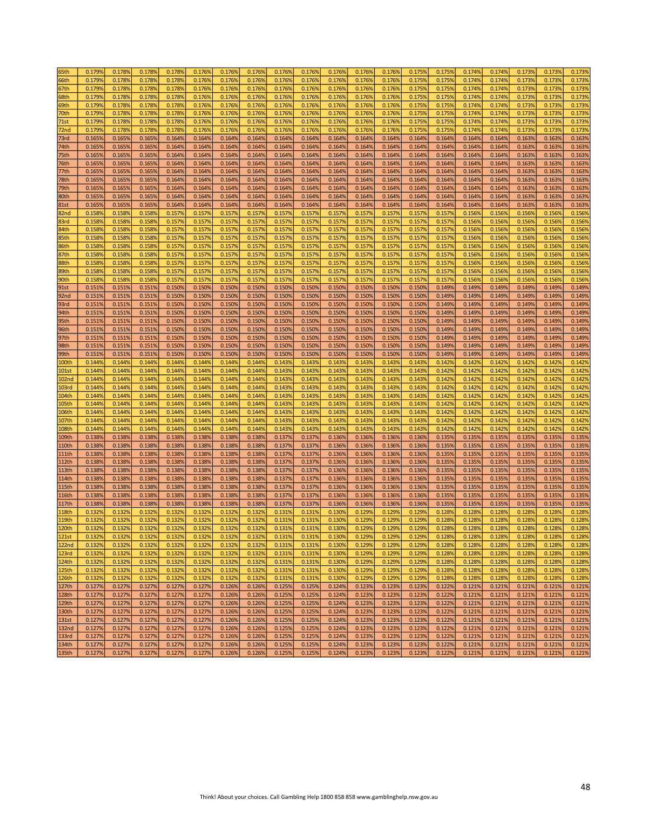| 55th              | 0.179% | 0.1789 | 0.178% | 0.178% | 0.176% | 0.176% | 0.176% | 0.176% | 0.1769 | 0.176% | 0.176% | 0.176% | 0.175% | 0.175% | 0.174% | 0.174% | 0.173% | 0.173% | 0.173% |
|-------------------|--------|--------|--------|--------|--------|--------|--------|--------|--------|--------|--------|--------|--------|--------|--------|--------|--------|--------|--------|
| 66th              | 0.1799 | 0.1789 | 0.178% | 0.178% | 0.1769 | 0.1769 | 0.1769 | 0.176% | 0.1769 | 0.1769 | 0.176% | 0.176% | 0.175% | 0.1759 | 0.1749 | 0.174% | 0.1739 | 0.1739 | 0.173% |
|                   | 0.179% | 0.1789 |        | 0.178% | 0.176% | 0.176% | 0.176% | 0.176% | 0.1769 | 0.176% |        | 0.176% | 0.175% |        | 0.1749 | 0.174% | 0.1739 |        |        |
| 57th              |        |        | 0.1789 |        |        |        |        |        |        |        | 0.176% |        |        | 0.1759 |        |        |        | 0.1739 | 0.173% |
| 58th              | 0.179% | 0.1789 | 0.178% | 0.178% | 0.1769 | 0.1769 | 0.176% | 0.176% | 0.1769 | 0.1769 | 0.176% | 0.176% | 0.1759 | 0.1759 | 0.1749 | 0.174% | 0.1739 | 0.1739 | 0.173% |
| 59th              | 0.179% | 0.1789 | 0.178% | 0.178% | 0.176% | 0.1769 | 0.176% | 0.176% | 0.1769 | 0.1769 | 0.176% | 0.176% | 0.175% | 0.1759 | 0.1749 | 0.174% | 0.173% | 0.1739 | 0.173% |
| 70th              | 0.179% | 0.1789 | 0.1789 | 0.178% | 0.1769 | 0.1769 | 0.1769 | 0.176% | 0.1769 | 0.1769 | 0.1769 | 0.176% | 0.175% | 0.1759 | 0.1749 | 0.174% | 0.173% | 0.1739 | 0.173% |
| 71st              | 0.1799 | 0.1789 | 0.1789 | 0.178% | 0.1769 | 0.1769 | 0.1769 | 0.176% | 0.1769 | 0.1769 | 0.1769 | 0.176% | 0.1759 | 0.1759 | 0.1749 | 0.174% | 0.1739 | 0.1739 | 0.173% |
| 72nd              | 0.1799 | 0.1789 | 0.1789 | 0.178% | 0.1769 | 0.1769 | 0.1769 | 0.176% | 0.1769 | 0.1769 | 0.1769 | 0.176% | 0.1759 | 0.1759 | 0.1749 | 0.174% | 0.1739 | 0.1739 | 0.173% |
| 73rd              | 0.165% | 0.1659 | 0.165% | 0.164% | 0.164% | 0.164% | 0.164% | 0.164% | 0.1649 | 0.1649 | 0.164% | 0.164% | 0.164% | 0.1649 | 0.164% | 0.164% | 0.163% | 0.1639 | 0.163% |
| 74th              | 0.165% | 0.1659 | 0.165% | 0.164% | 0.164% | 0.1649 | 0.164% | 0.164% | 0.1649 | 0.1649 | 0.1649 | 0.164% | 0.164% | 0.164% | 0.164% | 0.164% | 0.163% | 0.1639 | 0.163% |
|                   |        |        |        |        |        |        |        |        |        |        |        |        |        |        |        |        |        |        |        |
| 75th              | 0.165% | 0.1659 | 0.165% | 0.164% | 0.164% | 0.1649 | 0.164% | 0.164% | 0.1649 | 0.164% | 0.164% | 0.164% | 0.164% | 0.1649 | 0.1649 | 0.164% | 0.1639 | 0.1639 | 0.163% |
| 76th              | 0.1659 | 0.1659 | 0.1659 | 0.164% | 0.1649 | 0.1649 | 0.164% | 0.164% | 0.1649 | 0.1649 | 0.164% | 0.164% | 0.1649 | 0.1649 | 0.1649 | 0.164% | 0.1639 | 0.1639 | 0.163% |
| 77th              | 0.165% | 0.1659 | 0.165% | 0.164% | 0.1649 | 0.1649 | 0.164% | 0.164% | 0.1649 | 0.164% | 0.1649 | 0.164% | 0.1649 | 0.1649 | 0.1649 | 0.164% | 0.1639 | 0.1639 | 0.163% |
| 78th              | 0.165% | 0.1659 | 0.165% | 0.164% | 0.164% | 0.1649 | 0.164% | 0.164% | 0.1649 | 0.164% | 0.1649 | 0.164% | 0.164% | 0.164% | 0.164% | 0.164% | 0.163% | 0.1639 | 0.163% |
| 79th              | 0.1659 | 0.1659 | 0.165% | 0.164% | 0.1649 | 0.1649 | 0.164% | 0.164% | 0.1649 | 0.1649 | 0.164% | 0.164% | 0.164% | 0.1649 | 0.1649 | 0.164% | 0.163% | 0.1639 | 0.163% |
| 80th              | 0.165% | 0.1659 | 0.1659 | 0.164% | 0.1649 | 0.1649 | 0.164% | 0.164% | 0.1649 | 0.164% | 0.164% | 0.164% | 0.1649 | 0.1649 | 0.1649 | 0.164% | 0.1639 | 0.1639 | 0.163% |
| 81st              | 0.165% | 0.1659 | 0.165% | 0.164% | 0.1649 | 0.1649 | 0.164% | 0.164% | 0.1649 | 0.1649 | 0.164% | 0.164% | 0.1649 | 0.1649 | 0.1649 | 0.164% | 0.1639 | 0.1639 | 0.163% |
| 82nd              | 0.1589 | 0.1589 | 0.158% | 0.157% | 0.1579 | 0.1579 | 0.157% | 0.157% | 0.1579 | 0.1579 | 0.1579 | 0.157% | 0.1579 | 0.1579 | 0.1569 | 0.156% | 0.1569 | 0.1569 | 0.156% |
|                   |        |        |        |        |        |        |        |        |        |        |        |        |        |        |        |        |        |        |        |
| 83rd              | 0.1589 | 0.1589 | 0.1589 | 0.157% | 0.1579 | 0.1579 | 0.1579 | 0.157% | 0.1579 | 0.1579 | 0.1579 | 0.157% | 0.1579 | 0.1579 | 0.1569 | 0.1569 | 0.1569 | 0.1569 | 0.156% |
| 84th              | 0.1589 | 0.1589 | 0.1589 | 0.157% | 0.1579 | 0.1579 | 0.1579 | 0.157% | 0.1579 | 0.1579 | 0.157% | 0.157% | 0.1579 | 0.1579 | 0.1569 | 0.1569 | 0.1569 | 0.1569 | 0.156% |
| 35th              | 0.1589 | 0.1589 | 0.1589 | 0.157% | 0.1579 | 0.1579 | 0.1579 | 0.157% | 0.1579 | 0.1579 | 0.1579 | 0.157% | 0.1579 | 0.1579 | 0.1569 | 0.1569 | 0.1569 | 0.1569 | 0.156% |
| 86th              | 0.1589 | 0.1589 | 0.1589 | 0.157% | 0.1579 | 0.1579 | 0.157% | 0.1579 | 0.1579 | 0.1579 | 0.157% | 0.157% | 0.1579 | 0.1579 | 0.1569 | 0.1569 | 0.1569 | 0.1569 | 0.156% |
| 87th              | 0.158% | 0.1589 | 0.1589 | 0.157% | 0.1579 | 0.1579 | 0.1579 | 0.157% | 0.1579 | 0.157% | 0.157% | 0.157% | 0.1579 | 0.1579 | 0.1569 | 0.1569 | 0.1569 | 0.1569 | 0.156% |
| 88th              | 0.1589 | 0.1589 | 0.158% | 0.157% | 0.1579 | 0.1579 | 0.1579 | 0.157% | 0.1579 | 0.157% | 0.157% | 0.157% | 0.1579 | 0.1579 | 0.1569 | 0.1569 | 0.1569 | 0.1569 | 0.156% |
| 89th              | 0.1589 | 0.1589 | 0.1589 | 0.157% | 0.1579 | 0.1579 | 0.1579 | 0.157% | 0.1579 | 0.1579 | 0.1579 | 0.157% | 0.1579 | 0.1579 | 0.1569 | 0.1569 | 0.1569 | 0.1569 | 0.156% |
| 90th              | 0.158% | 0.1589 | 0.158% | 0.157% | 0.1579 | 0.157% | 0.157% | 0.157% | 0.1579 | 0.157% | 0.1579 | 0.157% | 0.1579 | 0.1579 | 0.1569 | 0.156% | 0.1569 | 0.1569 | 0.156% |
|                   |        |        |        |        |        |        |        |        |        |        |        |        |        |        |        |        |        |        |        |
| 91st              | 0.151% | 0.1519 | 0.151% | 0.150% | 0.150% | 0.1509 | 0.150% | 0.150% | 0.1509 | 0.150% | 0.150% | 0.150% | 0.1509 | 0.1499 | 0.1499 | 0.149% | 0.149% | 0.149% | 0.149% |
| 92nd              | 0.151% | 0.1519 | 0.151% | 0.150% | 0.1509 | 0.1509 | 0.150% | 0.150% | 0.1509 | 0.1509 | 0.150% | 0.150% | 0.1509 | 0.1499 | 0.1499 | 0.149% | 0.1499 | 0.1499 | 0.149% |
| 93rd              | 0.151% | 0.1519 | 0.151% | 0.150% | 0.1509 | 0.1509 | 0.150% | 0.150% | 0.1509 | 0.150% | 0.150% | 0.150% | 0.1509 | 0.1499 | 0.1499 | 0.149% | 0.1499 | 0.1499 | 0.149% |
| 94th              | 0.151% | 0.1519 | 0.151% | 0.1509 | 0.1509 | 0.1509 | 0.1509 | 0.1509 | 0.1509 | 0.1509 | 0.1509 | 0.150% | 0.1509 | 0.1499 | 0.1499 | 0.149% | 0.1499 | 0.1499 | 0.149% |
| 95th              | 0.151% | 0.1519 | 0.151% | 0.150% | 0.1509 | 0.1509 | 0.150% | 0.150% | 0.1509 | 0.1509 | 0.1509 | 0.150% | 0.150% | 0.1499 | 0.1499 | 0.149% | 0.1499 | 0.1499 | 0.149% |
| 96th              | 0.151% | 0.1519 | 0.151% | 0.150% | 0.1509 | 0.1509 | 0.150% | 0.150% | 0.1509 | 0.1509 | 0.1509 | 0.150% | 0.150% | 0.1499 | 0.1499 | 0.149% | 0.1499 | 0.1499 | 0.149% |
| 97th              | 0.151% | 0.1519 | 0.151% | 0.150% | 0.1509 | 0.1509 | 0.150% | 0.150% | 0.1509 | 0.1509 | 0.1509 | 0.150% | 0.1509 | 0.1499 | 0.1499 | 0.149% | 0.1499 | 0.1499 | 0.149% |
| 98th              | 0.151% | 0.1519 | 0.151% | 0.150% | 0.1509 | 0.1509 | 0.150% | 0.150% | 0.1509 | 0.1509 | 0.1509 | 0.150% | 0.1509 | 0.1499 | 0.1499 | 0.149% | 0.1499 | 0.1499 | 0.149% |
| 99th              | 0.151% | 0.1519 | 0.151% | 0.150% | 0.1509 | 0.1509 | 0.150% | 0.150% | 0.1509 | 0.1509 | 0.150% | 0.150% | 0.150% | 0.1499 | 0.1499 | 0.149% | 0.1499 | 0.1499 | 0.149% |
| LOOth             | 0.144% | 0.1449 | 0.144% | 0.144% | 0.1449 | 0.1449 | 0.1449 | 0.143% | 0.1439 | 0.1439 | 0.1439 | 0.143% | 0.1439 | 0.1429 | 0.1429 | 0.142% | 0.1429 | 0.1429 | 0.142% |
| LO1st             | 0.144% | 0.144% | 0.144% | 0.144% | 0.144% | 0.144% | 0.1449 | 0.143% | 0.1439 | 0.1439 | 0.1439 | 0.143% | 0.1439 | 0.1429 | 0.1429 | 0.142% | 0.142% | 0.1429 | 0.142% |
|                   |        | 0.1449 |        |        |        |        |        |        |        |        |        |        |        |        |        |        |        |        |        |
| 102 <sub>nd</sub> | 0.1449 |        | 0.144% | 0.144% | 0.1449 | 0.1449 | 0.1449 | 0.1439 | 0.1439 | 0.1439 | 0.1439 | 0.143% | 0.1439 | 0.1429 | 0.1429 | 0.1429 | 0.1429 | 0.1429 | 0.142% |
| .03rd             | 0.144% | 0.1449 | 0.144% | 0.144% | 0.144% | 0.144% | 0.144% | 0.143% | 0.1439 | 0.143% | 0.1439 | 0.143% | 0.1439 | 0.1429 | 0.1429 | 0.142% | 0.1429 | 0.1429 | 0.142% |
| 104th             | 0.144% | 0.1449 | 0.144% | 0.144% | 0.144% | 0.1449 | 0.1449 | 0.143% | 0.1439 | 0.143% | 0.1439 | 0.143% | 0.1439 | 0.1429 | 0.1429 | 0.142% | 0.1429 | 0.142% | 0.142% |
| LO5th             | 0.1449 | 0.1449 | 0.144% | 0.144% | 0.1449 | 0.1449 | 0.144% | 0.143% | 0.1439 | 0.1439 | 0.1439 | 0.143% | 0.1439 | 0.1429 | 0.1429 | 0.142% | 0.1429 | 0.1429 | 0.142% |
| LO6th             | 0.144% | 0.1449 | 0.144% | 0.144% | 0.144% | 0.1449 | 0.1449 | 0.143% | 0.1439 | 0.143% | 0.143% | 0.143% | 0.1439 | 0.1429 | 0.1429 | 0.142% | 0.1429 | 0.1429 | 0.142% |
| 107th             | 0.144% | 0.1449 | 0.144% | 0.144% | 0.1449 | 0.1449 | 0.1449 | 0.1439 | 0.1439 | 0.1439 | 0.1439 | 0.143% | 0.1439 | 0.1429 | 0.1429 | 0.142% | 0.1429 | 0.1429 | 0.142% |
| .08th             | 0.1449 | 0.1449 | 0.144% | 0.144% | 0.1449 | 0.1449 | 0.144% | 0.143% | 0.1439 | 0.1439 | 0.1439 | 0.143% | 0.1439 | 0.1429 | 0.1429 | 0.142% | 0.1429 | 0.1429 | 0.142% |
| 109th             | 0.138% | 0.1389 | 0.1389 | 0.138% | 0.1389 | 0.1389 | 0.1389 | 0.137% | 0.1379 | 0.136% | 0.1369 | 0.136% | 0.1369 | 0.1359 | 0.1359 | 0.135% | 0.1359 | 0.1359 | 0.135% |
| 110th             | 0.138% | 0.1389 | 0.138% | 0.1389 | 0.1389 | 0.1389 | 0.1389 | 0.137% | 0.1379 | 0.136% | 0.1369 | 0.136% | 0.1369 | 0.1359 | 0.135% | 0.135% | 0.1359 | 0.1359 | 0.135% |
|                   |        |        |        |        |        |        |        |        |        |        |        |        |        |        |        |        |        |        |        |
| 111th             | 0.1389 | 0.1389 | 0.1389 | 0.1389 | 0.1389 | 0.1389 | 0.1389 | 0.137% | 0.1379 | 0.1369 | 0.1369 | 0.136% | 0.1369 | 0.1359 | 0.1359 | 0.135% | 0.1359 | 0.1359 | 0.135% |
| 112th             | 0.138% | 0.1389 | 0.138% | 0.138% | 0.1389 | 0.1389 | 0.138% | 0.137% | 0.1379 | 0.1369 | 0.136% | 0.136% | 0.1369 | 0.1359 | 0.1359 | 0.135% | 0.1359 | 0.1359 | 0.135% |
| 113th             | 0.138% | 0.1389 | 0.138% | 0.138% | 0.1389 | 0.1389 | 0.1389 | 0.137% | 0.1379 | 0.136% | 0.1369 | 0.136% | 0.1369 | 0.135% | 0.135% | 0.135% | 0.1359 | 0.1359 | 0.135% |
| 14th              | 0.138% | 0.1389 | 0.138% | 0.138% | 0.1389 | 0.1389 | 0.138% | 0.137% | 0.1379 | 0.136% | 0.136% | 0.136% | 0.1369 | 0.1359 | 0.1359 | 0.135% | 0.135% | 0.1359 | 0.135% |
| 115th             | 0.1389 | 0.1389 | 0.1389 | 0.1389 | 0.1389 | 0.1389 | 0.1389 | 0.137% | 0.1379 | 0.1369 | 0.1369 | 0.136% | 0.1369 | 0.1359 | 0.1359 | 0.135% | 0.1359 | 0.1359 | 0.135% |
| 16th              | 0.138% | 0.1389 | 0.1389 | 0.138% | 0.1389 | 0.1389 | 0.1389 | 0.137% | 0.1379 | 0.1369 | 0.1369 | 0.136% | 0.1369 | 0.1359 | 0.1359 | 0.135% | 0.1359 | 0.1359 | 0.135% |
| L17th             | 0.138% | 0.1389 | 0.138% | 0.138% | 0.138% | 0.1389 | 0.138% | 0.137% | 0.1379 | 0.136% | 0.136% | 0.136% | 0.136% | 0.135% | 0.1359 | 0.135% | 0.135% | 0.135% | 0.135% |
| 18th              | 0.1329 | 0.1329 | 0.1329 | 0.132% | 0.1329 | 0.1329 | 0.1329 | 0.131% | 0.1319 | 0.1309 | 0.1299 | 0.129% | 0.1299 | 0.1289 | 0.1289 | 0.1289 | 0.1289 | 0.1289 | 0.1289 |
| 19th              | 0.132% | 0.1329 | 0.1329 | 0.1329 | 0.1329 | 0.1329 | 0.1329 | 0.131% | 0.1319 | 0.1309 | 0.1299 | 0.129% | 0.1299 | 0.1289 | 0.1289 | 0.1289 | 0.1289 | 0.1289 | 0.128% |
| 120th             | 0.1329 | 0.1329 | 0.1329 | 0.1329 | 0.1329 | 0.1329 | 0.1329 | 0.1319 | 0.1319 | 0.1309 | 0.1299 | 0.129% | 0.1299 | 0.1289 | 0.1289 | 0.1289 | 0.1289 | 0.1289 | 0.1289 |
|                   | 0.132% | 0.1329 | 0.132% | 0.132% | 0.132% | 0.132% | 0.132% | 0.131% | 0.1319 | 0.1309 | 0.1299 | 0.129% |        | 0.1289 | 0.1289 | 0.128% | 0.1289 | 0.1289 | 0.128% |
| 121st             |        |        |        |        |        |        |        |        |        |        |        |        | 0.129% |        |        |        |        |        |        |
| 122 <sub>nd</sub> | 0.132% | 0.132% | 0.132% | 0.132% | 0.132% | 0.132% | 0.132% | 0.131% | 0.131% | 0.130% | 0.129% | 0.129% | 0.129% | 0.128% | 0.128% | 0.128% | 0.128% | 0.128% | 0.128% |
| 123rd             | 0.132% | 0.132% | 0.132% | 0.132% | 0.132% | 0.132% | 0.132% | 0.131% | 0.131% | 0.130% | 0.129% | 0.129% | 0.129% | 0.128% | 0.128% | 0.128% | 0.128% | 0.128% | 0.128% |
| 124th             | 0.132% | 0.132% | 0.132% | 0.132% | 0.132% | 0.132% | 0.132% | 0.131% | 0.131% | 0.130% | 0.129% | 0.129% | 0.129% | 0.128% | 0.128% | 0.128% | 0.1289 | 0.128% | 0.128% |
| <b>125th</b>      | 0.132% | 0.132% | 0.132% | 0.132% | 0.132% | 0.132% | 0.132% | 0.131% | 0.131% | 0.130% | 0.129% | 0.129% | 0.129% | 0.128% | 0.128% | 0.128% | 0.128% | 0.128% | 0.128% |
| 126th             | 0.132% | 0.132% | 0.132% | 0.132% | 0.132% | 0.132% | 0.132% | 0.131% | 0.1319 | 0.130% | 0.129% | 0.129% | 0.129% | 0.128% | 0.128% | 0.128% | 0.128% | 0.128% | 0.128% |
| 127th             | 0.127% | 0.127% | 0.127% | 0.127% | 0.127% | 0.126% | 0.126% | 0.125% | 0.125% | 0.124% | 0.123% | 0.123% | 0.123% | 0.122% | 0.121% | 0.121% | 0.121% | 0.121% | 0.121% |
| <b>128th</b>      | 0.127% | 0.127% | 0.127% | 0.127% | 0.127% | 0.126% | 0.126% | 0.125% | 0.1259 | 0.124% | 0.123% | 0.123% | 0.123% | 0.122% | 0.121% | 0.121% | 0.121% | 0.121% | 0.121% |
| 129th             | 0.127% | 0.127% | 0.127% | 0.127% | 0.127% | 0.126% | 0.126% | 0.125% | 0.1259 | 0.124% | 0.123% | 0.123% | 0.123% | 0.122% | 0.121% | 0.121% | 0.121% | 0.121% | 0.121% |
| 130th             | 0.127% | 0.127% | 0.127% | 0.127% | 0.127% | 0.126% | 0.126% | 0.125% | 0.125% | 0.124% | 0.123% | 0.123% | 0.123% | 0.122% | 0.121% | 0.121% | 0.121% | 0.121% | 0.121% |
| <b>131st</b>      | 0.127% | 0.127% | 0.127% | 0.127% | 0.127% | 0.126% | 0.126% | 0.125% | 0.125% | 0.124% | 0.123% | 0.123% | 0.123% | 0.122% | 0.121% | 0.121% | 0.121% | 0.121% | 0.121% |
|                   |        |        |        |        |        |        |        |        |        |        | 0.123% | 0.123% | 0.123% |        | 0.121% | 0.121% |        |        |        |
| <b>132nd</b>      | 0.127% | 0.127% | 0.127% | 0.127% | 0.127% | 0.126% | 0.126% | 0.125% | 0.125% | 0.124% |        |        |        | 0.122% |        |        | 0.121% | 0.121% | 0.121% |
| 133rd             | 0.127% | 0.127% | 0.127% | 0.127% | 0.127% | 0.126% | 0.126% | 0.125% | 0.1259 | 0.124% | 0.123% | 0.123% | 0.123% | 0.122% | 0.121% | 0.121% | 0.121% | 0.121% | 0.121% |
| 134th             | 0.127% | 0.127% | 0.127% | 0.127% | 0.127% | 0.126% | 0.126% | 0.125% | 0.125% | 0.124% | 0.123% | 0.123% | 0.123% | 0.122% | 0.121% | 0.121% | 0.121% | 0.121% | 0.121% |
| 135 <sub>th</sub> | 0.127% | 0.127% | 0.127% | 0.127% | 0.127% | 0.126% | 0.126% | 0.125% | 0.125% | 0.124% | 0.123% | 0.123% | 0.123% | 0.122% | 0.121% | 0.121% | 0.121% | 0.121% | 0.121% |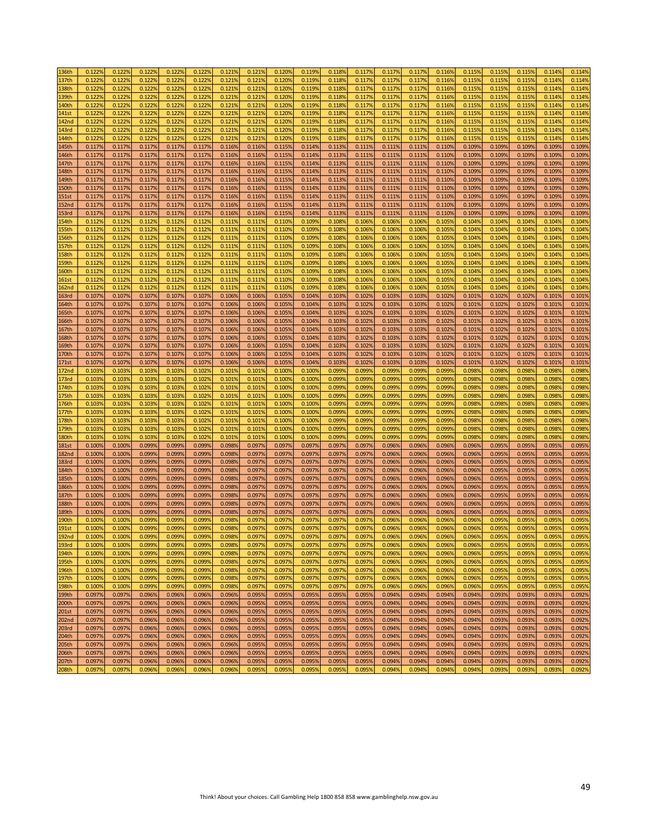| 136th             | 0.122% | 0.122% | 0.122% | 0.122% | 0.122% | 0.121% | 0.121% | 0.120% | 0.119% | 0.118% | 0.117% | 0.117% | 0.117% | 0.116% | 0.115% | 0.115% | 0.115% | 0.114% | 0.114% |
|-------------------|--------|--------|--------|--------|--------|--------|--------|--------|--------|--------|--------|--------|--------|--------|--------|--------|--------|--------|--------|
|                   |        |        |        |        |        |        |        |        |        |        |        |        |        |        |        |        |        |        |        |
| 137th             | 0.122% | 0.122% | 0.122% | 0.122% | 0.1229 | 0.1219 | 0.121% | 0.120% | 0.1199 | 0.1189 | 0.117% | 0.117% | 0.117% | 0.1169 | 0.1159 | 0.115% | 0.1159 | 0.114% | 0.114% |
| 138th             | 0.122% | 0.122% | 0.122% | 0.1229 | 0.1229 | 0.1219 | 0.121% | 0.120% | 0.119% | 0.118% | 0.117% | 0.117% | 0.117% | 0.116% | 0.1159 | 0.115% | 0.1159 | 0.114% | 0.114% |
| 139th             | 0.122% | 0.122% | 0.122% | 0.1229 | 0.1229 | 0.1219 | 0.121% | 0.120% | 0.1199 | 0.1189 | 0.1179 | 0.117% | 0.1179 | 0.116% | 0.115% | 0.115% | 0.1159 | 0.114% | 0.114% |
|                   |        |        |        |        |        |        |        |        |        |        |        |        |        |        |        |        |        |        |        |
| 140th             | 0.1229 | 0.122% | 0.122% | 0.122% | 0.1229 | 0.1219 | 0.121% | 0.120% | 0.1199 | 0.1189 | 0.1179 | 0.117% | 0.117% | 0.116% | 0.1159 | 0.115% | 0.115% | 0.1149 | 0.114% |
| 141st             | 0.122% | 0.122% | 0.122% | 0.1229 | 0.1229 | 0.1219 | 0.121% | 0.120% | 0.1199 | 0.1189 | 0.1179 | 0.117% | 0.117% | 0.116% | 0.1159 | 0.115% | 0.115% | 0.114% | 0.114% |
| 142nd             | 0.1229 | 0.1229 | 0.1229 | 0.1229 | 0.1229 | 0.1219 | 0.121% | 0.120% | 0.1199 | 0.1189 | 0.1179 | 0.117% | 0.1179 | 0.1169 | 0.1159 | 0.115% | 0.1159 | 0.1149 | 0.114% |
|                   |        |        |        |        |        |        |        |        |        |        |        |        |        |        |        |        |        |        |        |
| 143rd             | 0.1229 | 0.1229 | 0.1229 | 0.1229 | 0.1229 | 0.1219 | 0.121% | 0.120% | 0.1199 | 0.1189 | 0.1179 | 0.117% | 0.1179 | 0.1169 | 0.1159 | 0.115% | 0.1159 | 0.1149 | 0.114% |
| 144th             | 0.122% | 0.122% | 0.122% | 0.1229 | 0.1229 | 0.1219 | 0.121% | 0.120% | 0.1199 | 0.1189 | 0.117% | 0.117% | 0.1179 | 0.116% | 0.1159 | 0.115% | 0.1159 | 0.1149 | 0.114% |
| 145th             | 0.117% | 0.117% | 0.117% | 0.117% | 0.117% | 0.1169 | 0.116% | 0.115% | 0.114% | 0.113% | 0.111% | 0.111% | 0.1119 | 0.110% | 0.1099 | 0.109% | 0.109% | 0.1099 | 0.109% |
|                   |        | 0.117% | 0.117% | 0.117% | 0.117% | 0.1169 |        | 0.115% | 0.114% | 0.113% | 0.111% | 0.111% | 0.111% | 0.110% | 0.1099 | 0.109% | 0.1099 | 0.1099 | 0.109% |
| 146th             | 0.117% |        |        |        |        |        | 0.116% |        |        |        |        |        |        |        |        |        |        |        |        |
| 147th             | 0.117% | 0.117% | 0.117% | 0.1179 | 0.1179 | 0.1169 | 0.1169 | 0.115% | 0.1149 | 0.1139 | 0.111% | 0.111% | 0.1119 | 0.1109 | 0.1099 | 0.109% | 0.1099 | 0.1099 | 0.109% |
| .48th             | 0.117% | 0.117% | 0.117% | 0.1179 | 0.1179 | 0.1169 | 0.116% | 0.115% | 0.114% | 0.113% | 0.111% | 0.111% | 0.1119 | 0.110% | 0.1099 | 0.109% | 0.109% | 0.1099 | 0.109% |
| 149th             | 0.117% | 0.117% | 0.117% | 0.117% | 0.1179 | 0.1169 | 0.116% | 0.115% | 0.114% | 0.113% | 0.111% | 0.111% | 0.111% | 0.110% | 0.1099 | 0.109% | 0.1099 | 0.1099 | 0.109% |
|                   |        |        |        |        |        |        |        |        |        |        |        |        |        |        |        |        |        |        |        |
| 150th             | 0.117% | 0.117% | 0.117% | 0.117% | 0.1179 | 0.1169 | 0.116% | 0.115% | 0.114% | 0.113% | 0.111% | 0.111% | 0.111% | 0.110% | 0.1099 | 0.109% | 0.1099 | 0.1099 | 0.109% |
| 151st             | 0.117% | 0.117% | 0.117% | 0.1179 | 0.1179 | 0.1169 | 0.1169 | 0.115% | 0.114% | 0.113% | 0.111% | 0.111% | 0.111% | 0.110% | 0.1099 | 0.109% | 0.1099 | 0.1099 | 0.109% |
| 152nd             | 0.117% | 0.117% | 0.117% | 0.1179 | 0.1179 | 0.1169 | 0.1169 | 0.115% | 0.114% | 0.113% | 0.111% | 0.111% | 0.1119 | 0.110% | 0.1099 | 0.109% | 0.1099 | 0.1099 | 0.109% |
|                   |        |        |        |        |        |        |        |        |        |        |        |        |        |        |        |        |        |        |        |
| 153rd             | 0.117% | 0.117% | 0.117% | 0.117% | 0.1179 | 0.1169 | 0.116% | 0.115% | 0.114% | 0.113% | 0.111% | 0.111% | 0.111% | 0.110% | 0.1099 | 0.109% | 0.109% | 0.1099 | 0.109% |
| 154th             | 0.112% | 0.1129 | 0.112% | 0.1129 | 0.1129 | 0.1119 | 0.111% | 0.110% | 0.1099 | 0.1089 | 0.1069 | 0.1069 | 0.1069 | 0.1059 | 0.1049 | 0.104% | 0.1049 | 0.1049 | 0.104% |
| 155th             | 0.112% | 0.112% | 0.112% | 0.1129 | 0.1129 | 0.1119 | 0.111% | 0.110% | 0.1099 | 0.1089 | 0.1069 | 0.1069 | 0.1069 | 0.1059 | 0.1049 | 0.104% | 0.1049 | 0.1049 | 0.104% |
|                   |        |        |        |        |        |        | 0.111% |        | 0.1099 |        |        |        |        |        |        |        |        |        | 0.104% |
| 156th             | 0.112% | 0.112% | 0.112% | 0.1129 | 0.1129 | 0.1119 |        | 0.110% |        | 0.1089 | 0.1069 | 0.106% | 0.1069 | 0.1059 | 0.1049 | 0.104% | 0.1049 | 0.1049 |        |
| 157th             | 0.112% | 0.112% | 0.112% | 0.1129 | 0.1129 | 0.1119 | 0.111% | 0.110% | 0.1099 | 0.1089 | 0.1069 | 0.106% | 0.1069 | 0.1059 | 0.1049 | 0.104% | 0.1049 | 0.1049 | 0.104% |
| 158th             | 0.112% | 0.112% | 0.112% | 0.1129 | 0.1129 | 0.1119 | 0.111% | 0.110% | 0.1099 | 0.1089 | 0.1069 | 0.1069 | 0.1069 | 0.1059 | 0.1049 | 0.104% | 0.1049 | 0.1049 | 0.104% |
| 159th             | 0.112% | 0.112% | 0.112% | 0.1129 | 0.1129 | 0.1119 | 0.111% | 0.110% | 0.1099 | 0.1089 | 0.1069 | 0.106% | 0.1069 | 0.1059 | 0.1049 | 0.104% | 0.1049 | 0.1049 | 0.104% |
|                   |        |        |        |        |        |        |        |        |        |        |        |        |        |        |        |        |        |        |        |
| 160th             | 0.1129 | 0.1129 | 0.1129 | 0.1129 | 0.1129 | 0.1119 | 0.1119 | 0.1109 | 0.1099 | 0.1089 | 0.1069 | 0.1069 | 0.1069 | 0.1059 | 0.1049 | 0.1049 | 0.1049 | 0.1049 | 0.104% |
| 161st             | 0.112% | 0.112% | 0.112% | 0.1129 | 0.1129 | 0.1119 | 0.111% | 0.110% | 0.1099 | 0.1089 | 0.1069 | 0.106% | 0.1069 | 0.1059 | 0.1049 | 0.104% | 0.1049 | 0.1049 | 0.104% |
| 162 <sub>nd</sub> | 0.112% | 0.1129 | 0.112% | 0.1129 | 0.1129 | 0.1119 | 0.111% | 0.110% | 0.1099 | 0.1089 | 0.1069 | 0.106% | 0.1069 | 0.1059 | 0.1049 | 0.104% | 0.1049 | 0.104% | 0.104% |
| 163rd             | 0.107% | 0.107% | 0.107% | 0.1079 | 0.1079 | 0.1069 | 0.1069 | 0.105% | 0.1049 | 0.1039 | 0.102% | 0.103% | 0.1039 | 0.1029 | 0.1019 | 0.102% | 0.102% | 0.1019 | 0.101% |
|                   |        |        |        |        |        |        |        |        |        |        |        |        |        |        |        |        |        |        |        |
| 164th             | 0.107% | 0.1079 | 0.1079 | 0.1079 | 0.1079 | 0.1069 | 0.1069 | 0.105% | 0.1049 | 0.1039 | 0.1029 | 0.103% | 0.1039 | 0.1029 | 0.1019 | 0.102% | 0.1029 | 0.1019 | 0.101% |
| 165th             | 0.1079 | 0.1079 | 0.1079 | 0.1079 | 0.1079 | 0.1069 | 0.1069 | 0.105% | 0.1049 | 0.1039 | 0.1029 | 0.103% | 0.1039 | 0.1029 | 0.1019 | 0.102% | 0.1029 | 0.1019 | 0.101% |
| 166th             | 0.1079 | 0.1079 | 0.107% | 0.1079 | 0.1079 | 0.1069 | 0.106% | 0.105% | 0.1049 | 0.103% | 0.102% | 0.103% | 0.1039 | 0.1029 | 0.1019 | 0.102% | 0.102% | 0.1019 | 0.101% |
| 167th             | 0.107% | 0.1079 | 0.107% | 0.1079 | 0.1079 | 0.1069 | 0.106% | 0.105% | 0.1049 | 0.103% | 0.1029 | 0.103% | 0.1039 | 0.1029 | 0.1019 | 0.102% | 0.102% | 0.101% | 0.101% |
|                   |        |        |        |        |        |        |        |        |        |        |        |        |        |        |        |        |        |        |        |
| 168th             | 0.107% | 0.1079 | 0.107% | 0.1079 | 0.1079 | 0.1069 | 0.1069 | 0.105% | 0.1049 | 0.1039 | 0.1029 | 0.103% | 0.1039 | 0.1029 | 0.1019 | 0.102% | 0.102% | 0.1019 | 0.101% |
| 169th             | 0.1079 | 0.1079 | 0.107% | 0.1079 | 0.1079 | 0.1069 | 0.106% | 0.105% | 0.1049 | 0.1039 | 0.1029 | 0.103% | 0.1039 | 0.1029 | 0.1019 | 0.102% | 0.1029 | 0.1019 | 0.101% |
| 170th             | 0.107% | 0.107% | 0.107% | 0.1079 | 0.1079 | 0.1069 | 0.106% | 0.105% | 0.1049 | 0.103% | 0.102% | 0.103% | 0.1039 | 0.1029 | 0.1019 | 0.102% | 0.102% | 0.1019 | 0.101% |
| 171st             | 0.107% | 0.1079 | 0.107% | 0.1079 | 0.1079 | 0.1069 | 0.106% | 0.105% | 0.1049 | 0.103% | 0.1029 | 0.103% | 0.1039 | 0.1029 | 0.1019 | 0.102% | 0.102% | 0.1019 | 0.101% |
| 172 <sub>nd</sub> |        | 0.1039 | 0.1039 | 0.1039 | 0.1029 | 0.1019 |        | 0.100% | 0.1009 | 0.0999 | 0.0999 | 0.099% | 0.0999 | 0.0999 | 0.0989 | 0.098% |        |        | 0.098% |
|                   | 0.1039 |        |        |        |        |        | 0.101% |        |        |        |        |        |        |        |        |        | 0.0989 | 0.0989 |        |
| 173rd             | 0.1039 | 0.1039 | 0.1039 | 0.1039 | 0.1029 | 0.1019 | 0.1019 | 0.100% | 0.1009 | 0.0999 | 0.0999 | 0.099% | 0.0999 | 0.0999 | 0.0989 | 0.0989 | 0.0989 | 0.0989 | 0.098% |
| 174th             | 0.1039 | 0.1039 | 0.1039 | 0.1039 | 0.1029 | 0.1019 | 0.101% | 0.100% | 0.1009 | 0.0999 | 0.0999 | 0.099% | 0.0999 | 0.0999 | 0.0989 | 0.098% | 0.0989 | 0.0989 | 0.098% |
| 175th             | 0.1039 | 0.1039 | 0.1039 | 0.1039 | 0.1029 | 0.1019 | 0.101% | 0.100% | 0.1009 | 0.0999 | 0.0999 | 0.0999 | 0.0999 | 0.0999 | 0.0989 | 0.0989 | 0.0989 | 0.0989 | 0.098% |
| 176th             | 0.1039 | 0.1039 | 0.103% | 0.1039 | 0.1029 | 0.1019 | 0.1019 | 0.100% | 0.1009 | 0.0999 | 0.0999 | 0.099% | 0.0999 | 0.0999 |        | 0.098% | 0.0989 | 0.0989 |        |
|                   |        |        |        |        |        |        |        |        |        |        |        |        |        |        | 0.0989 |        |        |        | 0.0989 |
| 177th             | 0.1039 | 0.1039 | 0.1039 | 0.1039 | 0.1029 | 0.1019 | 0.1019 | 0.100% | 0.1009 | 0.0999 | 0.0999 | 0.0999 | 0.0999 | 0.0999 | 0.0989 | 0.0989 | 0.0989 | 0.0989 | 0.098% |
| 178th             | 0.1039 | 0.1039 | 0.1039 | 0.1039 | 0.1029 | 0.1019 | 0.1019 | 0.100% | 0.1009 | 0.0999 | 0.0999 | 0.0999 | 0.0999 | 0.0999 | 0.0989 | 0.0989 | 0.0989 | 0.0989 | 0.0989 |
| 179th             | 0.1039 | 0.1039 | 0.103% | 0.1039 | 0.1029 | 0.1019 | 0.101% | 0.100% | 0.1009 | 0.0999 | 0.0999 | 0.099% | 0.0999 | 0.0999 | 0.0989 | 0.098% | 0.0989 | 0.0989 | 0.098% |
| 180th             | 0.1039 | 0.1039 | 0.1039 | 0.1039 | 0.1029 | 0.1019 | 0.1019 | 0.100% | 0.1009 | 0.0999 | 0.0999 | 0.0999 | 0.099  | 0.0999 | 0.0989 | 0.0989 | 0.0989 | 0.0989 | 0.098% |
|                   |        |        |        |        |        |        |        |        |        |        |        |        |        |        |        |        |        |        |        |
| 181st             | 0.1009 | 0.1009 | 0.099% | 0.0999 | 0.0999 | 0.0989 | 0.097% | 0.097% | 0.0979 | 0.0979 | 0.0979 | 0.096% | 0.0969 | 0.0969 | 0.0969 | 0.095% | 0.0959 | 0.0959 | 0.095% |
| 182nd             | 0.1009 | 0.1009 | 0.099% | 0.0999 | 0.0999 | 0.0989 | 0.097% | 0.097% | 0.0979 | 0.0979 | 0.0979 | 0.096% | 0.0969 | 0.0969 | 0.0969 | 0.095% | 0.0959 | 0.0959 | 0.095% |
| 183rd             | 0.1009 | 0.1009 | 0.099% | 0.0999 | 0.0999 | 0.0989 | 0.097% | 0.097% | 0.0979 | 0.0979 | 0.0979 | 0.096% | 0.0969 | 0.0969 | 0.0969 | 0.095% | 0.0959 | 0.0959 | 0.095% |
|                   |        |        |        |        |        |        |        |        |        |        |        |        |        |        |        |        |        |        |        |
| 184th             | 0.100% | 0.1009 | 0.099% | 0.0999 | 0.0999 | 0.0989 | 0.097% | 0.097% | 0.0979 | 0.097% | 0.0979 | 0.096% | 0.0969 | 0.0969 | 0.0969 | 0.095% | 0.0959 | 0.0959 | 0.095% |
| 185th             | 0.100% | 0.1009 | 0.099% | 0.0999 | 0.0999 | 0.0989 | 0.097% | 0.097% | 0.0979 | 0.097% | 0.0979 | 0.096% | 0.0969 | 0.096% | 0.0969 | 0.095% | 0.095% | 0.0959 | 0.095% |
| 186th             | 0.1009 | 0.1009 | 0.0999 | 0.0999 | 0.0999 | 0.0989 | 0.0979 | 0.097% | 0.0979 | 0.0979 | 0.0979 | 0.096% | 0.0969 | 0.0969 | 0.0969 | 0.095% | 0.0959 | 0.0959 | 0.095% |
| 187th             | 0.1009 | 0.1009 | 0.0999 | 0.0999 | 0.0999 | 0.0989 | 0.097% | 0.097% | 0.0979 | 0.0979 | 0.0979 | 0.096% | 0.0969 | 0.0969 | 0.0969 | 0.095% | 0.0959 | 0.0959 | 0.095% |
|                   |        |        |        |        |        |        |        |        |        |        |        |        |        |        |        |        |        |        |        |
| 188th             | 0.1009 | 0.1009 | 0.099% | 0.0999 | 0.0999 | 0.0989 | 0.097% | 0.097% | 0.0979 | 0.097% | 0.0979 | 0.096% | 0.0969 | 0.0969 | 0.0969 | 0.095% | 0.095% | 0.0959 | 0.095% |
| 189th             | 0.1009 | 0.1009 | 0.099% | 0.0999 | 0.0999 | 0.0989 | 0.097% | 0.097% | 0.0979 | 0.0979 | 0.0979 | 0.096% | 0.0969 | 0.0969 | 0.0969 | 0.095% | 0.095% | 0.0959 | 0.095% |
| 190th             | 0.1009 | 0.1009 | 0.0999 | 0.0999 | 0.0999 | 0.0989 | 0.0979 | 0.097% | 0.0979 | 0.0979 | 0.0979 | 0.0969 | 0.0969 | 0.0969 | 0.0969 | 0.0959 | 0.0959 | 0.0959 | 0.095% |
| 191st             | 0.1009 | 0.1009 | 0.0999 | 0.0999 | 0.0999 | 0.0989 | 0.0979 | 0.0979 | 0.0979 | 0.0979 | 0.0979 | 0.0969 | 0.0969 | 0.0969 | 0.0969 | 0.0959 | 0.095  | 0.0959 | 0.0959 |
| 192nd             | 0.100% | 0.1009 | 0.099% | 0.0999 | 0.0999 | 0.0989 | 0.097% | 0.097% | 0.0979 | 0.0979 | 0.0979 | 0.096% | 0.0969 | 0.0969 | 0.0969 | 0.095% | 0.0959 | 0.0959 | 0.095% |
|                   |        |        |        |        |        |        |        |        |        |        |        |        |        |        |        |        |        |        |        |
| 193rd             | 0.100% | 0.100% | 0.099% | 0.099% | 0.099% | 0.098% | 0.097% | 0.097% | 0.097% | 0.097% | 0.097% | 0.096% | 0.096% | 0.096% | 0.096% | 0.095% | 0.095% | 0.095% | 0.095% |
| 194th             | 0.100% | 0.100% | 0.099% | 0.0999 | 0.099% | 0.098% | 0.097% | 0.097% | 0.097% | 0.097% | 0.097% | 0.096% | 0.096% | 0.096% | 0.096% | 0.095% | 0.0959 | 0.095% | 0.095% |
| 195th             | 0.100% | 0.100% | 0.099% | 0.0999 | 0.0999 | 0.0989 | 0.097% | 0.097% | 0.0979 | 0.097% | 0.097% | 0.096% | 0.096% | 0.096% | 0.0969 | 0.095% | 0.0959 | 0.0959 | 0.095% |
| 196th             | 0.100% | 0.100% | 0.099% | 0.099% | 0.099% | 0.0989 | 0.097% | 0.097% | 0.097% | 0.097% | 0.097% | 0.096% | 0.096% | 0.096% | 0.096% | 0.095% | 0.0959 | 0.095% | 0.095% |
|                   |        |        |        |        |        |        |        |        |        |        |        |        |        |        |        |        |        |        |        |
| 197th             | 0.100% | 0.100% | 0.099% | 0.099% | 0.099% | 0.0989 | 0.097% | 0.097% | 0.0979 | 0.097% | 0.097% | 0.096% | 0.096% | 0.096% | 0.096% | 0.095% | 0.0959 | 0.095% | 0.095% |
| 198th             | 0.100% | 0.100% | 0.099% | 0.099% | 0.0999 | 0.098% | 0.097% | 0.097% | 0.097% | 0.097% | 0.097% | 0.096% | 0.096% | 0.096% | 0.096% | 0.095% | 0.095% | 0.095% | 0.095% |
| 199th             | 0.097% | 0.097% | 0.096% | 0.096% | 0.0969 | 0.0969 | 0.095% | 0.095% | 0.095% | 0.095% | 0.095% | 0.094% | 0.094% | 0.094% | 0.094% | 0.093% | 0.093% | 0.093% | 0.092% |
| 200th             | 0.097% | 0.097% | 0.096% | 0.096% | 0.096% | 0.096% | 0.095% | 0.095% | 0.0959 | 0.095% | 0.095% | 0.094% | 0.094% | 0.094% | 0.094% | 0.093% | 0.093% | 0.093% | 0.092% |
|                   |        |        |        |        |        |        |        |        |        |        |        |        |        |        |        |        |        |        |        |
| 201st             | 0.097% | 0.097% | 0.096% | 0.096% | 0.096% | 0.096% | 0.095% | 0.095% | 0.095% | 0.095% | 0.095% | 0.094% | 0.094% | 0.094% | 0.094% | 0.093% | 0.093% | 0.093% | 0.092% |
| 202 <sub>nd</sub> | 0.097% | 0.097% | 0.096% | 0.096% | 0.096% | 0.096% | 0.095% | 0.095% | 0.0959 | 0.095% | 0.095% | 0.094% | 0.094% | 0.094% | 0.094% | 0.093% | 0.093% | 0.0939 | 0.092% |
| <b>203rd</b>      | 0.097% | 0.097% | 0.096% | 0.096% | 0.096% | 0.096% | 0.095% | 0.095% | 0.095% | 0.095% | 0.095% | 0.094% | 0.094% | 0.094% | 0.094% | 0.093% | 0.093% | 0.0939 | 0.092% |
| 204th             | 0.097% | 0.097% | 0.096% | 0.0969 | 0.096% | 0.0969 | 0.095% | 0.095% | 0.095% | 0.095% | 0.095% | 0.094% | 0.094% | 0.094% | 0.094% | 0.093% | 0.093% | 0.093% | 0.092% |
|                   |        |        |        |        |        |        |        |        |        |        |        |        |        |        |        |        |        |        |        |
| 205th             | 0.097% | 0.097% | 0.096% | 0.096% | 0.096% | 0.096% | 0.095% | 0.095% | 0.095% | 0.095% | 0.095% | 0.094% | 0.094% | 0.094% | 0.094% | 0.093% | 0.093% | 0.093% | 0.092% |
| 206th             | 0.097% | 0.097% | 0.096% | 0.096% | 0.096% | 0.096% | 0.095% | 0.095% | 0.095% | 0.095% | 0.095% | 0.094% | 0.094% | 0.094% | 0.094% | 0.093% | 0.093% | 0.093% | 0.092% |
| 207th             | 0.097% | 0.097% | 0.096% | 0.096% | 0.096% | 0.0969 | 0.095% | 0.095% | 0.095% | 0.095% | 0.095% | 0.094% | 0.094% | 0.094% | 0.094% | 0.093% | 0.093% | 0.093% | 0.092% |
| 208 <sub>th</sub> | 0.097% | 0.097% | 0.096% | 0.096% | 0.096% | 0.0969 | 0.095% | 0.095% | 0.095% | 0.095% | 0.095% | 0.094% | 0.094% | 0.094% | 0.094% | 0.093% | 0.093% | 0.093% | 0.092% |